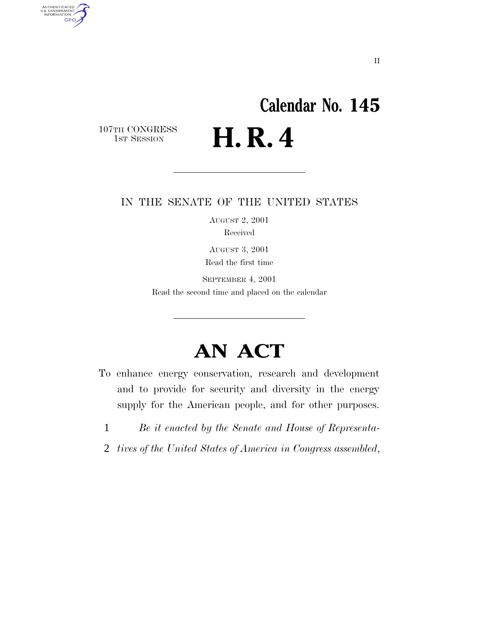# **Calendar No. 145** H. R. 4

107TH CONGRESS<br>1st Session

AUTHENTICATED<br>U.S. GOVERNMENT<br>INFORMATION

**GPO** 

## IN THE SENATE OF THE UNITED STATES

AUGUST 2, 2001 Received

AUGUST 3, 2001 Read the first time

SEPTEMBER 4, 2001 Read the second time and placed on the calendar

## **AN ACT**

- To enhance energy conservation, research and development and to provide for security and diversity in the energy supply for the American people, and for other purposes.
	- 1 *Be it enacted by the Senate and House of Representa-*
- 2 *tives of the United States of America in Congress assembled*,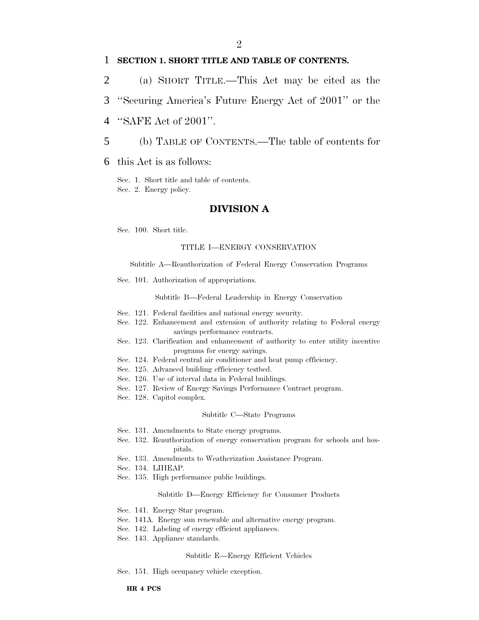## 1 **SECTION 1. SHORT TITLE AND TABLE OF CONTENTS.**

- 2 (a) SHORT TITLE.—This Act may be cited as the
- 3 ''Securing America's Future Energy Act of 2001'' or the
- 4 ''SAFE Act of 2001''.
- 5 (b) TABLE OF CONTENTS.—The table of contents for
- 6 this Act is as follows:

Sec. 1. Short title and table of contents. Sec. 2. Energy policy.

### **DIVISION A**

Sec. 100. Short title.

#### TITLE I—ENERGY CONSERVATION

Subtitle A—Reauthorization of Federal Energy Conservation Programs

Sec. 101. Authorization of appropriations.

Subtitle B—Federal Leadership in Energy Conservation

- Sec. 121. Federal facilities and national energy security.
- Sec. 122. Enhancement and extension of authority relating to Federal energy savings performance contracts.
- Sec. 123. Clarification and enhancement of authority to enter utility incentive programs for energy savings.
- Sec. 124. Federal central air conditioner and heat pump efficiency.
- Sec. 125. Advanced building efficiency testbed.
- Sec. 126. Use of interval data in Federal buildings.
- Sec. 127. Review of Energy Savings Performance Contract program.
- Sec. 128. Capitol complex.

#### Subtitle C—State Programs

- Sec. 131. Amendments to State energy programs.
- Sec. 132. Reauthorization of energy conservation program for schools and hospitals.
- Sec. 133. Amendments to Weatherization Assistance Program.
- Sec. 134. LIHEAP.
- Sec. 135. High performance public buildings.

#### Subtitle D—Energy Efficiency for Consumer Products

- Sec. 141. Energy Star program.
- Sec. 141A. Energy sun renewable and alternative energy program.
- Sec. 142. Labeling of energy efficient appliances.
- Sec. 143. Appliance standards.

#### Subtitle E—Energy Efficient Vehicles

Sec. 151. High occupancy vehicle exception.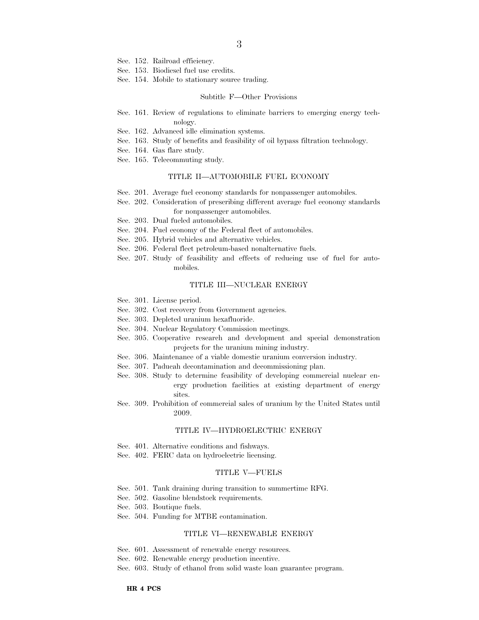- Sec. 152. Railroad efficiency.
- Sec. 153. Biodiesel fuel use credits.
- Sec. 154. Mobile to stationary source trading.

#### Subtitle F—Other Provisions

- Sec. 161. Review of regulations to eliminate barriers to emerging energy technology.
- Sec. 162. Advanced idle elimination systems.
- Sec. 163. Study of benefits and feasibility of oil bypass filtration technology.
- Sec. 164. Gas flare study.
- Sec. 165. Telecommuting study.

#### TITLE II—AUTOMOBILE FUEL ECONOMY

- Sec. 201. Average fuel economy standards for nonpassenger automobiles.
- Sec. 202. Consideration of prescribing different average fuel economy standards for nonpassenger automobiles.
- Sec. 203. Dual fueled automobiles.
- Sec. 204. Fuel economy of the Federal fleet of automobiles.
- Sec. 205. Hybrid vehicles and alternative vehicles.
- Sec. 206. Federal fleet petroleum-based nonalternative fuels.
- Sec. 207. Study of feasibility and effects of reducing use of fuel for automobiles.

#### TITLE III—NUCLEAR ENERGY

- Sec. 301. License period.
- Sec. 302. Cost recovery from Government agencies.
- Sec. 303. Depleted uranium hexafluoride.
- Sec. 304. Nuclear Regulatory Commission meetings.
- Sec. 305. Cooperative research and development and special demonstration projects for the uranium mining industry.
- Sec. 306. Maintenance of a viable domestic uranium conversion industry.
- Sec. 307. Paducah decontamination and decommissioning plan.
- Sec. 308. Study to determine feasibility of developing commercial nuclear energy production facilities at existing department of energy sites.
- Sec. 309. Prohibition of commercial sales of uranium by the United States until 2009.

#### TITLE IV—HYDROELECTRIC ENERGY

- Sec. 401. Alternative conditions and fishways.
- Sec. 402. FERC data on hydroelectric licensing.

#### TITLE V—FUELS

- Sec. 501. Tank draining during transition to summertime RFG.
- Sec. 502. Gasoline blendstock requirements.
- Sec. 503. Boutique fuels.
- Sec. 504. Funding for MTBE contamination.

#### TITLE VI—RENEWABLE ENERGY

- Sec. 601. Assessment of renewable energy resources.
- Sec. 602. Renewable energy production incentive.
- Sec. 603. Study of ethanol from solid waste loan guarantee program.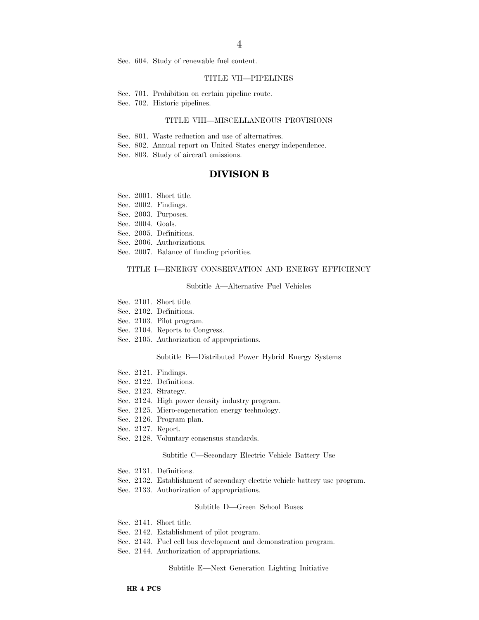4

Sec. 604. Study of renewable fuel content.

#### TITLE VII—PIPELINES

- Sec. 701. Prohibition on certain pipeline route.
- Sec. 702. Historic pipelines.

#### TITLE VIII—MISCELLANEOUS PROVISIONS

- Sec. 801. Waste reduction and use of alternatives.
- Sec. 802. Annual report on United States energy independence.
- Sec. 803. Study of aircraft emissions.

### **DIVISION B**

- Sec. 2001. Short title.
- Sec. 2002. Findings.
- Sec. 2003. Purposes.
- Sec. 2004. Goals.
- Sec. 2005. Definitions.
- Sec. 2006. Authorizations.
- Sec. 2007. Balance of funding priorities.

#### TITLE I—ENERGY CONSERVATION AND ENERGY EFFICIENCY

#### Subtitle A—Alternative Fuel Vehicles

- Sec. 2101. Short title.
- Sec. 2102. Definitions.
- Sec. 2103. Pilot program.
- Sec. 2104. Reports to Congress.
- Sec. 2105. Authorization of appropriations.

#### Subtitle B—Distributed Power Hybrid Energy Systems

- Sec. 2121. Findings.
- Sec. 2122. Definitions.
- Sec. 2123. Strategy.
- Sec. 2124. High power density industry program.
- Sec. 2125. Micro-cogeneration energy technology.
- Sec. 2126. Program plan.
- Sec. 2127. Report.
- Sec. 2128. Voluntary consensus standards.

#### Subtitle C—Secondary Electric Vehicle Battery Use

- Sec. 2131. Definitions.
- Sec. 2132. Establishment of secondary electric vehicle battery use program.
- Sec. 2133. Authorization of appropriations.

#### Subtitle D—Green School Buses

- Sec. 2141. Short title.
- Sec. 2142. Establishment of pilot program.
- Sec. 2143. Fuel cell bus development and demonstration program.
- Sec. 2144. Authorization of appropriations.

#### Subtitle E—Next Generation Lighting Initiative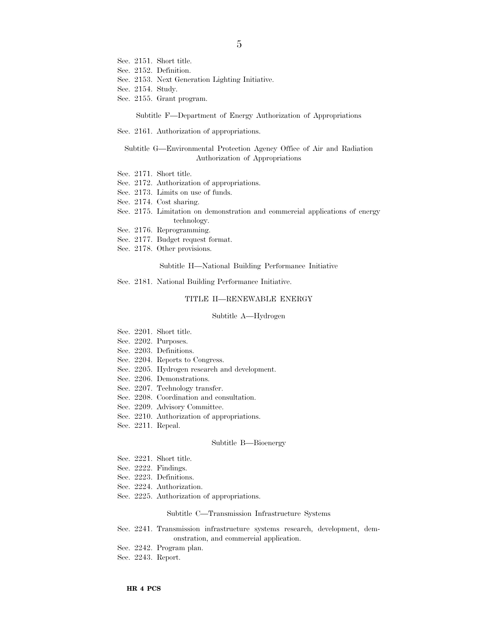- Sec. 2151. Short title.
- Sec. 2152. Definition.
- Sec. 2153. Next Generation Lighting Initiative.
- Sec. 2154. Study.
- Sec. 2155. Grant program.

Subtitle F—Department of Energy Authorization of Appropriations

Sec. 2161. Authorization of appropriations.

#### Subtitle G—Environmental Protection Agency Office of Air and Radiation Authorization of Appropriations

- Sec. 2171. Short title.
- Sec. 2172. Authorization of appropriations.
- Sec. 2173. Limits on use of funds.
- Sec. 2174. Cost sharing.
- Sec. 2175. Limitation on demonstration and commercial applications of energy technology.
- Sec. 2176. Reprogramming.
- Sec. 2177. Budget request format.
- Sec. 2178. Other provisions.

Subtitle H—National Building Performance Initiative

Sec. 2181. National Building Performance Initiative.

#### TITLE II—RENEWABLE ENERGY

#### Subtitle A—Hydrogen

- Sec. 2201. Short title.
- Sec. 2202. Purposes.
- Sec. 2203. Definitions.
- Sec. 2204. Reports to Congress.
- Sec. 2205. Hydrogen research and development.
- Sec. 2206. Demonstrations.
- Sec. 2207. Technology transfer.
- Sec. 2208. Coordination and consultation.
- Sec. 2209. Advisory Committee.
- Sec. 2210. Authorization of appropriations.
- Sec. 2211. Repeal.

#### Subtitle B—Bioenergy

- Sec. 2221. Short title.
- Sec. 2222. Findings.
- Sec. 2223. Definitions.
- Sec. 2224. Authorization.
- Sec. 2225. Authorization of appropriations.

#### Subtitle C—Transmission Infrastructure Systems

- Sec. 2241. Transmission infrastructure systems research, development, demonstration, and commercial application.
- Sec. 2242. Program plan.
- Sec. 2243. Report.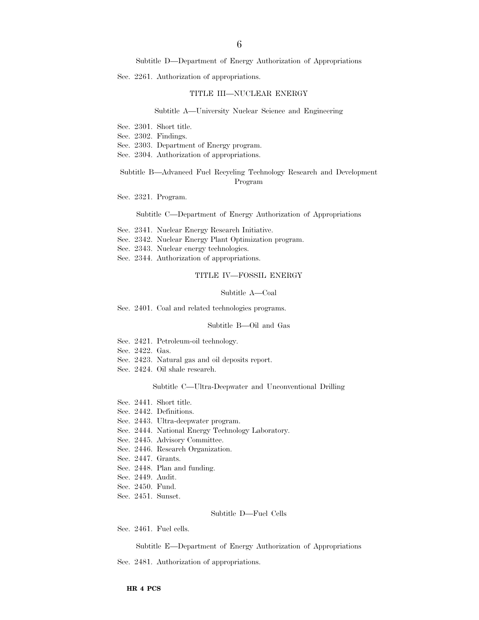Subtitle D—Department of Energy Authorization of Appropriations

Sec. 2261. Authorization of appropriations.

#### TITLE III—NUCLEAR ENERGY

#### Subtitle A—University Nuclear Science and Engineering

- Sec. 2301. Short title.
- Sec. 2302. Findings.
- Sec. 2303. Department of Energy program.
- Sec. 2304. Authorization of appropriations.

### Subtitle B—Advanced Fuel Recycling Technology Research and Development Program

Sec. 2321. Program.

#### Subtitle C—Department of Energy Authorization of Appropriations

- Sec. 2341. Nuclear Energy Research Initiative.
- Sec. 2342. Nuclear Energy Plant Optimization program.
- Sec. 2343. Nuclear energy technologies.
- Sec. 2344. Authorization of appropriations.

#### TITLE IV—FOSSIL ENERGY

#### Subtitle A—Coal

Sec. 2401. Coal and related technologies programs.

#### Subtitle B—Oil and Gas

- Sec. 2421. Petroleum-oil technology.
- Sec. 2422. Gas.
- Sec. 2423. Natural gas and oil deposits report.
- Sec. 2424. Oil shale research.

#### Subtitle C—Ultra-Deepwater and Unconventional Drilling

- Sec. 2441. Short title.
- Sec. 2442. Definitions.
- Sec. 2443. Ultra-deepwater program.
- Sec. 2444. National Energy Technology Laboratory.
- Sec. 2445. Advisory Committee.
- Sec. 2446. Research Organization.
- Sec. 2447. Grants.
- Sec. 2448. Plan and funding.
- Sec. 2449. Audit.
- Sec. 2450. Fund.
- Sec. 2451. Sunset.

#### Subtitle D—Fuel Cells

Sec. 2461. Fuel cells.

#### Subtitle E—Department of Energy Authorization of Appropriations

Sec. 2481. Authorization of appropriations.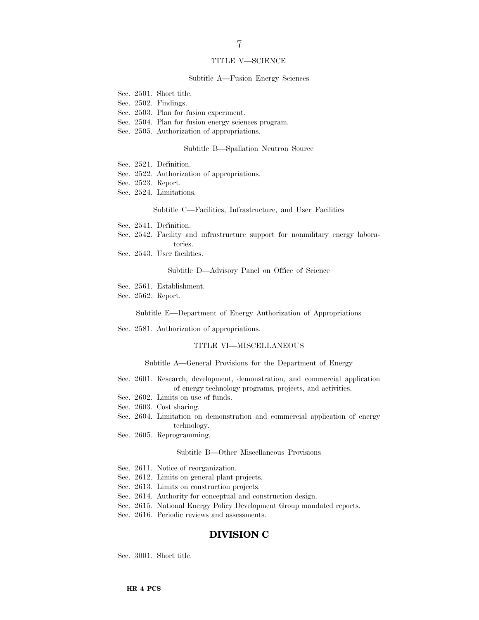#### TITLE V—SCIENCE

#### Subtitle A—Fusion Energy Sciences

Sec. 2501. Short title.

- Sec. 2502. Findings.
- Sec. 2503. Plan for fusion experiment.
- Sec. 2504. Plan for fusion energy sciences program.
- Sec. 2505. Authorization of appropriations.

#### Subtitle B—Spallation Neutron Source

- Sec. 2521. Definition.
- Sec. 2522. Authorization of appropriations.

tories.

- Sec. 2523. Report.
- Sec. 2524. Limitations.

Subtitle C—Facilities, Infrastructure, and User Facilities

- Sec. 2541. Definition.
- Sec. 2542. Facility and infrastructure support for nonmilitary energy labora-
- Sec. 2543. User facilities.

Subtitle D—Advisory Panel on Office of Science

- Sec. 2561. Establishment.
- Sec. 2562. Report.

Subtitle E—Department of Energy Authorization of Appropriations

Sec. 2581. Authorization of appropriations.

#### TITLE VI—MISCELLANEOUS

Subtitle A—General Provisions for the Department of Energy

- Sec. 2601. Research, development, demonstration, and commercial application of energy technology programs, projects, and activities.
- Sec. 2602. Limits on use of funds.
- Sec. 2603. Cost sharing.
- Sec. 2604. Limitation on demonstration and commercial application of energy technology.
- Sec. 2605. Reprogramming.

#### Subtitle B—Other Miscellaneous Provisions

- Sec. 2611. Notice of reorganization.
- Sec. 2612. Limits on general plant projects.
- Sec. 2613. Limits on construction projects.
- Sec. 2614. Authority for conceptual and construction design.
- Sec. 2615. National Energy Policy Development Group mandated reports.
- Sec. 2616. Periodic reviews and assessments.

## **DIVISION C**

Sec. 3001. Short title.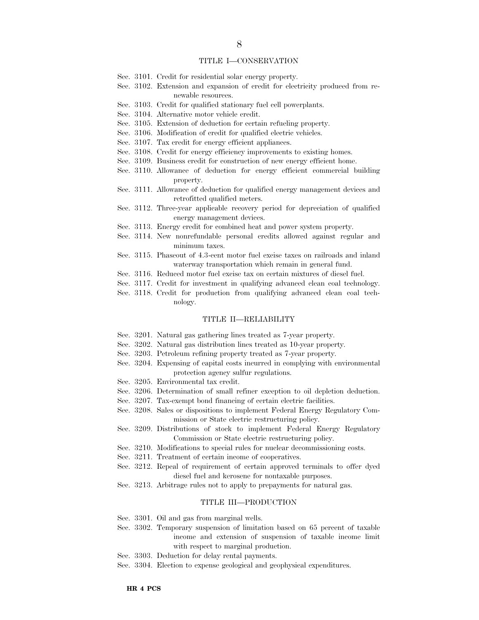## TITLE I—CONSERVATION

- Sec. 3101. Credit for residential solar energy property.
- Sec. 3102. Extension and expansion of credit for electricity produced from renewable resources.
- Sec. 3103. Credit for qualified stationary fuel cell powerplants.
- Sec. 3104. Alternative motor vehicle credit.
- Sec. 3105. Extension of deduction for certain refueling property.
- Sec. 3106. Modification of credit for qualified electric vehicles.
- Sec. 3107. Tax credit for energy efficient appliances.
- Sec. 3108. Credit for energy efficiency improvements to existing homes.
- Sec. 3109. Business credit for construction of new energy efficient home.
- Sec. 3110. Allowance of deduction for energy efficient commercial building property.
- Sec. 3111. Allowance of deduction for qualified energy management devices and retrofitted qualified meters.
- Sec. 3112. Three-year applicable recovery period for depreciation of qualified energy management devices.
- Sec. 3113. Energy credit for combined heat and power system property.
- Sec. 3114. New nonrefundable personal credits allowed against regular and minimum taxes.
- Sec. 3115. Phaseout of 4.3-cent motor fuel excise taxes on railroads and inland waterway transportation which remain in general fund.
- Sec. 3116. Reduced motor fuel excise tax on certain mixtures of diesel fuel.
- Sec. 3117. Credit for investment in qualifying advanced clean coal technology.
- Sec. 3118. Credit for production from qualifying advanced clean coal technology.

#### TITLE II—RELIABILITY

- Sec. 3201. Natural gas gathering lines treated as 7-year property.
- Sec. 3202. Natural gas distribution lines treated as 10-year property.
- Sec. 3203. Petroleum refining property treated as 7-year property.
- Sec. 3204. Expensing of capital costs incurred in complying with environmental protection agency sulfur regulations.
- Sec. 3205. Environmental tax credit.
- Sec. 3206. Determination of small refiner exception to oil depletion deduction.
- Sec. 3207. Tax-exempt bond financing of certain electric facilities.
- Sec. 3208. Sales or dispositions to implement Federal Energy Regulatory Commission or State electric restructuring policy.
- Sec. 3209. Distributions of stock to implement Federal Energy Regulatory Commission or State electric restructuring policy.
- Sec. 3210. Modifications to special rules for nuclear decommissioning costs.
- Sec. 3211. Treatment of certain income of cooperatives.
- Sec. 3212. Repeal of requirement of certain approved terminals to offer dyed diesel fuel and kerosene for nontaxable purposes.
- Sec. 3213. Arbitrage rules not to apply to prepayments for natural gas.

#### TITLE III—PRODUCTION

- Sec. 3301. Oil and gas from marginal wells.
- Sec. 3302. Temporary suspension of limitation based on 65 percent of taxable income and extension of suspension of taxable income limit with respect to marginal production.
- Sec. 3303. Deduction for delay rental payments.
- Sec. 3304. Election to expense geological and geophysical expenditures.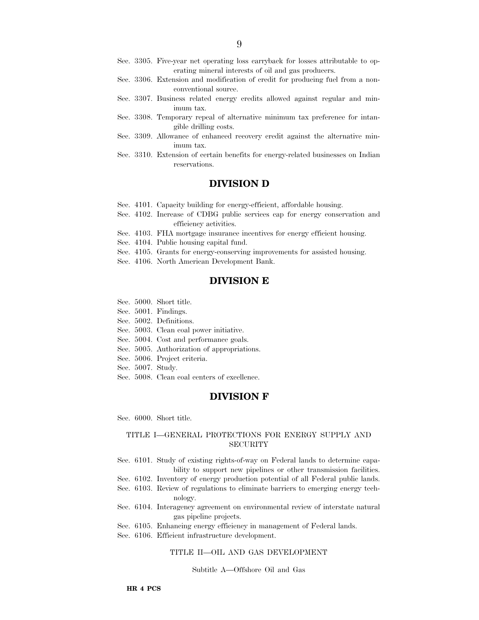- Sec. 3305. Five-year net operating loss carryback for losses attributable to operating mineral interests of oil and gas producers.
- Sec. 3306. Extension and modification of credit for producing fuel from a nonconventional source.
- Sec. 3307. Business related energy credits allowed against regular and minimum tax.
- Sec. 3308. Temporary repeal of alternative minimum tax preference for intangible drilling costs.
- Sec. 3309. Allowance of enhanced recovery credit against the alternative minimum tax.
- Sec. 3310. Extension of certain benefits for energy-related businesses on Indian reservations.

### **DIVISION D**

- Sec. 4101. Capacity building for energy-efficient, affordable housing.
- Sec. 4102. Increase of CDBG public services cap for energy conservation and efficiency activities.
- Sec. 4103. FHA mortgage insurance incentives for energy efficient housing.
- Sec. 4104. Public housing capital fund.
- Sec. 4105. Grants for energy-conserving improvements for assisted housing.
- Sec. 4106. North American Development Bank.

### **DIVISION E**

- Sec. 5000. Short title.
- Sec. 5001. Findings.
- Sec. 5002. Definitions.
- Sec. 5003. Clean coal power initiative.
- Sec. 5004. Cost and performance goals.
- Sec. 5005. Authorization of appropriations.
- Sec. 5006. Project criteria.
- Sec. 5007. Study.
- Sec. 5008. Clean coal centers of excellence.

## **DIVISION F**

Sec. 6000. Short title.

#### TITLE I—GENERAL PROTECTIONS FOR ENERGY SUPPLY AND **SECURITY**

- Sec. 6101. Study of existing rights-of-way on Federal lands to determine capability to support new pipelines or other transmission facilities.
- Sec. 6102. Inventory of energy production potential of all Federal public lands.
- Sec. 6103. Review of regulations to eliminate barriers to emerging energy technology.
- Sec. 6104. Interagency agreement on environmental review of interstate natural gas pipeline projects.
- Sec. 6105. Enhancing energy efficiency in management of Federal lands.
- Sec. 6106. Efficient infrastructure development.

#### TITLE II—OIL AND GAS DEVELOPMENT

#### Subtitle A—Offshore Oil and Gas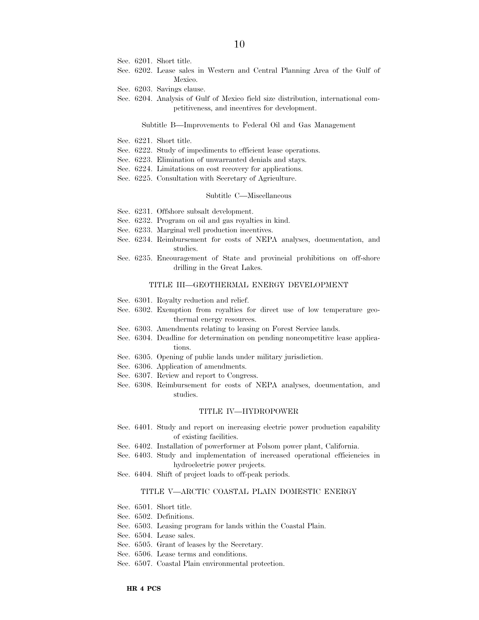- Sec. 6201. Short title.
- Sec. 6202. Lease sales in Western and Central Planning Area of the Gulf of Mexico.
- Sec. 6203. Savings clause.
- Sec. 6204. Analysis of Gulf of Mexico field size distribution, international competitiveness, and incentives for development.

#### Subtitle B—Improvements to Federal Oil and Gas Management

- Sec. 6221. Short title.
- Sec. 6222. Study of impediments to efficient lease operations.
- Sec. 6223. Elimination of unwarranted denials and stays.
- Sec. 6224. Limitations on cost recovery for applications.
- Sec. 6225. Consultation with Secretary of Agriculture.

#### Subtitle C—Miscellaneous

- Sec. 6231. Offshore subsalt development.
- Sec. 6232. Program on oil and gas royalties in kind.
- Sec. 6233. Marginal well production incentives.
- Sec. 6234. Reimbursement for costs of NEPA analyses, documentation, and studies.
- Sec. 6235. Encouragement of State and provincial prohibitions on off-shore drilling in the Great Lakes.

#### TITLE III—GEOTHERMAL ENERGY DEVELOPMENT

- Sec. 6301. Royalty reduction and relief.
- Sec. 6302. Exemption from royalties for direct use of low temperature geothermal energy resources.
- Sec. 6303. Amendments relating to leasing on Forest Service lands.
- Sec. 6304. Deadline for determination on pending noncompetitive lease applications.
- Sec. 6305. Opening of public lands under military jurisdiction.
- Sec. 6306. Application of amendments.
- Sec. 6307. Review and report to Congress.
- Sec. 6308. Reimbursement for costs of NEPA analyses, documentation, and studies.

#### TITLE IV—HYDROPOWER

- Sec. 6401. Study and report on increasing electric power production capability of existing facilities.
- Sec. 6402. Installation of powerformer at Folsom power plant, California.
- Sec. 6403. Study and implementation of increased operational efficiencies in hydroelectric power projects.
- Sec. 6404. Shift of project loads to off-peak periods.

#### TITLE V—ARCTIC COASTAL PLAIN DOMESTIC ENERGY

- Sec. 6501. Short title.
- Sec. 6502. Definitions.
- Sec. 6503. Leasing program for lands within the Coastal Plain.
- Sec. 6504. Lease sales.
- Sec. 6505. Grant of leases by the Secretary.
- Sec. 6506. Lease terms and conditions.
- Sec. 6507. Coastal Plain environmental protection.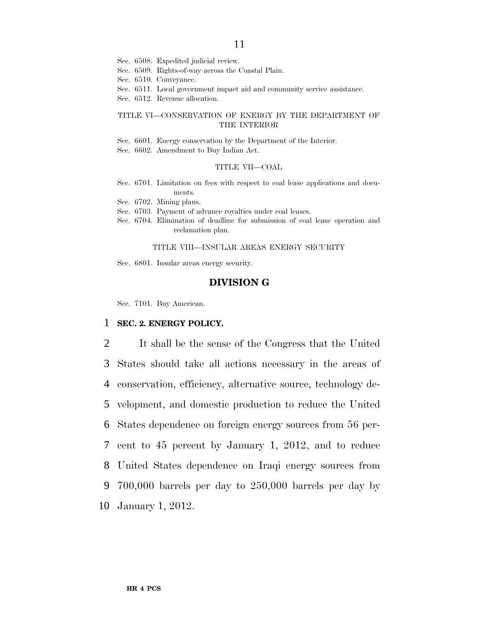- Sec. 6508. Expedited judicial review.
- Sec. 6509. Rights-of-way across the Coastal Plain.
- Sec. 6510. Conveyance.
- Sec. 6511. Local government impact aid and community service assistance.
- Sec. 6512. Revenue allocation.

### TITLE VI—CONSERVATION OF ENERGY BY THE DEPARTMENT OF THE INTERIOR

- Sec. 6601. Energy conservation by the Department of the Interior.
- Sec. 6602. Amendment to Buy Indian Act.

#### TITLE VII—COAL

- Sec. 6701. Limitation on fees with respect to coal lease applications and documents.
- Sec. 6702. Mining plans.
- Sec. 6703. Payment of advance royalties under coal leases.
- Sec. 6704. Elimination of deadline for submission of coal lease operation and reclamation plan.

#### TITLE VIII—INSULAR AREAS ENERGY SECURITY

Sec. 6801. Insular areas energy security.

## **DIVISION G**

Sec. 7101. Buy American.

### 1 **SEC. 2. ENERGY POLICY.**

 It shall be the sense of the Congress that the United States should take all actions necessary in the areas of conservation, efficiency, alternative source, technology de- velopment, and domestic production to reduce the United States dependence on foreign energy sources from 56 per- cent to 45 percent by January 1, 2012, and to reduce United States dependence on Iraqi energy sources from 700,000 barrels per day to 250,000 barrels per day by January 1, 2012.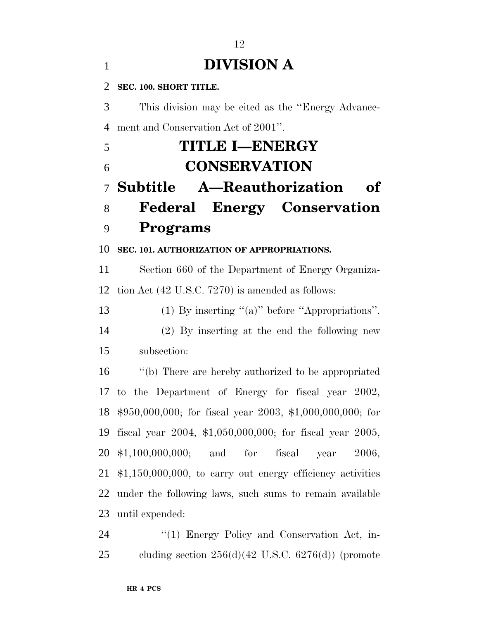## **DIVISION A**

**SEC. 100. SHORT TITLE.**

 This division may be cited as the ''Energy Advance-ment and Conservation Act of 2001''.

 **TITLE I—ENERGY CONSERVATION Subtitle A—Reauthorization of Federal Energy Conservation Programs SEC. 101. AUTHORIZATION OF APPROPRIATIONS.** Section 660 of the Department of Energy Organiza- tion Act (42 U.S.C. 7270) is amended as follows: (1) By inserting ''(a)'' before ''Appropriations''. (2) By inserting at the end the following new subsection: ''(b) There are hereby authorized to be appropriated to the Department of Energy for fiscal year 2002, \$950,000,000; for fiscal year 2003, \$1,000,000,000; for fiscal year 2004, \$1,050,000,000; for fiscal year 2005, \$1,100,000,000; and for fiscal year 2006, \$1,150,000,000, to carry out energy efficiency activities under the following laws, such sums to remain available until expended:

24 "(1) Energy Policy and Conservation Act, in-cluding section 256(d)(42 U.S.C. 6276(d)) (promote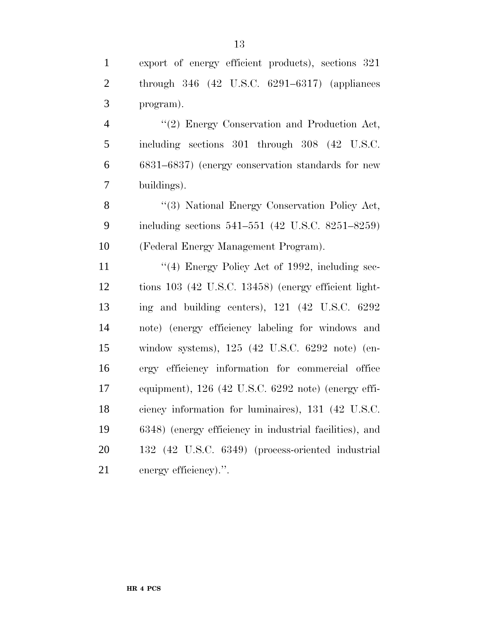export of energy efficient products), sections 321 through 346 (42 U.S.C. 6291–6317) (appliances program).

4 "(2) Energy Conservation and Production Act, including sections 301 through 308 (42 U.S.C. 6831–6837) (energy conservation standards for new buildings).

8 "(3) National Energy Conservation Policy Act, including sections 541–551 (42 U.S.C. 8251–8259) (Federal Energy Management Program).

11 ''(4) Energy Policy Act of 1992, including sec- tions 103 (42 U.S.C. 13458) (energy efficient light- ing and building centers), 121 (42 U.S.C. 6292 note) (energy efficiency labeling for windows and window systems), 125 (42 U.S.C. 6292 note) (en- ergy efficiency information for commercial office equipment), 126 (42 U.S.C. 6292 note) (energy effi- ciency information for luminaires), 131 (42 U.S.C. 6348) (energy efficiency in industrial facilities), and 132 (42 U.S.C. 6349) (process-oriented industrial 21 energy efficiency).".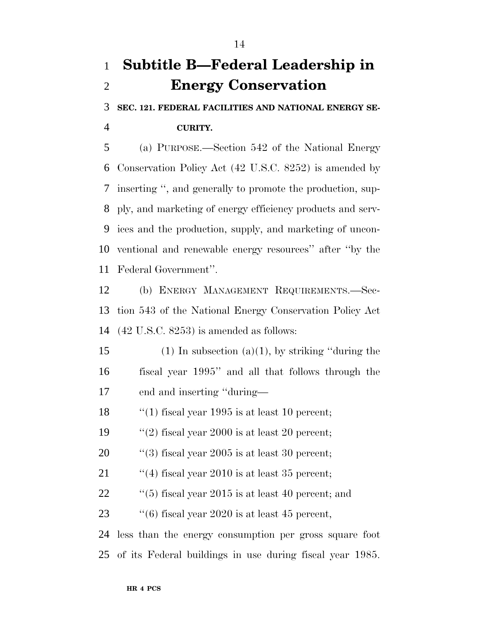## **Subtitle B—Federal Leadership in Energy Conservation**

**SEC. 121. FEDERAL FACILITIES AND NATIONAL ENERGY SE-**

**CURITY.**

 (a) PURPOSE.—Section 542 of the National Energy Conservation Policy Act (42 U.S.C. 8252) is amended by inserting '', and generally to promote the production, sup- ply, and marketing of energy efficiency products and serv- ices and the production, supply, and marketing of uncon- ventional and renewable energy resources'' after ''by the Federal Government''.

 (b) ENERGY MANAGEMENT REQUIREMENTS.—Sec- tion 543 of the National Energy Conservation Policy Act (42 U.S.C. 8253) is amended as follows:

15 (1) In subsection (a)(1), by striking "during the fiscal year 1995'' and all that follows through the end and inserting ''during—

18 ''(1) fiscal year 1995 is at least 10 percent;

19  $\frac{1}{2}$  (2) fiscal year 2000 is at least 20 percent;

20  $\frac{1}{20}$  (3) fiscal year 2005 is at least 30 percent;

21  $\frac{1}{2}$  (4) fiscal year 2010 is at least 35 percent;

''(5) fiscal year 2015 is at least 40 percent; and

23  $\frac{1}{6}$  fiscal year 2020 is at least 45 percent,

 less than the energy consumption per gross square foot of its Federal buildings in use during fiscal year 1985.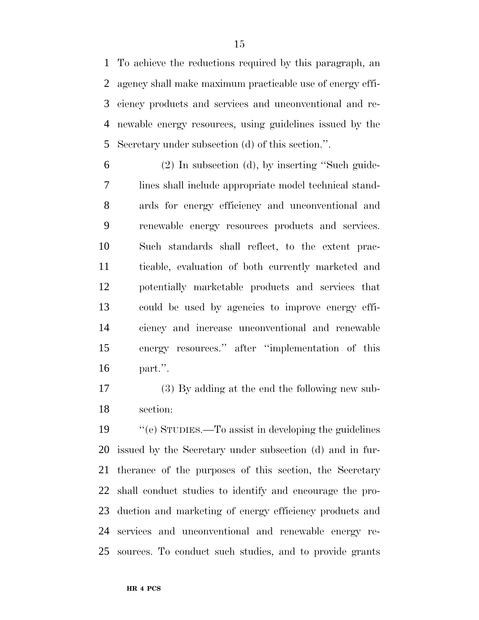To achieve the reductions required by this paragraph, an agency shall make maximum practicable use of energy effi- ciency products and services and unconventional and re- newable energy resources, using guidelines issued by the Secretary under subsection (d) of this section.''.

 (2) In subsection (d), by inserting ''Such guide- lines shall include appropriate model technical stand- ards for energy efficiency and unconventional and renewable energy resources products and services. Such standards shall reflect, to the extent prac- ticable, evaluation of both currently marketed and potentially marketable products and services that could be used by agencies to improve energy effi- ciency and increase unconventional and renewable energy resources.'' after ''implementation of this part.''.

 (3) By adding at the end the following new sub-section:

 ''(e) STUDIES.—To assist in developing the guidelines issued by the Secretary under subsection (d) and in fur- therance of the purposes of this section, the Secretary shall conduct studies to identify and encourage the pro- duction and marketing of energy efficiency products and services and unconventional and renewable energy re-sources. To conduct such studies, and to provide grants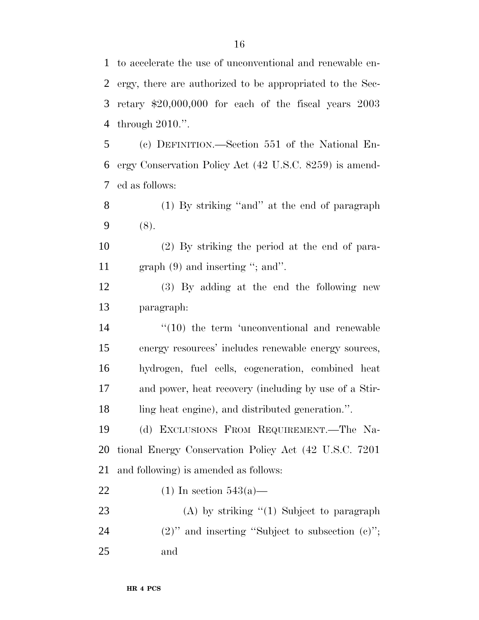to accelerate the use of unconventional and renewable en- ergy, there are authorized to be appropriated to the Sec- retary \$20,000,000 for each of the fiscal years 2003 through 2010.''.

 (c) DEFINITION.—Section 551 of the National En- ergy Conservation Policy Act (42 U.S.C. 8259) is amend-ed as follows:

 (1) By striking ''and'' at the end of paragraph (8).

 (2) By striking the period at the end of para-11 graph (9) and inserting "; and".

 (3) By adding at the end the following new paragraph:

14 ''(10) the term 'unconventional and renewable energy resources' includes renewable energy sources, hydrogen, fuel cells, cogeneration, combined heat and power, heat recovery (including by use of a Stir-ling heat engine), and distributed generation.''.

 (d) EXCLUSIONS FROM REQUIREMENT.—The Na- tional Energy Conservation Policy Act (42 U.S.C. 7201 and following) is amended as follows:

- 22 (1) In section  $543(a)$ —
- 23 (A) by striking "(1) Subject to paragraph 24 (2)" and inserting "Subject to subsection (c)"; and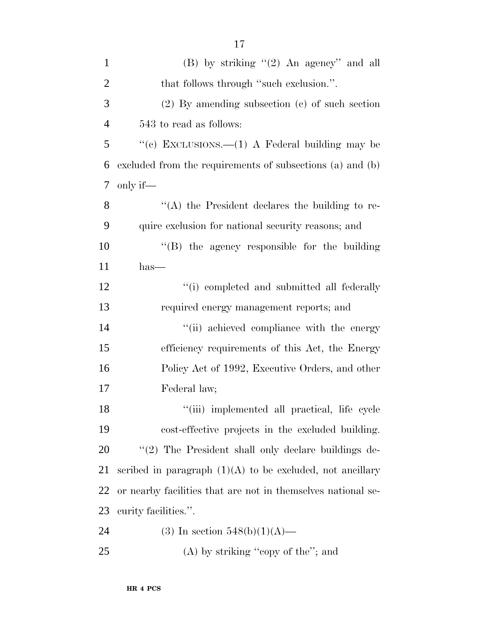| $\mathbf{1}$   | (B) by striking $(2)$ An agency" and all                     |
|----------------|--------------------------------------------------------------|
| $\overline{2}$ | that follows through "such exclusion.".                      |
| 3              | $(2)$ By amending subsection $(e)$ of such section           |
| $\overline{4}$ | 543 to read as follows:                                      |
| 5              | "(c) EXCLUSIONS.—(1) A Federal building may be               |
| 6              | excluded from the requirements of subsections (a) and (b)    |
| 7              | only if—                                                     |
| 8              | $\lq\lq$ the President declares the building to re-          |
| 9              | quire exclusion for national security reasons; and           |
| 10             | "(B) the agency responsible for the building                 |
| 11             | $has-$                                                       |
| 12             | "(i) completed and submitted all federally                   |
| 13             | required energy management reports; and                      |
| 14             | "(ii) achieved compliance with the energy                    |
| 15             | efficiency requirements of this Act, the Energy              |
| 16             | Policy Act of 1992, Executive Orders, and other              |
| 17             | Federal law;                                                 |
| 18             | "(iii) implemented all practical, life cycle                 |
| 19             | cost-effective projects in the excluded building.            |
| 20             | "(2) The President shall only declare buildings de-          |
| 21             | scribed in paragraph $(1)(A)$ to be excluded, not ancillary  |
| <u>22</u>      | or nearby facilities that are not in themselves national se- |
| 23             | curity facilities.".                                         |
| 24             | (3) In section $548(b)(1)(A)$ —                              |
| 25             | $(A)$ by striking "copy of the"; and                         |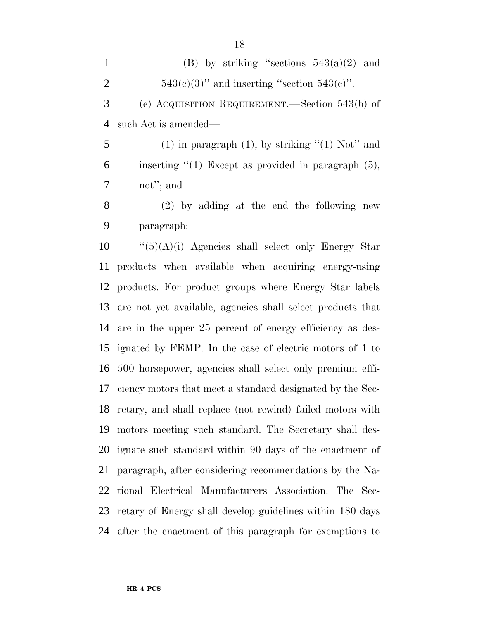| $\mathbf{1}$   | (B) by striking "sections $543(a)(2)$ and                  |
|----------------|------------------------------------------------------------|
| $\overline{2}$ | $543(c)(3)$ " and inserting "section $543(c)$ ".           |
| 3              | (e) ACQUISITION REQUIREMENT.—Section 543(b) of             |
| 4              | such Act is amended—                                       |
| 5              | $(1)$ in paragraph $(1)$ , by striking " $(1)$ Not" and    |
| 6              | inserting $\lq(1)$ Except as provided in paragraph $(5)$ , |
| 7              | not"; and                                                  |
| 8              | $(2)$ by adding at the end the following new               |
| 9              | paragraph:                                                 |
| 10             | $\lq(5)(A)(i)$ Agencies shall select only Energy Star      |
|                | 11 products when available when acquiring energy-using     |
|                |                                                            |

 products when available when acquiring energy-using products. For product groups where Energy Star labels are not yet available, agencies shall select products that are in the upper 25 percent of energy efficiency as des- ignated by FEMP. In the case of electric motors of 1 to 500 horsepower, agencies shall select only premium effi- ciency motors that meet a standard designated by the Sec- retary, and shall replace (not rewind) failed motors with motors meeting such standard. The Secretary shall des- ignate such standard within 90 days of the enactment of paragraph, after considering recommendations by the Na- tional Electrical Manufacturers Association. The Sec- retary of Energy shall develop guidelines within 180 days after the enactment of this paragraph for exemptions to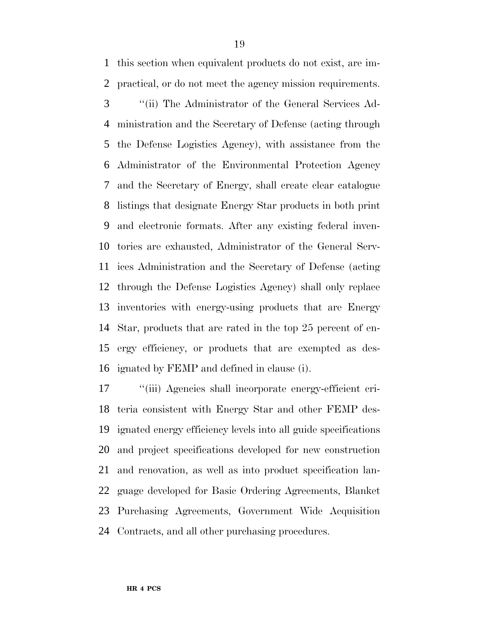this section when equivalent products do not exist, are im- practical, or do not meet the agency mission requirements. ''(ii) The Administrator of the General Services Ad- ministration and the Secretary of Defense (acting through the Defense Logistics Agency), with assistance from the Administrator of the Environmental Protection Agency and the Secretary of Energy, shall create clear catalogue listings that designate Energy Star products in both print and electronic formats. After any existing federal inven- tories are exhausted, Administrator of the General Serv- ices Administration and the Secretary of Defense (acting through the Defense Logistics Agency) shall only replace inventories with energy-using products that are Energy Star, products that are rated in the top 25 percent of en- ergy efficiency, or products that are exempted as des-ignated by FEMP and defined in clause (i).

 ''(iii) Agencies shall incorporate energy-efficient cri- teria consistent with Energy Star and other FEMP des- ignated energy efficiency levels into all guide specifications and project specifications developed for new construction and renovation, as well as into product specification lan- guage developed for Basic Ordering Agreements, Blanket Purchasing Agreements, Government Wide Acquisition Contracts, and all other purchasing procedures.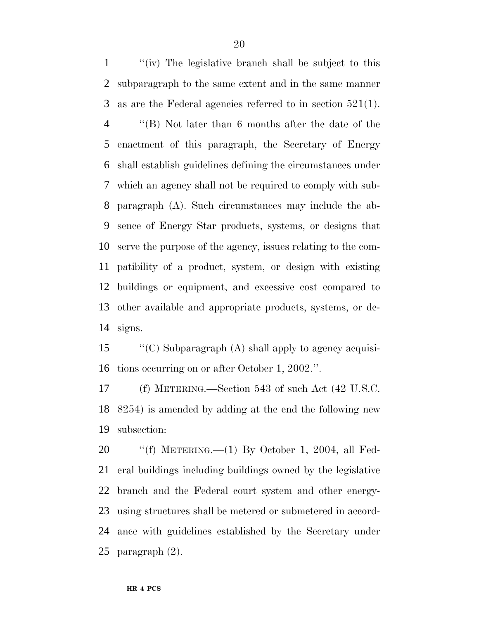''(iv) The legislative branch shall be subject to this subparagraph to the same extent and in the same manner as are the Federal agencies referred to in section 521(1).

 ''(B) Not later than 6 months after the date of the enactment of this paragraph, the Secretary of Energy shall establish guidelines defining the circumstances under which an agency shall not be required to comply with sub- paragraph (A). Such circumstances may include the ab- sence of Energy Star products, systems, or designs that serve the purpose of the agency, issues relating to the com- patibility of a product, system, or design with existing buildings or equipment, and excessive cost compared to other available and appropriate products, systems, or de-signs.

 ''(C) Subparagraph (A) shall apply to agency acquisi-tions occurring on or after October 1, 2002.''.

 (f) METERING.—Section 543 of such Act (42 U.S.C. 8254) is amended by adding at the end the following new subsection:

 ''(f) METERING.—(1) By October 1, 2004, all Fed- eral buildings including buildings owned by the legislative branch and the Federal court system and other energy- using structures shall be metered or submetered in accord- ance with guidelines established by the Secretary under paragraph (2).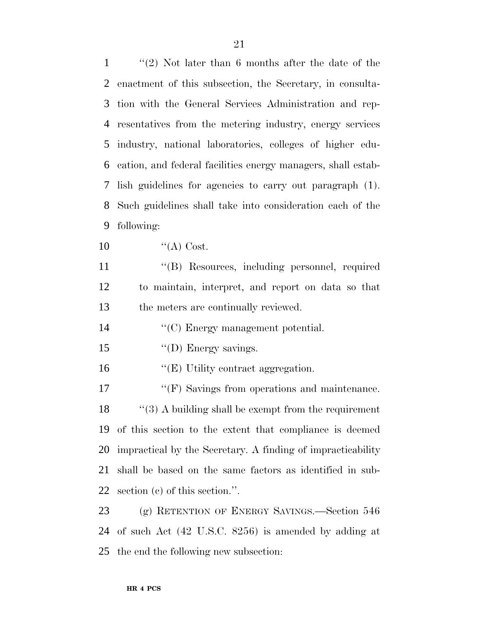''(2) Not later than 6 months after the date of the enactment of this subsection, the Secretary, in consulta- tion with the General Services Administration and rep- resentatives from the metering industry, energy services industry, national laboratories, colleges of higher edu- cation, and federal facilities energy managers, shall estab- lish guidelines for agencies to carry out paragraph (1). Such guidelines shall take into consideration each of the following:  $"({\rm A})$  Cost. ''(B) Resources, including personnel, required to maintain, interpret, and report on data so that the meters are continually reviewed. ''(C) Energy management potential. 15 ''(D) Energy savings. 16 "(E) Utility contract aggregation. 17 <sup>"</sup>(F) Savings from operations and maintenance. 18 "(3) A building shall be exempt from the requirement of this section to the extent that compliance is deemed impractical by the Secretary. A finding of impracticability shall be based on the same factors as identified in sub-section (c) of this section.''.

 (g) RETENTION OF ENERGY SAVINGS.—Section 546 of such Act (42 U.S.C. 8256) is amended by adding at the end the following new subsection: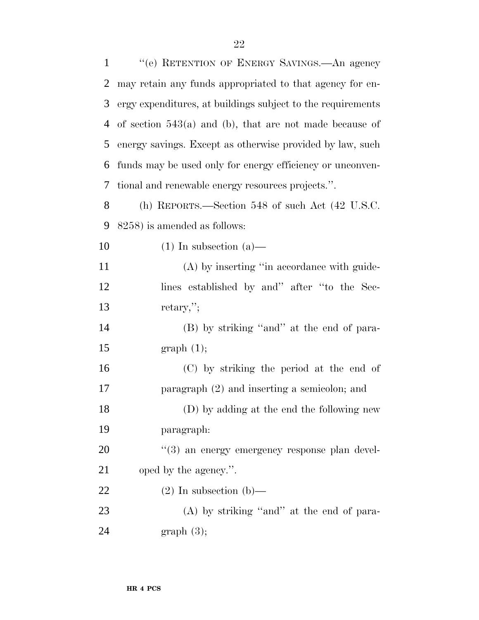| $\mathbf{1}$ | "(e) RETENTION OF ENERGY SAVINGS.—An agency                 |
|--------------|-------------------------------------------------------------|
| 2            | may retain any funds appropriated to that agency for en-    |
| 3            | ergy expenditures, at buildings subject to the requirements |
| 4            | of section $543(a)$ and (b), that are not made because of   |
| 5            | energy savings. Except as otherwise provided by law, such   |
| 6            | funds may be used only for energy efficiency or unconven-   |
| 7            | tional and renewable energy resources projects.".           |
| 8            | (h) REPORTS.—Section 548 of such Act (42 U.S.C.             |
| 9            | 8258) is amended as follows:                                |
| 10           | $(1)$ In subsection $(a)$ —                                 |
| 11           | (A) by inserting "in accordance with guide-                 |
| 12           | lines established by and" after "to the Sec-                |
| 13           | $retary,$ ";                                                |
| 14           | (B) by striking "and" at the end of para-                   |
| 15           | graph(1);                                                   |
| 16           | (C) by striking the period at the end of                    |
| $17\,$       | paragraph (2) and inserting a semicolon; and                |
| 18           | (D) by adding at the end the following new                  |
| 19           | paragraph:                                                  |
| 20           | "(3) an energy emergency response plan devel-               |
| 21           | oped by the agency.".                                       |
| 22           | $(2)$ In subsection (b)—                                    |
| 23           | $(A)$ by striking "and" at the end of para-                 |
| 24           | graph(3);                                                   |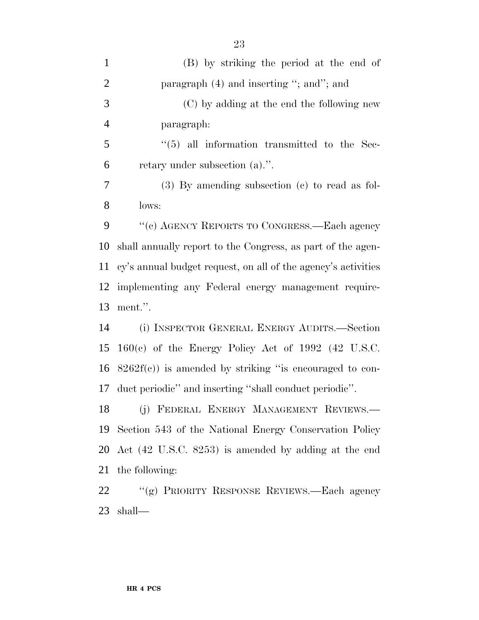| $\mathbf{1}$   | (B) by striking the period at the end of                      |
|----------------|---------------------------------------------------------------|
| $\overline{2}$ | paragraph $(4)$ and inserting "; and"; and                    |
| 3              | (C) by adding at the end the following new                    |
| $\overline{4}$ | paragraph:                                                    |
| 5              | $\cdot$ (5) all information transmitted to the Sec-           |
| 6              | retary under subsection (a).".                                |
| 7              | $(3)$ By amending subsection $(e)$ to read as fol-            |
| 8              | lows:                                                         |
| 9              | "(c) AGENCY REPORTS TO CONGRESS.—Each agency                  |
| 10             | shall annually report to the Congress, as part of the agen-   |
| 11             | cy's annual budget request, on all of the agency's activities |
| 12             | implementing any Federal energy management require-           |
| 13             | ment.".                                                       |
| 14             | (i) INSPECTOR GENERAL ENERGY AUDITS.—Section                  |
| 15             | $160(c)$ of the Energy Policy Act of 1992 (42 U.S.C.          |
|                | 16 $8262f(c)$ is amended by striking "is encouraged to con-   |
| 17             | duct periodic" and inserting "shall conduct periodic".        |
| 18             | (j) FEDERAL ENERGY MANAGEMENT REVIEWS.                        |
| 19             | Section 543 of the National Energy Conservation Policy        |
| 20             | Act (42 U.S.C. 8253) is amended by adding at the end          |
| 21             | the following:                                                |
| 22             | "(g) PRIORITY RESPONSE REVIEWS.—Each agency                   |

shall—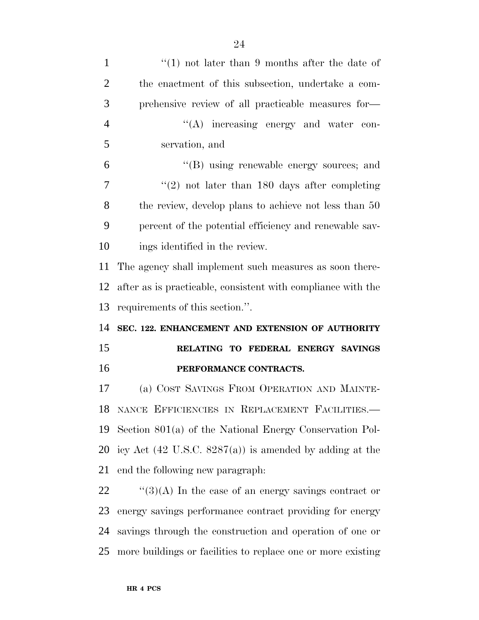| $\mathbf{1}$   | "(1) not later than 9 months after the date of                     |
|----------------|--------------------------------------------------------------------|
| $\overline{2}$ | the enactment of this subsection, undertake a com-                 |
| 3              | prehensive review of all practicable measures for-                 |
| $\overline{4}$ | $\lq\lq$ increasing energy and water con-                          |
| 5              | servation, and                                                     |
| 6              | $\lq\lq(B)$ using renewable energy sources; and                    |
| 7              | $\lq(2)$ not later than 180 days after completing                  |
| 8              | the review, develop plans to achieve not less than 50              |
| 9              | percent of the potential efficiency and renewable sav-             |
| 10             | ings identified in the review.                                     |
| 11             | The agency shall implement such measures as soon there-            |
| 12             | after as is practicable, consistent with compliance with the       |
|                |                                                                    |
| 13             | requirements of this section.".                                    |
| 14             | SEC. 122. ENHANCEMENT AND EXTENSION OF AUTHORITY                   |
| 15             | RELATING TO FEDERAL ENERGY SAVINGS                                 |
| 16             | PERFORMANCE CONTRACTS.                                             |
| 17             | (a) COST SAVINGS FROM OPERATION AND MAINTE-                        |
|                | 18 NANCE EFFICIENCIES IN REPLACEMENT FACILITIES.                   |
| 19             | Section $801(a)$ of the National Energy Conservation Pol-          |
| 20             | icy Act $(42 \text{ U.S.C. } 8287(a))$ is amended by adding at the |
| 21             | end the following new paragraph.                                   |
| 22             | "(3)(A) In the case of an energy savings contract or               |
| 23             | energy savings performance contract providing for energy           |

more buildings or facilities to replace one or more existing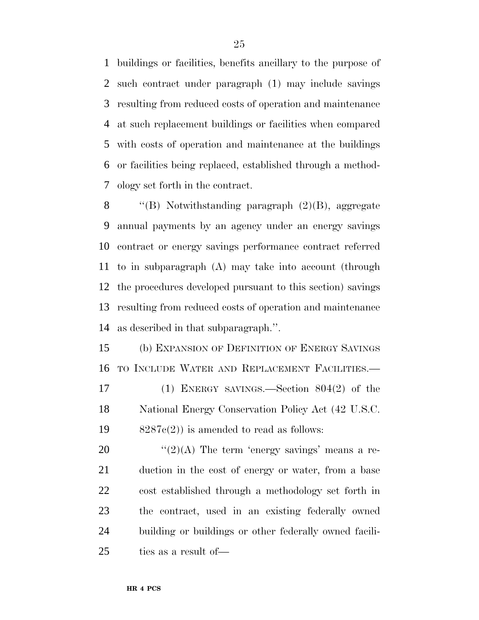buildings or facilities, benefits ancillary to the purpose of such contract under paragraph (1) may include savings resulting from reduced costs of operation and maintenance at such replacement buildings or facilities when compared with costs of operation and maintenance at the buildings or facilities being replaced, established through a method-ology set forth in the contract.

 $\langle$  "(B) Notwithstanding paragraph (2)(B), aggregate annual payments by an agency under an energy savings contract or energy savings performance contract referred to in subparagraph (A) may take into account (through the procedures developed pursuant to this section) savings resulting from reduced costs of operation and maintenance as described in that subparagraph.''.

 (b) EXPANSION OF DEFINITION OF ENERGY SAVINGS TO INCLUDE WATER AND REPLACEMENT FACILITIES.— (1) ENERGY SAVINGS.—Section 804(2) of the National Energy Conservation Policy Act (42 U.S.C.  $8287c(2)$  is amended to read as follows:

 $\frac{((2)(A)}{(2)(A)}$  The term 'energy savings' means a re- duction in the cost of energy or water, from a base cost established through a methodology set forth in the contract, used in an existing federally owned building or buildings or other federally owned facili-ties as a result of—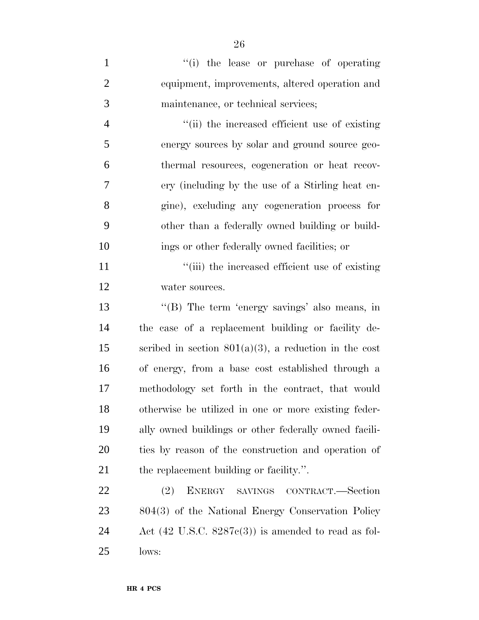| $\mathbf{1}$   | "(i) the lease or purchase of operating                        |
|----------------|----------------------------------------------------------------|
| $\overline{2}$ | equipment, improvements, altered operation and                 |
| 3              | maintenance, or technical services;                            |
| $\overline{4}$ | "(ii) the increased efficient use of existing                  |
| 5              | energy sources by solar and ground source geo-                 |
| 6              | thermal resources, cogeneration or heat recov-                 |
| 7              | ery (including by the use of a Stirling heat en-               |
| 8              | gine), excluding any cogeneration process for                  |
| 9              | other than a federally owned building or build-                |
| 10             | ings or other federally owned facilities; or                   |
| 11             | "(iii) the increased efficient use of existing                 |
| 12             | water sources.                                                 |
| 13             | "(B) The term 'energy savings' also means, in                  |
| 14             | the case of a replacement building or facility de-             |
| 15             | scribed in section $801(a)(3)$ , a reduction in the cost       |
| 16             | of energy, from a base cost established through a              |
| 17             | methodology set forth in the contract, that would              |
| 18             | otherwise be utilized in one or more existing feder-           |
| 19             | ally owned buildings or other federally owned facili-          |
| 20             | ties by reason of the construction and operation of            |
| 21             | the replacement building or facility.".                        |
| 22             | <b>ENERGY</b><br>(2)<br>SAVINGS CONTRACT.—Section              |
| 23             | 804(3) of the National Energy Conservation Policy              |
| 24             | Act $(42 \text{ U.S.C. } 8287c(3))$ is amended to read as fol- |
| 25             | lows:                                                          |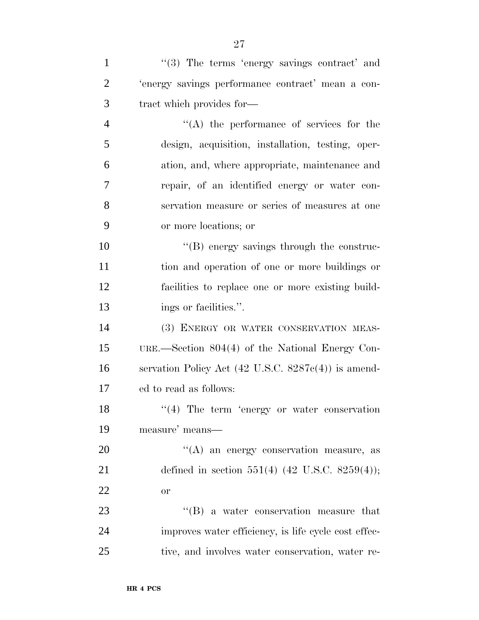| $\mathbf{1}$   | $\lq(3)$ The terms 'energy savings contract' and               |
|----------------|----------------------------------------------------------------|
| $\overline{2}$ | 'energy savings performance contract' mean a con-              |
| 3              | tract which provides for—                                      |
| $\overline{4}$ | $\lq\lq$ the performance of services for the                   |
| 5              | design, acquisition, installation, testing, oper-              |
| 6              | ation, and, where appropriate, maintenance and                 |
| 7              | repair, of an identified energy or water con-                  |
| 8              | servation measure or series of measures at one                 |
| 9              | or more locations; or                                          |
| 10             | "(B) energy savings through the construc-                      |
| 11             | tion and operation of one or more buildings or                 |
| 12             | facilities to replace one or more existing build-              |
| 13             | ings or facilities.".                                          |
| 14             | (3) ENERGY OR WATER CONSERVATION MEAS-                         |
| 15             | URE.—Section $804(4)$ of the National Energy Con-              |
| 16             | servation Policy Act $(42 \text{ U.S.C. } 8287c(4))$ is amend- |
| 17             | ed to read as follows:                                         |
| 18             | $\lq(4)$ The term 'energy or water conservation                |
| 19             | measure' means—                                                |
| 20             | $\lq\lq$ an energy conservation measure, as                    |
| 21             | defined in section 551(4) (42 U.S.C. 8259(4));                 |
| 22             | or                                                             |
| 23             | $\lq\lq (B)$ a water conservation measure that                 |
| 24             | improves water efficiency, is life cycle cost effec-           |
| 25             | tive, and involves water conservation, water re-               |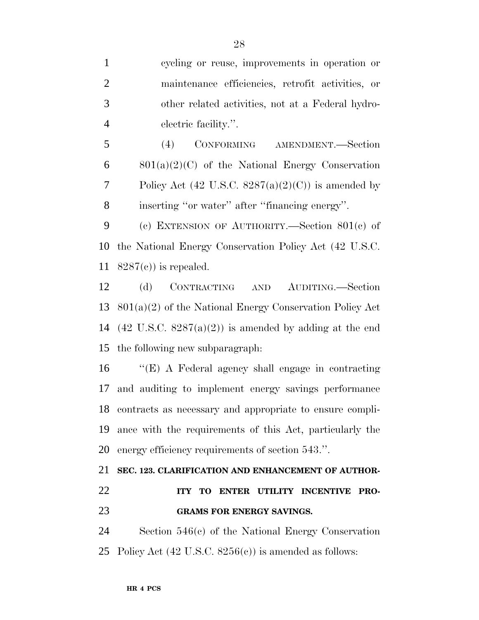cycling or reuse, improvements in operation or maintenance efficiencies, retrofit activities, or other related activities, not at a Federal hydro-electric facility.''.

 (4) CONFORMING AMENDMENT.—Section  $6 \qquad 801(a)(2)(C)$  of the National Energy Conservation 7 Policy Act  $(42 \text{ U.S.C. } 8287(a)(2)(C))$  is amended by inserting ''or water'' after ''financing energy''.

 (c) EXTENSION OF AUTHORITY.—Section 801(c) of the National Energy Conservation Policy Act (42 U.S.C. 11  $8287(e)$  is repealed.

 (d) CONTRACTING AND AUDITING.—Section 801(a)(2) of the National Energy Conservation Policy Act 14 (42 U.S.C.  $8287(a)(2)$ ) is amended by adding at the end the following new subparagraph:

 ''(E) A Federal agency shall engage in contracting and auditing to implement energy savings performance contracts as necessary and appropriate to ensure compli- ance with the requirements of this Act, particularly the energy efficiency requirements of section 543.''.

## **SEC. 123. CLARIFICATION AND ENHANCEMENT OF AUTHOR- ITY TO ENTER UTILITY INCENTIVE PRO-GRAMS FOR ENERGY SAVINGS.**

 Section 546(c) of the National Energy Conservation Policy Act (42 U.S.C. 8256(c)) is amended as follows: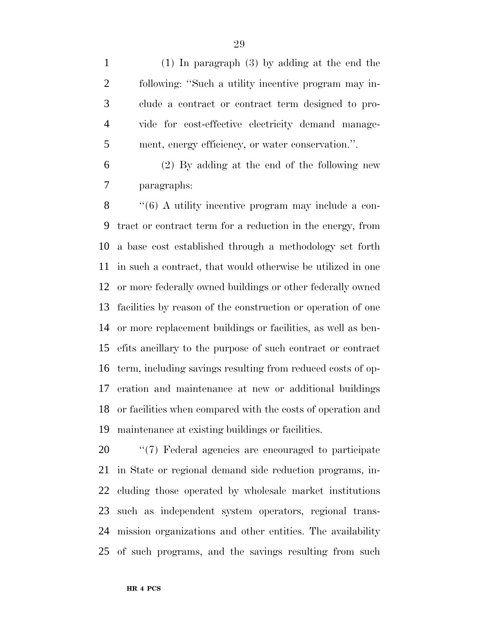(1) In paragraph (3) by adding at the end the following: ''Such a utility incentive program may in- clude a contract or contract term designed to pro- vide for cost-effective electricity demand manage-ment, energy efficiency, or water conservation.''.

 (2) By adding at the end of the following new paragraphs:

8 "(6) A utility incentive program may include a con- tract or contract term for a reduction in the energy, from a base cost established through a methodology set forth in such a contract, that would otherwise be utilized in one or more federally owned buildings or other federally owned facilities by reason of the construction or operation of one or more replacement buildings or facilities, as well as ben- efits ancillary to the purpose of such contract or contract term, including savings resulting from reduced costs of op- eration and maintenance at new or additional buildings or facilities when compared with the costs of operation and maintenance at existing buildings or facilities.

 ''(7) Federal agencies are encouraged to participate in State or regional demand side reduction programs, in- cluding those operated by wholesale market institutions such as independent system operators, regional trans- mission organizations and other entities. The availability of such programs, and the savings resulting from such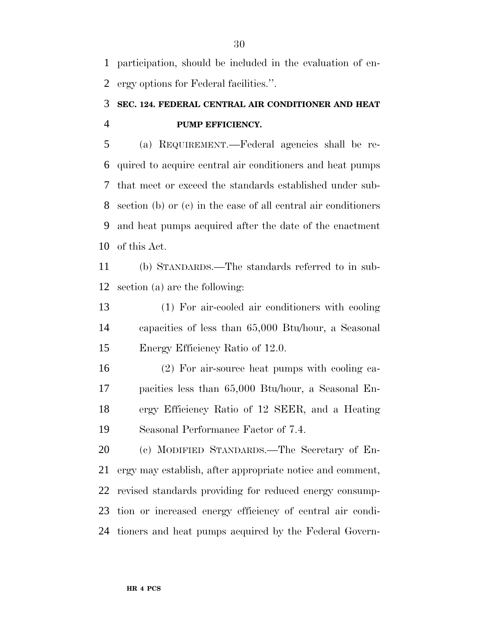participation, should be included in the evaluation of en-ergy options for Federal facilities.''.

## **SEC. 124. FEDERAL CENTRAL AIR CONDITIONER AND HEAT PUMP EFFICIENCY.**

 (a) REQUIREMENT.—Federal agencies shall be re- quired to acquire central air conditioners and heat pumps that meet or exceed the standards established under sub- section (b) or (c) in the case of all central air conditioners and heat pumps acquired after the date of the enactment of this Act.

 (b) STANDARDS.—The standards referred to in sub-section (a) are the following:

 (1) For air-cooled air conditioners with cooling capacities of less than 65,000 Btu/hour, a Seasonal Energy Efficiency Ratio of 12.0.

 (2) For air-source heat pumps with cooling ca- pacities less than 65,000 Btu/hour, a Seasonal En- ergy Efficiency Ratio of 12 SEER, and a Heating Seasonal Performance Factor of 7.4.

 (c) MODIFIED STANDARDS.—The Secretary of En- ergy may establish, after appropriate notice and comment, revised standards providing for reduced energy consump- tion or increased energy efficiency of central air condi-tioners and heat pumps acquired by the Federal Govern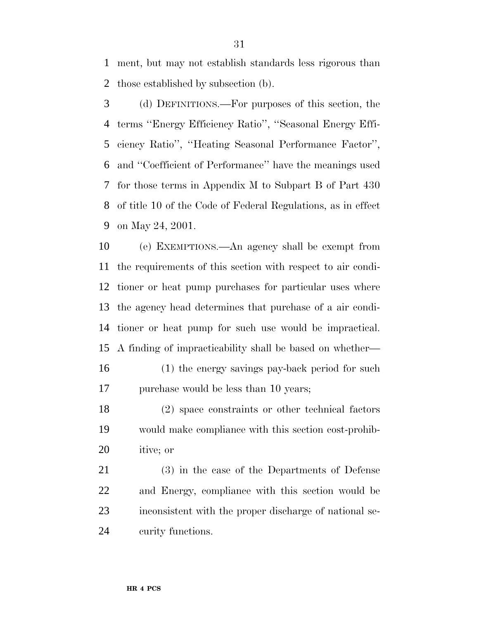ment, but may not establish standards less rigorous than those established by subsection (b).

 (d) DEFINITIONS.—For purposes of this section, the terms ''Energy Efficiency Ratio'', ''Seasonal Energy Effi- ciency Ratio'', ''Heating Seasonal Performance Factor'', and ''Coefficient of Performance'' have the meanings used for those terms in Appendix M to Subpart B of Part 430 of title 10 of the Code of Federal Regulations, as in effect on May 24, 2001.

 (e) EXEMPTIONS.—An agency shall be exempt from the requirements of this section with respect to air condi- tioner or heat pump purchases for particular uses where the agency head determines that purchase of a air condi- tioner or heat pump for such use would be impractical. A finding of impracticability shall be based on whether—

 (1) the energy savings pay-back period for such 17 purchase would be less than 10 years;

 (2) space constraints or other technical factors would make compliance with this section cost-prohib-itive; or

 (3) in the case of the Departments of Defense and Energy, compliance with this section would be inconsistent with the proper discharge of national se-curity functions.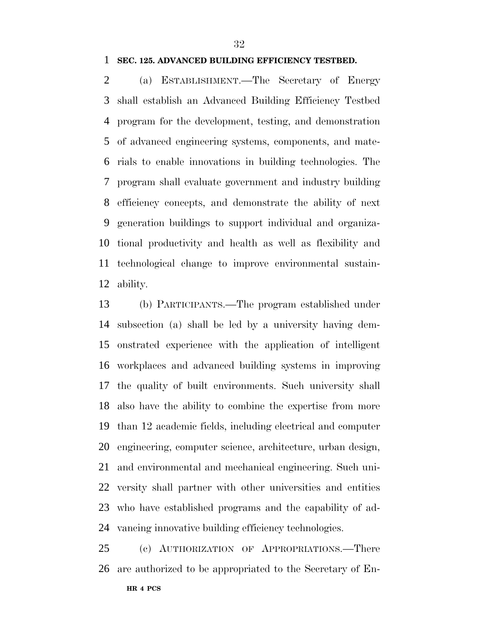## **SEC. 125. ADVANCED BUILDING EFFICIENCY TESTBED.**

 (a) ESTABLISHMENT.—The Secretary of Energy shall establish an Advanced Building Efficiency Testbed program for the development, testing, and demonstration of advanced engineering systems, components, and mate- rials to enable innovations in building technologies. The program shall evaluate government and industry building efficiency concepts, and demonstrate the ability of next generation buildings to support individual and organiza- tional productivity and health as well as flexibility and technological change to improve environmental sustain-ability.

 (b) PARTICIPANTS.—The program established under subsection (a) shall be led by a university having dem- onstrated experience with the application of intelligent workplaces and advanced building systems in improving the quality of built environments. Such university shall also have the ability to combine the expertise from more than 12 academic fields, including electrical and computer engineering, computer science, architecture, urban design, and environmental and mechanical engineering. Such uni- versity shall partner with other universities and entities who have established programs and the capability of ad-vancing innovative building efficiency technologies.

 (c) AUTHORIZATION OF APPROPRIATIONS.—There are authorized to be appropriated to the Secretary of En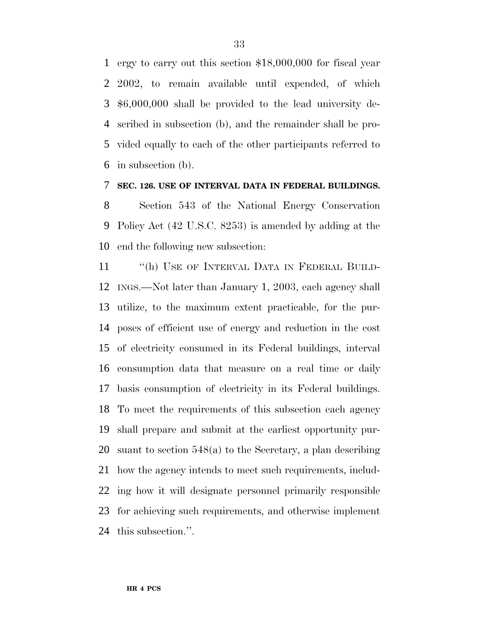ergy to carry out this section \$18,000,000 for fiscal year 2002, to remain available until expended, of which \$6,000,000 shall be provided to the lead university de- scribed in subsection (b), and the remainder shall be pro- vided equally to each of the other participants referred to in subsection (b).

## **SEC. 126. USE OF INTERVAL DATA IN FEDERAL BUILDINGS.**

 Section 543 of the National Energy Conservation Policy Act (42 U.S.C. 8253) is amended by adding at the end the following new subsection:

11 "(h) USE OF INTERVAL DATA IN FEDERAL BUILD- INGS.—Not later than January 1, 2003, each agency shall utilize, to the maximum extent practicable, for the pur- poses of efficient use of energy and reduction in the cost of electricity consumed in its Federal buildings, interval consumption data that measure on a real time or daily basis consumption of electricity in its Federal buildings. To meet the requirements of this subsection each agency shall prepare and submit at the earliest opportunity pur- suant to section 548(a) to the Secretary, a plan describing how the agency intends to meet such requirements, includ- ing how it will designate personnel primarily responsible for achieving such requirements, and otherwise implement this subsection.''.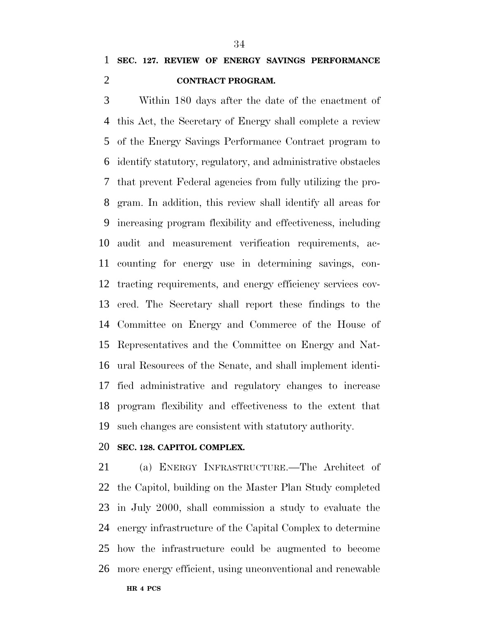## **SEC. 127. REVIEW OF ENERGY SAVINGS PERFORMANCE CONTRACT PROGRAM.**

 Within 180 days after the date of the enactment of this Act, the Secretary of Energy shall complete a review of the Energy Savings Performance Contract program to identify statutory, regulatory, and administrative obstacles that prevent Federal agencies from fully utilizing the pro- gram. In addition, this review shall identify all areas for increasing program flexibility and effectiveness, including audit and measurement verification requirements, ac- counting for energy use in determining savings, con- tracting requirements, and energy efficiency services cov- ered. The Secretary shall report these findings to the Committee on Energy and Commerce of the House of Representatives and the Committee on Energy and Nat- ural Resources of the Senate, and shall implement identi- fied administrative and regulatory changes to increase program flexibility and effectiveness to the extent that such changes are consistent with statutory authority.

### **SEC. 128. CAPITOL COMPLEX.**

 (a) ENERGY INFRASTRUCTURE.—The Architect of the Capitol, building on the Master Plan Study completed in July 2000, shall commission a study to evaluate the energy infrastructure of the Capital Complex to determine how the infrastructure could be augmented to become more energy efficient, using unconventional and renewable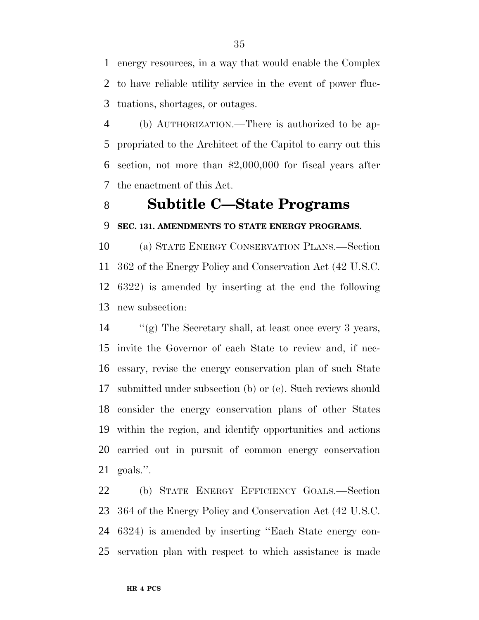energy resources, in a way that would enable the Complex to have reliable utility service in the event of power fluc-tuations, shortages, or outages.

 (b) AUTHORIZATION.—There is authorized to be ap- propriated to the Architect of the Capitol to carry out this section, not more than \$2,000,000 for fiscal years after the enactment of this Act.

## **Subtitle C—State Programs**

## **SEC. 131. AMENDMENTS TO STATE ENERGY PROGRAMS.**

 (a) STATE ENERGY CONSERVATION PLANS.—Section 362 of the Energy Policy and Conservation Act (42 U.S.C. 6322) is amended by inserting at the end the following new subsection:

 ''(g) The Secretary shall, at least once every 3 years, invite the Governor of each State to review and, if nec- essary, revise the energy conservation plan of such State submitted under subsection (b) or (e). Such reviews should consider the energy conservation plans of other States within the region, and identify opportunities and actions carried out in pursuit of common energy conservation goals.''.

 (b) STATE ENERGY EFFICIENCY GOALS.—Section 364 of the Energy Policy and Conservation Act (42 U.S.C. 6324) is amended by inserting ''Each State energy con-servation plan with respect to which assistance is made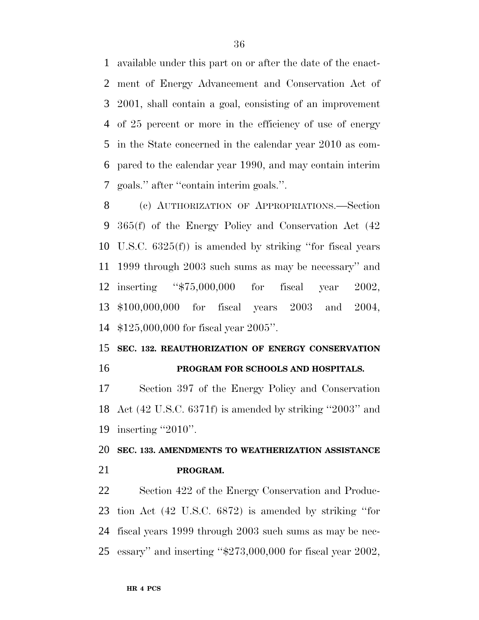available under this part on or after the date of the enact- ment of Energy Advancement and Conservation Act of 2001, shall contain a goal, consisting of an improvement of 25 percent or more in the efficiency of use of energy in the State concerned in the calendar year 2010 as com- pared to the calendar year 1990, and may contain interim goals.'' after ''contain interim goals.''.

 (c) AUTHORIZATION OF APPROPRIATIONS.—Section 365(f) of the Energy Policy and Conservation Act (42 U.S.C. 6325(f)) is amended by striking ''for fiscal years 1999 through 2003 such sums as may be necessary'' and inserting ''\$75,000,000 for fiscal year 2002, \$100,000,000 for fiscal years 2003 and 2004, \$125,000,000 for fiscal year 2005''.

## **SEC. 132. REAUTHORIZATION OF ENERGY CONSERVATION PROGRAM FOR SCHOOLS AND HOSPITALS.**

 Section 397 of the Energy Policy and Conservation Act (42 U.S.C. 6371f) is amended by striking ''2003'' and inserting ''2010''.

## **SEC. 133. AMENDMENTS TO WEATHERIZATION ASSISTANCE PROGRAM.**

 Section 422 of the Energy Conservation and Produc- tion Act (42 U.S.C. 6872) is amended by striking ''for fiscal years 1999 through 2003 such sums as may be nec-essary'' and inserting ''\$273,000,000 for fiscal year 2002,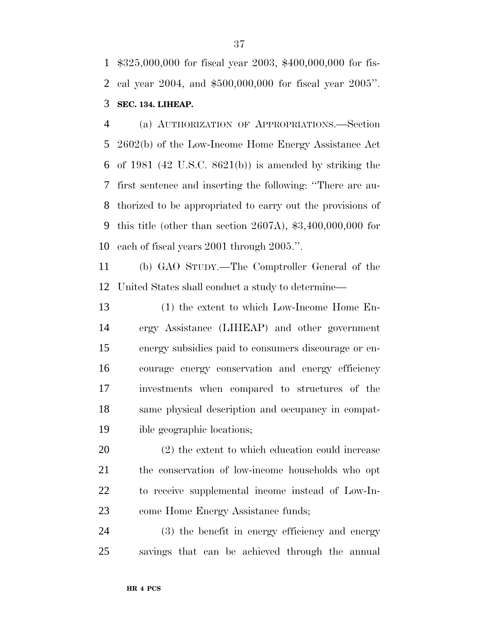\$325,000,000 for fiscal year 2003, \$400,000,000 for fis- cal year 2004, and \$500,000,000 for fiscal year 2005''. **SEC. 134. LIHEAP.**

 (a) AUTHORIZATION OF APPROPRIATIONS.—Section 2602(b) of the Low-Income Home Energy Assistance Act of 1981 (42 U.S.C. 8621(b)) is amended by striking the first sentence and inserting the following: ''There are au- thorized to be appropriated to carry out the provisions of this title (other than section 2607A), \$3,400,000,000 for each of fiscal years 2001 through 2005.''.

 (b) GAO STUDY.—The Comptroller General of the United States shall conduct a study to determine—

 (1) the extent to which Low-Income Home En- ergy Assistance (LIHEAP) and other government energy subsidies paid to consumers discourage or en- courage energy conservation and energy efficiency investments when compared to structures of the same physical description and occupancy in compat-ible geographic locations;

 (2) the extent to which education could increase the conservation of low-income households who opt to receive supplemental income instead of Low-In-come Home Energy Assistance funds;

 (3) the benefit in energy efficiency and energy savings that can be achieved through the annual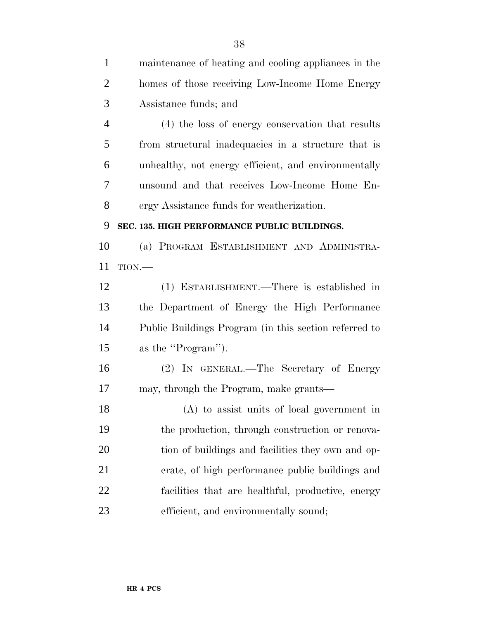| $\mathbf{1}$   | maintenance of heating and cooling appliances in the  |
|----------------|-------------------------------------------------------|
| $\overline{2}$ | homes of those receiving Low-Income Home Energy       |
| 3              | Assistance funds; and                                 |
| $\overline{4}$ | (4) the loss of energy conservation that results      |
| 5              | from structural inadequacies in a structure that is   |
| 6              | unhealthy, not energy efficient, and environmentally  |
| 7              | unsound and that receives Low-Income Home En-         |
| 8              | ergy Assistance funds for weatherization.             |
| 9              | SEC. 135. HIGH PERFORMANCE PUBLIC BUILDINGS.          |
| 10             | (a) PROGRAM ESTABLISHMENT AND ADMINISTRA-             |
| 11             | TION.                                                 |
| 12             | (1) ESTABLISHMENT.—There is established in            |
| 13             | the Department of Energy the High Performance         |
| 14             | Public Buildings Program (in this section referred to |
| 15             | as the "Program").                                    |
| 16             | (2) IN GENERAL.—The Secretary of Energy               |
| 17             | may, through the Program, make grants—                |
| 18             | (A) to assist units of local government in            |
| 19             | the production, through construction or renova-       |
| 20             | tion of buildings and facilities they own and op-     |
| 21             | erate, of high performance public buildings and       |
| 22             | facilities that are healthful, productive, energy     |
| 23             | efficient, and environmentally sound;                 |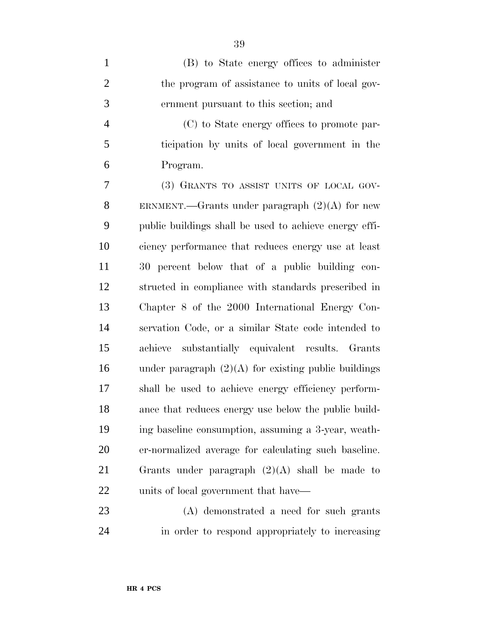| $\mathbf{1}$   | (B) to State energy offices to administer              |
|----------------|--------------------------------------------------------|
| $\overline{2}$ | the program of assistance to units of local gov-       |
| 3              | ernment pursuant to this section; and                  |
| $\overline{4}$ | (C) to State energy offices to promote par-            |
| 5              | ticipation by units of local government in the         |
| 6              | Program.                                               |
| 7              | (3) GRANTS TO ASSIST UNITS OF LOCAL GOV-               |
| 8              | ERNMENT.—Grants under paragraph $(2)(A)$ for new       |
| 9              | public buildings shall be used to achieve energy effi- |
| 10             | ciency performance that reduces energy use at least    |
| 11             | 30 percent below that of a public building con-        |
| 12             | structed in compliance with standards prescribed in    |
| 13             | Chapter 8 of the 2000 International Energy Con-        |
| 14             | servation Code, or a similar State code intended to    |
| 15             | achieve substantially equivalent results. Grants       |
| 16             | under paragraph $(2)(A)$ for existing public buildings |
| 17             | shall be used to achieve energy efficiency perform-    |
| 18             | ance that reduces energy use below the public build-   |
| 19             | ing baseline consumption, assuming a 3-year, weath-    |
| 20             | er-normalized average for calculating such baseline.   |
| 21             | Grants under paragraph $(2)(A)$ shall be made to       |
| 22             | units of local government that have—                   |
|                |                                                        |

 (A) demonstrated a need for such grants in order to respond appropriately to increasing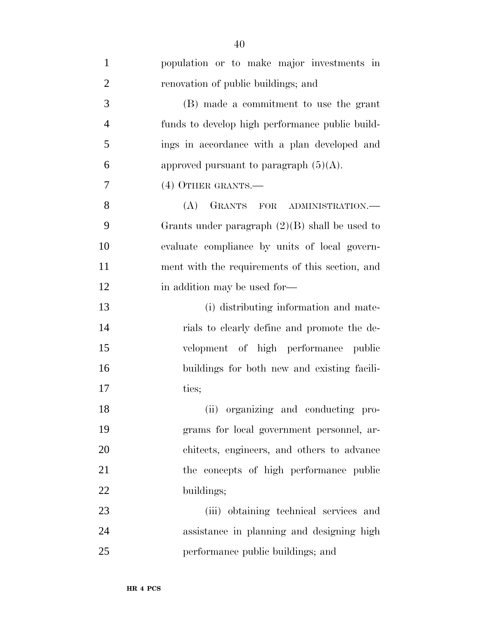| $\mathbf{1}$   | population or to make major investments in       |
|----------------|--------------------------------------------------|
| $\overline{2}$ | renovation of public buildings; and              |
| 3              | (B) made a commitment to use the grant           |
| $\overline{4}$ | funds to develop high performance public build-  |
| 5              | ings in accordance with a plan developed and     |
| 6              | approved pursuant to paragraph $(5)(A)$ .        |
| 7              | (4) OTHER GRANTS.—                               |
| 8              | GRANTS FOR ADMINISTRATION.<br>(A)                |
| 9              | Grants under paragraph $(2)(B)$ shall be used to |
| 10             | evaluate compliance by units of local govern-    |
| 11             | ment with the requirements of this section, and  |
| 12             | in addition may be used for—                     |
| 13             | (i) distributing information and mate-           |
| 14             | rials to clearly define and promote the de-      |
| 15             | velopment of high performance public             |
| 16             | buildings for both new and existing facili-      |
| 17             | ties;                                            |
| 18             | (ii) organizing and conducting pro-              |
| 19             | grams for local government personnel, ar-        |
| 20             | chitects, engineers, and others to advance       |
| 21             | the concepts of high performance public          |
| 22             | buildings;                                       |
| 23             | (iii) obtaining technical services and           |
| 24             | assistance in planning and designing high        |
| 25             | performance public buildings; and                |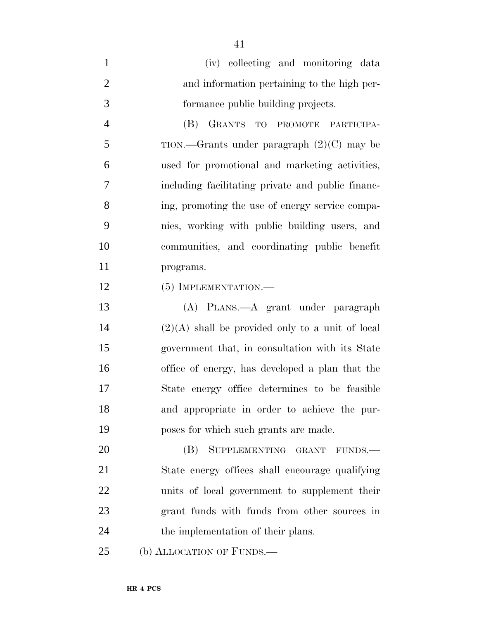| (iv) collecting and monitoring data         |
|---------------------------------------------|
| and information pertaining to the high per- |
| formance public building projects.          |

 (B) GRANTS TO PROMOTE PARTICIPA-5 TION.—Grants under paragraph  $(2)(C)$  may be used for promotional and marketing activities, including facilitating private and public financ- ing, promoting the use of energy service compa- nies, working with public building users, and communities, and coordinating public benefit programs.

12 (5) IMPLEMENTATION.—

 (A) PLANS.—A grant under paragraph (2)(A) shall be provided only to a unit of local government that, in consultation with its State office of energy, has developed a plan that the State energy office determines to be feasible and appropriate in order to achieve the pur-poses for which such grants are made.

20 (B) SUPPLEMENTING GRANT FUNDS.— State energy offices shall encourage qualifying units of local government to supplement their grant funds with funds from other sources in 24 the implementation of their plans.

(b) ALLOCATION OF FUNDS.—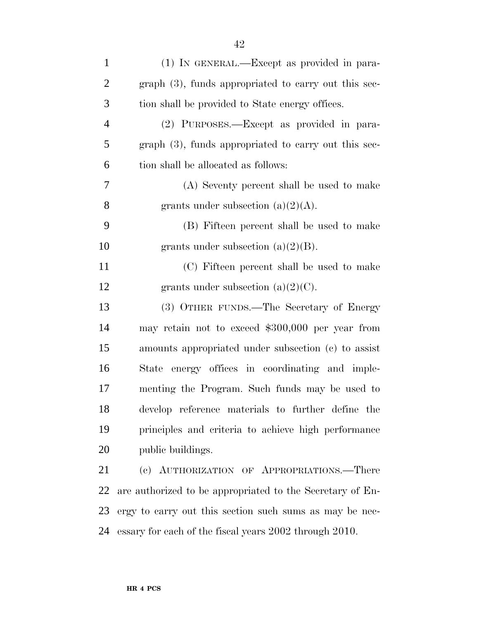| $\mathbf{1}$   | (1) IN GENERAL.—Except as provided in para-               |
|----------------|-----------------------------------------------------------|
| $\overline{c}$ | graph (3), funds appropriated to carry out this sec-      |
| 3              | tion shall be provided to State energy offices.           |
| $\overline{4}$ | (2) PURPOSES.—Except as provided in para-                 |
| 5              | $graph(3)$ , funds appropriated to carry out this sec-    |
| 6              | tion shall be allocated as follows:                       |
| 7              | (A) Seventy percent shall be used to make                 |
| 8              | grants under subsection $(a)(2)(A)$ .                     |
| 9              | (B) Fifteen percent shall be used to make                 |
| 10             | grants under subsection $(a)(2)(B)$ .                     |
| 11             | (C) Fifteen percent shall be used to make                 |
| 12             | grants under subsection $(a)(2)(C)$ .                     |
| 13             | (3) OTHER FUNDS.—The Secretary of Energy                  |
| 14             | may retain not to exceed \$300,000 per year from          |
| 15             | amounts appropriated under subsection (c) to assist       |
| 16             | State energy offices in coordinating and imple-           |
| 17             | menting the Program. Such funds may be used to            |
| 18             | develop reference materials to further define the         |
| 19             | principles and criteria to achieve high performance       |
| 20             | public buildings.                                         |
| 21             | (c) AUTHORIZATION OF APPROPRIATIONS.-There                |
| 22             | are authorized to be appropriated to the Secretary of En- |
| 23             | ergy to carry out this section such sums as may be nec-   |
| 24             | essary for each of the fiscal years 2002 through 2010.    |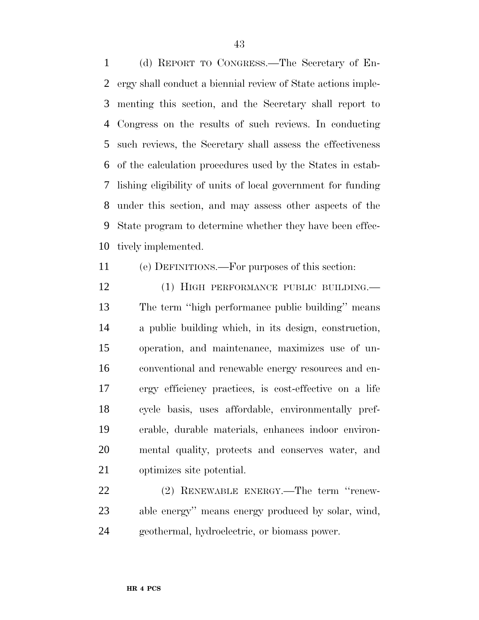(d) REPORT TO CONGRESS.—The Secretary of En- ergy shall conduct a biennial review of State actions imple- menting this section, and the Secretary shall report to Congress on the results of such reviews. In conducting such reviews, the Secretary shall assess the effectiveness of the calculation procedures used by the States in estab- lishing eligibility of units of local government for funding under this section, and may assess other aspects of the State program to determine whether they have been effec-tively implemented.

(e) DEFINITIONS.—For purposes of this section:

12 (1) HIGH PERFORMANCE PUBLIC BUILDING. The term ''high performance public building'' means a public building which, in its design, construction, operation, and maintenance, maximizes use of un- conventional and renewable energy resources and en- ergy efficiency practices, is cost-effective on a life cycle basis, uses affordable, environmentally pref- erable, durable materials, enhances indoor environ- mental quality, protects and conserves water, and optimizes site potential.

 (2) RENEWABLE ENERGY.—The term ''renew- able energy'' means energy produced by solar, wind, geothermal, hydroelectric, or biomass power.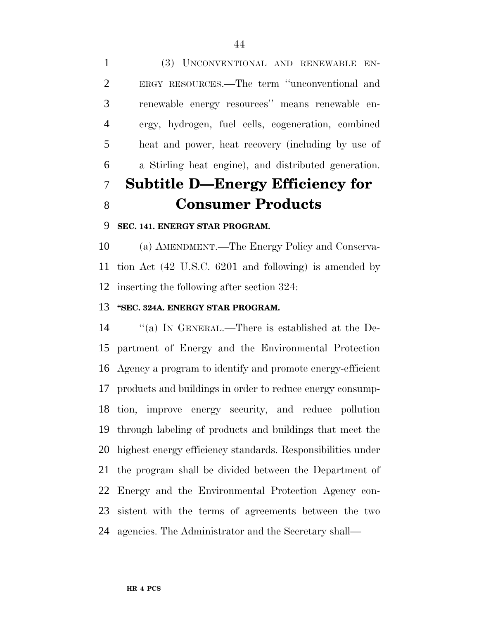(3) UNCONVENTIONAL AND RENEWABLE EN- ERGY RESOURCES.—The term ''unconventional and renewable energy resources'' means renewable en- ergy, hydrogen, fuel cells, cogeneration, combined heat and power, heat recovery (including by use of a Stirling heat engine), and distributed generation. **Subtitle D—Energy Efficiency for**

# **Consumer Products**

## **SEC. 141. ENERGY STAR PROGRAM.**

 (a) AMENDMENT.—The Energy Policy and Conserva- tion Act (42 U.S.C. 6201 and following) is amended by inserting the following after section 324:

### **''SEC. 324A. ENERGY STAR PROGRAM.**

 ''(a) IN GENERAL.—There is established at the De- partment of Energy and the Environmental Protection Agency a program to identify and promote energy-efficient products and buildings in order to reduce energy consump- tion, improve energy security, and reduce pollution through labeling of products and buildings that meet the highest energy efficiency standards. Responsibilities under the program shall be divided between the Department of Energy and the Environmental Protection Agency con- sistent with the terms of agreements between the two agencies. The Administrator and the Secretary shall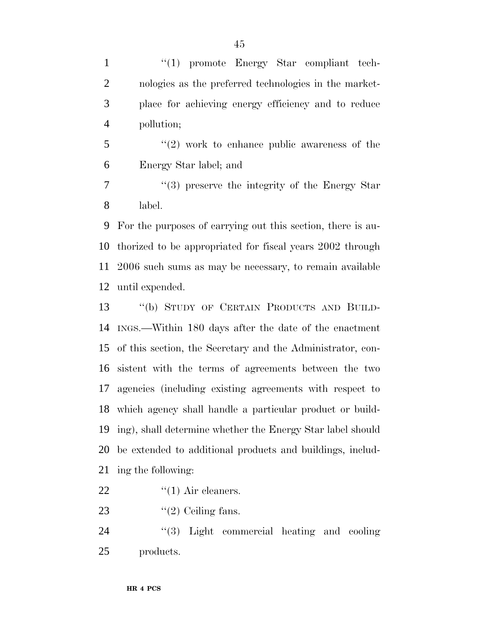1 ''(1) promote Energy Star compliant tech- nologies as the preferred technologies in the market- place for achieving energy efficiency and to reduce pollution;

 $\mathfrak{S}$  ''(2) work to enhance public awareness of the Energy Star label; and

 ''(3) preserve the integrity of the Energy Star label.

 For the purposes of carrying out this section, there is au- thorized to be appropriated for fiscal years 2002 through 2006 such sums as may be necessary, to remain available until expended.

 ''(b) STUDY OF CERTAIN PRODUCTS AND BUILD- INGS.—Within 180 days after the date of the enactment of this section, the Secretary and the Administrator, con- sistent with the terms of agreements between the two agencies (including existing agreements with respect to which agency shall handle a particular product or build- ing), shall determine whether the Energy Star label should be extended to additional products and buildings, includ-ing the following:

- 22  $\qquad$   $\qquad$   $\qquad$   $\qquad$   $\qquad$   $\qquad$   $\qquad$   $\qquad$   $\qquad$   $\qquad$   $\qquad$   $\qquad$   $\qquad$   $\qquad$   $\qquad$   $\qquad$   $\qquad$   $\qquad$   $\qquad$   $\qquad$   $\qquad$   $\qquad$   $\qquad$   $\qquad$   $\qquad$   $\qquad$   $\qquad$   $\qquad$   $\qquad$   $\qquad$   $\qquad$   $\qquad$   $\qquad$   $\qquad$   $\qquad$   $\qquad$   $\$
- 23  $\frac{1}{2}$  Ceiling fans.

24 ''(3) Light commercial heating and cooling products.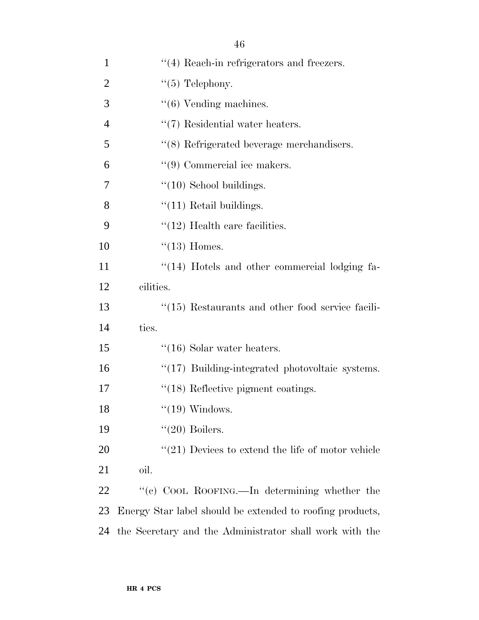| $\mathbf{1}$   | $\cdot$ (4) Reach-in refrigerators and freezers.          |  |
|----------------|-----------------------------------------------------------|--|
| $\overline{2}$ | " $(5)$ Telephony.                                        |  |
| 3              | $``(6)$ Vending machines.                                 |  |
| $\overline{4}$ | $\lq(7)$ Residential water heaters.                       |  |
| 5              | $\cdot$ (8) Refrigerated beverage merchandisers.          |  |
| 6              | $\lq(9)$ Commercial ice makers.                           |  |
| 7              | $"(10)$ School buildings.                                 |  |
| 8              | $"(11)$ Retail buildings.                                 |  |
| 9              | $\lq(12)$ Health care facilities.                         |  |
| 10             | $\lq(13)$ Homes.                                          |  |
| 11             | $\lq(14)$ Hotels and other commercial lodging fa-         |  |
| 12             | cilities.                                                 |  |
| 13             | $\cdot$ (15) Restaurants and other food service facili-   |  |
| 14             | ties.                                                     |  |
| 15             | $\cdot$ (16) Solar water heaters.                         |  |
| 16             | $\lq(17)$ Building-integrated photovoltaic systems.       |  |
| 17             | $\lq(18)$ Reflective pigment coatings.                    |  |
| 18             | $"(19)$ Windows.                                          |  |
| 19             | $"(20)$ Boilers.                                          |  |
| 20             | $\lq(21)$ Devices to extend the life of motor vehicle     |  |
| 21             | oil.                                                      |  |
| <u>22</u>      | "(c) COOL ROOFING.—In determining whether the             |  |
| 23             | Energy Star label should be extended to roofing products, |  |
| 24             | the Secretary and the Administrator shall work with the   |  |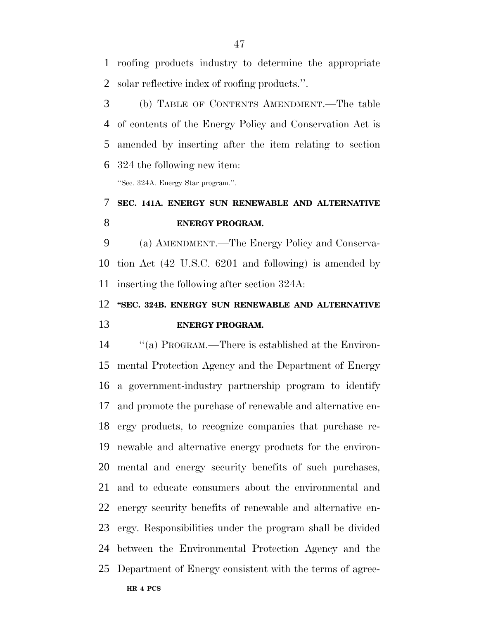roofing products industry to determine the appropriate solar reflective index of roofing products.''.

 (b) TABLE OF CONTENTS AMENDMENT.—The table of contents of the Energy Policy and Conservation Act is amended by inserting after the item relating to section 324 the following new item:

''Sec. 324A. Energy Star program.''.

# **SEC. 141A. ENERGY SUN RENEWABLE AND ALTERNATIVE ENERGY PROGRAM.**

 (a) AMENDMENT.—The Energy Policy and Conserva- tion Act (42 U.S.C. 6201 and following) is amended by inserting the following after section 324A:

# **''SEC. 324B. ENERGY SUN RENEWABLE AND ALTERNATIVE ENERGY PROGRAM.**

 ''(a) PROGRAM.—There is established at the Environ- mental Protection Agency and the Department of Energy a government-industry partnership program to identify and promote the purchase of renewable and alternative en- ergy products, to recognize companies that purchase re- newable and alternative energy products for the environ- mental and energy security benefits of such purchases, and to educate consumers about the environmental and energy security benefits of renewable and alternative en- ergy. Responsibilities under the program shall be divided between the Environmental Protection Agency and the Department of Energy consistent with the terms of agree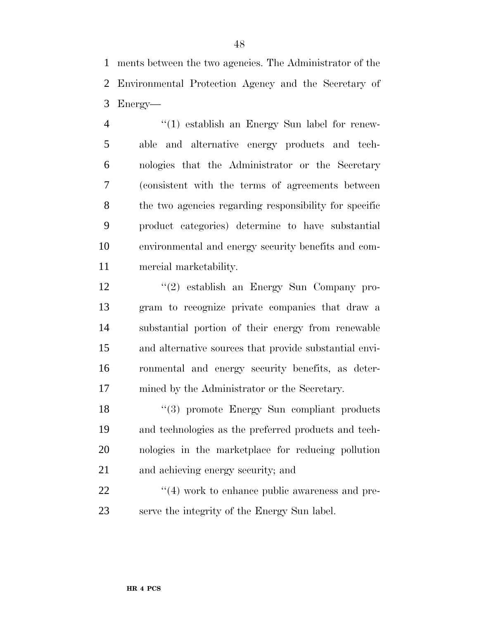ments between the two agencies. The Administrator of the Environmental Protection Agency and the Secretary of Energy—

 ''(1) establish an Energy Sun label for renew- able and alternative energy products and tech- nologies that the Administrator or the Secretary (consistent with the terms of agreements between the two agencies regarding responsibility for specific product categories) determine to have substantial environmental and energy security benefits and com-mercial marketability.

 ''(2) establish an Energy Sun Company pro- gram to recognize private companies that draw a substantial portion of their energy from renewable and alternative sources that provide substantial envi- ronmental and energy security benefits, as deter-mined by the Administrator or the Secretary.

18 ''(3) promote Energy Sun compliant products and technologies as the preferred products and tech- nologies in the marketplace for reducing pollution and achieving energy security; and

22  $\frac{4}{4}$  work to enhance public awareness and pre-serve the integrity of the Energy Sun label.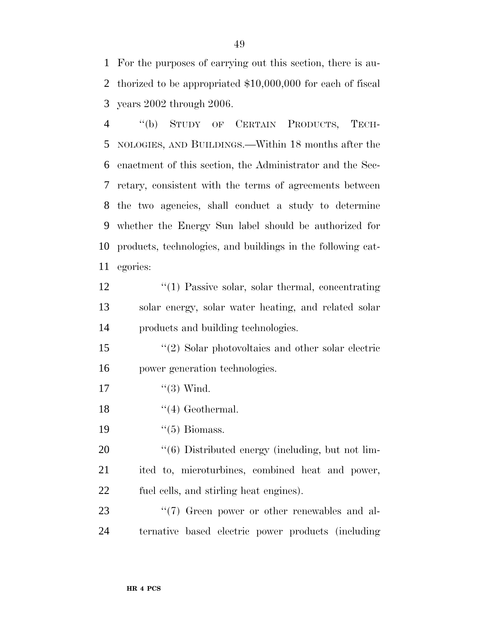For the purposes of carrying out this section, there is au- thorized to be appropriated \$10,000,000 for each of fiscal years 2002 through 2006.

 ''(b) STUDY OF CERTAIN PRODUCTS, TECH- NOLOGIES, AND BUILDINGS.—Within 18 months after the enactment of this section, the Administrator and the Sec- retary, consistent with the terms of agreements between the two agencies, shall conduct a study to determine whether the Energy Sun label should be authorized for products, technologies, and buildings in the following cat-egories:

12 ''(1) Passive solar, solar thermal, concentrating solar energy, solar water heating, and related solar products and building technologies.

 ''(2) Solar photovoltaics and other solar electric power generation technologies.

- 17  $(3)$  Wind.
- 18 ''(4) Geothermal.
- 19  $((5)$  Biomass.

20  $\frac{1}{6}$  Distributed energy (including, but not lim- ited to, microturbines, combined heat and power, fuel cells, and stirling heat engines).

23  $\frac{1}{2}$  (7) Green power or other renewables and al-ternative based electric power products (including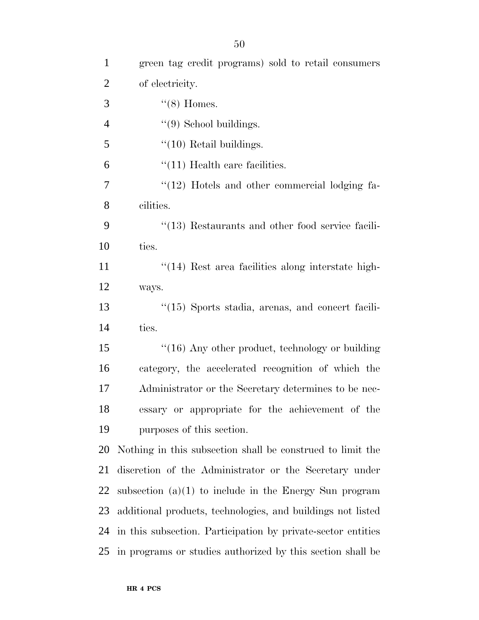| $\mathbf{1}$   | green tag credit programs) sold to retail consumers          |
|----------------|--------------------------------------------------------------|
| $\overline{2}$ | of electricity.                                              |
| 3              | $\lq(8)$ Homes.                                              |
| $\overline{4}$ | $\lq(9)$ School buildings.                                   |
| $\mathfrak{S}$ | $\lq(10)$ Retail buildings.                                  |
| 6              | $\lq(11)$ Health care facilities.                            |
| 7              | "(12) Hotels and other commercial lodging fa-                |
| 8              | cilities.                                                    |
| 9              | $\cdot$ (13) Restaurants and other food service facili-      |
| 10             | ties.                                                        |
| 11             | $\cdot\cdot(14)$ Rest area facilities along interstate high- |
| 12             | ways.                                                        |
| 13             | "(15) Sports stadia, arenas, and concert facili-             |
| 14             | ties.                                                        |
| 15             | $\cdot$ (16) Any other product, technology or building       |
| 16             | category, the accelerated recognition of which the           |
| 17             | Administrator or the Secretary determines to be nec-         |
| 18             | essary or appropriate for the achievement of the             |
| 19             | purposes of this section.                                    |
| 20             | Nothing in this subsection shall be construed to limit the   |
| 21             | discretion of the Administrator or the Secretary under       |
| 22             | subsection $(a)(1)$ to include in the Energy Sun program     |
| 23             | additional products, technologies, and buildings not listed  |
| 24             | in this subsection. Participation by private-sector entities |
| 25             | in programs or studies authorized by this section shall be   |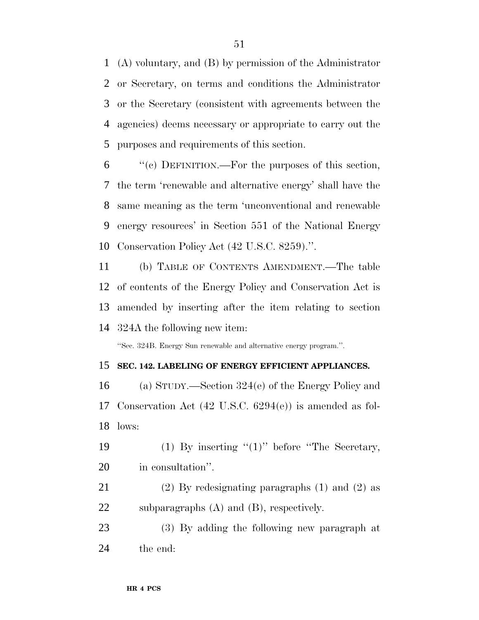(A) voluntary, and (B) by permission of the Administrator or Secretary, on terms and conditions the Administrator or the Secretary (consistent with agreements between the agencies) deems necessary or appropriate to carry out the purposes and requirements of this section.

 "'(c) DEFINITION.—For the purposes of this section, the term 'renewable and alternative energy' shall have the same meaning as the term 'unconventional and renewable energy resources' in Section 551 of the National Energy Conservation Policy Act (42 U.S.C. 8259).''.

 (b) TABLE OF CONTENTS AMENDMENT.—The table of contents of the Energy Policy and Conservation Act is amended by inserting after the item relating to section 324A the following new item:

''Sec. 324B. Energy Sun renewable and alternative energy program.''.

#### **SEC. 142. LABELING OF ENERGY EFFICIENT APPLIANCES.**

 (a) STUDY.—Section 324(e) of the Energy Policy and Conservation Act (42 U.S.C. 6294(e)) is amended as fol-lows:

19 (1) By inserting "(1)" before "The Secretary, in consultation''.

 (2) By redesignating paragraphs (1) and (2) as subparagraphs (A) and (B), respectively.

 (3) By adding the following new paragraph at the end: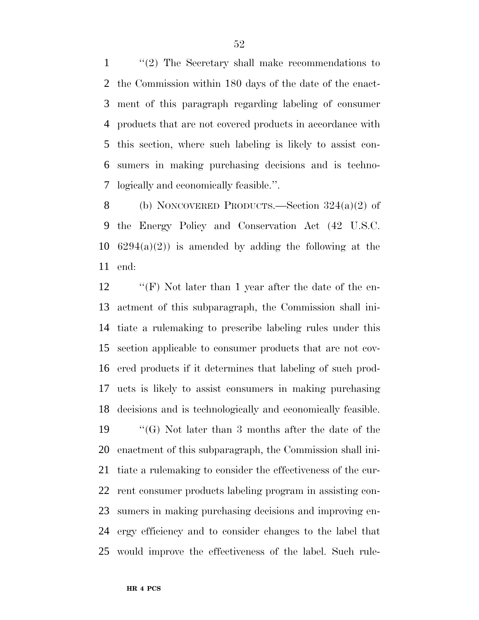''(2) The Secretary shall make recommendations to the Commission within 180 days of the date of the enact- ment of this paragraph regarding labeling of consumer products that are not covered products in accordance with this section, where such labeling is likely to assist con- sumers in making purchasing decisions and is techno-logically and economically feasible.''.

 (b) NONCOVERED PRODUCTS.—Section 324(a)(2) of the Energy Policy and Conservation Act (42 U.S.C.  $6294(a)(2)$  is amended by adding the following at the end:

 ''(F) Not later than 1 year after the date of the en- actment of this subparagraph, the Commission shall ini- tiate a rulemaking to prescribe labeling rules under this section applicable to consumer products that are not cov- ered products if it determines that labeling of such prod- ucts is likely to assist consumers in making purchasing decisions and is technologically and economically feasible.

 ''(G) Not later than 3 months after the date of the enactment of this subparagraph, the Commission shall ini- tiate a rulemaking to consider the effectiveness of the cur- rent consumer products labeling program in assisting con- sumers in making purchasing decisions and improving en- ergy efficiency and to consider changes to the label that would improve the effectiveness of the label. Such rule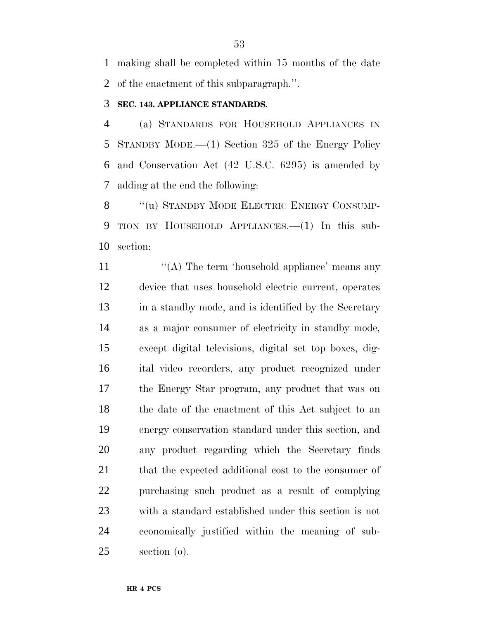making shall be completed within 15 months of the date of the enactment of this subparagraph.''.

#### **SEC. 143. APPLIANCE STANDARDS.**

 (a) STANDARDS FOR HOUSEHOLD APPLIANCES IN STANDBY MODE.—(1) Section 325 of the Energy Policy and Conservation Act (42 U.S.C. 6295) is amended by adding at the end the following:

8 "(u) STANDBY MODE ELECTRIC ENERGY CONSUMP- TION BY HOUSEHOLD APPLIANCES.—(1) In this sub-section:

11 ''(A) The term 'household appliance' means any device that uses household electric current, operates in a standby mode, and is identified by the Secretary as a major consumer of electricity in standby mode, except digital televisions, digital set top boxes, dig- ital video recorders, any product recognized under the Energy Star program, any product that was on the date of the enactment of this Act subject to an energy conservation standard under this section, and any product regarding which the Secretary finds 21 that the expected additional cost to the consumer of purchasing such product as a result of complying with a standard established under this section is not economically justified within the meaning of sub-section (o).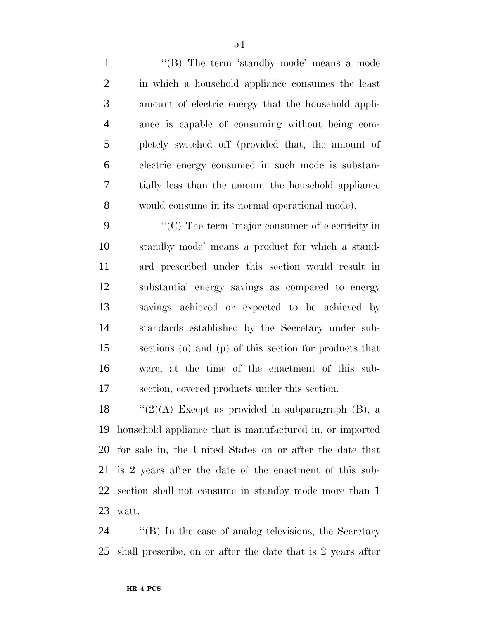1 "(B) The term 'standby mode' means a mode in which a household appliance consumes the least amount of electric energy that the household appli- ance is capable of consuming without being com- pletely switched off (provided that, the amount of electric energy consumed in such mode is substan- tially less than the amount the household appliance would consume in its normal operational mode).

 ''(C) The term 'major consumer of electricity in standby mode' means a product for which a stand- ard prescribed under this section would result in substantial energy savings as compared to energy savings achieved or expected to be achieved by standards established by the Secretary under sub- sections (o) and (p) of this section for products that were, at the time of the enactment of this sub-section, covered products under this section.

 $\langle (2)(A)$  Except as provided in subparagraph (B), a household appliance that is manufactured in, or imported for sale in, the United States on or after the date that is 2 years after the date of the enactment of this sub- section shall not consume in standby mode more than 1 watt.

 ''(B) In the case of analog televisions, the Secretary shall prescribe, on or after the date that is 2 years after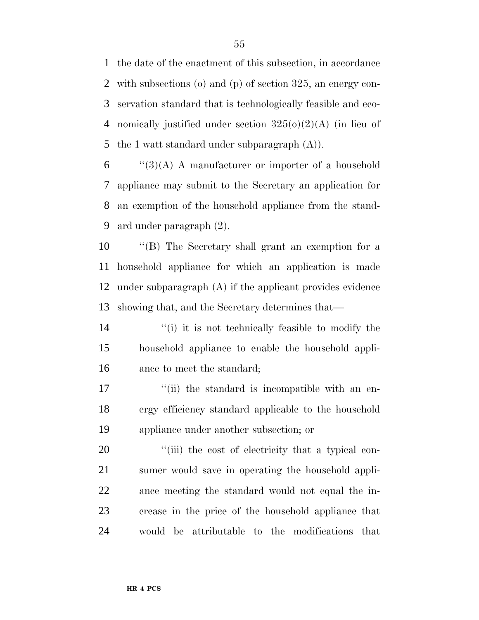the date of the enactment of this subsection, in accordance with subsections (o) and (p) of section 325, an energy con- servation standard that is technologically feasible and eco- nomically justified under section 325(o)(2)(A) (in lieu of 5 the 1 watt standard under subparagraph  $(A)$ ).

 "(3)(A) A manufacturer or importer of a household appliance may submit to the Secretary an application for an exemption of the household appliance from the stand-ard under paragraph (2).

 ''(B) The Secretary shall grant an exemption for a household appliance for which an application is made under subparagraph (A) if the applicant provides evidence showing that, and the Secretary determines that—

14 ''(i) it is not technically feasible to modify the household appliance to enable the household appli-ance to meet the standard;

17 ''(ii) the standard is incompatible with an en- ergy efficiency standard applicable to the household appliance under another subsection; or

 $\frac{1}{20}$  (iii) the cost of electricity that a typical con- sumer would save in operating the household appli- ance meeting the standard would not equal the in- crease in the price of the household appliance that would be attributable to the modifications that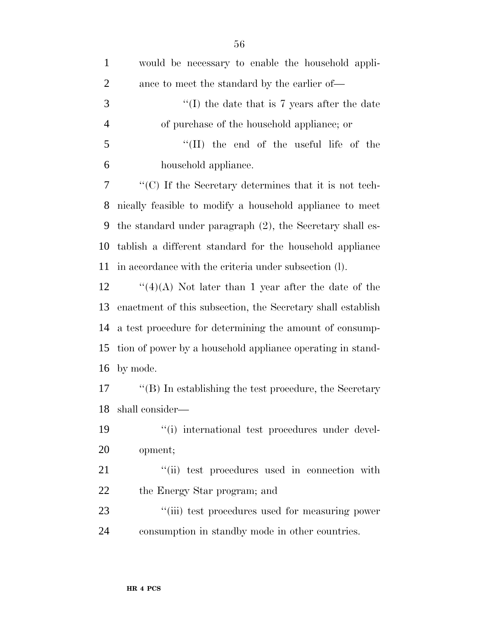| $\mathbf{1}$   | would be necessary to enable the household appli-              |
|----------------|----------------------------------------------------------------|
| $\overline{2}$ | ance to meet the standard by the earlier of—                   |
| 3              | "(I) the date that is 7 years after the date                   |
| $\overline{4}$ | of purchase of the household appliance; or                     |
| 5              | "(II) the end of the useful life of the                        |
| 6              | household appliance.                                           |
| $\tau$         | "(C) If the Secretary determines that it is not tech-          |
| 8              | nically feasible to modify a household appliance to meet       |
| 9              | the standard under paragraph $(2)$ , the Secretary shall es-   |
| 10             | tablish a different standard for the household appliance       |
| 11             | in accordance with the criteria under subsection (1).          |
| 12             | "(4)(A) Not later than 1 year after the date of the            |
| 13             | enactment of this subsection, the Secretary shall establish    |
| 14             | a test procedure for determining the amount of consump-        |
| 15             | tion of power by a household appliance operating in stand-     |
| 16             | by mode.                                                       |
| 17             | $\lq\lq (B)$ In establishing the test procedure, the Secretary |
|                | 18 shall consider-                                             |
| 19             | "(i) international test procedures under devel-                |
| <b>20</b>      | opment;                                                        |
| 21             | "(ii) test procedures used in connection with                  |
| 22             | the Energy Star program; and                                   |
| 23             | "(iii) test procedures used for measuring power                |
| 24             | consumption in standby mode in other countries.                |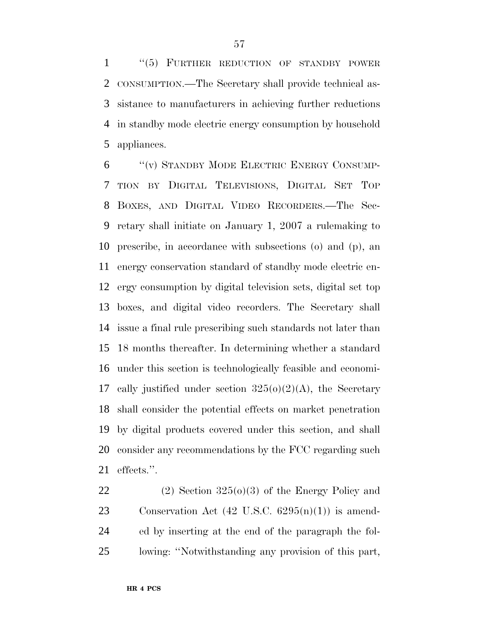''(5) FURTHER REDUCTION OF STANDBY POWER CONSUMPTION.—The Secretary shall provide technical as- sistance to manufacturers in achieving further reductions in standby mode electric energy consumption by household appliances.

 ''(v) STANDBY MODE ELECTRIC ENERGY CONSUMP- TION BY DIGITAL TELEVISIONS, DIGITAL SET TOP BOXES, AND DIGITAL VIDEO RECORDERS.—The Sec- retary shall initiate on January 1, 2007 a rulemaking to prescribe, in accordance with subsections (o) and (p), an energy conservation standard of standby mode electric en- ergy consumption by digital television sets, digital set top boxes, and digital video recorders. The Secretary shall issue a final rule prescribing such standards not later than 18 months thereafter. In determining whether a standard under this section is technologically feasible and economi-17 cally justified under section  $325(0)(2)(A)$ , the Secretary shall consider the potential effects on market penetration by digital products covered under this section, and shall consider any recommendations by the FCC regarding such effects.''.

22 (2) Section  $325(0)(3)$  of the Energy Policy and 23 Conservation Act  $(42 \text{ U.S.C. } 6295(n)(1))$  is amend- ed by inserting at the end of the paragraph the fol-lowing: ''Notwithstanding any provision of this part,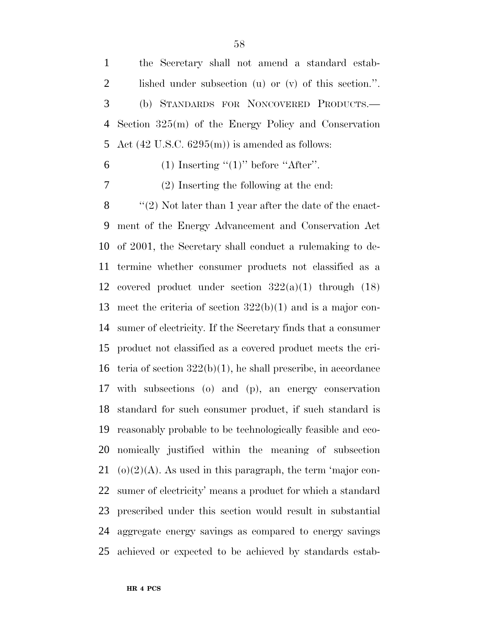the Secretary shall not amend a standard estab- lished under subsection (u) or (v) of this section.''. (b) STANDARDS FOR NONCOVERED PRODUCTS.— Section 325(m) of the Energy Policy and Conservation 5 Act  $(42 \text{ U.S.C. } 6295 \text{ (m)})$  is amended as follows:

6 (1) Inserting  $(1)$ " before "After".

(2) Inserting the following at the end:

 $\langle$  (2) Not later than 1 year after the date of the enact- ment of the Energy Advancement and Conservation Act of 2001, the Secretary shall conduct a rulemaking to de- termine whether consumer products not classified as a 12 covered product under section  $322(a)(1)$  through  $(18)$  meet the criteria of section 322(b)(1) and is a major con- sumer of electricity. If the Secretary finds that a consumer product not classified as a covered product meets the cri- teria of section 322(b)(1), he shall prescribe, in accordance with subsections (o) and (p), an energy conservation standard for such consumer product, if such standard is reasonably probable to be technologically feasible and eco- nomically justified within the meaning of subsection 21 (o)(2)(A). As used in this paragraph, the term 'major con- sumer of electricity' means a product for which a standard prescribed under this section would result in substantial aggregate energy savings as compared to energy savings achieved or expected to be achieved by standards estab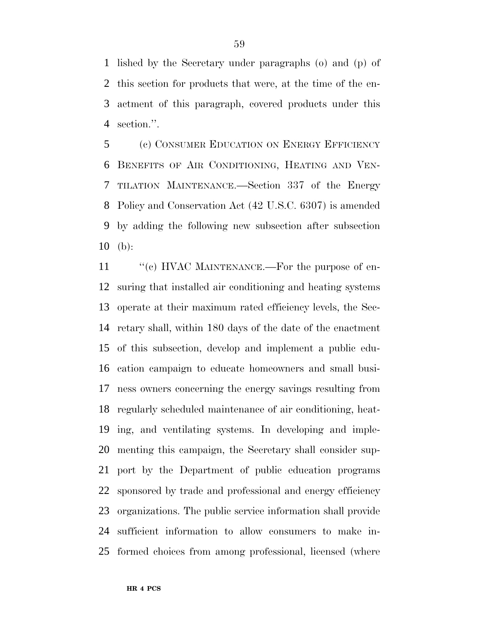lished by the Secretary under paragraphs (o) and (p) of this section for products that were, at the time of the en- actment of this paragraph, covered products under this section.''.

 (c) CONSUMER EDUCATION ON ENERGY EFFICIENCY BENEFITS OF AIR CONDITIONING, HEATING AND VEN- TILATION MAINTENANCE.—Section 337 of the Energy Policy and Conservation Act (42 U.S.C. 6307) is amended by adding the following new subsection after subsection (b):

11 "(c) HVAC MAINTENANCE.—For the purpose of en- suring that installed air conditioning and heating systems operate at their maximum rated efficiency levels, the Sec- retary shall, within 180 days of the date of the enactment of this subsection, develop and implement a public edu- cation campaign to educate homeowners and small busi- ness owners concerning the energy savings resulting from regularly scheduled maintenance of air conditioning, heat- ing, and ventilating systems. In developing and imple- menting this campaign, the Secretary shall consider sup- port by the Department of public education programs sponsored by trade and professional and energy efficiency organizations. The public service information shall provide sufficient information to allow consumers to make in-formed choices from among professional, licensed (where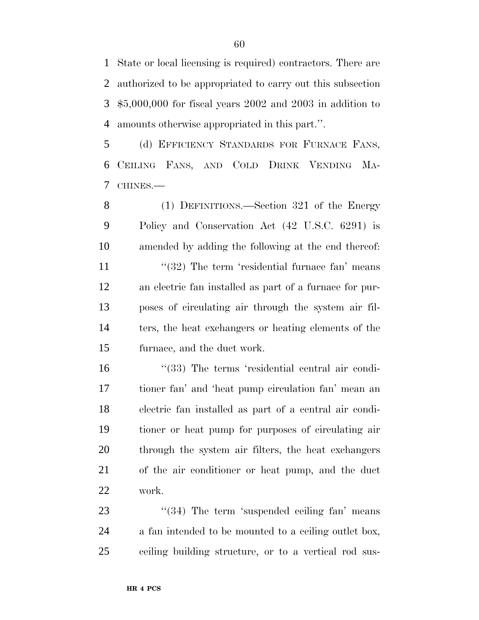State or local licensing is required) contractors. There are authorized to be appropriated to carry out this subsection \$5,000,000 for fiscal years 2002 and 2003 in addition to amounts otherwise appropriated in this part.''.

 (d) EFFICIENCY STANDARDS FOR FURNACE FANS, CEILING FANS, AND COLD DRINK VENDING MA-CHINES.—

 (1) DEFINITIONS.—Section 321 of the Energy Policy and Conservation Act (42 U.S.C. 6291) is amended by adding the following at the end thereof: 11 ''(32) The term 'residential furnace fan' means an electric fan installed as part of a furnace for pur- poses of circulating air through the system air fil- ters, the heat exchangers or heating elements of the furnace, and the duct work.

16 "(33) The terms 'residential central air condi- tioner fan' and 'heat pump circulation fan' mean an electric fan installed as part of a central air condi- tioner or heat pump for purposes of circulating air through the system air filters, the heat exchangers of the air conditioner or heat pump, and the duct work.

23 "(34) The term 'suspended ceiling fan' means a fan intended to be mounted to a ceiling outlet box, ceiling building structure, or to a vertical rod sus-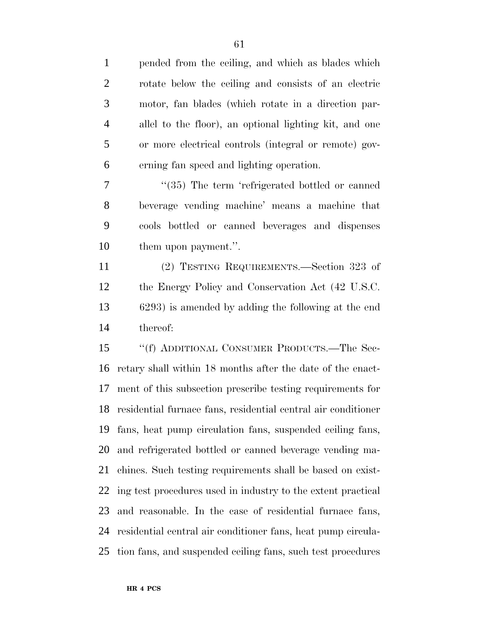pended from the ceiling, and which as blades which rotate below the ceiling and consists of an electric motor, fan blades (which rotate in a direction par- allel to the floor), an optional lighting kit, and one or more electrical controls (integral or remote) gov- erning fan speed and lighting operation. 7 "(35) The term 'refrigerated bottled or canned beverage vending machine' means a machine that cools bottled or canned beverages and dispenses them upon payment.''. (2) TESTING REQUIREMENTS.—Section 323 of the Energy Policy and Conservation Act (42 U.S.C. 6293) is amended by adding the following at the end thereof: ''(f) ADDITIONAL CONSUMER PRODUCTS.—The Sec- retary shall within 18 months after the date of the enact- ment of this subsection prescribe testing requirements for residential furnace fans, residential central air conditioner fans, heat pump circulation fans, suspended ceiling fans, and refrigerated bottled or canned beverage vending ma- chines. Such testing requirements shall be based on exist- ing test procedures used in industry to the extent practical and reasonable. In the case of residential furnace fans, residential central air conditioner fans, heat pump circula-

tion fans, and suspended ceiling fans, such test procedures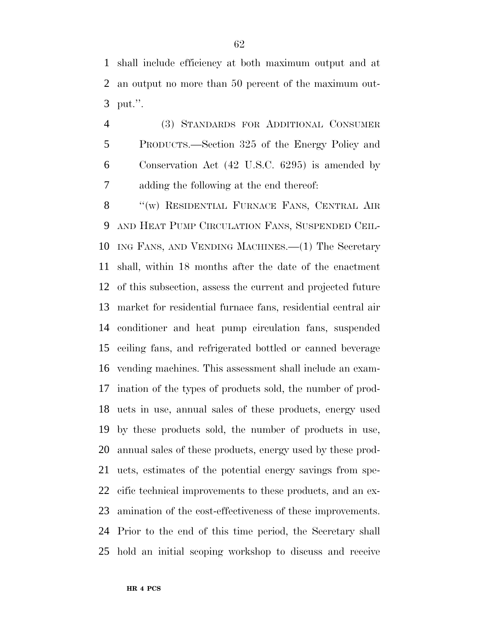shall include efficiency at both maximum output and at an output no more than 50 percent of the maximum out-put.''.

 (3) STANDARDS FOR ADDITIONAL CONSUMER PRODUCTS.—Section 325 of the Energy Policy and Conservation Act (42 U.S.C. 6295) is amended by adding the following at the end thereof:

8 "(w) RESIDENTIAL FURNACE FANS, CENTRAL AIR AND HEAT PUMP CIRCULATION FANS, SUSPENDED CEIL- ING FANS, AND VENDING MACHINES.—(1) The Secretary shall, within 18 months after the date of the enactment of this subsection, assess the current and projected future market for residential furnace fans, residential central air conditioner and heat pump circulation fans, suspended ceiling fans, and refrigerated bottled or canned beverage vending machines. This assessment shall include an exam- ination of the types of products sold, the number of prod- ucts in use, annual sales of these products, energy used by these products sold, the number of products in use, annual sales of these products, energy used by these prod- ucts, estimates of the potential energy savings from spe- cific technical improvements to these products, and an ex- amination of the cost-effectiveness of these improvements. Prior to the end of this time period, the Secretary shall hold an initial scoping workshop to discuss and receive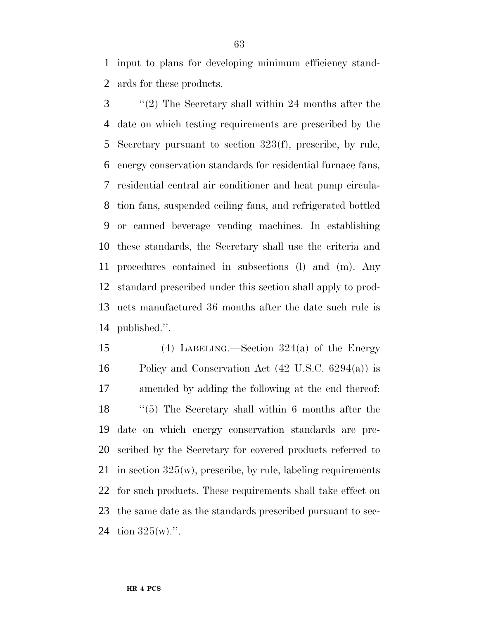input to plans for developing minimum efficiency stand-ards for these products.

 ''(2) The Secretary shall within 24 months after the date on which testing requirements are prescribed by the Secretary pursuant to section 323(f), prescribe, by rule, energy conservation standards for residential furnace fans, residential central air conditioner and heat pump circula- tion fans, suspended ceiling fans, and refrigerated bottled or canned beverage vending machines. In establishing these standards, the Secretary shall use the criteria and procedures contained in subsections (l) and (m). Any standard prescribed under this section shall apply to prod- ucts manufactured 36 months after the date such rule is published.''.

 (4) LABELING.—Section 324(a) of the Energy Policy and Conservation Act (42 U.S.C. 6294(a)) is amended by adding the following at the end thereof: ''(5) The Secretary shall within 6 months after the date on which energy conservation standards are pre- scribed by the Secretary for covered products referred to 21 in section  $325(w)$ , prescribe, by rule, labeling requirements for such products. These requirements shall take effect on the same date as the standards prescribed pursuant to sec-24 tion  $325(w)$ .".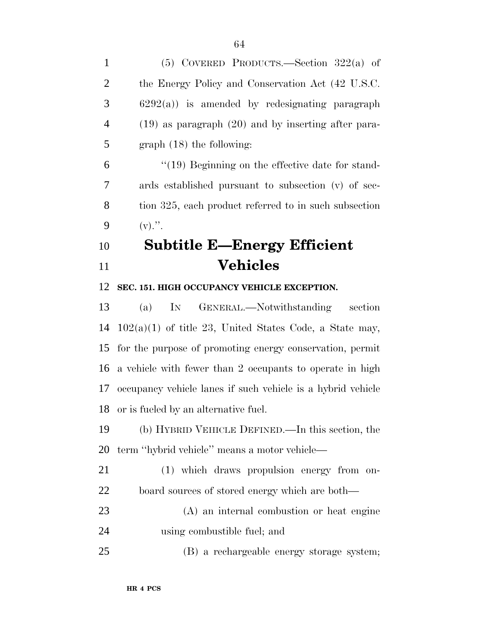| $\mathbf{1}$   | (5) COVERED PRODUCTS.—Section $322(a)$ of                   |
|----------------|-------------------------------------------------------------|
| $\overline{2}$ | the Energy Policy and Conservation Act (42 U.S.C.           |
| 3              | $6292(a)$ ) is amended by redesignating paragraph           |
| $\overline{4}$ | $(19)$ as paragraph $(20)$ and by inserting after para-     |
| 5              | $graph (18)$ the following:                                 |
| 6              | $\degree$ (19) Beginning on the effective date for stand-   |
| 7              | ards established pursuant to subsection (v) of sec-         |
| 8              | tion 325, each product referred to in such subsection       |
| 9              | $(v)$ .".                                                   |
| 10             | <b>Subtitle E-Energy Efficient</b>                          |
| 11             | <b>Vehicles</b>                                             |
| 12             | SEC. 151. HIGH OCCUPANCY VEHICLE EXCEPTION.                 |
| 13             | IN GENERAL.—Notwithstanding<br>section<br>(a)               |
| 14             | $102(a)(1)$ of title 23, United States Code, a State may,   |
| 15             | for the purpose of promoting energy conservation, permit    |
| 16             | a vehicle with fewer than 2 occupants to operate in high    |
| 17             | occupancy vehicle lanes if such vehicle is a hybrid vehicle |
| 18             | or is fueled by an alternative fuel.                        |
| 19             | (b) HYBRID VEHICLE DEFINED.—In this section, the            |
| 20             | term "hybrid vehicle" means a motor vehicle—                |
| 21             | (1) which draws propulsion energy from on-                  |
| 22             | board sources of stored energy which are both—              |
| 23             | (A) an internal combustion or heat engine                   |
| 24             | using combustible fuel; and                                 |
| 25             | (B) a rechargeable energy storage system;                   |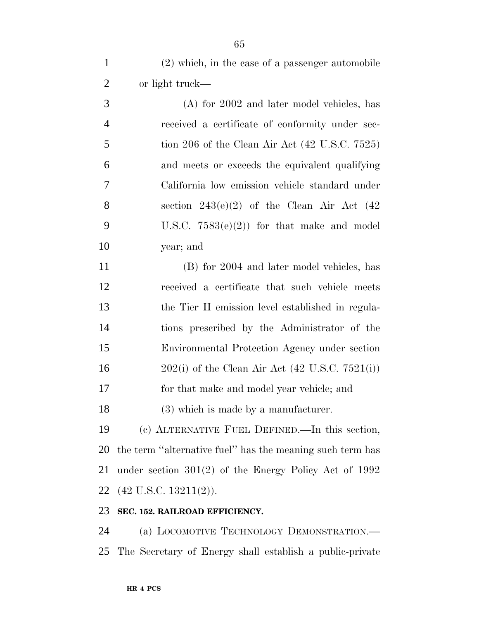(2) which, in the case of a passenger automobile or light truck—

 (A) for 2002 and later model vehicles, has received a certificate of conformity under sec- tion 206 of the Clean Air Act (42 U.S.C. 7525) and meets or exceeds the equivalent qualifying California low emission vehicle standard under 8 section  $243(e)(2)$  of the Clean Air Act  $(42)$ 9 U.S.C.  $7583(e)(2)$  for that make and model year; and

 (B) for 2004 and later model vehicles, has received a certificate that such vehicle meets the Tier II emission level established in regula- tions prescribed by the Administrator of the Environmental Protection Agency under section 202(i) of the Clean Air Act (42 U.S.C. 7521(i)) for that make and model year vehicle; and (3) which is made by a manufacturer.

 (c) ALTERNATIVE FUEL DEFINED.—In this section, the term ''alternative fuel'' has the meaning such term has under section 301(2) of the Energy Policy Act of 1992 (42 U.S.C. 13211(2)).

#### **SEC. 152. RAILROAD EFFICIENCY.**

 (a) LOCOMOTIVE TECHNOLOGY DEMONSTRATION.— The Secretary of Energy shall establish a public-private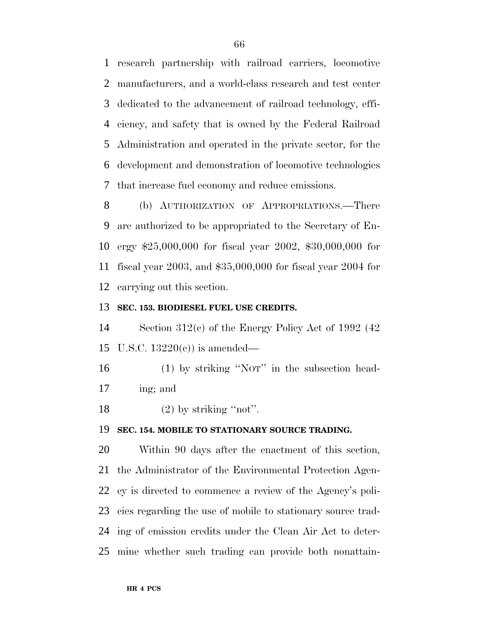research partnership with railroad carriers, locomotive manufacturers, and a world-class research and test center dedicated to the advancement of railroad technology, effi- ciency, and safety that is owned by the Federal Railroad Administration and operated in the private sector, for the development and demonstration of locomotive technologies that increase fuel economy and reduce emissions.

 (b) AUTHORIZATION OF APPROPRIATIONS.—There are authorized to be appropriated to the Secretary of En- ergy \$25,000,000 for fiscal year 2002, \$30,000,000 for fiscal year 2003, and \$35,000,000 for fiscal year 2004 for carrying out this section.

#### **SEC. 153. BIODIESEL FUEL USE CREDITS.**

 Section 312(c) of the Energy Policy Act of 1992 (42 U.S.C. 13220(c)) is amended—

 (1) by striking ''NOT'' in the subsection head-ing; and

18  $(2)$  by striking "not".

#### **SEC. 154. MOBILE TO STATIONARY SOURCE TRADING.**

 Within 90 days after the enactment of this section, the Administrator of the Environmental Protection Agen- cy is directed to commence a review of the Agency's poli- cies regarding the use of mobile to stationary source trad- ing of emission credits under the Clean Air Act to deter-mine whether such trading can provide both nonattain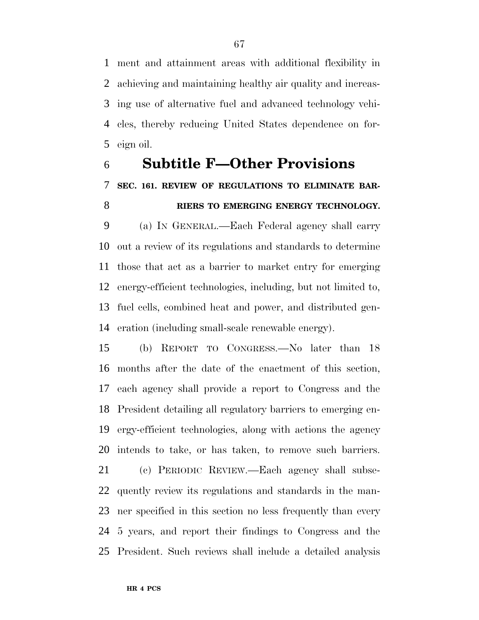ment and attainment areas with additional flexibility in achieving and maintaining healthy air quality and increas- ing use of alternative fuel and advanced technology vehi- cles, thereby reducing United States dependence on for-eign oil.

# **Subtitle F—Other Provisions SEC. 161. REVIEW OF REGULATIONS TO ELIMINATE BAR-RIERS TO EMERGING ENERGY TECHNOLOGY.**

 (a) IN GENERAL.—Each Federal agency shall carry out a review of its regulations and standards to determine those that act as a barrier to market entry for emerging energy-efficient technologies, including, but not limited to, fuel cells, combined heat and power, and distributed gen-eration (including small-scale renewable energy).

 (b) REPORT TO CONGRESS.—No later than 18 months after the date of the enactment of this section, each agency shall provide a report to Congress and the President detailing all regulatory barriers to emerging en- ergy-efficient technologies, along with actions the agency intends to take, or has taken, to remove such barriers.

 (c) PERIODIC REVIEW.—Each agency shall subse- quently review its regulations and standards in the man- ner specified in this section no less frequently than every 5 years, and report their findings to Congress and the President. Such reviews shall include a detailed analysis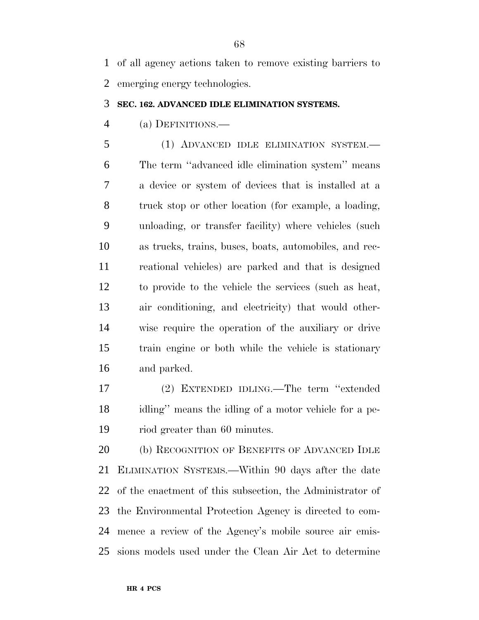of all agency actions taken to remove existing barriers to emerging energy technologies.

#### **SEC. 162. ADVANCED IDLE ELIMINATION SYSTEMS.**

(a) DEFINITIONS.—

 (1) ADVANCED IDLE ELIMINATION SYSTEM.— The term ''advanced idle elimination system'' means a device or system of devices that is installed at a truck stop or other location (for example, a loading, unloading, or transfer facility) where vehicles (such as trucks, trains, buses, boats, automobiles, and rec- reational vehicles) are parked and that is designed to provide to the vehicle the services (such as heat, air conditioning, and electricity) that would other- wise require the operation of the auxiliary or drive train engine or both while the vehicle is stationary and parked.

 (2) EXTENDED IDLING.—The term ''extended idling'' means the idling of a motor vehicle for a pe-riod greater than 60 minutes.

 (b) RECOGNITION OF BENEFITS OF ADVANCED IDLE ELIMINATION SYSTEMS.—Within 90 days after the date of the enactment of this subsection, the Administrator of the Environmental Protection Agency is directed to com- mence a review of the Agency's mobile source air emis-sions models used under the Clean Air Act to determine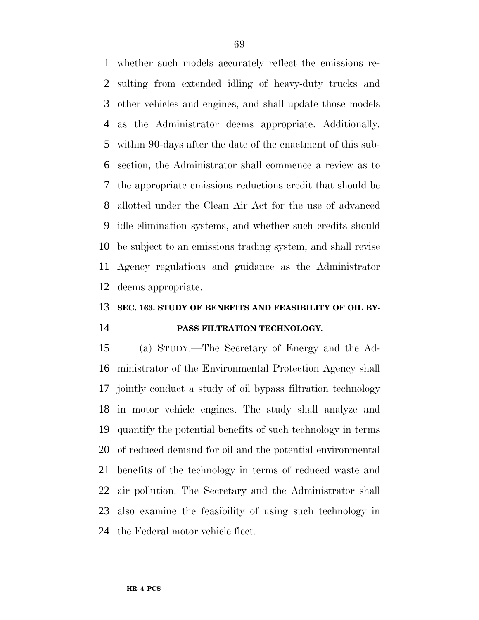whether such models accurately reflect the emissions re- sulting from extended idling of heavy-duty trucks and other vehicles and engines, and shall update those models as the Administrator deems appropriate. Additionally, within 90-days after the date of the enactment of this sub- section, the Administrator shall commence a review as to the appropriate emissions reductions credit that should be allotted under the Clean Air Act for the use of advanced idle elimination systems, and whether such credits should be subject to an emissions trading system, and shall revise Agency regulations and guidance as the Administrator deems appropriate.

## **SEC. 163. STUDY OF BENEFITS AND FEASIBILITY OF OIL BY-PASS FILTRATION TECHNOLOGY.**

 (a) STUDY.—The Secretary of Energy and the Ad- ministrator of the Environmental Protection Agency shall jointly conduct a study of oil bypass filtration technology in motor vehicle engines. The study shall analyze and quantify the potential benefits of such technology in terms of reduced demand for oil and the potential environmental benefits of the technology in terms of reduced waste and air pollution. The Secretary and the Administrator shall also examine the feasibility of using such technology in the Federal motor vehicle fleet.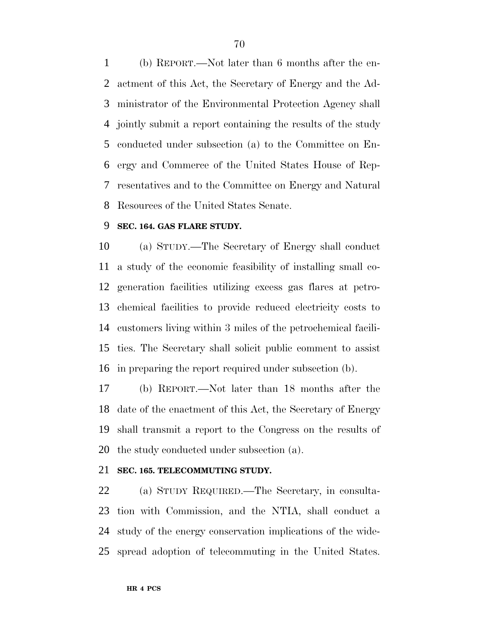(b) REPORT.—Not later than 6 months after the en- actment of this Act, the Secretary of Energy and the Ad- ministrator of the Environmental Protection Agency shall jointly submit a report containing the results of the study conducted under subsection (a) to the Committee on En- ergy and Commerce of the United States House of Rep- resentatives and to the Committee on Energy and Natural Resources of the United States Senate.

### **SEC. 164. GAS FLARE STUDY.**

 (a) STUDY.—The Secretary of Energy shall conduct a study of the economic feasibility of installing small co- generation facilities utilizing excess gas flares at petro- chemical facilities to provide reduced electricity costs to customers living within 3 miles of the petrochemical facili- ties. The Secretary shall solicit public comment to assist in preparing the report required under subsection (b).

 (b) REPORT.—Not later than 18 months after the date of the enactment of this Act, the Secretary of Energy shall transmit a report to the Congress on the results of the study conducted under subsection (a).

### **SEC. 165. TELECOMMUTING STUDY.**

 (a) STUDY REQUIRED.—The Secretary, in consulta- tion with Commission, and the NTIA, shall conduct a study of the energy conservation implications of the wide-spread adoption of telecommuting in the United States.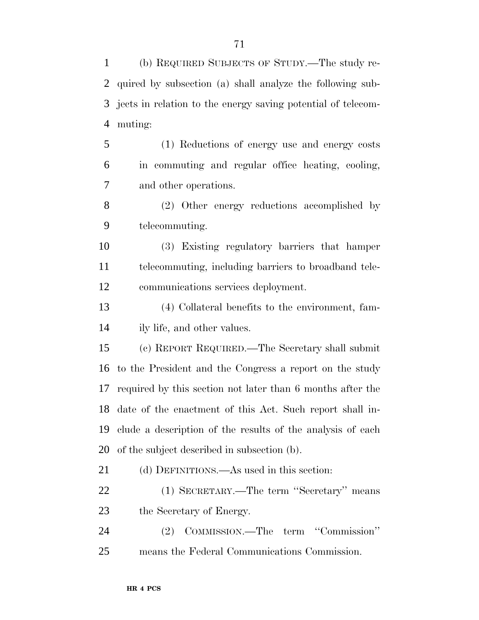(b) REQUIRED SUBJECTS OF STUDY.—The study re- quired by subsection (a) shall analyze the following sub- jects in relation to the energy saving potential of telecom- muting: (1) Reductions of energy use and energy costs in commuting and regular office heating, cooling, and other operations.

 (2) Other energy reductions accomplished by telecommuting.

 (3) Existing regulatory barriers that hamper telecommuting, including barriers to broadband tele-communications services deployment.

 (4) Collateral benefits to the environment, fam-ily life, and other values.

 (c) REPORT REQUIRED.—The Secretary shall submit to the President and the Congress a report on the study required by this section not later than 6 months after the date of the enactment of this Act. Such report shall in- clude a description of the results of the analysis of each of the subject described in subsection (b).

(d) DEFINITIONS.—As used in this section:

 (1) SECRETARY.—The term ''Secretary'' means the Secretary of Energy.

 (2) COMMISSION.—The term ''Commission'' means the Federal Communications Commission.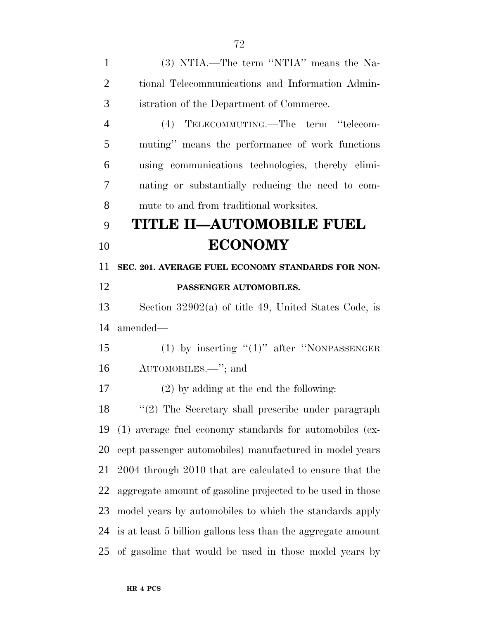(3) NTIA.—The term ''NTIA'' means the Na- tional Telecommunications and Information Admin- istration of the Department of Commerce. (4) TELECOMMUTING.—The term ''telecom- muting'' means the performance of work functions using communications technologies, thereby elimi- nating or substantially reducing the need to com- mute to and from traditional worksites. **TITLE II—AUTOMOBILE FUEL ECONOMY SEC. 201. AVERAGE FUEL ECONOMY STANDARDS FOR NON- PASSENGER AUTOMOBILES.** Section 32902(a) of title 49, United States Code, is amended— 15 (1) by inserting "(1)" after "NONPASSENGER AUTOMOBILES.—''; and (2) by adding at the end the following: ''(2) The Secretary shall prescribe under paragraph (1) average fuel economy standards for automobiles (ex- cept passenger automobiles) manufactured in model years 2004 through 2010 that are calculated to ensure that the aggregate amount of gasoline projected to be used in those model years by automobiles to which the standards apply is at least 5 billion gallons less than the aggregate amount of gasoline that would be used in those model years by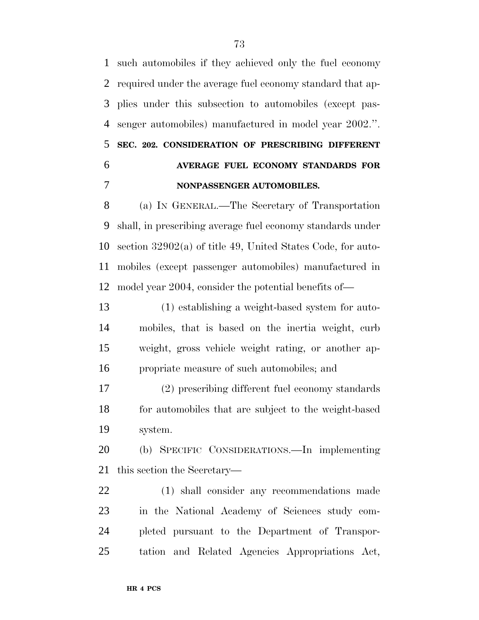such automobiles if they achieved only the fuel economy required under the average fuel economy standard that ap- plies under this subsection to automobiles (except pas- senger automobiles) manufactured in model year 2002.''. **SEC. 202. CONSIDERATION OF PRESCRIBING DIFFERENT AVERAGE FUEL ECONOMY STANDARDS FOR NONPASSENGER AUTOMOBILES.**

 (a) IN GENERAL.—The Secretary of Transportation shall, in prescribing average fuel economy standards under section 32902(a) of title 49, United States Code, for auto- mobiles (except passenger automobiles) manufactured in model year 2004, consider the potential benefits of—

 (1) establishing a weight-based system for auto- mobiles, that is based on the inertia weight, curb weight, gross vehicle weight rating, or another ap-propriate measure of such automobiles; and

 (2) prescribing different fuel economy standards for automobiles that are subject to the weight-based system.

 (b) SPECIFIC CONSIDERATIONS.—In implementing this section the Secretary—

 (1) shall consider any recommendations made in the National Academy of Sciences study com- pleted pursuant to the Department of Transpor-tation and Related Agencies Appropriations Act,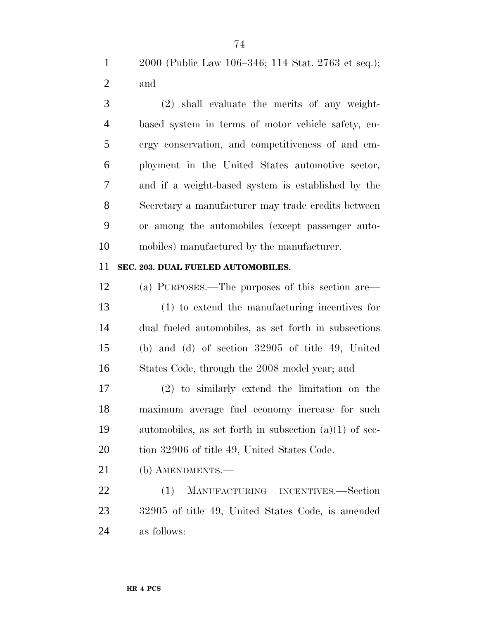2000 (Public Law 106–346; 114 Stat. 2763 et seq.); and

 (2) shall evaluate the merits of any weight- based system in terms of motor vehicle safety, en- ergy conservation, and competitiveness of and em- ployment in the United States automotive sector, and if a weight-based system is established by the Secretary a manufacturer may trade credits between or among the automobiles (except passenger auto-mobiles) manufactured by the manufacturer.

## **SEC. 203. DUAL FUELED AUTOMOBILES.**

 (a) PURPOSES.—The purposes of this section are— (1) to extend the manufacturing incentives for dual fueled automobiles, as set forth in subsections (b) and (d) of section 32905 of title 49, United States Code, through the 2008 model year; and

 (2) to similarly extend the limitation on the maximum average fuel economy increase for such automobiles, as set forth in subsection (a)(1) of sec-20 tion 32906 of title 49, United States Code.

(b) AMENDMENTS.—

 (1) MANUFACTURING INCENTIVES.—Section 32905 of title 49, United States Code, is amended as follows: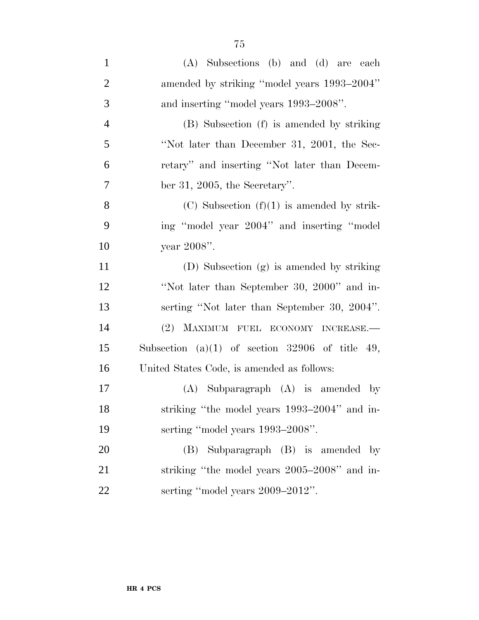| $\mathbf{1}$   | (A) Subsections (b) and (d) are each            |
|----------------|-------------------------------------------------|
| $\overline{2}$ | amended by striking "model years 1993–2004"     |
| 3              | and inserting "model years 1993–2008".          |
| $\overline{4}$ | (B) Subsection (f) is amended by striking       |
| 5              | "Not later than December 31, 2001, the Sec-     |
| 6              | retary" and inserting "Not later than Decem-    |
| $\overline{7}$ | ber 31, 2005, the Secretary".                   |
| 8              | $(C)$ Subsection $(f)(1)$ is amended by strik-  |
| 9              | ing "model year 2004" and inserting "model"     |
| 10             | year 2008".                                     |
| 11             | (D) Subsection (g) is amended by striking       |
| 12             | "Not later than September 30, 2000" and in-     |
| 13             | serting "Not later than September 30, 2004".    |
| 14             | (2) MAXIMUM FUEL ECONOMY INCREASE.-             |
| 15             | Subsection (a)(1) of section 32906 of title 49, |
| 16             | United States Code, is amended as follows:      |
| 17             | $(A)$ Subparagraph $(A)$ is amended by          |
| 18             | striking "the model years 1993-2004" and in-    |
| 19             | serting "model years 1993–2008".                |
| 20             | (B) Subparagraph (B) is amended by              |
| 21             | striking "the model years 2005-2008" and in-    |
| 22             | serting "model years 2009-2012".                |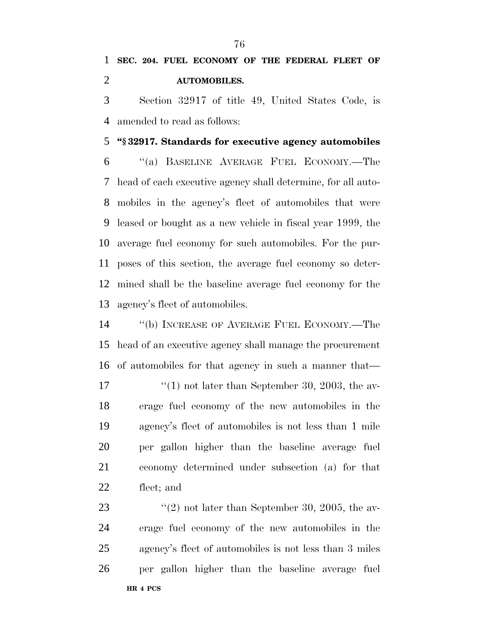Section 32917 of title 49, United States Code, is amended to read as follows:

### **''§ 32917. Standards for executive agency automobiles**

 ''(a) BASELINE AVERAGE FUEL ECONOMY.—The head of each executive agency shall determine, for all auto- mobiles in the agency's fleet of automobiles that were leased or bought as a new vehicle in fiscal year 1999, the average fuel economy for such automobiles. For the pur- poses of this section, the average fuel economy so deter- mined shall be the baseline average fuel economy for the agency's fleet of automobiles.

 ''(b) INCREASE OF AVERAGE FUEL ECONOMY.—The head of an executive agency shall manage the procurement of automobiles for that agency in such a manner that—  $\frac{17}{2}$  (1) not later than September 30, 2003, the av- erage fuel economy of the new automobiles in the agency's fleet of automobiles is not less than 1 mile per gallon higher than the baseline average fuel economy determined under subsection (a) for that fleet; and

**HR 4 PCS**  $\frac{1}{2}$  (2) not later than September 30, 2005, the av- erage fuel economy of the new automobiles in the agency's fleet of automobiles is not less than 3 miles per gallon higher than the baseline average fuel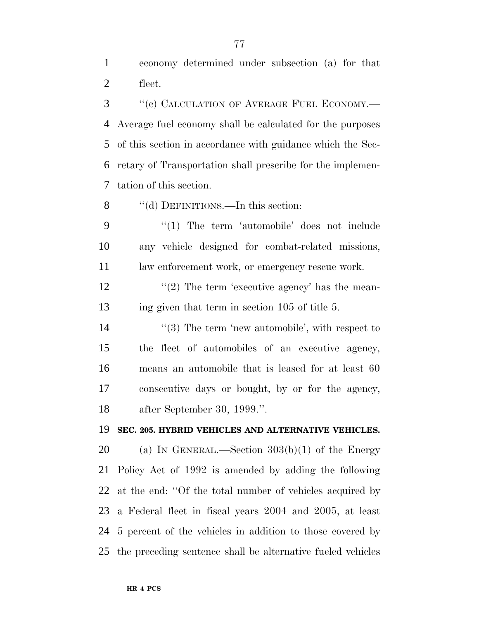economy determined under subsection (a) for that fleet.

3 "(c) CALCULATION OF AVERAGE FUEL ECONOMY.— Average fuel economy shall be calculated for the purposes of this section in accordance with guidance which the Sec- retary of Transportation shall prescribe for the implemen-tation of this section.

8 "(d) DEFINITIONS.—In this section:

9 "(1) The term 'automobile' does not include any vehicle designed for combat-related missions, 11 law enforcement work, or emergency rescue work.

12  $\frac{12}{2}$  The term 'executive agency' has the mean-ing given that term in section 105 of title 5.

14 ''(3) The term 'new automobile', with respect to the fleet of automobiles of an executive agency, means an automobile that is leased for at least 60 consecutive days or bought, by or for the agency, after September 30, 1999.''.

#### **SEC. 205. HYBRID VEHICLES AND ALTERNATIVE VEHICLES.**

20 (a) IN GENERAL.—Section  $303(b)(1)$  of the Energy Policy Act of 1992 is amended by adding the following at the end: ''Of the total number of vehicles acquired by a Federal fleet in fiscal years 2004 and 2005, at least 5 percent of the vehicles in addition to those covered by the preceding sentence shall be alternative fueled vehicles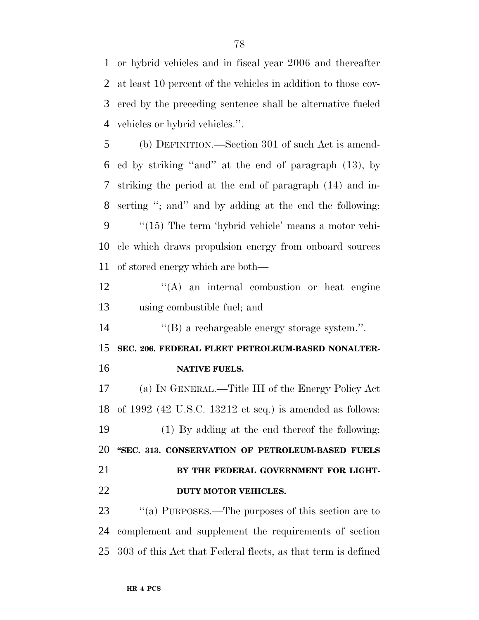or hybrid vehicles and in fiscal year 2006 and thereafter at least 10 percent of the vehicles in addition to those cov- ered by the preceding sentence shall be alternative fueled vehicles or hybrid vehicles.''.

 (b) DEFINITION.—Section 301 of such Act is amend- ed by striking ''and'' at the end of paragraph (13), by striking the period at the end of paragraph (14) and in- serting ''; and'' and by adding at the end the following: ''(15) The term 'hybrid vehicle' means a motor vehi- cle which draws propulsion energy from onboard sources of stored energy which are both—

12 ''(A) an internal combustion or heat engine using combustible fuel; and

''(B) a rechargeable energy storage system.''.

 **SEC. 206. FEDERAL FLEET PETROLEUM-BASED NONALTER-NATIVE FUELS.**

 (a) IN GENERAL.—Title III of the Energy Policy Act of 1992 (42 U.S.C. 13212 et seq.) is amended as follows: (1) By adding at the end thereof the following: **''SEC. 313. CONSERVATION OF PETROLEUM-BASED FUELS BY THE FEDERAL GOVERNMENT FOR LIGHT-DUTY MOTOR VEHICLES.**

23 "(a) PURPOSES.—The purposes of this section are to complement and supplement the requirements of section 303 of this Act that Federal fleets, as that term is defined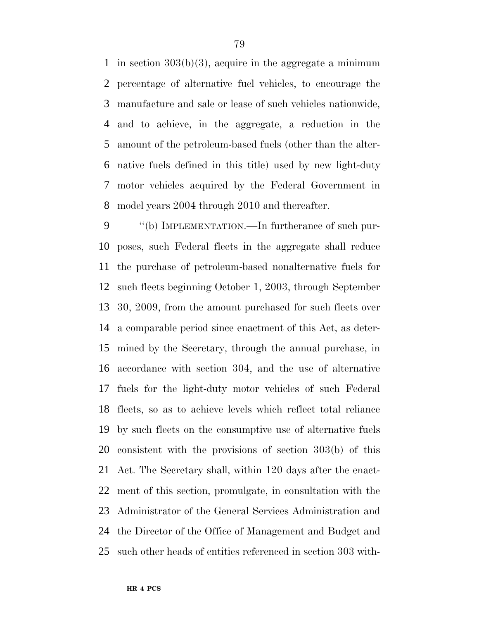in section 303(b)(3), acquire in the aggregate a minimum percentage of alternative fuel vehicles, to encourage the manufacture and sale or lease of such vehicles nationwide, and to achieve, in the aggregate, a reduction in the amount of the petroleum-based fuels (other than the alter- native fuels defined in this title) used by new light-duty motor vehicles acquired by the Federal Government in model years 2004 through 2010 and thereafter.

9 "(b) IMPLEMENTATION.—In furtherance of such pur- poses, such Federal fleets in the aggregate shall reduce the purchase of petroleum-based nonalternative fuels for such fleets beginning October 1, 2003, through September 30, 2009, from the amount purchased for such fleets over a comparable period since enactment of this Act, as deter- mined by the Secretary, through the annual purchase, in accordance with section 304, and the use of alternative fuels for the light-duty motor vehicles of such Federal fleets, so as to achieve levels which reflect total reliance by such fleets on the consumptive use of alternative fuels consistent with the provisions of section 303(b) of this Act. The Secretary shall, within 120 days after the enact- ment of this section, promulgate, in consultation with the Administrator of the General Services Administration and the Director of the Office of Management and Budget and such other heads of entities referenced in section 303 with-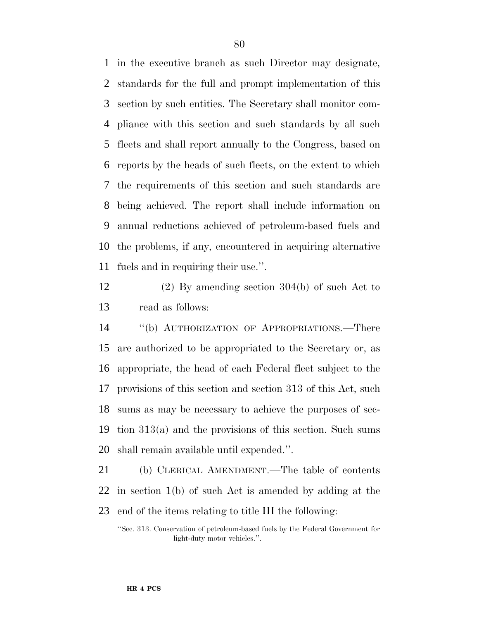in the executive branch as such Director may designate, standards for the full and prompt implementation of this section by such entities. The Secretary shall monitor com- pliance with this section and such standards by all such fleets and shall report annually to the Congress, based on reports by the heads of such fleets, on the extent to which the requirements of this section and such standards are being achieved. The report shall include information on annual reductions achieved of petroleum-based fuels and the problems, if any, encountered in acquiring alternative fuels and in requiring their use.''.

 (2) By amending section 304(b) of such Act to read as follows:

 ''(b) AUTHORIZATION OF APPROPRIATIONS.—There are authorized to be appropriated to the Secretary or, as appropriate, the head of each Federal fleet subject to the provisions of this section and section 313 of this Act, such sums as may be necessary to achieve the purposes of sec- tion 313(a) and the provisions of this section. Such sums shall remain available until expended.''.

 (b) CLERICAL AMENDMENT.—The table of contents in section 1(b) of such Act is amended by adding at the end of the items relating to title III the following:

''Sec. 313. Conservation of petroleum-based fuels by the Federal Government for light-duty motor vehicles.''.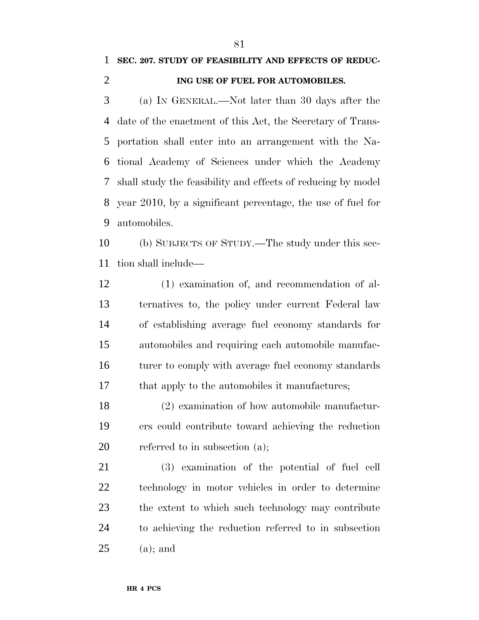## **SEC. 207. STUDY OF FEASIBILITY AND EFFECTS OF REDUC-**

**ING USE OF FUEL FOR AUTOMOBILES.**

 (a) IN GENERAL.—Not later than 30 days after the date of the enactment of this Act, the Secretary of Trans- portation shall enter into an arrangement with the Na- tional Academy of Sciences under which the Academy shall study the feasibility and effects of reducing by model year 2010, by a significant percentage, the use of fuel for automobiles.

 (b) SUBJECTS OF STUDY.—The study under this sec-tion shall include—

 (1) examination of, and recommendation of al- ternatives to, the policy under current Federal law of establishing average fuel economy standards for automobiles and requiring each automobile manufac-16 turer to comply with average fuel economy standards 17 that apply to the automobiles it manufactures;

 (2) examination of how automobile manufactur- ers could contribute toward achieving the reduction referred to in subsection (a);

 (3) examination of the potential of fuel cell technology in motor vehicles in order to determine the extent to which such technology may contribute to achieving the reduction referred to in subsection (a); and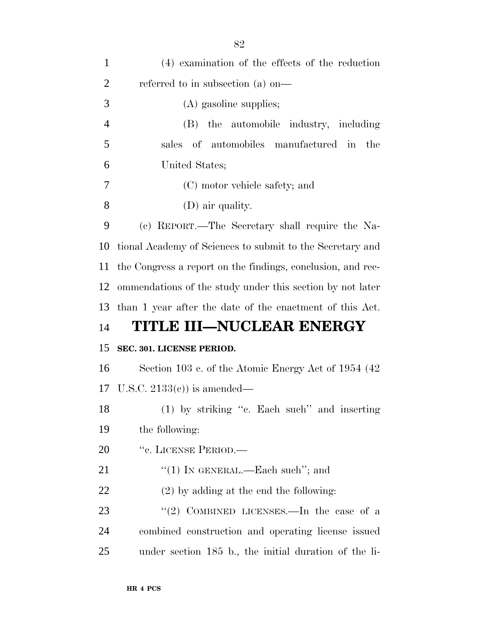| $\mathbf{1}$   | (4) examination of the effects of the reduction             |
|----------------|-------------------------------------------------------------|
| $\overline{2}$ | referred to in subsection (a) on—                           |
| 3              | (A) gasoline supplies;                                      |
| $\overline{4}$ | (B) the automobile industry, including                      |
| 5              | sales of automobiles manufactured in<br>the                 |
| 6              | United States;                                              |
| 7              | (C) motor vehicle safety; and                               |
| 8              | (D) air quality.                                            |
| 9              | (c) REPORT.—The Secretary shall require the Na-             |
| 10             | tional Academy of Sciences to submit to the Secretary and   |
| 11             | the Congress a report on the findings, conclusion, and rec- |
| 12             | ommendations of the study under this section by not later   |
| 13             | than 1 year after the date of the enactment of this Act.    |
| 14             | TITLE III—NUCLEAR ENERGY                                    |
| 15             | SEC. 301. LICENSE PERIOD.                                   |
| 16             | Section 103 c. of the Atomic Energy Act of 1954 (42)        |
|                | 17 U.S.C. $2133(e)$ is amended—                             |
| 18             | (1) by striking "c. Each such" and inserting                |
| 19             | the following:                                              |
| 20             | "c. LICENSE PERIOD.—                                        |
| 21             | "(1) IN GENERAL.—Each such"; and                            |
| <u>22</u>      | $(2)$ by adding at the end the following:                   |
| 23             | "(2) COMBINED LICENSES.—In the case of a                    |
| 24             | combined construction and operating license issued          |
| 25             | under section 185 b., the initial duration of the li-       |
|                |                                                             |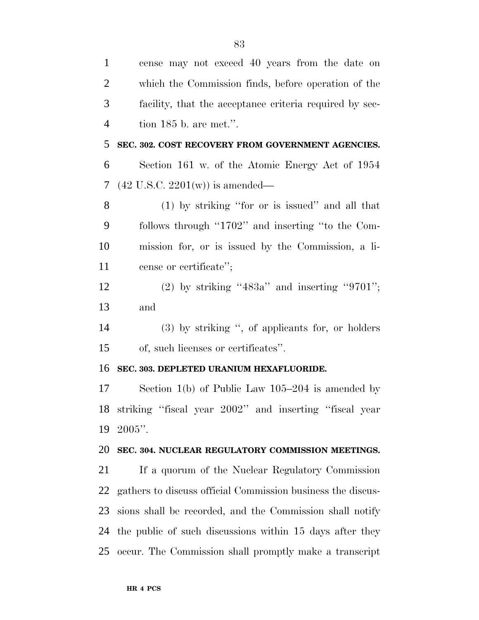| $\mathbf{1}$   | cense may not exceed 40 years from the date on              |
|----------------|-------------------------------------------------------------|
| $\overline{c}$ | which the Commission finds, before operation of the         |
| 3              | facility, that the acceptance criteria required by sec-     |
| $\overline{4}$ | tion $185$ b. are met.".                                    |
| 5              | SEC. 302. COST RECOVERY FROM GOVERNMENT AGENCIES.           |
| 6              | Section 161 w. of the Atomic Energy Act of 1954             |
| 7              | $(42 \text{ U.S.C. } 2201(\text{w}))$ is amended—           |
| 8              | $(1)$ by striking "for or is issued" and all that           |
| 9              | follows through "1702" and inserting "to the Com-           |
| 10             | mission for, or is issued by the Commission, a li-          |
| 11             | cense or certificate";                                      |
| 12             | $(2)$ by striking "483a" and inserting "9701";              |
| 13             | and                                                         |
| 14             | $(3)$ by striking ", of applicants for, or holders          |
| 15             | of, such licenses or certificates".                         |
| 16             | SEC. 303. DEPLETED URANIUM HEXAFLUORIDE.                    |
| 17             | Section $1(b)$ of Public Law $105-204$ is amended by        |
| 18             | striking "fiscal year 2002" and inserting "fiscal year      |
| 19             | $2005$ ".                                                   |
| 20             | SEC. 304. NUCLEAR REGULATORY COMMISSION MEETINGS.           |
| 21             | If a quorum of the Nuclear Regulatory Commission            |
| 22             | gathers to discuss official Commission business the discus- |
| 23             | sions shall be recorded, and the Commission shall notify    |
| 24             | the public of such discussions within 15 days after they    |
| 25             | occur. The Commission shall promptly make a transcript      |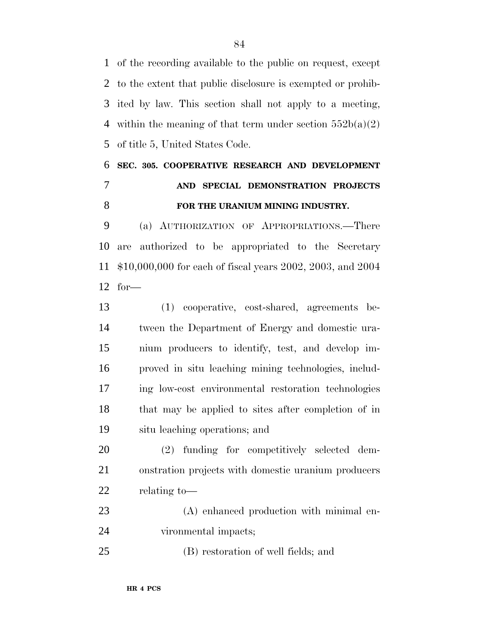of the recording available to the public on request, except to the extent that public disclosure is exempted or prohib- ited by law. This section shall not apply to a meeting, 4 within the meaning of that term under section  $552b(a)(2)$ of title 5, United States Code.

# **SEC. 305. COOPERATIVE RESEARCH AND DEVELOPMENT AND SPECIAL DEMONSTRATION PROJECTS FOR THE URANIUM MINING INDUSTRY.**

 (a) AUTHORIZATION OF APPROPRIATIONS.—There are authorized to be appropriated to the Secretary \$10,000,000 for each of fiscal years 2002, 2003, and 2004 for—

 (1) cooperative, cost-shared, agreements be- tween the Department of Energy and domestic ura- nium producers to identify, test, and develop im- proved in situ leaching mining technologies, includ- ing low-cost environmental restoration technologies that may be applied to sites after completion of in situ leaching operations; and

 (2) funding for competitively selected dem- onstration projects with domestic uranium producers relating to—

 (A) enhanced production with minimal en-vironmental impacts;

(B) restoration of well fields; and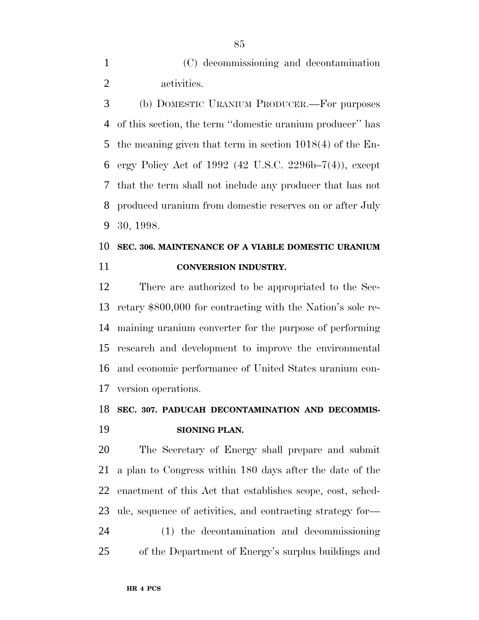(C) decommissioning and decontamination activities.

 (b) DOMESTIC URANIUM PRODUCER.—For purposes of this section, the term ''domestic uranium producer'' has the meaning given that term in section 1018(4) of the En- ergy Policy Act of 1992 (42 U.S.C. 2296b–7(4)), except that the term shall not include any producer that has not produced uranium from domestic reserves on or after July 30, 1998.

# **SEC. 306. MAINTENANCE OF A VIABLE DOMESTIC URANIUM CONVERSION INDUSTRY.**

 There are authorized to be appropriated to the Sec- retary \$800,000 for contracting with the Nation's sole re- maining uranium converter for the purpose of performing research and development to improve the environmental and economic performance of United States uranium con-version operations.

# **SEC. 307. PADUCAH DECONTAMINATION AND DECOMMIS-SIONING PLAN.**

 The Secretary of Energy shall prepare and submit a plan to Congress within 180 days after the date of the enactment of this Act that establishes scope, cost, sched- ule, sequence of activities, and contracting strategy for— (1) the decontamination and decommissioning of the Department of Energy's surplus buildings and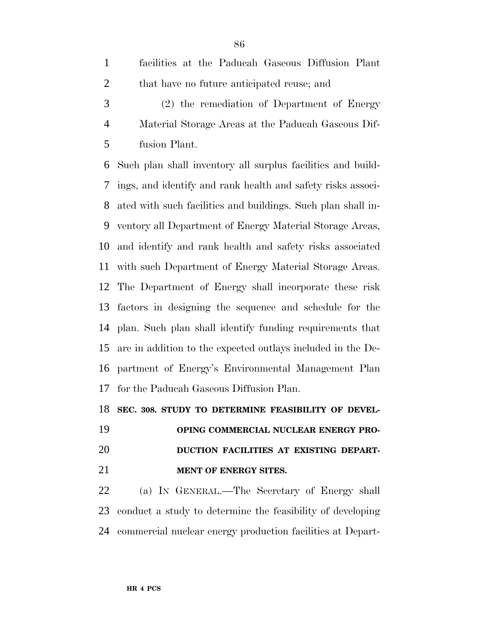- facilities at the Paducah Gaseous Diffusion Plant 2 that have no future anticipated reuse; and
- (2) the remediation of Department of Energy Material Storage Areas at the Paducah Gaseous Dif-fusion Plant.

 Such plan shall inventory all surplus facilities and build- ings, and identify and rank health and safety risks associ- ated with such facilities and buildings. Such plan shall in- ventory all Department of Energy Material Storage Areas, and identify and rank health and safety risks associated with such Department of Energy Material Storage Areas. The Department of Energy shall incorporate these risk factors in designing the sequence and schedule for the plan. Such plan shall identify funding requirements that are in addition to the expected outlays included in the De- partment of Energy's Environmental Management Plan for the Paducah Gaseous Diffusion Plan.

**SEC. 308. STUDY TO DETERMINE FEASIBILITY OF DEVEL-**

 **OPING COMMERCIAL NUCLEAR ENERGY PRO- DUCTION FACILITIES AT EXISTING DEPART-MENT OF ENERGY SITES.**

 (a) IN GENERAL.—The Secretary of Energy shall conduct a study to determine the feasibility of developing commercial nuclear energy production facilities at Depart-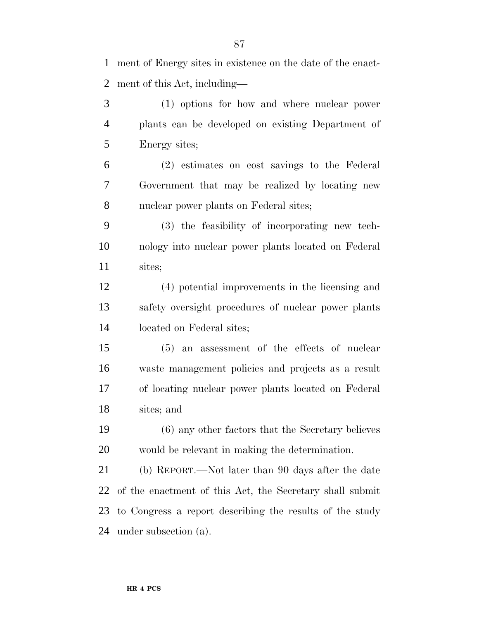(1) options for how and where nuclear power plants can be developed on existing Department of Energy sites; (2) estimates on cost savings to the Federal Government that may be realized by locating new nuclear power plants on Federal sites; (3) the feasibility of incorporating new tech- nology into nuclear power plants located on Federal sites; (4) potential improvements in the licensing and safety oversight procedures of nuclear power plants located on Federal sites; (5) an assessment of the effects of nuclear waste management policies and projects as a result of locating nuclear power plants located on Federal sites; and (6) any other factors that the Secretary believes would be relevant in making the determination. (b) REPORT.—Not later than 90 days after the date of the enactment of this Act, the Secretary shall submit to Congress a report describing the results of the study

under subsection (a).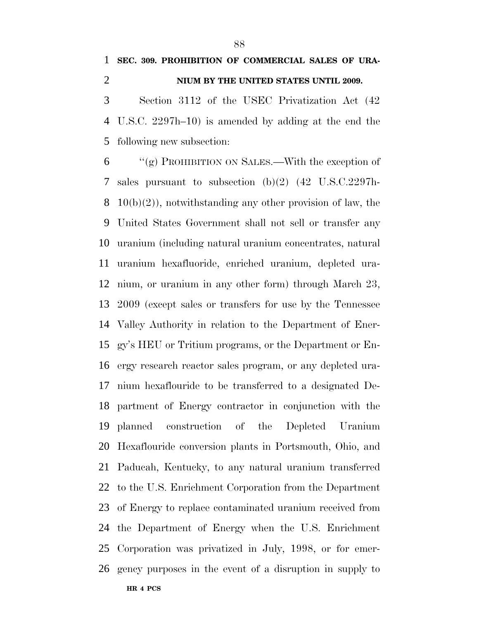# **SEC. 309. PROHIBITION OF COMMERCIAL SALES OF URA-NIUM BY THE UNITED STATES UNTIL 2009.**

 Section 3112 of the USEC Privatization Act (42 U.S.C. 2297h–10) is amended by adding at the end the following new subsection:

**HR 4 PCS** ''(g) PROHIBITION ON SALES.—With the exception of sales pursuant to subsection (b)(2) (42 U.S.C.2297h-8 10(b)(2)), notwithstanding any other provision of law, the United States Government shall not sell or transfer any uranium (including natural uranium concentrates, natural uranium hexafluoride, enriched uranium, depleted ura- nium, or uranium in any other form) through March 23, 2009 (except sales or transfers for use by the Tennessee Valley Authority in relation to the Department of Ener- gy's HEU or Tritium programs, or the Department or En- ergy research reactor sales program, or any depleted ura- nium hexaflouride to be transferred to a designated De- partment of Energy contractor in conjunction with the planned construction of the Depleted Uranium Hexaflouride conversion plants in Portsmouth, Ohio, and Paducah, Kentucky, to any natural uranium transferred to the U.S. Enrichment Corporation from the Department of Energy to replace contaminated uranium received from the Department of Energy when the U.S. Enrichment Corporation was privatized in July, 1998, or for emer-gency purposes in the event of a disruption in supply to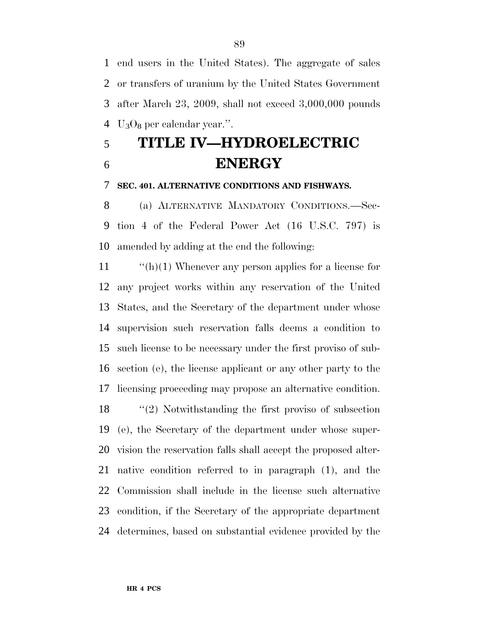end users in the United States). The aggregate of sales or transfers of uranium by the United States Government after March 23, 2009, shall not exceed 3,000,000 pounds  $\mathrm{U}_3\mathrm{O}_8$  per calendar year.".

# **TITLE IV—HYDROELECTRIC ENERGY**

**SEC. 401. ALTERNATIVE CONDITIONS AND FISHWAYS.**

 (a) ALTERNATIVE MANDATORY CONDITIONS.—Sec- tion 4 of the Federal Power Act (16 U.S.C. 797) is amended by adding at the end the following:

 ''(h)(1) Whenever any person applies for a license for any project works within any reservation of the United States, and the Secretary of the department under whose supervision such reservation falls deems a condition to such license to be necessary under the first proviso of sub- section (e), the license applicant or any other party to the licensing proceeding may propose an alternative condition.

 ''(2) Notwithstanding the first proviso of subsection (e), the Secretary of the department under whose super- vision the reservation falls shall accept the proposed alter- native condition referred to in paragraph (1), and the Commission shall include in the license such alternative condition, if the Secretary of the appropriate department determines, based on substantial evidence provided by the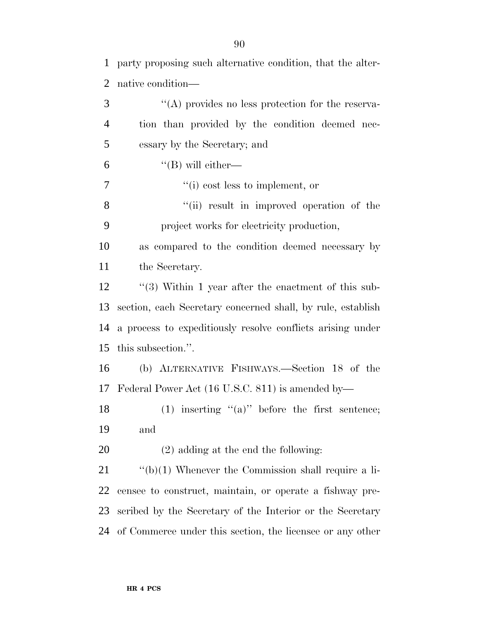| $\mathbf{1}$   | party proposing such alternative condition, that the alter- |
|----------------|-------------------------------------------------------------|
| $\overline{2}$ | native condition—                                           |
| 3              | "(A) provides no less protection for the reserva-           |
| $\overline{4}$ | tion than provided by the condition deemed nec-             |
| 5              | essary by the Secretary; and                                |
| 6              | $\lq\lq$ (B) will either—                                   |
| 7              | $f'(i)$ cost less to implement, or                          |
| 8              | "(ii) result in improved operation of the                   |
| 9              | project works for electricity production,                   |
| 10             | as compared to the condition deemed necessary by            |
| 11             | the Secretary.                                              |
| 12             | $\lq(3)$ Within 1 year after the enactment of this sub-     |
| 13             | section, each Secretary concerned shall, by rule, establish |
| 14             | a process to expeditiously resolve conflicts arising under  |
| 15             | this subsection.".                                          |
| 16             | (b) ALTERNATIVE FISHWAYS.—Section 18 of the                 |
| 17             | Federal Power Act (16 U.S.C. 811) is amended by—            |
| 18             | (1) inserting " $(a)$ " before the first sentence;          |
| 19             | and                                                         |
| 20             | $(2)$ adding at the end the following:                      |
| 21             | $\lq\lq(b)(1)$ Whenever the Commission shall require a li-  |
| 22             | censee to construct, maintain, or operate a fishway pre-    |
| 23             | scribed by the Secretary of the Interior or the Secretary   |
| 24             | of Commerce under this section, the licensee or any other   |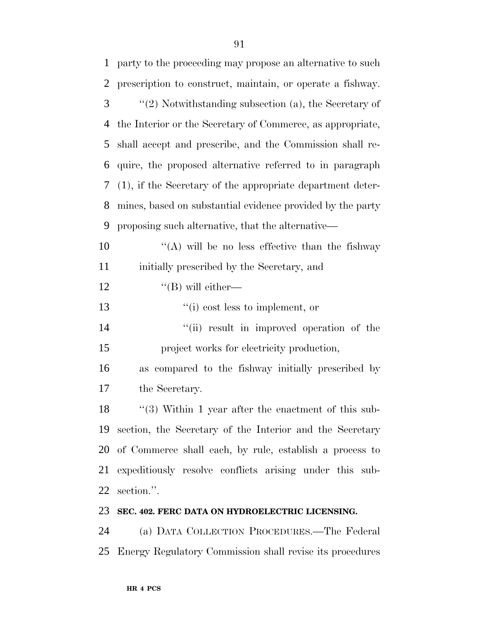| 1 party to the proceeding may propose an alternative to such                |
|-----------------------------------------------------------------------------|
| 2 prescription to construct, maintain, or operate a fishway.                |
| 3 <sup>7</sup><br>$\lq(2)$ Notwithstanding subsection (a), the Secretary of |
| 4 the Interior or the Secretary of Commerce, as appropriate,                |
| 5 shall accept and prescribe, and the Commission shall re-                  |

 shall accept and prescribe, and the Commission shall re- quire, the proposed alternative referred to in paragraph (1), if the Secretary of the appropriate department deter-mines, based on substantial evidence provided by the party

proposing such alternative, that the alternative—

10  $\langle (A)$  will be no less effective than the fishway initially prescribed by the Secretary, and

12  $"$ (B) will either—

13  $\frac{1}{2}$   $\frac{1}{2}$   $\frac{1}{2}$   $\frac{1}{2}$   $\frac{1}{2}$   $\frac{1}{2}$   $\frac{1}{2}$   $\frac{1}{2}$   $\frac{1}{2}$   $\frac{1}{2}$   $\frac{1}{2}$   $\frac{1}{2}$   $\frac{1}{2}$   $\frac{1}{2}$   $\frac{1}{2}$   $\frac{1}{2}$   $\frac{1}{2}$   $\frac{1}{2}$   $\frac{1}{2}$   $\frac{1}{2}$   $\frac{1}{2}$   $\frac{1}{2}$ 

14 ''(ii) result in improved operation of the project works for electricity production,

 as compared to the fishway initially prescribed by the Secretary.

18 ''(3) Within 1 year after the enactment of this sub- section, the Secretary of the Interior and the Secretary of Commerce shall each, by rule, establish a process to expeditiously resolve conflicts arising under this sub-section.''.

## **SEC. 402. FERC DATA ON HYDROELECTRIC LICENSING.**

 (a) DATA COLLECTION PROCEDURES.—The Federal Energy Regulatory Commission shall revise its procedures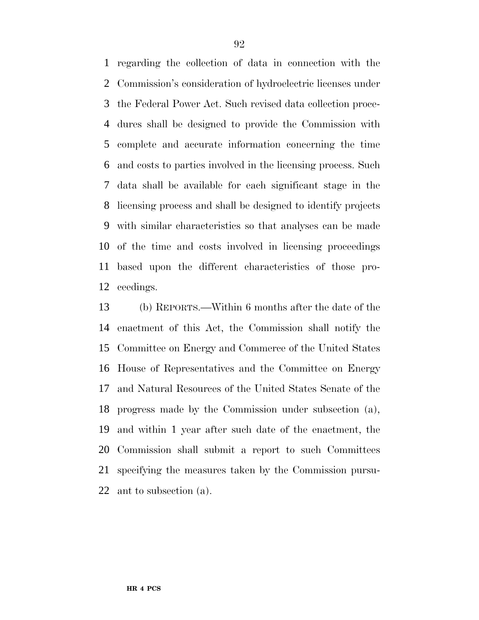regarding the collection of data in connection with the Commission's consideration of hydroelectric licenses under the Federal Power Act. Such revised data collection proce- dures shall be designed to provide the Commission with complete and accurate information concerning the time and costs to parties involved in the licensing process. Such data shall be available for each significant stage in the licensing process and shall be designed to identify projects with similar characteristics so that analyses can be made of the time and costs involved in licensing proceedings based upon the different characteristics of those pro-ceedings.

 (b) REPORTS.—Within 6 months after the date of the enactment of this Act, the Commission shall notify the Committee on Energy and Commerce of the United States House of Representatives and the Committee on Energy and Natural Resources of the United States Senate of the progress made by the Commission under subsection (a), and within 1 year after such date of the enactment, the Commission shall submit a report to such Committees specifying the measures taken by the Commission pursu-ant to subsection (a).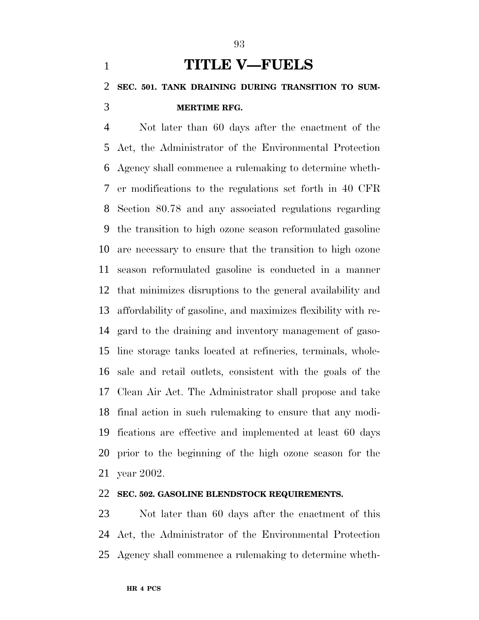# **TITLE V—FUELS SEC. 501. TANK DRAINING DURING TRANSITION TO SUM-MERTIME RFG.**

 Not later than 60 days after the enactment of the Act, the Administrator of the Environmental Protection Agency shall commence a rulemaking to determine wheth- er modifications to the regulations set forth in 40 CFR Section 80.78 and any associated regulations regarding the transition to high ozone season reformulated gasoline are necessary to ensure that the transition to high ozone season reformulated gasoline is conducted in a manner that minimizes disruptions to the general availability and affordability of gasoline, and maximizes flexibility with re- gard to the draining and inventory management of gaso- line storage tanks located at refineries, terminals, whole- sale and retail outlets, consistent with the goals of the Clean Air Act. The Administrator shall propose and take final action in such rulemaking to ensure that any modi- fications are effective and implemented at least 60 days prior to the beginning of the high ozone season for the year 2002.

#### **SEC. 502. GASOLINE BLENDSTOCK REQUIREMENTS.**

 Not later than 60 days after the enactment of this Act, the Administrator of the Environmental Protection Agency shall commence a rulemaking to determine wheth-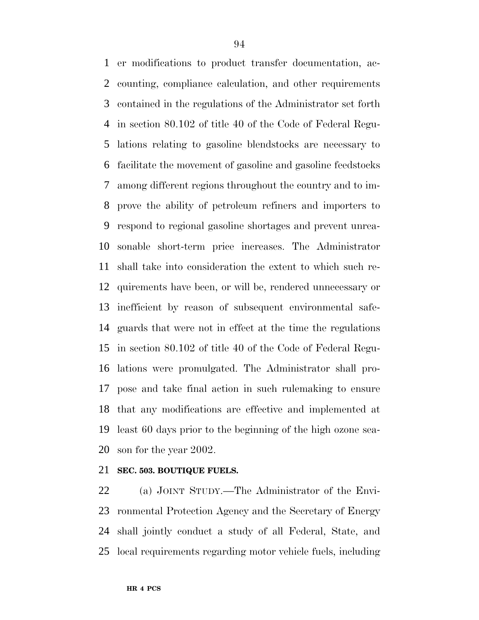er modifications to product transfer documentation, ac- counting, compliance calculation, and other requirements contained in the regulations of the Administrator set forth in section 80.102 of title 40 of the Code of Federal Regu- lations relating to gasoline blendstocks are necessary to facilitate the movement of gasoline and gasoline feedstocks among different regions throughout the country and to im- prove the ability of petroleum refiners and importers to respond to regional gasoline shortages and prevent unrea- sonable short-term price increases. The Administrator shall take into consideration the extent to which such re- quirements have been, or will be, rendered unnecessary or inefficient by reason of subsequent environmental safe- guards that were not in effect at the time the regulations in section 80.102 of title 40 of the Code of Federal Regu- lations were promulgated. The Administrator shall pro- pose and take final action in such rulemaking to ensure that any modifications are effective and implemented at least 60 days prior to the beginning of the high ozone sea-son for the year 2002.

## **SEC. 503. BOUTIQUE FUELS.**

 (a) JOINT STUDY.—The Administrator of the Envi- ronmental Protection Agency and the Secretary of Energy shall jointly conduct a study of all Federal, State, and local requirements regarding motor vehicle fuels, including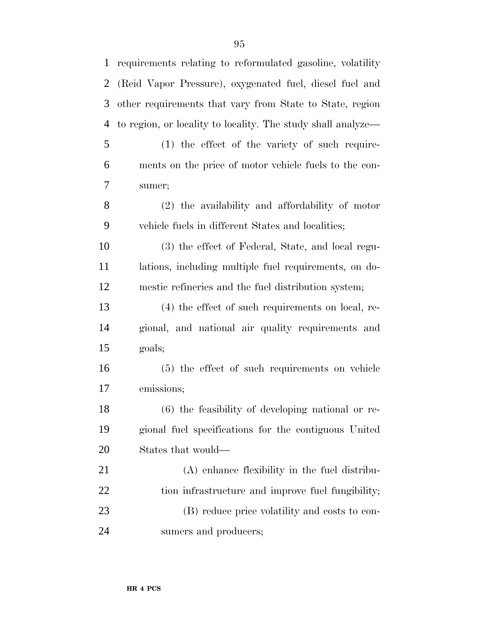| $\mathbf{1}$ | requirements relating to reformulated gasoline, volatility   |
|--------------|--------------------------------------------------------------|
| 2            | (Reid Vapor Pressure), oxygenated fuel, diesel fuel and      |
| 3            | other requirements that vary from State to State, region     |
| 4            | to region, or locality to locality. The study shall analyze— |
| 5            | $(1)$ the effect of the variety of such require-             |
| 6            | ments on the price of motor vehicle fuels to the con-        |
| 7            | sumer;                                                       |
| 8            | (2) the availability and affordability of motor              |
| 9            | vehicle fuels in different States and localities;            |
| 10           | (3) the effect of Federal, State, and local regu-            |
| 11           | lations, including multiple fuel requirements, on do-        |
| 12           | mestic refineries and the fuel distribution system;          |
| 13           | $(4)$ the effect of such requirements on local, re-          |
| 14           | gional, and national air quality requirements and            |
| 15           | goals;                                                       |
| 16           | (5) the effect of such requirements on vehicle               |
| 17           | emissions;                                                   |
| 18           | (6) the feasibility of developing national or re-            |
| 19           | gional fuel specifications for the contiguous United         |
| 20           | States that would—                                           |
| 21           | (A) enhance flexibility in the fuel distribu-                |
| 22           | tion infrastructure and improve fuel fungibility;            |
| 23           | (B) reduce price volatility and costs to con-                |
| 24           | sumers and producers;                                        |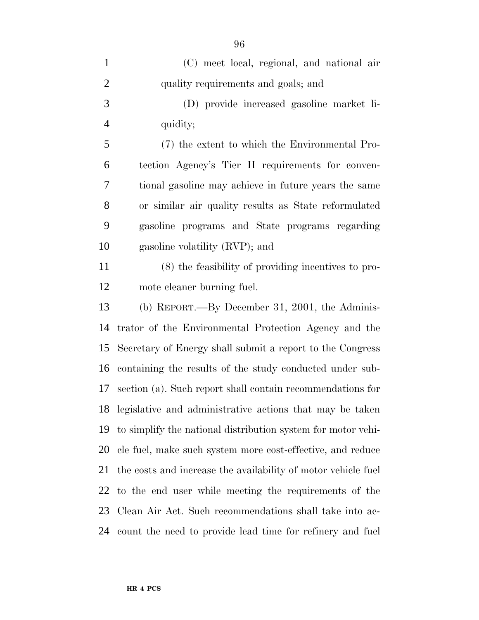| $\mathbf{1}$   | (C) meet local, regional, and national air                    |
|----------------|---------------------------------------------------------------|
| $\overline{2}$ | quality requirements and goals; and                           |
| 3              | (D) provide increased gasoline market li-                     |
| $\overline{4}$ | quidity;                                                      |
| 5              | (7) the extent to which the Environmental Pro-                |
| 6              | tection Agency's Tier II requirements for conven-             |
| 7              | tional gasoline may achieve in future years the same          |
| 8              | or similar air quality results as State reformulated          |
| 9              | gasoline programs and State programs regarding                |
| 10             | gasoline volatility (RVP); and                                |
| 11             | (8) the feasibility of providing incentives to pro-           |
| 12             | mote cleaner burning fuel.                                    |
| 13             | (b) REPORT.—By December 31, 2001, the Adminis-                |
| 14             | trator of the Environmental Protection Agency and the         |
| 15             | Secretary of Energy shall submit a report to the Congress     |
| 16             | containing the results of the study conducted under sub-      |
| 17             | section (a). Such report shall contain recommendations for    |
| 18             | legislative and administrative actions that may be taken      |
| 19             | to simplify the national distribution system for motor vehi-  |
| 20             | cle fuel, make such system more cost-effective, and reduce    |
| 21             | the costs and increase the availability of motor vehicle fuel |
| 22             | to the end user while meeting the requirements of the         |
| 23             | Clean Air Act. Such recommendations shall take into ac-       |
| 24             | count the need to provide lead time for refinery and fuel     |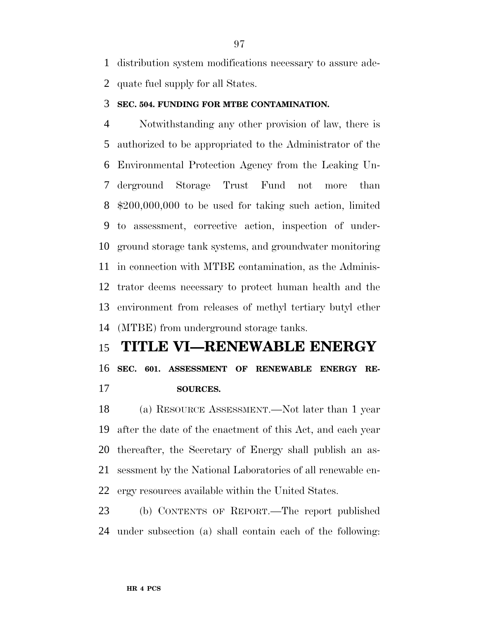distribution system modifications necessary to assure ade-quate fuel supply for all States.

#### **SEC. 504. FUNDING FOR MTBE CONTAMINATION.**

 Notwithstanding any other provision of law, there is authorized to be appropriated to the Administrator of the Environmental Protection Agency from the Leaking Un- derground Storage Trust Fund not more than \$200,000,000 to be used for taking such action, limited to assessment, corrective action, inspection of under- ground storage tank systems, and groundwater monitoring in connection with MTBE contamination, as the Adminis- trator deems necessary to protect human health and the environment from releases of methyl tertiary butyl ether (MTBE) from underground storage tanks.

# **TITLE VI—RENEWABLE ENERGY**

**SEC. 601. ASSESSMENT OF RENEWABLE ENERGY RE-**

**SOURCES.**

 (a) RESOURCE ASSESSMENT.—Not later than 1 year after the date of the enactment of this Act, and each year thereafter, the Secretary of Energy shall publish an as- sessment by the National Laboratories of all renewable en-ergy resources available within the United States.

 (b) CONTENTS OF REPORT.—The report published under subsection (a) shall contain each of the following: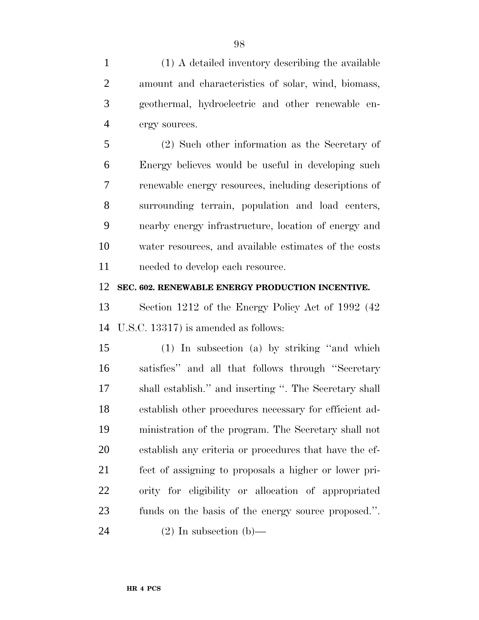(1) A detailed inventory describing the available amount and characteristics of solar, wind, biomass, geothermal, hydroelectric and other renewable en-ergy sources.

 (2) Such other information as the Secretary of Energy believes would be useful in developing such renewable energy resources, including descriptions of surrounding terrain, population and load centers, nearby energy infrastructure, location of energy and water resources, and available estimates of the costs 11 needed to develop each resource.

#### **SEC. 602. RENEWABLE ENERGY PRODUCTION INCENTIVE.**

 Section 1212 of the Energy Policy Act of 1992 (42 U.S.C. 13317) is amended as follows:

 (1) In subsection (a) by striking ''and which satisfies'' and all that follows through ''Secretary shall establish.'' and inserting ''. The Secretary shall establish other procedures necessary for efficient ad- ministration of the program. The Secretary shall not establish any criteria or procedures that have the ef- fect of assigning to proposals a higher or lower pri- ority for eligibility or allocation of appropriated funds on the basis of the energy source proposed.''.

24 (2) In subsection (b)—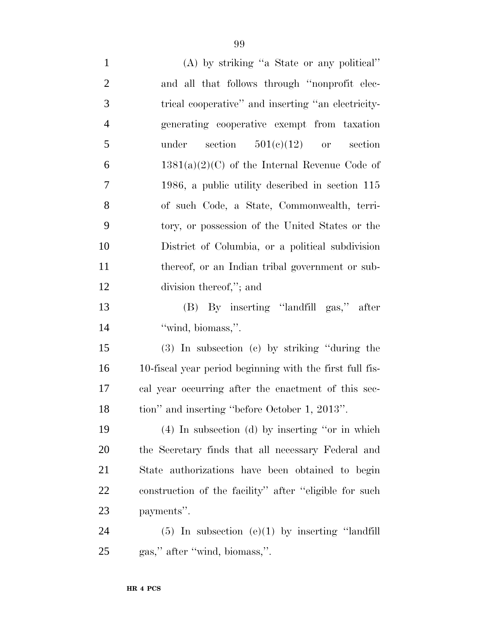(A) by striking ''a State or any political'' and all that follows through ''nonprofit elec- trical cooperative'' and inserting ''an electricity- generating cooperative exempt from taxation 5 under section  $501(e)(12)$  or section 6 1381(a)(2)(C) of the Internal Revenue Code of 1986, a public utility described in section 115 of such Code, a State, Commonwealth, terri- tory, or possession of the United States or the District of Columbia, or a political subdivision 11 thereof, or an Indian tribal government or sub- division thereof,''; and (B) By inserting ''landfill gas,'' after 14 ''wind, biomass,". (3) In subsection (c) by striking ''during the 10-fiscal year period beginning with the first full fis- cal year occurring after the enactment of this sec- tion'' and inserting ''before October 1, 2013''. (4) In subsection (d) by inserting ''or in which the Secretary finds that all necessary Federal and State authorizations have been obtained to begin construction of the facility'' after ''eligible for such

payments''.

 (5) In subsection (e)(1) by inserting ''landfill gas,'' after ''wind, biomass,''.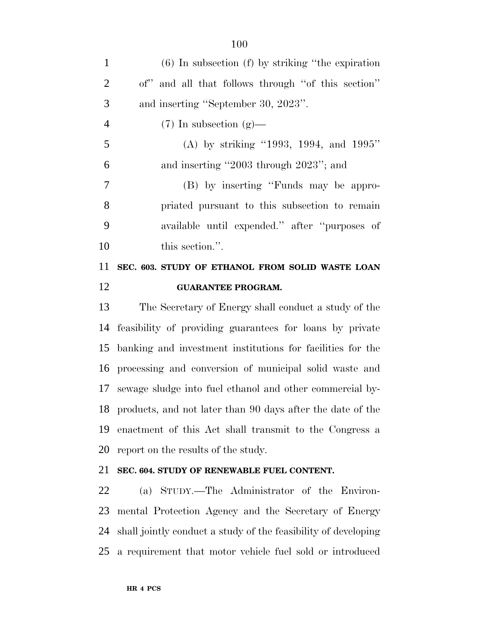| 11             | SEC. 603. STUDY OF ETHANOL FROM SOLID WASTE LOAN       |
|----------------|--------------------------------------------------------|
| 10             | this section.".                                        |
| 9              | available until expended." after "purposes of          |
| 8              | priated pursuant to this subsection to remain          |
| $\overline{7}$ | (B) by inserting "Funds may be appro-                  |
| 6              | and inserting "2003 through 2023"; and                 |
| 5              | (A) by striking "1993, 1994, and 1995"                 |
| $\overline{4}$ | $(7)$ In subsection $(g)$ —                            |
| 3              | and inserting "September 30, 2023".                    |
| 2              | of" and all that follows through "of this section"     |
| $\mathbf{1}$   | $(6)$ In subsection $(f)$ by striking "the expiration" |

## **GUARANTEE PROGRAM.**

 The Secretary of Energy shall conduct a study of the feasibility of providing guarantees for loans by private banking and investment institutions for facilities for the processing and conversion of municipal solid waste and sewage sludge into fuel ethanol and other commercial by- products, and not later than 90 days after the date of the enactment of this Act shall transmit to the Congress a report on the results of the study.

## **SEC. 604. STUDY OF RENEWABLE FUEL CONTENT.**

 (a) STUDY.—The Administrator of the Environ- mental Protection Agency and the Secretary of Energy shall jointly conduct a study of the feasibility of developing a requirement that motor vehicle fuel sold or introduced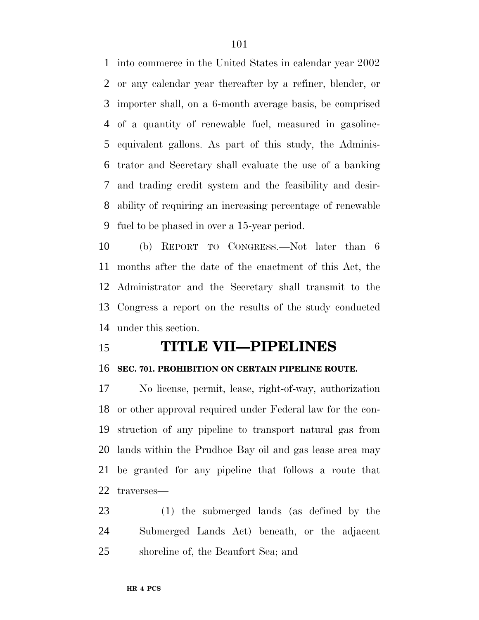into commerce in the United States in calendar year 2002 or any calendar year thereafter by a refiner, blender, or importer shall, on a 6-month average basis, be comprised of a quantity of renewable fuel, measured in gasoline- equivalent gallons. As part of this study, the Adminis- trator and Secretary shall evaluate the use of a banking and trading credit system and the feasibility and desir- ability of requiring an increasing percentage of renewable fuel to be phased in over a 15-year period.

 (b) REPORT TO CONGRESS.—Not later than 6 months after the date of the enactment of this Act, the Administrator and the Secretary shall transmit to the Congress a report on the results of the study conducted under this section.

# **TITLE VII—PIPELINES**

## **SEC. 701. PROHIBITION ON CERTAIN PIPELINE ROUTE.**

 No license, permit, lease, right-of-way, authorization or other approval required under Federal law for the con- struction of any pipeline to transport natural gas from lands within the Prudhoe Bay oil and gas lease area may be granted for any pipeline that follows a route that traverses—

 (1) the submerged lands (as defined by the Submerged Lands Act) beneath, or the adjacent shoreline of, the Beaufort Sea; and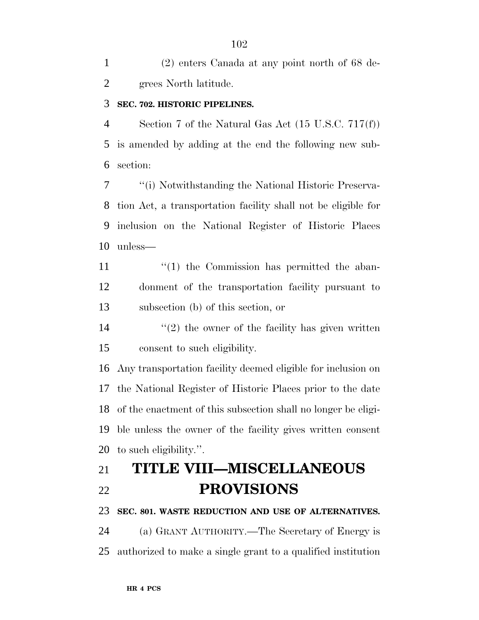(2) enters Canada at any point north of 68 de-grees North latitude.

### **SEC. 702. HISTORIC PIPELINES.**

 Section 7 of the Natural Gas Act (15 U.S.C. 717(f)) is amended by adding at the end the following new sub-section:

 ''(i) Notwithstanding the National Historic Preserva- tion Act, a transportation facility shall not be eligible for inclusion on the National Register of Historic Places unless—

11  $\frac{1}{1}$  the Commission has permitted the aban- donment of the transportation facility pursuant to subsection (b) of this section, or

14  $(2)$  the owner of the facility has given written consent to such eligibility.

 Any transportation facility deemed eligible for inclusion on the National Register of Historic Places prior to the date of the enactment of this subsection shall no longer be eligi- ble unless the owner of the facility gives written consent to such eligibility.''.

# **TITLE VIII—MISCELLANEOUS PROVISIONS**

#### **SEC. 801. WASTE REDUCTION AND USE OF ALTERNATIVES.**

 (a) GRANT AUTHORITY.—The Secretary of Energy is authorized to make a single grant to a qualified institution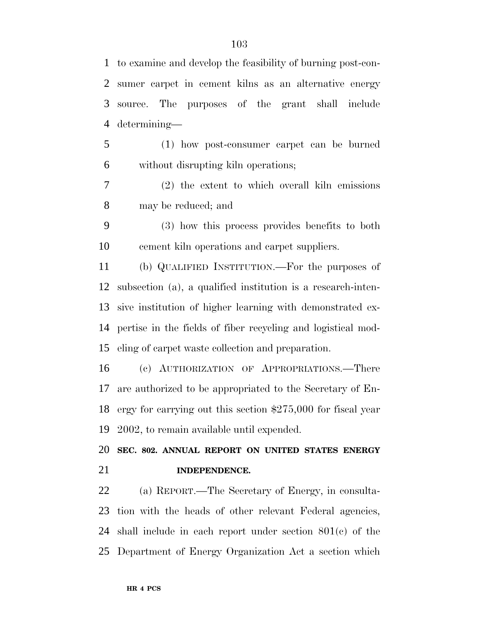to examine and develop the feasibility of burning post-con- sumer carpet in cement kilns as an alternative energy source. The purposes of the grant shall include determining— (1) how post-consumer carpet can be burned without disrupting kiln operations; (2) the extent to which overall kiln emissions may be reduced; and (3) how this process provides benefits to both cement kiln operations and carpet suppliers. (b) QUALIFIED INSTITUTION.—For the purposes of subsection (a), a qualified institution is a research-inten- sive institution of higher learning with demonstrated ex- pertise in the fields of fiber recycling and logistical mod- eling of carpet waste collection and preparation. (c) AUTHORIZATION OF APPROPRIATIONS.—There are authorized to be appropriated to the Secretary of En- ergy for carrying out this section \$275,000 for fiscal year 2002, to remain available until expended. **SEC. 802. ANNUAL REPORT ON UNITED STATES ENERGY INDEPENDENCE.** (a) REPORT.—The Secretary of Energy, in consulta- tion with the heads of other relevant Federal agencies, shall include in each report under section 801(c) of the Department of Energy Organization Act a section which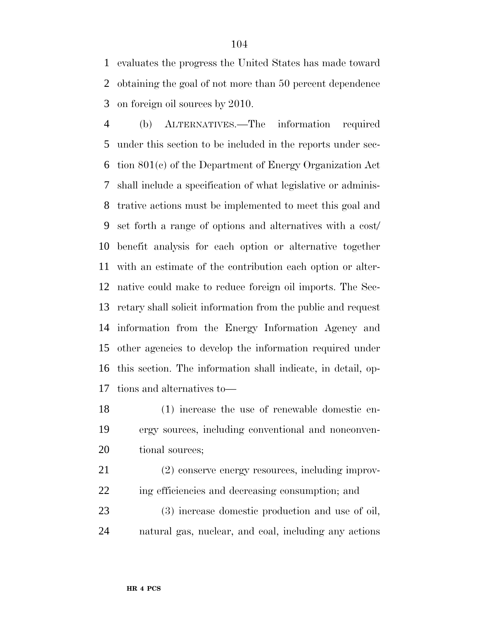evaluates the progress the United States has made toward obtaining the goal of not more than 50 percent dependence on foreign oil sources by 2010.

 (b) ALTERNATIVES.—The information required under this section to be included in the reports under sec- tion 801(c) of the Department of Energy Organization Act shall include a specification of what legislative or adminis- trative actions must be implemented to meet this goal and set forth a range of options and alternatives with a cost/ benefit analysis for each option or alternative together with an estimate of the contribution each option or alter- native could make to reduce foreign oil imports. The Sec- retary shall solicit information from the public and request information from the Energy Information Agency and other agencies to develop the information required under this section. The information shall indicate, in detail, op-tions and alternatives to—

 (1) increase the use of renewable domestic en- ergy sources, including conventional and nonconven-20 tional sources;

 (2) conserve energy resources, including improv-ing efficiencies and decreasing consumption; and

 (3) increase domestic production and use of oil, natural gas, nuclear, and coal, including any actions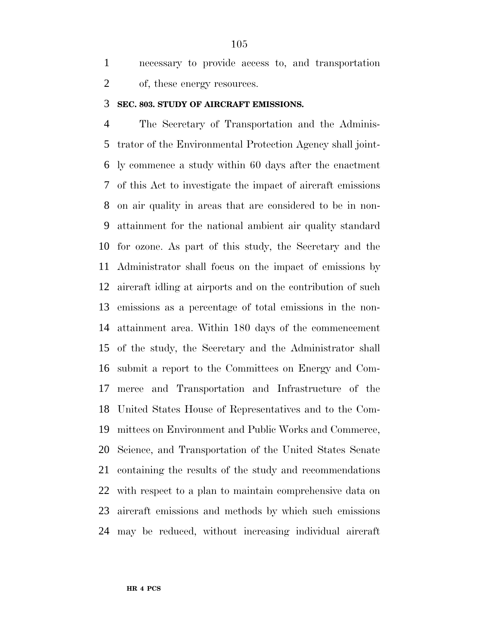necessary to provide access to, and transportation of, these energy resources.

#### **SEC. 803. STUDY OF AIRCRAFT EMISSIONS.**

 The Secretary of Transportation and the Adminis- trator of the Environmental Protection Agency shall joint- ly commence a study within 60 days after the enactment of this Act to investigate the impact of aircraft emissions on air quality in areas that are considered to be in non- attainment for the national ambient air quality standard for ozone. As part of this study, the Secretary and the Administrator shall focus on the impact of emissions by aircraft idling at airports and on the contribution of such emissions as a percentage of total emissions in the non- attainment area. Within 180 days of the commencement of the study, the Secretary and the Administrator shall submit a report to the Committees on Energy and Com- merce and Transportation and Infrastructure of the United States House of Representatives and to the Com- mittees on Environment and Public Works and Commerce, Science, and Transportation of the United States Senate containing the results of the study and recommendations with respect to a plan to maintain comprehensive data on aircraft emissions and methods by which such emissions may be reduced, without increasing individual aircraft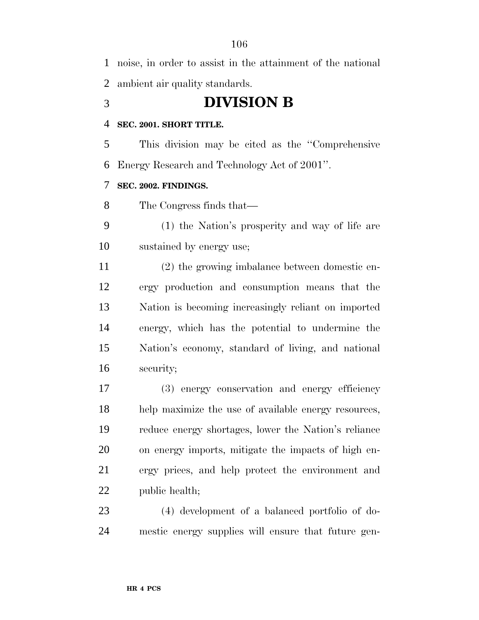noise, in order to assist in the attainment of the national ambient air quality standards.

# **DIVISION B**

## **SEC. 2001. SHORT TITLE.**

 This division may be cited as the ''Comprehensive Energy Research and Technology Act of 2001''.

## **SEC. 2002. FINDINGS.**

The Congress finds that—

 (1) the Nation's prosperity and way of life are sustained by energy use;

 (2) the growing imbalance between domestic en- ergy production and consumption means that the Nation is becoming increasingly reliant on imported energy, which has the potential to undermine the Nation's economy, standard of living, and national security;

 (3) energy conservation and energy efficiency help maximize the use of available energy resources, reduce energy shortages, lower the Nation's reliance on energy imports, mitigate the impacts of high en- ergy prices, and help protect the environment and public health;

 (4) development of a balanced portfolio of do-mestic energy supplies will ensure that future gen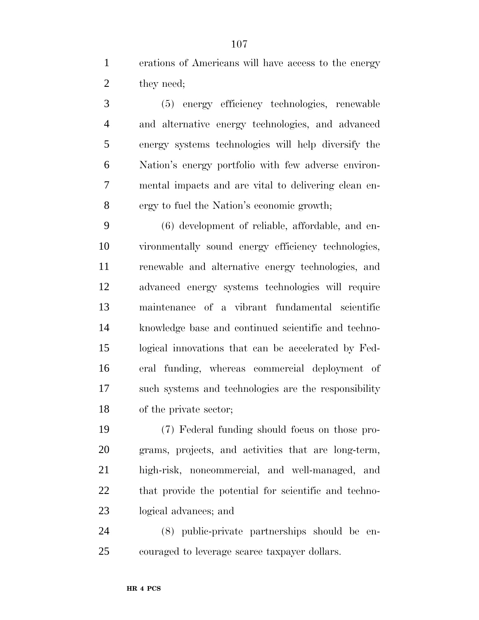erations of Americans will have access to the energy 2 they need;

 (5) energy efficiency technologies, renewable and alternative energy technologies, and advanced energy systems technologies will help diversify the Nation's energy portfolio with few adverse environ- mental impacts and are vital to delivering clean en-ergy to fuel the Nation's economic growth;

 (6) development of reliable, affordable, and en- vironmentally sound energy efficiency technologies, renewable and alternative energy technologies, and advanced energy systems technologies will require maintenance of a vibrant fundamental scientific knowledge base and continued scientific and techno- logical innovations that can be accelerated by Fed- eral funding, whereas commercial deployment of such systems and technologies are the responsibility of the private sector;

 (7) Federal funding should focus on those pro- grams, projects, and activities that are long-term, high-risk, noncommercial, and well-managed, and 22 that provide the potential for scientific and techno-logical advances; and

 (8) public-private partnerships should be en-couraged to leverage scarce taxpayer dollars.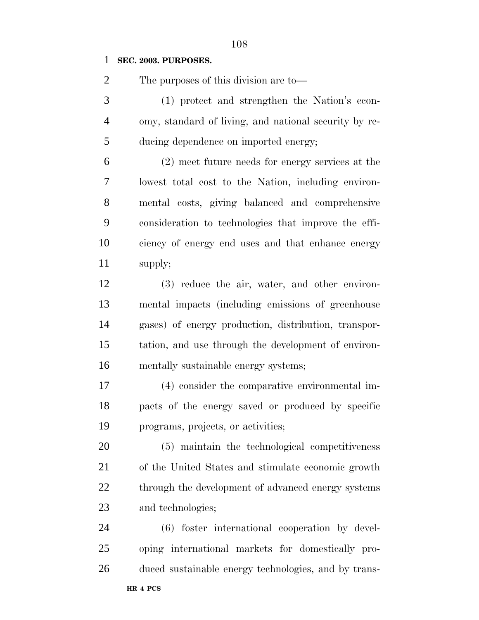#### **SEC. 2003. PURPOSES.**

The purposes of this division are to—

 (1) protect and strengthen the Nation's econ- omy, standard of living, and national security by re-ducing dependence on imported energy;

 (2) meet future needs for energy services at the lowest total cost to the Nation, including environ- mental costs, giving balanced and comprehensive consideration to technologies that improve the effi- ciency of energy end uses and that enhance energy supply;

 (3) reduce the air, water, and other environ- mental impacts (including emissions of greenhouse gases) of energy production, distribution, transpor- tation, and use through the development of environ-mentally sustainable energy systems;

 (4) consider the comparative environmental im- pacts of the energy saved or produced by specific programs, projects, or activities;

 (5) maintain the technological competitiveness of the United States and stimulate economic growth 22 through the development of advanced energy systems and technologies;

 (6) foster international cooperation by devel- oping international markets for domestically pro-duced sustainable energy technologies, and by trans-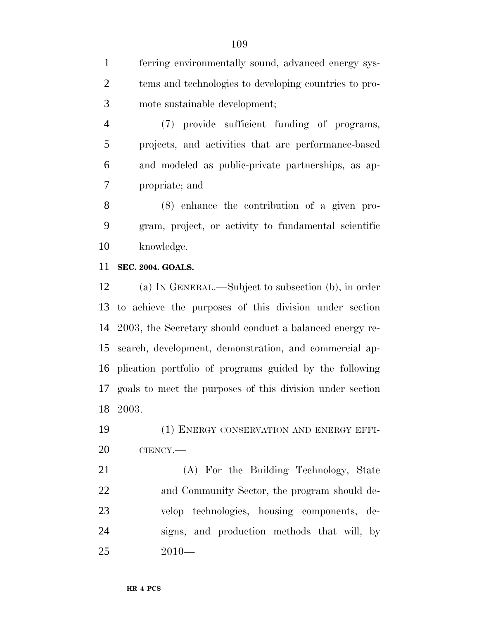ferring environmentally sound, advanced energy sys- tems and technologies to developing countries to pro-mote sustainable development;

 (7) provide sufficient funding of programs, projects, and activities that are performance-based and modeled as public-private partnerships, as ap-propriate; and

 (8) enhance the contribution of a given pro- gram, project, or activity to fundamental scientific knowledge.

# **SEC. 2004. GOALS.**

 (a) IN GENERAL.—Subject to subsection (b), in order to achieve the purposes of this division under section 2003, the Secretary should conduct a balanced energy re- search, development, demonstration, and commercial ap- plication portfolio of programs guided by the following goals to meet the purposes of this division under section 2003.

 (1) ENERGY CONSERVATION AND ENERGY EFFI-CIENCY.—

 (A) For the Building Technology, State 22 and Community Sector, the program should de- velop technologies, housing components, de- signs, and production methods that will, by 2010—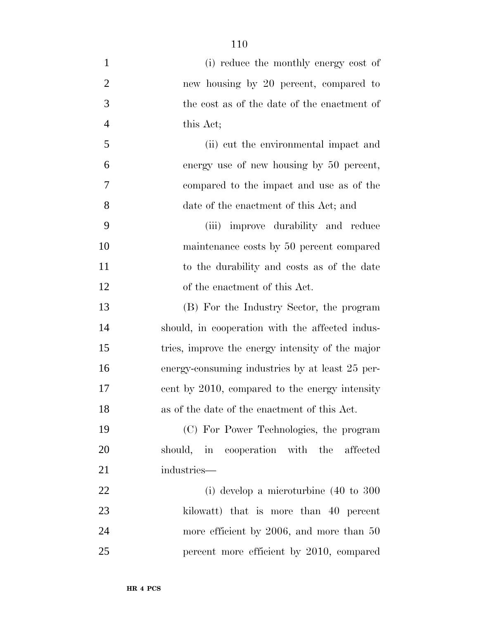(i) reduce the monthly energy cost of new housing by 20 percent, compared to the cost as of the date of the enactment of this Act; (ii) cut the environmental impact and energy use of new housing by 50 percent, compared to the impact and use as of the date of the enactment of this Act; and (iii) improve durability and reduce maintenance costs by 50 percent compared to the durability and costs as of the date of the enactment of this Act. (B) For the Industry Sector, the program should, in cooperation with the affected indus- tries, improve the energy intensity of the major energy-consuming industries by at least 25 per- cent by 2010, compared to the energy intensity as of the date of the enactment of this Act. (C) For Power Technologies, the program should, in cooperation with the affected industries— (i) develop a microturbine (40 to 300 23 kilowatt) that is more than 40 percent 24 more efficient by 2006, and more than 50 percent more efficient by 2010, compared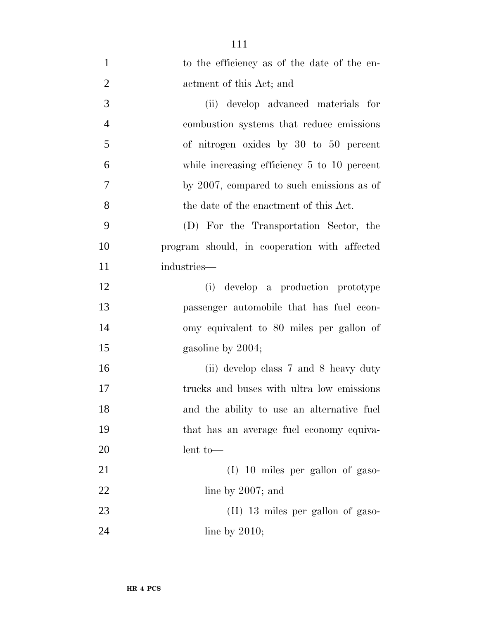| $\mathbf{1}$   | to the efficiency as of the date of the en-     |
|----------------|-------------------------------------------------|
| $\overline{2}$ | actment of this Act; and                        |
| 3              | (ii) develop advanced materials for             |
| $\overline{4}$ | combustion systems that reduce emissions        |
| 5              | of nitrogen oxides by 30 to 50 percent          |
| 6              | while increasing efficiency $5$ to $10$ percent |
| 7              | by 2007, compared to such emissions as of       |
| 8              | the date of the enactment of this Act.          |
| 9              | (D) For the Transportation Sector, the          |
| 10             | program should, in cooperation with affected    |
| 11             | industries-                                     |
| 12             | develop a production prototype<br>(i)           |
| 13             | passenger automobile that has fuel econ-        |
| 14             | omy equivalent to 80 miles per gallon of        |
| 15             | gasoline by 2004;                               |
| 16             | (ii) develop class 7 and 8 heavy duty           |
| 17             | trucks and buses with ultra low emissions       |
| 18             | and the ability to use an alternative fuel      |
| 19             | that has an average fuel economy equiva-        |
| 20             | $lent$ to —                                     |
| 21             | (I) 10 miles per gallon of gaso-                |
| 22             | line by $2007$ ; and                            |
| 23             | $(II)$ 13 miles per gallon of gaso-             |
| 24             | line by $2010$ ;                                |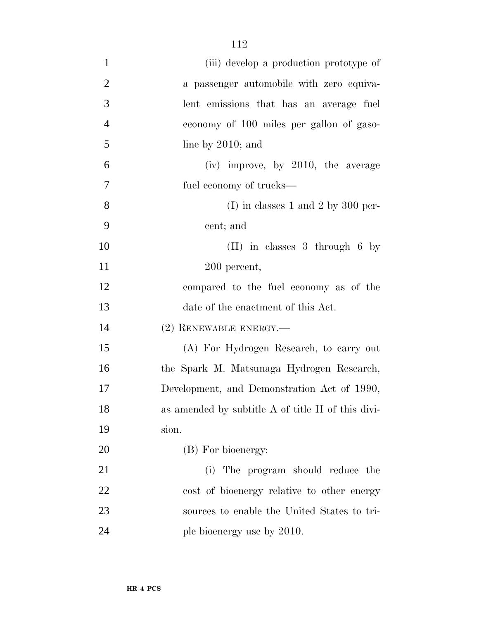| $\mathbf{1}$   | (iii) develop a production prototype of            |
|----------------|----------------------------------------------------|
| $\overline{2}$ | a passenger automobile with zero equiva-           |
| 3              | lent emissions that has an average fuel            |
| $\overline{4}$ | economy of 100 miles per gallon of gaso-           |
| 5              | line by $2010$ ; and                               |
| 6              | (iv) improve, by 2010, the average                 |
| 7              | fuel economy of trucks—                            |
| 8              | (I) in classes 1 and 2 by 300 per-                 |
| 9              | cent; and                                          |
| 10             | $(II)$ in classes 3 through 6 by                   |
| 11             | 200 percent,                                       |
| 12             | compared to the fuel economy as of the             |
| 13             | date of the enactment of this Act.                 |
| 14             | $(2)$ RENEWABLE ENERGY.—                           |
| 15             | (A) For Hydrogen Research, to carry out            |
| 16             | the Spark M. Matsunaga Hydrogen Research,          |
| 17             | Development, and Demonstration Act of 1990,        |
| 18             | as amended by subtitle A of title II of this divi- |
| 19             | sion.                                              |
| 20             | (B) For bioenergy:                                 |
| 21             | (i) The program should reduce the                  |
| 22             | cost of bioenergy relative to other energy         |
| 23             | sources to enable the United States to tri-        |
| 24             | ple bioenergy use by 2010.                         |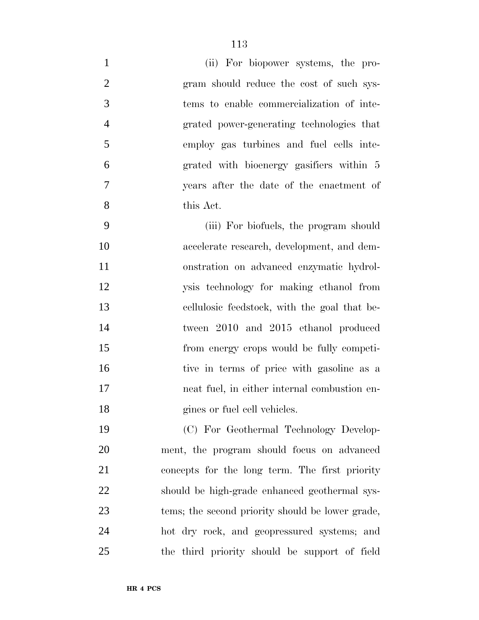| $\mathbf{1}$   | (ii) For biopower systems, the pro-          |
|----------------|----------------------------------------------|
| $\overline{2}$ | gram should reduce the cost of such sys-     |
| 3              | tems to enable commercialization of inte-    |
| $\overline{4}$ | grated power-generating technologies that    |
| 5              | employ gas turbines and fuel cells inte-     |
| 6              | grated with bioenergy gasifiers within 5     |
| 7              | years after the date of the enactment of     |
| 8              | this Act.                                    |
| 9              | (iii) For biofuels, the program should       |
| 10             | accelerate research, development, and dem-   |
| 11             | onstration on advanced enzymatic hydrol-     |
| 12             | ysis technology for making ethanol from      |
| 13             | cellulosic feedstock, with the goal that be- |
| 14             | tween 2010 and 2015 ethanol produced         |
| 15             | from energy crops would be fully competi-    |
| 16             | tive in terms of price with gasoline as a    |
| 17             | neat fuel, in either internal combustion en- |
| 18             | gines or fuel cell vehicles.                 |
| 19             | (C) For Geothermal Technology Develop-       |
| 20             | ment, the program should focus on advanced   |

 concepts for the long term. The first priority should be high-grade enhanced geothermal sys- tems; the second priority should be lower grade, hot dry rock, and geopressured systems; and the third priority should be support of field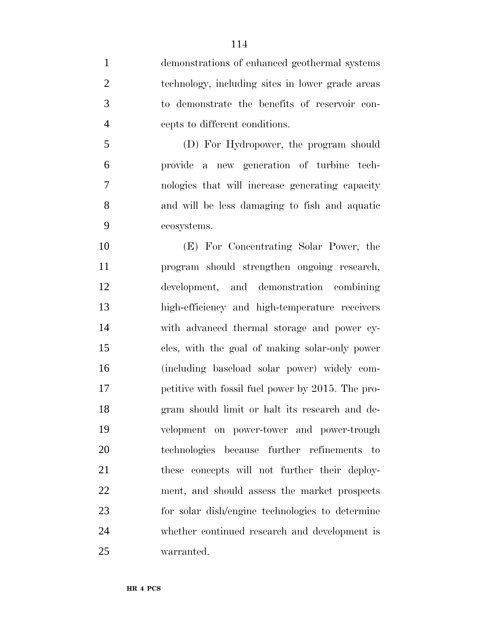demonstrations of enhanced geothermal systems technology, including sites in lower grade areas to demonstrate the benefits of reservoir con-cepts to different conditions.

 (D) For Hydropower, the program should provide a new generation of turbine tech- nologies that will increase generating capacity and will be less damaging to fish and aquatic ecosystems.

 (E) For Concentrating Solar Power, the program should strengthen ongoing research, development, and demonstration combining high-efficiency and high-temperature receivers with advanced thermal storage and power cy- cles, with the goal of making solar-only power (including baseload solar power) widely com- petitive with fossil fuel power by 2015. The pro- gram should limit or halt its research and de- velopment on power-tower and power-trough technologies because further refinements to these concepts will not further their deploy- ment, and should assess the market prospects for solar dish/engine technologies to determine whether continued research and development is warranted.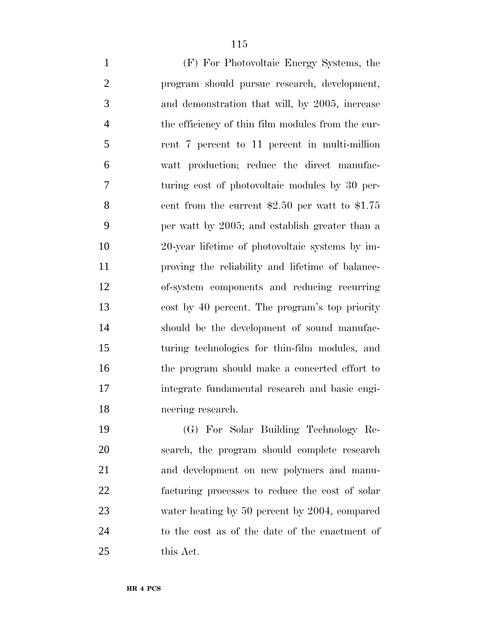(F) For Photovoltaic Energy Systems, the program should pursue research, development, and demonstration that will, by 2005, increase the efficiency of thin film modules from the cur- rent 7 percent to 11 percent in multi-million watt production; reduce the direct manufac- turing cost of photovoltaic modules by 30 per- cent from the current \$2.50 per watt to \$1.75 per watt by 2005; and establish greater than a 20-year lifetime of photovoltaic systems by im- proving the reliability and lifetime of balance- of-system components and reducing recurring cost by 40 percent. The program's top priority should be the development of sound manufac- turing technologies for thin-film modules, and 16 the program should make a concerted effort to integrate fundamental research and basic engi- neering research. (G) For Solar Building Technology Re-

 search, the program should complete research and development on new polymers and manu- facturing processes to reduce the cost of solar 23 water heating by 50 percent by 2004, compared to the cost as of the date of the enactment of this Act.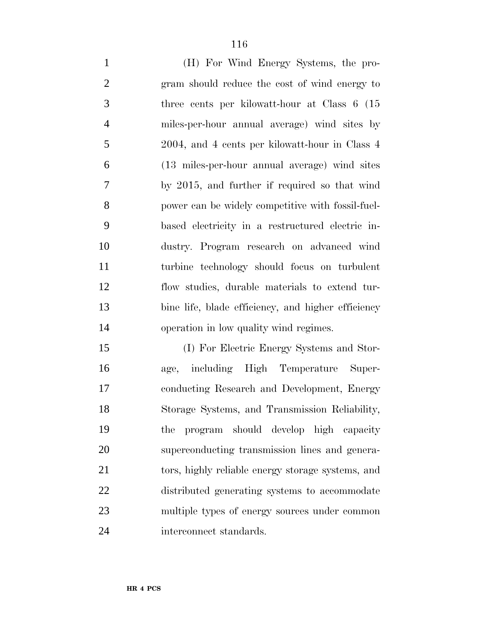(H) For Wind Energy Systems, the pro- gram should reduce the cost of wind energy to three cents per kilowatt-hour at Class 6 (15 miles-per-hour annual average) wind sites by 2004, and 4 cents per kilowatt-hour in Class 4 (13 miles-per-hour annual average) wind sites by 2015, and further if required so that wind power can be widely competitive with fossil-fuel- based electricity in a restructured electric in- dustry. Program research on advanced wind turbine technology should focus on turbulent flow studies, durable materials to extend tur- bine life, blade efficiency, and higher efficiency operation in low quality wind regimes.

 (I) For Electric Energy Systems and Stor- age, including High Temperature Super- conducting Research and Development, Energy Storage Systems, and Transmission Reliability, the program should develop high capacity superconducting transmission lines and genera- tors, highly reliable energy storage systems, and distributed generating systems to accommodate multiple types of energy sources under common interconnect standards.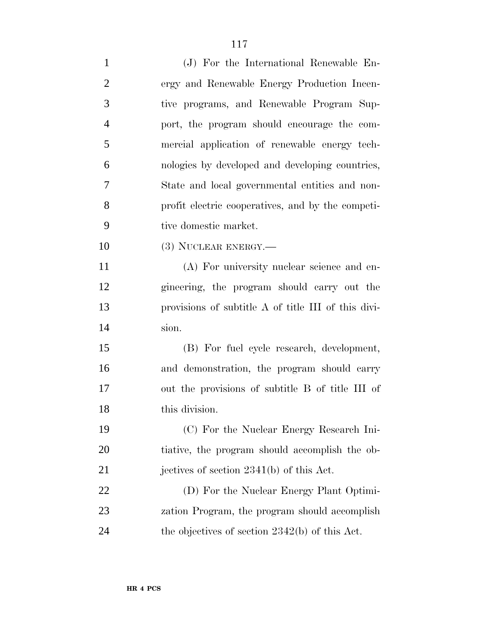| $\mathbf{1}$   | (J) For the International Renewable En-             |
|----------------|-----------------------------------------------------|
| $\overline{2}$ | ergy and Renewable Energy Production Incen-         |
| 3              | tive programs, and Renewable Program Sup-           |
| $\overline{4}$ | port, the program should encourage the com-         |
| 5              | mercial application of renewable energy tech-       |
| 6              | nologies by developed and developing countries,     |
| 7              | State and local governmental entities and non-      |
| 8              | profit electric cooperatives, and by the competi-   |
| 9              | tive domestic market.                               |
| 10             | (3) NUCLEAR ENERGY.-                                |
| 11             | (A) For university nuclear science and en-          |
| 12             | gineering, the program should carry out the         |
| 13             | provisions of subtitle A of title III of this divi- |
| 14             | sion.                                               |
| 15             | (B) For fuel cycle research, development,           |
| 16             | and demonstration, the program should carry         |
| 17             | out the provisions of subtitle B of title III of    |
| 18             | this division.                                      |
| 19             | (C) For the Nuclear Energy Research Ini-            |
| 20             | tiative, the program should accomplish the ob-      |
| 21             | jectives of section $2341(b)$ of this Act.          |
| 22             | (D) For the Nuclear Energy Plant Optimi-            |
| 23             | zation Program, the program should accomplish       |
| 24             | the objectives of section $2342(b)$ of this Act.    |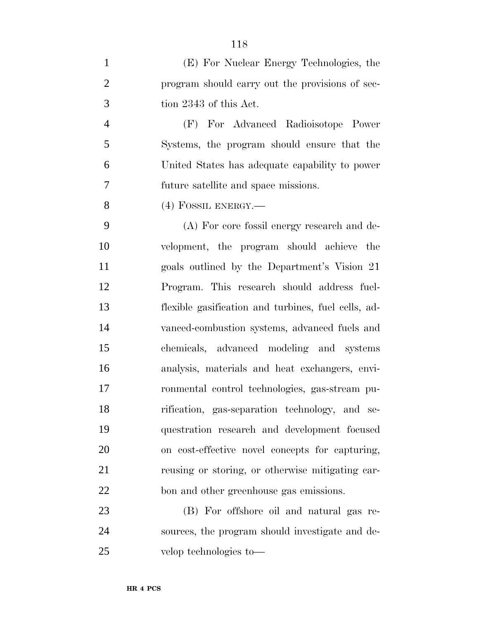| $\mathbf{1}$   | (E) For Nuclear Energy Technologies, the            |
|----------------|-----------------------------------------------------|
| $\overline{2}$ | program should carry out the provisions of sec-     |
| 3              | tion 2343 of this Act.                              |
| $\overline{4}$ | (F) For Advanced Radioisotope Power                 |
| 5              | Systems, the program should ensure that the         |
| 6              | United States has adequate capability to power      |
| 7              | future satellite and space missions.                |
| 8              | $(4)$ FOSSIL ENERGY.—                               |
| 9              | (A) For core fossil energy research and de-         |
| 10             | velopment, the program should achieve the           |
| 11             | goals outlined by the Department's Vision 21        |
| 12             | Program. This research should address fuel-         |
| 13             | flexible gasification and turbines, fuel cells, ad- |
| 14             | vanced-combustion systems, advanced fuels and       |
| 15             | chemicals, advanced modeling and systems            |
| 16             | analysis, materials and heat exchangers, envi-      |
| 17             | ronmental control technologies, gas-stream pu-      |
| 18             | rification, gas-separation technology, and se-      |
| 19             | questration research and development focused        |
| 20             | on cost-effective novel concepts for capturing,     |
| 21             | reusing or storing, or otherwise mitigating car-    |
| 22             | bon and other greenhouse gas emissions.             |

 (B) For offshore oil and natural gas re- sources, the program should investigate and de-velop technologies to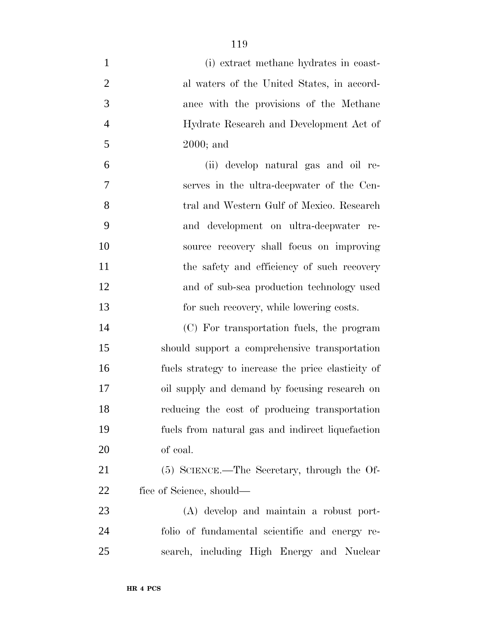| $\mathbf{1}$   | (i) extract methane hydrates in coast-             |
|----------------|----------------------------------------------------|
| $\overline{2}$ | al waters of the United States, in accord-         |
| 3              | ance with the provisions of the Methane            |
| $\overline{4}$ | Hydrate Research and Development Act of            |
| 5              | $2000$ ; and                                       |
| 6              | (ii) develop natural gas and oil re-               |
| 7              | serves in the ultra-deepwater of the Cen-          |
| 8              | tral and Western Gulf of Mexico. Research          |
| 9              | and development on ultra-deepwater re-             |
| 10             | source recovery shall focus on improving           |
| 11             | the safety and efficiency of such recovery         |
| 12             | and of sub-sea production technology used          |
| 13             | for such recovery, while lowering costs.           |
| 14             | (C) For transportation fuels, the program          |
| 15             | should support a comprehensive transportation      |
| 16             | fuels strategy to increase the price elasticity of |
| 17             | oil supply and demand by focusing research on      |
| 18             | reducing the cost of producing transportation      |
| 19             | fuels from natural gas and indirect liquefaction   |
| 20             | of coal.                                           |
| 21             | (5) SCIENCE.—The Secretary, through the Of-        |
| 22             | fice of Science, should—                           |
| 23             | (A) develop and maintain a robust port-            |
| 24             | folio of fundamental scientific and energy re-     |
| 25             | search, including High Energy and Nuclear          |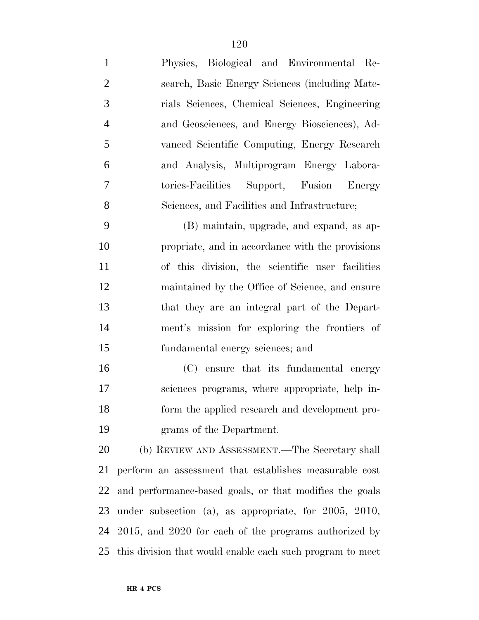| $\mathbf{1}$   | Physics, Biological and Environmental Re-        |
|----------------|--------------------------------------------------|
| 2              | search, Basic Energy Sciences (including Mate-   |
| 3              | rials Sciences, Chemical Sciences, Engineering   |
| $\overline{4}$ | and Geosciences, and Energy Biosciences), Ad-    |
| 5              | vanced Scientific Computing, Energy Research     |
| 6              | and Analysis, Multiprogram Energy Labora-        |
| 7              | tories-Facilities Support, Fusion Energy         |
| 8              | Sciences, and Facilities and Infrastructure;     |
| 9              | (B) maintain, upgrade, and expand, as ap-        |
| 10             | propriate, and in accordance with the provisions |

 of this division, the scientific user facilities maintained by the Office of Science, and ensure that they are an integral part of the Depart- ment's mission for exploring the frontiers of fundamental energy sciences; and

 (C) ensure that its fundamental energy sciences programs, where appropriate, help in- form the applied research and development pro-grams of the Department.

 (b) REVIEW AND ASSESSMENT.—The Secretary shall perform an assessment that establishes measurable cost and performance-based goals, or that modifies the goals under subsection (a), as appropriate, for 2005, 2010, 2015, and 2020 for each of the programs authorized by this division that would enable each such program to meet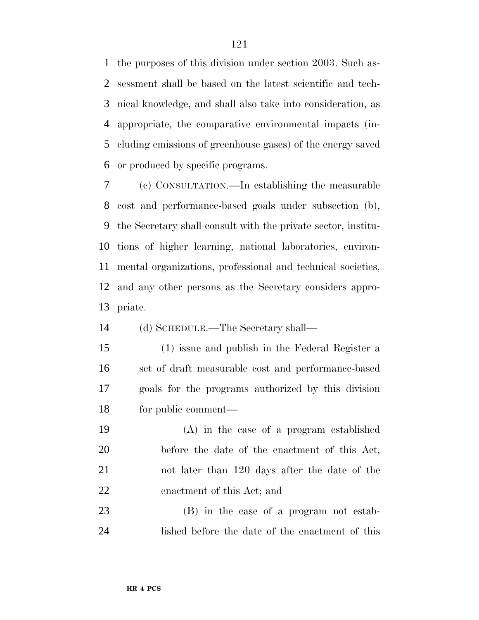the purposes of this division under section 2003. Such as- sessment shall be based on the latest scientific and tech- nical knowledge, and shall also take into consideration, as appropriate, the comparative environmental impacts (in- cluding emissions of greenhouse gases) of the energy saved or produced by specific programs.

 (c) CONSULTATION.—In establishing the measurable cost and performance-based goals under subsection (b), the Secretary shall consult with the private sector, institu- tions of higher learning, national laboratories, environ- mental organizations, professional and technical societies, and any other persons as the Secretary considers appro-priate.

(d) SCHEDULE.—The Secretary shall—

 (1) issue and publish in the Federal Register a set of draft measurable cost and performance-based goals for the programs authorized by this division for public comment—

 (A) in the case of a program established before the date of the enactment of this Act, not later than 120 days after the date of the enactment of this Act; and

 (B) in the case of a program not estab-lished before the date of the enactment of this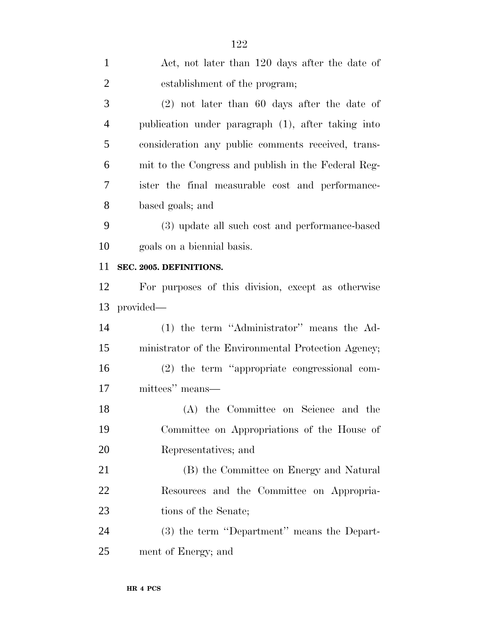| $\mathbf{1}$   | Act, not later than 120 days after the date of      |
|----------------|-----------------------------------------------------|
| $\overline{2}$ | establishment of the program;                       |
| 3              | $(2)$ not later than 60 days after the date of      |
| $\overline{4}$ | publication under paragraph (1), after taking into  |
| 5              | consideration any public comments received, trans-  |
| 6              | mit to the Congress and publish in the Federal Reg- |
| 7              | ister the final measurable cost and performance-    |
| 8              | based goals; and                                    |
| 9              | (3) update all such cost and performance-based      |
| 10             | goals on a biennial basis.                          |
| 11             | SEC. 2005. DEFINITIONS.                             |
| 12             | For purposes of this division, except as otherwise  |
| 13             | provided—                                           |
| 14             | (1) the term "Administrator" means the Ad-          |
| 15             | ministrator of the Environmental Protection Agency; |
| 16             | (2) the term "appropriate congressional com-        |
| 17             | mittees" means—                                     |
| 18             | (A) the Committee on Science and the                |
| 19             | Committee on Appropriations of the House of         |
| 20             | Representatives; and                                |
| 21             | (B) the Committee on Energy and Natural             |
| 22             | Resources and the Committee on Appropria-           |
| 23             | tions of the Senate;                                |
| 24             | (3) the term "Department" means the Depart-         |
| 25             | ment of Energy; and                                 |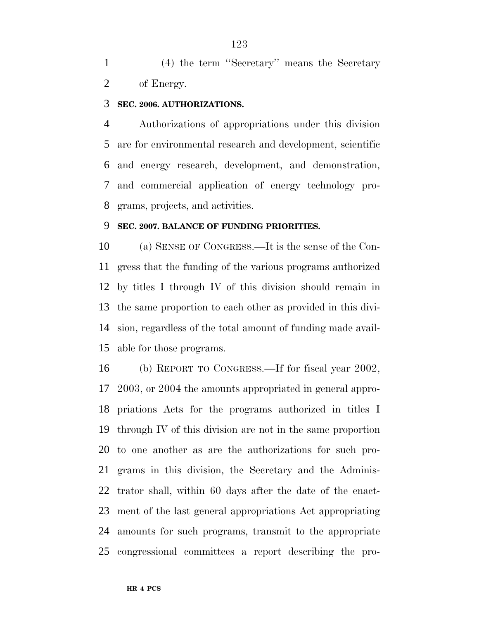(4) the term ''Secretary'' means the Secretary of Energy.

#### **SEC. 2006. AUTHORIZATIONS.**

 Authorizations of appropriations under this division are for environmental research and development, scientific and energy research, development, and demonstration, and commercial application of energy technology pro-grams, projects, and activities.

### **SEC. 2007. BALANCE OF FUNDING PRIORITIES.**

 (a) SENSE OF CONGRESS.—It is the sense of the Con- gress that the funding of the various programs authorized by titles I through IV of this division should remain in the same proportion to each other as provided in this divi- sion, regardless of the total amount of funding made avail-able for those programs.

 (b) REPORT TO CONGRESS.—If for fiscal year 2002, 2003, or 2004 the amounts appropriated in general appro- priations Acts for the programs authorized in titles I through IV of this division are not in the same proportion to one another as are the authorizations for such pro- grams in this division, the Secretary and the Adminis- trator shall, within 60 days after the date of the enact- ment of the last general appropriations Act appropriating amounts for such programs, transmit to the appropriate congressional committees a report describing the pro-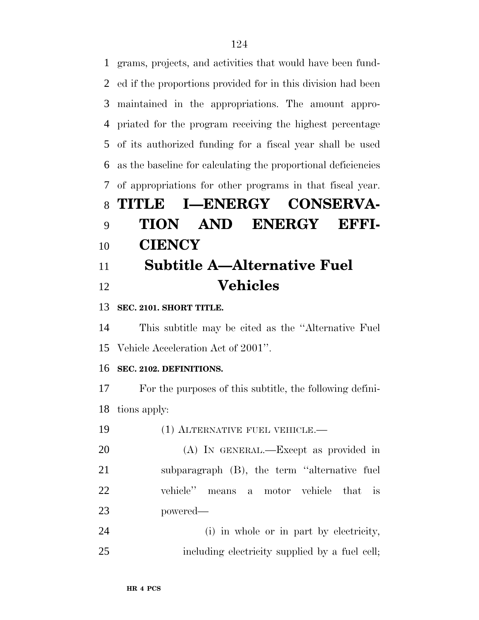grams, projects, and activities that would have been fund- ed if the proportions provided for in this division had been maintained in the appropriations. The amount appro- priated for the program receiving the highest percentage of its authorized funding for a fiscal year shall be used as the baseline for calculating the proportional deficiencies of appropriations for other programs in that fiscal year. **TITLE I—ENERGY CONSERVA- TION AND ENERGY EFFI- CIENCY Subtitle A—Alternative Fuel Vehicles**

**SEC. 2101. SHORT TITLE.**

 This subtitle may be cited as the ''Alternative Fuel Vehicle Acceleration Act of 2001''.

# **SEC. 2102. DEFINITIONS.**

 For the purposes of this subtitle, the following defini-tions apply:

| 19 | (1) ALTERNATIVE FUEL VEHICLE.—               |
|----|----------------------------------------------|
| 20 | (A) IN GENERAL.—Except as provided in        |
| 21 | subparagraph (B), the term "alternative fuel |
| 22 | vehicle" means a motor vehicle that is       |
| 23 | powered—                                     |
| 24 | (i) in whole or in part by electricity,      |

including electricity supplied by a fuel cell;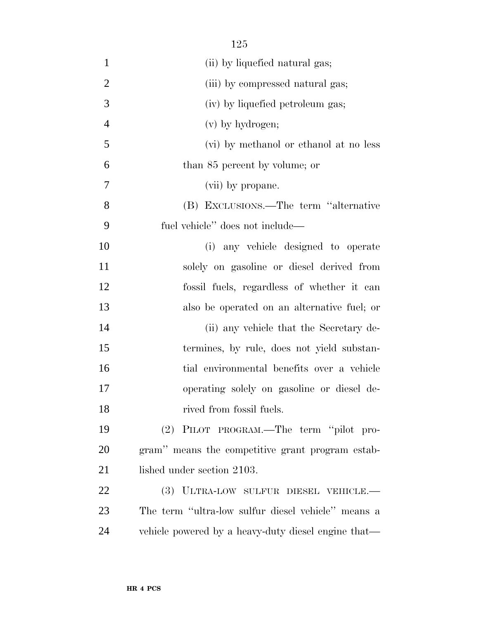| $\mathbf{1}$   | (ii) by liquefied natural gas;                      |
|----------------|-----------------------------------------------------|
| $\overline{2}$ | (iii) by compressed natural gas;                    |
| 3              | (iv) by liquefied petroleum gas;                    |
| $\overline{4}$ | (v) by hydrogen;                                    |
| 5              | (vi) by methanol or ethanol at no less              |
| 6              | than 85 percent by volume; or                       |
| $\overline{7}$ | (vii) by propane.                                   |
| 8              | (B) EXCLUSIONS.—The term "alternative               |
| 9              | fuel vehicle" does not include—                     |
| 10             | (i) any vehicle designed to operate                 |
| 11             | solely on gasoline or diesel derived from           |
| 12             | fossil fuels, regardless of whether it can          |
| 13             | also be operated on an alternative fuel; or         |
| 14             | (ii) any vehicle that the Secretary de-             |
| 15             | termines, by rule, does not yield substan-          |
| 16             | tial environmental benefits over a vehicle          |
| 17             | operating solely on gasoline or diesel de-          |
| 18             | rived from fossil fuels.                            |
| 19             | (2) PILOT PROGRAM.—The term "pilot pro-             |
| 20             | gram" means the competitive grant program estab-    |
| 21             | lished under section 2103.                          |
| 22             | (3) ULTRA-LOW SULFUR DIESEL VEHICLE.—               |
| 23             | The term "ultra-low sulfur diesel vehicle" means a  |
| 24             | vehicle powered by a heavy-duty diesel engine that— |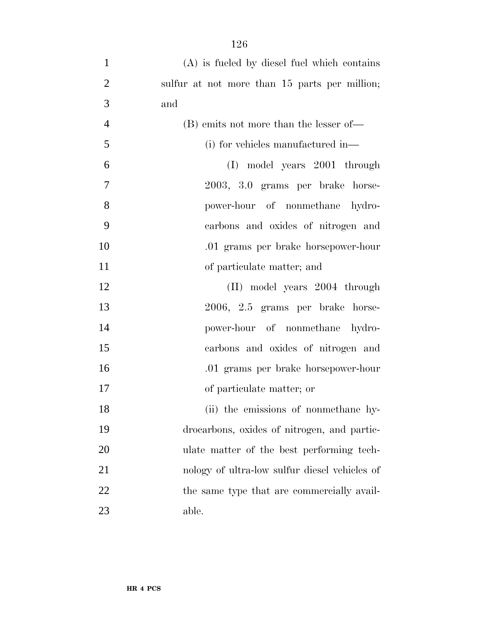| $\mathbf{1}$   | $(A)$ is fueled by diesel fuel which contains |
|----------------|-----------------------------------------------|
| $\overline{2}$ | sulfur at not more than 15 parts per million; |
| 3              | and                                           |
| $\overline{4}$ | (B) emits not more than the lesser of—        |
| 5              | (i) for vehicles manufactured in—             |
| 6              | (I) model years 2001 through                  |
| 7              | 2003, 3.0 grams per brake horse-              |
| 8              | power-hour of nonmethane hydro-               |
| 9              | carbons and oxides of nitrogen and            |
| 10             | .01 grams per brake horsepower-hour           |
| 11             | of particulate matter; and                    |
| 12             | (II) model years 2004 through                 |
| 13             | 2006, 2.5 grams per brake horse-              |
| 14             | power-hour of nonmethane hydro-               |
| 15             | carbons and oxides of nitrogen and            |
| 16             | .01 grams per brake horsepower-hour           |
| 17             | of particulate matter; or                     |
| 18             | (ii) the emissions of nonmethane hy-          |
| 19             | drocarbons, oxides of nitrogen, and partic-   |
| 20             | ulate matter of the best performing tech-     |
| 21             | nology of ultra-low sulfur diesel vehicles of |
| 22             | the same type that are commercially avail-    |
| 23             | able.                                         |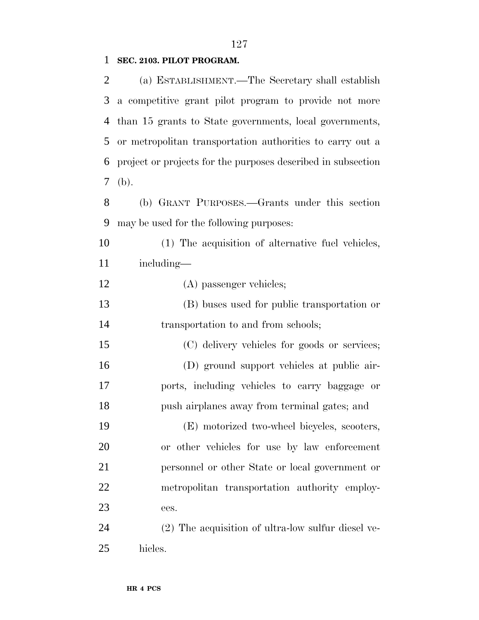# 

# **SEC. 2103. PILOT PROGRAM.**

| 2             | (a) ESTABLISHMENT.—The Secretary shall establish             |
|---------------|--------------------------------------------------------------|
| 3             | a competitive grant pilot program to provide not more        |
| 4             | than 15 grants to State governments, local governments,      |
| 5             | or metropolitan transportation authorities to carry out a    |
| 6             | project or projects for the purposes described in subsection |
| $\mathcal{T}$ | (b).                                                         |
| 8             | (b) GRANT PURPOSES.—Grants under this section                |
| 9             | may be used for the following purposes:                      |
| 10            | (1) The acquisition of alternative fuel vehicles,            |
| 11            | including—                                                   |
| 12            | (A) passenger vehicles;                                      |
| 13            | (B) buses used for public transportation or                  |
| 14            | transportation to and from schools;                          |
| 15            | (C) delivery vehicles for goods or services;                 |
| 16            | (D) ground support vehicles at public air-                   |
| 17            | ports, including vehicles to carry baggage or                |
| 18            | push airplanes away from terminal gates; and                 |
| 19            | (E) motorized two-wheel bicycles, scooters,                  |
| 20            | or other vehicles for use by law enforcement                 |
| 21            | personnel or other State or local government or              |
| 22            | metropolitan transportation authority employ-                |
| 23            | ees.                                                         |
| 24            | (2) The acquisition of ultra-low sulfur diesel ve-           |
| 25            | hicles.                                                      |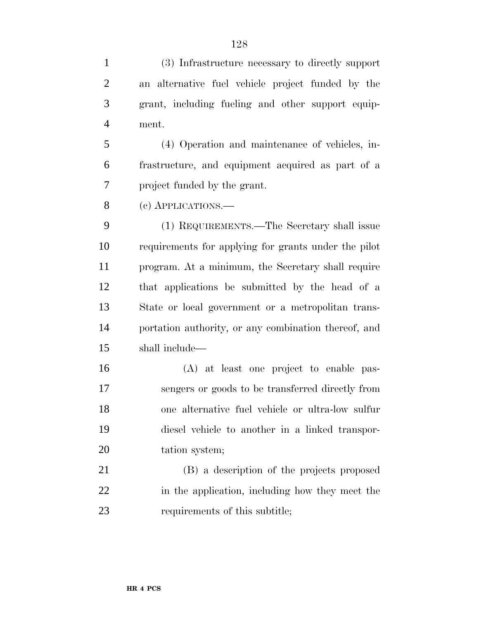(3) Infrastructure necessary to directly support an alternative fuel vehicle project funded by the grant, including fueling and other support equip-ment.

 (4) Operation and maintenance of vehicles, in- frastructure, and equipment acquired as part of a project funded by the grant.

(c) APPLICATIONS.—

 (1) REQUIREMENTS.—The Secretary shall issue requirements for applying for grants under the pilot program. At a minimum, the Secretary shall require that applications be submitted by the head of a State or local government or a metropolitan trans- portation authority, or any combination thereof, and shall include—

 (A) at least one project to enable pas- sengers or goods to be transferred directly from one alternative fuel vehicle or ultra-low sulfur diesel vehicle to another in a linked transpor-tation system;

 (B) a description of the projects proposed in the application, including how they meet the requirements of this subtitle;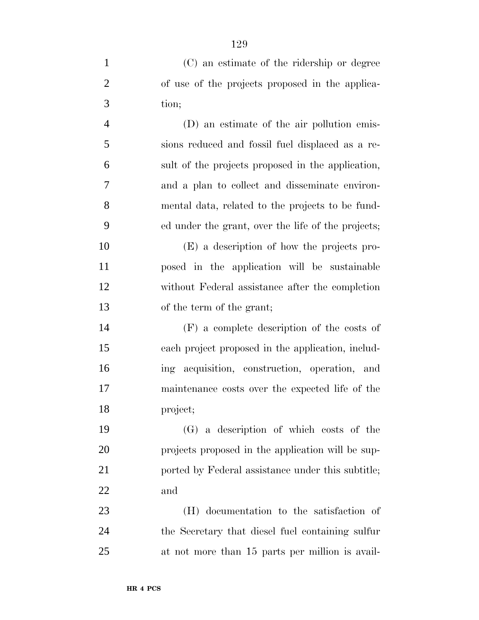| $\mathbf{1}$   | (C) an estimate of the ridership or degree         |
|----------------|----------------------------------------------------|
| $\mathbf{2}$   | of use of the projects proposed in the applica-    |
| 3              | tion;                                              |
| $\overline{4}$ | (D) an estimate of the air pollution emis-         |
| 5              | sions reduced and fossil fuel displaced as a re-   |
| 6              | sult of the projects proposed in the application,  |
| $\overline{7}$ | and a plan to collect and disseminate environ-     |
| 8              | mental data, related to the projects to be fund-   |
| 9              | ed under the grant, over the life of the projects; |
| 10             | (E) a description of how the projects pro-         |
| 11             | posed in the application will be sustainable       |
| 12             | without Federal assistance after the completion    |
| 13             | of the term of the grant;                          |
| 14             | $(F)$ a complete description of the costs of       |
| 15             | each project proposed in the application, includ-  |
| 16             | ing acquisition, construction, operation, and      |
| 17             | maintenance costs over the expected life of the    |
| 18             | project;                                           |
| 19             | (G) a description of which costs of the            |
| 20             | projects proposed in the application will be sup-  |
| 21             | ported by Federal assistance under this subtitle;  |
| 22             | and                                                |
| 23             | (H) documentation to the satisfaction of           |
| 24             | the Secretary that diesel fuel containing sulfur   |
| 25             | at not more than 15 parts per million is avail-    |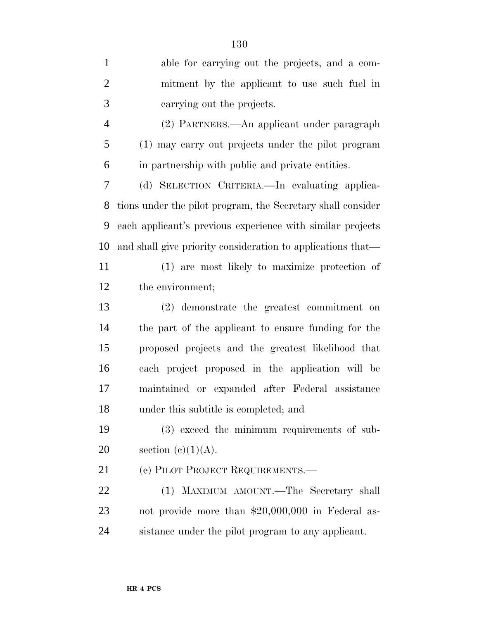| $\mathbf{1}$   | able for carrying out the projects, and a com-              |
|----------------|-------------------------------------------------------------|
| $\overline{2}$ | mitment by the applicant to use such fuel in                |
| 3              | carrying out the projects.                                  |
| $\overline{4}$ | (2) PARTNERS.—An applicant under paragraph                  |
| 5              | (1) may carry out projects under the pilot program          |
| 6              | in partnership with public and private entities.            |
| 7              | (d) SELECTION CRITERIA. In evaluating applica-              |
| 8              | tions under the pilot program, the Secretary shall consider |
| 9              | each applicant's previous experience with similar projects  |
| 10             | and shall give priority consideration to applications that— |
| 11             | (1) are most likely to maximize protection of               |
| 12             | the environment;                                            |
| 13             | (2) demonstrate the greatest commitment on                  |
| 14             | the part of the applicant to ensure funding for the         |
| 15             | proposed projects and the greatest likelihood that          |
| 16             | each project proposed in the application will be            |
| 17             | maintained or expanded after Federal assistance             |
| 18             | under this subtitle is completed; and                       |
| 19             | (3) exceed the minimum requirements of sub-                 |
| 20             | section $(c)(1)(A)$ .                                       |
| 21             | (e) PILOT PROJECT REQUIREMENTS.—                            |
| 22             | (1) MAXIMUM AMOUNT.—The Secretary shall                     |
| 23             | not provide more than \$20,000,000 in Federal as-           |
| 24             | sistance under the pilot program to any applicant.          |
|                |                                                             |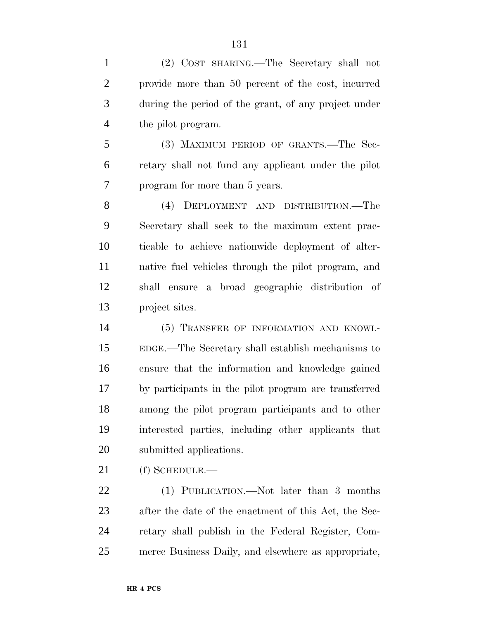(2) COST SHARING.—The Secretary shall not provide more than 50 percent of the cost, incurred during the period of the grant, of any project under the pilot program.

 (3) MAXIMUM PERIOD OF GRANTS.—The Sec- retary shall not fund any applicant under the pilot program for more than 5 years.

 (4) DEPLOYMENT AND DISTRIBUTION.—The Secretary shall seek to the maximum extent prac- ticable to achieve nationwide deployment of alter- native fuel vehicles through the pilot program, and shall ensure a broad geographic distribution of project sites.

 (5) TRANSFER OF INFORMATION AND KNOWL- EDGE.—The Secretary shall establish mechanisms to ensure that the information and knowledge gained by participants in the pilot program are transferred among the pilot program participants and to other interested parties, including other applicants that submitted applications.

(f) SCHEDULE.—

 (1) PUBLICATION.—Not later than 3 months after the date of the enactment of this Act, the Sec- retary shall publish in the Federal Register, Com-merce Business Daily, and elsewhere as appropriate,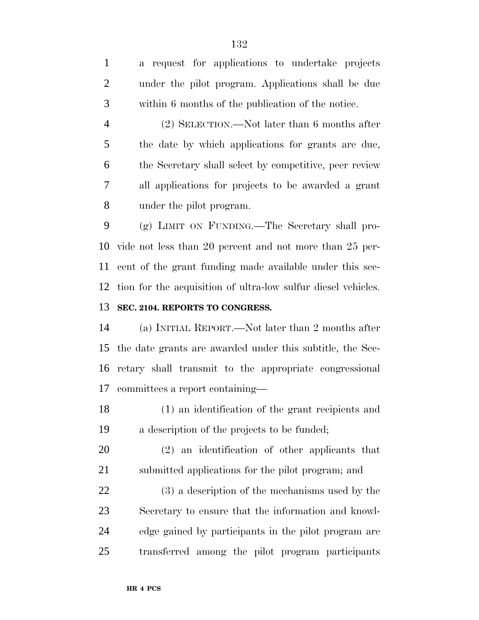a request for applications to undertake projects under the pilot program. Applications shall be due within 6 months of the publication of the notice.

 (2) SELECTION.—Not later than 6 months after the date by which applications for grants are due, the Secretary shall select by competitive, peer review all applications for projects to be awarded a grant under the pilot program.

 (g) LIMIT ON FUNDING.—The Secretary shall pro- vide not less than 20 percent and not more than 25 per- cent of the grant funding made available under this sec- tion for the acquisition of ultra-low sulfur diesel vehicles. **SEC. 2104. REPORTS TO CONGRESS.**

 (a) INITIAL REPORT.—Not later than 2 months after the date grants are awarded under this subtitle, the Sec- retary shall transmit to the appropriate congressional committees a report containing—

 (1) an identification of the grant recipients and a description of the projects to be funded;

 (2) an identification of other applicants that submitted applications for the pilot program; and

 (3) a description of the mechanisms used by the Secretary to ensure that the information and knowl- edge gained by participants in the pilot program are transferred among the pilot program participants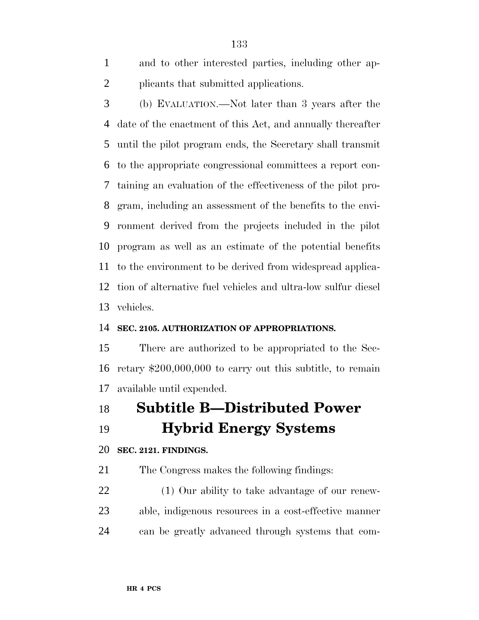and to other interested parties, including other ap-plicants that submitted applications.

 (b) EVALUATION.—Not later than 3 years after the date of the enactment of this Act, and annually thereafter until the pilot program ends, the Secretary shall transmit to the appropriate congressional committees a report con- taining an evaluation of the effectiveness of the pilot pro- gram, including an assessment of the benefits to the envi- ronment derived from the projects included in the pilot program as well as an estimate of the potential benefits to the environment to be derived from widespread applica- tion of alternative fuel vehicles and ultra-low sulfur diesel vehicles.

# **SEC. 2105. AUTHORIZATION OF APPROPRIATIONS.**

 There are authorized to be appropriated to the Sec- retary \$200,000,000 to carry out this subtitle, to remain available until expended.

 **Subtitle B—Distributed Power Hybrid Energy Systems**

#### **SEC. 2121. FINDINGS.**

The Congress makes the following findings:

 (1) Our ability to take advantage of our renew- able, indigenous resources in a cost-effective manner can be greatly advanced through systems that com-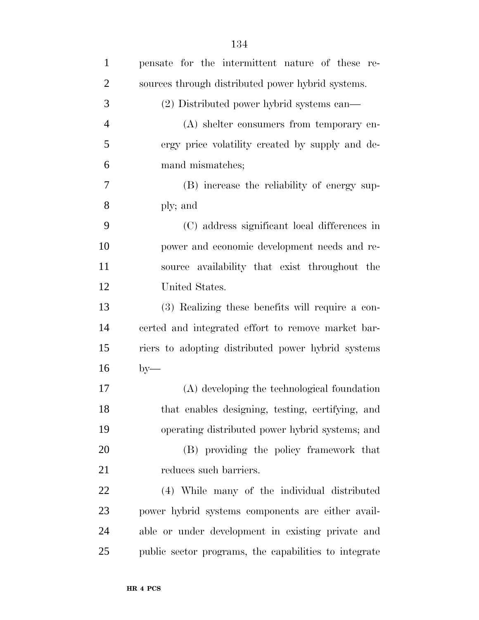| $\mathbf{1}$   | pensate for the intermittent nature of these re-      |
|----------------|-------------------------------------------------------|
| $\overline{2}$ | sources through distributed power hybrid systems.     |
| 3              | (2) Distributed power hybrid systems can—             |
| $\overline{4}$ | (A) shelter consumers from temporary en-              |
| 5              | ergy price volatility created by supply and de-       |
| 6              | mand mismatches;                                      |
| 7              | (B) increase the reliability of energy sup-           |
| 8              | ply; and                                              |
| 9              | (C) address significant local differences in          |
| 10             | power and economic development needs and re-          |
| 11             | source availability that exist throughout the         |
| 12             | United States.                                        |
| 13             | (3) Realizing these benefits will require a con-      |
| 14             | certed and integrated effort to remove market bar-    |
| 15             | riers to adopting distributed power hybrid systems    |
| 16             | $by-$                                                 |
| 17             | (A) developing the technological foundation           |
| 18             | that enables designing, testing, certifying, and      |
| 19             | operating distributed power hybrid systems; and       |
| 20             | (B) providing the policy framework that               |
| 21             | reduces such barriers.                                |
| 22             | (4) While many of the individual distributed          |
| 23             | power hybrid systems components are either avail-     |
| 24             | able or under development in existing private and     |
| 25             | public sector programs, the capabilities to integrate |
|                |                                                       |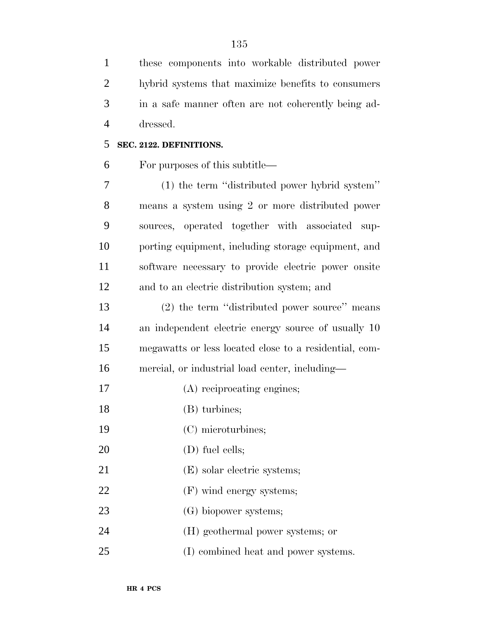these components into workable distributed power hybrid systems that maximize benefits to consumers in a safe manner often are not coherently being ad-dressed.

#### **SEC. 2122. DEFINITIONS.**

For purposes of this subtitle—

 (1) the term ''distributed power hybrid system'' means a system using 2 or more distributed power sources, operated together with associated sup- porting equipment, including storage equipment, and software necessary to provide electric power onsite and to an electric distribution system; and

 (2) the term ''distributed power source'' means an independent electric energy source of usually 10 megawatts or less located close to a residential, com-mercial, or industrial load center, including—

- (A) reciprocating engines;
- 18 (B) turbines;
- (C) microturbines;
- 20 (D) fuel cells;
- 21 (E) solar electric systems;
- 22 (F) wind energy systems;
- (G) biopower systems;
- (H) geothermal power systems; or
- (I) combined heat and power systems.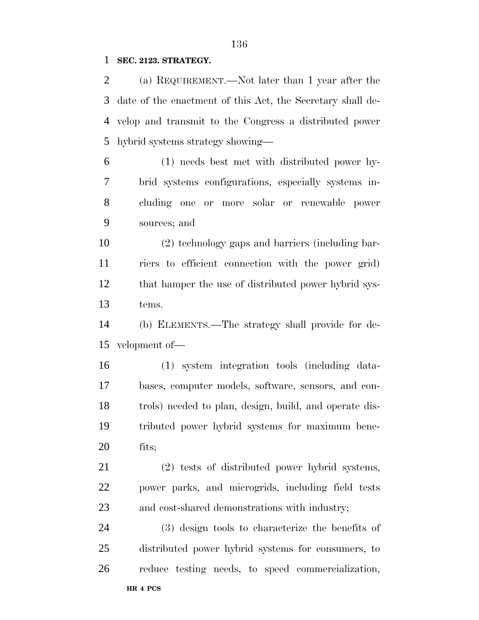## **SEC. 2123. STRATEGY.**

 (a) REQUIREMENT.—Not later than 1 year after the date of the enactment of this Act, the Secretary shall de- velop and transmit to the Congress a distributed power hybrid systems strategy showing—

 (1) needs best met with distributed power hy- brid systems configurations, especially systems in- cluding one or more solar or renewable power sources; and

 (2) technology gaps and barriers (including bar- riers to efficient connection with the power grid) that hamper the use of distributed power hybrid sys-tems.

 (b) ELEMENTS.—The strategy shall provide for de-velopment of—

 (1) system integration tools (including data- bases, computer models, software, sensors, and con- trols) needed to plan, design, build, and operate dis- tributed power hybrid systems for maximum bene-fits;

 (2) tests of distributed power hybrid systems, power parks, and microgrids, including field tests and cost-shared demonstrations with industry;

 (3) design tools to characterize the benefits of distributed power hybrid systems for consumers, to reduce testing needs, to speed commercialization,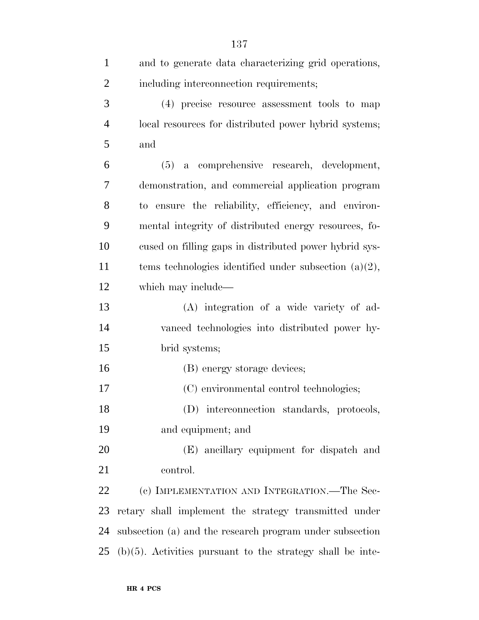| $\mathbf{1}$   | and to generate data characterizing grid operations,          |
|----------------|---------------------------------------------------------------|
| $\overline{2}$ | including interconnection requirements;                       |
| 3              | (4) precise resource assessment tools to map                  |
| $\overline{4}$ | local resources for distributed power hybrid systems;         |
| 5              | and                                                           |
| 6              | a comprehensive research, development,<br>(5)                 |
| 7              | demonstration, and commercial application program             |
| 8              | to ensure the reliability, efficiency, and environ-           |
| 9              | mental integrity of distributed energy resources, fo-         |
| 10             | cused on filling gaps in distributed power hybrid sys-        |
| 11             | tems technologies identified under subsection $(a)(2)$ ,      |
| 12             | which may include—                                            |
| 13             | (A) integration of a wide variety of ad-                      |
| 14             | vanced technologies into distributed power hy-                |
| 15             | brid systems;                                                 |
| 16             | (B) energy storage devices;                                   |
| 17             | (C) environmental control technologies;                       |
| 18             | (D) interconnection standards, protocols,                     |
| 19             | and equipment; and                                            |
| 20             | (E) ancillary equipment for dispatch and                      |
| 21             | control.                                                      |
| 22             | (c) IMPLEMENTATION AND INTEGRATION.—The Sec-                  |
| 23             | retary shall implement the strategy transmitted under         |
| 24             | subsection (a) and the research program under subsection      |
| 25             | $(b)(5)$ . Activities pursuant to the strategy shall be inte- |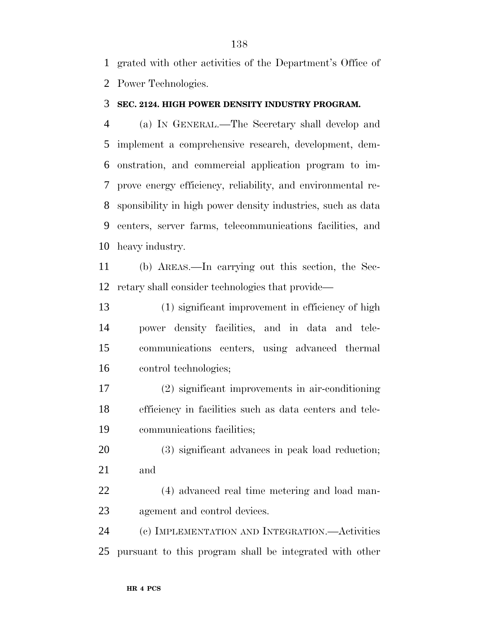grated with other activities of the Department's Office of Power Technologies.

#### **SEC. 2124. HIGH POWER DENSITY INDUSTRY PROGRAM.**

 (a) IN GENERAL.—The Secretary shall develop and implement a comprehensive research, development, dem- onstration, and commercial application program to im- prove energy efficiency, reliability, and environmental re- sponsibility in high power density industries, such as data centers, server farms, telecommunications facilities, and heavy industry.

 (b) AREAS.—In carrying out this section, the Sec-retary shall consider technologies that provide—

 (1) significant improvement in efficiency of high power density facilities, and in data and tele- communications centers, using advanced thermal control technologies;

 (2) significant improvements in air-conditioning efficiency in facilities such as data centers and tele-communications facilities;

 (3) significant advances in peak load reduction; and

 (4) advanced real time metering and load man-agement and control devices.

 (c) IMPLEMENTATION AND INTEGRATION.—Activities pursuant to this program shall be integrated with other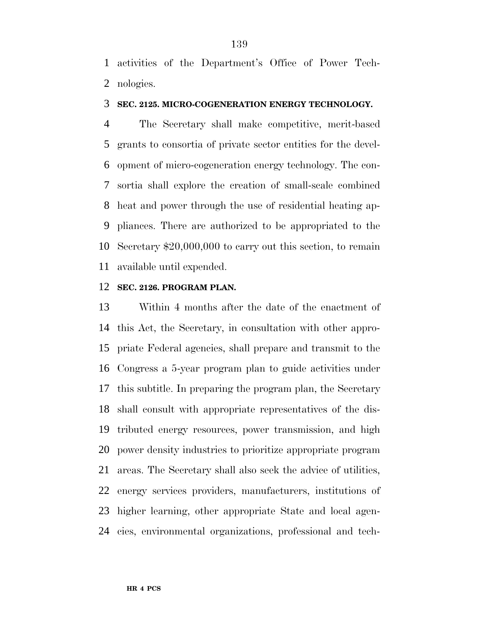activities of the Department's Office of Power Tech-nologies.

#### **SEC. 2125. MICRO-COGENERATION ENERGY TECHNOLOGY.**

 The Secretary shall make competitive, merit-based grants to consortia of private sector entities for the devel- opment of micro-cogeneration energy technology. The con- sortia shall explore the creation of small-scale combined heat and power through the use of residential heating ap- pliances. There are authorized to be appropriated to the Secretary \$20,000,000 to carry out this section, to remain available until expended.

#### **SEC. 2126. PROGRAM PLAN.**

 Within 4 months after the date of the enactment of this Act, the Secretary, in consultation with other appro- priate Federal agencies, shall prepare and transmit to the Congress a 5-year program plan to guide activities under this subtitle. In preparing the program plan, the Secretary shall consult with appropriate representatives of the dis- tributed energy resources, power transmission, and high power density industries to prioritize appropriate program areas. The Secretary shall also seek the advice of utilities, energy services providers, manufacturers, institutions of higher learning, other appropriate State and local agen-cies, environmental organizations, professional and tech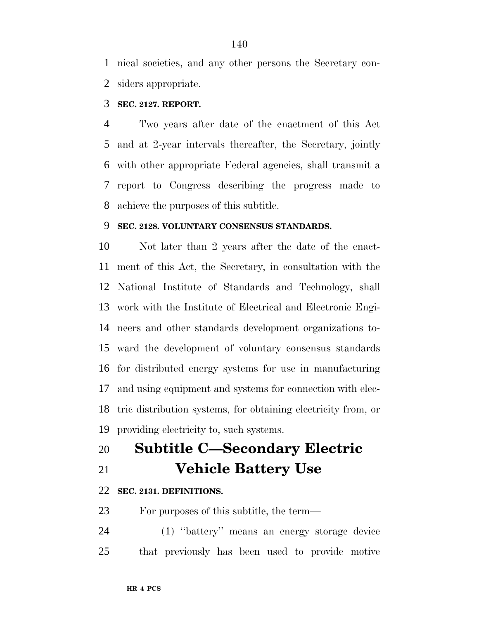nical societies, and any other persons the Secretary con-siders appropriate.

# **SEC. 2127. REPORT.**

 Two years after date of the enactment of this Act and at 2-year intervals thereafter, the Secretary, jointly with other appropriate Federal agencies, shall transmit a report to Congress describing the progress made to achieve the purposes of this subtitle.

# **SEC. 2128. VOLUNTARY CONSENSUS STANDARDS.**

 Not later than 2 years after the date of the enact- ment of this Act, the Secretary, in consultation with the National Institute of Standards and Technology, shall work with the Institute of Electrical and Electronic Engi- neers and other standards development organizations to- ward the development of voluntary consensus standards for distributed energy systems for use in manufacturing and using equipment and systems for connection with elec- tric distribution systems, for obtaining electricity from, or providing electricity to, such systems.

- **Subtitle C—Secondary Electric**
- 

# **Vehicle Battery Use**

## **SEC. 2131. DEFINITIONS.**

For purposes of this subtitle, the term—

 (1) ''battery'' means an energy storage device that previously has been used to provide motive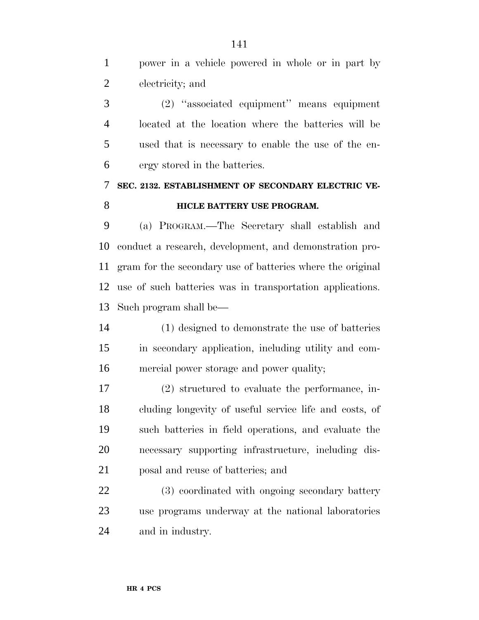power in a vehicle powered in whole or in part by electricity; and (2) ''associated equipment'' means equipment located at the location where the batteries will be used that is necessary to enable the use of the en- ergy stored in the batteries. **SEC. 2132. ESTABLISHMENT OF SECONDARY ELECTRIC VE-HICLE BATTERY USE PROGRAM.**  (a) PROGRAM.—The Secretary shall establish and conduct a research, development, and demonstration pro- gram for the secondary use of batteries where the original use of such batteries was in transportation applications. Such program shall be— (1) designed to demonstrate the use of batteries in secondary application, including utility and com- mercial power storage and power quality; (2) structured to evaluate the performance, in- cluding longevity of useful service life and costs, of such batteries in field operations, and evaluate the necessary supporting infrastructure, including dis- posal and reuse of batteries; and 22 (3) coordinated with ongoing secondary battery use programs underway at the national laboratories and in industry.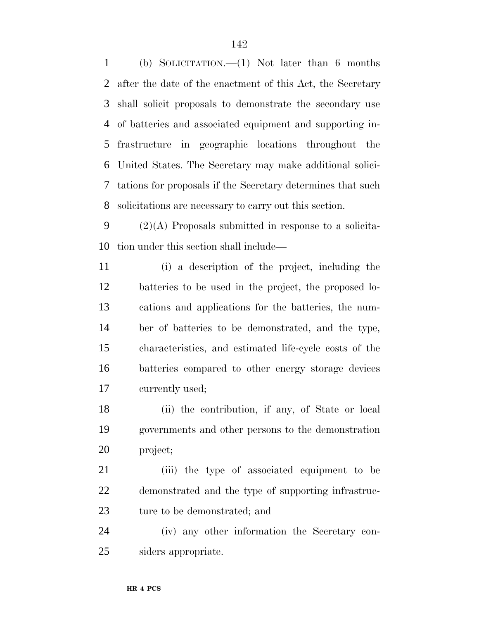(b) SOLICITATION.—(1) Not later than 6 months after the date of the enactment of this Act, the Secretary shall solicit proposals to demonstrate the secondary use of batteries and associated equipment and supporting in- frastructure in geographic locations throughout the United States. The Secretary may make additional solici- tations for proposals if the Secretary determines that such solicitations are necessary to carry out this section.

9  $(2)(A)$  Proposals submitted in response to a solicita-tion under this section shall include—

 (i) a description of the project, including the batteries to be used in the project, the proposed lo- cations and applications for the batteries, the num- ber of batteries to be demonstrated, and the type, characteristics, and estimated life-cycle costs of the batteries compared to other energy storage devices currently used;

 (ii) the contribution, if any, of State or local governments and other persons to the demonstration project;

 (iii) the type of associated equipment to be demonstrated and the type of supporting infrastruc-ture to be demonstrated; and

 (iv) any other information the Secretary con-siders appropriate.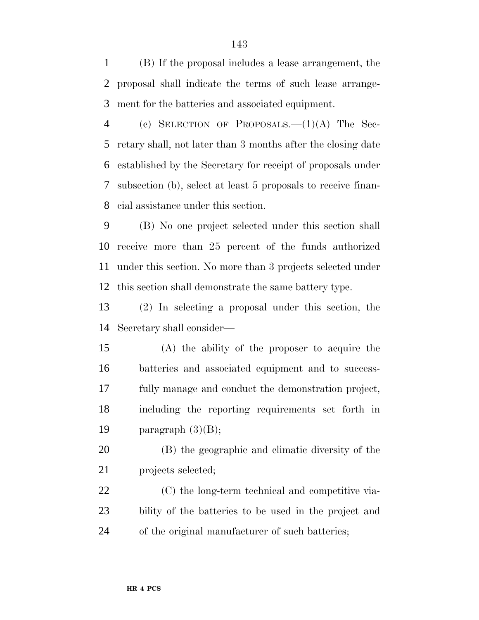(B) If the proposal includes a lease arrangement, the proposal shall indicate the terms of such lease arrange-ment for the batteries and associated equipment.

 (c) SELECTION OF PROPOSALS.—(1)(A) The Sec- retary shall, not later than 3 months after the closing date established by the Secretary for receipt of proposals under subsection (b), select at least 5 proposals to receive finan-cial assistance under this section.

 (B) No one project selected under this section shall receive more than 25 percent of the funds authorized under this section. No more than 3 projects selected under this section shall demonstrate the same battery type.

 (2) In selecting a proposal under this section, the Secretary shall consider—

 (A) the ability of the proposer to acquire the batteries and associated equipment and to success- fully manage and conduct the demonstration project, including the reporting requirements set forth in 19 paragraph  $(3)(B)$ ;

 (B) the geographic and climatic diversity of the projects selected;

 (C) the long-term technical and competitive via- bility of the batteries to be used in the project and of the original manufacturer of such batteries;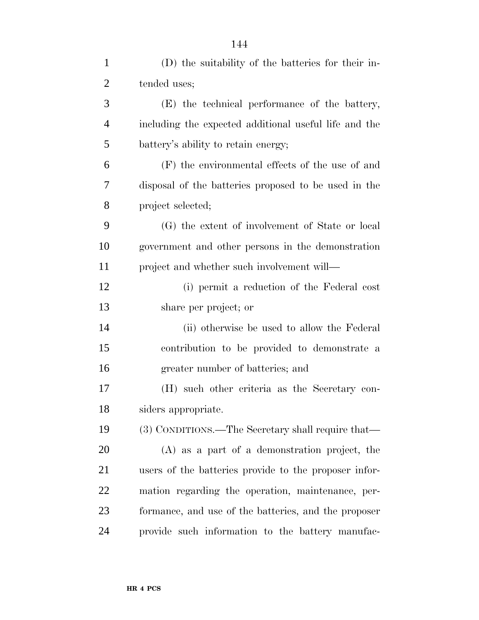| $\mathbf{1}$   | (D) the suitability of the batteries for their in-    |
|----------------|-------------------------------------------------------|
| $\overline{c}$ | tended uses;                                          |
| 3              | (E) the technical performance of the battery,         |
| $\overline{4}$ | including the expected additional useful life and the |
| 5              | battery's ability to retain energy;                   |
| 6              | (F) the environmental effects of the use of and       |
| 7              | disposal of the batteries proposed to be used in the  |
| 8              | project selected;                                     |
| 9              | (G) the extent of involvement of State or local       |
| 10             | government and other persons in the demonstration     |
| 11             | project and whether such involvement will—            |
| 12             | (i) permit a reduction of the Federal cost            |
| 13             | share per project; or                                 |
| 14             | (ii) otherwise be used to allow the Federal           |
| 15             | contribution to be provided to demonstrate a          |
| 16             | greater number of batteries; and                      |
| 17             | (H) such other criteria as the Secretary con-         |
| 18             | siders appropriate.                                   |
| 19             | (3) CONDITIONS.—The Secretary shall require that—     |
| 20             | (A) as a part of a demonstration project, the         |
| 21             | users of the batteries provide to the proposer infor- |
| 22             | mation regarding the operation, maintenance, per-     |
| 23             | formance, and use of the batteries, and the proposer  |
| 24             | provide such information to the battery manufac-      |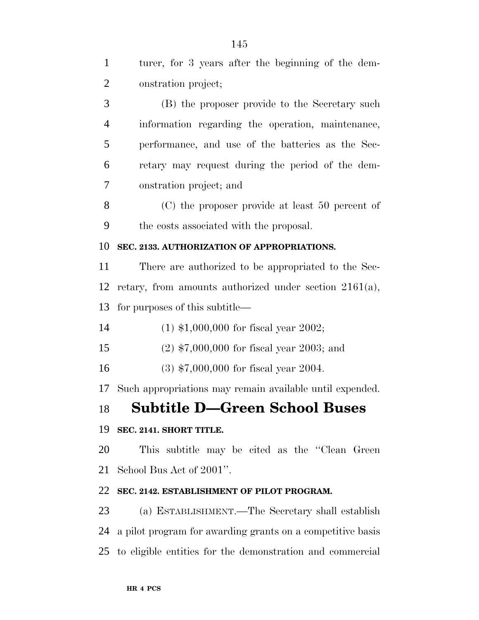| onstration project;<br>(B) the proposer provide to the Secretary such<br>information regarding the operation, maintenance,<br>performance, and use of the batteries as the Sec-<br>retary may request during the period of the dem-<br>onstration project; and<br>(C) the proposer provide at least 50 percent of<br>the costs associated with the proposal. |
|--------------------------------------------------------------------------------------------------------------------------------------------------------------------------------------------------------------------------------------------------------------------------------------------------------------------------------------------------------------|
|                                                                                                                                                                                                                                                                                                                                                              |
|                                                                                                                                                                                                                                                                                                                                                              |
|                                                                                                                                                                                                                                                                                                                                                              |
|                                                                                                                                                                                                                                                                                                                                                              |
|                                                                                                                                                                                                                                                                                                                                                              |
|                                                                                                                                                                                                                                                                                                                                                              |
|                                                                                                                                                                                                                                                                                                                                                              |
|                                                                                                                                                                                                                                                                                                                                                              |
| SEC. 2133. AUTHORIZATION OF APPROPRIATIONS.                                                                                                                                                                                                                                                                                                                  |
| There are authorized to be appropriated to the Sec-                                                                                                                                                                                                                                                                                                          |
| retary, from amounts authorized under section $2161(a)$ ,                                                                                                                                                                                                                                                                                                    |
| for purposes of this subtitle—                                                                                                                                                                                                                                                                                                                               |
| $(1)$ \$1,000,000 for fiscal year 2002;                                                                                                                                                                                                                                                                                                                      |
| $(2)$ \$7,000,000 for fiscal year 2003; and                                                                                                                                                                                                                                                                                                                  |
| $(3)$ \$7,000,000 for fiscal year 2004.                                                                                                                                                                                                                                                                                                                      |
| Such appropriations may remain available until expended.                                                                                                                                                                                                                                                                                                     |
| 18 Subtitle D-Green School Buses                                                                                                                                                                                                                                                                                                                             |
| SEC. 2141. SHORT TITLE.                                                                                                                                                                                                                                                                                                                                      |
| This subtitle may be cited as the "Clean Green"                                                                                                                                                                                                                                                                                                              |
| School Bus Act of 2001".                                                                                                                                                                                                                                                                                                                                     |
| SEC. 2142. ESTABLISHMENT OF PILOT PROGRAM.                                                                                                                                                                                                                                                                                                                   |
| (a) ESTABLISHMENT.—The Secretary shall establish                                                                                                                                                                                                                                                                                                             |
| a pilot program for awarding grants on a competitive basis                                                                                                                                                                                                                                                                                                   |
| 25 to eligible entities for the demonstration and commercial                                                                                                                                                                                                                                                                                                 |
| 12<br>17                                                                                                                                                                                                                                                                                                                                                     |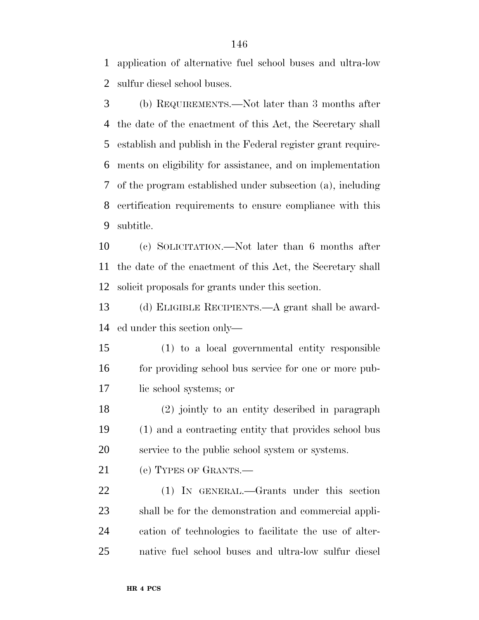application of alternative fuel school buses and ultra-low sulfur diesel school buses.

 (b) REQUIREMENTS.—Not later than 3 months after the date of the enactment of this Act, the Secretary shall establish and publish in the Federal register grant require- ments on eligibility for assistance, and on implementation of the program established under subsection (a), including certification requirements to ensure compliance with this subtitle.

 (c) SOLICITATION.—Not later than 6 months after the date of the enactment of this Act, the Secretary shall solicit proposals for grants under this section.

 (d) ELIGIBLE RECIPIENTS.—A grant shall be award-ed under this section only—

 (1) to a local governmental entity responsible 16 for providing school bus service for one or more pub-lic school systems; or

 (2) jointly to an entity described in paragraph (1) and a contracting entity that provides school bus service to the public school system or systems.

21 (e) TYPES OF GRANTS.

 (1) IN GENERAL.—Grants under this section shall be for the demonstration and commercial appli- cation of technologies to facilitate the use of alter-native fuel school buses and ultra-low sulfur diesel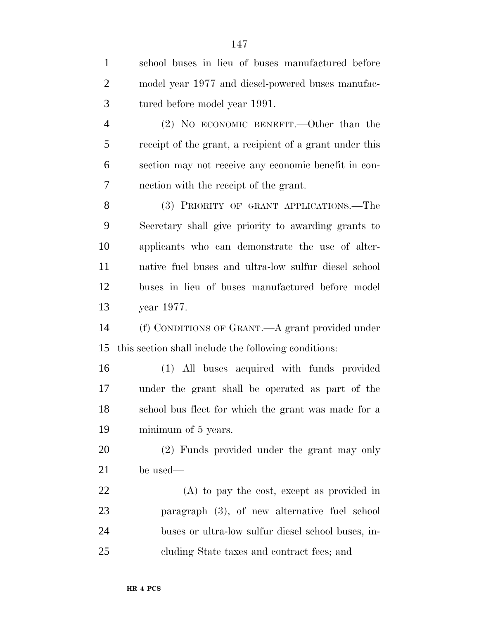| $\mathbf{1}$   | school buses in lieu of buses manufactured before       |
|----------------|---------------------------------------------------------|
| $\overline{2}$ | model year 1977 and diesel-powered buses manufac-       |
| 3              | tured before model year 1991.                           |
| $\overline{4}$ | $(2)$ No ECONOMIC BENEFIT.—Other than the               |
| 5              | receipt of the grant, a recipient of a grant under this |
| 6              | section may not receive any economic benefit in con-    |
| 7              | nection with the receipt of the grant.                  |
| 8              | (3) PRIORITY OF GRANT APPLICATIONS.-The                 |
| 9              | Secretary shall give priority to awarding grants to     |
| 10             | applicants who can demonstrate the use of alter-        |
| 11             | native fuel buses and ultra-low sulfur diesel school    |
| 12             | buses in lieu of buses manufactured before model        |
| 13             | year 1977.                                              |
| 14             | (f) CONDITIONS OF GRANT.—A grant provided under         |
| 15             | this section shall include the following conditions:    |
| 16             | (1) All buses acquired with funds provided              |
| 17             | under the grant shall be operated as part of the        |
| 18             | school bus fleet for which the grant was made for a     |
| 19             | minimum of 5 years.                                     |
| <b>20</b>      | (2) Funds provided under the grant may only             |
| 21             | be used—                                                |
| 22             | $(A)$ to pay the cost, except as provided in            |
| 23             | paragraph (3), of new alternative fuel school           |
| 24             | buses or ultra-low sulfur diesel school buses, in-      |
| 25             | cluding State taxes and contract fees; and              |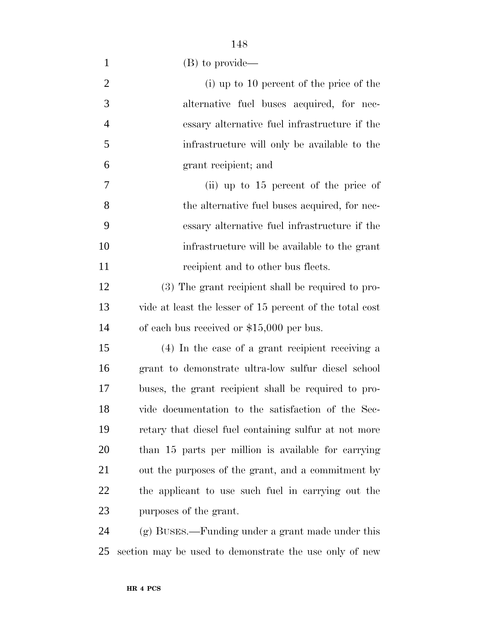| $\overline{2}$ | (i) up to 10 percent of the price of the                 |
|----------------|----------------------------------------------------------|
| 3              | alternative fuel buses acquired, for nec-                |
| $\overline{4}$ | essary alternative fuel infrastructure if the            |
| 5              | infrastructure will only be available to the             |
| 6              | grant recipient; and                                     |
| $\overline{7}$ | (ii) up to $15$ percent of the price of                  |
| 8              | the alternative fuel buses acquired, for nec-            |
| 9              | essary alternative fuel infrastructure if the            |
| 10             | infrastructure will be available to the grant            |
| 11             | recipient and to other bus fleets.                       |
| 12             | (3) The grant recipient shall be required to pro-        |
| 13             | vide at least the lesser of 15 percent of the total cost |
| 14             | of each bus received or $$15,000$ per bus.               |
| 15             | (4) In the case of a grant recipient receiving a         |
| 16             | grant to demonstrate ultra-low sulfur diesel school      |
| 17             | buses, the grant recipient shall be required to pro-     |
| 18             | vide documentation to the satisfaction of the Sec-       |
| 19             | retary that diesel fuel containing sulfur at not more    |
| 20             | than 15 parts per million is available for carrying      |
| 21             | out the purposes of the grant, and a commitment by       |
| 22             | the applicant to use such fuel in carrying out the       |
| 23             | purposes of the grant.                                   |
| 24             | (g) BUSES.—Funding under a grant made under this         |
|                |                                                          |

section may be used to demonstrate the use only of new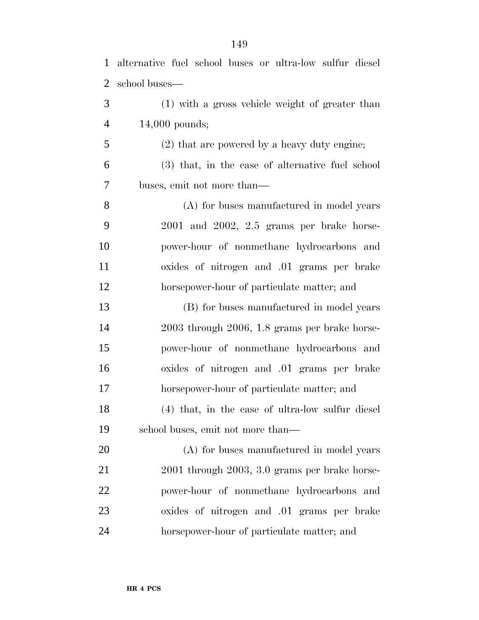| $\mathbf{1}$ | alternative fuel school buses or ultra-low sulfur diesel |
|--------------|----------------------------------------------------------|
| 2            | school buses—                                            |
| 3            | (1) with a gross vehicle weight of greater than          |
| 4            | $14,000$ pounds;                                         |
| 5            | (2) that are powered by a heavy duty engine;             |
| 6            | (3) that, in the case of alternative fuel school         |
| 7            | buses, emit not more than—                               |
| 8            | (A) for buses manufactured in model years                |
| 9            | $2001$ and $2002$ , $2.5$ grams per brake horse-         |
| 10           | power-hour of nonmethane hydrocarbons and                |
| 11           | oxides of nitrogen and .01 grams per brake               |
| 12           | horsepower-hour of particulate matter; and               |
| 13           | (B) for buses manufactured in model years                |

 2003 through 2006, 1.8 grams per brake horse- power-hour of nonmethane hydrocarbons and oxides of nitrogen and .01 grams per brake horsepower-hour of particulate matter; and (4) that, in the case of ultra-low sulfur diesel school buses, emit not more than—

 (A) for buses manufactured in model years 2001 through 2003, 3.0 grams per brake horse- power-hour of nonmethane hydrocarbons and oxides of nitrogen and .01 grams per brake horsepower-hour of particulate matter; and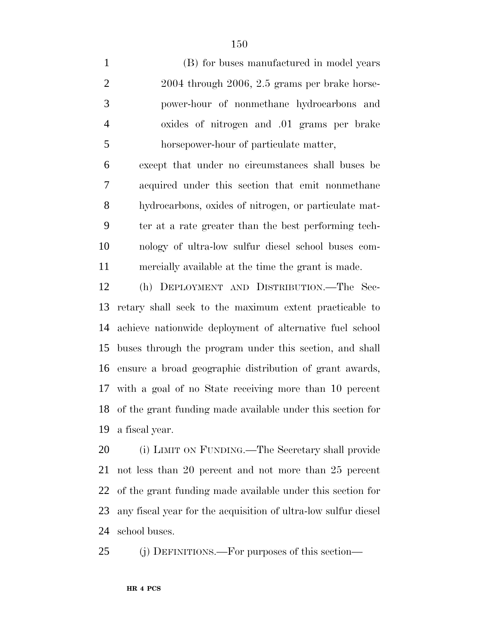(B) for buses manufactured in model years 2004 through 2006, 2.5 grams per brake horse- power-hour of nonmethane hydrocarbons and oxides of nitrogen and .01 grams per brake horsepower-hour of particulate matter, except that under no circumstances shall buses be

 acquired under this section that emit nonmethane hydrocarbons, oxides of nitrogen, or particulate mat- ter at a rate greater than the best performing tech- nology of ultra-low sulfur diesel school buses com-mercially available at the time the grant is made.

 (h) DEPLOYMENT AND DISTRIBUTION.—The Sec- retary shall seek to the maximum extent practicable to achieve nationwide deployment of alternative fuel school buses through the program under this section, and shall ensure a broad geographic distribution of grant awards, with a goal of no State receiving more than 10 percent of the grant funding made available under this section for a fiscal year.

 (i) LIMIT ON FUNDING.—The Secretary shall provide not less than 20 percent and not more than 25 percent of the grant funding made available under this section for any fiscal year for the acquisition of ultra-low sulfur diesel school buses.

(j) DEFINITIONS.—For purposes of this section—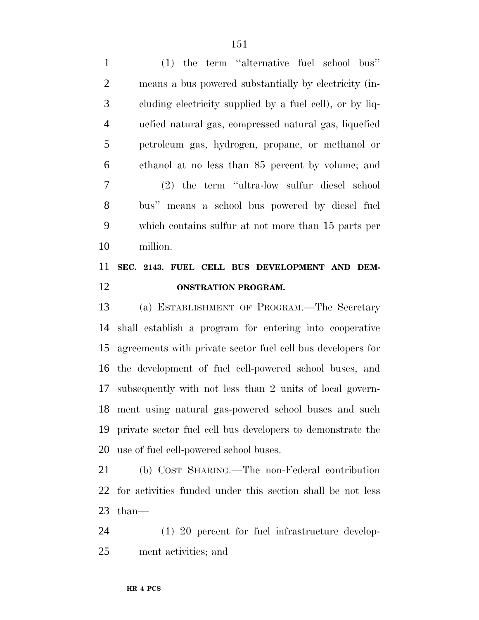| $\mathbf{1}$   | $(1)$ the term "alternative fuel school bus"                |
|----------------|-------------------------------------------------------------|
| $\mathbf{2}$   | means a bus powered substantially by electricity (in-       |
| 3              | cluding electricity supplied by a fuel cell), or by liq-    |
| $\overline{4}$ | uefied natural gas, compressed natural gas, liquefied       |
| 5              | petroleum gas, hydrogen, propane, or methanol or            |
| 6              | ethanol at no less than 85 percent by volume; and           |
| 7              | (2) the term "ultra-low sulfur diesel school                |
| 8              | bus" means a school bus powered by diesel fuel              |
| 9              | which contains sulfur at not more than 15 parts per         |
| 10             | million.                                                    |
|                |                                                             |
| 11             | SEC. 2143. FUEL CELL BUS DEVELOPMENT AND DEM-               |
| 12             | <b>ONSTRATION PROGRAM.</b>                                  |
| 13             | (a) ESTABLISHMENT OF PROGRAM.—The Secretary                 |
| 14             | shall establish a program for entering into cooperative     |
| 15             | agreements with private sector fuel cell bus developers for |
| 16             | the development of fuel cell-powered school buses, and      |
| 17             | subsequently with not less than 2 units of local govern-    |
| 18             | ment using natural gas-powered school buses and such        |
| 19             | private sector fuel cell bus developers to demonstrate the  |

 (b) COST SHARING.—The non-Federal contribution for activities funded under this section shall be not less than—

 (1) 20 percent for fuel infrastructure develop-ment activities; and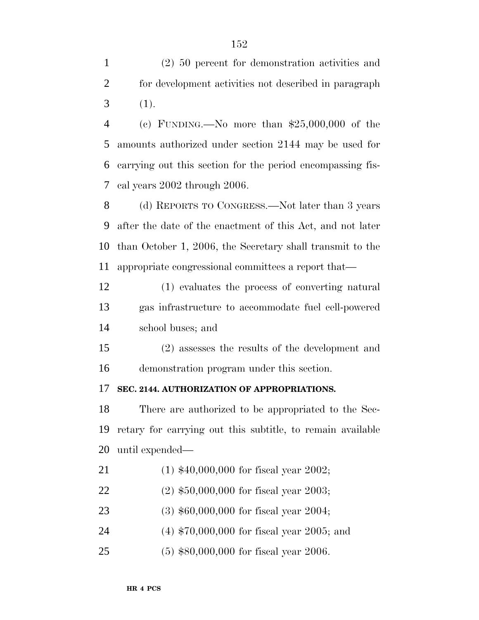(2) 50 percent for demonstration activities and for development activities not described in paragraph  $3(1).$ 

 (c) FUNDING.—No more than \$25,000,000 of the amounts authorized under section 2144 may be used for carrying out this section for the period encompassing fis-cal years 2002 through 2006.

 (d) REPORTS TO CONGRESS.—Not later than 3 years after the date of the enactment of this Act, and not later than October 1, 2006, the Secretary shall transmit to the appropriate congressional committees a report that—

 (1) evaluates the process of converting natural gas infrastructure to accommodate fuel cell-powered school buses; and

 (2) assesses the results of the development and demonstration program under this section.

### **SEC. 2144. AUTHORIZATION OF APPROPRIATIONS.**

 There are authorized to be appropriated to the Sec- retary for carrying out this subtitle, to remain available until expended—

- (1) \$40,000,000 for fiscal year 2002;
- (2) \$50,000,000 for fiscal year 2003;
- (3) \$60,000,000 for fiscal year 2004;
- (4) \$70,000,000 for fiscal year 2005; and
- (5) \$80,000,000 for fiscal year 2006.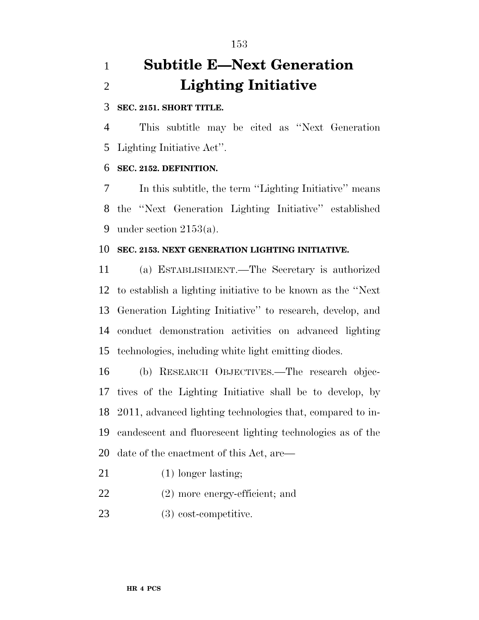# **Subtitle E—Next Generation Lighting Initiative**

### **SEC. 2151. SHORT TITLE.**

 This subtitle may be cited as ''Next Generation Lighting Initiative Act''.

## **SEC. 2152. DEFINITION.**

 In this subtitle, the term ''Lighting Initiative'' means the ''Next Generation Lighting Initiative'' established under section 2153(a).

## **SEC. 2153. NEXT GENERATION LIGHTING INITIATIVE.**

 (a) ESTABLISHMENT.—The Secretary is authorized to establish a lighting initiative to be known as the ''Next Generation Lighting Initiative'' to research, develop, and conduct demonstration activities on advanced lighting technologies, including white light emitting diodes.

 (b) RESEARCH OBJECTIVES.—The research objec- tives of the Lighting Initiative shall be to develop, by 2011, advanced lighting technologies that, compared to in- candescent and fluorescent lighting technologies as of the date of the enactment of this Act, are—

- 21 (1) longer lasting;
- (2) more energy-efficient; and
- 23 (3) cost-competitive.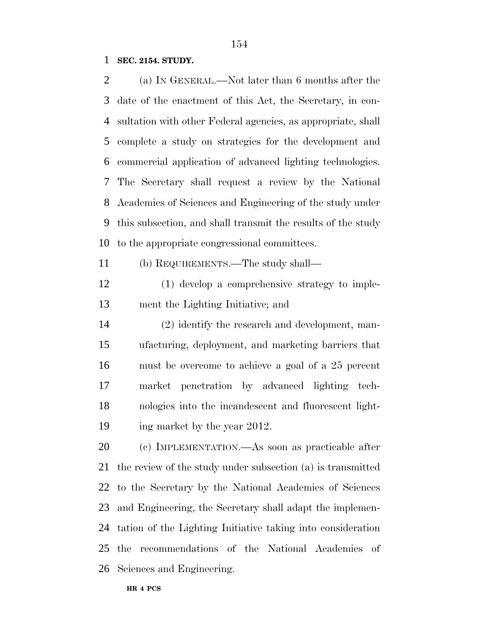#### **SEC. 2154. STUDY.**

 (a) IN GENERAL.—Not later than 6 months after the date of the enactment of this Act, the Secretary, in con- sultation with other Federal agencies, as appropriate, shall complete a study on strategies for the development and commercial application of advanced lighting technologies. The Secretary shall request a review by the National Academies of Sciences and Engineering of the study under this subsection, and shall transmit the results of the study to the appropriate congressional committees.

(b) REQUIREMENTS.—The study shall—

 (1) develop a comprehensive strategy to imple-ment the Lighting Initiative; and

 (2) identify the research and development, man- ufacturing, deployment, and marketing barriers that must be overcome to achieve a goal of a 25 percent market penetration by advanced lighting tech- nologies into the incandescent and fluorescent light-ing market by the year 2012.

 (c) IMPLEMENTATION.—As soon as practicable after the review of the study under subsection (a) is transmitted to the Secretary by the National Academies of Sciences and Engineering, the Secretary shall adapt the implemen- tation of the Lighting Initiative taking into consideration the recommendations of the National Academies of Sciences and Engineering.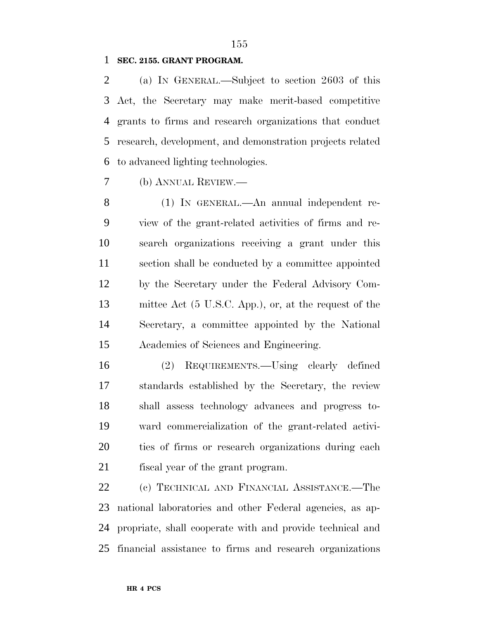#### **SEC. 2155. GRANT PROGRAM.**

 (a) IN GENERAL.—Subject to section 2603 of this Act, the Secretary may make merit-based competitive grants to firms and research organizations that conduct research, development, and demonstration projects related to advanced lighting technologies.

(b) ANNUAL REVIEW.—

 (1) IN GENERAL.—An annual independent re- view of the grant-related activities of firms and re- search organizations receiving a grant under this section shall be conducted by a committee appointed by the Secretary under the Federal Advisory Com- mittee Act (5 U.S.C. App.), or, at the request of the Secretary, a committee appointed by the National Academies of Sciences and Engineering.

 (2) REQUIREMENTS.—Using clearly defined standards established by the Secretary, the review shall assess technology advances and progress to- ward commercialization of the grant-related activi- ties of firms or research organizations during each fiscal year of the grant program.

 (c) TECHNICAL AND FINANCIAL ASSISTANCE.—The national laboratories and other Federal agencies, as ap- propriate, shall cooperate with and provide technical and financial assistance to firms and research organizations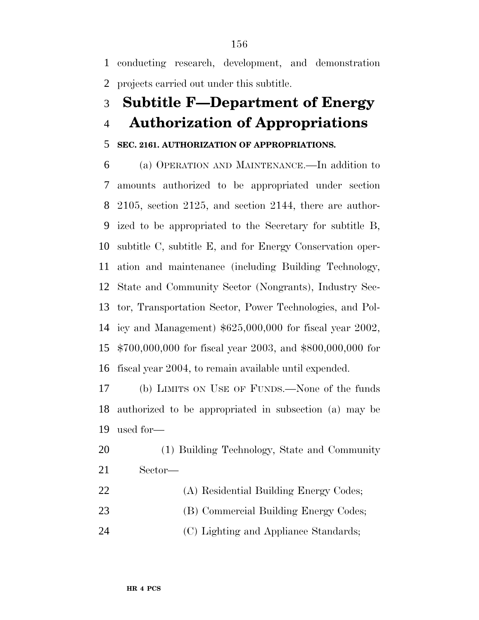conducting research, development, and demonstration projects carried out under this subtitle.

# **Subtitle F—Department of Energy**

# **Authorization of Appropriations**

# **SEC. 2161. AUTHORIZATION OF APPROPRIATIONS.**

 (a) OPERATION AND MAINTENANCE.—In addition to amounts authorized to be appropriated under section 2105, section 2125, and section 2144, there are author- ized to be appropriated to the Secretary for subtitle B, subtitle C, subtitle E, and for Energy Conservation oper- ation and maintenance (including Building Technology, State and Community Sector (Nongrants), Industry Sec- tor, Transportation Sector, Power Technologies, and Pol- icy and Management) \$625,000,000 for fiscal year 2002, \$700,000,000 for fiscal year 2003, and \$800,000,000 for fiscal year 2004, to remain available until expended.

 (b) LIMITS ON USE OF FUNDS.—None of the funds authorized to be appropriated in subsection (a) may be used for—

 (1) Building Technology, State and Community Sector—

 (A) Residential Building Energy Codes; 23 (B) Commercial Building Energy Codes; 24 (C) Lighting and Appliance Standards;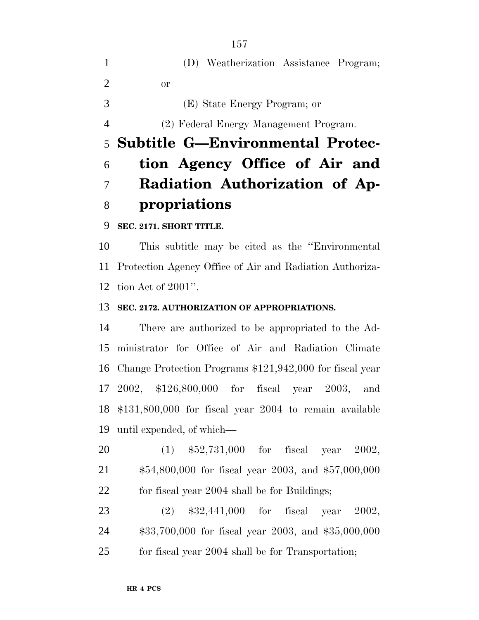|                             | (D) Weatherization Assistance Program; |
|-----------------------------|----------------------------------------|
| $\mathcal{D}_{\mathcal{L}}$ | or                                     |
| $\mathcal{R}$               | (E) State Energy Program; or           |
| 4                           | (2) Federal Energy Management Program. |
|                             | 5 Subtitle G-Environmental Protec-     |
|                             |                                        |
| 6                           | tion Agency Office of Air and          |
|                             | Radiation Authorization of Ap-         |

**SEC. 2171. SHORT TITLE.**

 This subtitle may be cited as the ''Environmental Protection Agency Office of Air and Radiation Authoriza-tion Act of 2001''.

## **SEC. 2172. AUTHORIZATION OF APPROPRIATIONS.**

 There are authorized to be appropriated to the Ad- ministrator for Office of Air and Radiation Climate Change Protection Programs \$121,942,000 for fiscal year 2002, \$126,800,000 for fiscal year 2003, and \$131,800,000 for fiscal year 2004 to remain available until expended, of which—

 (1) \$52,731,000 for fiscal year 2002, \$54,800,000 for fiscal year 2003, and \$57,000,000 for fiscal year 2004 shall be for Buildings;

 (2) \$32,441,000 for fiscal year 2002, \$33,700,000 for fiscal year 2003, and \$35,000,000 for fiscal year 2004 shall be for Transportation;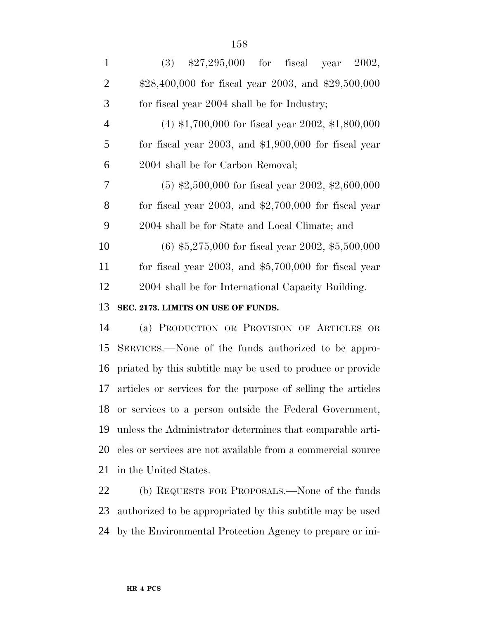| $\mathbf{1}$   | $(3)$ \$27,295,000 for fiscal year<br>2002,                  |
|----------------|--------------------------------------------------------------|
| $\overline{2}$ | $$28,400,000$ for fiscal year 2003, and \$29,500,000         |
| 3              | for fiscal year 2004 shall be for Industry;                  |
| 4              | $(4)$ \$1,700,000 for fiscal year 2002, \$1,800,000          |
| 5              | for fiscal year $2003$ , and $$1,900,000$ for fiscal year    |
| 6              | 2004 shall be for Carbon Removal;                            |
| 7              | $(5)$ \$2,500,000 for fiscal year 2002, \$2,600,000          |
| 8              | for fiscal year $2003$ , and $$2,700,000$ for fiscal year    |
| 9              | 2004 shall be for State and Local Climate; and               |
| 10             | $(6)$ \$5,275,000 for fiscal year 2002, \$5,500,000          |
| 11             | for fiscal year $2003$ , and $$5,700,000$ for fiscal year    |
| 12             | 2004 shall be for International Capacity Building.           |
| 13             | SEC. 2173. LIMITS ON USE OF FUNDS.                           |
| 14             | (a) PRODUCTION OR PROVISION OF ARTICLES OR                   |
| 15             | SERVICES.—None of the funds authorized to be appro-          |
| 16             | priated by this subtitle may be used to produce or provide   |
| 17             | articles or services for the purpose of selling the articles |
| 18             | or services to a person outside the Federal Government,      |
| 19             | unless the Administrator determines that comparable arti-    |
| 20             | cles or services are not available from a commercial source  |
| 21             | in the United States.                                        |
| 22             | (b) REQUESTS FOR PROPOSALS.—None of the funds                |
| 23             | authorized to be appropriated by this subtitle may be used   |

by the Environmental Protection Agency to prepare or ini-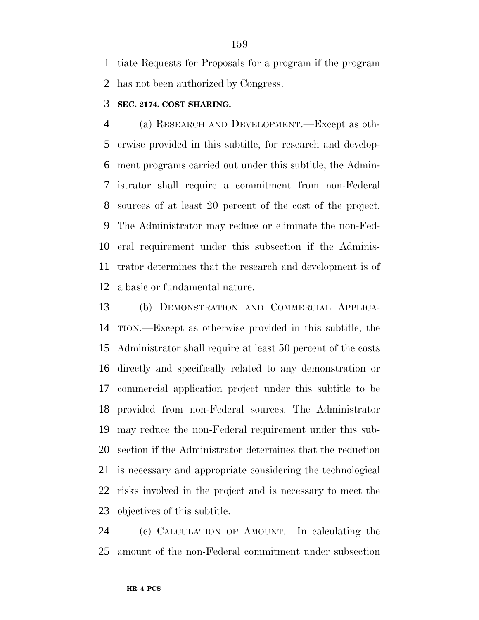tiate Requests for Proposals for a program if the program has not been authorized by Congress.

#### **SEC. 2174. COST SHARING.**

 (a) RESEARCH AND DEVELOPMENT.—Except as oth- erwise provided in this subtitle, for research and develop- ment programs carried out under this subtitle, the Admin- istrator shall require a commitment from non-Federal sources of at least 20 percent of the cost of the project. The Administrator may reduce or eliminate the non-Fed- eral requirement under this subsection if the Adminis- trator determines that the research and development is of a basic or fundamental nature.

 (b) DEMONSTRATION AND COMMERCIAL APPLICA- TION.—Except as otherwise provided in this subtitle, the Administrator shall require at least 50 percent of the costs directly and specifically related to any demonstration or commercial application project under this subtitle to be provided from non-Federal sources. The Administrator may reduce the non-Federal requirement under this sub- section if the Administrator determines that the reduction is necessary and appropriate considering the technological risks involved in the project and is necessary to meet the objectives of this subtitle.

 (c) CALCULATION OF AMOUNT.—In calculating the amount of the non-Federal commitment under subsection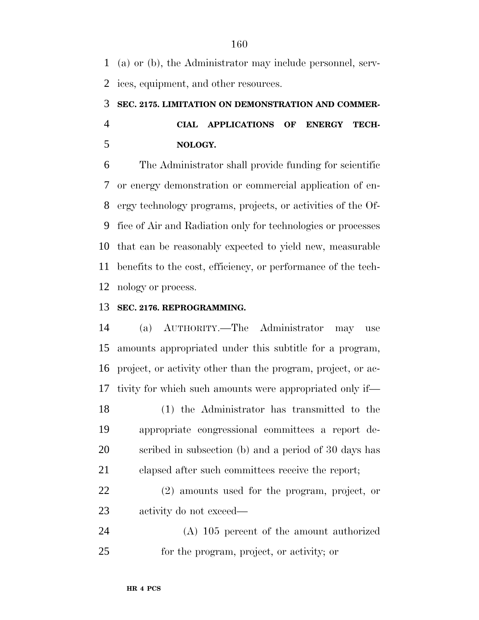(a) or (b), the Administrator may include personnel, serv-ices, equipment, and other resources.

# **SEC. 2175. LIMITATION ON DEMONSTRATION AND COMMER- CIAL APPLICATIONS OF ENERGY TECH-NOLOGY.**

 The Administrator shall provide funding for scientific or energy demonstration or commercial application of en- ergy technology programs, projects, or activities of the Of- fice of Air and Radiation only for technologies or processes that can be reasonably expected to yield new, measurable benefits to the cost, efficiency, or performance of the tech-nology or process.

# **SEC. 2176. REPROGRAMMING.**

 (a) AUTHORITY.—The Administrator may use amounts appropriated under this subtitle for a program, project, or activity other than the program, project, or ac-tivity for which such amounts were appropriated only if—

 (1) the Administrator has transmitted to the appropriate congressional committees a report de- scribed in subsection (b) and a period of 30 days has elapsed after such committees receive the report;

 (2) amounts used for the program, project, or activity do not exceed—

 (A) 105 percent of the amount authorized for the program, project, or activity; or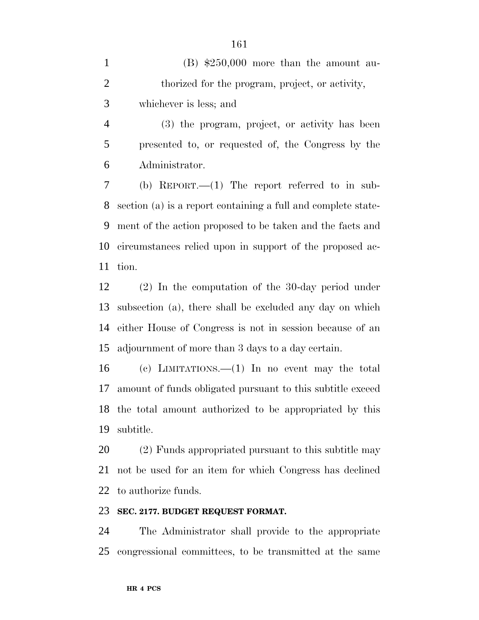1 (B)  $$250,000$  more than the amount au-2 thorized for the program, project, or activity, whichever is less; and

 (3) the program, project, or activity has been presented to, or requested of, the Congress by the Administrator.

 (b) REPORT.—(1) The report referred to in sub- section (a) is a report containing a full and complete state- ment of the action proposed to be taken and the facts and circumstances relied upon in support of the proposed ac-tion.

 (2) In the computation of the 30-day period under subsection (a), there shall be excluded any day on which either House of Congress is not in session because of an adjournment of more than 3 days to a day certain.

 (c) LIMITATIONS.—(1) In no event may the total amount of funds obligated pursuant to this subtitle exceed the total amount authorized to be appropriated by this subtitle.

 (2) Funds appropriated pursuant to this subtitle may not be used for an item for which Congress has declined to authorize funds.

### **SEC. 2177. BUDGET REQUEST FORMAT.**

 The Administrator shall provide to the appropriate congressional committees, to be transmitted at the same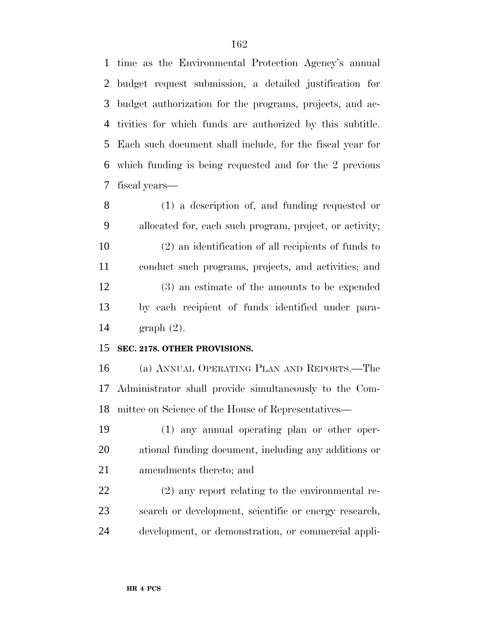time as the Environmental Protection Agency's annual budget request submission, a detailed justification for budget authorization for the programs, projects, and ac- tivities for which funds are authorized by this subtitle. Each such document shall include, for the fiscal year for which funding is being requested and for the 2 previous fiscal years—

 (1) a description of, and funding requested or allocated for, each such program, project, or activity; (2) an identification of all recipients of funds to conduct such programs, projects, and activities; and (3) an estimate of the amounts to be expended by each recipient of funds identified under para-graph (2).

### **SEC. 2178. OTHER PROVISIONS.**

 (a) ANNUAL OPERATING PLAN AND REPORTS.—The Administrator shall provide simultaneously to the Com-mittee on Science of the House of Representatives—

 (1) any annual operating plan or other oper- ational funding document, including any additions or amendments thereto; and

 (2) any report relating to the environmental re- search or development, scientific or energy research, development, or demonstration, or commercial appli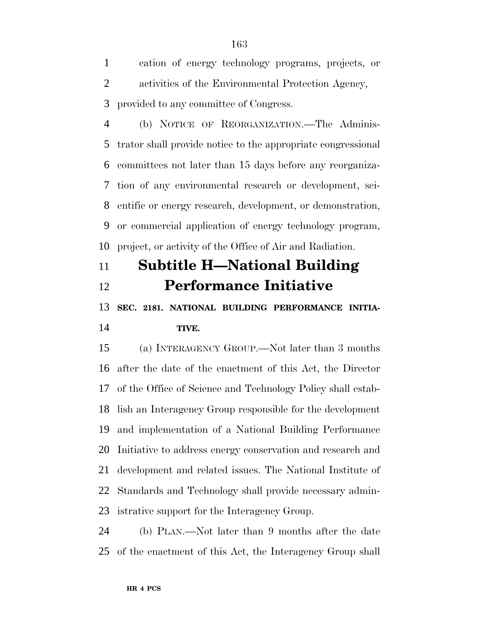cation of energy technology programs, projects, or activities of the Environmental Protection Agency, provided to any committee of Congress.

 (b) NOTICE OF REORGANIZATION.—The Adminis- trator shall provide notice to the appropriate congressional committees not later than 15 days before any reorganiza- tion of any environmental research or development, sci- entific or energy research, development, or demonstration, or commercial application of energy technology program, project, or activity of the Office of Air and Radiation.

# **Subtitle H—National Building Performance Initiative**

 **SEC. 2181. NATIONAL BUILDING PERFORMANCE INITIA-TIVE.**

 (a) INTERAGENCY GROUP.—Not later than 3 months after the date of the enactment of this Act, the Director of the Office of Science and Technology Policy shall estab- lish an Interagency Group responsible for the development and implementation of a National Building Performance Initiative to address energy conservation and research and development and related issues. The National Institute of Standards and Technology shall provide necessary admin-istrative support for the Interagency Group.

 (b) PLAN.—Not later than 9 months after the date of the enactment of this Act, the Interagency Group shall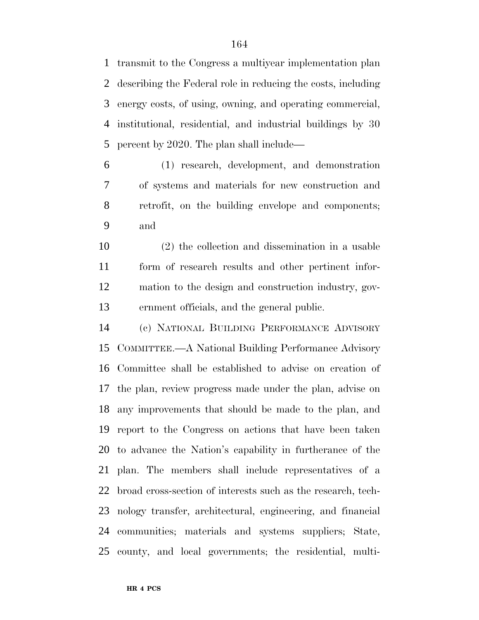transmit to the Congress a multiyear implementation plan describing the Federal role in reducing the costs, including energy costs, of using, owning, and operating commercial, institutional, residential, and industrial buildings by 30 percent by 2020. The plan shall include—

 (1) research, development, and demonstration of systems and materials for new construction and retrofit, on the building envelope and components; and

 (2) the collection and dissemination in a usable form of research results and other pertinent infor- mation to the design and construction industry, gov-ernment officials, and the general public.

 (c) NATIONAL BUILDING PERFORMANCE ADVISORY COMMITTEE.—A National Building Performance Advisory Committee shall be established to advise on creation of the plan, review progress made under the plan, advise on any improvements that should be made to the plan, and report to the Congress on actions that have been taken to advance the Nation's capability in furtherance of the plan. The members shall include representatives of a broad cross-section of interests such as the research, tech- nology transfer, architectural, engineering, and financial communities; materials and systems suppliers; State, county, and local governments; the residential, multi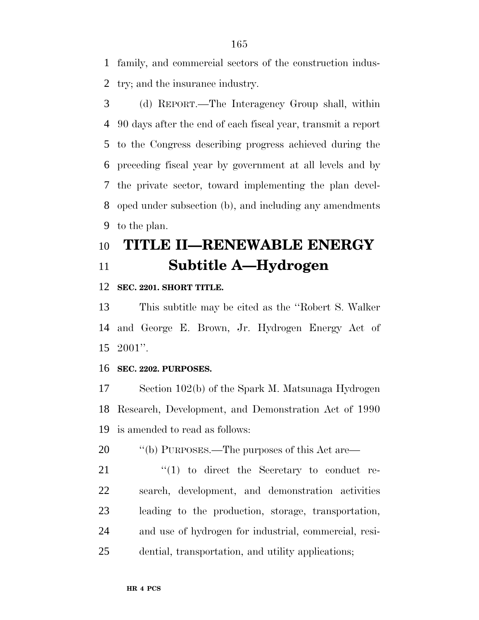family, and commercial sectors of the construction indus-try; and the insurance industry.

 (d) REPORT.—The Interagency Group shall, within 90 days after the end of each fiscal year, transmit a report to the Congress describing progress achieved during the preceding fiscal year by government at all levels and by the private sector, toward implementing the plan devel- oped under subsection (b), and including any amendments to the plan.

# **TITLE II—RENEWABLE ENERGY Subtitle A—Hydrogen**

#### **SEC. 2201. SHORT TITLE.**

 This subtitle may be cited as the ''Robert S. Walker and George E. Brown, Jr. Hydrogen Energy Act of 2001''.

#### **SEC. 2202. PURPOSES.**

 Section 102(b) of the Spark M. Matsunaga Hydrogen Research, Development, and Demonstration Act of 1990 is amended to read as follows:

20  $\qquad$  "(b) PURPOSES.—The purposes of this Act are—

  $(1)$  to direct the Secretary to conduct re- search, development, and demonstration activities leading to the production, storage, transportation, and use of hydrogen for industrial, commercial, resi-dential, transportation, and utility applications;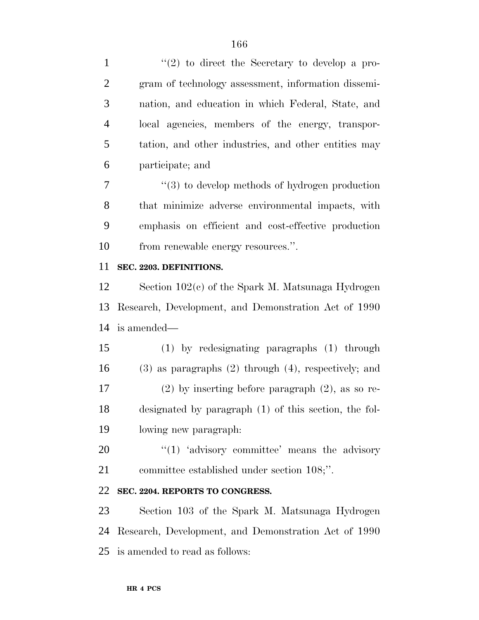1 ''(2) to direct the Secretary to develop a pro- gram of technology assessment, information dissemi- nation, and education in which Federal, State, and local agencies, members of the energy, transpor- tation, and other industries, and other entities may participate; and

 ''(3) to develop methods of hydrogen production that minimize adverse environmental impacts, with emphasis on efficient and cost-effective production 10 from renewable energy resources.".

### **SEC. 2203. DEFINITIONS.**

 Section 102(c) of the Spark M. Matsunaga Hydrogen Research, Development, and Demonstration Act of 1990 is amended—

 (1) by redesignating paragraphs (1) through (3) as paragraphs (2) through (4), respectively; and (2) by inserting before paragraph (2), as so re- designated by paragraph (1) of this section, the fol-lowing new paragraph:

 ''(1) 'advisory committee' means the advisory committee established under section 108;''.

# **SEC. 2204. REPORTS TO CONGRESS.**

 Section 103 of the Spark M. Matsunaga Hydrogen Research, Development, and Demonstration Act of 1990 is amended to read as follows: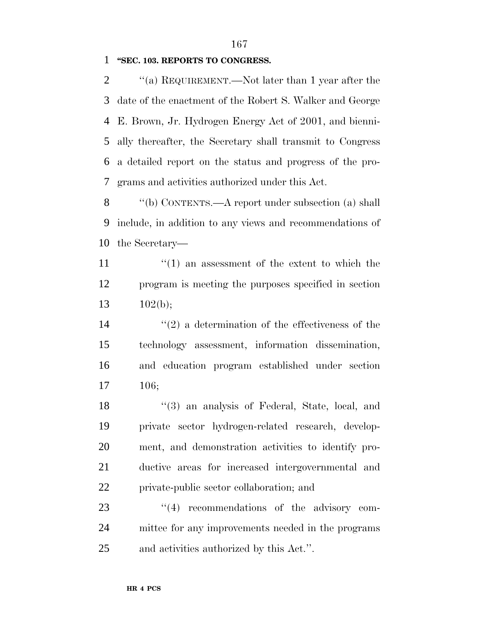#### **''SEC. 103. REPORTS TO CONGRESS.**

 $\gamma$  (a) REQUIREMENT.—Not later than 1 year after the date of the enactment of the Robert S. Walker and George E. Brown, Jr. Hydrogen Energy Act of 2001, and bienni- ally thereafter, the Secretary shall transmit to Congress a detailed report on the status and progress of the pro-grams and activities authorized under this Act.

 ''(b) CONTENTS.—A report under subsection (a) shall include, in addition to any views and recommendations of the Secretary—

11  $\frac{1}{1}$  an assessment of the extent to which the program is meeting the purposes specified in section 13  $102(b)$ ;

 $(2)$  a determination of the effectiveness of the technology assessment, information dissemination, and education program established under section 106;

 ''(3) an analysis of Federal, State, local, and private sector hydrogen-related research, develop- ment, and demonstration activities to identify pro- ductive areas for increased intergovernmental and private-public sector collaboration; and

23  $\frac{4}{4}$  recommendations of the advisory com- mittee for any improvements needed in the programs and activities authorized by this Act.''.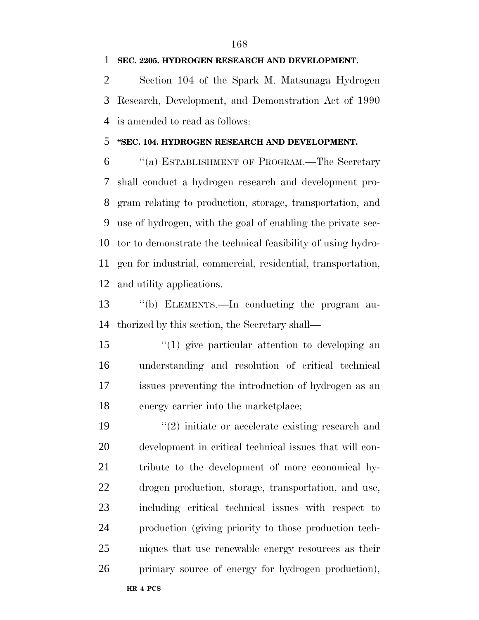**SEC. 2205. HYDROGEN RESEARCH AND DEVELOPMENT.**

 Section 104 of the Spark M. Matsunaga Hydrogen Research, Development, and Demonstration Act of 1990 is amended to read as follows:

### **''SEC. 104. HYDROGEN RESEARCH AND DEVELOPMENT.**

 ''(a) ESTABLISHMENT OF PROGRAM.—The Secretary shall conduct a hydrogen research and development pro- gram relating to production, storage, transportation, and use of hydrogen, with the goal of enabling the private sec- tor to demonstrate the technical feasibility of using hydro- gen for industrial, commercial, residential, transportation, and utility applications.

 ''(b) ELEMENTS.—In conducting the program au-thorized by this section, the Secretary shall—

 ''(1) give particular attention to developing an understanding and resolution of critical technical issues preventing the introduction of hydrogen as an energy carrier into the marketplace;

 $\frac{1}{2}$  initiate or accelerate existing research and development in critical technical issues that will con- tribute to the development of more economical hy- drogen production, storage, transportation, and use, including critical technical issues with respect to production (giving priority to those production tech- niques that use renewable energy resources as their primary source of energy for hydrogen production),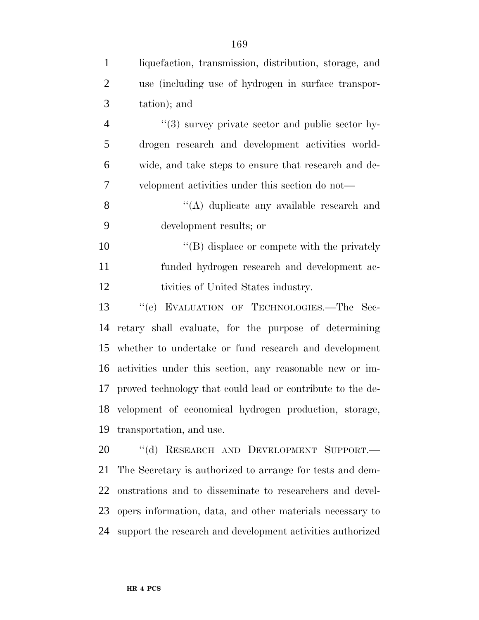| $\mathbf{1}$   | liquefaction, transmission, distribution, storage, and        |
|----------------|---------------------------------------------------------------|
| $\overline{2}$ | use (including use of hydrogen in surface transpor-           |
| 3              | tation); and                                                  |
| $\overline{4}$ | $\cdot\cdot$ (3) survey private sector and public sector hy-  |
| 5              | drogen research and development activities world-             |
| 6              | wide, and take steps to ensure that research and de-          |
| 7              | velopment activities under this section do not—               |
| 8              | "(A) duplicate any available research and                     |
| 9              | development results; or                                       |
| 10             | $\lq\lq (B)$ displace or compete with the privately           |
| 11             | funded hydrogen research and development ac-                  |
| 12             | tivities of United States industry.                           |
| 13             | "(c) EVALUATION OF TECHNOLOGIES.-The Sec-                     |
| 14             | retary shall evaluate, for the purpose of determining         |
| 15             | whether to undertake or fund research and development         |
| 16             | activities under this section, any reasonable new or im-      |
|                | 17 proved technology that could lead or contribute to the de- |
|                | 18 velopment of economical hydrogen production, storage,      |
| 19             | transportation, and use.                                      |
| 20             | "(d) RESEARCH AND DEVELOPMENT SUPPORT.-                       |
| 21             | The Secretary is authorized to arrange for tests and dem-     |
| 22             | onstrations and to disseminate to researchers and devel-      |
| 23             | opers information, data, and other materials necessary to     |
| 24             | support the research and development activities authorized    |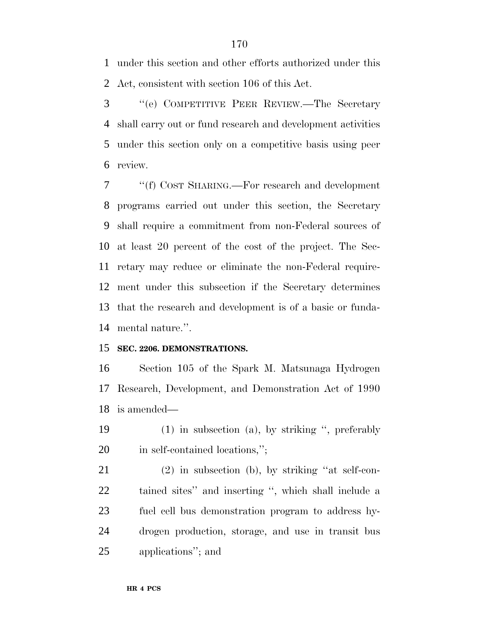under this section and other efforts authorized under this Act, consistent with section 106 of this Act.

 ''(e) COMPETITIVE PEER REVIEW.—The Secretary shall carry out or fund research and development activities under this section only on a competitive basis using peer review.

 ''(f) COST SHARING.—For research and development programs carried out under this section, the Secretary shall require a commitment from non-Federal sources of at least 20 percent of the cost of the project. The Sec- retary may reduce or eliminate the non-Federal require- ment under this subsection if the Secretary determines that the research and development is of a basic or funda-mental nature.''.

## **SEC. 2206. DEMONSTRATIONS.**

 Section 105 of the Spark M. Matsunaga Hydrogen Research, Development, and Demonstration Act of 1990 is amended—

 (1) in subsection (a), by striking '', preferably 20 in self-contained locations,";

 (2) in subsection (b), by striking ''at self-con- tained sites'' and inserting '', which shall include a fuel cell bus demonstration program to address hy- drogen production, storage, and use in transit bus applications''; and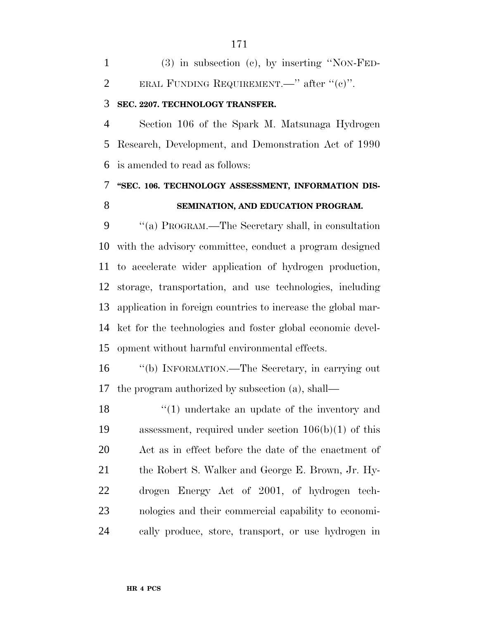(3) in subsection (c), by inserting ''NON-FED-2 ERAL FUNDING REQUIREMENT.—" after " $(e)$ ".

# **SEC. 2207. TECHNOLOGY TRANSFER.**

 Section 106 of the Spark M. Matsunaga Hydrogen Research, Development, and Demonstration Act of 1990 is amended to read as follows:

# **''SEC. 106. TECHNOLOGY ASSESSMENT, INFORMATION DIS-SEMINATION, AND EDUCATION PROGRAM.**

 ''(a) PROGRAM.—The Secretary shall, in consultation with the advisory committee, conduct a program designed to accelerate wider application of hydrogen production, storage, transportation, and use technologies, including application in foreign countries to increase the global mar- ket for the technologies and foster global economic devel-opment without harmful environmental effects.

 ''(b) INFORMATION.—The Secretary, in carrying out the program authorized by subsection (a), shall—

18 ''(1) undertake an update of the inventory and assessment, required under section 106(b)(1) of this Act as in effect before the date of the enactment of the Robert S. Walker and George E. Brown, Jr. Hy- drogen Energy Act of 2001, of hydrogen tech- nologies and their commercial capability to economi-cally produce, store, transport, or use hydrogen in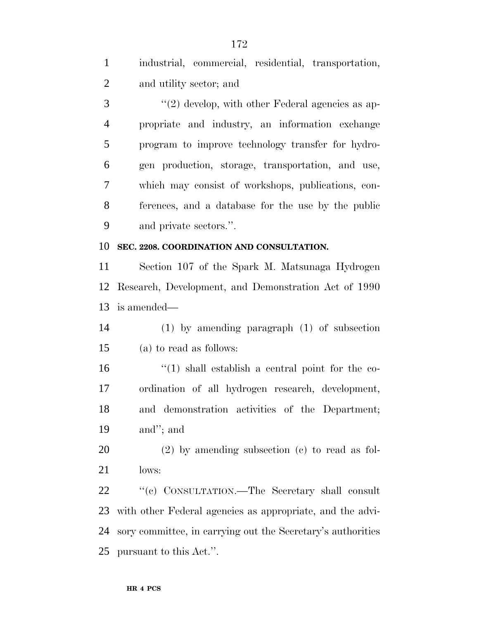industrial, commercial, residential, transportation, and utility sector; and

3 ''(2) develop, with other Federal agencies as ap- propriate and industry, an information exchange program to improve technology transfer for hydro- gen production, storage, transportation, and use, which may consist of workshops, publications, con- ferences, and a database for the use by the public and private sectors.''.

## **SEC. 2208. COORDINATION AND CONSULTATION.**

 Section 107 of the Spark M. Matsunaga Hydrogen Research, Development, and Demonstration Act of 1990 is amended—

 (1) by amending paragraph (1) of subsection (a) to read as follows:

 $\frac{16}{16}$  ''(1) shall establish a central point for the co- ordination of all hydrogen research, development, and demonstration activities of the Department; and''; and

 (2) by amending subsection (c) to read as fol-lows:

22 "'(c) CONSULTATION.—The Secretary shall consult with other Federal agencies as appropriate, and the advi- sory committee, in carrying out the Secretary's authorities pursuant to this Act.''.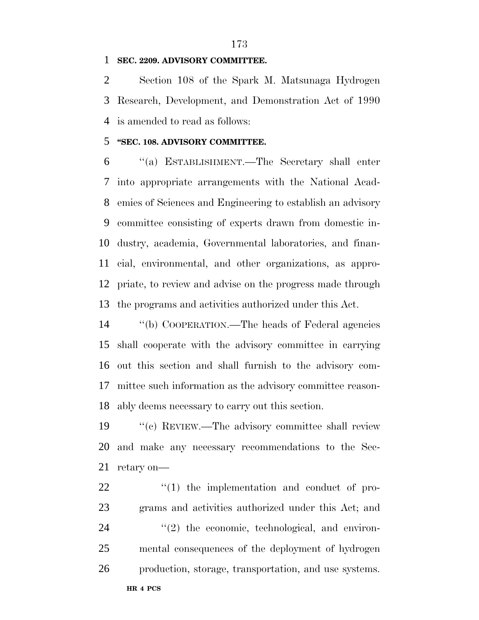### **SEC. 2209. ADVISORY COMMITTEE.**

 Section 108 of the Spark M. Matsunaga Hydrogen Research, Development, and Demonstration Act of 1990 is amended to read as follows:

### **''SEC. 108. ADVISORY COMMITTEE.**

 ''(a) ESTABLISHMENT.—The Secretary shall enter into appropriate arrangements with the National Acad- emies of Sciences and Engineering to establish an advisory committee consisting of experts drawn from domestic in- dustry, academia, Governmental laboratories, and finan- cial, environmental, and other organizations, as appro- priate, to review and advise on the progress made through the programs and activities authorized under this Act.

 ''(b) COOPERATION.—The heads of Federal agencies shall cooperate with the advisory committee in carrying out this section and shall furnish to the advisory com- mittee such information as the advisory committee reason-ably deems necessary to carry out this section.

 ''(c) REVIEW.—The advisory committee shall review and make any necessary recommendations to the Sec-retary on—

  $\qquad$   $\qquad$   $\qquad$   $\qquad$   $\qquad$   $\qquad$   $\qquad$   $\qquad$   $\qquad$   $\qquad$   $\qquad$   $\qquad$   $\qquad$   $\qquad$   $\qquad$   $\qquad$   $\qquad$   $\qquad$   $\qquad$   $\qquad$   $\qquad$   $\qquad$   $\qquad$   $\qquad$   $\qquad$   $\qquad$   $\qquad$   $\qquad$   $\qquad$   $\qquad$   $\qquad$   $\qquad$   $\qquad$   $\qquad$   $\qquad$   $\qquad$  grams and activities authorized under this Act; and  $\qquad$   $\qquad$   $\qquad$   $\qquad$   $\qquad$   $\qquad$   $\qquad$   $\qquad$   $\qquad$   $\qquad$   $\qquad$   $\qquad$   $\qquad$   $\qquad$   $\qquad$   $\qquad$   $\qquad$   $\qquad$   $\qquad$   $\qquad$   $\qquad$   $\qquad$   $\qquad$   $\qquad$   $\qquad$   $\qquad$   $\qquad$   $\qquad$   $\qquad$   $\qquad$   $\qquad$   $\qquad$   $\qquad$   $\qquad$   $\qquad$   $\qquad$  mental consequences of the deployment of hydrogen production, storage, transportation, and use systems.

####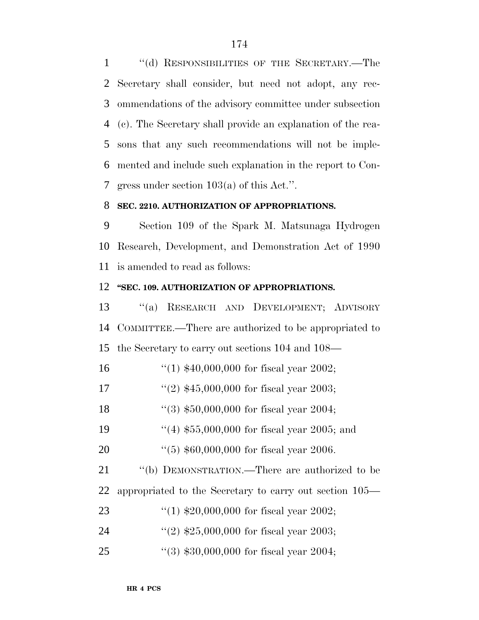''(d) RESPONSIBILITIES OF THE SECRETARY.—The Secretary shall consider, but need not adopt, any rec- ommendations of the advisory committee under subsection (c). The Secretary shall provide an explanation of the rea- sons that any such recommendations will not be imple- mented and include such explanation in the report to Con-gress under section 103(a) of this Act.''.

#### **SEC. 2210. AUTHORIZATION OF APPROPRIATIONS.**

 Section 109 of the Spark M. Matsunaga Hydrogen Research, Development, and Demonstration Act of 1990 is amended to read as follows:

#### **''SEC. 109. AUTHORIZATION OF APPROPRIATIONS.**

 ''(a) RESEARCH AND DEVELOPMENT; ADVISORY COMMITTEE.—There are authorized to be appropriated to the Secretary to carry out sections 104 and 108—

- ''(1) \$40,000,000 for fiscal year 2002;
- ''(2) \$45,000,000 for fiscal year 2003;
- ''(3) \$50,000,000 for fiscal year 2004;
- 19 ''(4) \$55,000,000 for fiscal year 2005; and
- ''(5) \$60,000,000 for fiscal year 2006.

21 "(b) DEMONSTRATION.—There are authorized to be appropriated to the Secretary to carry out section 105—

- ''(1) \$20,000,000 for fiscal year 2002;
- 24 ''(2)  $$25,000,000$  for fiscal year 2003;
- ''(3) \$30,000,000 for fiscal year 2004;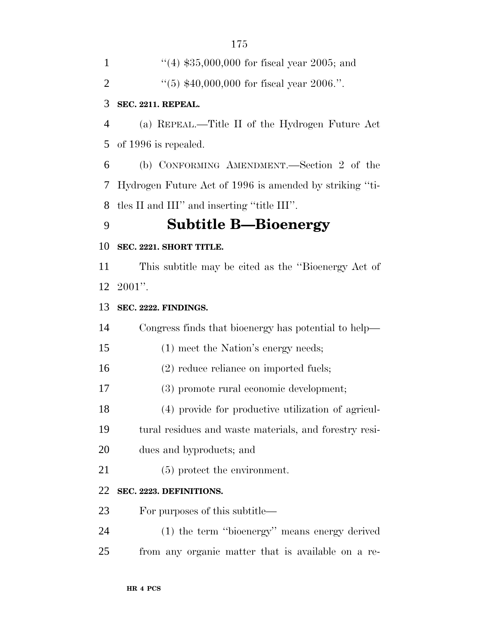| 1              | "(4) $$35,000,000$ for fiscal year 2005; and            |
|----------------|---------------------------------------------------------|
| $\mathfrak{2}$ | $(5)$ \$40,000,000 for fiscal year 2006.".              |
| 3              | SEC. 2211. REPEAL.                                      |
| $\overline{4}$ | (a) REPEAL.—Title II of the Hydrogen Future Act         |
| 5              | of 1996 is repealed.                                    |
| 6              | (b) CONFORMING AMENDMENT.—Section 2 of the              |
| 7              | Hydrogen Future Act of 1996 is amended by striking "ti- |
| 8              | tles II and III" and inserting "title III".             |
| 9              | <b>Subtitle B—Bioenergy</b>                             |
| 10             | SEC. 2221. SHORT TITLE.                                 |
| 11             | This subtitle may be cited as the "Bioenergy Act of     |
| 12             | $2001$ ".                                               |
| 13             | SEC. 2222. FINDINGS.                                    |
| 14             | Congress finds that bioenergy has potential to help—    |
| 15             | (1) meet the Nation's energy needs;                     |
| 16             | $(2)$ reduce reliance on imported fuels;                |
| 17             | (3) promote rural economic development;                 |
| 18             | (4) provide for productive utilization of agricul-      |
| 19             | tural residues and waste materials, and forestry resi-  |
| 20             | dues and byproducts; and                                |
| 21             | $(5)$ protect the environment.                          |
| 22             | SEC. 2223. DEFINITIONS.                                 |
| 23             | For purposes of this subtitle—                          |
| 24             | (1) the term "bioenergy" means energy derived           |
| 25             | from any organic matter that is available on a re-      |
|                |                                                         |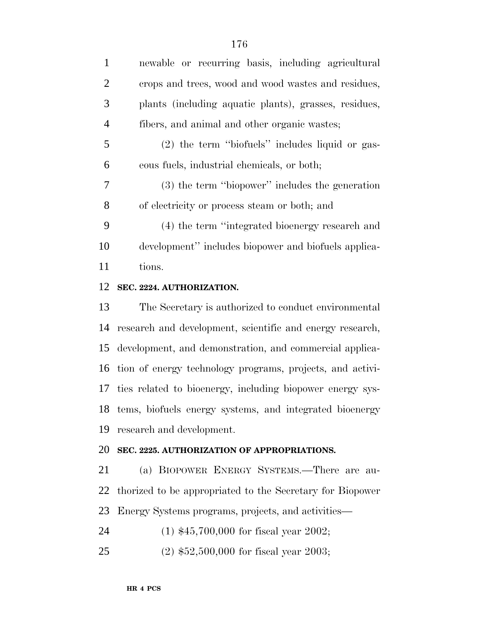| newable or recurring basis, including agricultural    |
|-------------------------------------------------------|
| crops and trees, wood and wood wastes and residues,   |
| plants (including aquatic plants), grasses, residues, |
| fibers, and animal and other organic wastes;          |
| $(2)$ the term "biofuels" includes liquid or gas-     |
| eous fuels, industrial chemicals, or both;            |
| (3) the term "biopower" includes the generation       |
| of electricity or process steam or both; and          |
| (4) the term "integrated bioenergy research and       |
| development" includes biopower and biofuels applica-  |
| tions.                                                |
|                                                       |

#### **SEC. 2224. AUTHORIZATION.**

 The Secretary is authorized to conduct environmental research and development, scientific and energy research, development, and demonstration, and commercial applica- tion of energy technology programs, projects, and activi- ties related to bioenergy, including biopower energy sys- tems, biofuels energy systems, and integrated bioenergy research and development.

# **SEC. 2225. AUTHORIZATION OF APPROPRIATIONS.**

 (a) BIOPOWER ENERGY SYSTEMS.—There are au- thorized to be appropriated to the Secretary for Biopower Energy Systems programs, projects, and activities—

(1) \$45,700,000 for fiscal year 2002;

(2) \$52,500,000 for fiscal year 2003;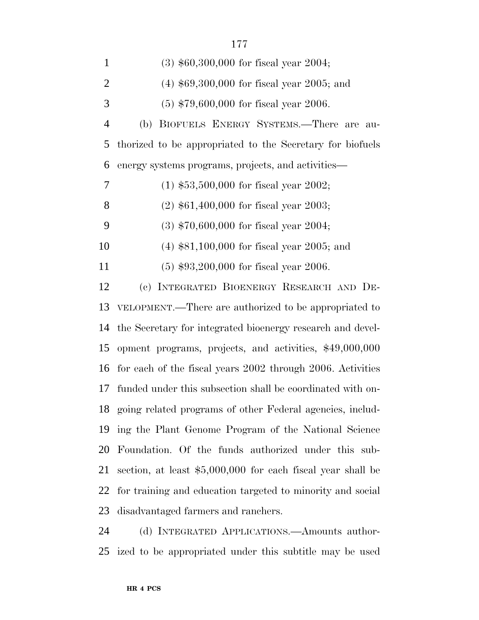| $\mathbf{1}$   | $(3)$ \$60,300,000 for fiscal year 2004;                     |
|----------------|--------------------------------------------------------------|
| $\overline{2}$ | $(4)$ \$69,300,000 for fiscal year 2005; and                 |
| 3              | $(5)$ \$79,600,000 for fiscal year 2006.                     |
| $\overline{4}$ | (b) BIOFUELS ENERGY SYSTEMS.—There are au-                   |
| 5              | thorized to be appropriated to the Secretary for biofuels    |
| 6              | energy systems programs, projects, and activities—           |
| 7              | $(1)$ \$53,500,000 for fiscal year 2002;                     |
| $8\phantom{1}$ | $(2)$ \$61,400,000 for fiscal year 2003;                     |
| 9              | $(3)$ \$70,600,000 for fiscal year 2004;                     |
| 10             | $(4)$ \$81,100,000 for fiscal year 2005; and                 |
| 11             | $(5)$ \$93,200,000 for fiscal year 2006.                     |
| 12             | (c) INTEGRATED BIOENERGY RESEARCH AND DE-                    |
| 13             | VELOPMENT.—There are authorized to be appropriated to        |
| 14             | the Secretary for integrated bioenergy research and devel-   |
| 15             | opment programs, projects, and activities, \$49,000,000      |
| 16             | for each of the fiscal years 2002 through 2006. Activities   |
| 17             | funded under this subsection shall be coordinated with on-   |
|                | 18 going related programs of other Federal agencies, includ- |
| 19             | ing the Plant Genome Program of the National Science         |
| 20             | Foundation. Of the funds authorized under this sub-          |
| 21             | section, at least $$5,000,000$ for each fiscal year shall be |
| 22             | for training and education targeted to minority and social   |
| 23             | disadvantaged farmers and ranchers.                          |
|                |                                                              |

 (d) INTEGRATED APPLICATIONS.—Amounts author-ized to be appropriated under this subtitle may be used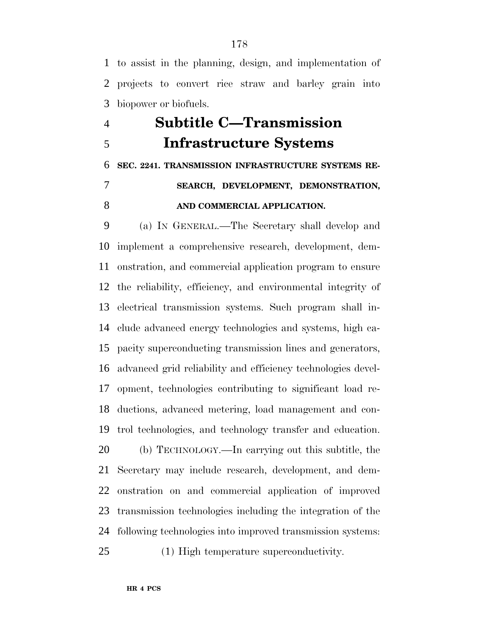to assist in the planning, design, and implementation of projects to convert rice straw and barley grain into biopower or biofuels.

# **Subtitle C—Transmission Infrastructure Systems SEC. 2241. TRANSMISSION INFRASTRUCTURE SYSTEMS RE- SEARCH, DEVELOPMENT, DEMONSTRATION, AND COMMERCIAL APPLICATION.**

 (a) IN GENERAL.—The Secretary shall develop and implement a comprehensive research, development, dem- onstration, and commercial application program to ensure the reliability, efficiency, and environmental integrity of electrical transmission systems. Such program shall in- clude advanced energy technologies and systems, high ca- pacity superconducting transmission lines and generators, advanced grid reliability and efficiency technologies devel- opment, technologies contributing to significant load re- ductions, advanced metering, load management and con- trol technologies, and technology transfer and education. (b) TECHNOLOGY.—In carrying out this subtitle, the Secretary may include research, development, and dem- onstration on and commercial application of improved transmission technologies including the integration of the following technologies into improved transmission systems: (1) High temperature superconductivity.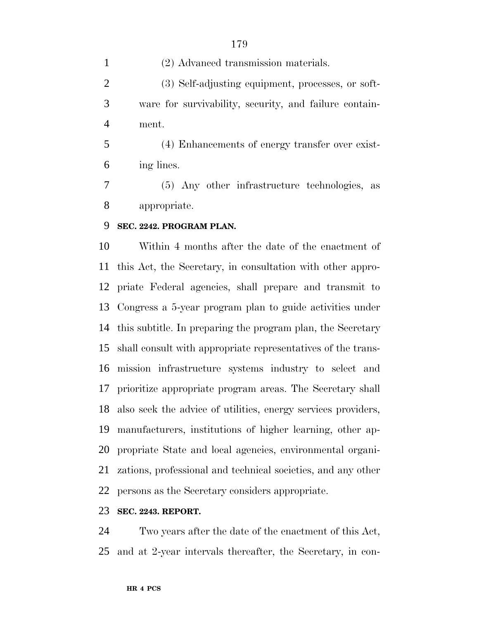(2) Advanced transmission materials. (3) Self-adjusting equipment, processes, or soft- ware for survivability, security, and failure contain- ment. (4) Enhancements of energy transfer over exist-ing lines.

 (5) Any other infrastructure technologies, as appropriate.

### **SEC. 2242. PROGRAM PLAN.**

 Within 4 months after the date of the enactment of this Act, the Secretary, in consultation with other appro- priate Federal agencies, shall prepare and transmit to Congress a 5-year program plan to guide activities under this subtitle. In preparing the program plan, the Secretary shall consult with appropriate representatives of the trans- mission infrastructure systems industry to select and prioritize appropriate program areas. The Secretary shall also seek the advice of utilities, energy services providers, manufacturers, institutions of higher learning, other ap- propriate State and local agencies, environmental organi- zations, professional and technical societies, and any other persons as the Secretary considers appropriate.

#### **SEC. 2243. REPORT.**

 Two years after the date of the enactment of this Act, and at 2-year intervals thereafter, the Secretary, in con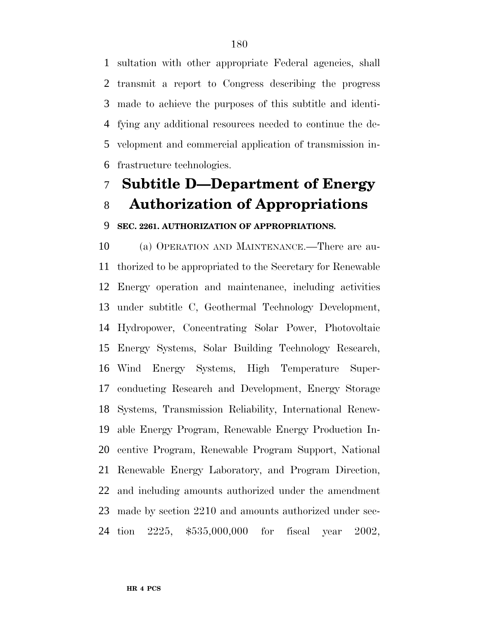sultation with other appropriate Federal agencies, shall transmit a report to Congress describing the progress made to achieve the purposes of this subtitle and identi- fying any additional resources needed to continue the de- velopment and commercial application of transmission in-frastructure technologies.

# **Subtitle D—Department of Energy Authorization of Appropriations**

#### **SEC. 2261. AUTHORIZATION OF APPROPRIATIONS.**

 (a) OPERATION AND MAINTENANCE.—There are au- thorized to be appropriated to the Secretary for Renewable Energy operation and maintenance, including activities under subtitle C, Geothermal Technology Development, Hydropower, Concentrating Solar Power, Photovoltaic Energy Systems, Solar Building Technology Research, Wind Energy Systems, High Temperature Super- conducting Research and Development, Energy Storage Systems, Transmission Reliability, International Renew- able Energy Program, Renewable Energy Production In- centive Program, Renewable Program Support, National Renewable Energy Laboratory, and Program Direction, and including amounts authorized under the amendment made by section 2210 and amounts authorized under sec-tion 2225, \$535,000,000 for fiscal year 2002,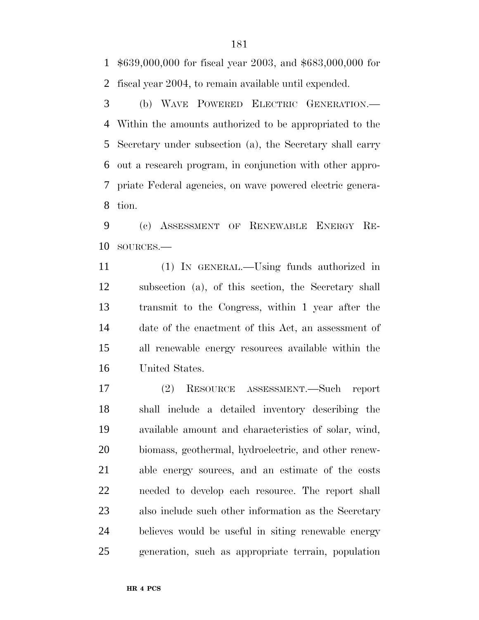\$639,000,000 for fiscal year 2003, and \$683,000,000 for fiscal year 2004, to remain available until expended.

 (b) WAVE POWERED ELECTRIC GENERATION.— Within the amounts authorized to be appropriated to the Secretary under subsection (a), the Secretary shall carry out a research program, in conjunction with other appro- priate Federal agencies, on wave powered electric genera-tion.

 (c) ASSESSMENT OF RENEWABLE ENERGY RE-SOURCES.—

 (1) IN GENERAL.—Using funds authorized in subsection (a), of this section, the Secretary shall transmit to the Congress, within 1 year after the date of the enactment of this Act, an assessment of all renewable energy resources available within the United States.

 (2) RESOURCE ASSESSMENT.—Such report shall include a detailed inventory describing the available amount and characteristics of solar, wind, biomass, geothermal, hydroelectric, and other renew- able energy sources, and an estimate of the costs needed to develop each resource. The report shall also include such other information as the Secretary believes would be useful in siting renewable energy generation, such as appropriate terrain, population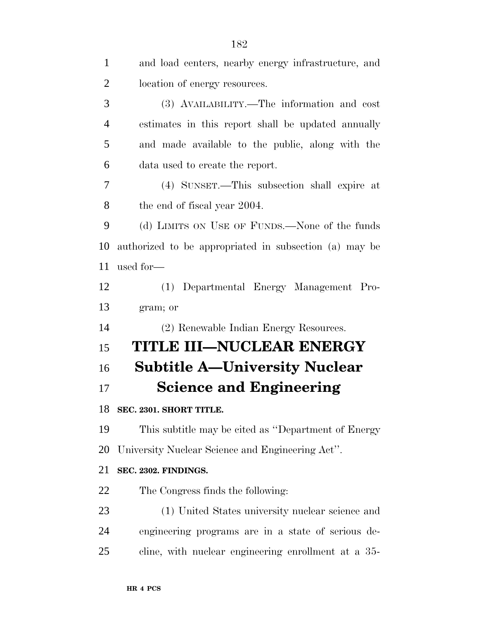| $\mathbf{1}$   | and load centers, nearby energy infrastructure, and    |
|----------------|--------------------------------------------------------|
| $\overline{2}$ | location of energy resources.                          |
| 3              | (3) AVAILABILITY.—The information and cost             |
| $\overline{4}$ | estimates in this report shall be updated annually     |
| 5              | and made available to the public, along with the       |
| 6              | data used to create the report.                        |
| 7              | (4) SUNSET.—This subsection shall expire at            |
| 8              | the end of fiscal year 2004.                           |
| 9              | (d) LIMITS ON USE OF FUNDS.—None of the funds          |
| 10             | authorized to be appropriated in subsection (a) may be |
| 11             | used for-                                              |
| 12             | (1) Departmental Energy Management Pro-                |
| 13             | gram; or                                               |
| 14             | (2) Renewable Indian Energy Resources.                 |
| 15             | TITLE III—NUCLEAR ENERGY                               |
| 16             | <b>Subtitle A—University Nuclear</b>                   |
| 17             | <b>Science and Engineering</b>                         |
| 18             | SEC. 2301. SHORT TITLE.                                |
| 19             | This subtitle may be cited as "Department of Energy"   |
| 20             | University Nuclear Science and Engineering Act".       |
| 21             | SEC. 2302. FINDINGS.                                   |
| 22             | The Congress finds the following:                      |
| 23             | (1) United States university nuclear science and       |
| 24             | engineering programs are in a state of serious de-     |
| 25             | cline, with nuclear engineering enrollment at a 35-    |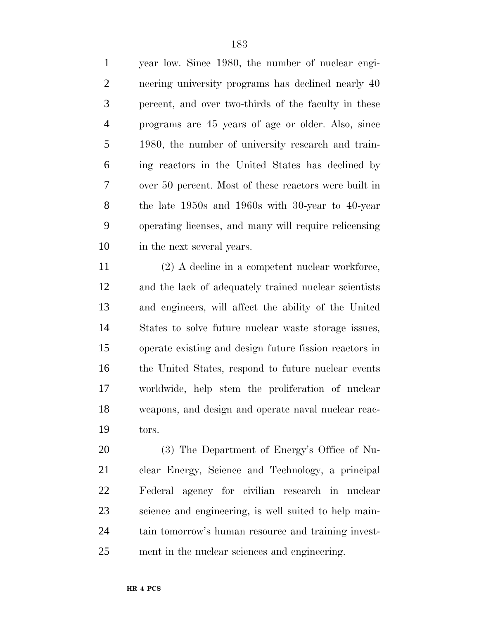year low. Since 1980, the number of nuclear engi- neering university programs has declined nearly 40 percent, and over two-thirds of the faculty in these programs are 45 years of age or older. Also, since 1980, the number of university research and train- ing reactors in the United States has declined by over 50 percent. Most of these reactors were built in the late 1950s and 1960s with 30-year to 40-year operating licenses, and many will require relicensing in the next several years.

 (2) A decline in a competent nuclear workforce, and the lack of adequately trained nuclear scientists and engineers, will affect the ability of the United States to solve future nuclear waste storage issues, operate existing and design future fission reactors in 16 the United States, respond to future nuclear events worldwide, help stem the proliferation of nuclear weapons, and design and operate naval nuclear reac-tors.

 (3) The Department of Energy's Office of Nu- clear Energy, Science and Technology, a principal Federal agency for civilian research in nuclear science and engineering, is well suited to help main- tain tomorrow's human resource and training invest-ment in the nuclear sciences and engineering.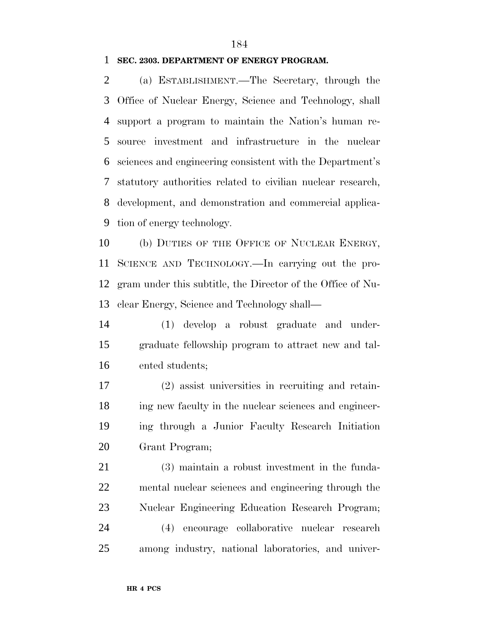#### **SEC. 2303. DEPARTMENT OF ENERGY PROGRAM.**

 (a) ESTABLISHMENT.—The Secretary, through the Office of Nuclear Energy, Science and Technology, shall support a program to maintain the Nation's human re- source investment and infrastructure in the nuclear sciences and engineering consistent with the Department's statutory authorities related to civilian nuclear research, development, and demonstration and commercial applica-tion of energy technology.

10 (b) DUTIES OF THE OFFICE OF NUCLEAR ENERGY, SCIENCE AND TECHNOLOGY.—In carrying out the pro- gram under this subtitle, the Director of the Office of Nu-clear Energy, Science and Technology shall—

 (1) develop a robust graduate and under- graduate fellowship program to attract new and tal-ented students;

 (2) assist universities in recruiting and retain- ing new faculty in the nuclear sciences and engineer- ing through a Junior Faculty Research Initiation Grant Program;

 (3) maintain a robust investment in the funda- mental nuclear sciences and engineering through the Nuclear Engineering Education Research Program; (4) encourage collaborative nuclear research among industry, national laboratories, and univer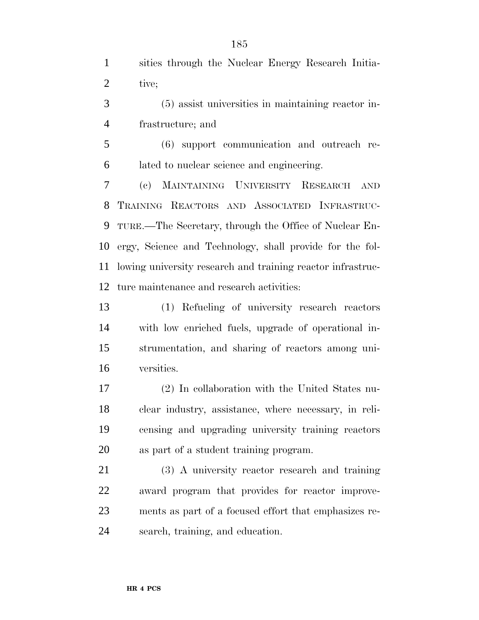sities through the Nuclear Energy Research Initia-2 tive;

 (5) assist universities in maintaining reactor in-frastructure; and

 (6) support communication and outreach re-lated to nuclear science and engineering.

 (c) MAINTAINING UNIVERSITY RESEARCH AND TRAINING REACTORS AND ASSOCIATED INFRASTRUC- TURE.—The Secretary, through the Office of Nuclear En- ergy, Science and Technology, shall provide for the fol- lowing university research and training reactor infrastruc-ture maintenance and research activities:

 (1) Refueling of university research reactors with low enriched fuels, upgrade of operational in- strumentation, and sharing of reactors among uni-versities.

 (2) In collaboration with the United States nu- clear industry, assistance, where necessary, in reli- censing and upgrading university training reactors as part of a student training program.

 (3) A university reactor research and training award program that provides for reactor improve- ments as part of a focused effort that emphasizes re-search, training, and education.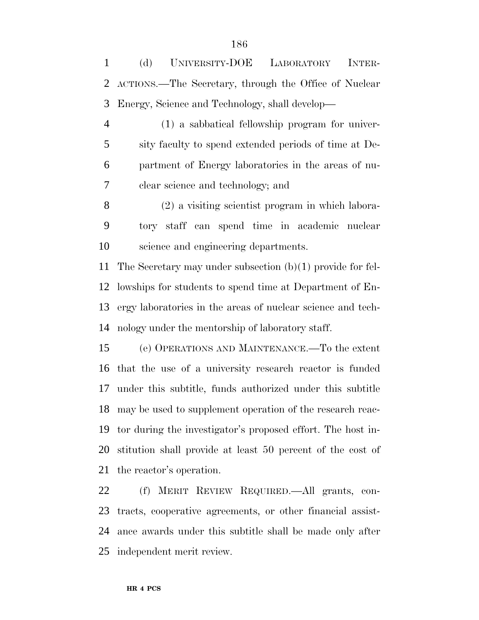(d) UNIVERSITY-DOE LABORATORY INTER- ACTIONS.—The Secretary, through the Office of Nuclear Energy, Science and Technology, shall develop—

 (1) a sabbatical fellowship program for univer- sity faculty to spend extended periods of time at De- partment of Energy laboratories in the areas of nu-clear science and technology; and

 (2) a visiting scientist program in which labora- tory staff can spend time in academic nuclear science and engineering departments.

 The Secretary may under subsection (b)(1) provide for fel- lowships for students to spend time at Department of En- ergy laboratories in the areas of nuclear science and tech-nology under the mentorship of laboratory staff.

 (e) OPERATIONS AND MAINTENANCE.—To the extent that the use of a university research reactor is funded under this subtitle, funds authorized under this subtitle may be used to supplement operation of the research reac- tor during the investigator's proposed effort. The host in- stitution shall provide at least 50 percent of the cost of the reactor's operation.

 (f) MERIT REVIEW REQUIRED.—All grants, con- tracts, cooperative agreements, or other financial assist- ance awards under this subtitle shall be made only after independent merit review.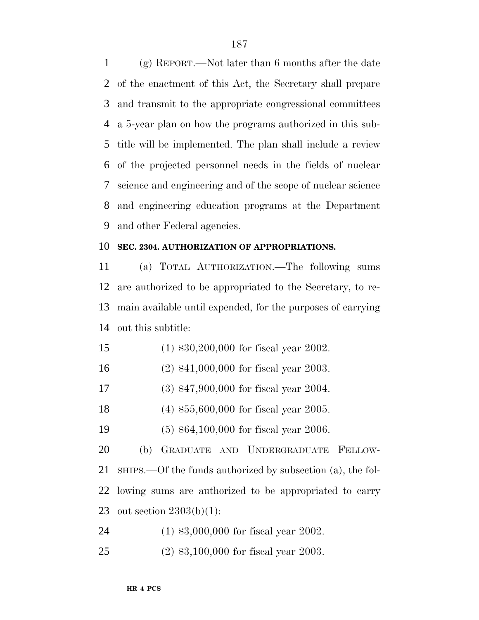(g) REPORT.—Not later than 6 months after the date of the enactment of this Act, the Secretary shall prepare and transmit to the appropriate congressional committees a 5-year plan on how the programs authorized in this sub- title will be implemented. The plan shall include a review of the projected personnel needs in the fields of nuclear science and engineering and of the scope of nuclear science and engineering education programs at the Department and other Federal agencies.

#### **SEC. 2304. AUTHORIZATION OF APPROPRIATIONS.**

 (a) TOTAL AUTHORIZATION.—The following sums are authorized to be appropriated to the Secretary, to re- main available until expended, for the purposes of carrying out this subtitle:

- (1) \$30,200,000 for fiscal year 2002.
- (2) \$41,000,000 for fiscal year 2003.
- (3) \$47,900,000 for fiscal year 2004.
- (4) \$55,600,000 for fiscal year 2005.
- (5) \$64,100,000 for fiscal year 2006.

 (b) GRADUATE AND UNDERGRADUATE FELLOW- SHIPS.—Of the funds authorized by subsection (a), the fol- lowing sums are authorized to be appropriated to carry out section 2303(b)(1):

(1) \$3,000,000 for fiscal year 2002.

(2) \$3,100,000 for fiscal year 2003.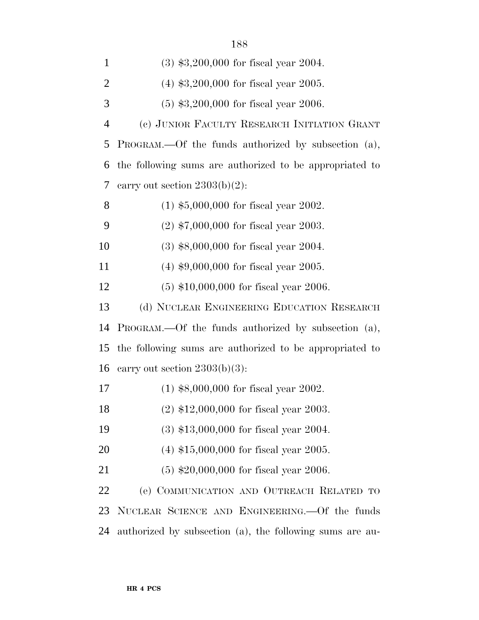| $\mathbf{1}$   | $(3)$ \$3,200,000 for fiscal year 2004.                 |
|----------------|---------------------------------------------------------|
| $\overline{2}$ | $(4)$ \$3,200,000 for fiscal year 2005.                 |
| 3              | $(5)$ \$3,200,000 for fiscal year 2006.                 |
| $\overline{4}$ | (c) JUNIOR FACULTY RESEARCH INITIATION GRANT            |
| 5              | PROGRAM.—Of the funds authorized by subsection (a),     |
| 6              | the following sums are authorized to be appropriated to |
| 7              | carry out section $2303(b)(2)$ :                        |
| 8              | $(1)$ \$5,000,000 for fiscal year 2002.                 |
| 9              | $(2)$ \$7,000,000 for fiscal year 2003.                 |
| 10             | $(3)$ \$8,000,000 for fiscal year 2004.                 |
| 11             | $(4)$ \$9,000,000 for fiscal year 2005.                 |
| 12             | $(5)$ \$10,000,000 for fiscal year 2006.                |
| 13             | (d) NUCLEAR ENGINEERING EDUCATION RESEARCH              |
| 14             | PROGRAM.—Of the funds authorized by subsection (a),     |
| 15             | the following sums are authorized to be appropriated to |
| 16             | carry out section $2303(b)(3)$ :                        |
| 17             | $(1)$ \$8,000,000 for fiscal year 2002.                 |
| 18             | $(2)$ \$12,000,000 for fiscal year 2003.                |
| 19             | $(3)$ \$13,000,000 for fiscal year 2004.                |
| 20             | $(4)$ \$15,000,000 for fiscal year 2005.                |
|                |                                                         |
| 21             | $(5)$ \$20,000,000 for fiscal year 2006.                |
| 22             | (e) COMMUNICATION AND OUTREACH RELATED TO               |
| 23             | NUCLEAR SCIENCE AND ENGINEERING. Of the funds           |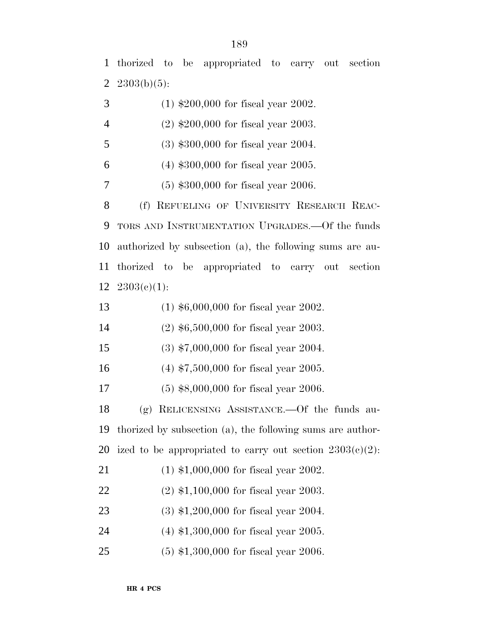thorized to be appropriated to carry out section 2303(b)(5):

| 3              | $(1)$ \$200,000 for fiscal year 2002.                          |
|----------------|----------------------------------------------------------------|
| $\overline{4}$ | $(2)$ \$200,000 for fiscal year 2003.                          |
| 5              | $(3)$ \$300,000 for fiscal year 2004.                          |
| 6              | $(4)$ \$300,000 for fiscal year 2005.                          |
| 7              | $(5)$ \$300,000 for fiscal year 2006.                          |
| 8              | (f) REFUELING OF UNIVERSITY RESEARCH REAC-                     |
| 9              | TORS AND INSTRUMENTATION UPGRADES.—Of the funds                |
| 10             | authorized by subsection (a), the following sums are au-       |
| 11             | thorized to be appropriated to carry out section               |
| 12             | $2303(c)(1)$ :                                                 |
| 13             | $(1)$ \$6,000,000 for fiscal year 2002.                        |
| 14             | $(2)$ \$6,500,000 for fiscal year 2003.                        |
| 15             | $(3)$ \$7,000,000 for fiscal year 2004.                        |
| 16             | $(4)$ \$7,500,000 for fiscal year 2005.                        |
| 17             | $(5)$ \$8,000,000 for fiscal year 2006.                        |
| 18             | $(g)$ RELICENSING ASSISTANCE.—Of the funds au-                 |
| 19             | thorized by subsection (a), the following sums are author-     |
|                | 20 ized to be appropriated to carry out section $2303(c)(2)$ : |
| 21             | $(1)$ \$1,000,000 for fiscal year 2002.                        |
| 22             | $(2)$ \$1,100,000 for fiscal year 2003.                        |
| 23             | $(3)$ \$1,200,000 for fiscal year 2004.                        |
| 24             | $(4)$ \$1,300,000 for fiscal year 2005.                        |
|                |                                                                |

(5) \$1,300,000 for fiscal year 2006.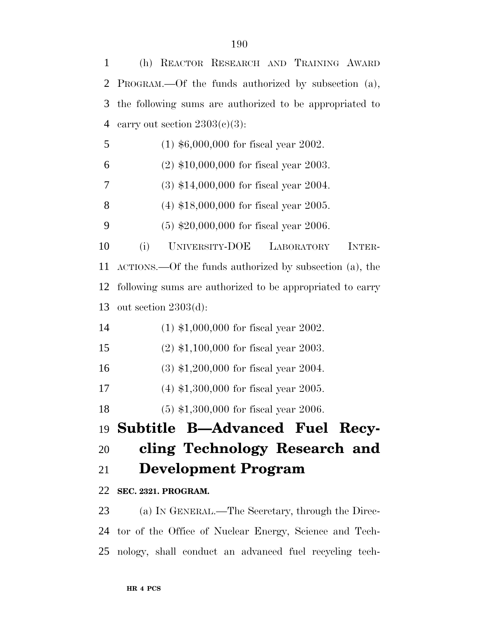| $\mathbf{1}$   | (h) REACTOR RESEARCH AND TRAINING AWARD                   |
|----------------|-----------------------------------------------------------|
| 2              | PROGRAM.—Of the funds authorized by subsection (a),       |
| 3              | the following sums are authorized to be appropriated to   |
| $\overline{4}$ | carry out section $2303(e)(3)$ :                          |
| 5              | $(1)$ \$6,000,000 for fiscal year 2002.                   |
| 6              | $(2)$ \$10,000,000 for fiscal year 2003.                  |
| 7              | $(3)$ \$14,000,000 for fiscal year 2004.                  |
| 8              | $(4)$ \$18,000,000 for fiscal year 2005.                  |
| 9              | $(5)$ \$20,000,000 for fiscal year 2006.                  |
| 10             | UNIVERSITY-DOE<br>(i)<br>INTER-<br>LABORATORY             |
| 11             | ACTIONS.—Of the funds authorized by subsection (a), the   |
| 12             | following sums are authorized to be appropriated to carry |
| 13             | out section $2303(d)$ :                                   |
| 14             | $(1)$ \$1,000,000 for fiscal year 2002.                   |
| 15             | $(2)$ \$1,100,000 for fiscal year 2003.                   |
| 16             | $(3)$ \$1,200,000 for fiscal year 2004.                   |
| 17             | $(4)$ \$1,300,000 for fiscal year 2005.                   |
| 18             | $(5)$ \$1,300,000 for fiscal year 2006.                   |
|                | 19 Subtitle B—Advanced Fuel Recy-                         |
| 20             | cling Technology Research and                             |
| 21             | <b>Development Program</b>                                |
|                | 22 SEC. 2321. PROGRAM.                                    |
| 23             | (a) IN GENERAL.—The Secretary, through the Direc-         |
|                | 24 tor of the Office of Nuclear Energy, Science and Tech- |

nology, shall conduct an advanced fuel recycling tech-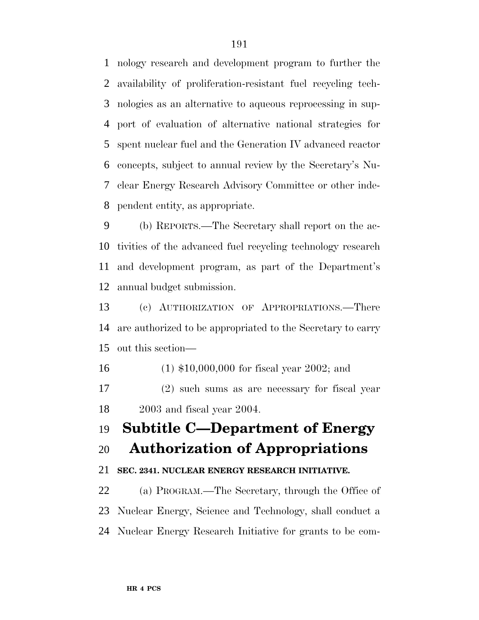nology research and development program to further the availability of proliferation-resistant fuel recycling tech- nologies as an alternative to aqueous reprocessing in sup- port of evaluation of alternative national strategies for spent nuclear fuel and the Generation IV advanced reactor concepts, subject to annual review by the Secretary's Nu- clear Energy Research Advisory Committee or other inde-pendent entity, as appropriate.

 (b) REPORTS.—The Secretary shall report on the ac- tivities of the advanced fuel recycling technology research and development program, as part of the Department's annual budget submission.

 (c) AUTHORIZATION OF APPROPRIATIONS.—There are authorized to be appropriated to the Secretary to carry out this section—

(1) \$10,000,000 for fiscal year 2002; and

 (2) such sums as are necessary for fiscal year 2003 and fiscal year 2004.

# **Subtitle C—Department of Energy**

# **Authorization of Appropriations**

# **SEC. 2341. NUCLEAR ENERGY RESEARCH INITIATIVE.**

 (a) PROGRAM.—The Secretary, through the Office of Nuclear Energy, Science and Technology, shall conduct a Nuclear Energy Research Initiative for grants to be com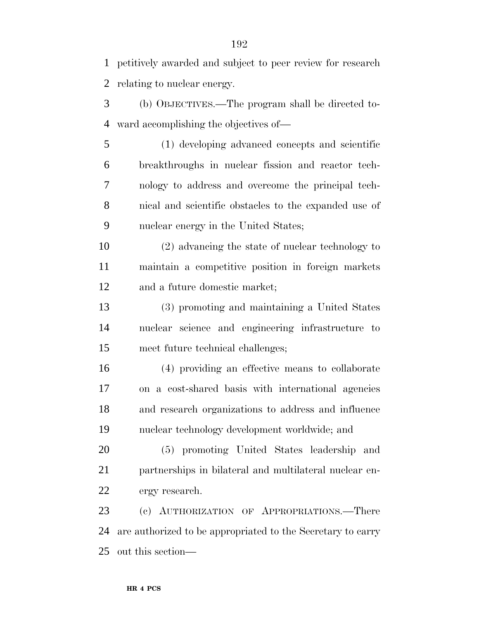petitively awarded and subject to peer review for research relating to nuclear energy.

 (b) OBJECTIVES.—The program shall be directed to-ward accomplishing the objectives of—

 (1) developing advanced concepts and scientific breakthroughs in nuclear fission and reactor tech- nology to address and overcome the principal tech- nical and scientific obstacles to the expanded use of nuclear energy in the United States;

 (2) advancing the state of nuclear technology to maintain a competitive position in foreign markets and a future domestic market;

 (3) promoting and maintaining a United States nuclear science and engineering infrastructure to meet future technical challenges;

 (4) providing an effective means to collaborate on a cost-shared basis with international agencies and research organizations to address and influence nuclear technology development worldwide; and

 (5) promoting United States leadership and partnerships in bilateral and multilateral nuclear en-ergy research.

 (c) AUTHORIZATION OF APPROPRIATIONS.—There are authorized to be appropriated to the Secretary to carry out this section—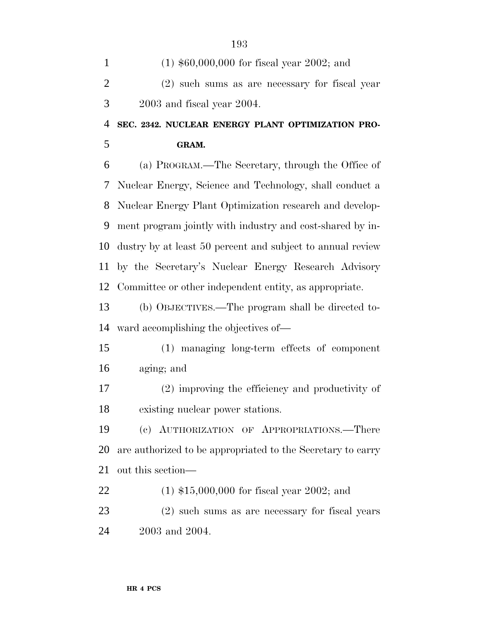| $\mathbf{1}$   | $(1)$ \$60,000,000 for fiscal year 2002; and                |
|----------------|-------------------------------------------------------------|
| $\overline{2}$ | (2) such sums as are necessary for fiscal year              |
| 3              | $2003$ and fiscal year $2004$ .                             |
| $\overline{4}$ | SEC. 2342. NUCLEAR ENERGY PLANT OPTIMIZATION PRO-           |
| 5              | GRAM.                                                       |
| 6              | (a) PROGRAM.—The Secretary, through the Office of           |
| 7              | Nuclear Energy, Science and Technology, shall conduct a     |
| 8              | Nuclear Energy Plant Optimization research and develop-     |
| 9              | ment program jointly with industry and cost-shared by in-   |
| 10             | dustry by at least 50 percent and subject to annual review  |
| 11             | by the Secretary's Nuclear Energy Research Advisory         |
| 12             | Committee or other independent entity, as appropriate.      |
| 13             | (b) OBJECTIVES.—The program shall be directed to-           |
| 14             | ward accomplishing the objectives of—                       |
| 15             | (1) managing long-term effects of component                 |
| 16             | aging; and                                                  |
| 17             | (2) improving the efficiency and productivity of            |
| 18             | existing nuclear power stations.                            |
| 19             | (c) AUTHORIZATION OF APPROPRIATIONS.—There                  |
| 20             | are authorized to be appropriated to the Secretary to carry |
| 21             | out this section—                                           |
| 22             | $(1)$ \$15,000,000 for fiscal year 2002; and                |
| 23             | (2) such sums as are necessary for fiscal years             |
| 24             | 2003 and 2004.                                              |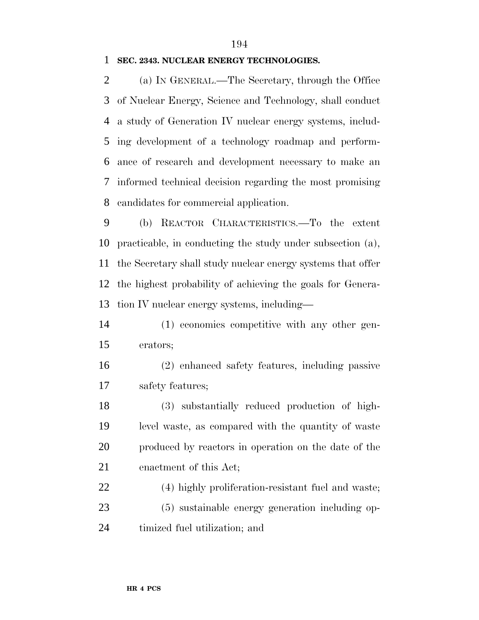#### **SEC. 2343. NUCLEAR ENERGY TECHNOLOGIES.**

 (a) IN GENERAL.—The Secretary, through the Office of Nuclear Energy, Science and Technology, shall conduct a study of Generation IV nuclear energy systems, includ- ing development of a technology roadmap and perform- ance of research and development necessary to make an informed technical decision regarding the most promising candidates for commercial application.

 (b) REACTOR CHARACTERISTICS.—To the extent practicable, in conducting the study under subsection (a), the Secretary shall study nuclear energy systems that offer the highest probability of achieving the goals for Genera-tion IV nuclear energy systems, including—

 (1) economics competitive with any other gen-erators;

 (2) enhanced safety features, including passive safety features;

 (3) substantially reduced production of high- level waste, as compared with the quantity of waste produced by reactors in operation on the date of the enactment of this Act;

 (4) highly proliferation-resistant fuel and waste; (5) sustainable energy generation including op-timized fuel utilization; and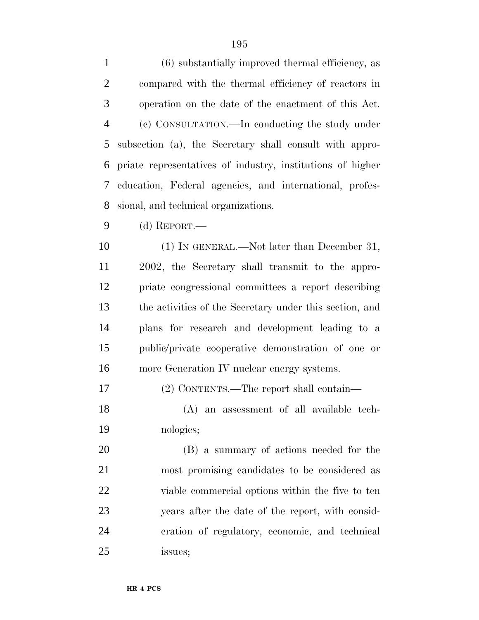| $\mathbf{1}$   | (6) substantially improved thermal efficiency, as          |
|----------------|------------------------------------------------------------|
| $\overline{2}$ | compared with the thermal efficiency of reactors in        |
| 3              | operation on the date of the enactment of this Act.        |
| $\overline{4}$ | (c) CONSULTATION.—In conducting the study under            |
| 5              | subsection (a), the Secretary shall consult with appro-    |
| 6              | priate representatives of industry, institutions of higher |
| 7              | education, Federal agencies, and international, profes-    |
| 8              | sional, and technical organizations.                       |
| 9              | (d) REPORT.—                                               |
| 10             | $(1)$ In GENERAL.—Not later than December 31,              |
| 11             | 2002, the Secretary shall transmit to the appro-           |
| 12             | priate congressional committees a report describing        |
| 13             | the activities of the Secretary under this section, and    |
| 14             | plans for research and development leading to a            |
| 15             | public/private cooperative demonstration of one or         |
| 16             | more Generation IV nuclear energy systems.                 |
| 17             | (2) CONTENTS.—The report shall contain—                    |
| 18             | (A) an assessment of all available tech-                   |
| 19             | nologies;                                                  |
| 20             | (B) a summary of actions needed for the                    |
| 21             | most promising candidates to be considered as              |
| 22             | viable commercial options within the five to ten           |
| $\sim$         |                                                            |

 years after the date of the report, with consid- eration of regulatory, economic, and technical issues;

**HR 4 PCS**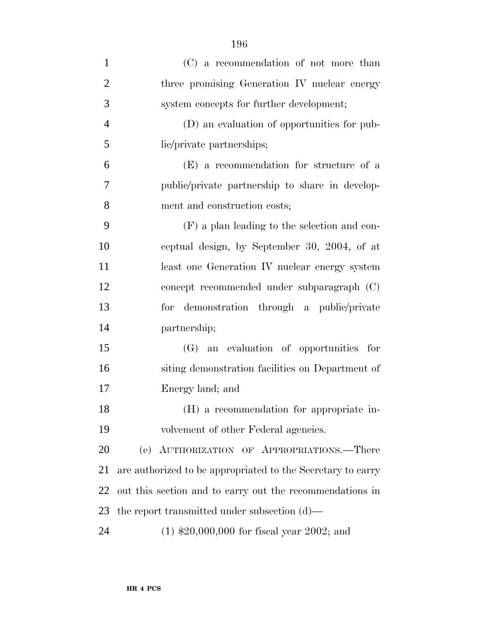| $\mathbf{1}$   | (C) a recommendation of not more than                       |
|----------------|-------------------------------------------------------------|
| $\overline{2}$ | three promising Generation IV nuclear energy                |
| 3              | system concepts for further development;                    |
| $\overline{4}$ | (D) an evaluation of opportunities for pub-                 |
| 5              | lic/private partnerships;                                   |
| 6              | (E) a recommendation for structure of a                     |
| 7              | public/private partnership to share in develop-             |
| 8              | ment and construction costs;                                |
| 9              | (F) a plan leading to the selection and con-                |
| 10             | ceptual design, by September 30, 2004, of at                |
| 11             | least one Generation IV nuclear energy system               |
| 12             | concept recommended under subparagraph (C)                  |
| 13             | for demonstration through a public/private                  |
| 14             | partnership;                                                |
| 15             | (G) an evaluation of opportunities for                      |
| 16             | siting demonstration facilities on Department of            |
| 17             | Energy land; and                                            |
| 18             | (H) a recommendation for appropriate in-                    |
| 19             | volvement of other Federal agencies.                        |
| 20             | (e) AUTHORIZATION OF APPROPRIATIONS.-There                  |
| 21             | are authorized to be appropriated to the Secretary to carry |
| 22             | out this section and to carry out the recommendations in    |
| 23             | the report transmitted under subsection $(d)$ —             |
| 24             | $(1)$ \$20,000,000 for fiscal year 2002; and                |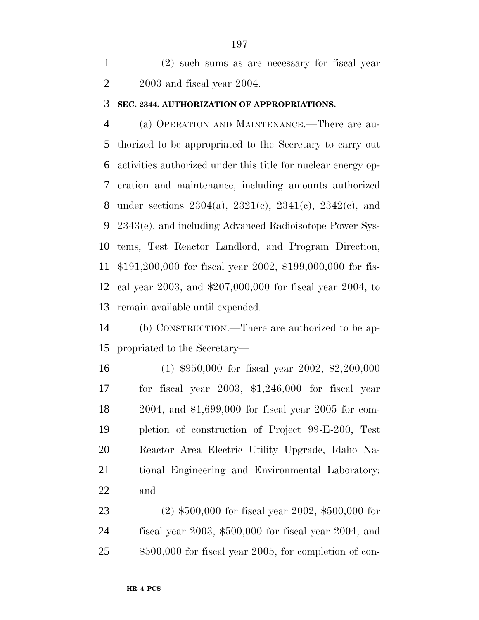(2) such sums as are necessary for fiscal year 2003 and fiscal year 2004.

#### **SEC. 2344. AUTHORIZATION OF APPROPRIATIONS.**

 (a) OPERATION AND MAINTENANCE.—There are au- thorized to be appropriated to the Secretary to carry out activities authorized under this title for nuclear energy op- eration and maintenance, including amounts authorized 8 under sections  $2304(a)$ ,  $2321(c)$ ,  $2341(c)$ ,  $2342(c)$ , and 2343(e), and including Advanced Radioisotope Power Sys- tems, Test Reactor Landlord, and Program Direction, \$191,200,000 for fiscal year 2002, \$199,000,000 for fis- cal year 2003, and \$207,000,000 for fiscal year 2004, to remain available until expended.

 (b) CONSTRUCTION.—There are authorized to be ap-propriated to the Secretary—

 (1) \$950,000 for fiscal year 2002, \$2,200,000 for fiscal year 2003, \$1,246,000 for fiscal year 2004, and \$1,699,000 for fiscal year 2005 for com- pletion of construction of Project 99-E-200, Test Reactor Area Electric Utility Upgrade, Idaho Na- tional Engineering and Environmental Laboratory; and

 (2) \$500,000 for fiscal year 2002, \$500,000 for fiscal year 2003, \$500,000 for fiscal year 2004, and \$500,000 for fiscal year 2005, for completion of con-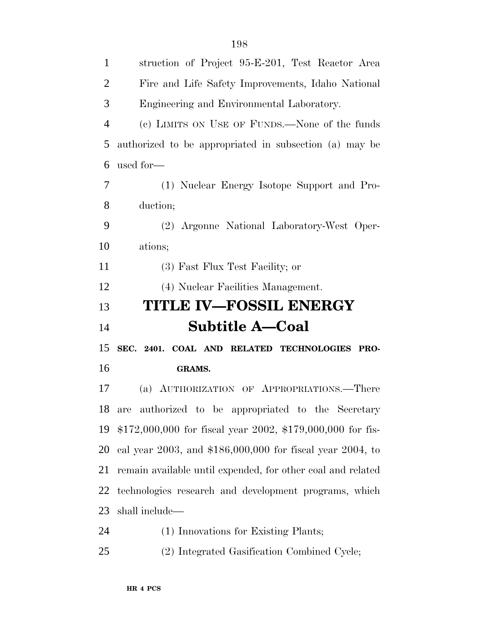| $\mathbf{1}$   | struction of Project 95-E-201, Test Reactor Area            |
|----------------|-------------------------------------------------------------|
| $\overline{2}$ | Fire and Life Safety Improvements, Idaho National           |
| 3              | Engineering and Environmental Laboratory.                   |
| $\overline{4}$ | (c) LIMITS ON USE OF FUNDS.—None of the funds               |
| 5              | authorized to be appropriated in subsection (a) may be      |
| 6              | used for-                                                   |
| 7              | (1) Nuclear Energy Isotope Support and Pro-                 |
| 8              | duction;                                                    |
| 9              | (2) Argonne National Laboratory-West Oper-                  |
| 10             | ations;                                                     |
| 11             | (3) Fast Flux Test Facility; or                             |
| 12             | (4) Nuclear Facilities Management.                          |
|                |                                                             |
|                | <b>TITLE IV-FOSSIL ENERGY</b>                               |
| 13<br>14       | <b>Subtitle A-Coal</b>                                      |
| 15             | SEC. 2401. COAL AND RELATED TECHNOLOGIES PRO-               |
| 16             | <b>GRAMS.</b>                                               |
| 17             | (a) AUTHORIZATION OF APPROPRIATIONS.—There                  |
|                | 18 are authorized to be appropriated to the Secretary       |
| 19             | $$172,000,000$ for fiscal year 2002, \$179,000,000 for fis- |
| 20             | cal year 2003, and $$186,000,000$ for fiscal year 2004, to  |
| 21             | remain available until expended, for other coal and related |
| 22             | technologies research and development programs, which       |
| 23             | shall include—                                              |

(2) Integrated Gasification Combined Cycle;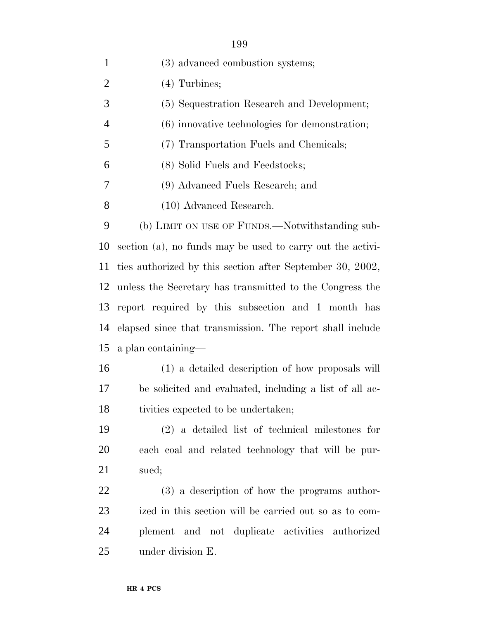| $\mathbf{1}$   | (3) advanced combustion systems;                           |
|----------------|------------------------------------------------------------|
| $\overline{2}$ | $(4)$ Turbines;                                            |
| 3              | (5) Sequestration Research and Development;                |
| $\overline{4}$ | $(6)$ innovative technologies for demonstration;           |
| 5              | (7) Transportation Fuels and Chemicals;                    |
| 6              | (8) Solid Fuels and Feedstocks;                            |
| 7              | (9) Advanced Fuels Research; and                           |
| 8              | (10) Advanced Research.                                    |
| 9              | (b) LIMIT ON USE OF FUNDS.—Notwithstanding sub-            |
| 10             | section (a), no funds may be used to carry out the activi- |
| 11             | ties authorized by this section after September 30, 2002,  |
| 12             | unless the Secretary has transmitted to the Congress the   |
| 13             | report required by this subsection and 1 month has         |
| 14             | elapsed since that transmission. The report shall include  |
| 15             | a plan containing—                                         |
| 16             | (1) a detailed description of how proposals will           |
| 17             | be solicited and evaluated, including a list of all ac-    |
| 18             | tivities expected to be undertaken;                        |
| 19             | $(2)$ a detailed list of technical milestones for          |
| 20             | each coal and related technology that will be pur-         |
| 21             | sued;                                                      |
| 22             | (3) a description of how the programs author-              |
| $2^{\circ}$    | in this soction will be comicd out so as to                |

 ized in this section will be carried out so as to com- plement and not duplicate activities authorized under division E.

#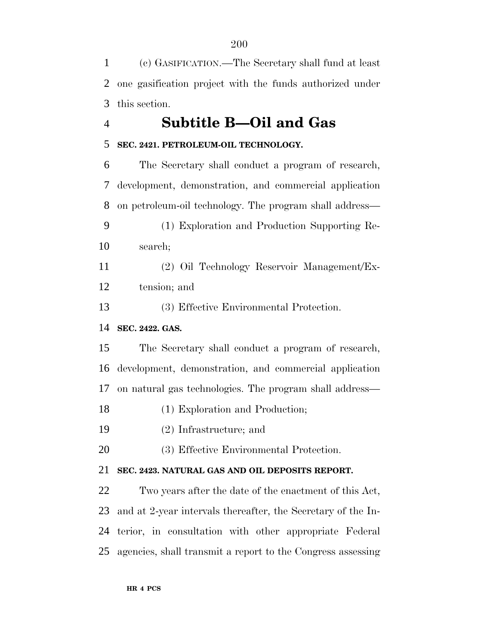(c) GASIFICATION.—The Secretary shall fund at least one gasification project with the funds authorized under this section.

# **Subtitle B—Oil and Gas**

## **SEC. 2421. PETROLEUM-OIL TECHNOLOGY.**

 The Secretary shall conduct a program of research, development, demonstration, and commercial application on petroleum-oil technology. The program shall address— (1) Exploration and Production Supporting Re- search; (2) Oil Technology Reservoir Management/Ex- tension; and (3) Effective Environmental Protection. **SEC. 2422. GAS.**

 The Secretary shall conduct a program of research, development, demonstration, and commercial application on natural gas technologies. The program shall address—

- (1) Exploration and Production;
- (2) Infrastructure; and
- (3) Effective Environmental Protection.

## **SEC. 2423. NATURAL GAS AND OIL DEPOSITS REPORT.**

 Two years after the date of the enactment of this Act, and at 2-year intervals thereafter, the Secretary of the In- terior, in consultation with other appropriate Federal agencies, shall transmit a report to the Congress assessing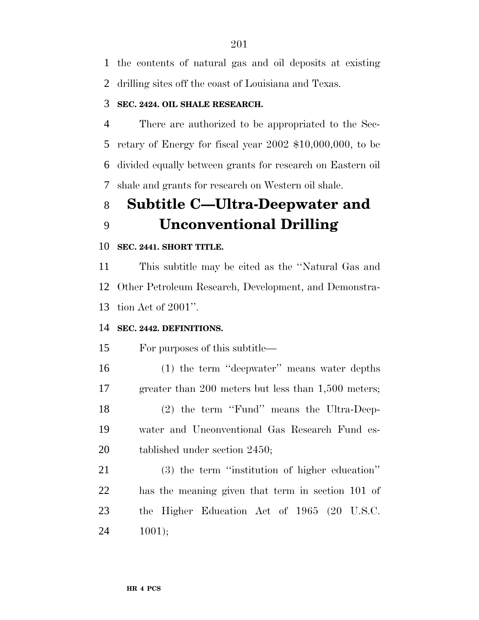the contents of natural gas and oil deposits at existing drilling sites off the coast of Louisiana and Texas.

## **SEC. 2424. OIL SHALE RESEARCH.**

 There are authorized to be appropriated to the Sec- retary of Energy for fiscal year 2002 \$10,000,000, to be divided equally between grants for research on Eastern oil shale and grants for research on Western oil shale.

# **Subtitle C—Ultra-Deepwater and Unconventional Drilling**

#### **SEC. 2441. SHORT TITLE.**

 This subtitle may be cited as the ''Natural Gas and Other Petroleum Research, Development, and Demonstra-tion Act of 2001''.

## **SEC. 2442. DEFINITIONS.**

For purposes of this subtitle—

 (1) the term ''deepwater'' means water depths greater than 200 meters but less than 1,500 meters; (2) the term ''Fund'' means the Ultra-Deep- water and Unconventional Gas Research Fund es-tablished under section 2450;

 (3) the term ''institution of higher education'' has the meaning given that term in section 101 of the Higher Education Act of 1965 (20 U.S.C. 1001);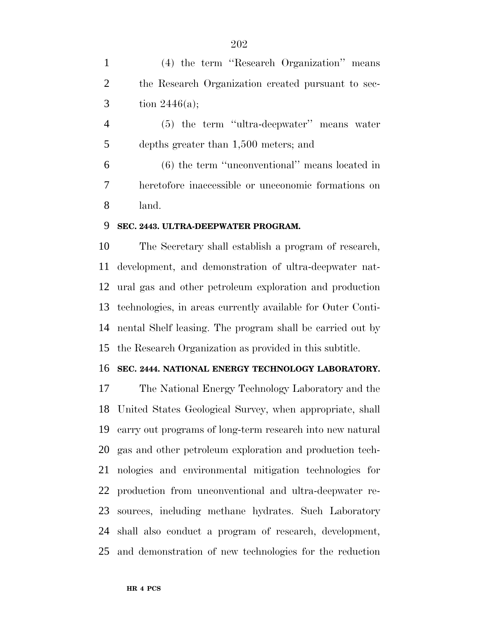(4) the term ''Research Organization'' means the Research Organization created pursuant to sec-3 tion  $2446(a)$ ; (5) the term ''ultra-deepwater'' means water depths greater than 1,500 meters; and (6) the term ''unconventional'' means located in heretofore inaccessible or uneconomic formations on land.

#### **SEC. 2443. ULTRA-DEEPWATER PROGRAM.**

 The Secretary shall establish a program of research, development, and demonstration of ultra-deepwater nat- ural gas and other petroleum exploration and production technologies, in areas currently available for Outer Conti- nental Shelf leasing. The program shall be carried out by the Research Organization as provided in this subtitle.

#### **SEC. 2444. NATIONAL ENERGY TECHNOLOGY LABORATORY.**

 The National Energy Technology Laboratory and the United States Geological Survey, when appropriate, shall carry out programs of long-term research into new natural gas and other petroleum exploration and production tech- nologies and environmental mitigation technologies for production from unconventional and ultra-deepwater re- sources, including methane hydrates. Such Laboratory shall also conduct a program of research, development, and demonstration of new technologies for the reduction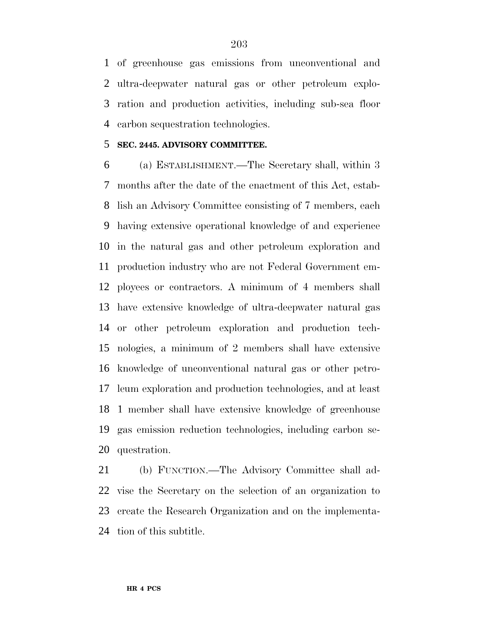of greenhouse gas emissions from unconventional and ultra-deepwater natural gas or other petroleum explo- ration and production activities, including sub-sea floor carbon sequestration technologies.

#### **SEC. 2445. ADVISORY COMMITTEE.**

 (a) ESTABLISHMENT.—The Secretary shall, within 3 months after the date of the enactment of this Act, estab- lish an Advisory Committee consisting of 7 members, each having extensive operational knowledge of and experience in the natural gas and other petroleum exploration and production industry who are not Federal Government em- ployees or contractors. A minimum of 4 members shall have extensive knowledge of ultra-deepwater natural gas or other petroleum exploration and production tech- nologies, a minimum of 2 members shall have extensive knowledge of unconventional natural gas or other petro- leum exploration and production technologies, and at least 1 member shall have extensive knowledge of greenhouse gas emission reduction technologies, including carbon se-questration.

 (b) FUNCTION.—The Advisory Committee shall ad- vise the Secretary on the selection of an organization to create the Research Organization and on the implementa-tion of this subtitle.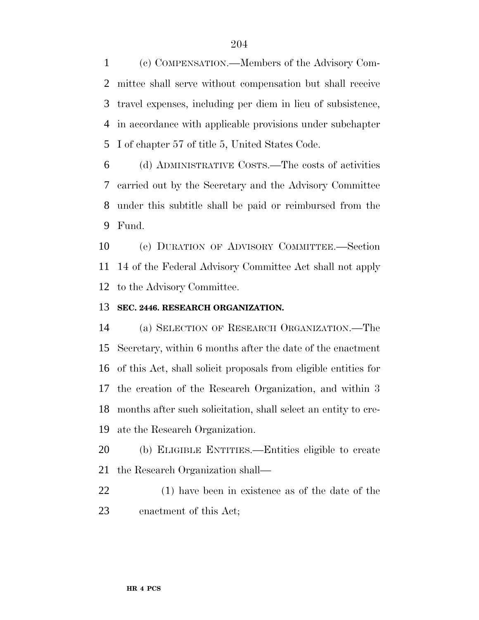(c) COMPENSATION.—Members of the Advisory Com- mittee shall serve without compensation but shall receive travel expenses, including per diem in lieu of subsistence, in accordance with applicable provisions under subchapter I of chapter 57 of title 5, United States Code.

 (d) ADMINISTRATIVE COSTS.—The costs of activities carried out by the Secretary and the Advisory Committee under this subtitle shall be paid or reimbursed from the Fund.

 (e) DURATION OF ADVISORY COMMITTEE.—Section 14 of the Federal Advisory Committee Act shall not apply to the Advisory Committee.

#### **SEC. 2446. RESEARCH ORGANIZATION.**

 (a) SELECTION OF RESEARCH ORGANIZATION.—The Secretary, within 6 months after the date of the enactment of this Act, shall solicit proposals from eligible entities for the creation of the Research Organization, and within 3 months after such solicitation, shall select an entity to cre-ate the Research Organization.

 (b) ELIGIBLE ENTITIES.—Entities eligible to create the Research Organization shall—

 (1) have been in existence as of the date of the enactment of this Act;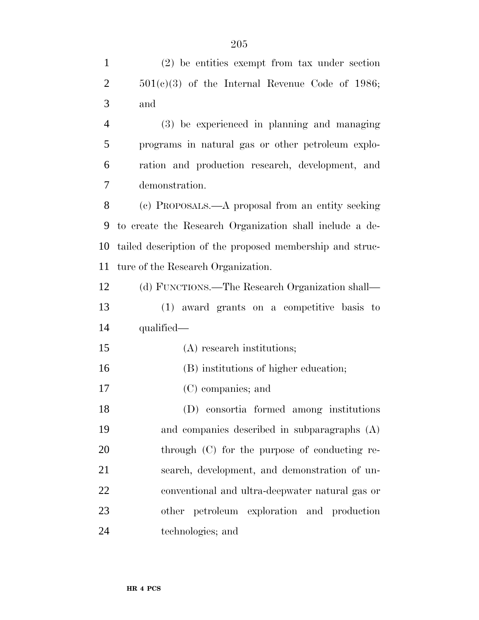(2) be entities exempt from tax under section  $2 \qquad \qquad 501(c)(3)$  of the Internal Revenue Code of 1986; and (3) be experienced in planning and managing programs in natural gas or other petroleum explo- ration and production research, development, and demonstration. (c) PROPOSALS.—A proposal from an entity seeking to create the Research Organization shall include a de- tailed description of the proposed membership and struc- ture of the Research Organization. (d) FUNCTIONS.—The Research Organization shall— (1) award grants on a competitive basis to qualified— (A) research institutions; (B) institutions of higher education; (C) companies; and (D) consortia formed among institutions

 and companies described in subparagraphs (A) 20 through (C) for the purpose of conducting re- search, development, and demonstration of un- conventional and ultra-deepwater natural gas or other petroleum exploration and production technologies; and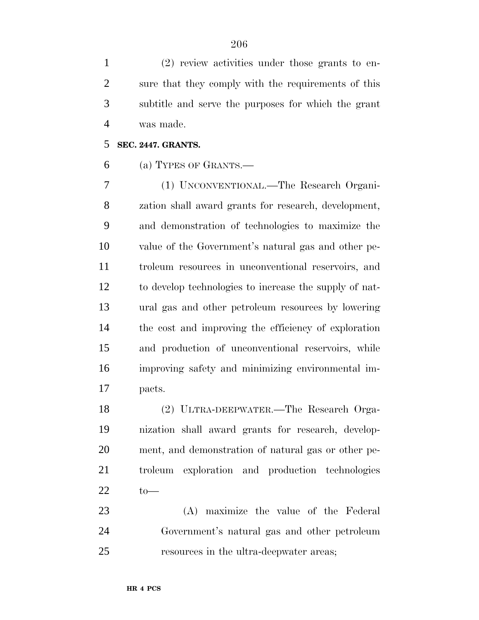(2) review activities under those grants to en- sure that they comply with the requirements of this subtitle and serve the purposes for which the grant was made.

## **SEC. 2447. GRANTS.**

(a) TYPES OF GRANTS.—

 (1) UNCONVENTIONAL.—The Research Organi- zation shall award grants for research, development, and demonstration of technologies to maximize the value of the Government's natural gas and other pe- troleum resources in unconventional reservoirs, and to develop technologies to increase the supply of nat- ural gas and other petroleum resources by lowering the cost and improving the efficiency of exploration and production of unconventional reservoirs, while improving safety and minimizing environmental im-pacts.

 (2) ULTRA-DEEPWATER.—The Research Orga- nization shall award grants for research, develop- ment, and demonstration of natural gas or other pe- troleum exploration and production technologies to—

 (A) maximize the value of the Federal Government's natural gas and other petroleum resources in the ultra-deepwater areas;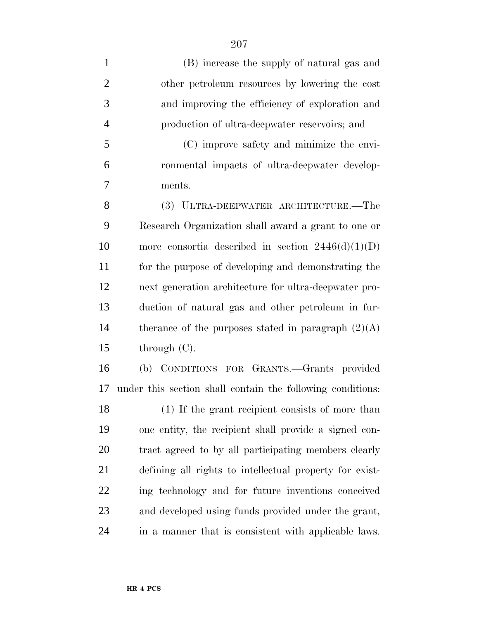(B) increase the supply of natural gas and other petroleum resources by lowering the cost and improving the efficiency of exploration and production of ultra-deepwater reservoirs; and (C) improve safety and minimize the envi- ronmental impacts of ultra-deepwater develop- ments. (3) ULTRA-DEEPWATER ARCHITECTURE.—The Research Organization shall award a grant to one or 10 more consortia described in section  $2446(d)(1)(D)$  for the purpose of developing and demonstrating the next generation architecture for ultra-deepwater pro- duction of natural gas and other petroleum in fur-14 therance of the purposes stated in paragraph  $(2)(A)$ 15 through  $(C)$ . (b) CONDITIONS FOR GRANTS.—Grants provided under this section shall contain the following conditions:

 (1) If the grant recipient consists of more than one entity, the recipient shall provide a signed con- tract agreed to by all participating members clearly defining all rights to intellectual property for exist- ing technology and for future inventions conceived and developed using funds provided under the grant, in a manner that is consistent with applicable laws.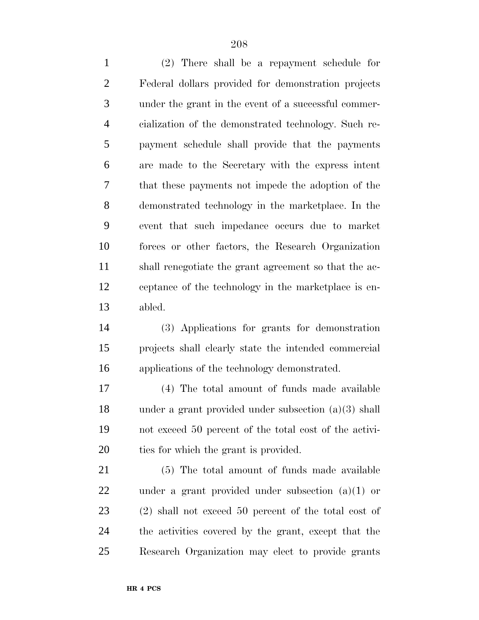(2) There shall be a repayment schedule for Federal dollars provided for demonstration projects under the grant in the event of a successful commer- cialization of the demonstrated technology. Such re- payment schedule shall provide that the payments are made to the Secretary with the express intent that these payments not impede the adoption of the demonstrated technology in the marketplace. In the event that such impedance occurs due to market forces or other factors, the Research Organization shall renegotiate the grant agreement so that the ac- ceptance of the technology in the marketplace is en-abled.

 (3) Applications for grants for demonstration projects shall clearly state the intended commercial applications of the technology demonstrated.

 (4) The total amount of funds made available under a grant provided under subsection (a)(3) shall not exceed 50 percent of the total cost of the activi-ties for which the grant is provided.

 (5) The total amount of funds made available under a grant provided under subsection (a)(1) or (2) shall not exceed 50 percent of the total cost of the activities covered by the grant, except that the Research Organization may elect to provide grants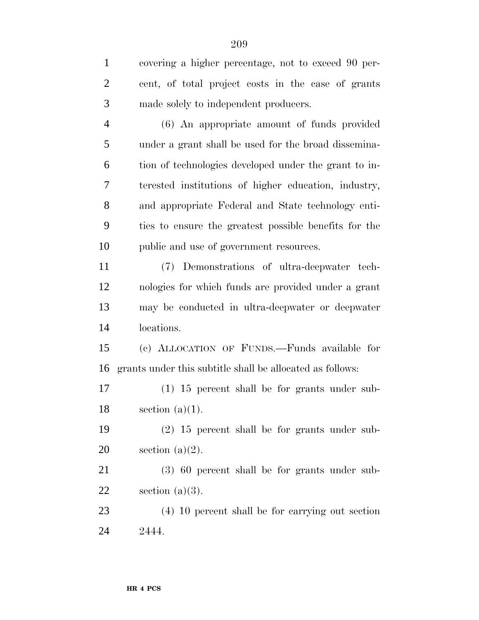cent, of total project costs in the case of grants made solely to independent producers. (6) An appropriate amount of funds provided under a grant shall be used for the broad dissemina- tion of technologies developed under the grant to in- terested institutions of higher education, industry, and appropriate Federal and State technology enti- ties to ensure the greatest possible benefits for the public and use of government resources. (7) Demonstrations of ultra-deepwater tech- nologies for which funds are provided under a grant may be conducted in ultra-deepwater or deepwater locations. (c) ALLOCATION OF FUNDS.—Funds available for grants under this subtitle shall be allocated as follows: (1) 15 percent shall be for grants under sub-18 section  $(a)(1)$ . (2) 15 percent shall be for grants under sub-20 section  $(a)(2)$ .

 (3) 60 percent shall be for grants under sub-22 section  $(a)(3)$ .

 (4) 10 percent shall be for carrying out section 2444.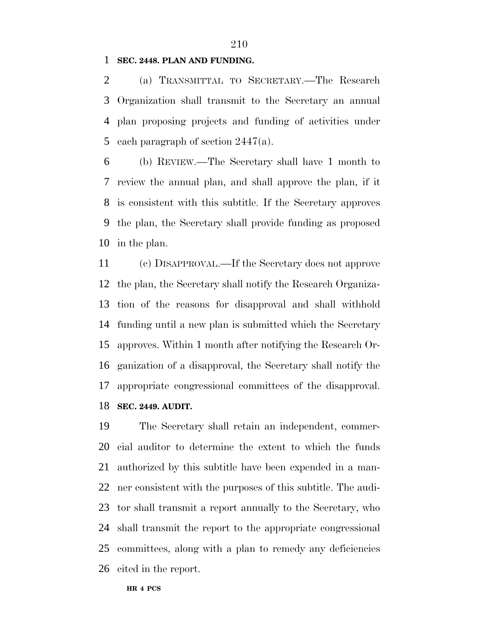#### **SEC. 2448. PLAN AND FUNDING.**

 (a) TRANSMITTAL TO SECRETARY.—The Research Organization shall transmit to the Secretary an annual plan proposing projects and funding of activities under 5 each paragraph of section  $2447(a)$ .

 (b) REVIEW.—The Secretary shall have 1 month to review the annual plan, and shall approve the plan, if it is consistent with this subtitle. If the Secretary approves the plan, the Secretary shall provide funding as proposed in the plan.

 (c) DISAPPROVAL.—If the Secretary does not approve the plan, the Secretary shall notify the Research Organiza- tion of the reasons for disapproval and shall withhold funding until a new plan is submitted which the Secretary approves. Within 1 month after notifying the Research Or- ganization of a disapproval, the Secretary shall notify the appropriate congressional committees of the disapproval. **SEC. 2449. AUDIT.**

 The Secretary shall retain an independent, commer- cial auditor to determine the extent to which the funds authorized by this subtitle have been expended in a man- ner consistent with the purposes of this subtitle. The audi- tor shall transmit a report annually to the Secretary, who shall transmit the report to the appropriate congressional committees, along with a plan to remedy any deficiencies cited in the report.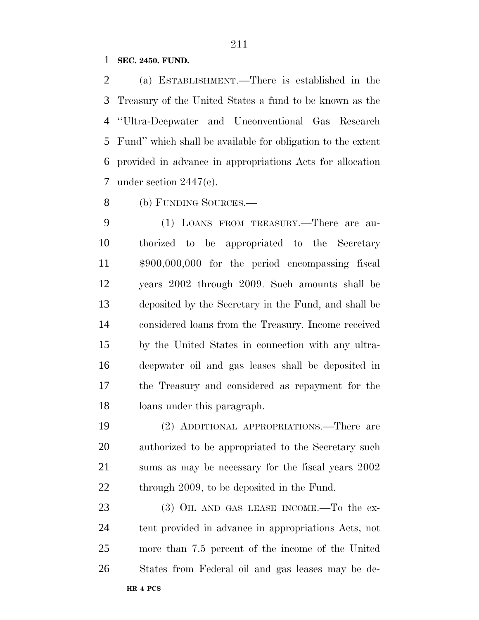#### **SEC. 2450. FUND.**

 (a) ESTABLISHMENT.—There is established in the Treasury of the United States a fund to be known as the ''Ultra-Deepwater and Unconventional Gas Research Fund'' which shall be available for obligation to the extent provided in advance in appropriations Acts for allocation under section 2447(c).

(b) FUNDING SOURCES.—

 (1) LOANS FROM TREASURY.—There are au- thorized to be appropriated to the Secretary \$900,000,000 for the period encompassing fiscal years 2002 through 2009. Such amounts shall be deposited by the Secretary in the Fund, and shall be considered loans from the Treasury. Income received by the United States in connection with any ultra- deepwater oil and gas leases shall be deposited in the Treasury and considered as repayment for the loans under this paragraph.

 (2) ADDITIONAL APPROPRIATIONS.—There are authorized to be appropriated to the Secretary such sums as may be necessary for the fiscal years 2002 22 through 2009, to be deposited in the Fund.

**HR 4 PCS** 23 (3) OIL AND GAS LEASE INCOME.—To the ex- tent provided in advance in appropriations Acts, not more than 7.5 percent of the income of the United States from Federal oil and gas leases may be de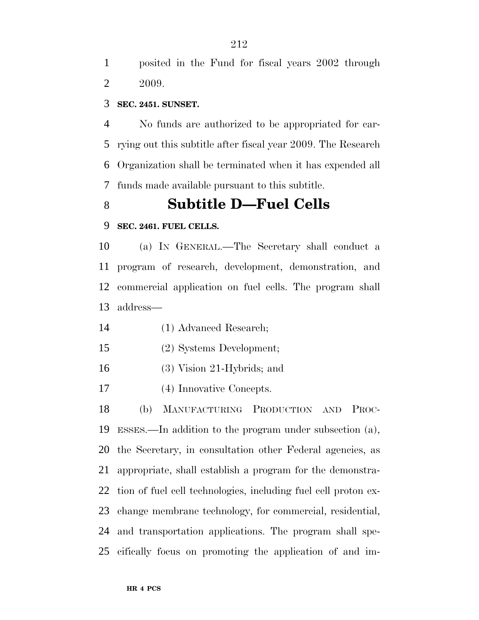posited in the Fund for fiscal years 2002 through 2009.

#### **SEC. 2451. SUNSET.**

 No funds are authorized to be appropriated for car- rying out this subtitle after fiscal year 2009. The Research Organization shall be terminated when it has expended all funds made available pursuant to this subtitle.

# **Subtitle D—Fuel Cells**

#### **SEC. 2461. FUEL CELLS.**

 (a) IN GENERAL.—The Secretary shall conduct a program of research, development, demonstration, and commercial application on fuel cells. The program shall address—

- (1) Advanced Research;
- (2) Systems Development;
- (3) Vision 21-Hybrids; and
- (4) Innovative Concepts.

 (b) MANUFACTURING PRODUCTION AND PROC- ESSES.—In addition to the program under subsection (a), the Secretary, in consultation other Federal agencies, as appropriate, shall establish a program for the demonstra- tion of fuel cell technologies, including fuel cell proton ex- change membrane technology, for commercial, residential, and transportation applications. The program shall spe-cifically focus on promoting the application of and im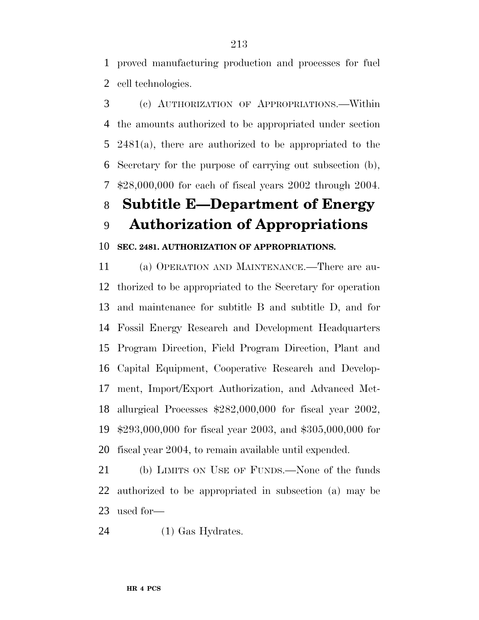proved manufacturing production and processes for fuel cell technologies.

 (c) AUTHORIZATION OF APPROPRIATIONS.—Within the amounts authorized to be appropriated under section 2481(a), there are authorized to be appropriated to the Secretary for the purpose of carrying out subsection (b), \$28,000,000 for each of fiscal years 2002 through 2004.

# **Subtitle E—Department of Energy**

**Authorization of Appropriations**

## **SEC. 2481. AUTHORIZATION OF APPROPRIATIONS.**

 (a) OPERATION AND MAINTENANCE.—There are au- thorized to be appropriated to the Secretary for operation and maintenance for subtitle B and subtitle D, and for Fossil Energy Research and Development Headquarters Program Direction, Field Program Direction, Plant and Capital Equipment, Cooperative Research and Develop- ment, Import/Export Authorization, and Advanced Met- allurgical Processes \$282,000,000 for fiscal year 2002, \$293,000,000 for fiscal year 2003, and \$305,000,000 for fiscal year 2004, to remain available until expended.

 (b) LIMITS ON USE OF FUNDS.—None of the funds authorized to be appropriated in subsection (a) may be used for—

(1) Gas Hydrates.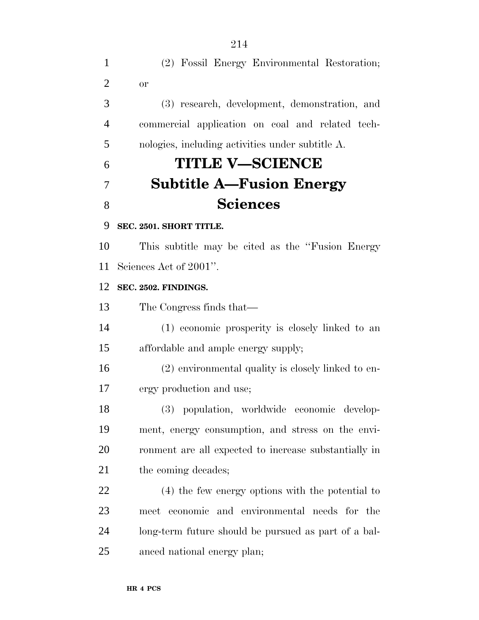(2) Fossil Energy Environmental Restoration; or (3) research, development, demonstration, and commercial application on coal and related tech- nologies, including activities under subtitle A. **TITLE V—SCIENCE Subtitle A—Fusion Energy Sciences SEC. 2501. SHORT TITLE.** This subtitle may be cited as the ''Fusion Energy Sciences Act of 2001''. **SEC. 2502. FINDINGS.** The Congress finds that— (1) economic prosperity is closely linked to an affordable and ample energy supply; (2) environmental quality is closely linked to en- ergy production and use; (3) population, worldwide economic develop- ment, energy consumption, and stress on the envi- ronment are all expected to increase substantially in 21 the coming decades; (4) the few energy options with the potential to meet economic and environmental needs for the long-term future should be pursued as part of a bal-anced national energy plan;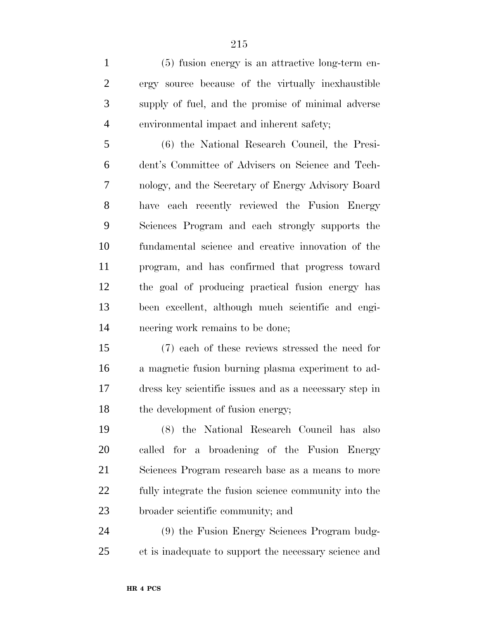(5) fusion energy is an attractive long-term en- ergy source because of the virtually inexhaustible supply of fuel, and the promise of minimal adverse environmental impact and inherent safety;

 (6) the National Research Council, the Presi- dent's Committee of Advisers on Science and Tech- nology, and the Secretary of Energy Advisory Board have each recently reviewed the Fusion Energy Sciences Program and each strongly supports the fundamental science and creative innovation of the program, and has confirmed that progress toward the goal of producing practical fusion energy has been excellent, although much scientific and engi-neering work remains to be done;

 (7) each of these reviews stressed the need for a magnetic fusion burning plasma experiment to ad- dress key scientific issues and as a necessary step in 18 the development of fusion energy;

 (8) the National Research Council has also called for a broadening of the Fusion Energy Sciences Program research base as a means to more fully integrate the fusion science community into the broader scientific community; and

 (9) the Fusion Energy Sciences Program budg-et is inadequate to support the necessary science and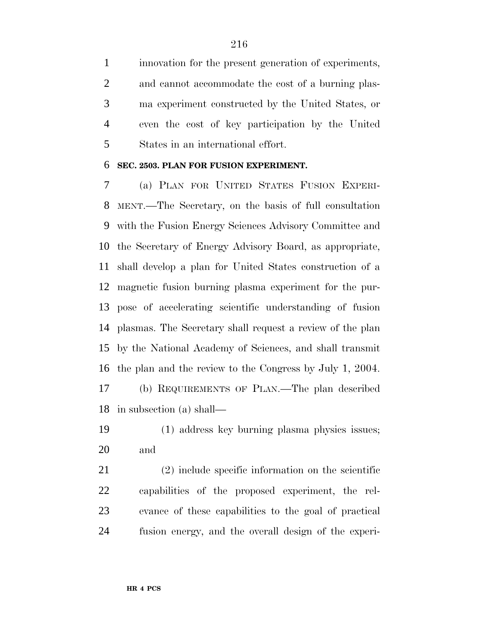innovation for the present generation of experiments, and cannot accommodate the cost of a burning plas- ma experiment constructed by the United States, or even the cost of key participation by the United States in an international effort.

#### **SEC. 2503. PLAN FOR FUSION EXPERIMENT.**

 (a) PLAN FOR UNITED STATES FUSION EXPERI- MENT.—The Secretary, on the basis of full consultation with the Fusion Energy Sciences Advisory Committee and the Secretary of Energy Advisory Board, as appropriate, shall develop a plan for United States construction of a magnetic fusion burning plasma experiment for the pur- pose of accelerating scientific understanding of fusion plasmas. The Secretary shall request a review of the plan by the National Academy of Sciences, and shall transmit the plan and the review to the Congress by July 1, 2004. (b) REQUIREMENTS OF PLAN.—The plan described in subsection (a) shall—

 (1) address key burning plasma physics issues; and

 (2) include specific information on the scientific capabilities of the proposed experiment, the rel- evance of these capabilities to the goal of practical fusion energy, and the overall design of the experi-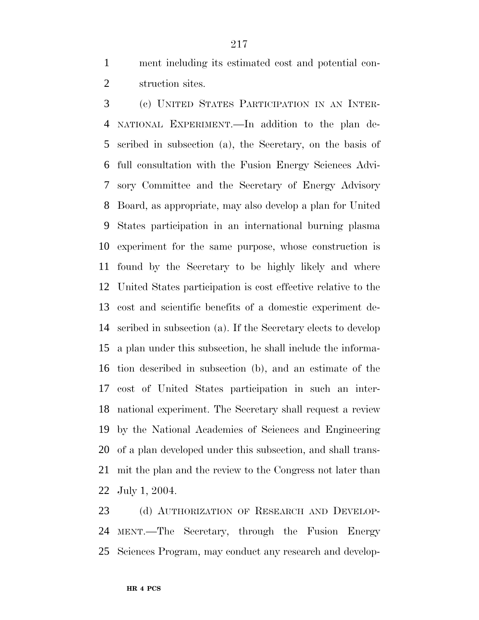ment including its estimated cost and potential con-struction sites.

 (c) UNITED STATES PARTICIPATION IN AN INTER- NATIONAL EXPERIMENT.—In addition to the plan de- scribed in subsection (a), the Secretary, on the basis of full consultation with the Fusion Energy Sciences Advi- sory Committee and the Secretary of Energy Advisory Board, as appropriate, may also develop a plan for United States participation in an international burning plasma experiment for the same purpose, whose construction is found by the Secretary to be highly likely and where United States participation is cost effective relative to the cost and scientific benefits of a domestic experiment de- scribed in subsection (a). If the Secretary elects to develop a plan under this subsection, he shall include the informa- tion described in subsection (b), and an estimate of the cost of United States participation in such an inter- national experiment. The Secretary shall request a review by the National Academies of Sciences and Engineering of a plan developed under this subsection, and shall trans- mit the plan and the review to the Congress not later than July 1, 2004.

23 (d) AUTHORIZATION OF RESEARCH AND DEVELOP- MENT.—The Secretary, through the Fusion Energy Sciences Program, may conduct any research and develop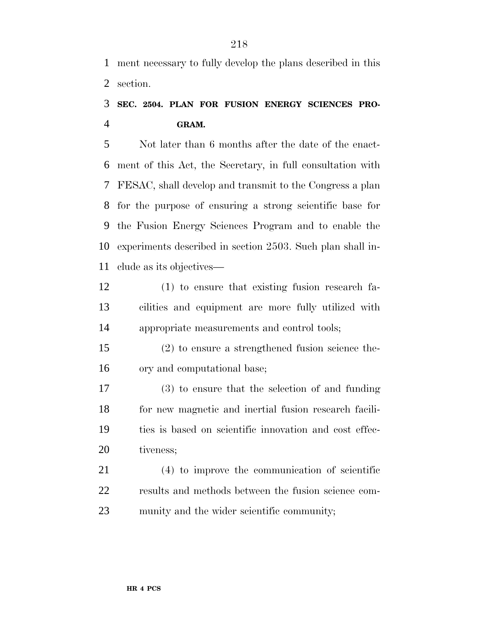ment necessary to fully develop the plans described in this section.

### **SEC. 2504. PLAN FOR FUSION ENERGY SCIENCES PRO-GRAM.**

 Not later than 6 months after the date of the enact- ment of this Act, the Secretary, in full consultation with FESAC, shall develop and transmit to the Congress a plan for the purpose of ensuring a strong scientific base for the Fusion Energy Sciences Program and to enable the experiments described in section 2503. Such plan shall in-clude as its objectives—

- (1) to ensure that existing fusion research fa- cilities and equipment are more fully utilized with appropriate measurements and control tools;
- (2) to ensure a strengthened fusion science the-ory and computational base;

 (3) to ensure that the selection of and funding for new magnetic and inertial fusion research facili- ties is based on scientific innovation and cost effec-20 tiveness;

 (4) to improve the communication of scientific results and methods between the fusion science com-munity and the wider scientific community;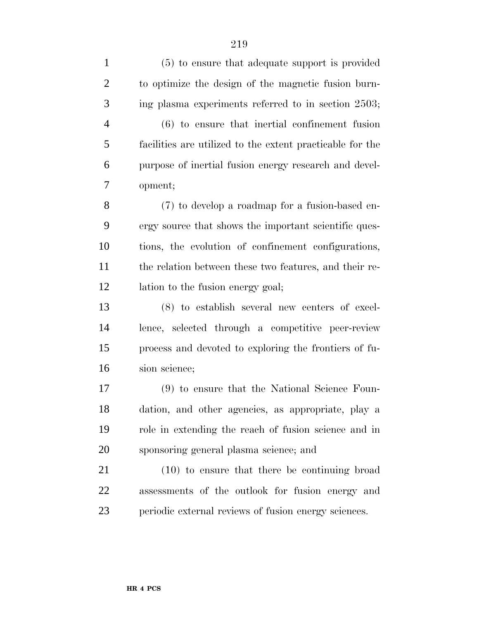(5) to ensure that adequate support is provided to optimize the design of the magnetic fusion burn- ing plasma experiments referred to in section 2503; (6) to ensure that inertial confinement fusion facilities are utilized to the extent practicable for the purpose of inertial fusion energy research and devel- opment; (7) to develop a roadmap for a fusion-based en- ergy source that shows the important scientific ques- tions, the evolution of confinement configurations, the relation between these two features, and their re- lation to the fusion energy goal; (8) to establish several new centers of excel- lence, selected through a competitive peer-review process and devoted to exploring the frontiers of fu- sion science; (9) to ensure that the National Science Foun- dation, and other agencies, as appropriate, play a role in extending the reach of fusion science and in sponsoring general plasma science; and (10) to ensure that there be continuing broad assessments of the outlook for fusion energy and periodic external reviews of fusion energy sciences.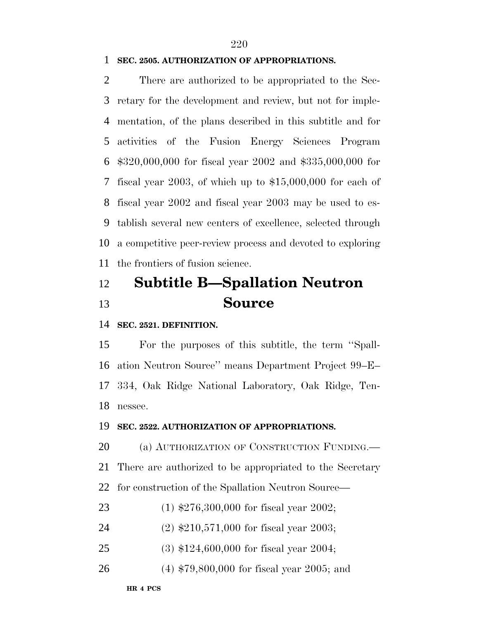#### **SEC. 2505. AUTHORIZATION OF APPROPRIATIONS.**

 There are authorized to be appropriated to the Sec- retary for the development and review, but not for imple- mentation, of the plans described in this subtitle and for activities of the Fusion Energy Sciences Program \$320,000,000 for fiscal year 2002 and \$335,000,000 for fiscal year 2003, of which up to \$15,000,000 for each of fiscal year 2002 and fiscal year 2003 may be used to es- tablish several new centers of excellence, selected through a competitive peer-review process and devoted to exploring the frontiers of fusion science.

## **Subtitle B—Spallation Neutron Source**

**SEC. 2521. DEFINITION.**

 For the purposes of this subtitle, the term ''Spall- ation Neutron Source'' means Department Project 99–E– 334, Oak Ridge National Laboratory, Oak Ridge, Ten-nessee.

#### **SEC. 2522. AUTHORIZATION OF APPROPRIATIONS.**

 (a) AUTHORIZATION OF CONSTRUCTION FUNDING.— There are authorized to be appropriated to the Secretary for construction of the Spallation Neutron Source—

- (1) \$276,300,000 for fiscal year 2002;
- (2) \$210,571,000 for fiscal year 2003;
- (3) \$124,600,000 for fiscal year 2004;
- (4) \$79,800,000 for fiscal year 2005; and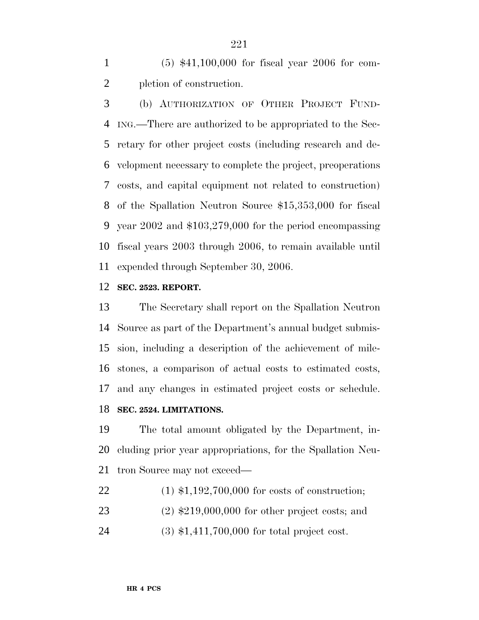(5) \$41,100,000 for fiscal year 2006 for com-pletion of construction.

 (b) AUTHORIZATION OF OTHER PROJECT FUND- ING.—There are authorized to be appropriated to the Sec- retary for other project costs (including research and de- velopment necessary to complete the project, preoperations costs, and capital equipment not related to construction) of the Spallation Neutron Source \$15,353,000 for fiscal year 2002 and \$103,279,000 for the period encompassing fiscal years 2003 through 2006, to remain available until expended through September 30, 2006.

#### **SEC. 2523. REPORT.**

 The Secretary shall report on the Spallation Neutron Source as part of the Department's annual budget submis- sion, including a description of the achievement of mile- stones, a comparison of actual costs to estimated costs, and any changes in estimated project costs or schedule. **SEC. 2524. LIMITATIONS.**

 The total amount obligated by the Department, in- cluding prior year appropriations, for the Spallation Neu-tron Source may not exceed—

- (1) \$1,192,700,000 for costs of construction;
- (2) \$219,000,000 for other project costs; and
- (3) \$1,411,700,000 for total project cost.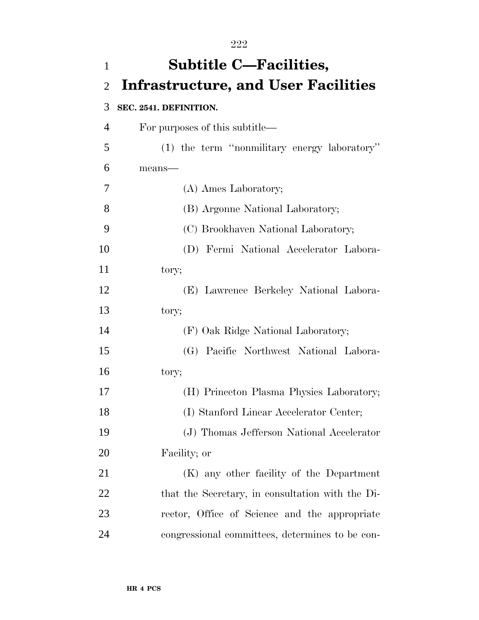| $\mathbf{1}$   | <b>Subtitle C-Facilities,</b>                    |
|----------------|--------------------------------------------------|
| $\overline{2}$ | <b>Infrastructure, and User Facilities</b>       |
| 3              | SEC. 2541. DEFINITION.                           |
| 4              | For purposes of this subtitle—                   |
| 5              | (1) the term "nonmilitary energy laboratory"     |
| 6              | means-                                           |
| 7              | (A) Ames Laboratory;                             |
| 8              | (B) Argonne National Laboratory;                 |
| 9              | (C) Brookhaven National Laboratory;              |
| 10             | (D) Fermi National Accelerator Labora-           |
| 11             | tory;                                            |
| 12             | (E) Lawrence Berkeley National Labora-           |
| 13             | tory;                                            |
| 14             | (F) Oak Ridge National Laboratory;               |
| 15             | (G) Pacific Northwest National Labora-           |
| 16             | tory;                                            |
| 17             | (H) Princeton Plasma Physics Laboratory;         |
| 18             | (I) Stanford Linear Accelerator Center;          |
| 19             | (J) Thomas Jefferson National Accelerator        |
| 20             | Facility; or                                     |
| 21             | (K) any other facility of the Department         |
| 22             | that the Secretary, in consultation with the Di- |
| 23             | rector, Office of Science and the appropriate    |
| 24             | congressional committees, determines to be con-  |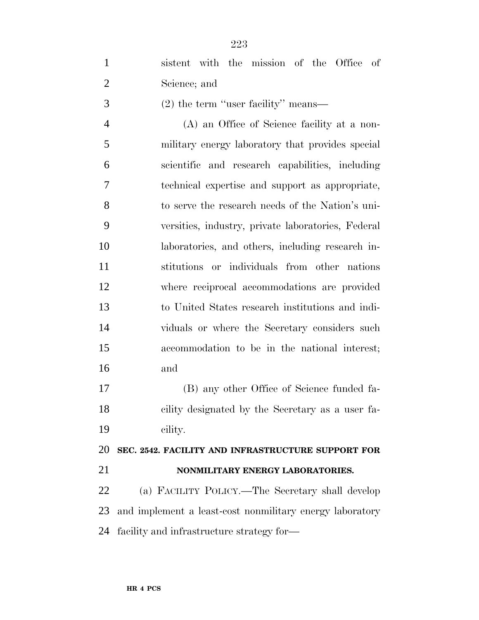| $\mathbf{1}$   | sistent with the mission of the Office of                |
|----------------|----------------------------------------------------------|
| $\overline{2}$ | Science; and                                             |
| 3              | $(2)$ the term "user facility" means—                    |
| $\overline{4}$ | (A) an Office of Science facility at a non-              |
| 5              | military energy laboratory that provides special         |
| 6              | scientific and research capabilities, including          |
| 7              | technical expertise and support as appropriate,          |
| 8              | to serve the research needs of the Nation's uni-         |
| 9              | versities, industry, private laboratories, Federal       |
| 10             | laboratories, and others, including research in-         |
| 11             | stitutions or individuals from other nations             |
| 12             | where reciprocal accommodations are provided             |
| 13             | to United States research institutions and indi-         |
| 14             | viduals or where the Secretary considers such            |
| 15             | accommodation to be in the national interest;            |
| 16             | and                                                      |
| 17             | (B) any other Office of Science funded fa-               |
| 18             | cility designated by the Secretary as a user fa-         |
| 19             | cility.                                                  |
| 20             | SEC. 2542. FACILITY AND INFRASTRUCTURE SUPPORT FOR       |
| 21             | NONMILITARY ENERGY LABORATORIES.                         |
| 22             | (a) FACILITY POLICY.—The Secretary shall develop         |
| 23             | and implement a least-cost nonmilitary energy laboratory |

facility and infrastructure strategy for—

**HR 4 PCS**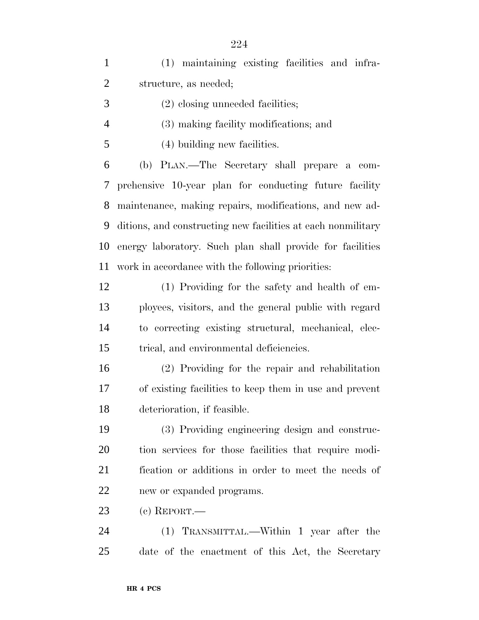(1) maintaining existing facilities and infra- structure, as needed; (2) closing unneeded facilities; (3) making facility modifications; and (4) building new facilities. (b) PLAN.—The Secretary shall prepare a com- prehensive 10-year plan for conducting future facility maintenance, making repairs, modifications, and new ad- ditions, and constructing new facilities at each nonmilitary energy laboratory. Such plan shall provide for facilities work in accordance with the following priorities: (1) Providing for the safety and health of em- ployees, visitors, and the general public with regard to correcting existing structural, mechanical, elec- trical, and environmental deficiencies. (2) Providing for the repair and rehabilitation of existing facilities to keep them in use and prevent deterioration, if feasible. (3) Providing engineering design and construc- tion services for those facilities that require modi- fication or additions in order to meet the needs of new or expanded programs. (c) REPORT.— (1) TRANSMITTAL.—Within 1 year after the date of the enactment of this Act, the Secretary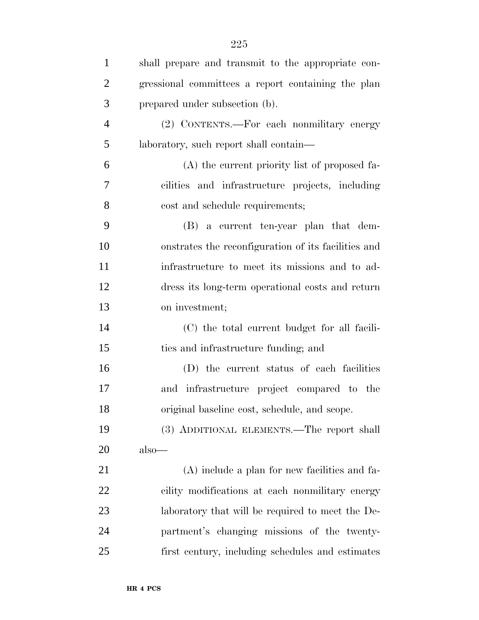| $\mathbf{1}$   | shall prepare and transmit to the appropriate con-  |
|----------------|-----------------------------------------------------|
| $\overline{2}$ | gressional committees a report containing the plan  |
| 3              | prepared under subsection (b).                      |
| $\overline{4}$ | (2) CONTENTS.—For each nonmilitary energy           |
| 5              | laboratory, such report shall contain—              |
| 6              | (A) the current priority list of proposed fa-       |
| $\tau$         | cilities and infrastructure projects, including     |
| 8              | cost and schedule requirements;                     |
| 9              | (B) a current ten-year plan that dem-               |
| 10             | onstrates the reconfiguration of its facilities and |
| 11             | infrastructure to meet its missions and to ad-      |
| 12             | dress its long-term operational costs and return    |
| 13             | on investment;                                      |
| 14             | (C) the total current budget for all facili-        |
| 15             | ties and infrastructure funding; and                |
| 16             | (D) the current status of each facilities           |
| 17             | and infrastructure project compared to the          |
| 18             | original baseline cost, schedule, and scope.        |
| 19             | (3) ADDITIONAL ELEMENTS.—The report shall           |
| 20             | $also$ —                                            |
| 21             | $(A)$ include a plan for new facilities and fa-     |
| 22             | cility modifications at each nonmilitary energy     |
| 23             | laboratory that will be required to meet the De-    |
| 24             | partment's changing missions of the twenty-         |
| 25             | first century, including schedules and estimates    |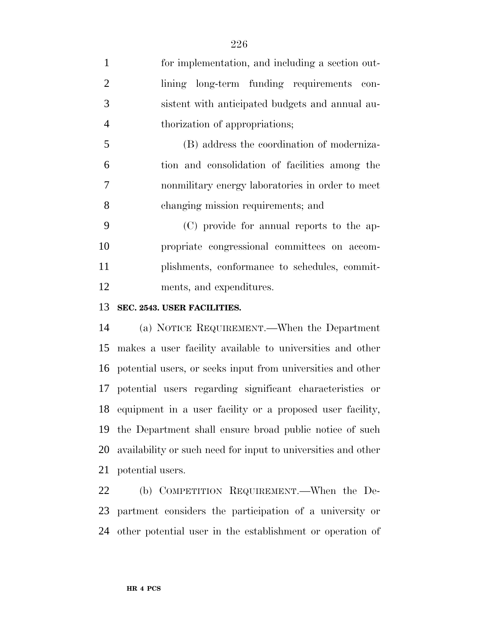for implementation, and including a section out-2 lining long-term funding requirements con- sistent with anticipated budgets and annual au- thorization of appropriations; (B) address the coordination of moderniza- tion and consolidation of facilities among the nonmilitary energy laboratories in order to meet changing mission requirements; and (C) provide for annual reports to the ap- propriate congressional committees on accom-plishments, conformance to schedules, commit-

ments, and expenditures.

#### **SEC. 2543. USER FACILITIES.**

 (a) NOTICE REQUIREMENT.—When the Department makes a user facility available to universities and other potential users, or seeks input from universities and other potential users regarding significant characteristics or equipment in a user facility or a proposed user facility, the Department shall ensure broad public notice of such availability or such need for input to universities and other potential users.

 (b) COMPETITION REQUIREMENT.—When the De- partment considers the participation of a university or other potential user in the establishment or operation of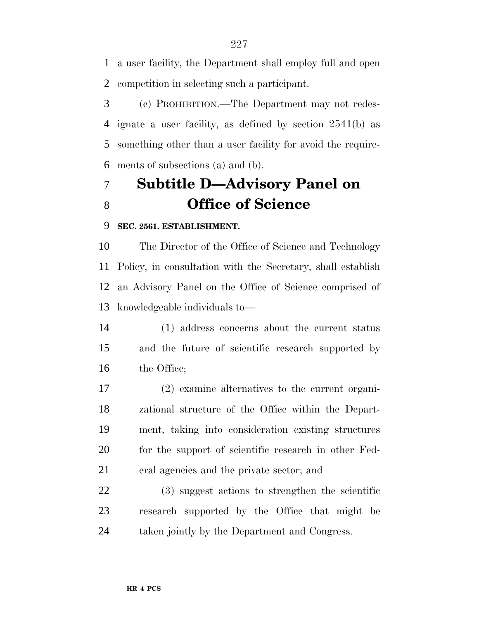a user facility, the Department shall employ full and open competition in selecting such a participant.

 (c) PROHIBITION.—The Department may not redes- ignate a user facility, as defined by section 2541(b) as something other than a user facility for avoid the require-ments of subsections (a) and (b).

## **Subtitle D—Advisory Panel on Office of Science**

#### **SEC. 2561. ESTABLISHMENT.**

 The Director of the Office of Science and Technology Policy, in consultation with the Secretary, shall establish an Advisory Panel on the Office of Science comprised of knowledgeable individuals to—

 (1) address concerns about the current status and the future of scientific research supported by the Office;

 (2) examine alternatives to the current organi- zational structure of the Office within the Depart- ment, taking into consideration existing structures 20 for the support of scientific research in other Fed-eral agencies and the private sector; and

 (3) suggest actions to strengthen the scientific research supported by the Office that might be taken jointly by the Department and Congress.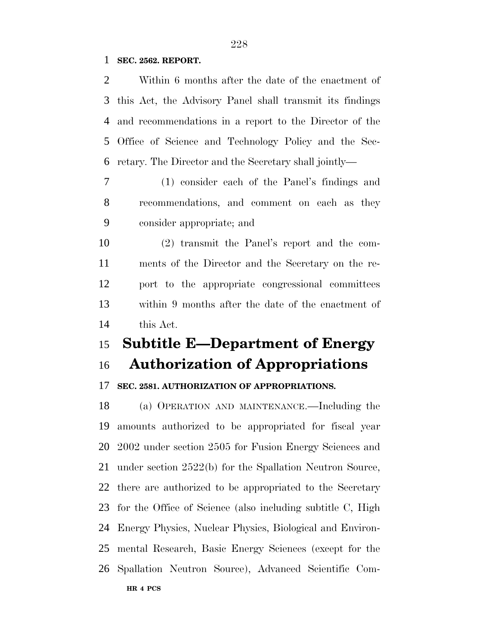#### **SEC. 2562. REPORT.**

| $\overline{2}$ | Within 6 months after the date of the enactment of         |
|----------------|------------------------------------------------------------|
| 3              | this Act, the Advisory Panel shall transmit its findings   |
| 4              | and recommendations in a report to the Director of the     |
| 5              | Office of Science and Technology Policy and the Sec-       |
| 6              | retary. The Director and the Secretary shall jointly—      |
| 7              | (1) consider each of the Panel's findings and              |
| 8              | recommendations, and comment on each as they               |
| 9              | consider appropriate; and                                  |
| 10             | (2) transmit the Panel's report and the com-               |
| 11             | ments of the Director and the Secretary on the re-         |
| 12             | port to the appropriate congressional committees           |
| 13             | within 9 months after the date of the enactment of         |
| 14             | this Act.                                                  |
|                |                                                            |
| 15             | <b>Subtitle E-Department of Energy</b>                     |
| 16             | <b>Authorization of Appropriations</b>                     |
| 17             | SEC. 2581. AUTHORIZATION OF APPROPRIATIONS.                |
| 18             | (a) OPERATION AND MAINTENANCE.—Including the               |
| 19             | amounts authorized to be appropriated for fiscal year      |
|                | 20 2002 under section 2505 for Fusion Energy Sciences and  |
| 21             | under section 2522(b) for the Spallation Neutron Source,   |
| 22             | there are authorized to be appropriated to the Secretary   |
| 23             | for the Office of Science (also including subtitle C, High |
| 24             | Energy Physics, Nuclear Physics, Biological and Environ-   |
| 25             | mental Research, Basic Energy Sciences (except for the     |
|                | 26 Spallation Neutron Source), Advanced Scientific Com-    |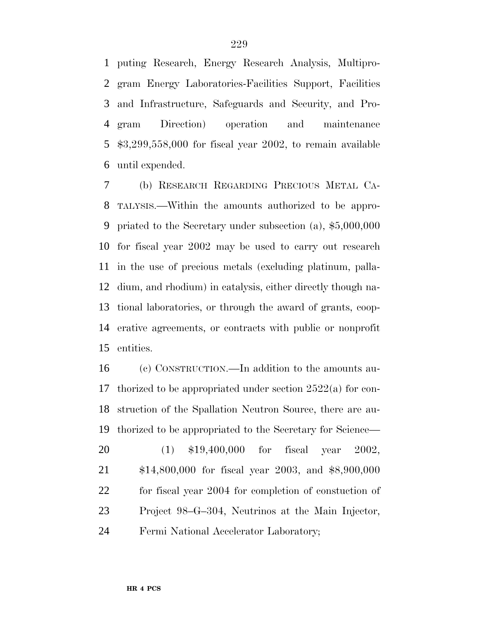puting Research, Energy Research Analysis, Multipro- gram Energy Laboratories-Facilities Support, Facilities and Infrastructure, Safeguards and Security, and Pro- gram Direction) operation and maintenance \$3,299,558,000 for fiscal year 2002, to remain available until expended.

 (b) RESEARCH REGARDING PRECIOUS METAL CA- TALYSIS.—Within the amounts authorized to be appro- priated to the Secretary under subsection (a), \$5,000,000 for fiscal year 2002 may be used to carry out research in the use of precious metals (excluding platinum, palla- dium, and rhodium) in catalysis, either directly though na- tional laboratories, or through the award of grants, coop- erative agreements, or contracts with public or nonprofit entities.

 (c) CONSTRUCTION.—In addition to the amounts au- thorized to be appropriated under section 2522(a) for con- struction of the Spallation Neutron Source, there are au- thorized to be appropriated to the Secretary for Science— (1) \$19,400,000 for fiscal year 2002, \$14,800,000 for fiscal year 2003, and \$8,900,000 for fiscal year 2004 for completion of constuction of Project 98–G–304, Neutrinos at the Main Injector, Fermi National Accelerator Laboratory;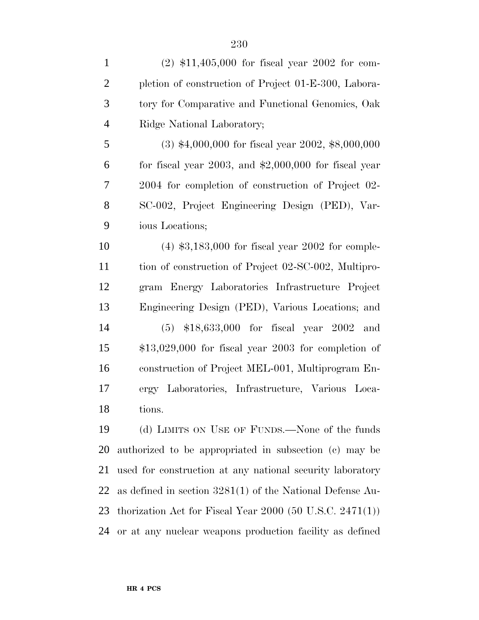| $\mathbf{1}$   | $(2)$ \$11,405,000 for fiscal year 2002 for com-              |
|----------------|---------------------------------------------------------------|
| $\overline{2}$ | pletion of construction of Project 01-E-300, Labora-          |
| 3              | tory for Comparative and Functional Genomics, Oak             |
| $\overline{4}$ | Ridge National Laboratory;                                    |
| 5              | $(3)$ \$4,000,000 for fiscal year 2002, \$8,000,000           |
| 6              | for fiscal year $2003$ , and $$2,000,000$ for fiscal year     |
| 7              | 2004 for completion of construction of Project 02-            |
| 8              | SC-002, Project Engineering Design (PED), Var-                |
| 9              | ious Locations;                                               |
| 10             | $(4)$ \$3,183,000 for fiscal year 2002 for comple-            |
| 11             | tion of construction of Project 02-SC-002, Multipro-          |
| 12             | gram Energy Laboratories Infrastructure Project               |
| 13             | Engineering Design (PED), Various Locations; and              |
| 14             | $(5)$ \$18,633,000 for fiscal year 2002 and                   |
| 15             | $$13,029,000$ for fiscal year 2003 for completion of          |
| 16             | construction of Project MEL-001, Multiprogram En-             |
| 17             | ergy Laboratories, Infrastructure, Various Loca-              |
| 18             | tions.                                                        |
| 19             | (d) LIMITS ON USE OF FUNDS.—None of the funds                 |
| 20             | authorized to be appropriated in subsection (c) may be        |
| 21             | used for construction at any national security laboratory     |
| 22             | as defined in section $3281(1)$ of the National Defense Au-   |
| 23             | thorization Act for Fiscal Year $2000$ (50 U.S.C. $2471(1)$ ) |
| 24             | or at any nuclear weapons production facility as defined      |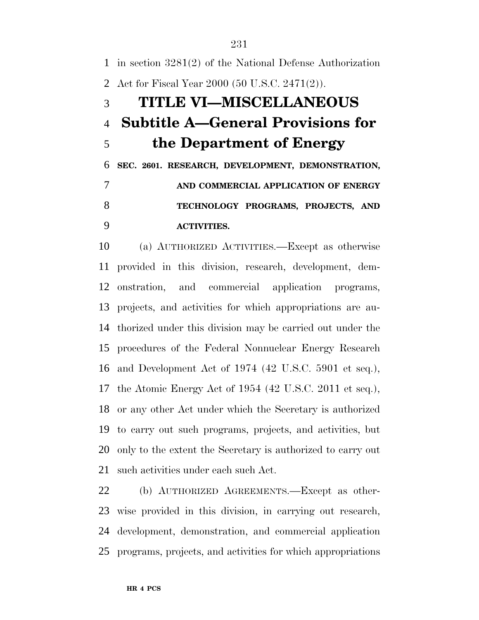in section 3281(2) of the National Defense Authorization Act for Fiscal Year 2000 (50 U.S.C. 2471(2)). **TITLE VI—MISCELLANEOUS Subtitle A—General Provisions for the Department of Energy SEC. 2601. RESEARCH, DEVELOPMENT, DEMONSTRATION, AND COMMERCIAL APPLICATION OF ENERGY TECHNOLOGY PROGRAMS, PROJECTS, AND ACTIVITIES.**

 (a) AUTHORIZED ACTIVITIES.—Except as otherwise provided in this division, research, development, dem- onstration, and commercial application programs, projects, and activities for which appropriations are au- thorized under this division may be carried out under the procedures of the Federal Nonnuclear Energy Research and Development Act of 1974 (42 U.S.C. 5901 et seq.), the Atomic Energy Act of 1954 (42 U.S.C. 2011 et seq.), or any other Act under which the Secretary is authorized to carry out such programs, projects, and activities, but only to the extent the Secretary is authorized to carry out such activities under each such Act.

 (b) AUTHORIZED AGREEMENTS.—Except as other- wise provided in this division, in carrying out research, development, demonstration, and commercial application programs, projects, and activities for which appropriations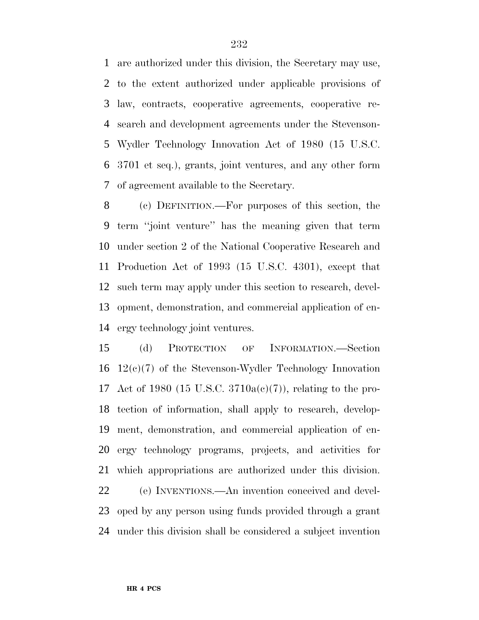are authorized under this division, the Secretary may use, to the extent authorized under applicable provisions of law, contracts, cooperative agreements, cooperative re- search and development agreements under the Stevenson- Wydler Technology Innovation Act of 1980 (15 U.S.C. 3701 et seq.), grants, joint ventures, and any other form of agreement available to the Secretary.

 (c) DEFINITION.—For purposes of this section, the term ''joint venture'' has the meaning given that term under section 2 of the National Cooperative Research and Production Act of 1993 (15 U.S.C. 4301), except that such term may apply under this section to research, devel- opment, demonstration, and commercial application of en-ergy technology joint ventures.

 (d) PROTECTION OF INFORMATION.—Section 12(c)(7) of the Stevenson-Wydler Technology Innovation Act of 1980 (15 U.S.C. 3710a(c)(7)), relating to the pro- tection of information, shall apply to research, develop- ment, demonstration, and commercial application of en- ergy technology programs, projects, and activities for which appropriations are authorized under this division.

 (e) INVENTIONS.—An invention conceived and devel- oped by any person using funds provided through a grant under this division shall be considered a subject invention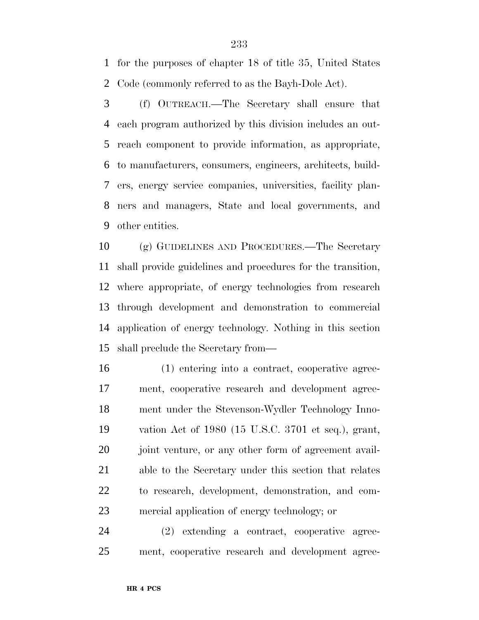for the purposes of chapter 18 of title 35, United States Code (commonly referred to as the Bayh-Dole Act).

 (f) OUTREACH.—The Secretary shall ensure that each program authorized by this division includes an out- reach component to provide information, as appropriate, to manufacturers, consumers, engineers, architects, build- ers, energy service companies, universities, facility plan- ners and managers, State and local governments, and other entities.

 (g) GUIDELINES AND PROCEDURES.—The Secretary shall provide guidelines and procedures for the transition, where appropriate, of energy technologies from research through development and demonstration to commercial application of energy technology. Nothing in this section shall preclude the Secretary from—

 (1) entering into a contract, cooperative agree- ment, cooperative research and development agree- ment under the Stevenson-Wydler Technology Inno- vation Act of 1980 (15 U.S.C. 3701 et seq.), grant, 20 joint venture, or any other form of agreement avail- able to the Secretary under this section that relates to research, development, demonstration, and com-mercial application of energy technology; or

 (2) extending a contract, cooperative agree-ment, cooperative research and development agree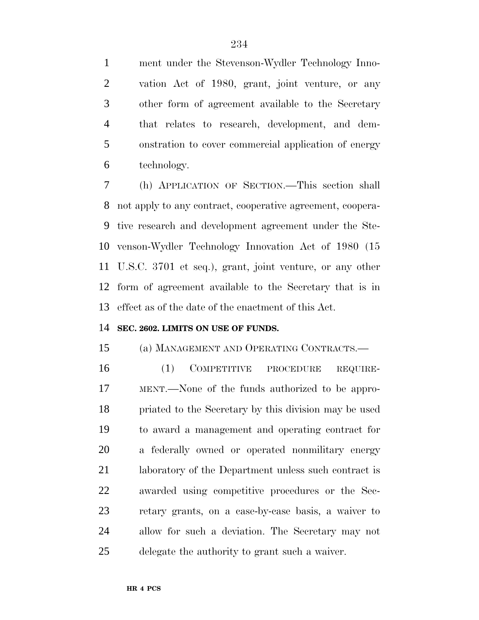ment under the Stevenson-Wydler Technology Inno- vation Act of 1980, grant, joint venture, or any other form of agreement available to the Secretary that relates to research, development, and dem- onstration to cover commercial application of energy technology.

 (h) APPLICATION OF SECTION.—This section shall not apply to any contract, cooperative agreement, coopera- tive research and development agreement under the Ste- venson-Wydler Technology Innovation Act of 1980 (15 U.S.C. 3701 et seq.), grant, joint venture, or any other form of agreement available to the Secretary that is in effect as of the date of the enactment of this Act.

#### **SEC. 2602. LIMITS ON USE OF FUNDS.**

(a) MANAGEMENT AND OPERATING CONTRACTS.—

 (1) COMPETITIVE PROCEDURE REQUIRE- MENT.—None of the funds authorized to be appro- priated to the Secretary by this division may be used to award a management and operating contract for a federally owned or operated nonmilitary energy 21 laboratory of the Department unless such contract is awarded using competitive procedures or the Sec- retary grants, on a case-by-case basis, a waiver to allow for such a deviation. The Secretary may not delegate the authority to grant such a waiver.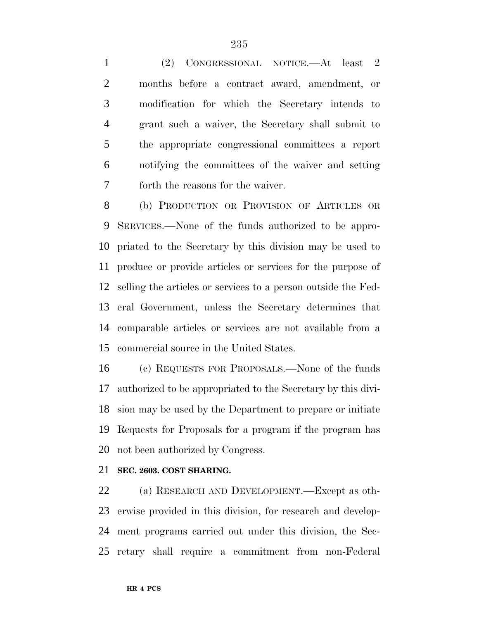(2) CONGRESSIONAL NOTICE.—At least 2 months before a contract award, amendment, or modification for which the Secretary intends to grant such a waiver, the Secretary shall submit to the appropriate congressional committees a report notifying the committees of the waiver and setting forth the reasons for the waiver.

 (b) PRODUCTION OR PROVISION OF ARTICLES OR SERVICES.—None of the funds authorized to be appro- priated to the Secretary by this division may be used to produce or provide articles or services for the purpose of selling the articles or services to a person outside the Fed- eral Government, unless the Secretary determines that comparable articles or services are not available from a commercial source in the United States.

 (c) REQUESTS FOR PROPOSALS.—None of the funds authorized to be appropriated to the Secretary by this divi- sion may be used by the Department to prepare or initiate Requests for Proposals for a program if the program has not been authorized by Congress.

#### **SEC. 2603. COST SHARING.**

 (a) RESEARCH AND DEVELOPMENT.—Except as oth- erwise provided in this division, for research and develop- ment programs carried out under this division, the Sec-retary shall require a commitment from non-Federal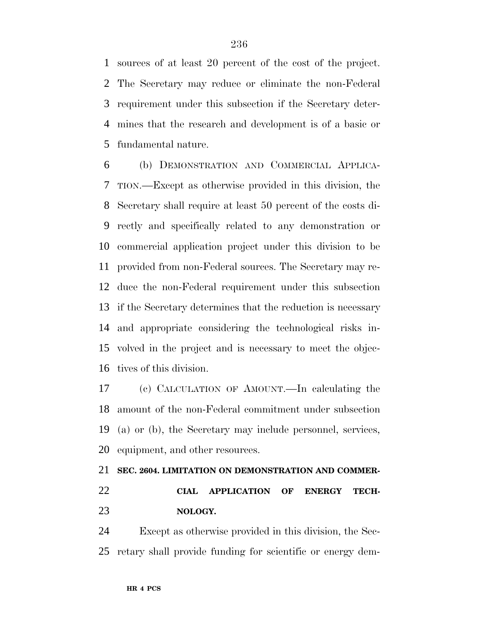sources of at least 20 percent of the cost of the project. The Secretary may reduce or eliminate the non-Federal requirement under this subsection if the Secretary deter- mines that the research and development is of a basic or fundamental nature.

 (b) DEMONSTRATION AND COMMERCIAL APPLICA- TION.—Except as otherwise provided in this division, the Secretary shall require at least 50 percent of the costs di- rectly and specifically related to any demonstration or commercial application project under this division to be provided from non-Federal sources. The Secretary may re- duce the non-Federal requirement under this subsection if the Secretary determines that the reduction is necessary and appropriate considering the technological risks in- volved in the project and is necessary to meet the objec-tives of this division.

 (c) CALCULATION OF AMOUNT.—In calculating the amount of the non-Federal commitment under subsection (a) or (b), the Secretary may include personnel, services, equipment, and other resources.

## **SEC. 2604. LIMITATION ON DEMONSTRATION AND COMMER- CIAL APPLICATION OF ENERGY TECH-NOLOGY.**

 Except as otherwise provided in this division, the Sec-retary shall provide funding for scientific or energy dem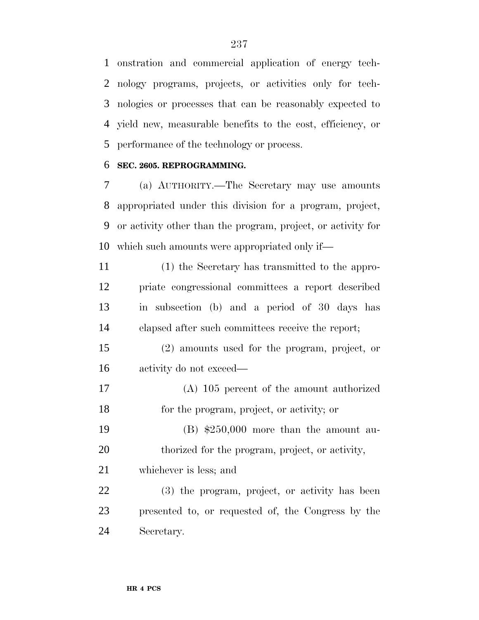onstration and commercial application of energy tech- nology programs, projects, or activities only for tech- nologies or processes that can be reasonably expected to yield new, measurable benefits to the cost, efficiency, or performance of the technology or process.

#### **SEC. 2605. REPROGRAMMING.**

 (a) AUTHORITY.—The Secretary may use amounts appropriated under this division for a program, project, or activity other than the program, project, or activity for which such amounts were appropriated only if—

| 11 | (1) the Secretary has transmitted to the appro-    |
|----|----------------------------------------------------|
| 12 | priate congressional committees a report described |
| 13 | in subsection (b) and a period of 30 days has      |
| 14 | elapsed after such committees receive the report;  |

 (2) amounts used for the program, project, or activity do not exceed—

 (A) 105 percent of the amount authorized for the program, project, or activity; or

 (B) \$250,000 more than the amount au-20 thorized for the program, project, or activity,

whichever is less; and

 (3) the program, project, or activity has been presented to, or requested of, the Congress by the Secretary.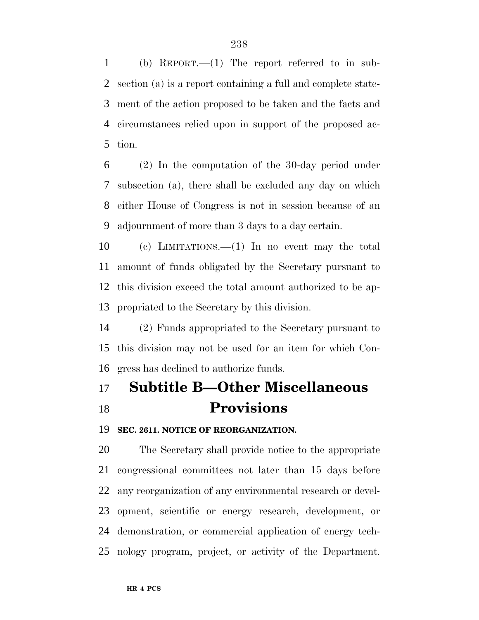(b) REPORT.—(1) The report referred to in sub- section (a) is a report containing a full and complete state- ment of the action proposed to be taken and the facts and circumstances relied upon in support of the proposed ac-tion.

 (2) In the computation of the 30-day period under subsection (a), there shall be excluded any day on which either House of Congress is not in session because of an adjournment of more than 3 days to a day certain.

 (c) LIMITATIONS.—(1) In no event may the total amount of funds obligated by the Secretary pursuant to this division exceed the total amount authorized to be ap-propriated to the Secretary by this division.

 (2) Funds appropriated to the Secretary pursuant to this division may not be used for an item for which Con-gress has declined to authorize funds.

## **Subtitle B—Other Miscellaneous Provisions**

**SEC. 2611. NOTICE OF REORGANIZATION.**

 The Secretary shall provide notice to the appropriate congressional committees not later than 15 days before any reorganization of any environmental research or devel- opment, scientific or energy research, development, or demonstration, or commercial application of energy tech-nology program, project, or activity of the Department.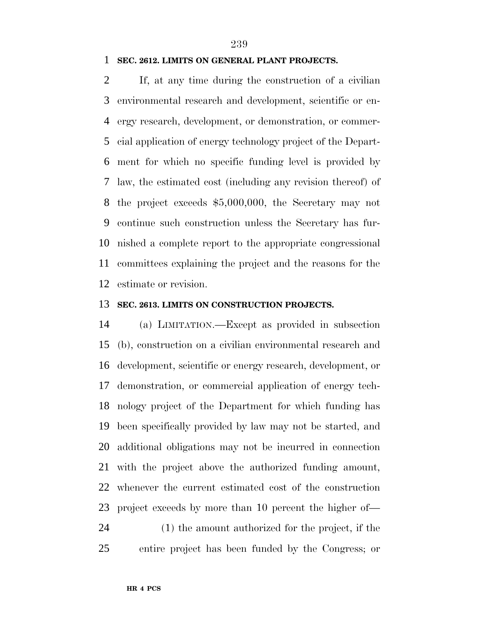#### **SEC. 2612. LIMITS ON GENERAL PLANT PROJECTS.**

 If, at any time during the construction of a civilian environmental research and development, scientific or en- ergy research, development, or demonstration, or commer- cial application of energy technology project of the Depart- ment for which no specific funding level is provided by law, the estimated cost (including any revision thereof) of the project exceeds \$5,000,000, the Secretary may not continue such construction unless the Secretary has fur- nished a complete report to the appropriate congressional committees explaining the project and the reasons for the estimate or revision.

#### **SEC. 2613. LIMITS ON CONSTRUCTION PROJECTS.**

 (a) LIMITATION.—Except as provided in subsection (b), construction on a civilian environmental research and development, scientific or energy research, development, or demonstration, or commercial application of energy tech- nology project of the Department for which funding has been specifically provided by law may not be started, and additional obligations may not be incurred in connection with the project above the authorized funding amount, whenever the current estimated cost of the construction project exceeds by more than 10 percent the higher of— (1) the amount authorized for the project, if the entire project has been funded by the Congress; or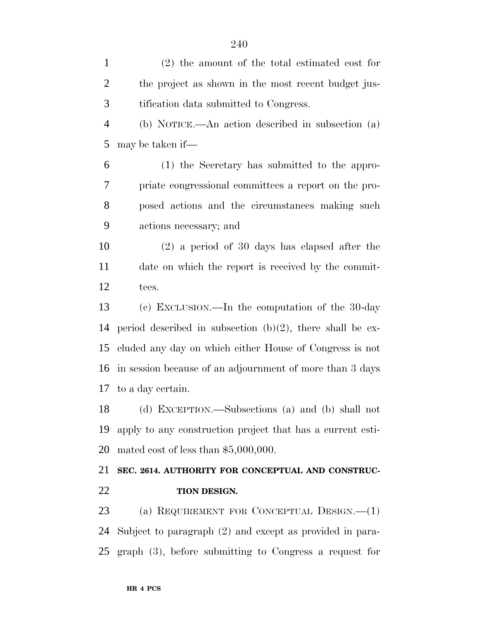(2) the amount of the total estimated cost for the project as shown in the most recent budget jus- tification data submitted to Congress. (b) NOTICE.—An action described in subsection (a) may be taken if— (1) the Secretary has submitted to the appro- priate congressional committees a report on the pro- posed actions and the circumstances making such actions necessary; and (2) a period of 30 days has elapsed after the date on which the report is received by the commit- tees. (c) EXCLUSION.—In the computation of the 30-day period described in subsection (b)(2), there shall be ex- cluded any day on which either House of Congress is not in session because of an adjournment of more than 3 days to a day certain. (d) EXCEPTION.—Subsections (a) and (b) shall not apply to any construction project that has a current esti- mated cost of less than \$5,000,000. **SEC. 2614. AUTHORITY FOR CONCEPTUAL AND CONSTRUC- TION DESIGN.** (a) REQUIREMENT FOR CONCEPTUAL DESIGN.—(1)

 Subject to paragraph (2) and except as provided in para-graph (3), before submitting to Congress a request for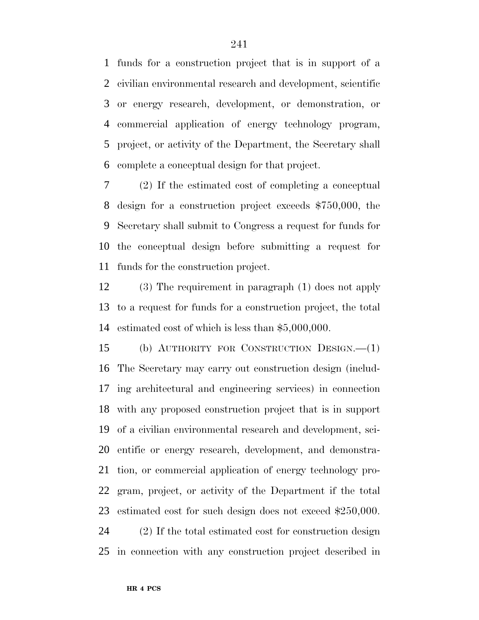funds for a construction project that is in support of a civilian environmental research and development, scientific or energy research, development, or demonstration, or commercial application of energy technology program, project, or activity of the Department, the Secretary shall complete a conceptual design for that project.

 (2) If the estimated cost of completing a conceptual design for a construction project exceeds \$750,000, the Secretary shall submit to Congress a request for funds for the conceptual design before submitting a request for funds for the construction project.

 (3) The requirement in paragraph (1) does not apply to a request for funds for a construction project, the total estimated cost of which is less than \$5,000,000.

 (b) AUTHORITY FOR CONSTRUCTION DESIGN.—(1) The Secretary may carry out construction design (includ- ing architectural and engineering services) in connection with any proposed construction project that is in support of a civilian environmental research and development, sci- entific or energy research, development, and demonstra- tion, or commercial application of energy technology pro- gram, project, or activity of the Department if the total estimated cost for such design does not exceed \$250,000. (2) If the total estimated cost for construction design

in connection with any construction project described in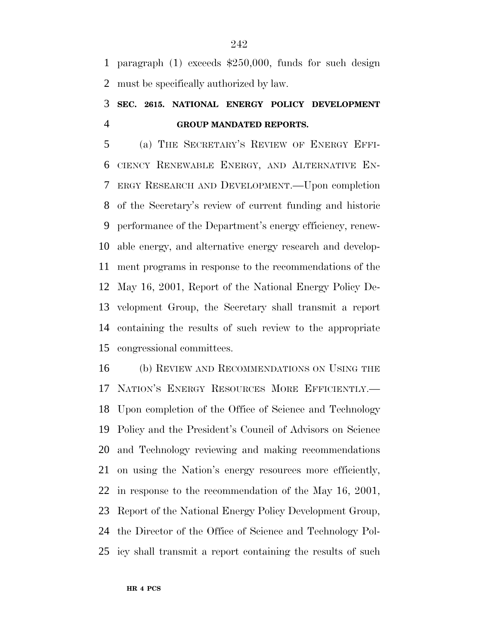paragraph (1) exceeds \$250,000, funds for such design must be specifically authorized by law.

### **SEC. 2615. NATIONAL ENERGY POLICY DEVELOPMENT GROUP MANDATED REPORTS.**

 (a) THE SECRETARY'S REVIEW OF ENERGY EFFI- CIENCY RENEWABLE ENERGY, AND ALTERNATIVE EN- ERGY RESEARCH AND DEVELOPMENT.—Upon completion of the Secretary's review of current funding and historic performance of the Department's energy efficiency, renew- able energy, and alternative energy research and develop- ment programs in response to the recommendations of the May 16, 2001, Report of the National Energy Policy De- velopment Group, the Secretary shall transmit a report containing the results of such review to the appropriate congressional committees.

 (b) REVIEW AND RECOMMENDATIONS ON USING THE NATION'S ENERGY RESOURCES MORE EFFICIENTLY.— Upon completion of the Office of Science and Technology Policy and the President's Council of Advisors on Science and Technology reviewing and making recommendations on using the Nation's energy resources more efficiently, in response to the recommendation of the May 16, 2001, Report of the National Energy Policy Development Group, the Director of the Office of Science and Technology Pol-icy shall transmit a report containing the results of such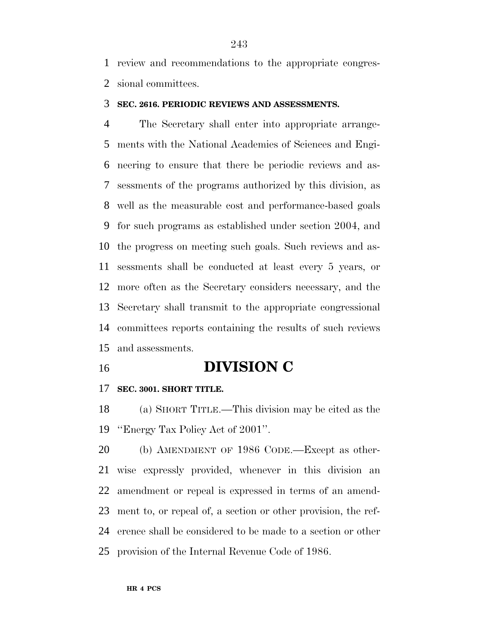review and recommendations to the appropriate congres-sional committees.

#### **SEC. 2616. PERIODIC REVIEWS AND ASSESSMENTS.**

 The Secretary shall enter into appropriate arrange- ments with the National Academies of Sciences and Engi- neering to ensure that there be periodic reviews and as- sessments of the programs authorized by this division, as well as the measurable cost and performance-based goals for such programs as established under section 2004, and the progress on meeting such goals. Such reviews and as- sessments shall be conducted at least every 5 years, or more often as the Secretary considers necessary, and the Secretary shall transmit to the appropriate congressional committees reports containing the results of such reviews and assessments.

### **DIVISION C**

#### **SEC. 3001. SHORT TITLE.**

 (a) SHORT TITLE.—This division may be cited as the ''Energy Tax Policy Act of 2001''.

 (b) AMENDMENT OF 1986 CODE.—Except as other- wise expressly provided, whenever in this division an amendment or repeal is expressed in terms of an amend- ment to, or repeal of, a section or other provision, the ref- erence shall be considered to be made to a section or other provision of the Internal Revenue Code of 1986.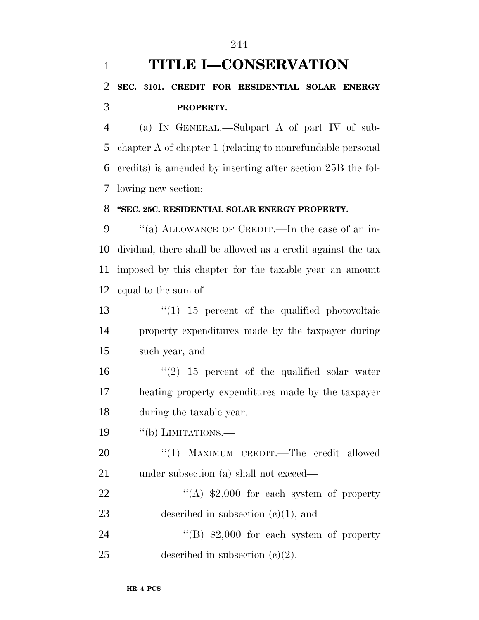# **TITLE I—CONSERVATION SEC. 3101. CREDIT FOR RESIDENTIAL SOLAR ENERGY PROPERTY.**

 (a) IN GENERAL.—Subpart A of part IV of sub- chapter A of chapter 1 (relating to nonrefundable personal credits) is amended by inserting after section 25B the fol-lowing new section:

#### **''SEC. 25C. RESIDENTIAL SOLAR ENERGY PROPERTY.**

9 "(a) ALLOWANCE OF CREDIT.—In the case of an in- dividual, there shall be allowed as a credit against the tax imposed by this chapter for the taxable year an amount equal to the sum of—

 ''(1) 15 percent of the qualified photovoltaic property expenditures made by the taxpayer during such year, and

16  $(2)$  15 percent of the qualified solar water heating property expenditures made by the taxpayer during the taxable year.

19 "(b) LIMITATIONS.

20 "(1) MAXIMUM CREDIT.—The credit allowed 21 under subsection (a) shall not exceed—

22 "(A) \$2,000 for each system of property 23 described in subsection (c)(1), and

24 "(B) \$2,000 for each system of property 25 described in subsection  $(e)(2)$ .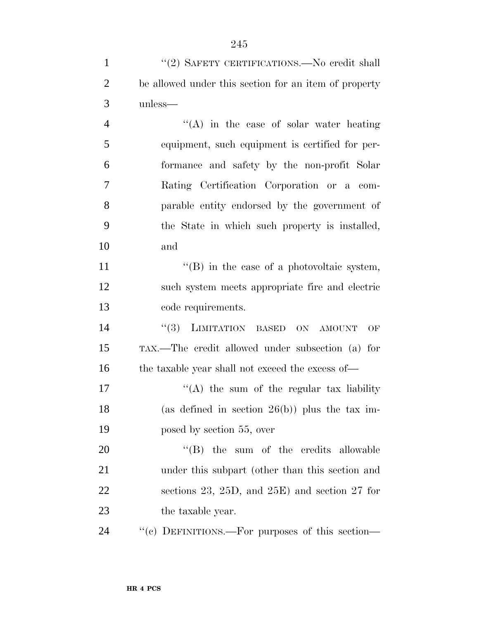| $\mathbf{1}$   | "(2) SAFETY CERTIFICATIONS.—No credit shall           |
|----------------|-------------------------------------------------------|
| $\overline{2}$ | be allowed under this section for an item of property |
| 3              | unless—                                               |
| $\overline{4}$ | "(A) in the case of solar water heating               |
| 5              | equipment, such equipment is certified for per-       |
| 6              | formance and safety by the non-profit Solar           |
| $\overline{7}$ | Rating Certification Corporation or a com-            |
| 8              | parable entity endorsed by the government of          |
| 9              | the State in which such property is installed,        |
| 10             | and                                                   |
| 11             | $\lq\lq$ (B) in the case of a photovoltaic system,    |
| 12             | such system meets appropriate fire and electric       |
| 13             | code requirements.                                    |
| 14             | "(3) LIMITATION BASED<br>ON<br>OF<br><b>AMOUNT</b>    |
| 15             | TAX.—The credit allowed under subsection (a) for      |
| 16             | the taxable year shall not exceed the excess of—      |
| 17             | $\lq\lq$ the sum of the regular tax liability         |
| 18             | (as defined in section $26(b)$ ) plus the tax im-     |
| 19             | posed by section 55, over                             |
| 20             | $\lq\lq$ (B) the sum of the credits allowable         |
| 21             | under this subpart (other than this section and       |
| 22             | sections 23, 25D, and 25E) and section 27 for         |
| 23             | the taxable year.                                     |
| 24             | "(c) DEFINITIONS.—For purposes of this section—       |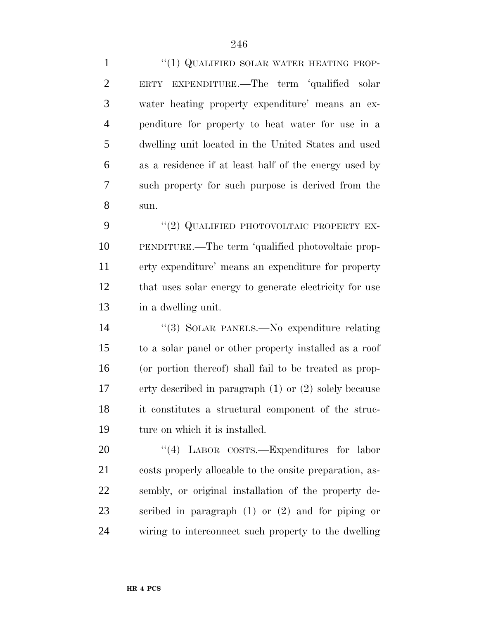1 "(1) QUALIFIED SOLAR WATER HEATING PROP- ERTY EXPENDITURE.—The term 'qualified solar water heating property expenditure' means an ex- penditure for property to heat water for use in a dwelling unit located in the United States and used as a residence if at least half of the energy used by such property for such purpose is derived from the sun.

9 "(2) QUALIFIED PHOTOVOLTAIC PROPERTY EX- PENDITURE.—The term 'qualified photovoltaic prop- erty expenditure' means an expenditure for property that uses solar energy to generate electricity for use in a dwelling unit.

 ''(3) SOLAR PANELS.—No expenditure relating to a solar panel or other property installed as a roof (or portion thereof) shall fail to be treated as prop- erty described in paragraph (1) or (2) solely because it constitutes a structural component of the struc-ture on which it is installed.

20 "(4) LABOR COSTS.—Expenditures for labor costs properly allocable to the onsite preparation, as- sembly, or original installation of the property de- scribed in paragraph (1) or (2) and for piping or wiring to interconnect such property to the dwelling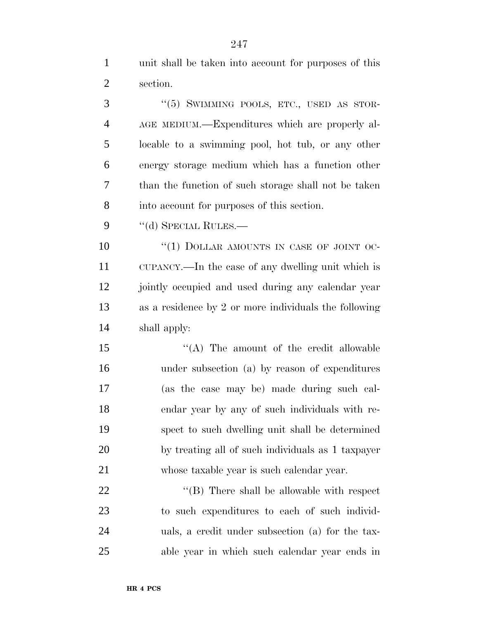unit shall be taken into account for purposes of this section.

3 "(5) SWIMMING POOLS, ETC., USED AS STOR- AGE MEDIUM.—Expenditures which are properly al- locable to a swimming pool, hot tub, or any other energy storage medium which has a function other than the function of such storage shall not be taken into account for purposes of this section.

9 "(d) SPECIAL RULES.—

 ''(1) DOLLAR AMOUNTS IN CASE OF JOINT OC- CUPANCY.—In the case of any dwelling unit which is jointly occupied and used during any calendar year as a residence by 2 or more individuals the following shall apply:

15 "(A) The amount of the credit allowable under subsection (a) by reason of expenditures (as the case may be) made during such cal- endar year by any of such individuals with re- spect to such dwelling unit shall be determined by treating all of such individuals as 1 taxpayer whose taxable year is such calendar year.

 $\langle (B)$  There shall be allowable with respect to such expenditures to each of such individ- uals, a credit under subsection (a) for the tax-able year in which such calendar year ends in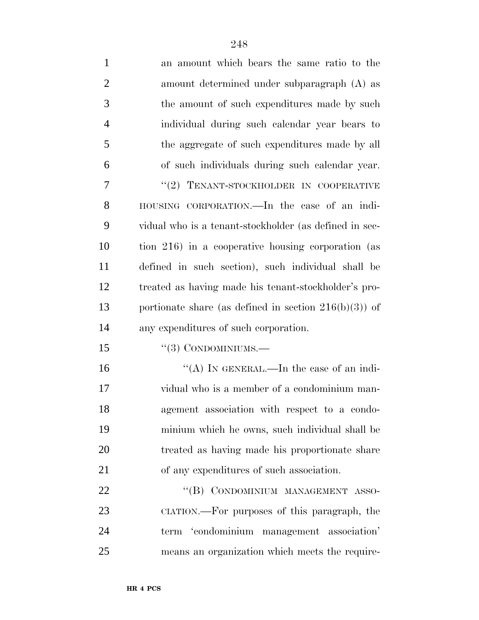| $\mathbf{1}$   | an amount which bears the same ratio to the              |
|----------------|----------------------------------------------------------|
| $\overline{2}$ | amount determined under subparagraph (A) as              |
| 3              | the amount of such expenditures made by such             |
| $\overline{4}$ | individual during such calendar year bears to            |
| 5              | the aggregate of such expenditures made by all           |
| 6              | of such individuals during such calendar year.           |
| 7              | "(2) TENANT-STOCKHOLDER IN COOPERATIVE                   |
| 8              | HOUSING CORPORATION.—In the case of an indi-             |
| 9              | vidual who is a tenant-stockholder (as defined in sec-   |
| 10             | tion 216) in a cooperative housing corporation (as       |
| 11             | defined in such section), such individual shall be       |
| 12             | treated as having made his tenant-stockholder's pro-     |
| 13             | portionate share (as defined in section $216(b)(3)$ ) of |
| 14             | any expenditures of such corporation.                    |
| 15             | $``(3)$ CONDOMINIUMS.—                                   |
| 16             | "(A) IN GENERAL.—In the case of an indi-                 |
| 17             | vidual who is a member of a condominium man-             |
| 18             | agement association with respect to a condo-             |
| 19             | minium which he owns, such individual shall be           |
| 20             | treated as having made his proportionate share           |
| 21             | of any expenditures of such association.                 |
| 22             | "(B) CONDOMINIUM MANAGEMENT ASSO-                        |
| 23             | CIATION.—For purposes of this paragraph, the             |
| 24             | term 'condominium management association'                |
| 25             | means an organization which meets the require-           |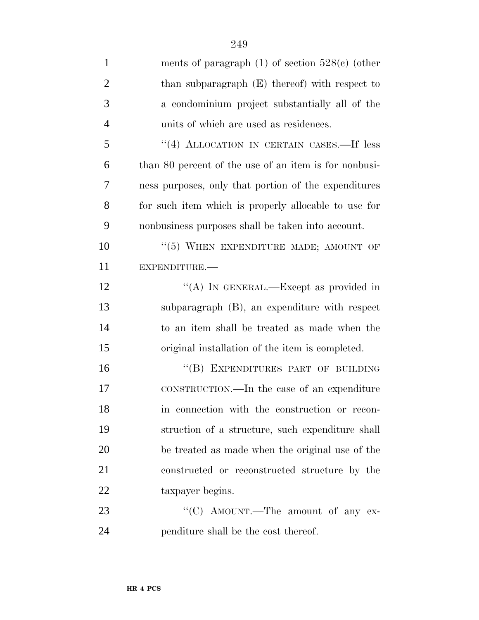| $\mathbf{1}$   | ments of paragraph $(1)$ of section $528(e)$ (other   |
|----------------|-------------------------------------------------------|
| $\mathfrak{2}$ | than subparagraph $(E)$ thereof) with respect to      |
| 3              | a condominium project substantially all of the        |
| $\overline{4}$ | units of which are used as residences.                |
| 5              | "(4) ALLOCATION IN CERTAIN CASES.—If less             |
| 6              | than 80 percent of the use of an item is for nonbusi- |
| 7              | ness purposes, only that portion of the expenditures  |
| 8              | for such item which is properly allocable to use for  |
| 9              | nonbusiness purposes shall be taken into account.     |
| 10             | $``(5)$ WHEN EXPENDITURE MADE; AMOUNT OF              |
| 11             | EXPENDITURE.                                          |
| 12             | "(A) IN GENERAL.—Except as provided in                |
| 13             | subparagraph (B), an expenditure with respect         |
| 14             | to an item shall be treated as made when the          |
| 15             | original installation of the item is completed.       |
| 16             | "(B) EXPENDITURES PART OF BUILDING                    |
| 17             | CONSTRUCTION.—In the case of an expenditure           |
| 18             | in connection with the construction or recon-         |
| 19             | struction of a structure, such expenditure shall      |
| 20             | be treated as made when the original use of the       |
| 21             | constructed or reconstructed structure by the         |
| 22             | taxpayer begins.                                      |
| 23             | "(C) AMOUNT.—The amount of any ex-                    |
|                |                                                       |

penditure shall be the cost thereof.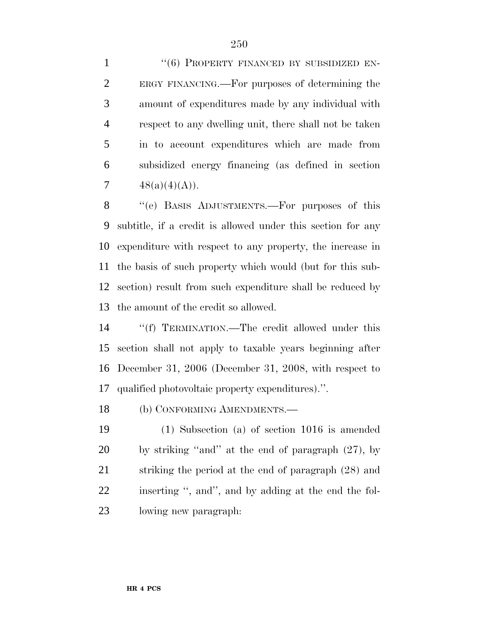1 "(6) PROPERTY FINANCED BY SUBSIDIZED EN- ERGY FINANCING.—For purposes of determining the amount of expenditures made by any individual with respect to any dwelling unit, there shall not be taken in to account expenditures which are made from subsidized energy financing (as defined in section  $48(a)(4)(A)$ .

 ''(e) BASIS ADJUSTMENTS.—For purposes of this subtitle, if a credit is allowed under this section for any expenditure with respect to any property, the increase in the basis of such property which would (but for this sub- section) result from such expenditure shall be reduced by the amount of the credit so allowed.

 ''(f) TERMINATION.—The credit allowed under this section shall not apply to taxable years beginning after December 31, 2006 (December 31, 2008, with respect to qualified photovoltaic property expenditures).''.

(b) CONFORMING AMENDMENTS.—

 (1) Subsection (a) of section 1016 is amended by striking ''and'' at the end of paragraph (27), by striking the period at the end of paragraph (28) and inserting '', and'', and by adding at the end the fol-lowing new paragraph: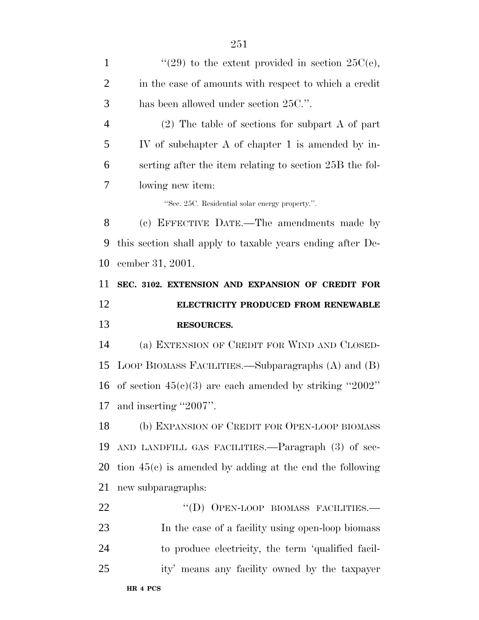| "(29) to the extent provided in section $25C(e)$ ,         |
|------------------------------------------------------------|
| in the case of amounts with respect to which a credit      |
|                                                            |
| $(2)$ The table of sections for subpart A of part          |
| IV of subchapter A of chapter 1 is amended by in-          |
| serting after the item relating to section 25B the fol-    |
|                                                            |
|                                                            |
| (c) EFFECTIVE DATE.—The amendments made by                 |
| this section shall apply to taxable years ending after De- |
|                                                            |
|                                                            |
| SEC. 3102. EXTENSION AND EXPANSION OF CREDIT FOR           |
| ELECTRICITY PRODUCED FROM RENEWABLE                        |
|                                                            |
| (a) EXTENSION OF CREDIT FOR WIND AND CLOSED-               |
| LOOP BIOMASS FACILITIES.—Subparagraphs (A) and (B)         |
| of section $45(c)(3)$ are each amended by striking "2002"  |
|                                                            |
| (b) EXPANSION OF CREDIT FOR OPEN-LOOP BIOMASS              |
| AND LANDFILL GAS FACILITIES.—Paragraph (3) of sec-         |
| tion $45(c)$ is amended by adding at the end the following |
|                                                            |
| "(D) OPEN-LOOP BIOMASS FACILITIES.-                        |
| In the case of a facility using open-loop biomass          |
| to produce electricity, the term 'qualified facil-         |
|                                                            |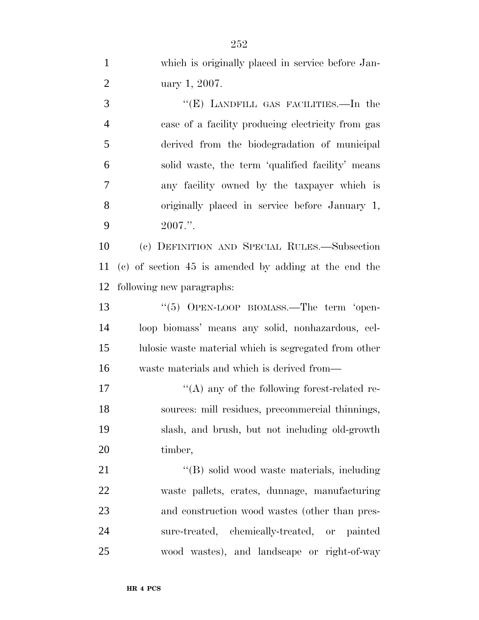which is originally placed in service before Jan- uary 1, 2007. ''(E) LANDFILL GAS FACILITIES.—In the case of a facility producing electricity from gas derived from the biodegradation of municipal solid waste, the term 'qualified facility' means any facility owned by the taxpayer which is originally placed in service before January 1, 2007.''. (c) DEFINITION AND SPECIAL RULES.—Subsection

 (c) of section 45 is amended by adding at the end the following new paragraphs:

13 "(5) OPEN-LOOP BIOMASS.—The term 'open- loop biomass' means any solid, nonhazardous, cel- lulosic waste material which is segregated from other waste materials and which is derived from—

 $\langle (A)$  any of the following forest-related re- sources: mill residues, precommercial thinnings, slash, and brush, but not including old-growth timber,

21 ''(B) solid wood waste materials, including waste pallets, crates, dunnage, manufacturing and construction wood wastes (other than pres- sure-treated, chemically-treated, or painted wood wastes), and landscape or right-of-way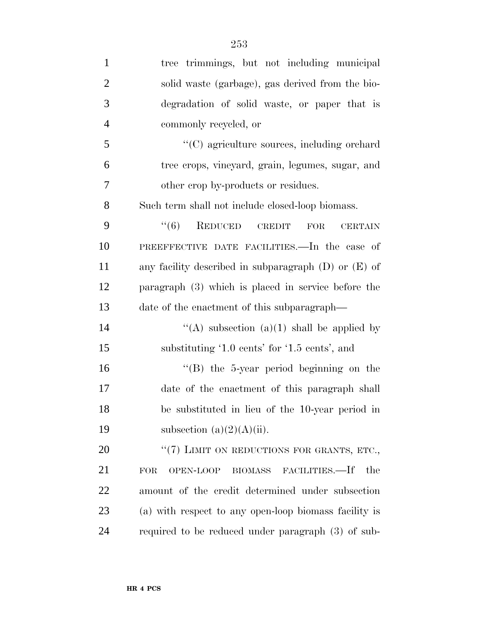| $\mathbf{1}$   | tree trimmings, but not including municipal                 |
|----------------|-------------------------------------------------------------|
| $\overline{2}$ | solid waste (garbage), gas derived from the bio-            |
| 3              | degradation of solid waste, or paper that is                |
| $\overline{4}$ | commonly recycled, or                                       |
| 5              | "(C) agriculture sources, including orchard                 |
| 6              | tree crops, vineyard, grain, legumes, sugar, and            |
| 7              | other crop by-products or residues.                         |
| 8              | Such term shall not include closed-loop biomass.            |
| 9              | REDUCED CREDIT<br>``(6)<br><b>FOR</b><br><b>CERTAIN</b>     |
| 10             | PREEFFECTIVE DATE FACILITIES. In the case of                |
| 11             | any facility described in subparagraph $(D)$ or $(E)$ of    |
| 12             | paragraph $(3)$ which is placed in service before the       |
| 13             | date of the enactment of this subparagraph—                 |
| 14             | "(A) subsection (a)(1) shall be applied by                  |
| 15             | substituting '1.0 cents' for '1.5 cents', and               |
| 16             | $\lq\lq$ (B) the 5-year period beginning on the             |
| 17             | date of the enactment of this paragraph shall               |
| 18             | be substituted in lieu of the 10-year period in             |
| 19             | subsection $(a)(2)(A)(ii)$ .                                |
| 20             | "(7) LIMIT ON REDUCTIONS FOR GRANTS, ETC.,                  |
| 21             | FACILITIES.—If<br>the<br>OPEN-LOOP<br><b>BIOMASS</b><br>FOR |
| 22             | amount of the credit determined under subsection            |
| 23             | (a) with respect to any open-loop biomass facility is       |
| 24             | required to be reduced under paragraph (3) of sub-          |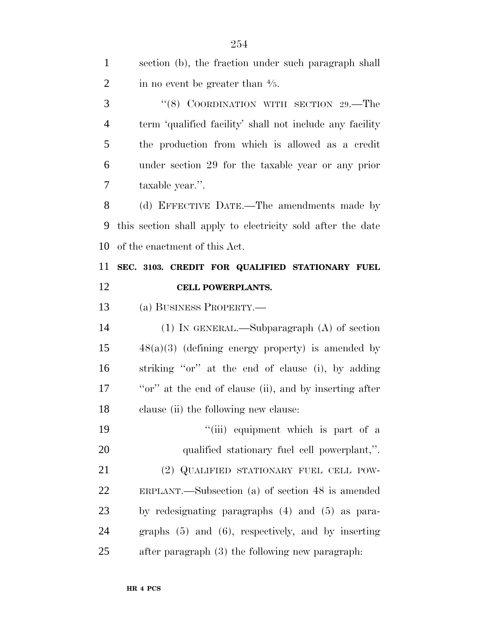| $\mathbf{1}$   | section (b), the fraction under such paragraph shall        |
|----------------|-------------------------------------------------------------|
| $\overline{2}$ | in no event be greater than $\frac{4}{5}$ .                 |
| 3              | "(8) COORDINATION WITH SECTION 29.—The                      |
| $\overline{4}$ | term 'qualified facility' shall not include any facility    |
| 5              | the production from which is allowed as a credit            |
| 6              | under section 29 for the taxable year or any prior          |
| 7              | taxable year.".                                             |
| 8              | (d) EFFECTIVE DATE.—The amendments made by                  |
| 9              | this section shall apply to electricity sold after the date |
| 10             | of the enactment of this Act.                               |
| 11             | SEC. 3103. CREDIT FOR QUALIFIED STATIONARY FUEL             |
| 12             | CELL POWERPLANTS.                                           |
| 13             | (a) BUSINESS PROPERTY.—                                     |
| 14             | $(1)$ In GENERAL.—Subparagraph $(A)$ of section             |
| 15             | $48(a)(3)$ (defining energy property) is amended by         |
| 16             | striking "or" at the end of clause (i), by adding           |
| 17             | "or" at the end of clause (ii), and by inserting after      |
| 18             | clause (ii) the following new clause:                       |
| 19             | "(iii) equipment which is part of a                         |
| 20             | qualified stationary fuel cell powerplant,".                |
| 21             | (2) QUALIFIED STATIONARY FUEL CELL POW-                     |
| 22             | ERPLANT.—Subsection (a) of section $48$ is amended          |
| 23             | by redesignating paragraphs $(4)$ and $(5)$ as para-        |
| 24             | graphs $(5)$ and $(6)$ , respectively, and by inserting     |
| 25             | after paragraph (3) the following new paragraph:            |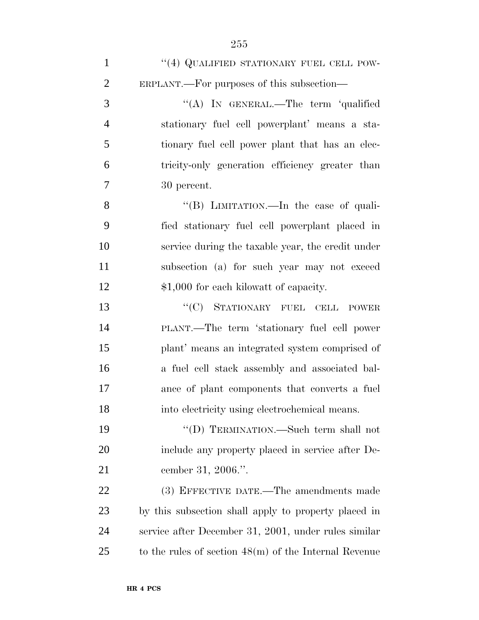| $\mathbf{1}$   | $``(4)$ QUALIFIED STATIONARY FUEL CELL POW-             |
|----------------|---------------------------------------------------------|
| $\overline{2}$ | ERPLANT.—For purposes of this subsection—               |
| 3              | "(A) IN GENERAL.—The term 'qualified                    |
| $\overline{4}$ | stationary fuel cell powerplant' means a sta-           |
| 5              | tionary fuel cell power plant that has an elec-         |
| 6              | tricity-only generation efficiency greater than         |
| $\overline{7}$ | 30 percent.                                             |
| 8              | "(B) LIMITATION.—In the case of quali-                  |
| 9              | fied stationary fuel cell powerplant placed in          |
| 10             | service during the taxable year, the credit under       |
| 11             | subsection (a) for such year may not exceed             |
| 12             | \$1,000 for each kilowatt of capacity.                  |
| 13             | "(C) STATIONARY FUEL CELL POWER                         |
| 14             | PLANT.—The term 'stationary fuel cell power             |
| 15             | plant' means an integrated system comprised of          |
| 16             | a fuel cell stack assembly and associated bal-          |
| 17             | ance of plant components that converts a fuel           |
| 18             | into electricity using electrochemical means.           |
| 19             | "(D) TERMINATION.—Such term shall not                   |
| 20             | include any property placed in service after De-        |
| 21             | cember 31, 2006.".                                      |
| 22             | (3) EFFECTIVE DATE.—The amendments made                 |
| 23             | by this subsection shall apply to property placed in    |
| 24             | service after December 31, 2001, under rules similar    |
| 25             | to the rules of section $48(m)$ of the Internal Revenue |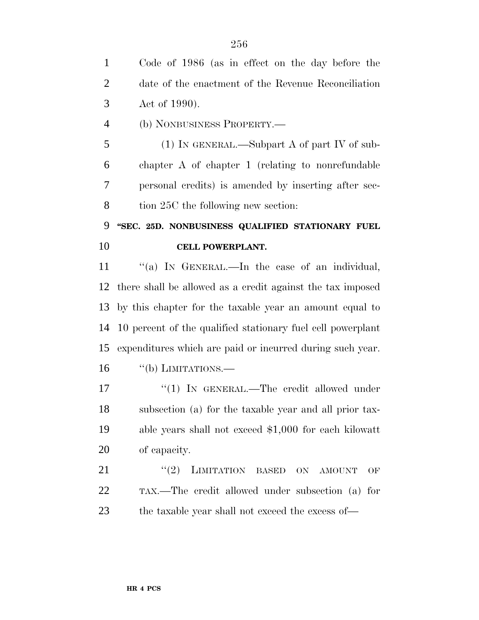Code of 1986 (as in effect on the day before the date of the enactment of the Revenue Reconciliation Act of 1990).

(b) NONBUSINESS PROPERTY.—

 (1) IN GENERAL.—Subpart A of part IV of sub- chapter A of chapter 1 (relating to nonrefundable personal credits) is amended by inserting after sec-8 tion 25C the following new section:

## **''SEC. 25D. NONBUSINESS QUALIFIED STATIONARY FUEL CELL POWERPLANT.**

11 "(a) IN GENERAL.—In the case of an individual, there shall be allowed as a credit against the tax imposed by this chapter for the taxable year an amount equal to 10 percent of the qualified stationary fuel cell powerplant expenditures which are paid or incurred during such year. "(b) LIMITATIONS.—

17 "(1) IN GENERAL.—The credit allowed under subsection (a) for the taxable year and all prior tax- able years shall not exceed \$1,000 for each kilowatt of capacity.

21 "(2) LIMITATION BASED ON AMOUNT OF TAX.—The credit allowed under subsection (a) for 23 the taxable year shall not exceed the excess of—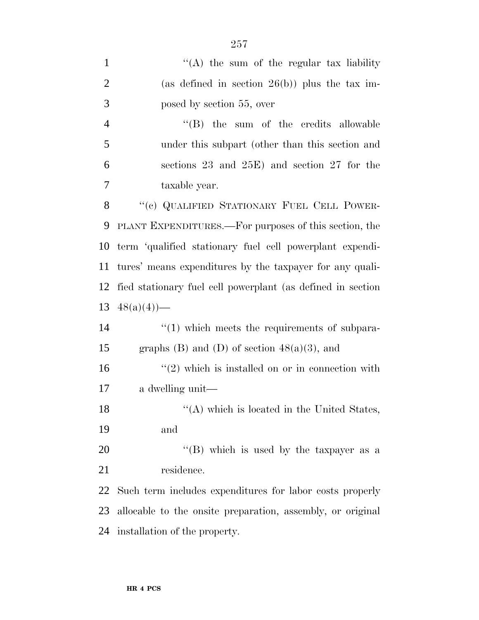| $\mathbf{1}$   | "(A) the sum of the regular tax liability                   |  |  |  |  |  |  |  |
|----------------|-------------------------------------------------------------|--|--|--|--|--|--|--|
| $\overline{2}$ | (as defined in section $26(b)$ ) plus the tax im-           |  |  |  |  |  |  |  |
| 3              | posed by section 55, over                                   |  |  |  |  |  |  |  |
| $\overline{4}$ | $\lq\lq$ (B) the sum of the credits allowable               |  |  |  |  |  |  |  |
| 5              | under this subpart (other than this section and             |  |  |  |  |  |  |  |
| 6              | sections 23 and $25E$ ) and section 27 for the              |  |  |  |  |  |  |  |
| 7              | taxable year.                                               |  |  |  |  |  |  |  |
| 8              | "(c) QUALIFIED STATIONARY FUEL CELL POWER-                  |  |  |  |  |  |  |  |
| 9              | PLANT EXPENDITURES.—For purposes of this section, the       |  |  |  |  |  |  |  |
| 10             | term 'qualified stationary fuel cell powerplant expendi-    |  |  |  |  |  |  |  |
| 11             | tures' means expenditures by the taxpayer for any quali-    |  |  |  |  |  |  |  |
| 12             | fied stationary fuel cell powerplant (as defined in section |  |  |  |  |  |  |  |
| 13             | $48(a)(4)$ —                                                |  |  |  |  |  |  |  |
| 14             | $\lq(1)$ which meets the requirements of subpara-           |  |  |  |  |  |  |  |
| 15             | graphs (B) and (D) of section $48(a)(3)$ , and              |  |  |  |  |  |  |  |
| 16             | $\lq(2)$ which is installed on or in connection with        |  |  |  |  |  |  |  |
| 17             | a dwelling unit—                                            |  |  |  |  |  |  |  |
| 18             | "(A) which is located in the United States,                 |  |  |  |  |  |  |  |
| 19             | and                                                         |  |  |  |  |  |  |  |
| 20             | "(B) which is used by the taxpayer as a                     |  |  |  |  |  |  |  |
| 21             | residence.                                                  |  |  |  |  |  |  |  |
| 22             | Such term includes expenditures for labor costs properly    |  |  |  |  |  |  |  |
| 23             | allocable to the onsite preparation, assembly, or original  |  |  |  |  |  |  |  |
| 24             | installation of the property.                               |  |  |  |  |  |  |  |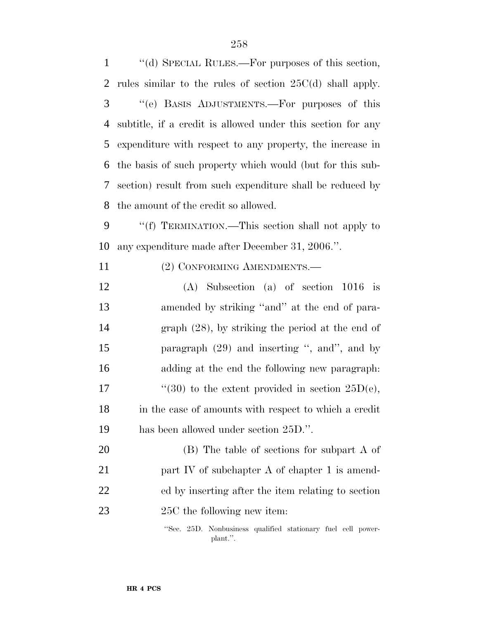| $\mathbf{1}$   | "(d) SPECIAL RULES.—For purposes of this section,            |
|----------------|--------------------------------------------------------------|
| $\overline{2}$ | rules similar to the rules of section $25C(d)$ shall apply.  |
| 3              | "(e) BASIS ADJUSTMENTS.—For purposes of this                 |
| $\overline{4}$ | subtitle, if a credit is allowed under this section for any  |
| 5              | expenditure with respect to any property, the increase in    |
| 6              | the basis of such property which would (but for this sub-    |
| 7              | section) result from such expenditure shall be reduced by    |
| 8              | the amount of the credit so allowed.                         |
| 9              | "(f) TERMINATION.—This section shall not apply to            |
| 10             | any expenditure made after December 31, 2006.".              |
| 11             | (2) CONFORMING AMENDMENTS.—                                  |
| 12             | $(A)$ Subsection $(a)$ of section 1016 is                    |
| 13             | amended by striking "and" at the end of para-                |
| 14             | graph $(28)$ , by striking the period at the end of          |
| 15             | paragraph $(29)$ and inserting ", and", and by               |
| 16             | adding at the end the following new paragraph:               |
| 17             | "(30) to the extent provided in section $25D(e)$ ,           |
| 18             | in the case of amounts with respect to which a credit        |
| 19             | has been allowed under section 25D.".                        |
| 20             | (B) The table of sections for subpart A of                   |
| 21             | part IV of subchapter A of chapter 1 is amend-               |
| 22             | ed by inserting after the item relating to section           |
| 23             | 25C the following new item:                                  |
|                | "Sec. 25D. Nonbusiness qualified stationary fuel cell power- |

plant.''.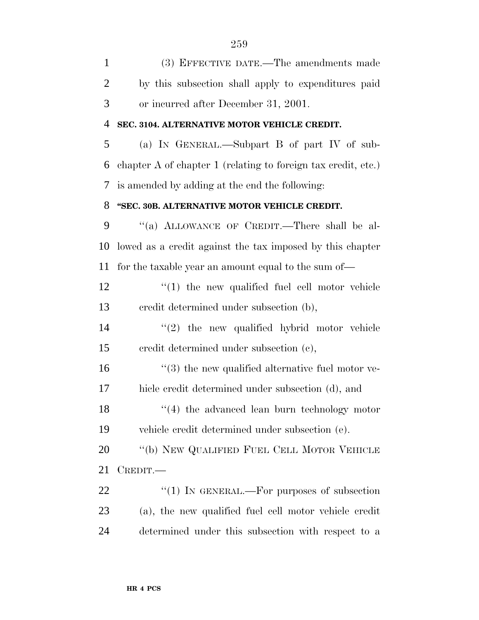(3) EFFECTIVE DATE.—The amendments made by this subsection shall apply to expenditures paid or incurred after December 31, 2001. **SEC. 3104. ALTERNATIVE MOTOR VEHICLE CREDIT.** (a) IN GENERAL.—Subpart B of part IV of sub- chapter A of chapter 1 (relating to foreign tax credit, etc.) is amended by adding at the end the following: **''SEC. 30B. ALTERNATIVE MOTOR VEHICLE CREDIT.** ''(a) ALLOWANCE OF CREDIT.—There shall be al- lowed as a credit against the tax imposed by this chapter for the taxable year an amount equal to the sum of—  $\frac{1}{2}$   $\frac{1}{2}$  the new qualified fuel cell motor vehicle credit determined under subsection (b), ''(2) the new qualified hybrid motor vehicle credit determined under subsection (c),  $\frac{16}{16}$  ''(3) the new qualified alternative fuel motor ve- hicle credit determined under subsection (d), and 18 ''(4) the advanced lean burn technology motor vehicle credit determined under subsection (e). 20 "(b) NEW QUALIFIED FUEL CELL MOTOR VEHICLE CREDIT.— 22 "(1) IN GENERAL.—For purposes of subsection (a), the new qualified fuel cell motor vehicle credit determined under this subsection with respect to a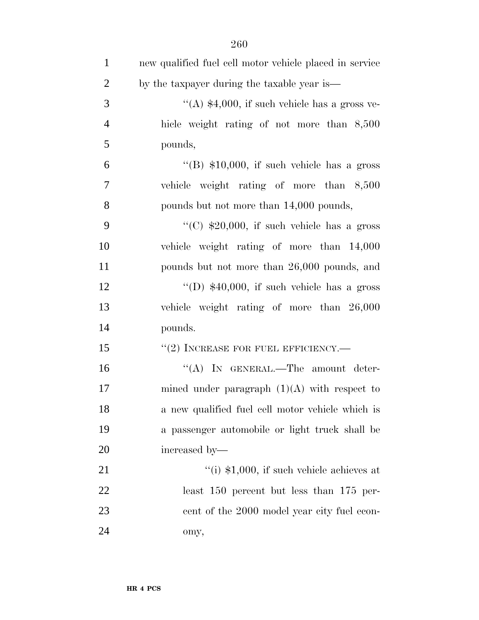| $\mathbf{1}$   | new qualified fuel cell motor vehicle placed in service |
|----------------|---------------------------------------------------------|
| $\overline{2}$ | by the taxpayer during the taxable year is—             |
| 3              | "(A) $$4,000$ , if such vehicle has a gross ve-         |
| $\overline{4}$ | hicle weight rating of not more than 8,500              |
| 5              | pounds,                                                 |
| 6              | "(B) $$10,000$ , if such vehicle has a gross            |
| $\tau$         | vehicle weight rating of more than 8,500                |
| 8              | pounds but not more than 14,000 pounds,                 |
| 9              | "(C) $$20,000$ , if such vehicle has a gross            |
| 10             | vehicle weight rating of more than 14,000               |
| 11             | pounds but not more than 26,000 pounds, and             |
| 12             | "(D) $$40,000$ , if such vehicle has a gross            |
| 13             | vehicle weight rating of more than 26,000               |
| 14             | pounds.                                                 |
| 15             | $``(2)$ INCREASE FOR FUEL EFFICIENCY.—                  |
| 16             | "(A) IN GENERAL.—The amount deter-                      |
| 17             | mined under paragraph $(1)(A)$ with respect to          |
| 18             | a new qualified fuel cell motor vehicle which is        |
| 19             | a passenger automobile or light truck shall be          |
| 20             | increased by-                                           |
| 21             | "(i) $$1,000$ , if such vehicle achieves at             |
| 22             | least $150$ percent but less than $175$ per-            |
| 23             | cent of the 2000 model year city fuel econ-             |
| 24             | omy,                                                    |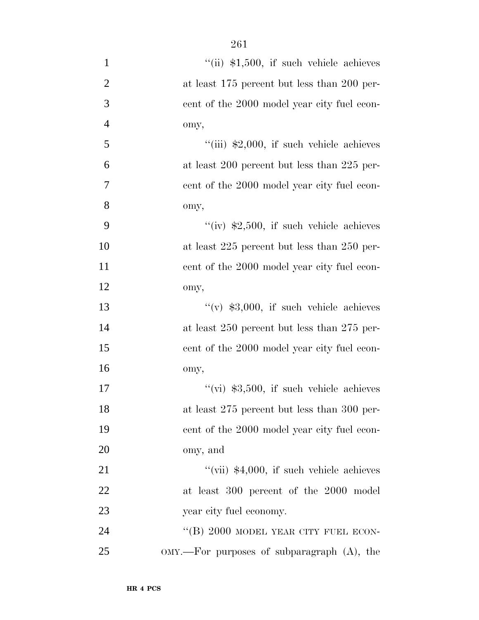| $\mathbf{1}$   | "(ii) $$1,500$ , if such vehicle achieves       |
|----------------|-------------------------------------------------|
| $\overline{c}$ | at least 175 percent but less than 200 per-     |
| $\overline{3}$ | cent of the 2000 model year city fuel econ-     |
| $\overline{4}$ | omy,                                            |
| 5              | $``(iii)$ \$2,000, if such vehicle achieves     |
| 6              | at least 200 percent but less than 225 per-     |
| $\tau$         | cent of the 2000 model year city fuel econ-     |
| 8              | omy,                                            |
| 9              | "(iv) $$2,500$ , if such vehicle achieves       |
| 10             | at least 225 percent but less than 250 per-     |
| 11             | cent of the 2000 model year city fuel econ-     |
| 12             | omy,                                            |
| 13             | $``(v)$ \$3,000, if such vehicle achieves       |
| 14             | at least $250$ percent but less than $275$ per- |
| 15             | cent of the 2000 model year city fuel econ-     |
| 16             | omy,                                            |
| 17             | "(vi) $$3,500$ , if such vehicle achieves       |
| 18             | at least 275 percent but less than 300 per-     |
| 19             | cent of the 2000 model year city fuel econ-     |
| 20             | omy, and                                        |
| 21             | "(vii) $$4,000$ , if such vehicle achieves      |
| 22             | at least 300 percent of the 2000 model          |
| 23             | year city fuel economy.                         |
| 24             | "(B) 2000 MODEL YEAR CITY FUEL ECON-            |
| 25             | $OMY.$ For purposes of subparagraph $(A)$ , the |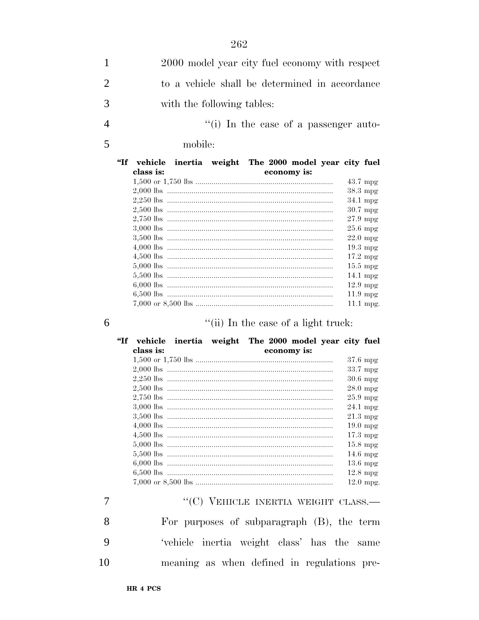- $\mathbf{1}$ 2000 model year city fuel economy with respect  $\overline{2}$ to a vehicle shall be determined in accordance 3 with the following tables:
- "(i) In the case of a passenger auto- $\overline{4}$ 
	- mobile:

| $\mathbf{f}$ | vehicle   | inertia weight The 2000 model year city fuel |  |             |                    |             |
|--------------|-----------|----------------------------------------------|--|-------------|--------------------|-------------|
|              | class is: |                                              |  | economy is: |                    |             |
|              |           |                                              |  |             | $43.7 \text{ mpg}$ |             |
|              |           |                                              |  |             | $38.3 \text{ mpg}$ |             |
|              |           |                                              |  |             | $34.1 \text{ mpg}$ |             |
|              |           |                                              |  |             | $30.7$ mpg         |             |
|              |           |                                              |  |             | $27.9$ mpg         |             |
|              |           |                                              |  |             | $25.6$ mpg         |             |
|              |           |                                              |  |             | $22.0 \text{ mpg}$ |             |
|              |           |                                              |  |             | $19.3$ mpg         |             |
|              |           |                                              |  |             | $17.2 \text{ mpg}$ |             |
|              |           |                                              |  |             | $15.5 \text{ mpg}$ |             |
|              |           |                                              |  |             | $14.1 \text{ mpg}$ |             |
|              |           |                                              |  |             | $12.9 \text{ mpg}$ |             |
|              |           |                                              |  |             | $11.9 \text{ mpg}$ |             |
|              |           |                                              |  |             |                    | $11.1$ mpg. |

 $\overline{7}$ 

5

"(ii) In the case of a light truck:

| "Tf | vehicle   | inertia weight The 2000 model year city fuel |  |                              |                    |                    |
|-----|-----------|----------------------------------------------|--|------------------------------|--------------------|--------------------|
|     | class is: |                                              |  | economy is:                  |                    |                    |
|     |           |                                              |  |                              |                    | $37.6 \text{ mpg}$ |
|     |           |                                              |  |                              |                    | 33.7 mpg           |
|     |           |                                              |  |                              |                    | $30.6$ mpg         |
|     |           |                                              |  |                              | $28.0 \text{ mpg}$ |                    |
|     |           |                                              |  |                              |                    | $25.9$ mpg         |
|     |           |                                              |  |                              | $24.1 \text{ mpg}$ |                    |
|     |           |                                              |  |                              | $21.3 \text{ mpg}$ |                    |
|     |           |                                              |  |                              |                    | $19.0 \text{ mpg}$ |
|     |           |                                              |  |                              |                    | $17.3 \text{ mpg}$ |
|     |           |                                              |  |                              |                    | $15.8 \text{ mpg}$ |
|     |           |                                              |  |                              |                    | $14.6 \text{ mpg}$ |
|     |           |                                              |  |                              |                    | $13.6 \text{ mpg}$ |
|     |           |                                              |  |                              |                    | $12.8 \text{ mpg}$ |
|     |           |                                              |  |                              |                    | $12.0$ mpg.        |
|     |           |                                              |  | EHICLE INERTIA WEIGHT CLASS. |                    |                    |

For purposes of subparagraph (B), the term 8 9 'vehicle inertia weight class' has the same 10 meaning as when defined in regulations pre-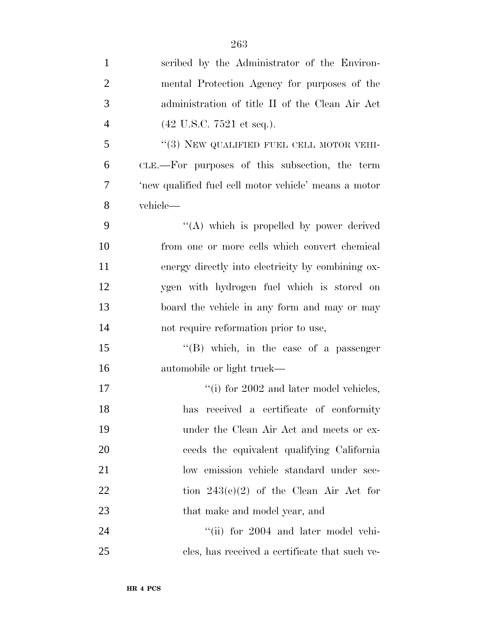| $\mathbf{1}$   | scribed by the Administrator of the Environ-          |
|----------------|-------------------------------------------------------|
| $\overline{2}$ | mental Protection Agency for purposes of the          |
| 3              | administration of title II of the Clean Air Act       |
| $\overline{4}$ | $(42 \text{ U.S.C. } 7521 \text{ et seq.}).$          |
| 5              | $``(3)$ NEW QUALIFIED FUEL CELL MOTOR VEHI-           |
| 6              | CLE.—For purposes of this subsection, the term        |
| $\overline{7}$ | 'new qualified fuel cell motor vehicle' means a motor |
| 8              | vehicle—                                              |
| 9              | "(A) which is propelled by power derived              |
| 10             | from one or more cells which convert chemical         |
| 11             | energy directly into electricity by combining ox-     |
| 12             | ygen with hydrogen fuel which is stored on            |
| 13             | board the vehicle in any form and may or may          |
| 14             | not require reformation prior to use,                 |
| 15             | $\lq\lq$ (B) which, in the case of a passenger        |
| 16             | automobile or light truck—                            |
| 17             | $\lq\lq$ (i) for 2002 and later model vehicles,       |
| 18             | received a certificate of conformity<br>has           |
| 19             | under the Clean Air Act and meets or ex-              |
| 20             | ceeds the equivalent qualifying California            |
| 21             | low emission vehicle standard under sec-              |
| 22             | tion $243(e)(2)$ of the Clean Air Act for             |
| 23             | that make and model year, and                         |
| 24             | "(ii) for 2004 and later model vehi-                  |
| 25             | cles, has received a certificate that such ve-        |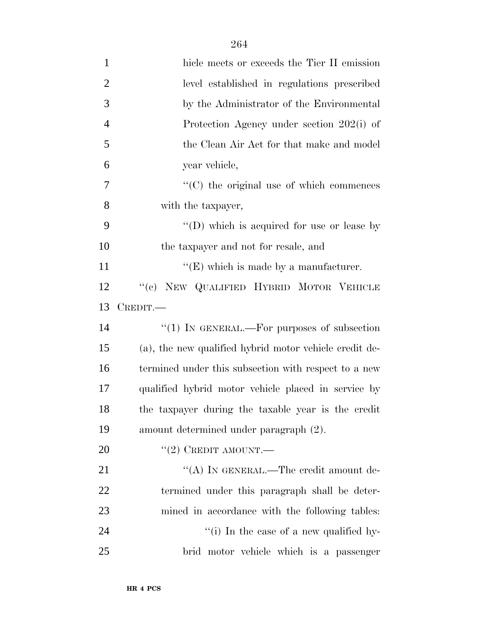| $\mathbf{1}$   | hicle meets or exceeds the Tier II emission            |
|----------------|--------------------------------------------------------|
| $\overline{2}$ | level established in regulations prescribed            |
| 3              | by the Administrator of the Environmental              |
| $\overline{4}$ | Protection Agency under section 202(i) of              |
| 5              | the Clean Air Act for that make and model              |
| 6              | year vehicle,                                          |
| 7              | $\cdot$ (C) the original use of which commences        |
| 8              | with the taxpayer,                                     |
| 9              | "(D) which is acquired for use or lease by             |
| 10             | the taxpayer and not for resale, and                   |
| 11             | $\lq\lq(E)$ which is made by a manufacturer.           |
| 12             | "(c) NEW QUALIFIED HYBRID MOTOR VEHICLE                |
| 13             | $C$ REDIT.—                                            |
| 14             | " $(1)$ IN GENERAL.—For purposes of subsection         |
| 15             | (a), the new qualified hybrid motor vehicle credit de- |
| 16             | termined under this subsection with respect to a new   |
| 17             | qualified hybrid motor vehicle placed in service by    |
| 18             | the taxpayer during the taxable year is the credit     |
| 19             | amount determined under paragraph (2).                 |
| 20             | $``(2)$ CREDIT AMOUNT.—                                |
| 21             | "(A) IN GENERAL.—The credit amount de-                 |
| 22             | termined under this paragraph shall be deter-          |
| 23             | mined in accordance with the following tables:         |
| 24             | "(i) In the case of a new qualified hy-                |
| 25             | brid motor vehicle which is a passenger                |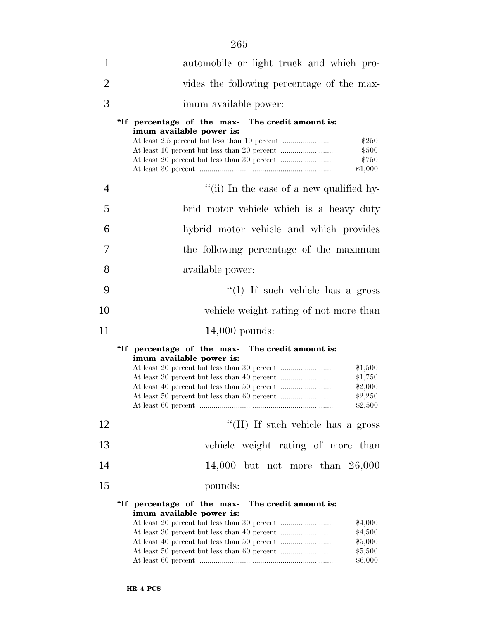| 1              | automobile or light truck and which pro-                                                                                                |  |  |  |  |  |
|----------------|-----------------------------------------------------------------------------------------------------------------------------------------|--|--|--|--|--|
| $\overline{2}$ | vides the following percentage of the max-                                                                                              |  |  |  |  |  |
| 3              | imum available power:                                                                                                                   |  |  |  |  |  |
|                | "If percentage of the max- The credit amount is:<br>imum available power is:<br>\$250<br>\$500<br>\$750<br>\$1,000.                     |  |  |  |  |  |
| 4              | "(ii) In the case of a new qualified hy-                                                                                                |  |  |  |  |  |
| 5              | brid motor vehicle which is a heavy duty                                                                                                |  |  |  |  |  |
| 6              | hybrid motor vehicle and which provides                                                                                                 |  |  |  |  |  |
| 7              | the following percentage of the maximum                                                                                                 |  |  |  |  |  |
| 8              | available power:                                                                                                                        |  |  |  |  |  |
| 9              | "(I) If such vehicle has a gross                                                                                                        |  |  |  |  |  |
| 10             | vehicle weight rating of not more than                                                                                                  |  |  |  |  |  |
| 11             | $14,000$ pounds:                                                                                                                        |  |  |  |  |  |
|                | The credit amount is:<br>"If percentage of the max-<br>imum available power is:<br>\$1,500<br>\$1,750<br>\$2,000<br>\$2,250<br>\$2,500. |  |  |  |  |  |
| 12             | "(II) If such vehicle has a gross                                                                                                       |  |  |  |  |  |
| 13             | vehicle weight rating of more than                                                                                                      |  |  |  |  |  |
| 14             | 14,000 but not more than $26,000$                                                                                                       |  |  |  |  |  |
| 15             | pounds:                                                                                                                                 |  |  |  |  |  |
|                | "If percentage of the max-<br>The credit amount is:<br>imum available power is:<br>\$4,000<br>\$4,500<br>\$5,000<br>\$5,500<br>\$6,000. |  |  |  |  |  |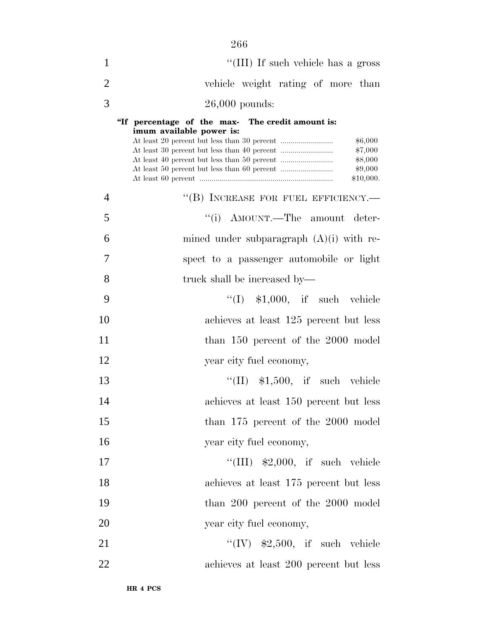| $\mathbf{1}$   | "(III) If such vehicle has a gross                                                                                                    |
|----------------|---------------------------------------------------------------------------------------------------------------------------------------|
| $\overline{2}$ | vehicle weight rating of more than                                                                                                    |
| 3              | $26,000$ pounds:                                                                                                                      |
|                | "If percentage of the max- The credit amount is:<br>imum available power is:<br>\$6,000<br>\$7,000<br>\$8,000<br>\$9,000<br>\$10,000. |
| 4              | "(B) INCREASE FOR FUEL EFFICIENCY.-                                                                                                   |
| 5              | "(i) AMOUNT.—The amount deter-                                                                                                        |
| 6              | mined under subparagraph $(A)(i)$ with re-                                                                                            |
| 7              | spect to a passenger automobile or light                                                                                              |
| 8              | truck shall be increased by—                                                                                                          |
| 9              | $\lq(1)$ \$1,000, if such vehicle                                                                                                     |
| 10             | achieves at least 125 percent but less                                                                                                |
| 11             | than 150 percent of the 2000 model                                                                                                    |
| 12             | year city fuel economy,                                                                                                               |
| 13             | $\lq\lq$ (II) \$1,500, if such vehicle                                                                                                |
| 14             | achieves at least 150 percent but less                                                                                                |
| 15             | than 175 percent of the 2000 model                                                                                                    |
| 16             | year city fuel economy,                                                                                                               |
| 17             | "(III) $$2,000$ , if such vehicle                                                                                                     |
| 18             | achieves at least 175 percent but less                                                                                                |
| 19             | than 200 percent of the 2000 model                                                                                                    |
| 20             | year city fuel economy,                                                                                                               |
| 21             | "(IV) $$2,500$ , if such vehicle                                                                                                      |
| 22             | achieves at least 200 percent but less                                                                                                |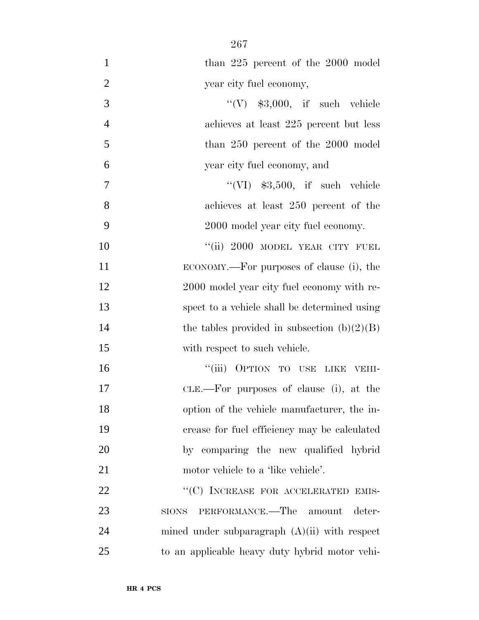| $\mathbf{1}$   | than 225 percent of the 2000 model                |
|----------------|---------------------------------------------------|
| $\overline{2}$ | year city fuel economy,                           |
| 3              | "(V) $$3,000$ , if such vehicle                   |
| $\overline{4}$ | achieves at least 225 percent but less            |
| 5              | than 250 percent of the 2000 model                |
| 6              | year city fuel economy, and                       |
| 7              | "(VI) $$3,500$ , if such vehicle                  |
| 8              | achieves at least 250 percent of the              |
| 9              | 2000 model year city fuel economy.                |
| 10             | "(ii) 2000 MODEL YEAR CITY FUEL                   |
| 11             | ECONOMY.—For purposes of clause (i), the          |
| 12             | 2000 model year city fuel economy with re-        |
| 13             | spect to a vehicle shall be determined using      |
| 14             | the tables provided in subsection $(b)(2)(B)$     |
| 15             | with respect to such vehicle.                     |
| 16             | "(iii) OPTION TO USE LIKE VEHI-                   |
| 17             | CLE.—For purposes of clause (i), at the           |
| 18             | option of the vehicle manufacturer, the in-       |
| 19             | crease for fuel efficiency may be calculated      |
| 20             | by comparing the new qualified hybrid             |
| 21             | motor vehicle to a 'like vehicle'.                |
| 22             | "(C) INCREASE FOR ACCELERATED EMIS-               |
| 23             | PERFORMANCE.—The amount<br>deter-<br><b>SIONS</b> |
| 24             | mined under subparagraph $(A)(ii)$ with respect   |
| 25             | to an applicable heavy duty hybrid motor vehi-    |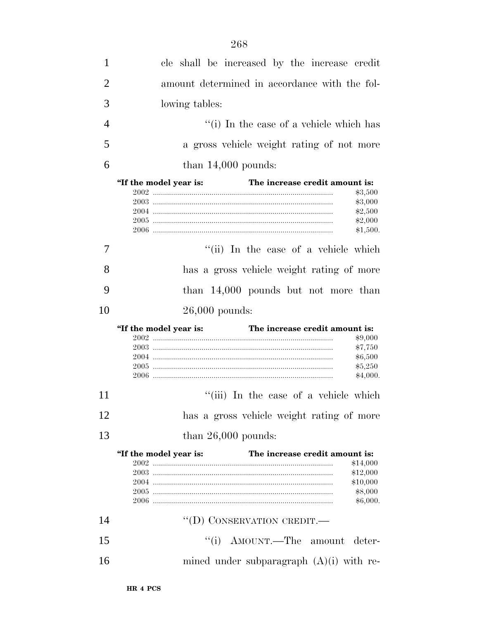| 1              | cle shall be increased by the increase credit                                                                    |
|----------------|------------------------------------------------------------------------------------------------------------------|
| $\overline{2}$ | amount determined in accordance with the fol-                                                                    |
| 3              | lowing tables:                                                                                                   |
| $\overline{4}$ | "(i) In the case of a vehicle which has                                                                          |
| 5              | a gross vehicle weight rating of not more                                                                        |
| 6              | than $14,000$ pounds:                                                                                            |
|                |                                                                                                                  |
|                | The increase credit amount is:<br>"If the model year is:<br>\$3,500<br>\$3,000<br>\$2,500<br>\$2,000<br>\$1,500. |
| 7              | "(ii) In the case of a vehicle which                                                                             |
| 8              | has a gross vehicle weight rating of more                                                                        |
| 9              | than $14,000$ pounds but not more than                                                                           |
| 10             |                                                                                                                  |
|                | $26,000$ pounds:                                                                                                 |
|                |                                                                                                                  |
|                | The increase credit amount is:<br>"If the model year is:<br>\$9,000<br>\$7,750<br>\$6,500<br>\$5,250<br>\$4,000. |
| 11             | "(iii) In the case of a vehicle which                                                                            |
|                | has a gross vehicle weight rating of more                                                                        |
| 12<br>13       | than $26,000$ pounds:                                                                                            |
|                |                                                                                                                  |
|                | The increase credit amount is:<br>"If the model year is:<br>\$14,000                                             |
|                | \$12,000                                                                                                         |
|                | \$10,000                                                                                                         |
|                | \$8,000<br>\$6,000.                                                                                              |
| 14             | "(D) CONSERVATION CREDIT.-                                                                                       |
| 15             | "(i) AMOUNT.—The amount deter-                                                                                   |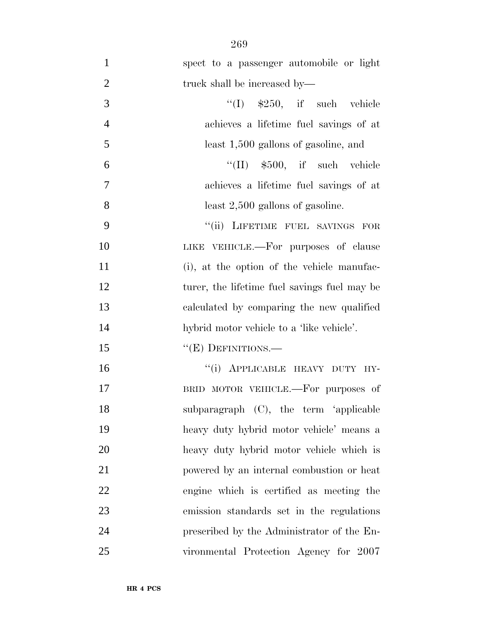| $\mathbf{1}$   | spect to a passenger automobile or light     |
|----------------|----------------------------------------------|
| $\mathfrak{2}$ | truck shall be increased by—                 |
| 3              | $\lq(1)$ \$250, if such vehicle              |
| $\overline{4}$ | achieves a lifetime fuel savings of at       |
| 5              | least 1,500 gallons of gasoline, and         |
| 6              | $\lq\lq$ (II) $$500$ , if such vehicle       |
| $\overline{7}$ | achieves a lifetime fuel savings of at       |
| 8              | least $2,500$ gallons of gasoline.           |
| 9              | "(ii) LIFETIME FUEL SAVINGS FOR              |
| 10             | LIKE VEHICLE.—For purposes of clause         |
| 11             | (i), at the option of the vehicle manufac-   |
| 12             | turer, the lifetime fuel savings fuel may be |
| 13             | calculated by comparing the new qualified    |
| 14             | hybrid motor vehicle to a 'like vehicle'.    |
| 15             | "(E) DEFINITIONS.-                           |
| 16             | "(i) APPLICABLE HEAVY DUTY HY-               |
| 17             | BRID MOTOR VEHICLE.—For purposes of          |
| 18             | subparagraph (C), the term 'applicable       |
| 19             | heavy duty hybrid motor vehicle' means a     |
| 20             | heavy duty hybrid motor vehicle which is     |
| 21             | powered by an internal combustion or heat    |
| 22             | engine which is certified as meeting the     |
| 23             | emission standards set in the regulations    |
| 24             | prescribed by the Administrator of the En-   |
| 25             | vironmental Protection Agency for 2007       |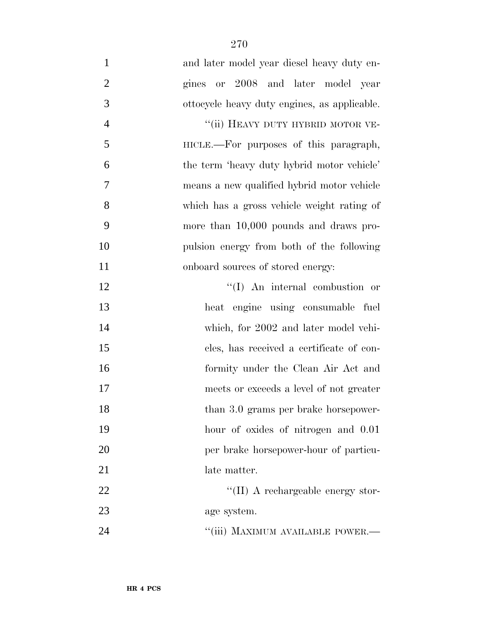and later model year diesel heavy duty en- gines or 2008 and later model year ottocycle heavy duty engines, as applicable. 4 "(ii) HEAVY DUTY HYBRID MOTOR VE-5 HICLE.—For purposes of this paragraph, the term 'heavy duty hybrid motor vehicle' means a new qualified hybrid motor vehicle which has a gross vehicle weight rating of more than 10,000 pounds and draws pro- pulsion energy from both of the following 11 onboard sources of stored energy: 12 ''(I) An internal combustion or heat engine using consumable fuel which, for 2002 and later model vehi- cles, has received a certificate of con- formity under the Clean Air Act and meets or exceeds a level of not greater 18 than 3.0 grams per brake horsepower-hour of oxides of nitrogen and 0.01

 per brake horsepower-hour of particu-21 late matter.

22  $\text{``(II)}$  A rechargeable energy stor-age system.

**Conserverse Conserversity** MAXIMUM AVAILABLE POWER.—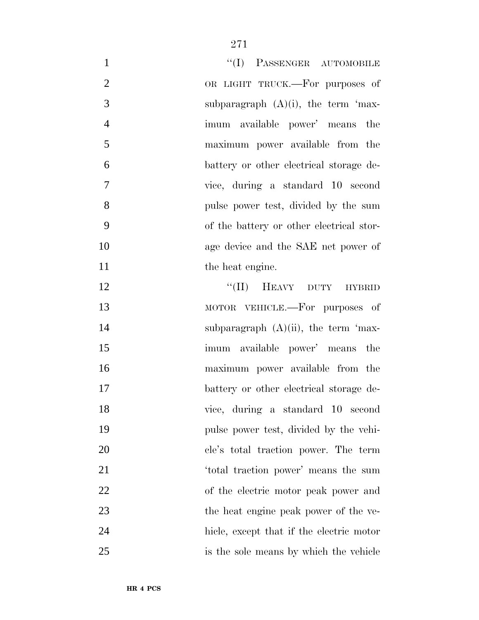| $\mathbf{1}$   | "(I) PASSENGER AUTOMOBILE                |
|----------------|------------------------------------------|
| $\overline{2}$ | OR LIGHT TRUCK.—For purposes of          |
| 3              | subparagraph $(A)(i)$ , the term 'max-   |
| $\overline{4}$ | imum available power' means the          |
| 5              | maximum power available from the         |
| 6              | battery or other electrical storage de-  |
| $\overline{7}$ | vice, during a standard 10 second        |
| 8              | pulse power test, divided by the sum     |
| 9              | of the battery or other electrical stor- |
| 10             | age device and the SAE net power of      |
| 11             | the heat engine.                         |
| 12             | "(II) HEAVY DUTY HYBRID                  |
| 13             | MOTOR VEHICLE.—For purposes of           |
| 14             | subparagraph $(A)(ii)$ , the term 'max-  |
| 15             | imum available power' means the          |
| 16             | maximum power available from the         |
| 17             | battery or other electrical storage de-  |
| 18             | vice, during a standard 10 second        |
| 19             | pulse power test, divided by the vehi-   |
| 20             | cle's total traction power. The term     |
| 21             | 'total traction power' means the sum     |
| 22             | of the electric motor peak power and     |
| 23             | the heat engine peak power of the ve-    |
| 24             | hicle, except that if the electric motor |
| 25             | is the sole means by which the vehicle   |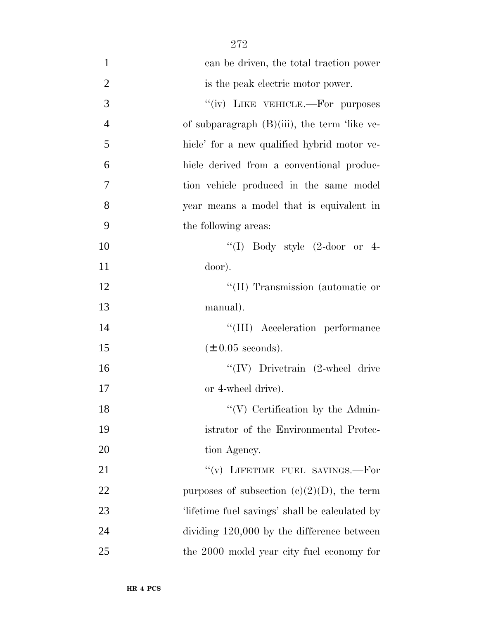| $\mathbf{1}$   | can be driven, the total traction power         |
|----------------|-------------------------------------------------|
| $\overline{2}$ | is the peak electric motor power.               |
| 3              | "(iv) LIKE VEHICLE.—For purposes                |
| $\overline{4}$ | of subparagraph $(B)(iii)$ , the term 'like ve- |
| 5              | hicle' for a new qualified hybrid motor ve-     |
| 6              | hicle derived from a conventional produc-       |
| 7              | tion vehicle produced in the same model         |
| 8              | year means a model that is equivalent in        |
| 9              | the following areas:                            |
| 10             | "(I) Body style $(2\text{-door}$ or 4-          |
| 11             | door).                                          |
| 12             | "(II) Transmission (automatic or                |
| 13             | manual).                                        |
| 14             | "(III) Acceleration performance                 |
| 15             | $(\pm 0.05$ seconds).                           |
| 16             | $``(IV)$ Drivetrain (2-wheel drive              |
| 17             | or 4-wheel drive).                              |
| 18             | $\lq\lq$ Certification by the Admin-            |
| 19             | istrator of the Environmental Protec-           |
| 20             | tion Agency.                                    |
| 21             | "(v) LIFETIME FUEL SAVINGS.—For                 |
| 22             | purposes of subsection (c)(2)(D), the term      |
| 23             | 'lifetime fuel savings' shall be calculated by  |
| 24             | dividing $120,000$ by the difference between    |
| 25             | the 2000 model year city fuel economy for       |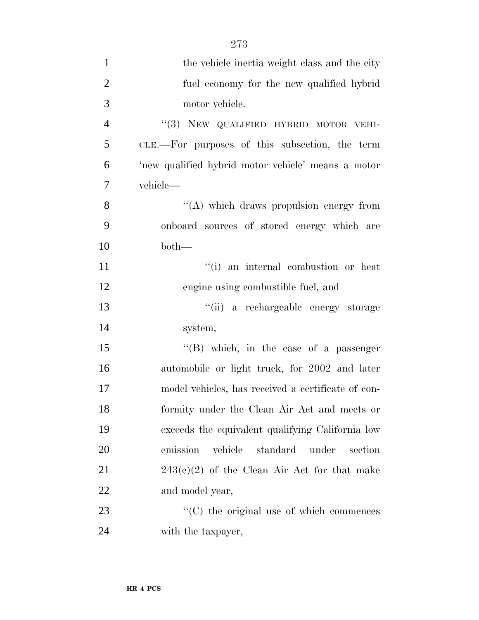| $\mathbf{1}$   | the vehicle inertia weight class and the city       |
|----------------|-----------------------------------------------------|
| $\overline{2}$ | fuel economy for the new qualified hybrid           |
| 3              | motor vehicle.                                      |
| $\overline{4}$ | "(3) NEW QUALIFIED HYBRID MOTOR VEHI-               |
| 5              | CLE.—For purposes of this subsection, the term      |
| 6              | 'new qualified hybrid motor vehicle' means a motor  |
| 7              | vehicle-                                            |
| 8              | "(A) which draws propulsion energy from             |
| 9              | onboard sources of stored energy which are          |
| 10             | $both-$                                             |
| 11             | "(i) an internal combustion or heat                 |
| 12             | engine using combustible fuel, and                  |
| 13             | "(ii) a rechargeable energy storage                 |
| 14             | system,                                             |
| 15             | $\lq\lq$ (B) which, in the case of a passenger      |
| 16             | automobile or light truck, for 2002 and later       |
| 17             | model vehicles, has received a certificate of con-  |
| 18             | formity under the Clean Air Act and meets or        |
| 19             | exceeds the equivalent qualifying California low    |
| 20             | vehicle<br>emission<br>standard<br>under<br>section |
| 21             | $243(e)(2)$ of the Clean Air Act for that make      |
| 22             | and model year,                                     |
| 23             | $\lq\lq$ (C) the original use of which commences    |
| 24             | with the taxpayer,                                  |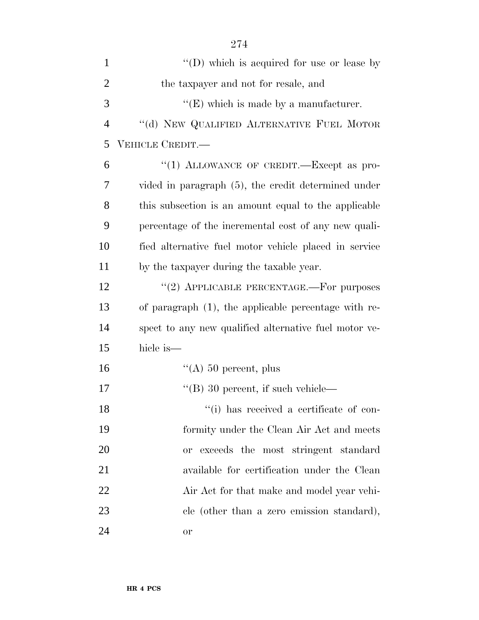| $\mathbf{1}$   | "(D) which is acquired for use or lease by            |
|----------------|-------------------------------------------------------|
| $\overline{2}$ | the taxpayer and not for resale, and                  |
| 3              | $\lq\lq(E)$ which is made by a manufacturer.          |
| $\overline{4}$ | "(d) NEW QUALIFIED ALTERNATIVE FUEL MOTOR             |
| 5              | VEHICLE CREDIT.—                                      |
| 6              | "(1) ALLOWANCE OF CREDIT.—Except as pro-              |
| 7              | vided in paragraph (5), the credit determined under   |
| 8              | this subsection is an amount equal to the applicable  |
| 9              | percentage of the incremental cost of any new quali-  |
| 10             | fied alternative fuel motor vehicle placed in service |
| 11             | by the taxpayer during the taxable year.              |
| 12             | "(2) APPLICABLE PERCENTAGE.-For purposes              |
| 13             | of paragraph (1), the applicable percentage with re-  |
| 14             | spect to any new qualified alternative fuel motor ve- |
| 15             | hicle is—                                             |
| 16             | "(A) $50$ percent, plus                               |
| 17             | $\lq$ (B) 30 percent, if such vehicle—                |
| 18             | "(i) has received a certificate of con-               |
| 19             | formity under the Clean Air Act and meets             |
| 20             | or exceeds the most stringent standard                |
| 21             | available for certification under the Clean           |
| 22             | Air Act for that make and model year vehi-            |
| 23             | cle (other than a zero emission standard),            |
| 24             | or                                                    |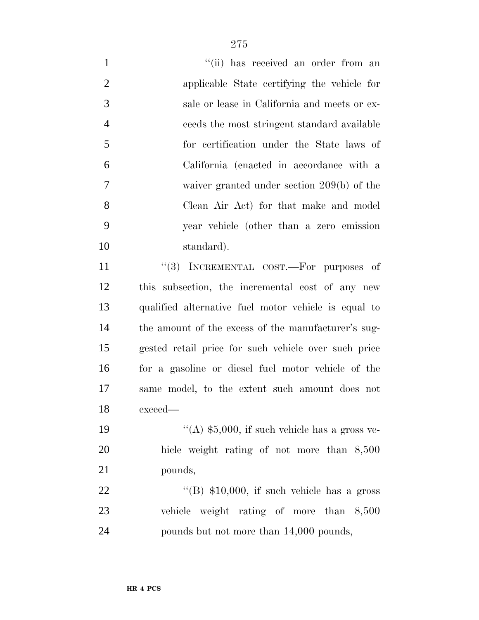| $\mathbf{1}$   | "(ii) has received an order from an                  |
|----------------|------------------------------------------------------|
| $\mathbf{2}$   | applicable State certifying the vehicle for          |
| 3              | sale or lease in California and meets or ex-         |
| $\overline{4}$ | ceeds the most stringent standard available          |
| 5              | for certification under the State laws of            |
| 6              | California (enacted in accordance with a             |
| $\tau$         | waiver granted under section $209(b)$ of the         |
| 8              | Clean Air Act) for that make and model               |
| 9              | year vehicle (other than a zero emission             |
| 10             | standard).                                           |
| 11             | "(3) INCREMENTAL COST.—For purposes of               |
| 12             | this subsection, the incremental cost of any new     |
| 13             | qualified alternative fuel motor vehicle is equal to |
| 14             | the amount of the excess of the manufacturer's sug-  |
| 15             | gested retail price for such vehicle over such price |
| 16             | for a gasoline or diesel fuel motor vehicle of the   |
| 17             | same model, to the extent such amount does not       |
| 18             | exceed—                                              |
| 19             | "(A) $$5,000$ , if such vehicle has a gross ve-      |
| 20             | hicle weight rating of not more than 8,500           |
| 21             | pounds,                                              |
| 22             | "(B) $$10,000$ , if such vehicle has a gross         |
| 23             | vehicle weight rating of more than 8,500             |
| 24             | pounds but not more than 14,000 pounds,              |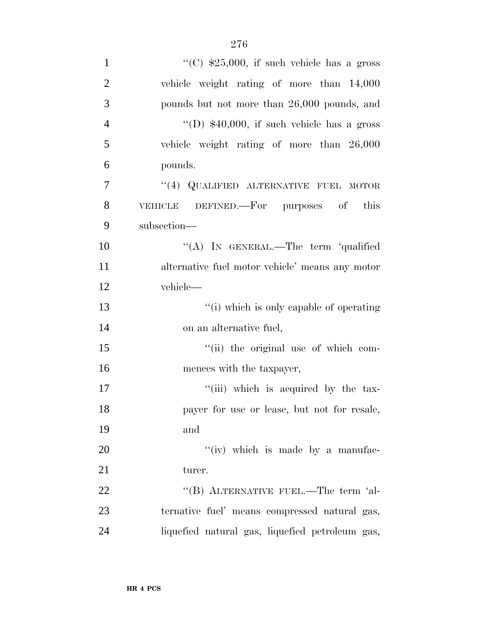| $\mathbf{1}$   | "(C) $$25,000$ , if such vehicle has a gross    |
|----------------|-------------------------------------------------|
| $\overline{2}$ | vehicle weight rating of more than 14,000       |
| 3              | pounds but not more than 26,000 pounds, and     |
| $\overline{4}$ | "(D) $$40,000$ , if such vehicle has a gross    |
| 5              | vehicle weight rating of more than 26,000       |
| 6              | pounds.                                         |
| $\overline{7}$ | "(4) QUALIFIED ALTERNATIVE FUEL MOTOR           |
| 8              | VEHICLE DEFINED.—For purposes of this           |
| 9              | subsection-                                     |
| 10             | "(A) IN GENERAL.—The term 'qualified            |
| 11             | alternative fuel motor vehicle' means any motor |
| 12             | vehicle—                                        |
| 13             | "(i) which is only capable of operating         |
| 14             | on an alternative fuel,                         |
| 15             | "(ii) the original use of which com-            |
| 16             | mences with the taxpayer,                       |
| 17             | "(iii) which is acquired by the tax-            |
| 18             | payer for use or lease, but not for resale,     |
| 19             | and                                             |
| 20             | "(iv) which is made by a manufac-               |
| 21             | turer.                                          |
| 22             | "(B) ALTERNATIVE FUEL.—The term 'al-            |
| 23             | ternative fuel' means compressed natural gas,   |
| 24             | liquefied natural gas, liquefied petroleum gas, |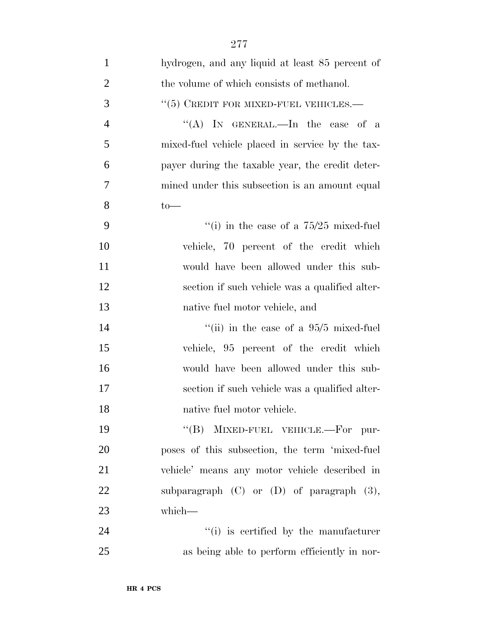| $\mathbf{1}$   | hydrogen, and any liquid at least 85 percent of  |
|----------------|--------------------------------------------------|
| $\mathbf{2}$   | the volume of which consists of methanol.        |
| 3              | $``(5)$ CREDIT FOR MIXED-FUEL VEHICLES.—         |
| $\overline{4}$ | "(A) IN GENERAL.—In the case of a                |
| 5              | mixed-fuel vehicle placed in service by the tax- |
| 6              | payer during the taxable year, the credit deter- |
| 7              | mined under this subsection is an amount equal   |
| 8              | $to-$                                            |
| 9              | "(i) in the case of a $75/25$ mixed-fuel         |
| 10             | vehicle, 70 percent of the credit which          |
| 11             | would have been allowed under this sub-          |
| 12             | section if such vehicle was a qualified alter-   |
| 13             | native fuel motor vehicle, and                   |
| 14             | "(ii) in the case of a $95/5$ mixed-fuel         |
| 15             | vehicle, 95 percent of the credit which          |
| 16             | would have been allowed under this sub-          |
| 17             | section if such vehicle was a qualified alter-   |
| 18             | native fuel motor vehicle.                       |
| 19             | "(B) MIXED-FUEL VEHICLE.—For pur-                |
| 20             | poses of this subsection, the term 'mixed-fuel   |
| 21             | vehicle' means any motor vehicle described in    |
| 22             | subparagraph $(C)$ or $(D)$ of paragraph $(3)$ , |
| 23             | which-                                           |
| 24             | "(i) is certified by the manufacturer            |
| 25             | as being able to perform efficiently in nor-     |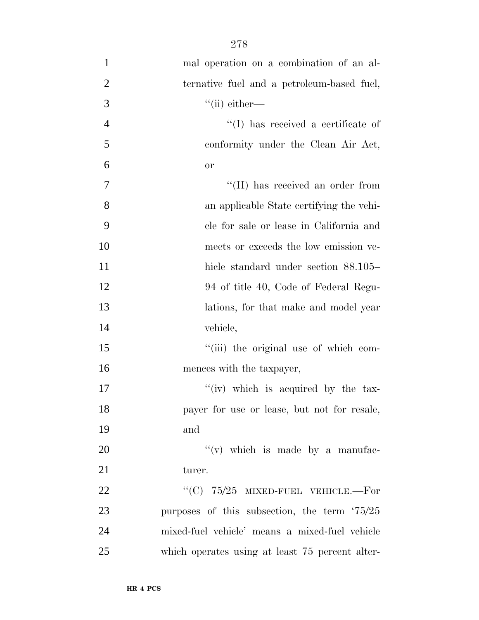| $\mathbf{1}$   | mal operation on a combination of an al-              |
|----------------|-------------------------------------------------------|
| $\overline{2}$ | ternative fuel and a petroleum-based fuel,            |
| 3              | $\lq$ <sup>"</sup> (ii) either—                       |
| $\overline{4}$ | "(I) has received a certificate of                    |
| 5              | conformity under the Clean Air Act,                   |
| 6              | <b>or</b>                                             |
| 7              | "(II) has received an order from                      |
| 8              | an applicable State certifying the vehi-              |
| 9              | cle for sale or lease in California and               |
| 10             | meets or exceeds the low emission ve-                 |
| 11             | hicle standard under section 88.105–                  |
| 12             | 94 of title 40, Code of Federal Regu-                 |
| 13             | lations, for that make and model year                 |
| 14             | vehicle,                                              |
| 15             | "(iii) the original use of which com-                 |
| 16             | mences with the taxpayer,                             |
| 17             | "(iv) which is acquired by the tax-                   |
| 18             | payer for use or lease, but not for resale,           |
| 19             | and                                                   |
| 20             | $f'(v)$ which is made by a manufac-                   |
| 21             | turer.                                                |
| 22             | "(C) $75/25$ MIXED-FUEL VEHICLE.—For                  |
| 23             | purposes of this subsection, the term $\frac{75}{25}$ |
| 24             | mixed-fuel vehicle' means a mixed-fuel vehicle        |
| 25             | which operates using at least 75 percent alter-       |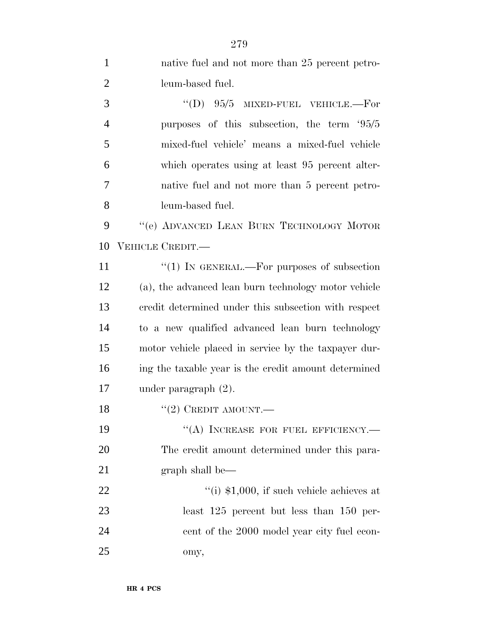| $\mathbf{1}$   | native fuel and not more than 25 percent petro-      |
|----------------|------------------------------------------------------|
| 2              | leum-based fuel.                                     |
| 3              | $\degree$ (D) 95/5<br>MIXED-FUEL VEHICLE.-For        |
| $\overline{4}$ | purposes of this subsection, the term '95/5          |
| 5              | mixed-fuel vehicle' means a mixed-fuel vehicle       |
| 6              | which operates using at least 95 percent alter-      |
| 7              | native fuel and not more than 5 percent petro-       |
| 8              | leum-based fuel.                                     |
| 9              | "(e) ADVANCED LEAN BURN TECHNOLOGY MOTOR             |
| 10             | VEHICLE CREDIT.—                                     |
| 11             | "(1) IN GENERAL.—For purposes of subsection          |
| 12             | (a), the advanced lean burn technology motor vehicle |
| 13             | credit determined under this subsection with respect |
| 14             | to a new qualified advanced lean burn technology     |
| 15             | motor vehicle placed in service by the taxpayer dur- |
| 16             | ing the taxable year is the credit amount determined |
| 17             | under paragraph $(2)$ .                              |
| 18             | $\lq(2)$ CREDIT AMOUNT.—                             |
| 19             | "(A) INCREASE FOR FUEL EFFICIENCY.-                  |
| 20             | The credit amount determined under this para-        |
| 21             | graph shall be—                                      |
| 22             | "(i) $$1,000$ , if such vehicle achieves at          |
| 23             | least $125$ percent but less than $150$ per-         |
| 24             | cent of the 2000 model year city fuel econ-          |
| 25             | omy,                                                 |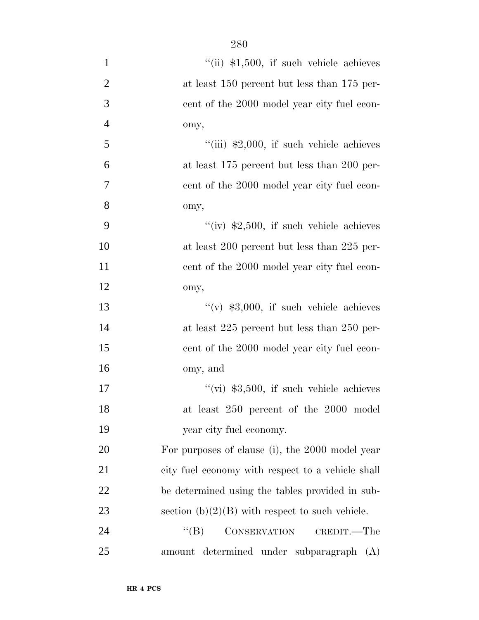| $\mathbf{1}$   | $``$ (ii) \$1,500, if such vehicle achieves       |
|----------------|---------------------------------------------------|
| $\overline{2}$ | at least 150 percent but less than 175 per-       |
| 3              | cent of the 2000 model year city fuel econ-       |
| $\overline{4}$ | omy,                                              |
| 5              | "(iii) $$2,000$ , if such vehicle achieves        |
| 6              | at least 175 percent but less than 200 per-       |
| $\overline{7}$ | cent of the 2000 model year city fuel econ-       |
| 8              | omy,                                              |
| 9              | "(iv) $$2,500$ , if such vehicle achieves         |
| 10             | at least 200 percent but less than 225 per-       |
| 11             | cent of the 2000 model year city fuel econ-       |
| 12             | omy,                                              |
| 13             | "(v) $$3,000$ , if such vehicle achieves          |
| 14             | at least $225$ percent but less than $250$ per-   |
| 15             | cent of the 2000 model year city fuel econ-       |
| 16             | omy, and                                          |
| 17             | "(vi) $$3,500$ , if such vehicle achieves         |
| 18             | at least 250 percent of the 2000 model            |
| 19             | year city fuel economy.                           |
| 20             | For purposes of clause (i), the 2000 model year   |
| 21             | city fuel economy with respect to a vehicle shall |
| 22             | be determined using the tables provided in sub-   |
| 23             | section $(b)(2)(B)$ with respect to such vehicle. |
| 24             | $\lq\lq (B)$<br>CONSERVATION<br>CREDIT.—The       |
| 25             | amount determined under subparagraph (A)          |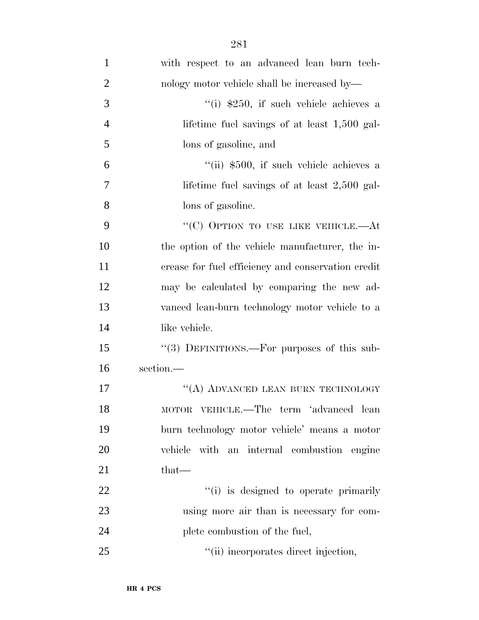| $\mathbf{1}$   | with respect to an advanced lean burn tech-        |
|----------------|----------------------------------------------------|
| $\overline{2}$ | nology motor vehicle shall be increased by—        |
| 3              | "(i) $$250$ , if such vehicle achieves a           |
| $\overline{4}$ | lifetime fuel savings of at least $1,500$ gal-     |
| 5              | lons of gasoline, and                              |
| 6              | $\lq$ (ii) \$500, if such vehicle achieves a       |
| $\overline{7}$ | lifetime fuel savings of at least $2,500$ gal-     |
| 8              | lons of gasoline.                                  |
| 9              | "(C) OPTION TO USE LIKE VEHICLE.—At                |
| 10             | the option of the vehicle manufacturer, the in-    |
| 11             | crease for fuel efficiency and conservation credit |
| 12             | may be calculated by comparing the new ad-         |
| 13             | vanced lean-burn technology motor vehicle to a     |
| 14             | like vehicle.                                      |
| 15             | "(3) DEFINITIONS.—For purposes of this sub-        |
| 16             | section.—                                          |
| 17             | "(A) ADVANCED LEAN BURN TECHNOLOGY                 |
| 18             | MOTOR VEHICLE.—The term 'advanced lean             |
| 19             | burn technology motor vehicle' means a motor       |
| 20             | vehicle with an internal combustion engine         |
| 21             | that-                                              |
| 22             | "(i) is designed to operate primarily              |
| 23             | using more air than is necessary for com-          |
| 24             | plete combustion of the fuel,                      |
| 25             | "(ii) incorporates direct injection,               |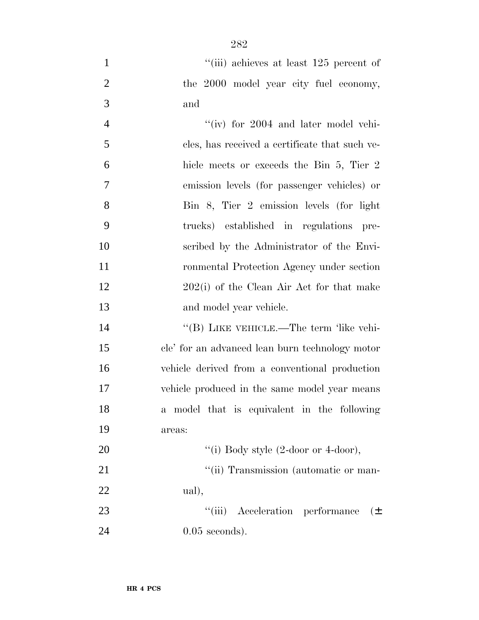1 ''(iii) achieves at least 125 percent of the 2000 model year city fuel economy, and

| $\overline{4}$ | "(iv) for 2004 and later model vehi-           |
|----------------|------------------------------------------------|
| 5              | cles, has received a certificate that such ve- |
| 6              | hicle meets or exceeds the Bin 5, Tier 2       |
| $\overline{7}$ | emission levels (for passenger vehicles) or    |
| 8              | Bin 8, Tier 2 emission levels (for light       |
| 9              | trucks) established in regulations pre-        |
| 10             | scribed by the Administrator of the Envi-      |
| 11             | ronmental Protection Agency under section      |
| 12             | $202(i)$ of the Clean Air Act for that make    |
| 13             | and model year vehicle.                        |
|                |                                                |

14 "(B) LIKE VEHICLE.—The term 'like vehi- cle' for an advanced lean burn technology motor vehicle derived from a conventional production vehicle produced in the same model year means a model that is equivalent in the following areas:

20  $\text{``(i) Body style (2-loop or 4-down),}$ 21  $"$ (ii) Transmission (automatic or man-

ual),

23 ''(iii) Acceleration performance ( $\pm$ 0.05 seconds).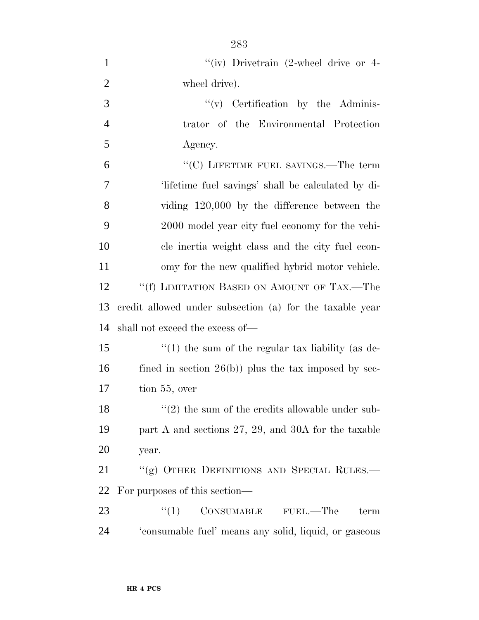| $\mathbf{1}$   | "(iv) Drivetrain $(2$ -wheel drive or 4-                    |
|----------------|-------------------------------------------------------------|
| $\overline{2}$ | wheel drive).                                               |
| 3              | $f'(v)$ Certification by the Adminis-                       |
| $\overline{4}$ | trator of the Environmental Protection                      |
| 5              | Agency.                                                     |
| 6              | "(C) LIFETIME FUEL SAVINGS.—The term                        |
| $\overline{7}$ | lifetime fuel savings' shall be calculated by di-           |
| 8              | viding $120,000$ by the difference between the              |
| 9              | 2000 model year city fuel economy for the vehi-             |
| 10             | cle inertia weight class and the city fuel econ-            |
| 11             | omy for the new qualified hybrid motor vehicle.             |
| 12             | "(f) LIMITATION BASED ON AMOUNT OF TAX.—The                 |
| 13             | credit allowed under subsection (a) for the taxable year    |
| 14             | shall not exceed the excess of—                             |
| 15             | $f'(1)$ the sum of the regular tax liability (as de-        |
| 16             | fined in section $26(b)$ ) plus the tax imposed by sec-     |
| 17             | tion 55, over                                               |
| 18             | $\cdot\cdot(2)$ the sum of the credits allowable under sub- |
| 19             | part A and sections $27, 29,$ and $30A$ for the taxable     |
| <b>20</b>      | year.                                                       |
| 21             | "(g) OTHER DEFINITIONS AND SPECIAL RULES.—                  |
| 22             | For purposes of this section—                               |
| 23             | $\lq(1)$ CONSUMABLE FUEL.—The<br>term                       |
| 24             | 'consumable fuel' means any solid, liquid, or gaseous       |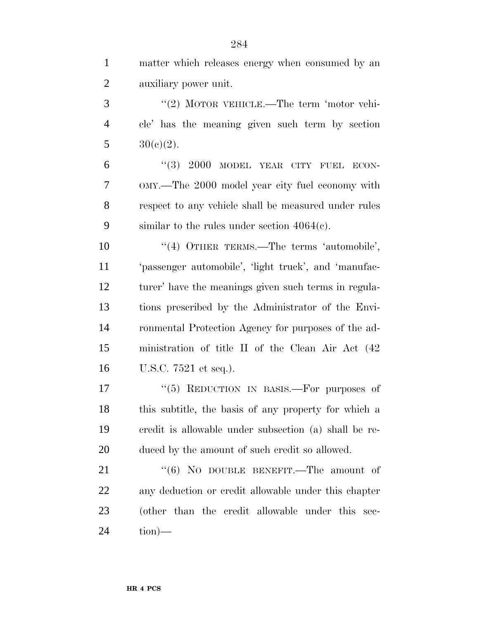| $\mathbf{1}$   | matter which releases energy when consumed by an      |
|----------------|-------------------------------------------------------|
| $\overline{2}$ | auxiliary power unit.                                 |
| 3              | "(2) MOTOR VEHICLE.—The term 'motor vehi-             |
| $\overline{4}$ | cle' has the meaning given such term by section       |
| 5              | $30(c)(2)$ .                                          |
| 6              | "(3) $2000$ MODEL YEAR CITY FUEL ECON-                |
| $\overline{7}$ | OMY.—The 2000 model year city fuel economy with       |
| 8              | respect to any vehicle shall be measured under rules  |
| 9              | similar to the rules under section $4064(c)$ .        |
| 10             | "(4) OTHER TERMS.—The terms 'automobile',             |
| 11             | 'passenger automobile', 'light truck', and 'manufac-  |
| 12             | turer' have the meanings given such terms in regula-  |
| 13             | tions prescribed by the Administrator of the Envi-    |
| 14             | ronmental Protection Agency for purposes of the ad-   |
| 15             | ministration of title II of the Clean Air Act (42)    |
| 16             | U.S.C. 7521 et seq.).                                 |
| 17             | "(5) REDUCTION IN BASIS.—For purposes of              |
| 18             | this subtitle, the basis of any property for which a  |
| 19             | credit is allowable under subsection (a) shall be re- |
| 20             | duced by the amount of such credit so allowed.        |
| 21             | " $(6)$ No DOUBLE BENEFIT.—The amount of              |
|                |                                                       |

 any deduction or credit allowable under this chapter (other than the credit allowable under this sec-tion)—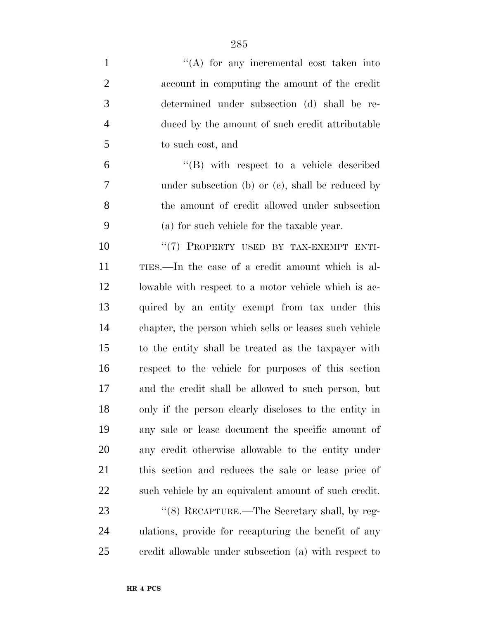| $\mathbf{1}$   | $\lq\lq$ for any incremental cost taken into           |
|----------------|--------------------------------------------------------|
| $\overline{2}$ | account in computing the amount of the credit          |
| 3              | determined under subsection (d) shall be re-           |
| $\overline{4}$ | duced by the amount of such credit attributable        |
| 5              | to such cost, and                                      |
| 6              | $\lq\lq$ with respect to a vehicle described           |
| 7              | under subsection (b) or $(c)$ , shall be reduced by    |
| 8              | the amount of credit allowed under subsection          |
| 9              | (a) for such vehicle for the taxable year.             |
| 10             | "(7) PROPERTY USED BY TAX-EXEMPT ENTI-                 |
| 11             | TIES.—In the case of a credit amount which is al-      |
| 12             | lowable with respect to a motor vehicle which is ac-   |
| 13             | quired by an entity exempt from tax under this         |
| 14             | chapter, the person which sells or leases such vehicle |
| 15             | to the entity shall be treated as the taxpayer with    |
| 16             | respect to the vehicle for purposes of this section    |
| 17             | and the credit shall be allowed to such person, but    |
| 18             | only if the person clearly discloses to the entity in  |
| 19             | any sale or lease document the specific amount of      |
| 20             | any credit otherwise allowable to the entity under     |
| 21             | this section and reduces the sale or lease price of    |
| <u>22</u>      | such vehicle by an equivalent amount of such credit.   |
| 23             | "(8) RECAPTURE.—The Secretary shall, by reg-           |
| 24             | ulations, provide for recapturing the benefit of any   |
| 25             | credit allowable under subsection (a) with respect to  |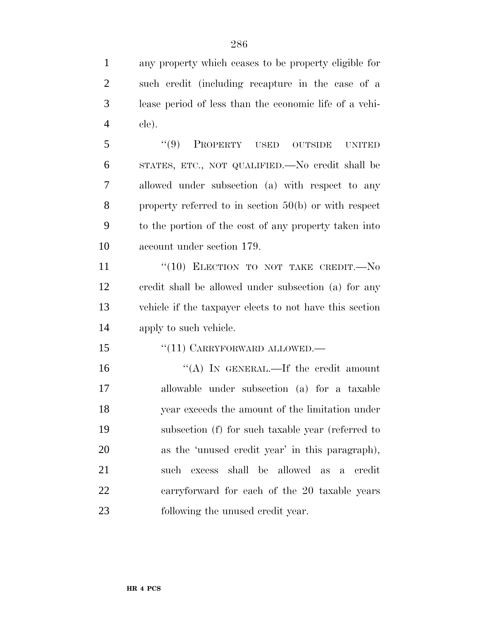any property which ceases to be property eligible for such credit (including recapture in the case of a lease period of less than the economic life of a vehi-cle).

 ''(9) PROPERTY USED OUTSIDE UNITED STATES, ETC., NOT QUALIFIED.—No credit shall be allowed under subsection (a) with respect to any property referred to in section 50(b) or with respect to the portion of the cost of any property taken into account under section 179.

11 "(10) ELECTION TO NOT TAKE CREDIT. No credit shall be allowed under subsection (a) for any vehicle if the taxpayer elects to not have this section apply to such vehicle.

15 "(11) CARRYFORWARD ALLOWED.—

16 "(A) IN GENERAL.—If the credit amount allowable under subsection (a) for a taxable year exceeds the amount of the limitation under subsection (f) for such taxable year (referred to as the 'unused credit year' in this paragraph), such excess shall be allowed as a credit carryforward for each of the 20 taxable years following the unused credit year.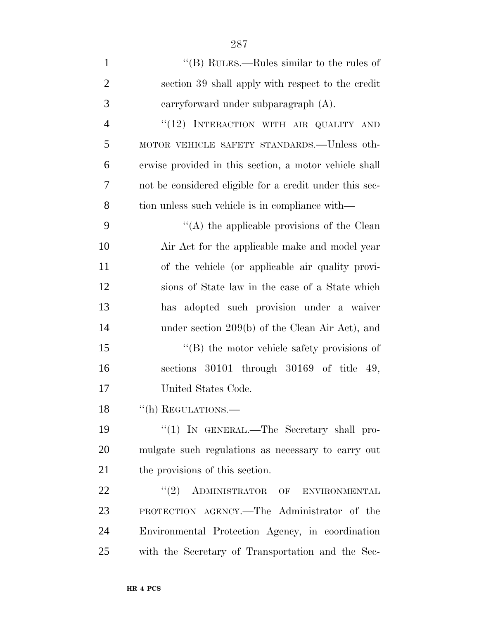| $\mathbf{1}$   | "(B) RULES.—Rules similar to the rules of               |
|----------------|---------------------------------------------------------|
| $\overline{2}$ | section 39 shall apply with respect to the credit       |
| 3              | carryforward under subparagraph $(A)$ .                 |
| $\overline{4}$ | "(12) INTERACTION WITH AIR QUALITY AND                  |
| 5              | MOTOR VEHICLE SAFETY STANDARDS.—Unless oth-             |
| 6              | erwise provided in this section, a motor vehicle shall  |
| 7              | not be considered eligible for a credit under this sec- |
| 8              | tion unless such vehicle is in compliance with—         |
| 9              | "(A) the applicable provisions of the Clean             |
| 10             | Air Act for the applicable make and model year          |
| 11             | of the vehicle (or applicable air quality provi-        |
| 12             | sions of State law in the case of a State which         |
| 13             | has adopted such provision under a waiver               |
| 14             | under section 209(b) of the Clean Air Act), and         |
| 15             | $\lq\lq (B)$ the motor vehicle safety provisions of     |
| 16             | sections 30101 through 30169 of title 49,               |
| 17             | United States Code.                                     |
| 18             | "(h) REGULATIONS.-                                      |
| 19             | " $(1)$ In GENERAL.—The Secretary shall pro-            |
| 20             | mulgate such regulations as necessary to carry out      |
| 21             | the provisions of this section.                         |
| 22             | $``(2)$ ADMINISTRATOR OF ENVIRONMENTAL                  |
| 23             | PROTECTION AGENCY.—The Administrator of the             |
| 24             | Environmental Protection Agency, in coordination        |
| 25             | with the Secretary of Transportation and the Sec-       |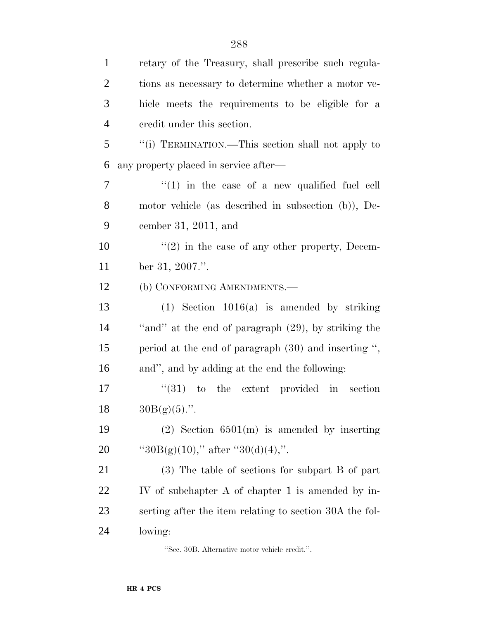| $\mathbf{1}$   | retary of the Treasury, shall prescribe such regula-    |
|----------------|---------------------------------------------------------|
| $\overline{2}$ | tions as necessary to determine whether a motor ve-     |
| 3              | hicle meets the requirements to be eligible for a       |
| $\overline{4}$ | credit under this section.                              |
| 5              | "(i) TERMINATION.—This section shall not apply to       |
| 6              | any property placed in service after—                   |
| $\tau$         | $\lq(1)$ in the case of a new qualified fuel cell       |
| 8              | motor vehicle (as described in subsection (b)), De-     |
| 9              | cember 31, 2011, and                                    |
| 10             | $\lq(2)$ in the case of any other property, Decem-      |
| 11             | ber 31, 2007.".                                         |
| 12             | (b) CONFORMING AMENDMENTS.—                             |
| 13             | $(1)$ Section 1016(a) is amended by striking            |
| 14             | "and" at the end of paragraph (29), by striking the     |
| 15             | period at the end of paragraph $(30)$ and inserting ",  |
| 16             | and", and by adding at the end the following:           |
| 17             | $(31)$ to the extent provided in section                |
| 18             | $30B(g)(5)$ .".                                         |
| 19             | $(2)$ Section 6501(m) is amended by inserting           |
| <b>20</b>      | "30B(g)(10)," after "30(d)(4),".                        |
| 21             | (3) The table of sections for subpart B of part         |
| 22             | IV of subchapter A of chapter 1 is amended by in-       |
| 23             | serting after the item relating to section 30A the fol- |
| 24             | lowing:                                                 |

''Sec. 30B. Alternative motor vehicle credit.''.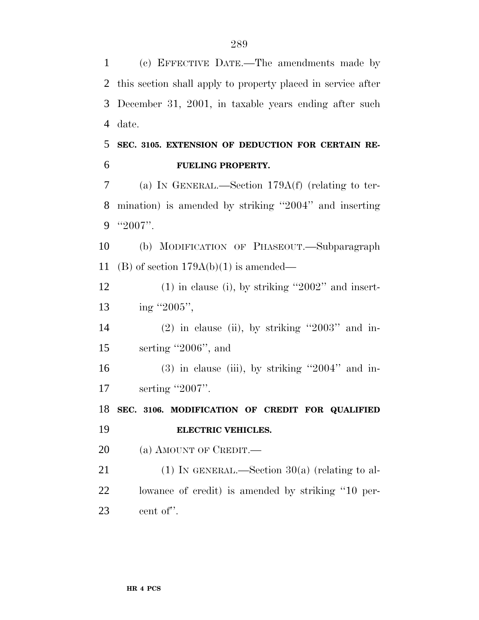(c) EFFECTIVE DATE.—The amendments made by this section shall apply to property placed in service after December 31, 2001, in taxable years ending after such date.

 **SEC. 3105. EXTENSION OF DEDUCTION FOR CERTAIN RE-FUELING PROPERTY.**

 (a) IN GENERAL.—Section 179A(f) (relating to ter- mination) is amended by striking ''2004'' and inserting ''2007''.

 (b) MODIFICATION OF PHASEOUT.—Subparagraph 11 (B) of section  $179A(b)(1)$  is amended—

 (1) in clause (i), by striking ''2002'' and insert-13 ing ''2005'',

14 (2) in clause (ii), by striking  $"2003"$  and in-serting ''2006'', and

 (3) in clause (iii), by striking "2004" and in-17 serting "2007".

 **SEC. 3106. MODIFICATION OF CREDIT FOR QUALIFIED ELECTRIC VEHICLES.**

20 (a) AMOUNT OF CREDIT.

21 (1) IN GENERAL.—Section  $30(a)$  (relating to al- lowance of credit) is amended by striking ''10 per-cent of''.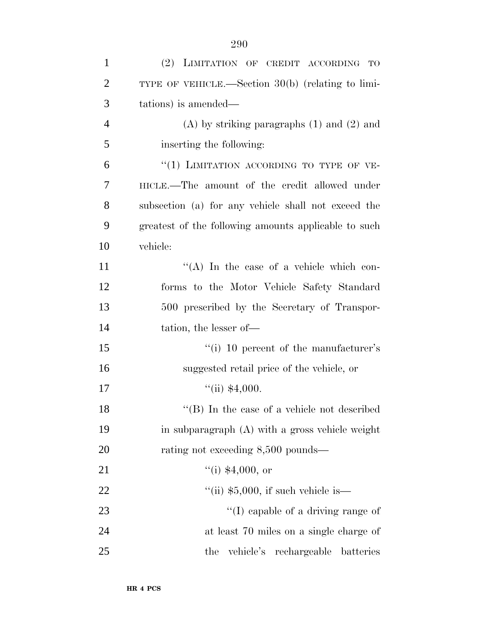| $\mathbf{1}$   | (2) LIMITATION OF CREDIT ACCORDING<br>TO             |
|----------------|------------------------------------------------------|
| $\overline{2}$ | TYPE OF VEHICLE.—Section $30(b)$ (relating to limi-  |
| 3              | tations) is amended—                                 |
| $\overline{4}$ | $(A)$ by striking paragraphs $(1)$ and $(2)$ and     |
| 5              | inserting the following:                             |
| 6              | "(1) LIMITATION ACCORDING TO TYPE OF VE-             |
| 7              | HICLE.—The amount of the credit allowed under        |
| 8              | subsection (a) for any vehicle shall not exceed the  |
| 9              | greatest of the following amounts applicable to such |
| 10             | vehicle:                                             |
| 11             | "(A) In the case of a vehicle which con-             |
| 12             | forms to the Motor Vehicle Safety Standard           |
| 13             | 500 prescribed by the Secretary of Transpor-         |
| 14             | tation, the lesser of—                               |
| 15             | "(i) 10 percent of the manufacturer's                |
| 16             | suggested retail price of the vehicle, or            |
| 17             | $``$ (ii) \$4,000.                                   |
| 18             | "(B) In the case of a vehicle not described          |
| 19             | in subparagraph (A) with a gross vehicle weight      |
| 20             | rating not exceeding 8,500 pounds—                   |
| 21             | $``(i)$ \$4,000, or                                  |
| 22             | $\degree$ (ii) \$5,000, if such vehicle is—          |
| 23             | $\lq\lq$ (I) capable of a driving range of           |
| 24             | at least 70 miles on a single charge of              |
| 25             | vehicle's<br>rechargeable batteries<br>the           |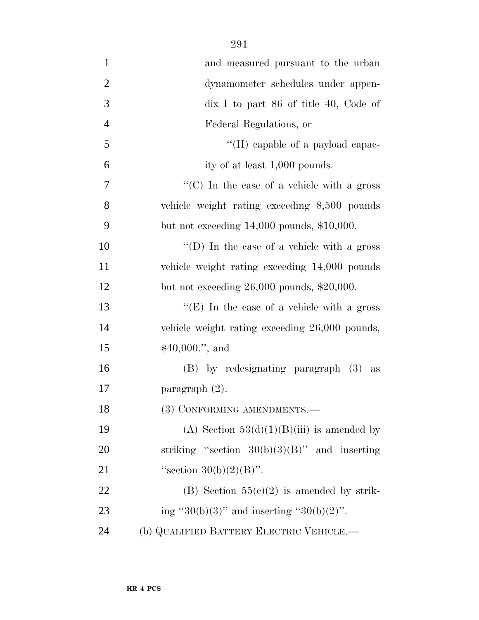| $\mathbf{1}$   | and measured pursuant to the urban                              |
|----------------|-----------------------------------------------------------------|
| $\overline{2}$ | dynamometer schedules under appen-                              |
| 3              | $\overline{\text{d}}$ is 1 to part 86 of title 40, Code of      |
| $\overline{4}$ | Federal Regulations, or                                         |
| 5              | "(II) capable of a payload capac-                               |
| 6              | ity of at least 1,000 pounds.                                   |
| 7              | $\lq\lq$ <sup>*</sup> (C) In the case of a vehicle with a gross |
| 8              | vehicle weight rating exceeding 8,500 pounds                    |
| 9              | but not exceeding $14,000$ pounds, $$10,000$ .                  |
| 10             | $\lq\lq$ (D) In the case of a vehicle with a gross              |
| 11             | vehicle weight rating exceeding 14,000 pounds                   |
| 12             | but not exceeding $26,000$ pounds, $$20,000$ .                  |
| 13             | " $(E)$ In the case of a vehicle with a gross                   |
| 14             | vehicle weight rating exceeding 26,000 pounds,                  |
| 15             | $$40,000."$ , and                                               |
| 16             | (B) by redesignating paragraph (3) as                           |
| 17             | paragraph $(2)$ .                                               |
| 18             | (3) CONFORMING AMENDMENTS.-                                     |
| 19             | (A) Section $53(d)(1)(B)(iii)$ is amended by                    |
| 20             | striking "section $30(b)(3)(B)$ " and inserting                 |
| 21             | "section $30(b)(2)(B)$ ".                                       |
| 22             | (B) Section $55(c)(2)$ is amended by strik-                     |
| 23             | ing "30(b)(3)" and inserting "30(b)(2)".                        |
| 24             | (b) QUALIFIED BATTERY ELECTRIC VEHICLE.—                        |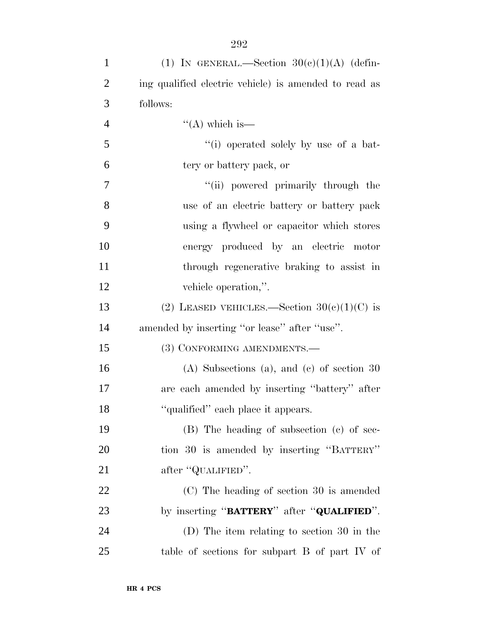| $\mathbf{1}$   | (1) IN GENERAL.—Section $30(e)(1)(A)$ (defin-         |
|----------------|-------------------------------------------------------|
| $\overline{2}$ | ing qualified electric vehicle) is amended to read as |
| 3              | follows:                                              |
| $\overline{4}$ | $\lq\lq$ (A) which is—                                |
| 5              | "(i) operated solely by use of a bat-                 |
| 6              | tery or battery pack, or                              |
| $\tau$         | "(ii) powered primarily through the                   |
| 8              | use of an electric battery or battery pack            |
| 9              | using a flywheel or capacitor which stores            |
| 10             | energy produced by an electric motor                  |
| 11             | through regenerative braking to assist in             |
| 12             | vehicle operation,".                                  |
| 13             | (2) LEASED VEHICLES.—Section $30(e)(1)(C)$ is         |
| 14             | amended by inserting "or lease" after "use".          |
| 15             | (3) CONFORMING AMENDMENTS.-                           |
| 16             | $(A)$ Subsections $(a)$ , and $(c)$ of section 30     |
| 17             | are each amended by inserting "battery" after         |
| 18             | "qualified" each place it appears.                    |
| 19             | (B) The heading of subsection (c) of sec-             |
| 20             | tion 30 is amended by inserting "BATTERY"             |
| 21             | after "QUALIFIED".                                    |
| 22             | (C) The heading of section 30 is amended              |
| 23             | by inserting "BATTERY" after "QUALIFIED".             |
| 24             | (D) The item relating to section 30 in the            |
| 25             | table of sections for subpart B of part IV of         |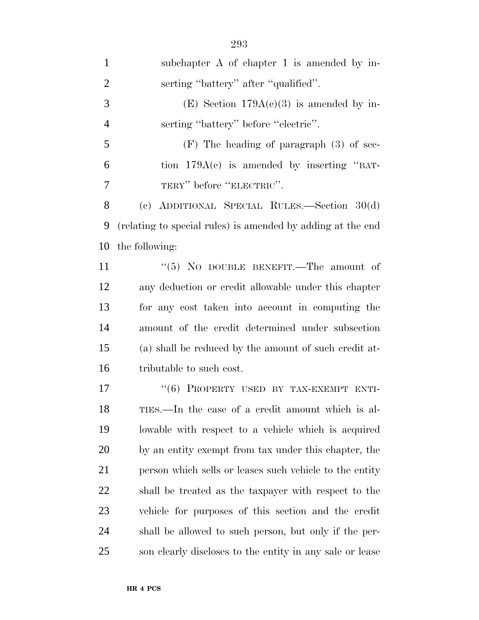| $\mathbf{1}$   | subchapter A of chapter 1 is amended by in-                 |
|----------------|-------------------------------------------------------------|
| $\overline{2}$ | serting "battery" after "qualified".                        |
| 3              | (E) Section $179A(c)(3)$ is amended by in-                  |
| $\overline{4}$ | serting "battery" before "electric".                        |
| 5              | $(F)$ The heading of paragraph $(3)$ of sec-                |
| 6              | tion $179A(e)$ is amended by inserting "BAT-                |
| 7              | TERY" before "ELECTRIC".                                    |
| 8              | (c) ADDITIONAL SPECIAL RULES.—Section $30(d)$               |
| 9              | (relating to special rules) is amended by adding at the end |
| 10             | the following:                                              |
| 11             | " $(5)$ No DOUBLE BENEFIT.—The amount of                    |
| 12             | any deduction or credit allowable under this chapter        |
| 13             | for any cost taken into account in computing the            |
| 14             | amount of the credit determined under subsection            |
| 15             | (a) shall be reduced by the amount of such credit at-       |
| 16             | tributable to such cost.                                    |
| 17             | "(6) PROPERTY USED BY TAX-EXEMPT ENTI-                      |
| 18             | TIES.—In the case of a credit amount which is al-           |
| 19             | lowable with respect to a vehicle which is acquired         |
| 20             | by an entity exempt from tax under this chapter, the        |
| 21             | person which sells or leases such vehicle to the entity     |
| 22             | shall be treated as the taxpayer with respect to the        |
| 23             | vehicle for purposes of this section and the credit         |
| 24             | shall be allowed to such person, but only if the per-       |
| 25             | son clearly discloses to the entity in any sale or lease    |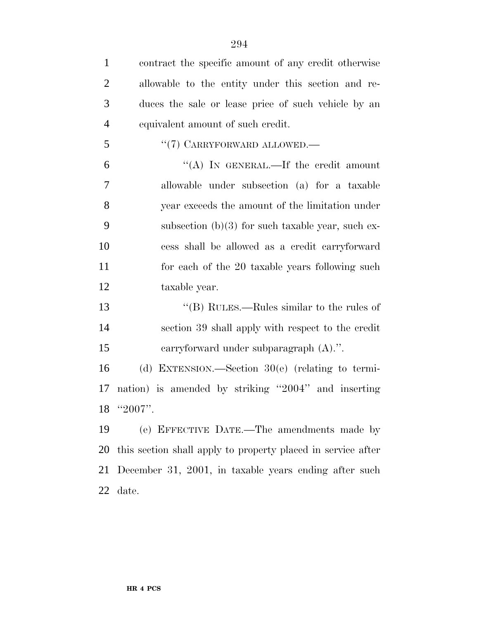| $\mathbf{1}$   | contract the specific amount of any credit otherwise         |
|----------------|--------------------------------------------------------------|
| 2              | allowable to the entity under this section and re-           |
| 3              | duces the sale or lease price of such vehicle by an          |
| $\overline{4}$ | equivalent amount of such credit.                            |
| 5              | "(7) CARRYFORWARD ALLOWED.—                                  |
| 6              | "(A) IN GENERAL.—If the credit amount                        |
| 7              | allowable under subsection (a) for a taxable                 |
| 8              | year exceeds the amount of the limitation under              |
| 9              | subsection $(b)(3)$ for such taxable year, such ex-          |
| 10             | cess shall be allowed as a credit carryforward               |
| 11             | for each of the 20 taxable years following such              |
| 12             | taxable year.                                                |
| 13             | "(B) RULES.—Rules similar to the rules of                    |
| 14             | section 39 shall apply with respect to the credit            |
| 15             | carryforward under subparagraph $(A)$ .".                    |
| 16             | (d) EXTENSION.—Section $30(e)$ (relating to termi-           |
| 17             | nation) is amended by striking "2004" and inserting          |
|                | $18$ "2007".                                                 |
| 19             | (e) EFFECTIVE DATE.—The amendments made by                   |
| 20             | this section shall apply to property placed in service after |
| 21             | December 31, 2001, in taxable years ending after such        |
| 22             | date.                                                        |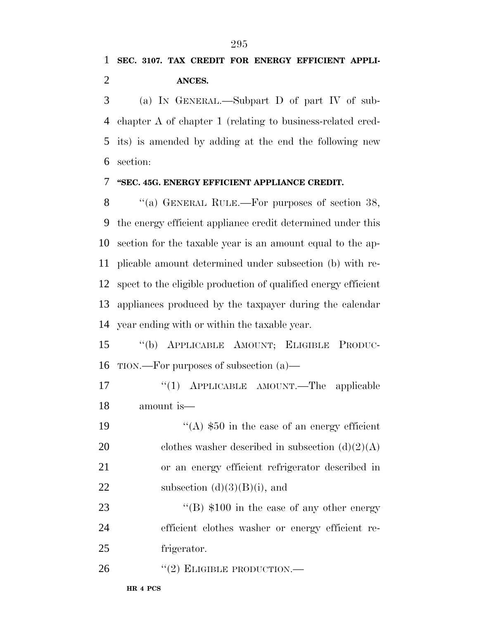(a) IN GENERAL.—Subpart D of part IV of sub- chapter A of chapter 1 (relating to business-related cred- its) is amended by adding at the end the following new section:

#### **''SEC. 45G. ENERGY EFFICIENT APPLIANCE CREDIT.**

8 "(a) GENERAL RULE.—For purposes of section 38, the energy efficient appliance credit determined under this section for the taxable year is an amount equal to the ap- plicable amount determined under subsection (b) with re- spect to the eligible production of qualified energy efficient appliances produced by the taxpayer during the calendar year ending with or within the taxable year.

 ''(b) APPLICABLE AMOUNT; ELIGIBLE PRODUC-TION.—For purposes of subsection (a)—

17 "(1) APPLICABLE AMOUNT.—The applicable amount is—

19  $\frac{1}{2}$   $\frac{1}{2}$   $\frac{1}{2}$   $\frac{1}{2}$   $\frac{1}{2}$   $\frac{1}{2}$   $\frac{1}{2}$   $\frac{1}{2}$   $\frac{1}{2}$   $\frac{1}{2}$   $\frac{1}{2}$   $\frac{1}{2}$   $\frac{1}{2}$   $\frac{1}{2}$   $\frac{1}{2}$   $\frac{1}{2}$   $\frac{1}{2}$   $\frac{1}{2}$   $\frac{1}{2}$   $\frac{1}{2}$   $\frac{1}{2}$   $\frac{1}{2}$ 20 clothes washer described in subsection  $(d)(2)(A)$  or an energy efficient refrigerator described in 22 subsection  $(d)(3)(B)(i)$ , and

23 ''(B)  $$100$  in the case of any other energy efficient clothes washer or energy efficient re-frigerator.

26 "(2) ELIGIBLE PRODUCTION.—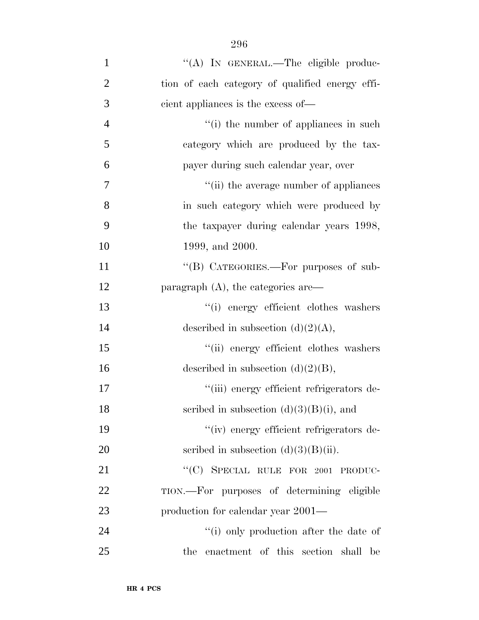| $\mathbf{1}$   | "(A) IN GENERAL.—The eligible produc-           |
|----------------|-------------------------------------------------|
| $\overline{2}$ | tion of each category of qualified energy effi- |
| 3              | cient appliances is the excess of—              |
| $\overline{4}$ | "(i) the number of appliances in such           |
| 5              | category which are produced by the tax-         |
| 6              | payer during such calendar year, over           |
| 7              | "(ii) the average number of appliances          |
| 8              | in such category which were produced by         |
| 9              | the taxpayer during calendar years 1998,        |
| 10             | 1999, and 2000.                                 |
| 11             | "(B) CATEGORIES.—For purposes of sub-           |
| 12             | paragraph $(A)$ , the categories are            |
| 13             | "(i) energy efficient clothes washers           |
| 14             | described in subsection $(d)(2)(A)$ ,           |
| 15             | "(ii) energy efficient clothes washers          |
| 16             | described in subsection $(d)(2)(B)$ ,           |
| 17             | "(iii) energy efficient refrigerators de-       |
| 18             | scribed in subsection $(d)(3)(B)(i)$ , and      |
| 19             | "(iv) energy efficient refrigerators de-        |
| 20             | scribed in subsection $(d)(3)(B)(ii)$ .         |
| 21             | "(C) SPECIAL RULE FOR 2001 PRODUC-              |
| 22             | TION.—For purposes of determining eligible      |
| 23             | production for calendar year 2001—              |
| 24             | "(i) only production after the date of          |
| 25             | the enactment of this section shall be          |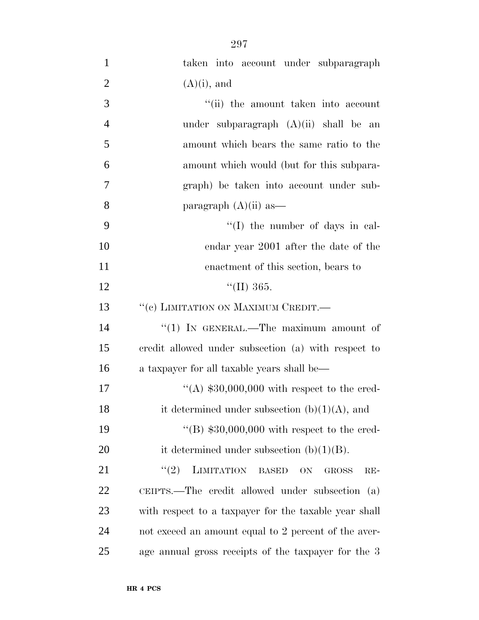| $\mathbf{1}$   | taken into account under subparagraph                  |
|----------------|--------------------------------------------------------|
| $\overline{2}$ | $(A)(i)$ , and                                         |
| 3              | "(ii) the amount taken into account                    |
| $\overline{4}$ | under subparagraph $(A)(ii)$ shall be an               |
| 5              | amount which bears the same ratio to the               |
| 6              | amount which would (but for this subpara-              |
| 7              | graph) be taken into account under sub-                |
| 8              | paragraph $(A)(ii)$ as —                               |
| 9              | $\lq\lq$ (I) the number of days in cal-                |
| 10             | endar year 2001 after the date of the                  |
| 11             | enactment of this section, bears to                    |
| 12             | $\text{``(II)}\,365.$                                  |
| 13             | "(c) LIMITATION ON MAXIMUM CREDIT.-                    |
| 14             | "(1) IN GENERAL.—The maximum amount of                 |
| 15             | credit allowed under subsection (a) with respect to    |
| 16             | a taxpayer for all taxable years shall be—             |
| 17             | "(A) $$30,000,000$ with respect to the cred-           |
| 18             | it determined under subsection $(b)(1)(A)$ , and       |
| 19             | "(B) $$30,000,000$ with respect to the cred-           |
| 20             | it determined under subsection $(b)(1)(B)$ .           |
| 21             | LIMITATION BASED<br>(2)<br>ON<br><b>GROSS</b><br>$RE-$ |
| 22             | CEIPTS.—The credit allowed under subsection (a)        |
| 23             | with respect to a taxpayer for the taxable year shall  |
| 24             | not exceed an amount equal to 2 percent of the aver-   |
| 25             | age annual gross receipts of the taxpayer for the 3    |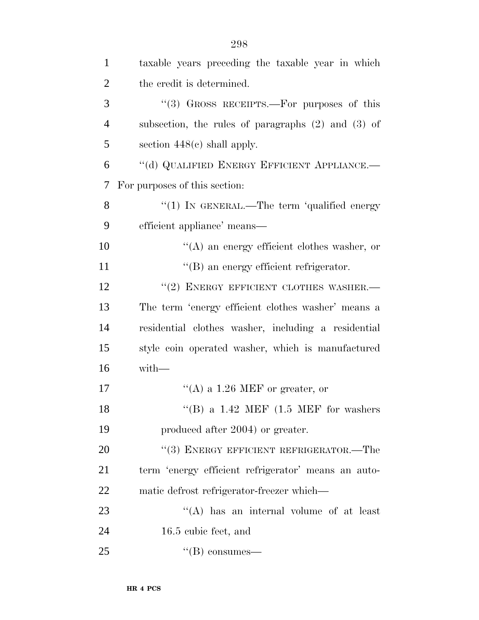| $\mathbf{1}$   | taxable years preceding the taxable year in which      |
|----------------|--------------------------------------------------------|
| $\overline{2}$ | the credit is determined.                              |
| 3              | "(3) GROSS RECEIPTS.—For purposes of this              |
| $\overline{4}$ | subsection, the rules of paragraphs $(2)$ and $(3)$ of |
| 5              | section $448(e)$ shall apply.                          |
| 6              | "(d) QUALIFIED ENERGY EFFICIENT APPLIANCE.-            |
| 7              | For purposes of this section:                          |
| 8              | "(1) IN GENERAL.—The term 'qualified energy            |
| 9              | efficient appliance' means—                            |
| 10             | $\lq\lq$ an energy efficient clothes washer, or        |
| 11             | "(B) an energy efficient refrigerator.                 |
| 12             | "(2) ENERGY EFFICIENT CLOTHES WASHER.-                 |
| 13             | The term 'energy efficient clothes washer' means a     |
| 14             | residential clothes washer, including a residential    |
| 15             | style coin operated washer, which is manufactured      |
| 16             | with-                                                  |
| 17             | "(A) a $1.26$ MEF or greater, or                       |
| 18             | "(B) a $1.42$ MEF $(1.5$ MEF for washers               |
| 19             | produced after 2004) or greater.                       |
| 20             | "(3) ENERGY EFFICIENT REFRIGERATOR.—The                |
| 21             | term 'energy efficient refrigerator' means an auto-    |
| 22             | matic defrost refrigerator-freezer which—              |
| 23             | "(A) has an internal volume of at least                |
| 24             | 16.5 cubic feet, and                                   |
| 25             | $\lq\lq(B)$ consumes—                                  |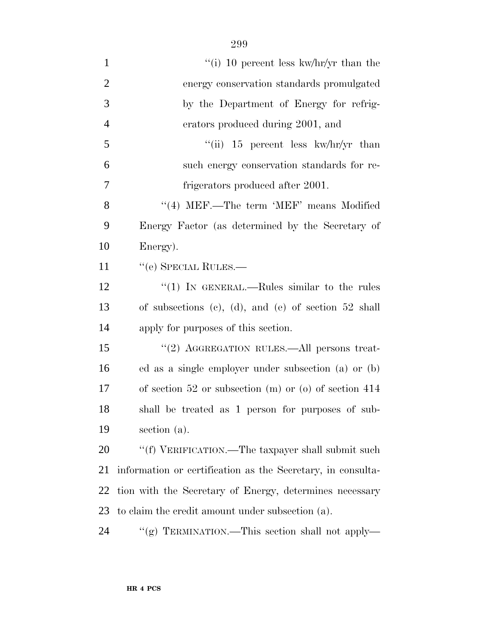| $\mathbf{1}$   | "(i) 10 percent less kw/hr/yr than the                      |
|----------------|-------------------------------------------------------------|
| $\overline{2}$ | energy conservation standards promulgated                   |
| 3              | by the Department of Energy for refrig-                     |
| $\overline{4}$ | erators produced during 2001, and                           |
| 5              | "(ii) $15$ percent less kw/hr/yr than                       |
| 6              | such energy conservation standards for re-                  |
| 7              | frigerators produced after 2001.                            |
| 8              | $"$ (4) MEF.—The term 'MEF' means Modified                  |
| 9              | Energy Factor (as determined by the Secretary of            |
| 10             | Energy).                                                    |
| 11             | "(e) SPECIAL RULES.—                                        |
| 12             | "(1) IN GENERAL.—Rules similar to the rules                 |
| 13             | of subsections (c), (d), and (e) of section $52$ shall      |
| 14             | apply for purposes of this section.                         |
| 15             | "(2) AGGREGATION RULES.—All persons treat-                  |
| 16             | ed as a single employer under subsection (a) or (b)         |
| 17             | of section $52$ or subsection (m) or (o) of section $414$   |
| 18             | shall be treated as 1 person for purposes of sub-           |
| 19             | section (a).                                                |
| 20             | "(f) VERIFICATION.—The taxpayer shall submit such           |
| 21             | information or certification as the Secretary, in consulta- |
| 22             | tion with the Secretary of Energy, determines necessary     |
| 23             | to claim the credit amount under subsection (a).            |
| 24             | "(g) TERMINATION.—This section shall not apply—             |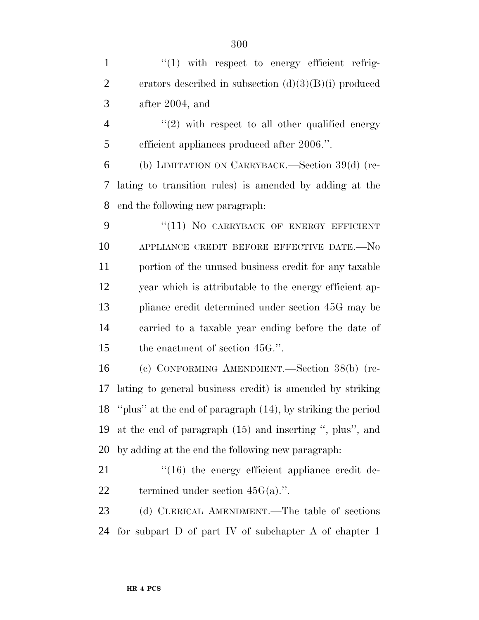$\frac{1}{1}$  with respect to energy efficient refrig- erators described in subsection (d)(3)(B)(i) produced after 2004, and 4 "(2) with respect to all other qualified energy efficient appliances produced after 2006.''. (b) LIMITATION ON CARRYBACK.—Section 39(d) (re- lating to transition rules) is amended by adding at the end the following new paragraph: 9 "(11) NO CARRYBACK OF ENERGY EFFICIENT 10 APPLIANCE CREDIT BEFORE EFFECTIVE DATE.-No portion of the unused business credit for any taxable year which is attributable to the energy efficient ap- pliance credit determined under section 45G may be carried to a taxable year ending before the date of 15 the enactment of section 45G.". (c) CONFORMING AMENDMENT.—Section 38(b) (re- lating to general business credit) is amended by striking ''plus'' at the end of paragraph (14), by striking the period at the end of paragraph (15) and inserting '', plus'', and by adding at the end the following new paragraph:  $\frac{1}{16}$  the energy efficient appliance credit de-22 termined under section  $45G(a)$ .". 23 (d) CLERICAL AMENDMENT.—The table of sections for subpart D of part IV of subchapter A of chapter 1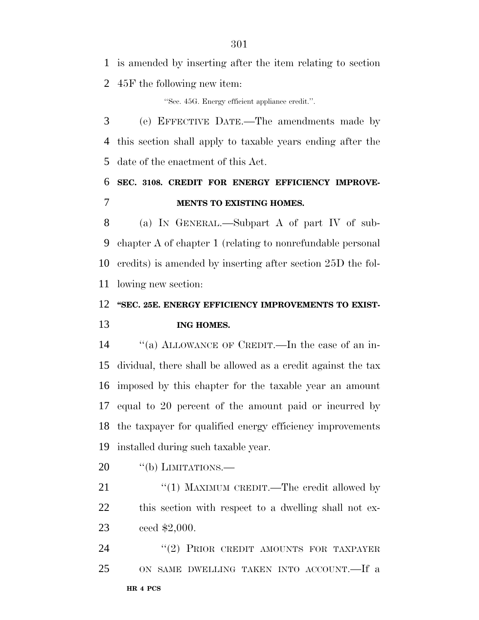is amended by inserting after the item relating to section 45F the following new item:

''Sec. 45G. Energy efficient appliance credit.''.

 (e) EFFECTIVE DATE.—The amendments made by this section shall apply to taxable years ending after the date of the enactment of this Act.

# **SEC. 3108. CREDIT FOR ENERGY EFFICIENCY IMPROVE-MENTS TO EXISTING HOMES.**

 (a) IN GENERAL.—Subpart A of part IV of sub- chapter A of chapter 1 (relating to nonrefundable personal credits) is amended by inserting after section 25D the fol-lowing new section:

## **''SEC. 25E. ENERGY EFFICIENCY IMPROVEMENTS TO EXIST-ING HOMES.**

 ''(a) ALLOWANCE OF CREDIT.—In the case of an in- dividual, there shall be allowed as a credit against the tax imposed by this chapter for the taxable year an amount equal to 20 percent of the amount paid or incurred by the taxpayer for qualified energy efficiency improvements installed during such taxable year.

20 "(b) LIMITATIONS.

21 "(1) MAXIMUM CREDIT.—The credit allowed by this section with respect to a dwelling shall not ex-ceed \$2,000.

**HR 4 PCS** 24 "(2) PRIOR CREDIT AMOUNTS FOR TAXPAYER ON SAME DWELLING TAKEN INTO ACCOUNT.—If a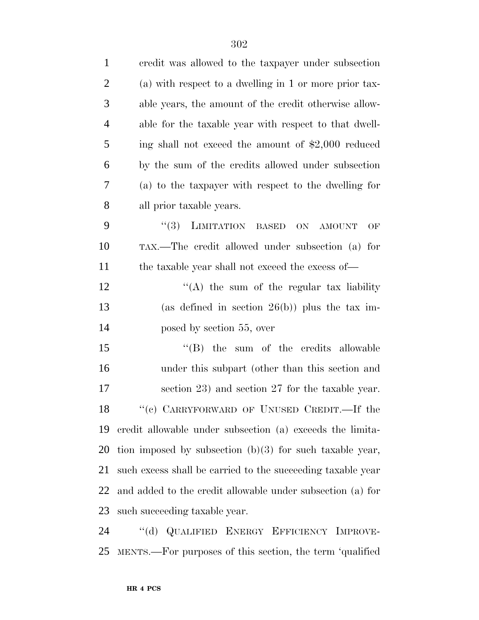| $\mathbf{1}$   | eredit was allowed to the taxpayer under subsection         |
|----------------|-------------------------------------------------------------|
| $\overline{2}$ | (a) with respect to a dwelling in 1 or more prior tax-      |
| 3              | able years, the amount of the credit otherwise allow-       |
| $\overline{4}$ | able for the taxable year with respect to that dwell-       |
| 5              | ing shall not exceed the amount of \$2,000 reduced          |
| 6              | by the sum of the credits allowed under subsection          |
| 7              | (a) to the taxpayer with respect to the dwelling for        |
| 8              | all prior taxable years.                                    |
| 9              | (3)<br>LIMITATION BASED<br>ON<br>AMOUNT<br>OF               |
| 10             | TAX.—The credit allowed under subsection (a) for            |
| 11             | the taxable year shall not exceed the excess of—            |
| 12             | $\lq\lq$ the sum of the regular tax liability               |
| 13             | (as defined in section $26(b)$ ) plus the tax im-           |
| 14             | posed by section 55, over                                   |
| 15             | $\lq\lq$ the sum of the credits allowable                   |
| 16             | under this subpart (other than this section and             |
| 17             | section 23) and section 27 for the taxable year.            |
| 18             | "(c) CARRYFORWARD OF UNUSED CREDIT.—If the                  |
| 19             | credit allowable under subsection (a) exceeds the limita-   |
| <b>20</b>      | tion imposed by subsection $(b)(3)$ for such taxable year,  |
| 21             | such excess shall be carried to the succeeding taxable year |
| 22             | and added to the credit allowable under subsection (a) for  |
| 23             | such succeeding taxable year.                               |
| 24             | "(d) QUALIFIED ENERGY EFFICIENCY IMPROVE-                   |
| 25             | MENTS.—For purposes of this section, the term 'qualified    |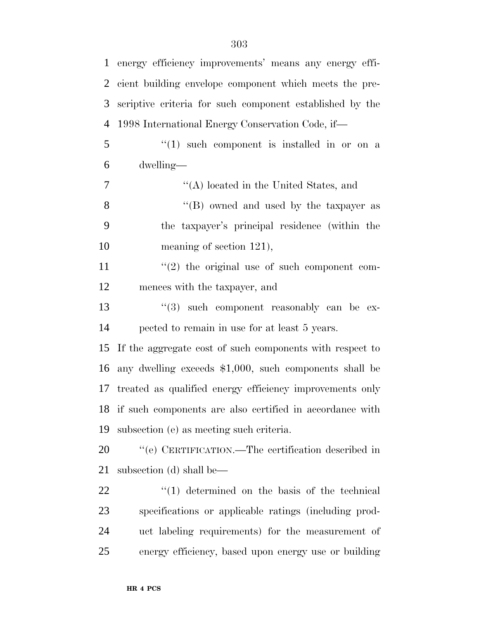| $\mathbf{1}$   | energy efficiency improvements' means any energy effi-   |
|----------------|----------------------------------------------------------|
| 2              | cient building envelope component which meets the pre-   |
| 3              | scriptive criteria for such component established by the |
| $\overline{4}$ | 1998 International Energy Conservation Code, if—         |
| 5              | $\lq(1)$ such component is installed in or on a          |
| 6              | dwelling—                                                |
| 7              | "(A) located in the United States, and                   |
| 8              | "(B) owned and used by the taxpayer as                   |
| 9              | the taxpayer's principal residence (within the           |
| 10             | meaning of section $121$ ,                               |
| 11             | $\lq(2)$ the original use of such component com-         |
| 12             | mences with the taxpayer, and                            |
| 13             | $(3)$ such component reasonably can be ex-               |
| 14             | pected to remain in use for at least 5 years.            |
| 15             | If the aggregate cost of such components with respect to |
| 16             | any dwelling exceeds \$1,000, such components shall be   |
| 17             | treated as qualified energy efficiency improvements only |
| 18             | if such components are also certified in accordance with |
| 19             | subsection (e) as meeting such criteria.                 |
| 20             | "(e) CERTIFICATION.—The certification described in       |
| 21             | subsection (d) shall be—                                 |
| 22             | $(1)$ determined on the basis of the technical           |
| 23             | specifications or applicable ratings (including prod-    |
| 24             | uct labeling requirements) for the measurement of        |
| 25             | energy efficiency, based upon energy use or building     |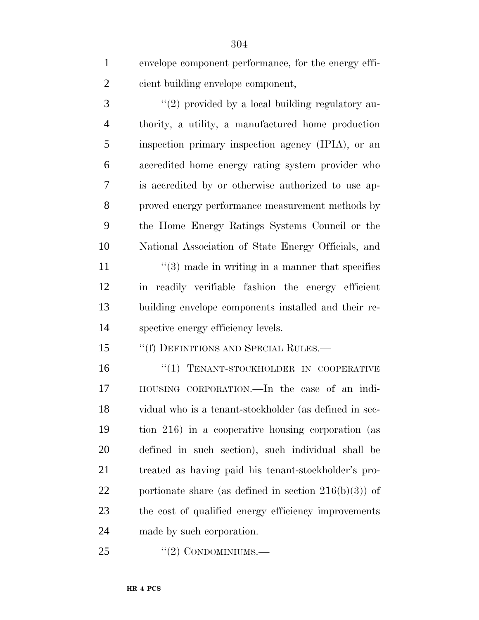envelope component performance, for the energy effi-cient building envelope component,

3 "(2) provided by a local building regulatory au- thority, a utility, a manufactured home production inspection primary inspection agency (IPIA), or an accredited home energy rating system provider who is accredited by or otherwise authorized to use ap- proved energy performance measurement methods by the Home Energy Ratings Systems Council or the National Association of State Energy Officials, and 11 ''(3) made in writing in a manner that specifies in readily verifiable fashion the energy efficient building envelope components installed and their re-spective energy efficiency levels.

15 ""(f) DEFINITIONS AND SPECIAL RULES.—

16 "(1) TENANT-STOCKHOLDER IN COOPERATIVE HOUSING CORPORATION.—In the case of an indi- vidual who is a tenant-stockholder (as defined in sec- tion 216) in a cooperative housing corporation (as defined in such section), such individual shall be treated as having paid his tenant-stockholder's pro-22 portionate share (as defined in section  $216(b)(3)$ ) of the cost of qualified energy efficiency improvements made by such corporation.

"(2) CONDOMINIUMS.—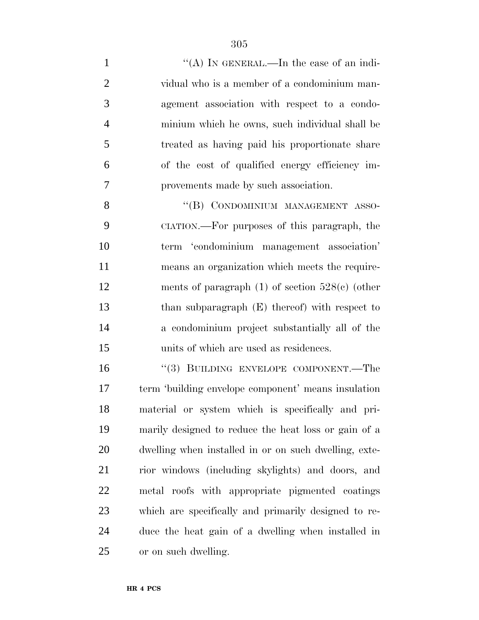1 ''(A) IN GENERAL.—In the case of an indi- vidual who is a member of a condominium man- agement association with respect to a condo- minium which he owns, such individual shall be treated as having paid his proportionate share of the cost of qualified energy efficiency im-provements made by such association.

8 "(B) CONDOMINIUM MANAGEMENT ASSO- CIATION.—For purposes of this paragraph, the term 'condominium management association' means an organization which meets the require- ments of paragraph (1) of section 528(c) (other than subparagraph (E) thereof) with respect to a condominium project substantially all of the units of which are used as residences.

16 "(3) BUILDING ENVELOPE COMPONENT.—The term 'building envelope component' means insulation material or system which is specifically and pri- marily designed to reduce the heat loss or gain of a dwelling when installed in or on such dwelling, exte- rior windows (including skylights) and doors, and metal roofs with appropriate pigmented coatings which are specifically and primarily designed to re- duce the heat gain of a dwelling when installed in or on such dwelling.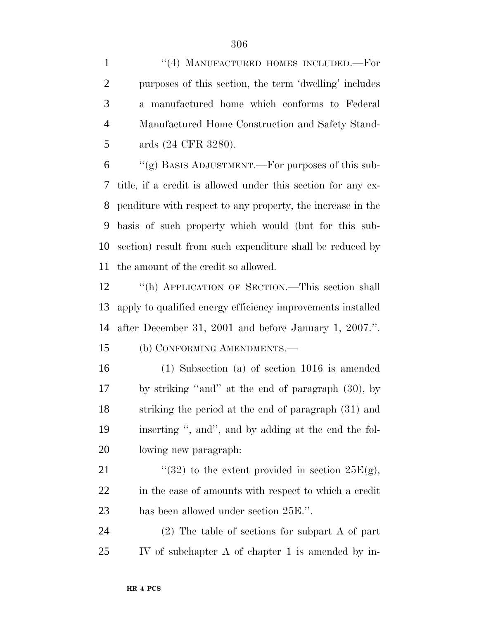1 "(4) MANUFACTURED HOMES INCLUDED. For purposes of this section, the term 'dwelling' includes a manufactured home which conforms to Federal Manufactured Home Construction and Safety Stand-ards (24 CFR 3280).

 $\gamma$  (g) BASIS ADJUSTMENT.—For purposes of this sub- title, if a credit is allowed under this section for any ex- penditure with respect to any property, the increase in the basis of such property which would (but for this sub- section) result from such expenditure shall be reduced by the amount of the credit so allowed.

 ''(h) APPLICATION OF SECTION.—This section shall apply to qualified energy efficiency improvements installed after December 31, 2001 and before January 1, 2007.''.

(b) CONFORMING AMENDMENTS.—

 (1) Subsection (a) of section 1016 is amended by striking ''and'' at the end of paragraph (30), by striking the period at the end of paragraph (31) and inserting '', and'', and by adding at the end the fol-lowing new paragraph:

21  $(32)$  to the extent provided in section  $25E(g)$ , in the case of amounts with respect to which a credit has been allowed under section 25E.''.

 (2) The table of sections for subpart A of part IV of subchapter A of chapter 1 is amended by in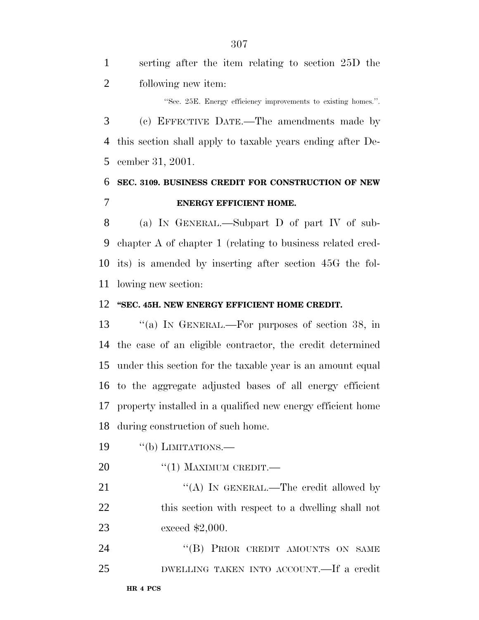serting after the item relating to section 25D the following new item:

''Sec. 25E. Energy efficiency improvements to existing homes.''.

 (c) EFFECTIVE DATE.—The amendments made by this section shall apply to taxable years ending after De-cember 31, 2001.

# **SEC. 3109. BUSINESS CREDIT FOR CONSTRUCTION OF NEW ENERGY EFFICIENT HOME.**

 (a) IN GENERAL.—Subpart D of part IV of sub- chapter A of chapter 1 (relating to business related cred- its) is amended by inserting after section 45G the fol-lowing new section:

#### **''SEC. 45H. NEW ENERGY EFFICIENT HOME CREDIT.**

13 "(a) In GENERAL.—For purposes of section 38, in the case of an eligible contractor, the credit determined under this section for the taxable year is an amount equal to the aggregate adjusted bases of all energy efficient property installed in a qualified new energy efficient home during construction of such home.

- 19 "(b) LIMITATIONS.—
- 20 "(1) MAXIMUM CREDIT.—

21 "(A) IN GENERAL.—The credit allowed by 22 this section with respect to a dwelling shall not exceed \$2,000.

24 "(B) PRIOR CREDIT AMOUNTS ON SAME DWELLING TAKEN INTO ACCOUNT.—If a credit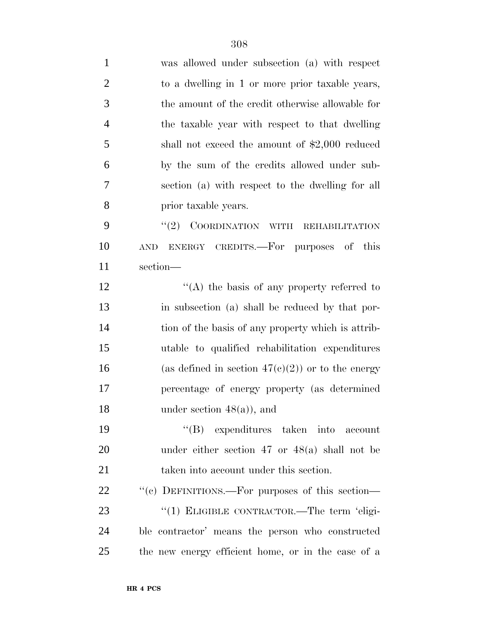| $\mathbf{1}$   | was allowed under subsection (a) with respect        |
|----------------|------------------------------------------------------|
| $\overline{2}$ | to a dwelling in 1 or more prior taxable years,      |
| 3              | the amount of the credit otherwise allowable for     |
| $\overline{4}$ | the taxable year with respect to that dwelling       |
| 5              | shall not exceed the amount of $$2,000$ reduced      |
| 6              | by the sum of the credits allowed under sub-         |
| 7              | section (a) with respect to the dwelling for all     |
| 8              | prior taxable years.                                 |
| 9              | (2)<br>COORDINATION WITH REHABILITATION              |
| 10             | ENERGY CREDITS.—For purposes of this<br><b>AND</b>   |
| 11             | section-                                             |
| 12             | "(A) the basis of any property referred to           |
| 13             | in subsection (a) shall be reduced by that por-      |
| 14             | tion of the basis of any property which is attrib-   |
| 15             | utable to qualified rehabilitation expenditures      |
| 16             | (as defined in section $47(c)(2)$ ) or to the energy |
| 17             | percentage of energy property (as determined         |
| 18             | under section $48(a)$ , and                          |
| 19             | "(B) expenditures taken into account                 |
| 20             | under either section 47 or $48(a)$ shall not be      |
| 21             | taken into account under this section.               |
| 22             | "(c) DEFINITIONS.—For purposes of this section—      |
| 23             | " $(1)$ ELIGIBLE CONTRACTOR.—The term 'eligi-        |
| 24             | ble contractor' means the person who constructed     |
| 25             | the new energy efficient home, or in the case of a   |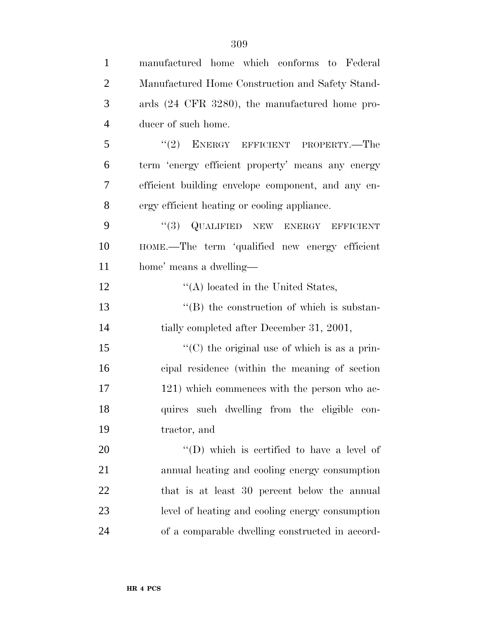| $\mathbf{1}$   | manufactured home which conforms to Federal          |
|----------------|------------------------------------------------------|
| $\overline{2}$ | Manufactured Home Construction and Safety Stand-     |
| 3              | ards (24 CFR 3280), the manufactured home pro-       |
| $\overline{4}$ | ducer of such home.                                  |
| 5              | "(2) ENERGY EFFICIENT PROPERTY.—The                  |
| 6              | term 'energy efficient property' means any energy    |
| 7              | efficient building envelope component, and any en-   |
| 8              | ergy efficient heating or cooling appliance.         |
| 9              | "(3) QUALIFIED NEW ENERGY EFFICIENT                  |
| 10             | HOME.—The term 'qualified new energy efficient       |
| 11             | home' means a dwelling—                              |
| 12             | $\lq\lq$ located in the United States,               |
| 13             | $\lq\lq (B)$ the construction of which is substan-   |
| 14             | tially completed after December 31, 2001,            |
| 15             | $\lq\lq$ (C) the original use of which is as a prin- |
| 16             | cipal residence (within the meaning of section       |
| 17             | 121) which commences with the person who ac-         |
| 18             | quires such dwelling from the eligible con-          |
| 19             | tractor, and                                         |
| 20             | $\lq\lq$ (D) which is certified to have a level of   |
| 21             | annual heating and cooling energy consumption        |
| 22             | that is at least 30 percent below the annual         |
| 23             | level of heating and cooling energy consumption      |
| 24             | of a comparable dwelling constructed in accord-      |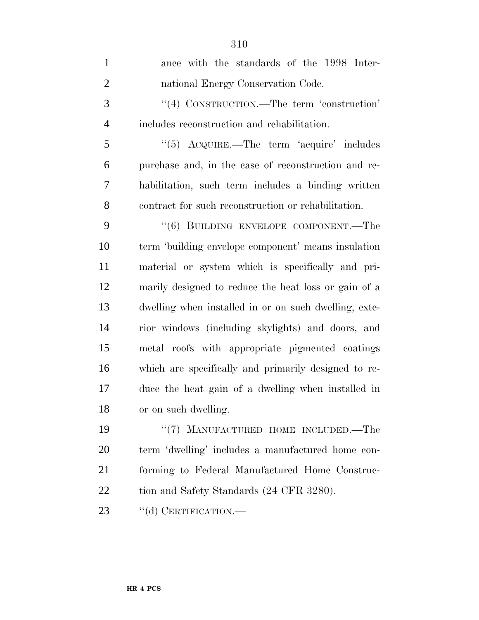| $\mathbf{1}$   | ance with the standards of the 1998 Inter-            |
|----------------|-------------------------------------------------------|
| $\overline{2}$ | national Energy Conservation Code.                    |
| 3              | "(4) CONSTRUCTION.—The term 'construction'            |
| $\overline{4}$ | includes reconstruction and rehabilitation.           |
| 5              | $\cdot$ (5) ACQUIRE.—The term 'acquire' includes      |
| 6              | purchase and, in the case of reconstruction and re-   |
| 7              | habilitation, such term includes a binding written    |
| 8              | contract for such reconstruction or rehabilitation.   |
| 9              | "(6) BUILDING ENVELOPE COMPONENT.—The                 |
| 10             | term 'building envelope component' means insulation   |
| 11             | material or system which is specifically and pri-     |
| 12             | marily designed to reduce the heat loss or gain of a  |
| 13             | dwelling when installed in or on such dwelling, exte- |
| 14             | rior windows (including skylights) and doors, and     |
| 15             | metal roofs with appropriate pigmented coatings       |
| 16             | which are specifically and primarily designed to re-  |
| 17             | duce the heat gain of a dwelling when installed in    |
| 18             | or on such dwelling.                                  |
| 19             | "(7) MANUFACTURED HOME INCLUDED.—The                  |
| 20             | term 'dwelling' includes a manufactured home con-     |
| 21             | forming to Federal Manufactured Home Construc-        |
| 22             | tion and Safety Standards (24 CFR 3280).              |
| 23             | "(d) CERTIFICATION.—                                  |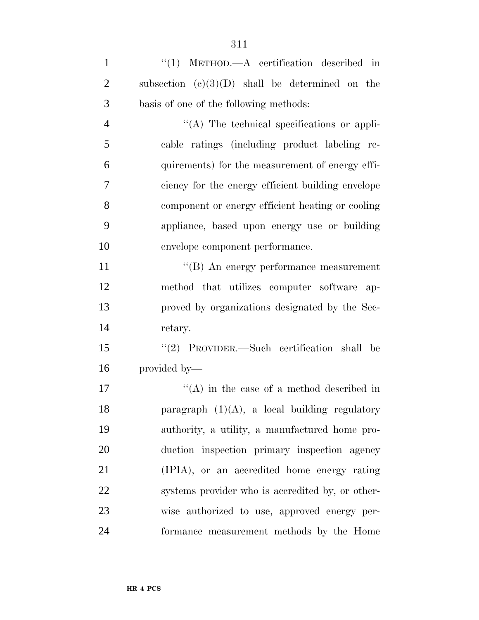| $\mathbf{1}$   | $\lq(1)$ METHOD.—A certification described in     |
|----------------|---------------------------------------------------|
| $\overline{2}$ | subsection $(c)(3)(D)$ shall be determined on the |
| 3              | basis of one of the following methods:            |
| $\overline{4}$ | "(A) The technical specifications or appli-       |
| 5              | cable ratings (including product labeling re-     |
| 6              | quirements) for the measurement of energy effi-   |
| 7              | ciency for the energy efficient building envelope |
| 8              | component or energy efficient heating or cooling  |
| 9              | appliance, based upon energy use or building      |
| 10             | envelope component performance.                   |
| 11             | "(B) An energy performance measurement            |
| 12             | method that utilizes computer software ap-        |
| 13             | proved by organizations designated by the Sec-    |
| 14             | retary.                                           |
| 15             | $(2)$ PROVIDER.—Such certification shall be       |
| 16             | provided by—                                      |
| 17             | $\lq\lq$ in the case of a method described in     |
| 18             | paragraph $(1)(A)$ , a local building regulatory  |
| 19             | authority, a utility, a manufactured home pro-    |
| 20             | duction inspection primary inspection agency      |
| 21             | (IPIA), or an accredited home energy rating       |
| 22             | systems provider who is accredited by, or other-  |
| 23             | wise authorized to use, approved energy per-      |
| 24             | formance measurement methods by the Home          |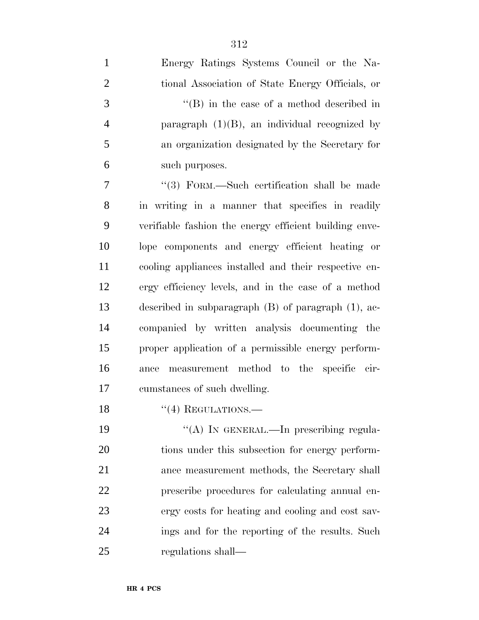| $\mathbf{1}$   | Energy Ratings Systems Council or the Na-                |
|----------------|----------------------------------------------------------|
| $\mathfrak{2}$ | tional Association of State Energy Officials, or         |
| 3              | $\lq\lq$ (B) in the case of a method described in        |
| $\overline{4}$ | paragraph $(1)(B)$ , an individual recognized by         |
| $\mathfrak{S}$ | an organization designated by the Secretary for          |
| 6              | such purposes.                                           |
| 7              | "(3) FORM.—Such certification shall be made              |
| 8              | in writing in a manner that specifies in readily         |
| 9              | verifiable fashion the energy efficient building enve-   |
| 10             | lope components and energy efficient heating or          |
| 11             | cooling appliances installed and their respective en-    |
| 12             | ergy efficiency levels, and in the case of a method      |
| 13             | described in subparagraph $(B)$ of paragraph $(1)$ , ac- |
| 14             | companied by written analysis documenting the            |
| 15             | proper application of a permissible energy perform-      |
| 16             | measurement method to the specific cir-<br>ance          |
| 17             | cumstances of such dwelling.                             |
| 18             | $\lq(4)$ REGULATIONS.—                                   |
| 19             | "(A) IN GENERAL.—In prescribing regula-                  |
| 20             | tions under this subsection for energy perform-          |
| 21             | ance measurement methods, the Secretary shall            |
| 22             | prescribe procedures for calculating annual en-          |
| 23             | ergy costs for heating and cooling and cost sav-         |
| 24             | ings and for the reporting of the results. Such          |
| 25             | regulations shall—                                       |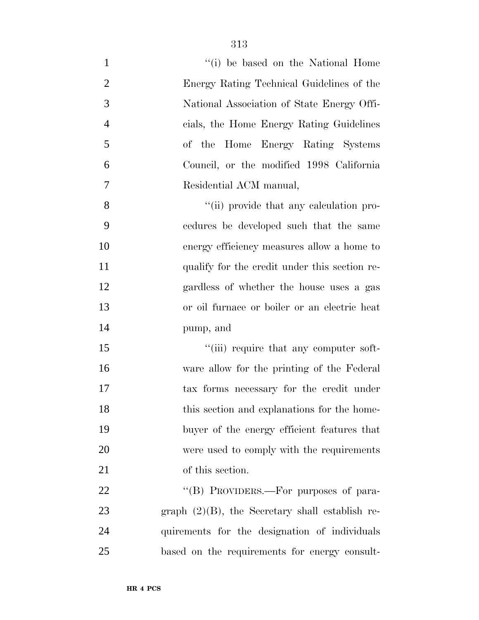| $\mathbf{1}$   | "(i) be based on the National Home                 |
|----------------|----------------------------------------------------|
| $\overline{2}$ | Energy Rating Technical Guidelines of the          |
| 3              | National Association of State Energy Offi-         |
| $\overline{4}$ | cials, the Home Energy Rating Guidelines           |
| 5              | of the Home Energy Rating Systems                  |
| 6              | Council, or the modified 1998 California           |
| 7              | Residential ACM manual,                            |
| 8              | "(ii) provide that any calculation pro-            |
| 9              | cedures be developed such that the same            |
| 10             | energy efficiency measures allow a home to         |
| 11             | qualify for the credit under this section re-      |
| 12             | gardless of whether the house uses a gas           |
| 13             | or oil furnace or boiler or an electric heat       |
| 14             | pump, and                                          |
| 15             | "(iii) require that any computer soft-             |
| 16             | ware allow for the printing of the Federal         |
| 17             | tax forms necessary for the credit under           |
| 18             | this section and explanations for the home-        |
| 19             | buyer of the energy efficient features that        |
| 20             | were used to comply with the requirements          |
| 21             | of this section.                                   |
| 22             | "(B) PROVIDERS.—For purposes of para-              |
| 23             | graph $(2)(B)$ , the Secretary shall establish re- |
| 24             | quirements for the designation of individuals      |
| 25             | based on the requirements for energy consult-      |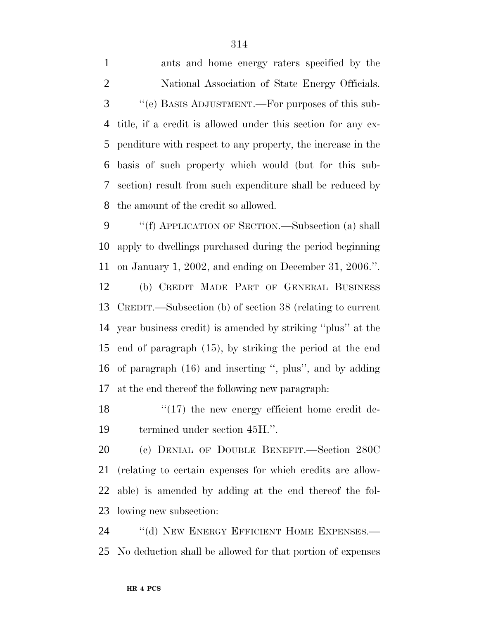ants and home energy raters specified by the National Association of State Energy Officials. ''(e) BASIS ADJUSTMENT.—For purposes of this sub- title, if a credit is allowed under this section for any ex- penditure with respect to any property, the increase in the basis of such property which would (but for this sub- section) result from such expenditure shall be reduced by the amount of the credit so allowed.

 ''(f) APPLICATION OF SECTION.—Subsection (a) shall apply to dwellings purchased during the period beginning on January 1, 2002, and ending on December 31, 2006.''.

 (b) CREDIT MADE PART OF GENERAL BUSINESS CREDIT.—Subsection (b) of section 38 (relating to current year business credit) is amended by striking ''plus'' at the end of paragraph (15), by striking the period at the end of paragraph (16) and inserting '', plus'', and by adding at the end thereof the following new paragraph:

18 "(17) the new energy efficient home credit de-termined under section 45H.''.

 (c) DENIAL OF DOUBLE BENEFIT.—Section 280C (relating to certain expenses for which credits are allow- able) is amended by adding at the end thereof the fol-lowing new subsection:

24 "(d) NEW ENERGY EFFICIENT HOME EXPENSES. No deduction shall be allowed for that portion of expenses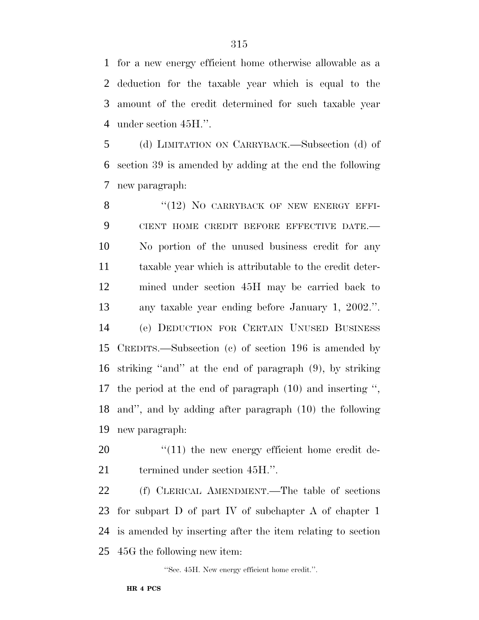for a new energy efficient home otherwise allowable as a deduction for the taxable year which is equal to the amount of the credit determined for such taxable year under section 45H.''.

 (d) LIMITATION ON CARRYBACK.—Subsection (d) of section 39 is amended by adding at the end the following new paragraph:

8 "(12) NO CARRYBACK OF NEW ENERGY EFFI- CIENT HOME CREDIT BEFORE EFFECTIVE DATE.— No portion of the unused business credit for any taxable year which is attributable to the credit deter- mined under section 45H may be carried back to any taxable year ending before January 1, 2002.''. (e) DEDUCTION FOR CERTAIN UNUSED BUSINESS CREDITS.—Subsection (c) of section 196 is amended by striking ''and'' at the end of paragraph (9), by striking the period at the end of paragraph (10) and inserting '', and'', and by adding after paragraph (10) the following new paragraph:

20  $\frac{1}{11}$  the new energy efficient home credit de-termined under section 45H.''.

 (f) CLERICAL AMENDMENT.—The table of sections for subpart D of part IV of subchapter A of chapter 1 is amended by inserting after the item relating to section 45G the following new item:

''Sec. 45H. New energy efficient home credit.''.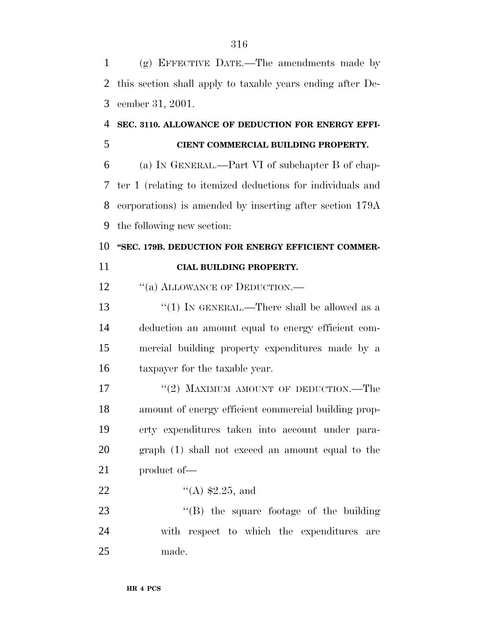(g) EFFECTIVE DATE.—The amendments made by this section shall apply to taxable years ending after De-cember 31, 2001.

## **SEC. 3110. ALLOWANCE OF DEDUCTION FOR ENERGY EFFI-**

### **CIENT COMMERCIAL BUILDING PROPERTY.**

 (a) IN GENERAL.—Part VI of subchapter B of chap- ter 1 (relating to itemized deductions for individuals and corporations) is amended by inserting after section 179A the following new section:

### 10 "SEC. 179B. DEDUCTION FOR ENERGY EFFICIENT COMMER-

### **CIAL BUILDING PROPERTY.**

12 "(a) ALLOWANCE OF DEDUCTION.—

13 "(1) IN GENERAL.—There shall be allowed as a deduction an amount equal to energy efficient com- mercial building property expenditures made by a taxpayer for the taxable year.

17 ''(2) MAXIMUM AMOUNT OF DEDUCTION.—The amount of energy efficient commercial building prop- erty expenditures taken into account under para- graph (1) shall not exceed an amount equal to the product of—

22  $\frac{4}{(A)}$  \$2.25, and

23 ''(B) the square footage of the building with respect to which the expenditures are made.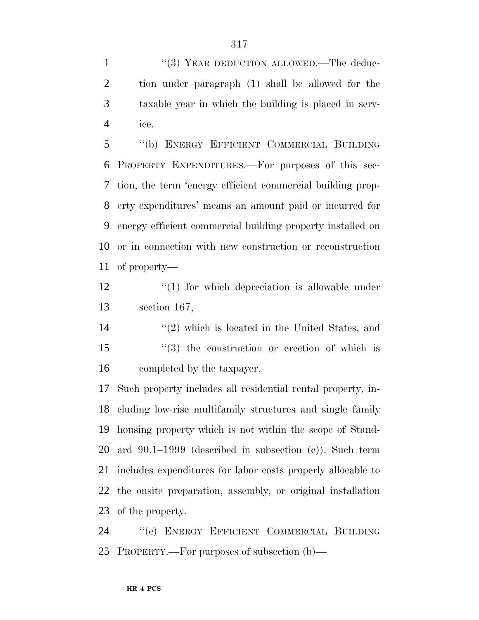1 "(3) YEAR DEDUCTION ALLOWED.—The deduc- tion under paragraph (1) shall be allowed for the taxable year in which the building is placed in serv-ice.

 ''(b) ENERGY EFFICIENT COMMERCIAL BUILDING PROPERTY EXPENDITURES.—For purposes of this sec- tion, the term 'energy efficient commercial building prop- erty expenditures' means an amount paid or incurred for energy efficient commercial building property installed on or in connection with new construction or reconstruction of property—

12 ''(1) for which depreciation is allowable under section 167,

14 ''(2) which is located in the United States, and ''(3) the construction or erection of which is completed by the taxpayer.

 Such property includes all residential rental property, in- cluding low-rise multifamily structures and single family housing property which is not within the scope of Stand- ard 90.1–1999 (described in subsection (c)). Such term includes expenditures for labor costs properly allocable to the onsite preparation, assembly, or original installation of the property.

 ''(c) ENERGY EFFICIENT COMMERCIAL BUILDING PROPERTY.—For purposes of subsection (b)—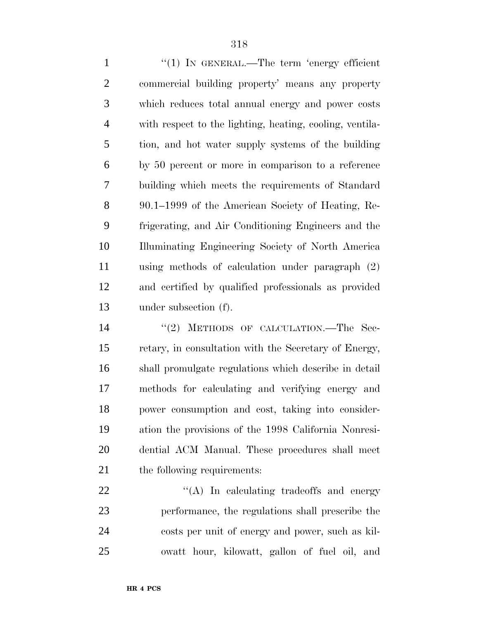1 "(1) In GENERAL.—The term 'energy efficient commercial building property' means any property which reduces total annual energy and power costs with respect to the lighting, heating, cooling, ventila- tion, and hot water supply systems of the building by 50 percent or more in comparison to a reference building which meets the requirements of Standard 90.1–1999 of the American Society of Heating, Re- frigerating, and Air Conditioning Engineers and the Illuminating Engineering Society of North America using methods of calculation under paragraph (2) and certified by qualified professionals as provided under subsection (f).

14 "(2) METHODS OF CALCULATION.—The Sec- retary, in consultation with the Secretary of Energy, shall promulgate regulations which describe in detail methods for calculating and verifying energy and power consumption and cost, taking into consider- ation the provisions of the 1998 California Nonresi- dential ACM Manual. These procedures shall meet 21 the following requirements:

 $\langle (A) \rangle$  In calculating tradeoffs and energy performance, the regulations shall prescribe the costs per unit of energy and power, such as kil-owatt hour, kilowatt, gallon of fuel oil, and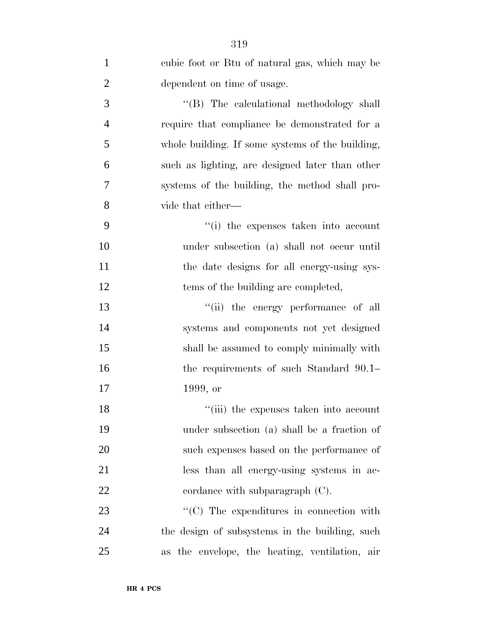| $\mathbf{1}$   | cubic foot or Btu of natural gas, which may be   |
|----------------|--------------------------------------------------|
| $\overline{2}$ | dependent on time of usage.                      |
| 3              | "(B) The calculational methodology shall         |
| $\overline{4}$ | require that compliance be demonstrated for a    |
| 5              | whole building. If some systems of the building, |
| 6              | such as lighting, are designed later than other  |
| 7              | systems of the building, the method shall pro-   |
| 8              | vide that either—                                |
| 9              | "(i) the expenses taken into account             |
| 10             | under subsection (a) shall not occur until       |
| 11             | the date designs for all energy-using sys-       |
| 12             | tems of the building are completed,              |
| 13             | "(ii) the energy performance of all              |
| 14             | systems and components not yet designed          |
| 15             | shall be assumed to comply minimally with        |
| 16             | the requirements of such Standard 90.1–          |
| 17             | 1999, or                                         |
| 18             | "(iii) the expenses taken into account           |
| 19             | under subsection (a) shall be a fraction of      |
| 20             | such expenses based on the performance of        |
| 21             | less than all energy-using systems in ac-        |
| 22             | cordance with subparagraph $(C)$ .               |
| 23             | $\lq\lq$ (C) The expenditures in connection with |
| 24             | the design of subsystems in the building, such   |
| 25             | as the envelope, the heating, ventilation, air   |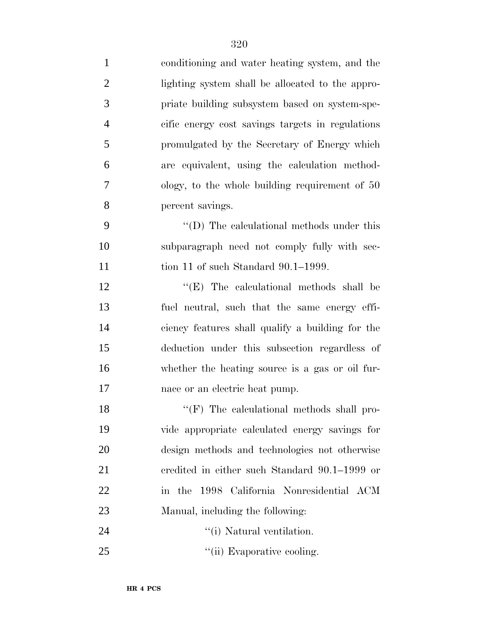| $\mathbf{1}$   | conditioning and water heating system, and the    |
|----------------|---------------------------------------------------|
| $\overline{2}$ | lighting system shall be allocated to the appro-  |
| 3              | priate building subsystem based on system-spe-    |
| $\overline{4}$ | cific energy cost savings targets in regulations  |
| 5              | promulgated by the Secretary of Energy which      |
| 6              | are equivalent, using the calculation method-     |
| 7              | ology, to the whole building requirement of $50$  |
| 8              | percent savings.                                  |
| 9              | $\lq\lq$ (D) The calculational methods under this |
| 10             | subparagraph need not comply fully with sec-      |
| 11             | tion 11 of such Standard $90.1-1999$ .            |
| 12             | $\lq\lq$ (E) The calculational methods shall be   |
| 13             | fuel neutral, such that the same energy effi-     |
| 14             | ciency features shall qualify a building for the  |
| 15             | deduction under this subsection regardless of     |
| 16             | whether the heating source is a gas or oil fur-   |
| 17             | nace or an electric heat pump.                    |
| 18             | "(F) The calculational methods shall pro-         |
| 19             | vide appropriate calculated energy savings for    |
| 20             | design methods and technologies not otherwise     |
| 21             | credited in either such Standard 90.1–1999 or     |
| 22             | in the 1998 California Nonresidential ACM         |
| 23             | Manual, including the following:                  |
| 24             | "(i) Natural ventilation.                         |
| 25             | "(ii) Evaporative cooling.                        |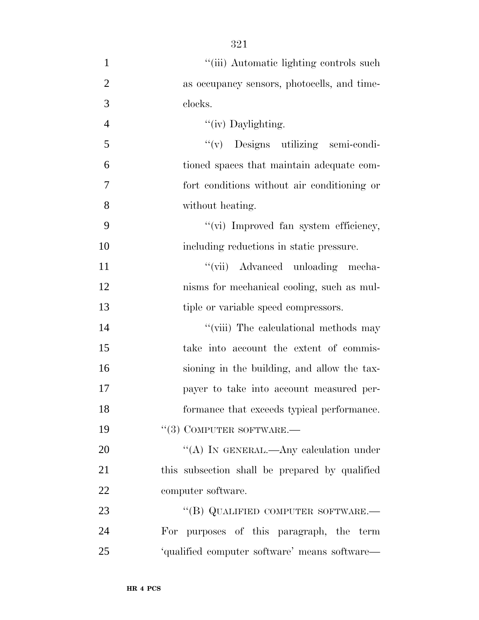| $\mathbf{1}$   | "(iii) Automatic lighting controls such        |
|----------------|------------------------------------------------|
| $\overline{2}$ | as occupancy sensors, photocells, and time-    |
| 3              | clocks.                                        |
| $\overline{4}$ | "(iv) Daylighting.                             |
| 5              | "(v) Designs utilizing semi-condi-             |
| 6              | tioned spaces that maintain adequate com-      |
| $\overline{7}$ | fort conditions without air conditioning or    |
| 8              | without heating.                               |
| 9              | "(vi) Improved fan system efficiency,          |
| 10             | including reductions in static pressure.       |
| 11             | "(vii) Advanced unloading mecha-               |
| 12             | nisms for mechanical cooling, such as mul-     |
| 13             | tiple or variable speed compressors.           |
| 14             | "(viii) The calculational methods may          |
| 15             | take into account the extent of commis-        |
| 16             | sioning in the building, and allow the tax-    |
| 17             | payer to take into account measured per-       |
| 18             | formance that exceeds typical performance.     |
| 19             | $``(3)$ COMPUTER SOFTWARE.—                    |
| 20             | "(A) IN GENERAL.—Any calculation under         |
| 21             | this subsection shall be prepared by qualified |
| 22             | computer software.                             |
| 23             | "(B) QUALIFIED COMPUTER SOFTWARE.—             |
| 24             | For purposes of this paragraph, the term       |
| 25             | 'qualified computer software' means software-  |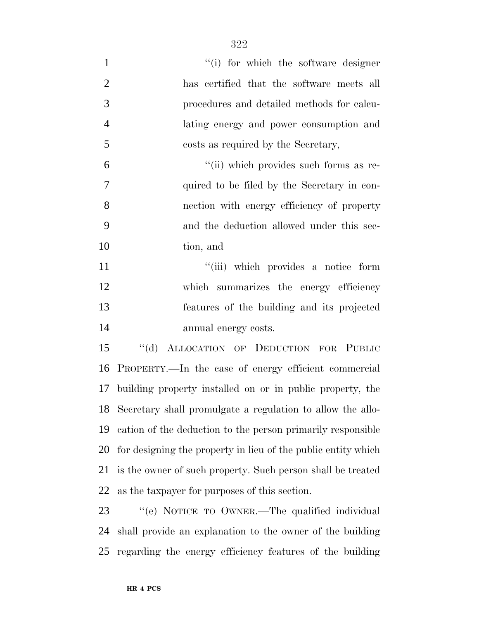| $\mathbf{1}$   | "(i) for which the software designer                          |
|----------------|---------------------------------------------------------------|
| $\overline{2}$ | has certified that the software meets all                     |
| 3              | procedures and detailed methods for calcu-                    |
| $\overline{4}$ | lating energy and power consumption and                       |
| 5              | costs as required by the Secretary,                           |
| 6              | "(ii) which provides such forms as re-                        |
| 7              | quired to be filed by the Secretary in con-                   |
| 8              | nection with energy efficiency of property                    |
| 9              | and the deduction allowed under this sec-                     |
| 10             | tion, and                                                     |
| 11             | "(iii) which provides a notice form                           |
| 12             | which summarizes the energy efficiency                        |
| 13             | features of the building and its projected                    |
| 14             | annual energy costs.                                          |
| 15             | "(d) ALLOCATION OF DEDUCTION FOR PUBLIC                       |
| 16             | PROPERTY.—In the case of energy efficient commercial          |
| 17             | building property installed on or in public property, the     |
| 18             | Secretary shall promulgate a regulation to allow the allo-    |
| 19             | cation of the deduction to the person primarily responsible   |
| 20             | for designing the property in lieu of the public entity which |
| 21             | is the owner of such property. Such person shall be treated   |
| 22             | as the taxpayer for purposes of this section.                 |
| 23             | "(e) NOTICE TO OWNER.—The qualified individual                |
| 24             | shall provide an explanation to the owner of the building     |

regarding the energy efficiency features of the building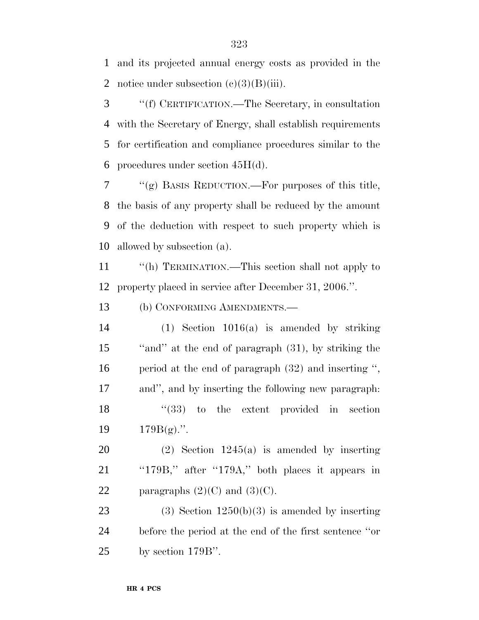and its projected annual energy costs as provided in the 2 notice under subsection  $(c)(3)(B)(iii)$ .

 ''(f) CERTIFICATION.—The Secretary, in consultation with the Secretary of Energy, shall establish requirements for certification and compliance procedures similar to the 6 procedures under section  $45H(d)$ .

 "(g) BASIS REDUCTION.—For purposes of this title, the basis of any property shall be reduced by the amount of the deduction with respect to such property which is allowed by subsection (a).

 ''(h) TERMINATION.—This section shall not apply to property placed in service after December 31, 2006.''.

(b) CONFORMING AMENDMENTS.—

 (1) Section 1016(a) is amended by striking ''and'' at the end of paragraph (31), by striking the period at the end of paragraph (32) and inserting '', and'', and by inserting the following new paragraph: 18 ''(33) to the extent provided in section  $179B(g)$ .".

 (2) Section 1245(a) is amended by inserting ''179B,'' after ''179A,'' both places it appears in 22 paragraphs  $(2)(C)$  and  $(3)(C)$ .

23 (3) Section  $1250(b)(3)$  is amended by inserting before the period at the end of the first sentence ''or by section 179B''.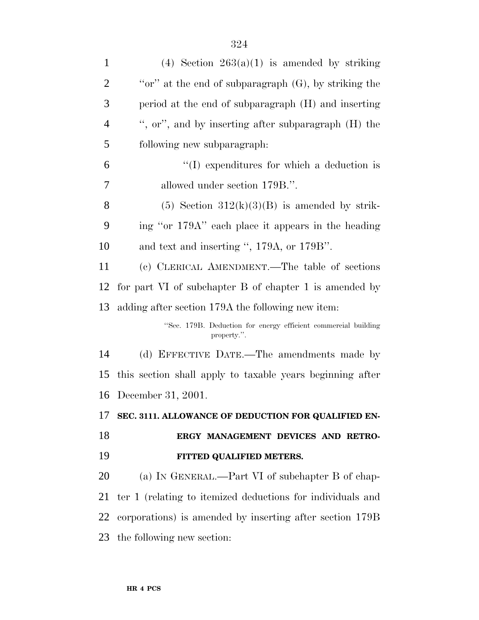| $\mathbf{1}$   | (4) Section $263(a)(1)$ is amended by striking                                |
|----------------|-------------------------------------------------------------------------------|
| $\overline{2}$ | "or" at the end of subparagraph $(G)$ , by striking the                       |
| 3              | period at the end of subparagraph (H) and inserting                           |
| $\overline{4}$ | ", or", and by inserting after subparagraph $(H)$ the                         |
| 5              | following new subparagraph:                                                   |
| 6              | $\lq\lq$ expenditures for which a deduction is                                |
| 7              | allowed under section 179B.".                                                 |
| 8              | (5) Section $312(k)(3)(B)$ is amended by strik-                               |
| 9              | ing "or 179A" each place it appears in the heading                            |
| 10             | and text and inserting ", 179A, or 179B".                                     |
| 11             | (c) CLERICAL AMENDMENT.—The table of sections                                 |
| 12             | for part VI of subchapter B of chapter 1 is amended by                        |
| 13             | adding after section 179A the following new item:                             |
|                | "Sec. 179B. Deduction for energy efficient commercial building<br>property.". |
| 14             | (d) EFFECTIVE DATE.—The amendments made by                                    |
| 15             | this section shall apply to taxable years beginning after                     |
|                | 16 December 31, 2001.                                                         |
| 17             | SEC. 3111. ALLOWANCE OF DEDUCTION FOR QUALIFIED EN-                           |
| 18             | ERGY MANAGEMENT DEVICES AND RETRO-                                            |
| 19             | FITTED QUALIFIED METERS.                                                      |
| 20             | (a) IN GENERAL.—Part VI of subchapter B of chap-                              |
| 21             | ter 1 (relating to itemized deductions for individuals and                    |
| 22             | corporations) is amended by inserting after section 179B                      |
| 23             | the following new section:                                                    |
|                |                                                                               |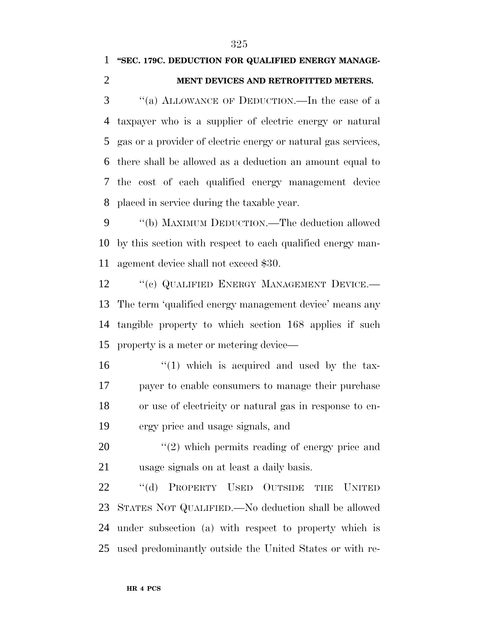### **''SEC. 179C. DEDUCTION FOR QUALIFIED ENERGY MANAGE-**

#### **MENT DEVICES AND RETROFITTED METERS.**

 ''(a) ALLOWANCE OF DEDUCTION.—In the case of a taxpayer who is a supplier of electric energy or natural gas or a provider of electric energy or natural gas services, there shall be allowed as a deduction an amount equal to the cost of each qualified energy management device placed in service during the taxable year.

 ''(b) MAXIMUM DEDUCTION.—The deduction allowed by this section with respect to each qualified energy man-agement device shall not exceed \$30.

12 "(c) QUALIFIED ENERGY MANAGEMENT DEVICE.— The term 'qualified energy management device' means any tangible property to which section 168 applies if such property is a meter or metering device—

 ''(1) which is acquired and used by the tax- payer to enable consumers to manage their purchase or use of electricity or natural gas in response to en-ergy price and usage signals, and

20  $\frac{1}{2}$  which permits reading of energy price and usage signals on at least a daily basis.

22 "(d) PROPERTY USED OUTSIDE THE UNITED STATES NOT QUALIFIED.—No deduction shall be allowed under subsection (a) with respect to property which is used predominantly outside the United States or with re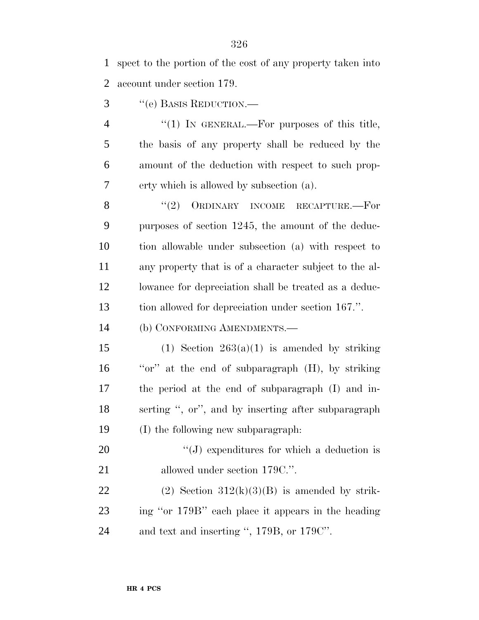spect to the portion of the cost of any property taken into account under section 179.

''(e) BASIS REDUCTION.—

4 "(1) In GENERAL.—For purposes of this title, the basis of any property shall be reduced by the amount of the deduction with respect to such prop-erty which is allowed by subsection (a).

8 "(2) ORDINARY INCOME RECAPTURE.—For purposes of section 1245, the amount of the deduc- tion allowable under subsection (a) with respect to any property that is of a character subject to the al- lowance for depreciation shall be treated as a deduc-tion allowed for depreciation under section 167.''.

(b) CONFORMING AMENDMENTS.—

15 (1) Section  $263(a)(1)$  is amended by striking 16 "or" at the end of subparagraph (H), by striking the period at the end of subparagraph (I) and in- serting '', or'', and by inserting after subparagraph (I) the following new subparagraph:

20  $\cdot$  (J) expenditures for which a deduction is 21 allowed under section 179C.".

22 (2) Section  $312(k)(3)(B)$  is amended by strik- ing ''or 179B'' each place it appears in the heading and text and inserting '', 179B, or 179C''.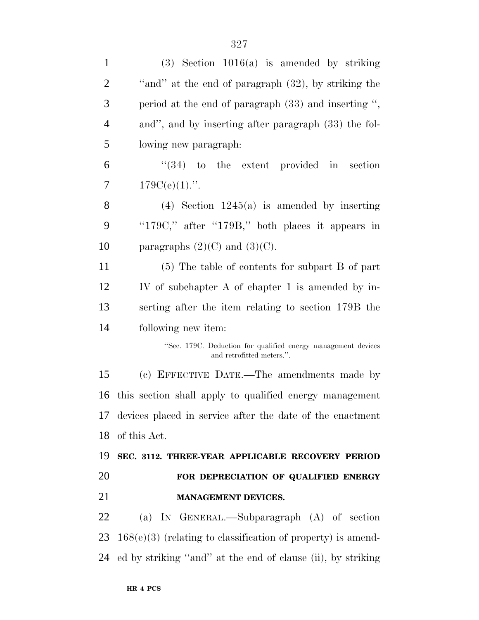| $\mathbf{1}$   | $(3)$ Section 1016(a) is amended by striking                                               |
|----------------|--------------------------------------------------------------------------------------------|
| $\overline{2}$ | "and" at the end of paragraph (32), by striking the                                        |
| 3              | period at the end of paragraph (33) and inserting ",                                       |
| $\overline{4}$ | and", and by inserting after paragraph (33) the fol-                                       |
| 5              | lowing new paragraph.                                                                      |
| 6              | $(34)$ to the extent provided in<br>section                                                |
| 7              | $179C(e)(1)$ .".                                                                           |
| 8              | $(4)$ Section 1245(a) is amended by inserting                                              |
| 9              | "179C," after "179B," both places it appears in                                            |
| 10             | paragraphs $(2)(C)$ and $(3)(C)$ .                                                         |
| 11             | $(5)$ The table of contents for subpart B of part                                          |
| 12             | IV of subchapter A of chapter 1 is amended by in-                                          |
| 13             | serting after the item relating to section 179B the                                        |
| 14             | following new item:                                                                        |
|                | "Sec. 179C. Deduction for qualified energy management devices<br>and retrofitted meters.". |
| 15             | (c) EFFECTIVE DATE.—The amendments made by                                                 |
| 16             | this section shall apply to qualified energy management                                    |
|                | 17 devices placed in service after the date of the enactment                               |
| 18             |                                                                                            |
|                | of this Act.                                                                               |
| 19             | SEC. 3112. THREE-YEAR APPLICABLE RECOVERY PERIOD                                           |
| 20             | FOR DEPRECIATION OF QUALIFIED ENERGY                                                       |
| 21             | <b>MANAGEMENT DEVICES.</b>                                                                 |
| 22             | (a) IN GENERAL.—Subparagraph (A) of section                                                |
| 23             | $168(e)(3)$ (relating to classification of property) is amend-                             |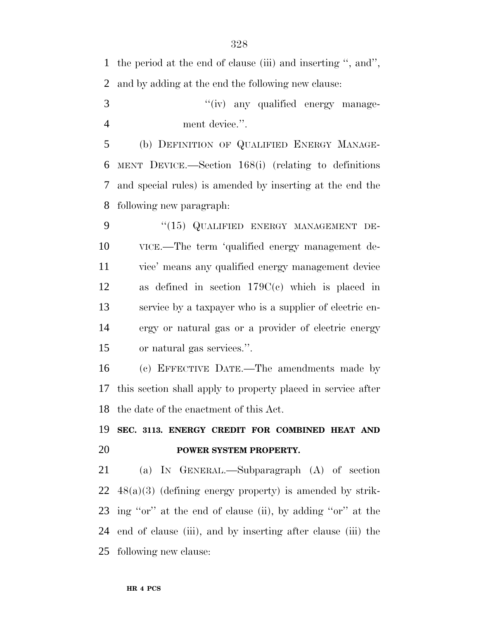the period at the end of clause (iii) and inserting '', and'', and by adding at the end the following new clause:  $''(iv)$  any qualified energy manage- ment device.''. (b) DEFINITION OF QUALIFIED ENERGY MANAGE- MENT DEVICE.—Section 168(i) (relating to definitions and special rules) is amended by inserting at the end the following new paragraph: 9 "(15) QUALIFIED ENERGY MANAGEMENT DE- VICE.—The term 'qualified energy management de- vice' means any qualified energy management device as defined in section 179C(c) which is placed in service by a taxpayer who is a supplier of electric en- ergy or natural gas or a provider of electric energy or natural gas services.''. (c) EFFECTIVE DATE.—The amendments made by this section shall apply to property placed in service after the date of the enactment of this Act. **SEC. 3113. ENERGY CREDIT FOR COMBINED HEAT AND POWER SYSTEM PROPERTY.** (a) IN GENERAL.—Subparagraph (A) of section 48(a)(3) (defining energy property) is amended by strik-

 ing ''or'' at the end of clause (ii), by adding ''or'' at the end of clause (iii), and by inserting after clause (iii) the following new clause: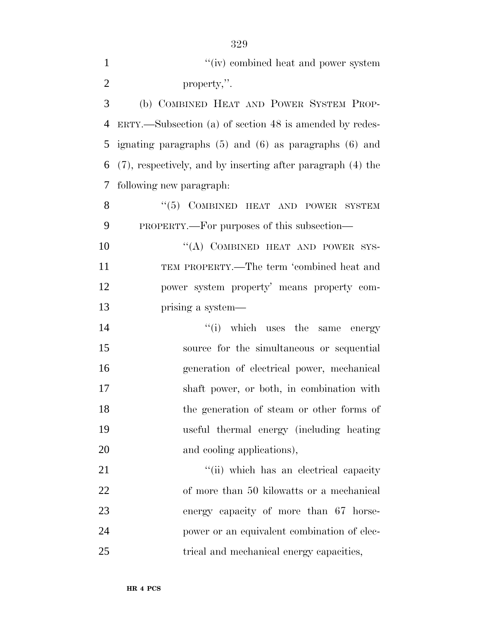$''(iv)$  combined heat and power system property,''. (b) COMBINED HEAT AND POWER SYSTEM PROP- ERTY.—Subsection (a) of section 48 is amended by redes- ignating paragraphs (5) and (6) as paragraphs (6) and (7), respectively, and by inserting after paragraph (4) the following new paragraph: 8 "(5) COMBINED HEAT AND POWER SYSTEM PROPERTY.—For purposes of this subsection—

10 "(A) COMBINED HEAT AND POWER SYS- TEM PROPERTY.—The term 'combined heat and power system property' means property com-prising a system—

 $''(i)$  which uses the same energy source for the simultaneous or sequential generation of electrical power, mechanical shaft power, or both, in combination with the generation of steam or other forms of useful thermal energy (including heating 20 and cooling applications),

 $\frac{1}{1}$   $\frac{1}{1}$  which has an electrical capacity of more than 50 kilowatts or a mechanical energy capacity of more than 67 horse- power or an equivalent combination of elec-trical and mechanical energy capacities,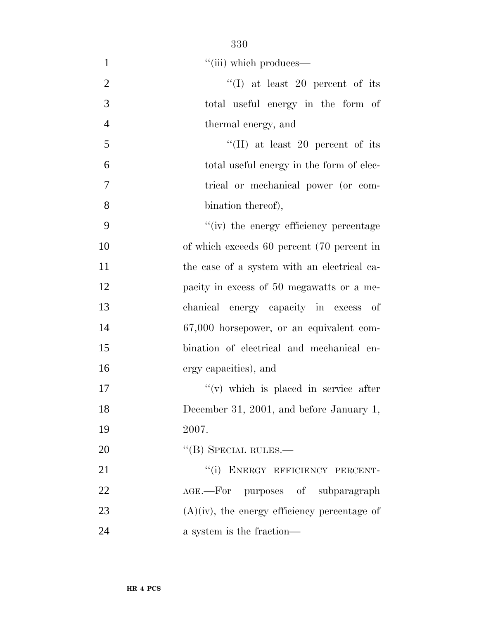| $\mathbf{1}$   | "(iii) which produces—                          |
|----------------|-------------------------------------------------|
| $\overline{2}$ | "(I) at least 20 percent of its                 |
| 3              | total useful energy in the form of              |
| $\overline{4}$ | thermal energy, and                             |
| 5              | "(II) at least 20 percent of its                |
| 6              | total useful energy in the form of elec-        |
| 7              | trical or mechanical power (or com-             |
| 8              | bination thereof),                              |
| 9              | "(iv) the energy efficiency percentage          |
| 10             | of which exceeds 60 percent (70 percent in      |
| 11             | the case of a system with an electrical ca-     |
| 12             | pacity in excess of 50 megawatts or a me-       |
| 13             | chanical energy capacity in excess of           |
| 14             | 67,000 horsepower, or an equivalent com-        |
| 15             | bination of electrical and mechanical en-       |
| 16             | ergy capacities), and                           |
| 17             | $f'(v)$ which is placed in service after        |
| 18             | December 31, 2001, and before January 1,        |
| 19             | 2007.                                           |
| 20             | $\lq\lq$ (B) SPECIAL RULES.—                    |
| 21             | "(i) ENERGY EFFICIENCY PERCENT-                 |
| 22             | AGE.—For purposes of subparagraph               |
| 23             | $(A)(iv)$ , the energy efficiency percentage of |
| 24             | a system is the fraction—                       |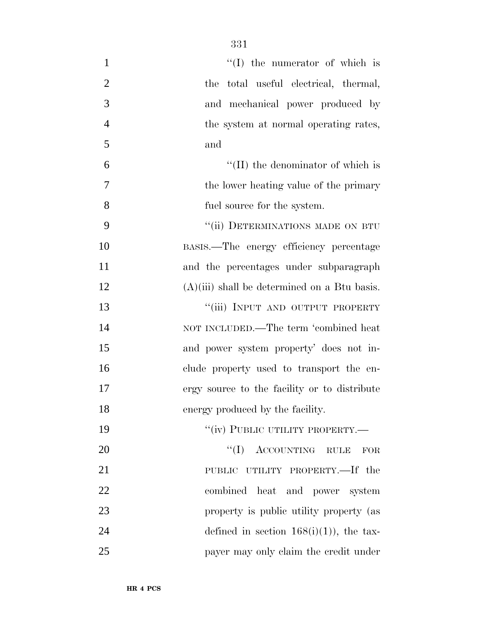| $\mathbf{1}$   | $\lq\lq$ (I) the numerator of which is         |
|----------------|------------------------------------------------|
| $\overline{2}$ | the total useful electrical, thermal,          |
| 3              | and mechanical power produced by               |
| $\overline{4}$ | the system at normal operating rates,          |
| 5              | and                                            |
| 6              | $\lq\lq$ (II) the denominator of which is      |
| $\tau$         | the lower heating value of the primary         |
| 8              | fuel source for the system.                    |
| 9              | "(ii) DETERMINATIONS MADE ON BTU               |
| 10             | BASIS.—The energy efficiency percentage        |
| 11             | and the percentages under subparagraph         |
| 12             | $(A)(iii)$ shall be determined on a Btu basis. |
| 13             | "(iii) INPUT AND OUTPUT PROPERTY               |
| 14             | NOT INCLUDED.—The term 'combined heat          |
| 15             | and power system property' does not in-        |
| 16             | clude property used to transport the en-       |
| 17             | ergy source to the facility or to distribute   |
| 18             | energy produced by the facility.               |
| 19             | "(iv) PUBLIC UTILITY PROPERTY.-                |
| 20             | $``(I)$ ACCOUNTING RULE<br>FOR                 |
| 21             | PUBLIC UTILITY PROPERTY.—If the                |
| 22             | combined heat and power system                 |
| 23             | property is public utility property (as        |
| 24             | defined in section $168(i)(1)$ , the tax-      |
| 25             | payer may only claim the credit under          |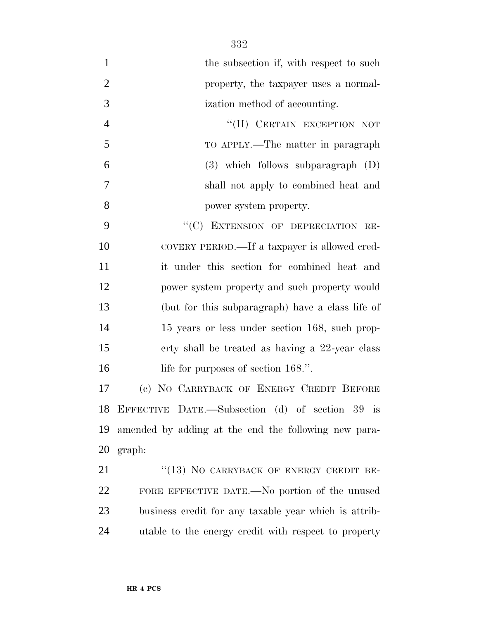| $\mathbf{1}$   | the subsection if, with respect to such               |
|----------------|-------------------------------------------------------|
| $\overline{2}$ | property, the taxpayer uses a normal-                 |
| 3              | ization method of accounting.                         |
| $\overline{4}$ | "(II) CERTAIN EXCEPTION NOT                           |
| 5              | TO APPLY.—The matter in paragraph                     |
| 6              | $(3)$ which follows subparagraph $(D)$                |
| $\tau$         | shall not apply to combined heat and                  |
| 8              | power system property.                                |
| 9              | "(C) EXTENSION OF DEPRECIATION RE-                    |
| 10             | COVERY PERIOD.—If a taxpayer is allowed cred-         |
| 11             | it under this section for combined heat and           |
| 12             | power system property and such property would         |
| 13             | (but for this subparagraph) have a class life of      |
| 14             | 15 years or less under section 168, such prop-        |
| 15             | erty shall be treated as having a 22-year class       |
| 16             | life for purposes of section 168.".                   |
| 17             | (c) NO CARRYBACK OF ENERGY CREDIT BEFORE              |
|                | 18 EFFECTIVE DATE.—Subsection (d) of section 39 is    |
| 19             | amended by adding at the end the following new para-  |
|                | 20 graph:                                             |
| 21             | "(13) NO CARRYBACK OF ENERGY CREDIT BE-               |
| 22             | FORE EFFECTIVE DATE.—No portion of the unused         |
| 23             | business credit for any taxable year which is attrib- |
| 24             | utable to the energy credit with respect to property  |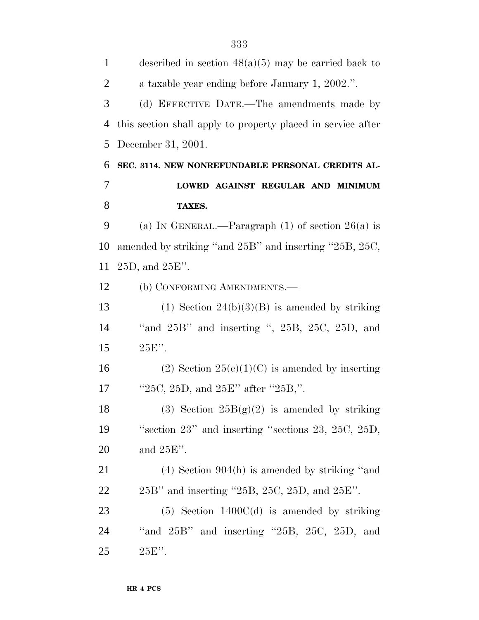| $\mathbf{1}$   | described in section $48(a)(5)$ may be carried back to         |
|----------------|----------------------------------------------------------------|
| $\overline{2}$ | a taxable year ending before January 1, 2002.".                |
| 3              | (d) EFFECTIVE DATE.—The amendments made by                     |
| $\overline{4}$ | this section shall apply to property placed in service after   |
| 5              | December 31, 2001.                                             |
| 6              | SEC. 3114. NEW NONREFUNDABLE PERSONAL CREDITS AL-              |
| 7              | LOWED AGAINST REGULAR AND MINIMUM                              |
| 8              | TAXES.                                                         |
| 9              | (a) IN GENERAL.—Paragraph $(1)$ of section $26(a)$ is          |
| 10             | amended by striking "and $25B$ " and inserting "25B, 25C,      |
| 11             | $25D$ , and $25E$ ".                                           |
| 12             | (b) CONFORMING AMENDMENTS.-                                    |
| 13             | $(1)$ Section 24(b)(3)(B) is amended by striking               |
| 14             | "and $25B$ " and inserting ", $25B$ , $25C$ , $25D$ , and      |
| 15             | $25E$ ".                                                       |
| 16             | (2) Section $25(e)(1)(C)$ is amended by inserting              |
| 17             | "25C, 25D, and 25E" after "25B,".                              |
| 18             | (3) Section $25B(g)(2)$ is amended by striking                 |
| 19             | "section $23$ " and inserting "sections $23$ , $25C$ , $25D$ , |
| 20             | and $25E$ ".                                                   |
| 21             | $(4)$ Section 904(h) is amended by striking "and               |
| 22             | $25B'$ and inserting "25B, 25C, 25D, and 25E".                 |
| 23             | $(5)$ Section 1400 $C(d)$ is amended by striking               |
| 24             | "and $25B$ " and inserting " $25B$ , $25C$ , $25D$ , and       |
| 25             | $25E$ ".                                                       |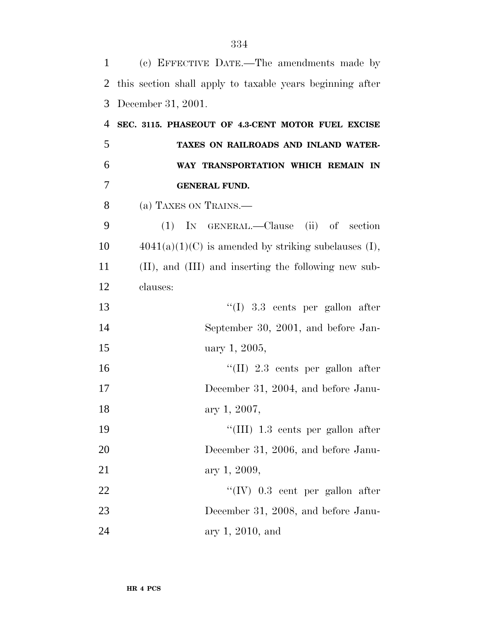| $\mathbf{1}$ | (c) EFFECTIVE DATE.—The amendments made by                |
|--------------|-----------------------------------------------------------|
| 2            | this section shall apply to taxable years beginning after |
| 3            | December 31, 2001.                                        |
| 4            | SEC. 3115. PHASEOUT OF 4.3-CENT MOTOR FUEL EXCISE         |
| 5            | TAXES ON RAILROADS AND INLAND WATER-                      |
| 6            | WAY TRANSPORTATION WHICH REMAIN IN                        |
| 7            | <b>GENERAL FUND.</b>                                      |
| 8            | (a) TAXES ON TRAINS.—                                     |
| 9            | (1) IN GENERAL.—Clause (ii) of section                    |
| 10           | $4041(a)(1)(C)$ is amended by striking subclauses (I),    |
| 11           | (II), and (III) and inserting the following new sub-      |
| 12           | clauses:                                                  |
| 13           | $\lq(1)$ 3.3 cents per gallon after                       |
| 14           | September 30, 2001, and before Jan-                       |
| 15           | uary 1, 2005,                                             |
| 16           | "(II) 2.3 cents per gallon after                          |
| 17           | December 31, 2004, and before Janu-                       |
| 18           | ary 1, 2007,                                              |
| 19           | "(III) 1.3 cents per gallon after                         |
| 20           | December 31, 2006, and before Janu-                       |
| 21           | ary 1, 2009,                                              |
| 22           | $\lq\lq (IV)$ 0.3 cent per gallon after                   |
| 23           | December 31, 2008, and before Janu-                       |
| 24           | ary 1, 2010, and                                          |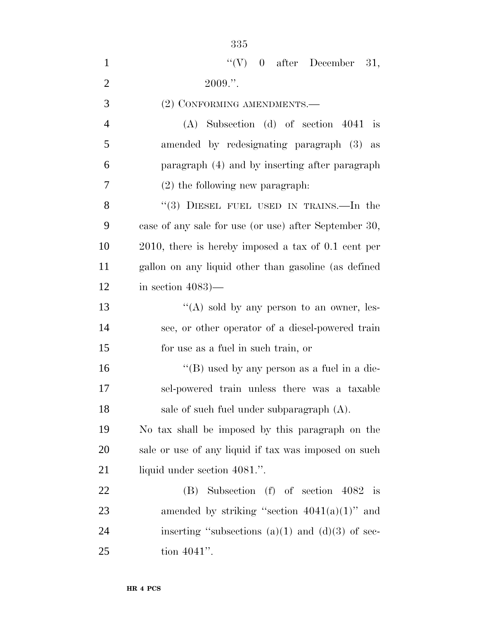| $\mathbf{1}$   | "(V) $0$ after December 31,                            |
|----------------|--------------------------------------------------------|
| $\overline{2}$ | $2009."$ .                                             |
| 3              | (2) CONFORMING AMENDMENTS.-                            |
| $\overline{4}$ | $(A)$ Subsection $(d)$ of section 4041 is              |
| 5              | amended by redesignating paragraph (3) as              |
| 6              | paragraph (4) and by inserting after paragraph         |
| 7              | $(2)$ the following new paragraph.                     |
| 8              | "(3) DIESEL FUEL USED IN TRAINS.—In the                |
| 9              | case of any sale for use (or use) after September 30,  |
| 10             | $2010$ , there is hereby imposed a tax of 0.1 cent per |
| 11             | gallon on any liquid other than gasoline (as defined   |
| 12             | in section $4083$ )—                                   |
| 13             | "(A) sold by any person to an owner, les-              |
| 14             | see, or other operator of a diesel-powered train       |
| 15             | for use as a fuel in such train, or                    |
| 16             | "(B) used by any person as a fuel in a die-            |
| 17             | sel-powered train unless there was a taxable           |
| 18             | sale of such fuel under subparagraph $(A)$ .           |
| 19             | No tax shall be imposed by this paragraph on the       |
| 20             | sale or use of any liquid if tax was imposed on such   |
| 21             | liquid under section 4081.".                           |
| 22             | $(B)$ Subsection $(f)$ of section 4082 is              |
| 23             | amended by striking "section $4041(a)(1)$ " and        |
| 24             | inserting "subsections $(a)(1)$ and $(d)(3)$ of sec-   |
| 25             | tion 4041".                                            |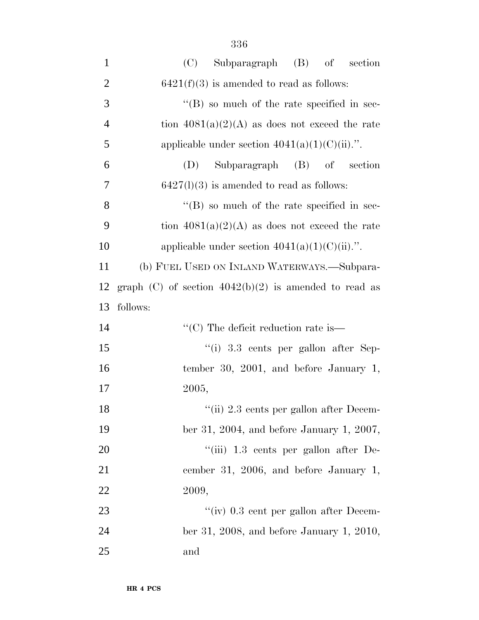| $\mathbf{1}$   | Subparagraph (B) of section<br>(C)                       |
|----------------|----------------------------------------------------------|
| $\overline{2}$ | $6421(f)(3)$ is amended to read as follows:              |
| 3              | $\lq\lq (B)$ so much of the rate specified in sec-       |
| $\overline{4}$ | tion $4081(a)(2)(A)$ as does not exceed the rate         |
| 5              | applicable under section $4041(a)(1)(C(ii))$ .".         |
| 6              | Subparagraph (B) of section<br>(D)                       |
| 7              | $6427(l)(3)$ is amended to read as follows:              |
| 8              | $\lq\lq$ (B) so much of the rate specified in sec-       |
| 9              | tion $4081(a)(2)(A)$ as does not exceed the rate         |
| 10             | applicable under section $4041(a)(1)(C(ii).$ ".          |
| 11             | (b) FUEL USED ON INLAND WATERWAYS.—Subpara-              |
| 12             | graph (C) of section $4042(b)(2)$ is amended to read as  |
|                |                                                          |
| 13             | follows:                                                 |
| 14             | $\lq\lq$ <sup>"</sup> (C) The deficit reduction rate is— |
| 15             | $\lq\lq$ (i) 3.3 cents per gallon after Sep-             |
| 16             | tember 30, 2001, and before January 1,                   |
| 17             | 2005,                                                    |
| 18             | "(ii) 2.3 cents per gallon after Decem-                  |
| 19             | ber 31, 2004, and before January 1, 2007,                |
| 20             | "(iii) 1.3 cents per gallon after De-                    |
| 21             | cember 31, 2006, and before January 1,                   |
| 22             | 2009,                                                    |
| 23             | "(iv) 0.3 cent per gallon after Decem-                   |
| 24             | ber 31, 2008, and before January 1, 2010,                |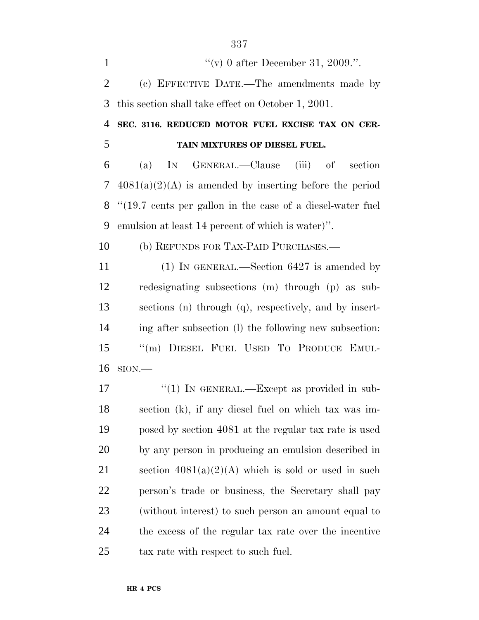1  $''(v)$  0 after December 31, 2009.". (c) EFFECTIVE DATE.—The amendments made by this section shall take effect on October 1, 2001.

 **SEC. 3116. REDUCED MOTOR FUEL EXCISE TAX ON CER-TAIN MIXTURES OF DIESEL FUEL.**

 (a) IN GENERAL.—Clause (iii) of section 4081(a)(2)(A) is amended by inserting before the period ''(19.7 cents per gallon in the case of a diesel-water fuel emulsion at least 14 percent of which is water)''.

(b) REFUNDS FOR TAX-PAID PURCHASES.—

11 (1) IN GENERAL.—Section 6427 is amended by redesignating subsections (m) through (p) as sub- sections (n) through (q), respectively, and by insert- ing after subsection (l) the following new subsection: ''(m) DIESEL FUEL USED TO PRODUCE EMUL-SION.—

17 "(1) IN GENERAL.—Except as provided in sub- section (k), if any diesel fuel on which tax was im- posed by section 4081 at the regular tax rate is used by any person in producing an emulsion described in 21 section  $4081(a)(2)(A)$  which is sold or used in such person's trade or business, the Secretary shall pay (without interest) to such person an amount equal to the excess of the regular tax rate over the incentive tax rate with respect to such fuel.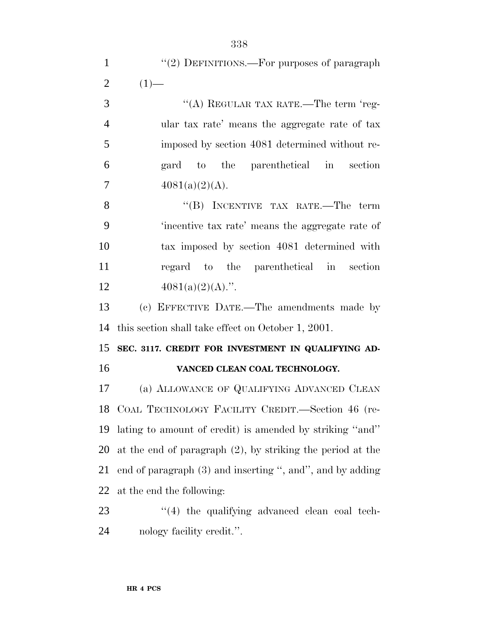| $\mathbf{1}$   | "(2) DEFINITIONS.—For purposes of paragraph                   |
|----------------|---------------------------------------------------------------|
| $\overline{2}$ | $(1)$ —                                                       |
| 3              | "(A) REGULAR TAX RATE.—The term 'reg-                         |
| $\overline{4}$ | ular tax rate' means the aggregate rate of tax                |
| 5              | imposed by section 4081 determined without re-                |
| 6              | gard to the parenthetical in section                          |
| $\overline{7}$ | $4081(a)(2)(A)$ .                                             |
| 8              | "(B) INCENTIVE TAX RATE.—The term                             |
| 9              | 'incentive tax rate' means the aggregate rate of              |
| 10             | tax imposed by section 4081 determined with                   |
| 11             | regard to the parenthetical in section                        |
| 12             | $4081(a)(2)(A)$ .".                                           |
| 13             | (c) EFFECTIVE DATE.—The amendments made by                    |
| 14             | this section shall take effect on October 1, 2001.            |
| 15             | SEC. 3117. CREDIT FOR INVESTMENT IN QUALIFYING AD-            |
| 16             | VANCED CLEAN COAL TECHNOLOGY.                                 |
| 17             | (a) ALLOWANCE OF QUALIFYING ADVANCED CLEAN                    |
| 18             | COAL TECHNOLOGY FACILITY CREDIT.—Section 46 (re-              |
| 19             | lating to amount of credit) is amended by striking "and"      |
| 20             | at the end of paragraph $(2)$ , by striking the period at the |
| 21             | end of paragraph (3) and inserting ", and", and by adding     |
| 22             | at the end the following:                                     |

23 ''(4) the qualifying advanced clean coal tech-nology facility credit.''.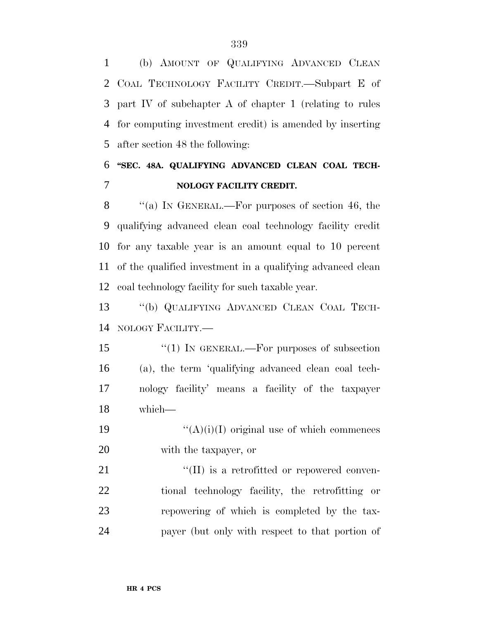(b) AMOUNT OF QUALIFYING ADVANCED CLEAN COAL TECHNOLOGY FACILITY CREDIT.—Subpart E of part IV of subchapter A of chapter 1 (relating to rules for computing investment credit) is amended by inserting after section 48 the following:

# **''SEC. 48A. QUALIFYING ADVANCED CLEAN COAL TECH-NOLOGY FACILITY CREDIT.**

8 "(a) IN GENERAL.—For purposes of section 46, the qualifying advanced clean coal technology facility credit for any taxable year is an amount equal to 10 percent of the qualified investment in a qualifying advanced clean coal technology facility for such taxable year.

 ''(b) QUALIFYING ADVANCED CLEAN COAL TECH-NOLOGY FACILITY.—

15 "(1) IN GENERAL.—For purposes of subsection (a), the term 'qualifying advanced clean coal tech- nology facility' means a facility of the taxpayer which—

19  $"({\rm A})({\rm i})({\rm I})$  original use of which commences with the taxpayer, or

 "(II) is a retrofitted or repowered conven- tional technology facility, the retrofitting or repowering of which is completed by the tax-payer (but only with respect to that portion of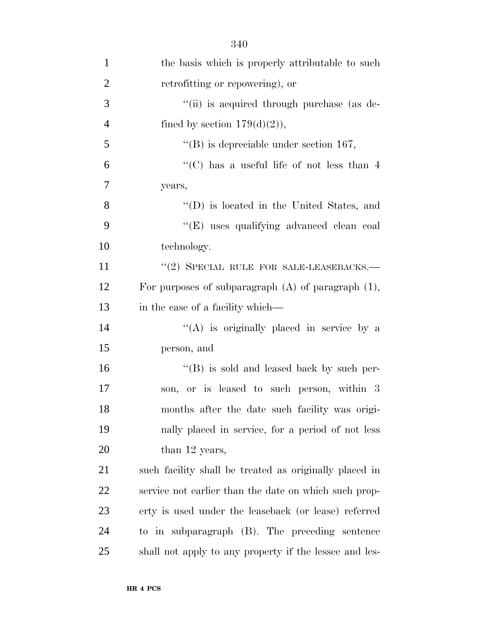| $\mathbf{1}$   | the basis which is properly attributable to such        |
|----------------|---------------------------------------------------------|
| $\overline{2}$ | retrofitting or repowering), or                         |
| 3              | "(ii) is acquired through purchase (as de-              |
| $\overline{4}$ | fined by section $179(d)(2)$ ,                          |
| 5              | $\lq\lq$ is depreciable under section 167,              |
| 6              | "(C) has a useful life of not less than $4$             |
| 7              | years,                                                  |
| 8              | $\lq\lq$ (D) is located in the United States, and       |
| 9              | "(E) uses qualifying advanced clean coal                |
| 10             | technology.                                             |
| 11             | $``(2)$ SPECIAL RULE FOR SALE-LEASEBACKS.—              |
| 12             | For purposes of subparagraph $(A)$ of paragraph $(1)$ , |
| 13             | in the case of a facility which—                        |
| 14             | "(A) is originally placed in service by a               |
| 15             | person, and                                             |
| 16             | "(B) is sold and leased back by such per-               |
| 17             | son, or is leased to such person, within 3              |
| 18             | months after the date such facility was origi-          |
| 19             | nally placed in service, for a period of not less       |
| 20             | than 12 years,                                          |
| 21             | such facility shall be treated as originally placed in  |
| 22             | service not earlier than the date on which such prop-   |
| 23             | erty is used under the leaseback (or lease) referred    |
| 24             | to in subparagraph (B). The preceding sentence          |
| 25             | shall not apply to any property if the lessee and les-  |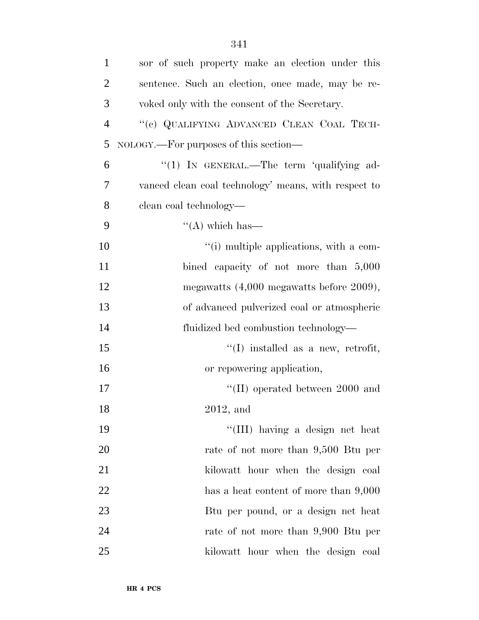| $\mathbf{1}$   | sor of such property make an election under this     |
|----------------|------------------------------------------------------|
| $\overline{2}$ | sentence. Such an election, once made, may be re-    |
| 3              | voked only with the consent of the Secretary.        |
| $\overline{4}$ | "(c) QUALIFYING ADVANCED CLEAN COAL TECH-            |
| 5              | NOLOGY.—For purposes of this section—                |
| 6              | "(1) IN GENERAL.—The term 'qualifying ad-            |
| 7              | vanced clean coal technology' means, with respect to |
| 8              | clean coal technology—                               |
| 9              | $\lq\lq$ which has —                                 |
| 10             | "(i) multiple applications, with a com-              |
| 11             | bined capacity of not more than 5,000                |
| 12             | megawatts $(4,000$ megawatts before $2009$ ),        |
| 13             | of advanced pulverized coal or atmospheric           |
| 14             | fluidized bed combustion technology—                 |
| 15             | $\lq\lq$ (I) installed as a new, retrofit,           |
| 16             | or repowering application,                           |
| 17             | $\lq$ (II) operated between 2000 and                 |
| 18             | $2012$ , and                                         |
| 19             | "(III) having a design net heat                      |
| 20             | rate of not more than 9,500 Btu per                  |
| 21             | kilowatt hour when the design coal                   |
| 22             | has a heat content of more than 9,000                |
| 23             | But per pound, or a design net heat                  |
| 24             | rate of not more than 9,900 Btu per                  |
| 25             | kilowatt hour when the design coal                   |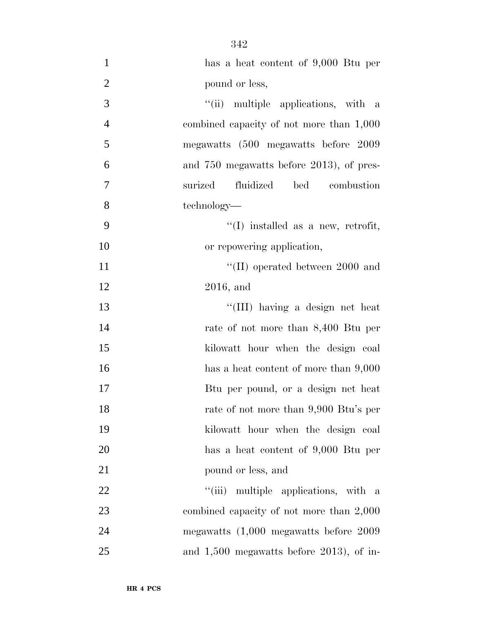| $\mathbf{1}$   | has a heat content of 9,000 Btu per        |
|----------------|--------------------------------------------|
| $\overline{2}$ | pound or less,                             |
| 3              | "(ii) multiple applications, with a        |
| $\overline{4}$ | combined capacity of not more than 1,000   |
| 5              | megawatts (500 megawatts before 2009       |
| 6              | and 750 megawatts before 2013), of pres-   |
| $\overline{7}$ | fluidized<br>surized<br>bed combustion     |
| 8              | technology—                                |
| 9              | $\lq\lq$ (I) installed as a new, retrofit, |
| 10             | or repowering application,                 |
| 11             | $\lq$ (II) operated between 2000 and       |
| 12             | $2016$ , and                               |
| 13             | "(III) having a design net heat            |
| 14             | rate of not more than 8,400 Btu per        |
| 15             | kilowatt hour when the design coal         |
| 16             | has a heat content of more than 9,000      |
| 17             | Btu per pound, or a design net heat        |
| 18             | rate of not more than 9,900 Btu's per      |
| 19             | kilowatt hour when the design coal         |
| 20             | has a heat content of 9,000 Btu per        |
| 21             | pound or less, and                         |
| 22             | "(iii) multiple applications, with a       |
| 23             | combined capacity of not more than 2,000   |
| 24             | megawatts $(1,000$ megawatts before $2009$ |
| 25             | and $1,500$ megawatts before 2013), of in- |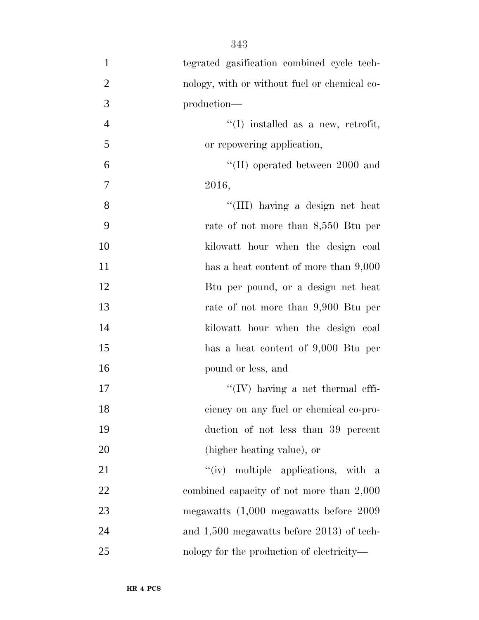tegrated gasification combined cycle tech- nology, with or without fuel or chemical co- production—  $\frac{4}{1}$  installed as a new, retrofit, or repowering application, ''(II) operated between 2000 and 2016, ''(III) having a design net heat rate of not more than 8,550 Btu per kilowatt hour when the design coal 11 has a heat content of more than  $9,000$  Btu per pound, or a design net heat rate of not more than 9,900 Btu per kilowatt hour when the design coal has a heat content of 9,000 Btu per pound or less, and  $\mathcal{H}(\mathbb{I})$  having a net thermal effi- ciency on any fuel or chemical co-pro- duction of not less than 39 percent (higher heating value), or 21 ''(iv) multiple applications, with a combined capacity of not more than 2,000 megawatts (1,000 megawatts before 2009

and 1,500 megawatts before 2013) of tech-

nology for the production of electricity—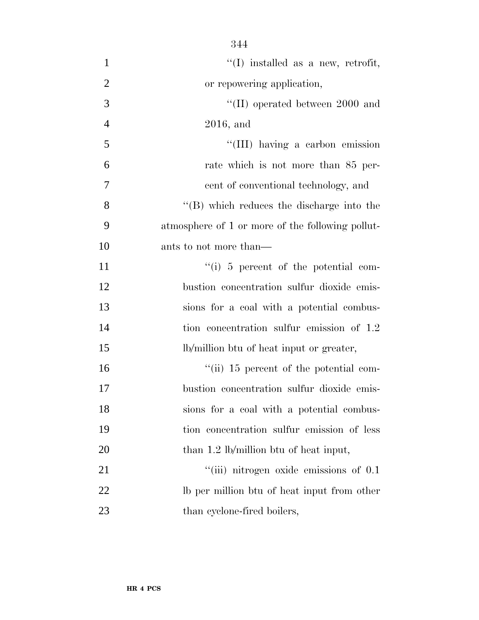| $\mathbf{1}$   | $\lq\lq$ (I) installed as a new, retrofit,       |
|----------------|--------------------------------------------------|
| $\overline{2}$ | or repowering application,                       |
| 3              | $\lq\lq$ (II) operated between 2000 and          |
| $\overline{4}$ | $2016$ , and                                     |
| 5              | "(III) having a carbon emission                  |
| 6              | rate which is not more than 85 per-              |
| $\overline{7}$ | cent of conventional technology, and             |
| 8              | $\lq\lq$ which reduces the discharge into the    |
| 9              | atmosphere of 1 or more of the following pollut- |
| 10             | ants to not more than—                           |
| 11             | $\lq\lq$ (i) 5 percent of the potential com-     |
| 12             | bustion concentration sulfur dioxide emis-       |
| 13             | sions for a coal with a potential combus-        |
| 14             | tion concentration sulfur emission of 1.2        |
| 15             | lb/million btu of heat input or greater,         |
| 16             | "(ii) 15 percent of the potential com-           |
| 17             | bustion concentration sulfur dioxide emis-       |
| 18             | sions for a coal with a potential combus-        |
| 19             | tion concentration sulfur emission of less       |
| 20             | than 1.2 lb/million btu of heat input,           |
| 21             | $``(iii)$ nitrogen oxide emissions of $0.1$      |
| 22             | Ib per million btu of heat input from other      |
| 23             | than cyclone-fired boilers,                      |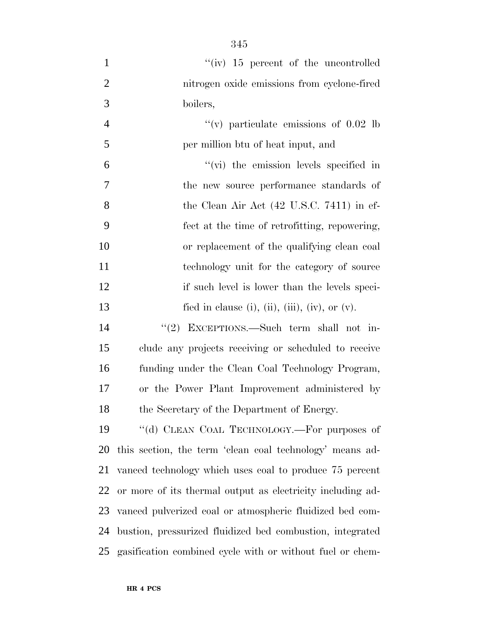| $\mathbf{1}$   | " $(iv)$ 15 percent of the uncontrolled                    |
|----------------|------------------------------------------------------------|
| $\overline{2}$ | nitrogen oxide emissions from cyclone-fired                |
| 3              | boilers,                                                   |
| $\overline{4}$ | "(v) particulate emissions of $0.02$ lb                    |
| 5              | per million btu of heat input, and                         |
| 6              | $\lq\lq$ (vi) the emission levels specified in             |
| 7              | the new source performance standards of                    |
| 8              | the Clean Air Act $(42 \text{ U.S.C. } 7411)$ in ef-       |
| 9              | fect at the time of retrofitting, repowering,              |
| 10             | or replacement of the qualifying clean coal                |
| 11             | technology unit for the category of source                 |
| 12             | if such level is lower than the levels speci-              |
| 13             | fied in clause (i), (ii), (iii), (iv), or $(v)$ .          |
| 14             | "(2) EXCEPTIONS.—Such term shall not in-                   |
| 15             | clude any projects receiving or scheduled to receive       |
| 16             | funding under the Clean Coal Technology Program,           |
| 17             | or the Power Plant Improvement administered by             |
| 18             | the Secretary of the Department of Energy.                 |
| 19             | "(d) CLEAN COAL TECHNOLOGY.—For purposes of                |
| <b>20</b>      | this section, the term 'clean coal technology' means ad-   |
| 21             | vanced technology which uses coal to produce 75 percent    |
| 22             | or more of its thermal output as electricity including ad- |
| 23             | vanced pulverized coal or atmospheric fluidized bed com-   |
| 24             | bustion, pressurized fluidized bed combustion, integrated  |
| 25             | gasification combined cycle with or without fuel or chem-  |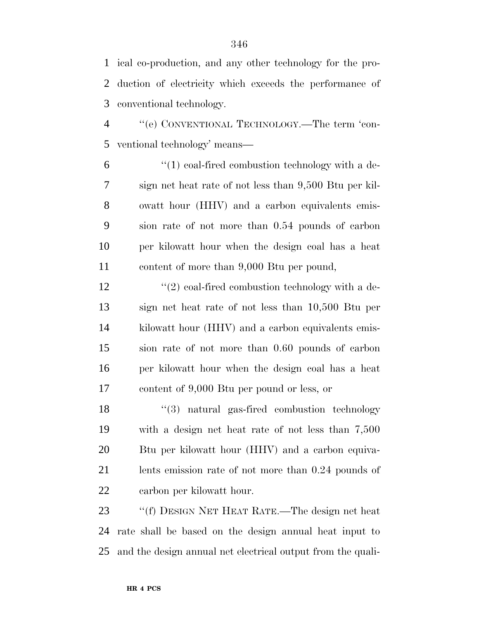ical co-production, and any other technology for the pro- duction of electricity which exceeds the performance of conventional technology.

 ''(e) CONVENTIONAL TECHNOLOGY.—The term 'con-ventional technology' means—

 $(1)$  coal-fired combustion technology with a de- sign net heat rate of not less than 9,500 Btu per kil- owatt hour (HHV) and a carbon equivalents emis- sion rate of not more than 0.54 pounds of carbon per kilowatt hour when the design coal has a heat content of more than 9,000 Btu per pound,

 $'$ (2) coal-fired combustion technology with a de- sign net heat rate of not less than 10,500 Btu per kilowatt hour (HHV) and a carbon equivalents emis- sion rate of not more than 0.60 pounds of carbon per kilowatt hour when the design coal has a heat content of 9,000 Btu per pound or less, or

18 ''(3) natural gas-fired combustion technology with a design net heat rate of not less than 7,500 Btu per kilowatt hour (HHV) and a carbon equiva- lents emission rate of not more than 0.24 pounds of carbon per kilowatt hour.

 ''(f) DESIGN NET HEAT RATE.—The design net heat rate shall be based on the design annual heat input to and the design annual net electrical output from the quali-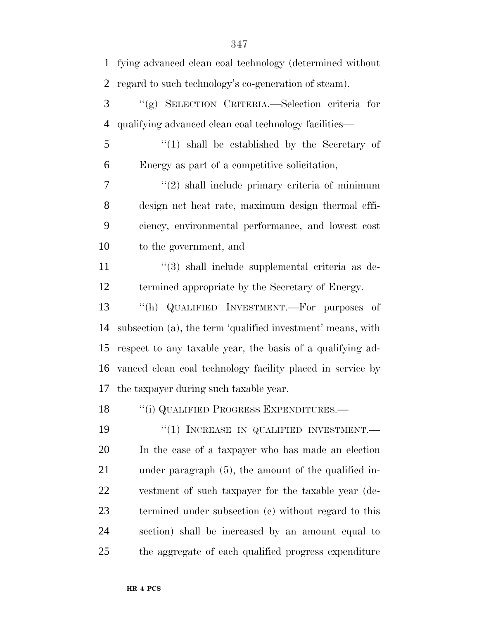| $\mathbf{1}$   | fying advanced clean coal technology (determined without        |  |  |  |
|----------------|-----------------------------------------------------------------|--|--|--|
| $\overline{2}$ | regard to such technology's co-generation of steam).            |  |  |  |
| 3              | "(g) SELECTION CRITERIA.—Selection criteria for                 |  |  |  |
| $\overline{4}$ | qualifying advanced clean coal technology facilities—           |  |  |  |
| 5              | $(1)$ shall be established by the Secretary of                  |  |  |  |
| 6              | Energy as part of a competitive solicitation,                   |  |  |  |
| 7              | $\lq(2)$ shall include primary criteria of minimum              |  |  |  |
| 8              | design net heat rate, maximum design thermal effi-              |  |  |  |
| 9              | ciency, environmental performance, and lowest cost              |  |  |  |
| 10             | to the government, and                                          |  |  |  |
| 11             | $\cdot\cdot\cdot(3)$ shall include supplemental criteria as de- |  |  |  |
| 12             | termined appropriate by the Secretary of Energy.                |  |  |  |
| 13             | "(h) QUALIFIED INVESTMENT.—For purposes of                      |  |  |  |
| 14             | subsection (a), the term 'qualified investment' means, with     |  |  |  |
| 15             | respect to any taxable year, the basis of a qualifying ad-      |  |  |  |
| 16             | vanced clean coal technology facility placed in service by      |  |  |  |
| 17             | the taxpayer during such taxable year.                          |  |  |  |
| 18             | "(i) QUALIFIED PROGRESS EXPENDITURES.-                          |  |  |  |
| 19             | "(1) INCREASE IN QUALIFIED INVESTMENT.-                         |  |  |  |
| 20             | In the case of a taxpayer who has made an election              |  |  |  |
| 21             | under paragraph $(5)$ , the amount of the qualified in-         |  |  |  |
| 22             | vestment of such taxpayer for the taxable year (de-             |  |  |  |
| 23             | termined under subsection (c) without regard to this            |  |  |  |
| 24             | section) shall be increased by an amount equal to               |  |  |  |
| 25             | the aggregate of each qualified progress expenditure            |  |  |  |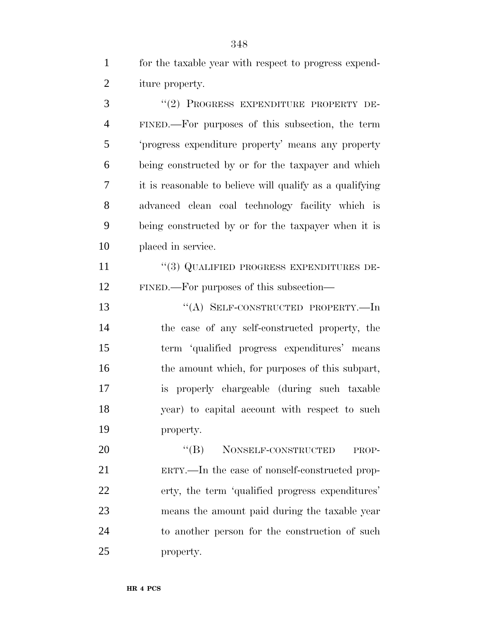for the taxable year with respect to progress expend-iture property.

3 "(2) PROGRESS EXPENDITURE PROPERTY DE- FINED.—For purposes of this subsection, the term 'progress expenditure property' means any property being constructed by or for the taxpayer and which it is reasonable to believe will qualify as a qualifying advanced clean coal technology facility which is being constructed by or for the taxpayer when it is placed in service.

 ''(3) QUALIFIED PROGRESS EXPENDITURES DE-FINED.—For purposes of this subsection—

 ''(A) SELF-CONSTRUCTED PROPERTY.—In the case of any self-constructed property, the term 'qualified progress expenditures' means 16 the amount which, for purposes of this subpart, is properly chargeable (during such taxable year) to capital account with respect to such property.

20 "(B) NONSELF-CONSTRUCTED PROP- ERTY.—In the case of nonself-constructed prop- erty, the term 'qualified progress expenditures' means the amount paid during the taxable year to another person for the construction of such property.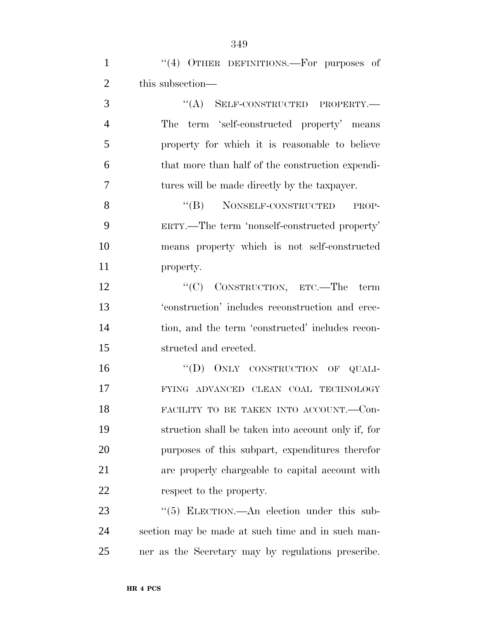1 "(4) OTHER DEFINITIONS.—For purposes of this subsection—  $((A)$  SELF-CONSTRUCTED PROPERTY. The term 'self-constructed property' means

 property for which it is reasonable to believe that more than half of the construction expendi-tures will be made directly by the taxpayer.

8 "(B) NONSELF-CONSTRUCTED PROP- ERTY.—The term 'nonself-constructed property' means property which is not self-constructed property.

12 "<sup>"</sup>(C) CONSTRUCTION, ETC.—The term 'construction' includes reconstruction and erec- tion, and the term 'constructed' includes recon-structed and erected.

16 "(D) ONLY CONSTRUCTION OF QUALI- FYING ADVANCED CLEAN COAL TECHNOLOGY FACILITY TO BE TAKEN INTO ACCOUNT.—Con- struction shall be taken into account only if, for purposes of this subpart, expenditures therefor are properly chargeable to capital account with respect to the property.

23 "(5) ELECTION.—An election under this sub- section may be made at such time and in such man-ner as the Secretary may by regulations prescribe.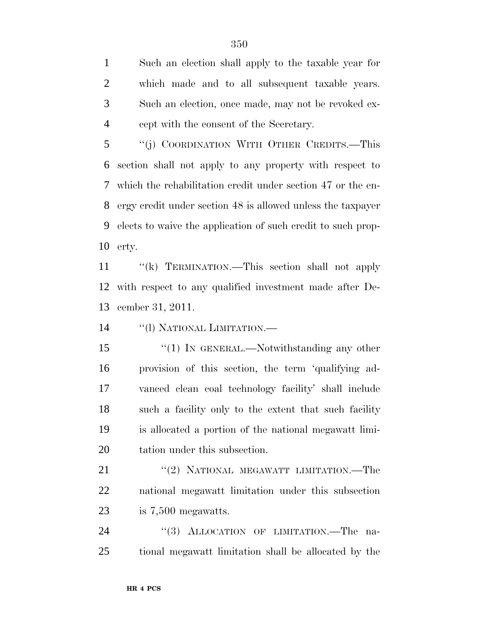Such an election shall apply to the taxable year for which made and to all subsequent taxable years. Such an election, once made, may not be revoked ex-cept with the consent of the Secretary.

 ''(j) COORDINATION WITH OTHER CREDITS.—This section shall not apply to any property with respect to which the rehabilitation credit under section 47 or the en- ergy credit under section 48 is allowed unless the taxpayer elects to waive the application of such credit to such prop-erty.

 ''(k) TERMINATION.—This section shall not apply with respect to any qualified investment made after De-cember 31, 2011.

''(l) NATIONAL LIMITATION.—

15 "(1) IN GENERAL.—Notwithstanding any other provision of this section, the term 'qualifying ad- vanced clean coal technology facility' shall include such a facility only to the extent that such facility is allocated a portion of the national megawatt limi-tation under this subsection.

21 ''(2) NATIONAL MEGAWATT LIMITATION.—The national megawatt limitation under this subsection is 7,500 megawatts.

24 "(3) ALLOCATION OF LIMITATION.—The na-tional megawatt limitation shall be allocated by the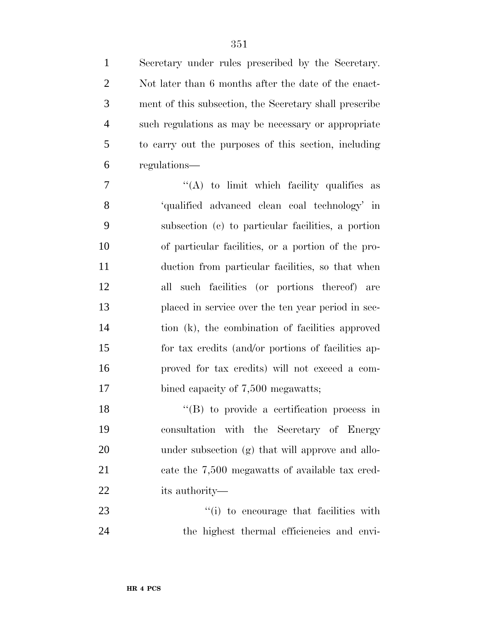Secretary under rules prescribed by the Secretary. Not later than 6 months after the date of the enact- ment of this subsection, the Secretary shall prescribe such regulations as may be necessary or appropriate to carry out the purposes of this section, including regulations—

 ''(A) to limit which facility qualifies as 'qualified advanced clean coal technology' in subsection (c) to particular facilities, a portion of particular facilities, or a portion of the pro- duction from particular facilities, so that when all such facilities (or portions thereof) are placed in service over the ten year period in sec- tion (k), the combination of facilities approved for tax credits (and/or portions of facilities ap- proved for tax credits) will not exceed a com-17 bined capacity of 7,500 megawatts;

18 "(B) to provide a certification process in consultation with the Secretary of Energy under subsection (g) that will approve and allo-21 cate the 7,500 megawatts of available tax cred-its authority—

23  $\frac{1}{1}$  to encourage that facilities with the highest thermal efficiencies and envi-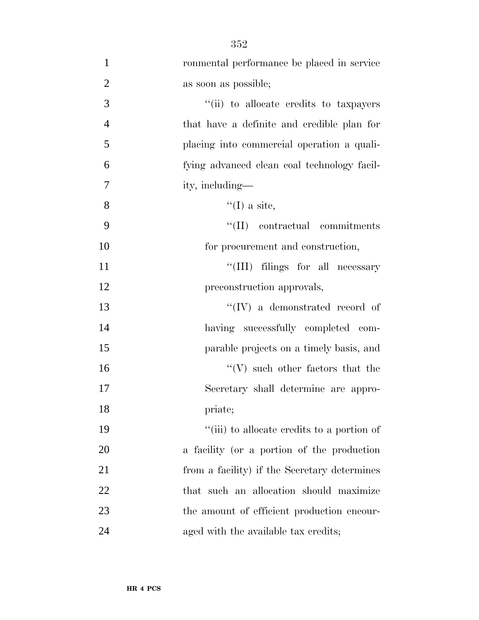| $\mathbf{1}$   | ronmental performance be placed in service   |
|----------------|----------------------------------------------|
| $\overline{c}$ | as soon as possible;                         |
| $\overline{3}$ | "(ii) to allocate credits to taxpayers       |
| $\overline{4}$ | that have a definite and credible plan for   |
| 5              | placing into commercial operation a quali-   |
| 6              | fying advanced clean coal technology facil-  |
| 7              | ity, including—                              |
| 8              | $\lq (I)$ a site,                            |
| 9              | $\lq\lq$ (II) contractual commitments        |
| 10             | for procurement and construction,            |
| 11             | "(III) filings for all necessary             |
| 12             | preconstruction approvals,                   |
| 13             | $``(IV)$ a demonstrated record of            |
| 14             | having successfully completed com-           |
| 15             | parable projects on a timely basis, and      |
| 16             | $``(V)$ such other factors that the          |
| 17             | Secretary shall determine are appro-         |
| 18             | priate;                                      |
| 19             | "(iii) to allocate credits to a portion of   |
| 20             | a facility (or a portion of the production   |
| 21             | from a facility) if the Secretary determines |
| 22             | that such an allocation should maximize      |
| 23             | the amount of efficient production encour-   |
| 24             | aged with the available tax credits;         |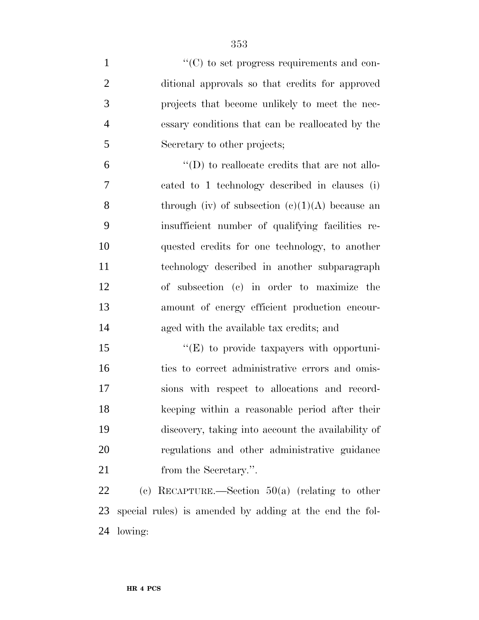| $\mathbf{1}$   | $\cdot\cdot$ (C) to set progress requirements and con-  |
|----------------|---------------------------------------------------------|
| $\overline{2}$ | ditional approvals so that credits for approved         |
| 3              | projects that become unlikely to meet the nec-          |
| $\overline{4}$ | essary conditions that can be reallocated by the        |
| $\mathfrak{S}$ | Secretary to other projects;                            |
| 6              | $\lq\lq$ to reallocate credits that are not allo-       |
| 7              | cated to 1 technology described in clauses (i)          |
| 8              | through (iv) of subsection $(e)(1)(A)$ because an       |
| 9              | insufficient number of qualifying facilities re-        |
| 10             | quested credits for one technology, to another          |
| 11             | technology described in another subparagraph            |
| 12             | of subsection (c) in order to maximize the              |
| 13             | amount of energy efficient production encour-           |
| 14             | aged with the available tax credits; and                |
| 15             | "(E) to provide taxpayers with opportuni-               |
| 16             | ties to correct administrative errors and omis-         |
| 17             | sions with respect to allocations and record-           |
| 18             | keeping within a reasonable period after their          |
| 19             | discovery, taking into account the availability of      |
| 20             | regulations and other administrative guidance           |
| 21             | from the Secretary.".                                   |
| 22             | (c) RECAPTURE.—Section $50(a)$ (relating to other       |
| 23             | special rules) is amended by adding at the end the fol- |

lowing: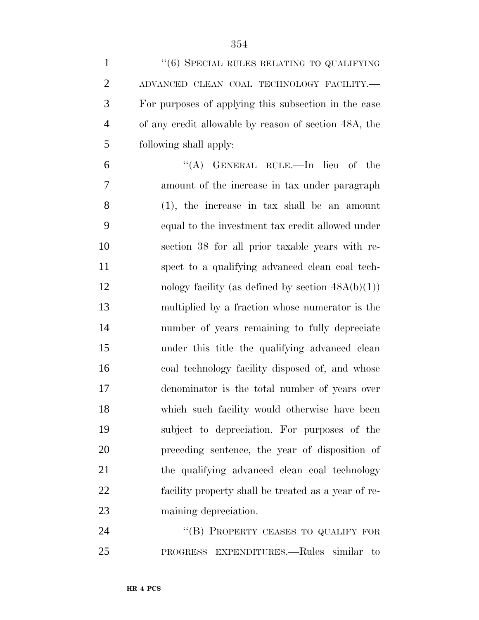| $\mathbf{1}$   | "(6) SPECIAL RULES RELATING TO QUALIFYING             |
|----------------|-------------------------------------------------------|
| $\overline{2}$ | ADVANCED CLEAN COAL TECHNOLOGY FACILITY.-             |
| 3              | For purposes of applying this subsection in the case  |
| $\overline{4}$ | of any credit allowable by reason of section 48A, the |
| 5              | following shall apply:                                |
| 6              | "(A) GENERAL RULE.—In lieu of the                     |
| 7              | amount of the increase in tax under paragraph         |
| 8              | $(1)$ , the increase in tax shall be an amount        |
| 9              | equal to the investment tax credit allowed under      |
| 10             | section 38 for all prior taxable years with re-       |
| 11             | spect to a qualifying advanced clean coal tech-       |
| 12             | nology facility (as defined by section $48A(b)(1)$ )  |
| 13             | multiplied by a fraction whose numerator is the       |
| 14             | number of years remaining to fully depreciate         |
| 15             | under this title the qualifying advanced clean        |
| 16             | coal technology facility disposed of, and whose       |
| 17             | denominator is the total number of years over         |
| 18             | which such facility would otherwise have been         |
| 19             | subject to depreciation. For purposes of the          |
| 20             | preceding sentence, the year of disposition of        |
| 21             | the qualifying advanced clean coal technology         |
| 22             | facility property shall be treated as a year of re-   |
| 23             | maining depreciation.                                 |
| 24             | "(B) PROPERTY CEASES TO QUALIFY FOR                   |
| 25             | PROGRESS EXPENDITURES.—Rules similar to               |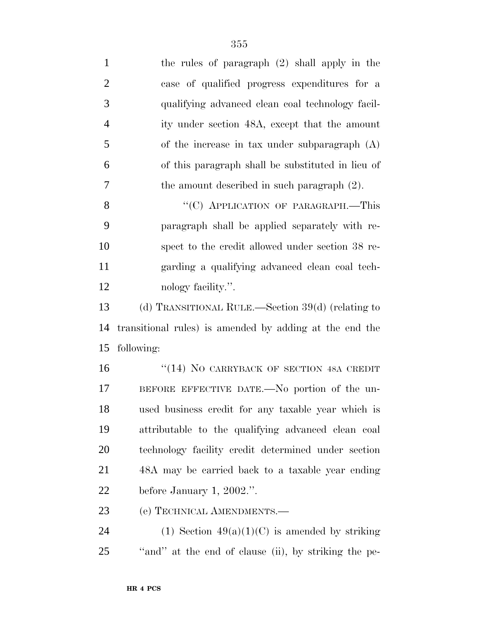| $\mathbf{1}$   | the rules of paragraph $(2)$ shall apply in the         |
|----------------|---------------------------------------------------------|
| $\overline{2}$ | case of qualified progress expenditures for a           |
| 3              | qualifying advanced clean coal technology facil-        |
| $\overline{4}$ | ity under section 48A, except that the amount           |
| 5              | of the increase in tax under subparagraph $(A)$         |
| 6              | of this paragraph shall be substituted in lieu of       |
| 7              | the amount described in such paragraph $(2)$ .          |
| 8              | "(C) APPLICATION OF PARAGRAPH.-This                     |
| 9              | paragraph shall be applied separately with re-          |
| 10             | spect to the credit allowed under section 38 re-        |
| 11             | garding a qualifying advanced clean coal tech-          |
| 12             | nology facility.".                                      |
| 13             | (d) TRANSITIONAL RULE.—Section 39(d) (relating to       |
| 14             | transitional rules) is amended by adding at the end the |
| 15             | following:                                              |
| 16             | "(14) NO CARRYBACK OF SECTION 48A CREDIT                |
| 17             | BEFORE EFFECTIVE DATE.—No portion of the un-            |
| 18             | used business credit for any taxable year which is      |
| 19             | attributable to the qualifying advanced clean coal      |
| 20             | technology facility credit determined under section     |
| 21             | 48A may be carried back to a taxable year ending        |
| 22             | before January 1, 2002.".                               |
|                |                                                         |

(e) TECHNICAL AMENDMENTS.—

24 (1) Section  $49(a)(1)(C)$  is amended by striking ''and'' at the end of clause (ii), by striking the pe-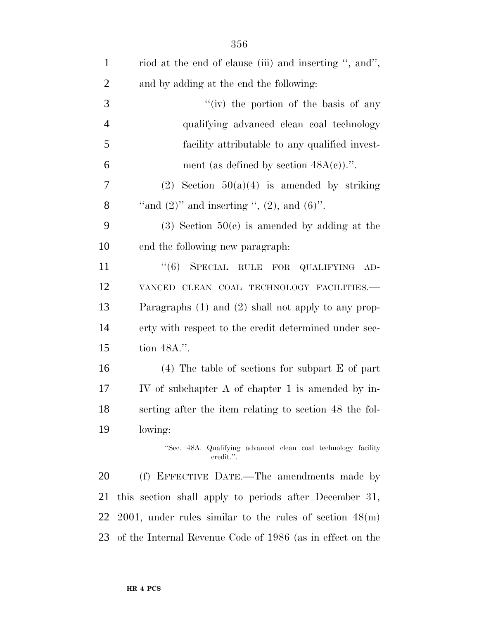| riod at the end of clause (iii) and inserting ", and",                     |
|----------------------------------------------------------------------------|
| and by adding at the end the following:                                    |
| "(iv) the portion of the basis of any                                      |
| qualifying advanced clean coal technology                                  |
| facility attributable to any qualified invest-                             |
| ment (as defined by section $48A(c)$ ).".                                  |
| (2) Section $50(a)(4)$ is amended by striking                              |
| "and $(2)$ " and inserting ", $(2)$ , and $(6)$ ".                         |
| $(3)$ Section $50(c)$ is amended by adding at the                          |
| end the following new paragraph:                                           |
| "(6) SPECIAL RULE FOR QUALIFYING AD-                                       |
| VANCED CLEAN COAL TECHNOLOGY FACILITIES.-                                  |
| Paragraphs $(1)$ and $(2)$ shall not apply to any prop-                    |
| erty with respect to the credit determined under sec-                      |
| tion 48A.".                                                                |
| $(4)$ The table of sections for subpart E of part                          |
| IV of subchapter A of chapter 1 is amended by in-                          |
| serting after the item relating to section 48 the fol-                     |
| lowing:                                                                    |
| "Sec. 48A. Qualifying advanced clean coal technology facility<br>credit.". |
| (f) EFFECTIVE DATE.—The amendments made by                                 |
| this section shall apply to periods after December 31,                     |
| $2001$ , under rules similar to the rules of section $48(m)$               |
| of the Internal Revenue Code of 1986 (as in effect on the                  |
|                                                                            |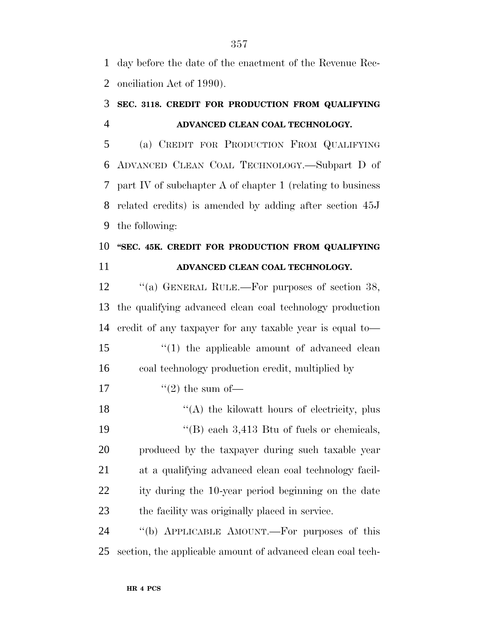day before the date of the enactment of the Revenue Rec-onciliation Act of 1990).

# **SEC. 3118. CREDIT FOR PRODUCTION FROM QUALIFYING ADVANCED CLEAN COAL TECHNOLOGY.**

 (a) CREDIT FOR PRODUCTION FROM QUALIFYING ADVANCED CLEAN COAL TECHNOLOGY.—Subpart D of part IV of subchapter A of chapter 1 (relating to business related credits) is amended by adding after section 45J the following:

## **''SEC. 45K. CREDIT FOR PRODUCTION FROM QUALIFYING ADVANCED CLEAN COAL TECHNOLOGY.**

12 "(a) GENERAL RULE.—For purposes of section 38, the qualifying advanced clean coal technology production credit of any taxpayer for any taxable year is equal to— 15 ''(1) the applicable amount of advanced clean coal technology production credit, multiplied by  $\frac{17}{2}$  the sum of —  $\langle (A)$  the kilowatt hours of electricity, plus ''(B) each 3,413 Btu of fuels or chemicals, produced by the taxpayer during such taxable year at a qualifying advanced clean coal technology facil- ity during the 10-year period beginning on the date the facility was originally placed in service. ''(b) APPLICABLE AMOUNT.—For purposes of this section, the applicable amount of advanced clean coal tech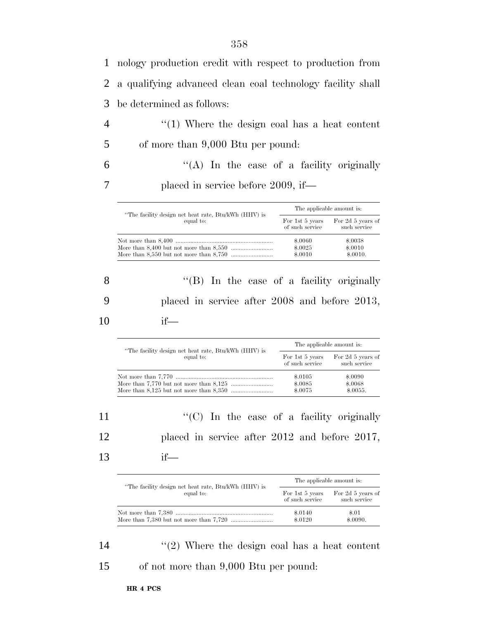1 nology production credit with respect to production from 2 a qualifying advanced clean coal technology facility shall 3 be determined as follows:

4 ''(1) Where the design coal has a heat content 5 of more than 9,000 Btu per pound:

 $6$  ''(A) In the case of a facility originally 7 placed in service before 2009, if—

| "The facility design net heat rate, Btu/kWh (HHV) is<br>equal to: | The applicable amount is:          |                                   |
|-------------------------------------------------------------------|------------------------------------|-----------------------------------|
|                                                                   | For 1st 5 years<br>of such service | For 2d 5 years of<br>such service |
|                                                                   | \$.0060<br>\$.0025                 | \$.0038<br>\$.0010                |
|                                                                   | \$.0010                            | \$.0010.                          |

8 ''(B) In the case of a facility originally 9 placed in service after 2008 and before 2013, 10 if—

|                                                                   |                                    | The applicable amount is:         |  |
|-------------------------------------------------------------------|------------------------------------|-----------------------------------|--|
| "The facility design net heat rate, Btu/kWh (HHV) is<br>equal to: | For 1st 5 years<br>of such service | For 2d 5 years of<br>such service |  |
|                                                                   | \$.0105                            | \$.0090                           |  |
|                                                                   | \$.0085                            | \$.0068                           |  |
|                                                                   | \$,0075                            | \$.0055.                          |  |

11  $\langle ^{\prime}(C) \rangle$  In the case of a facility originally 12 placed in service after 2012 and before 2017,

13 if—

|                                                      | The applicable amount is: |                   |
|------------------------------------------------------|---------------------------|-------------------|
| "The facility design net heat rate, Btu/kWh (HHV) is | For 1st 5 years           | For 2d 5 years of |
| equal to:                                            | of such service           | such service      |
|                                                      | $\$.0140$                 | \$.01             |
|                                                      | \$.0120                   | \$.0090.          |

14 ''(2) Where the design coal has a heat content 15 of not more than 9,000 Btu per pound: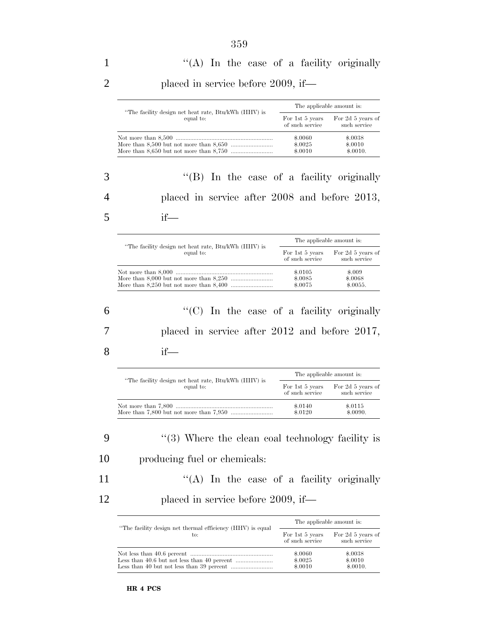| "The facility design net heat rate, Btu/kWh (HHV) is | The applicable amount is:          |                                   |
|------------------------------------------------------|------------------------------------|-----------------------------------|
| equal to:                                            | For 1st 5 years<br>of such service | For 2d 5 years of<br>such service |
|                                                      | \$.0060<br>\$.0025<br>\$.0010      | \$.0038<br>\$.0010<br>\$.0010.    |

3 ''(B) In the case of a facility originally 4 placed in service after 2008 and before 2013, 5 if—

| "The facility design net heat rate, Btu/kWh (HHV) is<br>equal to: | The applicable amount is:          |                                   |
|-------------------------------------------------------------------|------------------------------------|-----------------------------------|
|                                                                   | For 1st 5 years<br>of such service | For 2d 5 years of<br>such service |
|                                                                   | \$.0105<br>\$.0085<br>\$.0075      | \$.009<br>\$,0068<br>\$.0055.     |

6 ''(C) In the case of a facility originally 7 placed in service after 2012 and before 2017, 8 if—

| "The facility design net heat rate, Btu/kWh (HHV) is<br>equal to: | The applicable amount is:          |                                   |
|-------------------------------------------------------------------|------------------------------------|-----------------------------------|
|                                                                   | For 1st 5 years<br>of such service | For 2d 5 years of<br>such service |
|                                                                   | \$.0140<br>\$.0120                 | \$.0115<br>\$.0090.               |

9 ''(3) Where the clean coal technology facility is 10 producing fuel or chemicals:

11 ''(A) In the case of a facility originally 12 placed in service before 2009, if—

| "The facility design net thermal efficiency (HHV) is equal<br>to: | The applicable amount is:          |                                   |
|-------------------------------------------------------------------|------------------------------------|-----------------------------------|
|                                                                   | For 1st 5 years<br>of such service | For 2d 5 years of<br>such service |
|                                                                   | \$,0060                            | \$.0038                           |
|                                                                   | \$.0025                            | \$.0010                           |
|                                                                   | \$.0010                            | \$.0010.                          |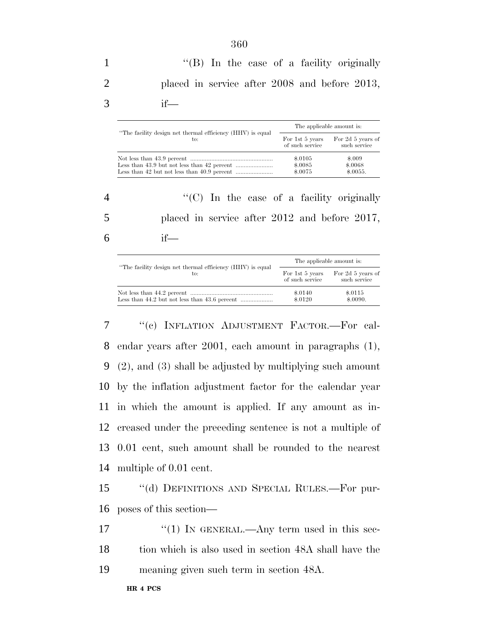1 ''(B) In the case of a facility originally 2 placed in service after 2008 and before 2013, 3 if—

| "The facility design net thermal efficiency (HHV) is equal<br>to: | The applicable amount is:          |                                   |
|-------------------------------------------------------------------|------------------------------------|-----------------------------------|
|                                                                   | For 1st 5 years<br>of such service | For 2d 5 years of<br>such service |
|                                                                   | \$.0105<br>\$.0085<br>\$,0075      | \$.009<br>\$.0068<br>\$.0055.     |

4 ''(C) In the case of a facility originally 5 placed in service after 2012 and before 2017,  $6$  if—

| "The facility design net thermal efficiency (HHV) is equal<br>to: | The applicable amount is:          |                                   |
|-------------------------------------------------------------------|------------------------------------|-----------------------------------|
|                                                                   | For 1st 5 years<br>of such service | For 2d 5 years of<br>such service |
|                                                                   | \$.0140<br>\$.0120                 | \$.0115<br>\$.0090.               |

 ''(c) INFLATION ADJUSTMENT FACTOR.—For cal- endar years after 2001, each amount in paragraphs (1), (2), and (3) shall be adjusted by multiplying such amount by the inflation adjustment factor for the calendar year in which the amount is applied. If any amount as in- creased under the preceding sentence is not a multiple of 0.01 cent, such amount shall be rounded to the nearest multiple of 0.01 cent.

15 ''(d) DEFINITIONS AND SPECIAL RULES.—For pur-16 poses of this section—

17  $\frac{17}{2}$   $\frac{17}{2}$  IN GENERAL.—Any term used in this sec-18 tion which is also used in section 48A shall have the 19 meaning given such term in section 48A.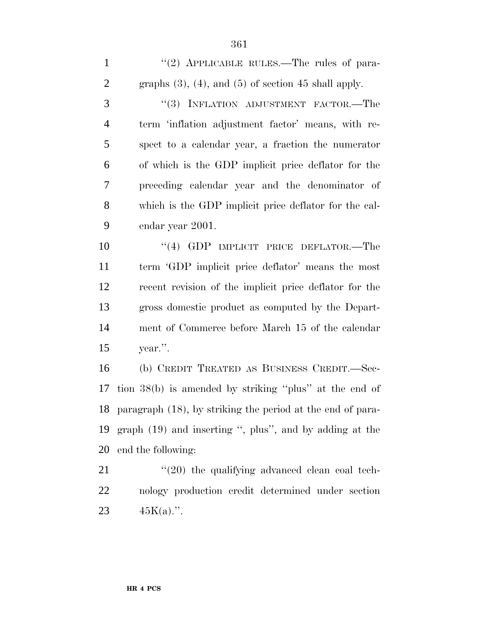1 "(2) APPLICABLE RULES.—The rules of para-2 graphs  $(3)$ ,  $(4)$ , and  $(5)$  of section 45 shall apply. 3 "(3) INFLATION ADJUSTMENT FACTOR.—The term 'inflation adjustment factor' means, with re- spect to a calendar year, a fraction the numerator of which is the GDP implicit price deflator for the

 preceding calendar year and the denominator of which is the GDP implicit price deflator for the cal-endar year 2001.

10 "(4) GDP IMPLICIT PRICE DEFLATOR.—The term 'GDP implicit price deflator' means the most recent revision of the implicit price deflator for the gross domestic product as computed by the Depart- ment of Commerce before March 15 of the calendar year.''.

 (b) CREDIT TREATED AS BUSINESS CREDIT.—Sec- tion 38(b) is amended by striking ''plus'' at the end of paragraph (18), by striking the period at the end of para- graph (19) and inserting '', plus'', and by adding at the end the following:

 ''(20) the qualifying advanced clean coal tech- nology production credit determined under section 23  $45K(a)$ .".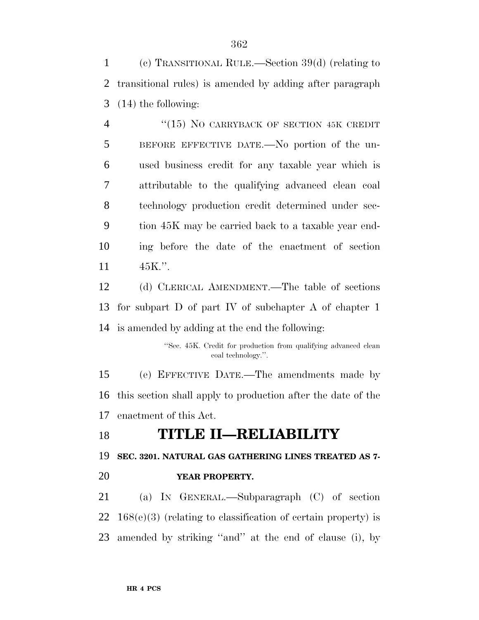(c) TRANSITIONAL RULE.—Section 39(d) (relating to transitional rules) is amended by adding after paragraph (14) the following:

4 "(15) NO CARRYBACK OF SECTION 45K CREDIT BEFORE EFFECTIVE DATE.—No portion of the un- used business credit for any taxable year which is attributable to the qualifying advanced clean coal technology production credit determined under sec- tion 45K may be carried back to a taxable year end- ing before the date of the enactment of section 45K.''.

 (d) CLERICAL AMENDMENT.—The table of sections for subpart D of part IV of subchapter A of chapter 1 is amended by adding at the end the following:

> ''Sec. 45K. Credit for production from qualifying advanced clean coal technology.''.

 (e) EFFECTIVE DATE.—The amendments made by this section shall apply to production after the date of the enactment of this Act.

**TITLE II—RELIABILITY**

**SEC. 3201. NATURAL GAS GATHERING LINES TREATED AS 7-**

**YEAR PROPERTY.**

 (a) IN GENERAL.—Subparagraph (C) of section 168(e)(3) (relating to classification of certain property) is amended by striking ''and'' at the end of clause (i), by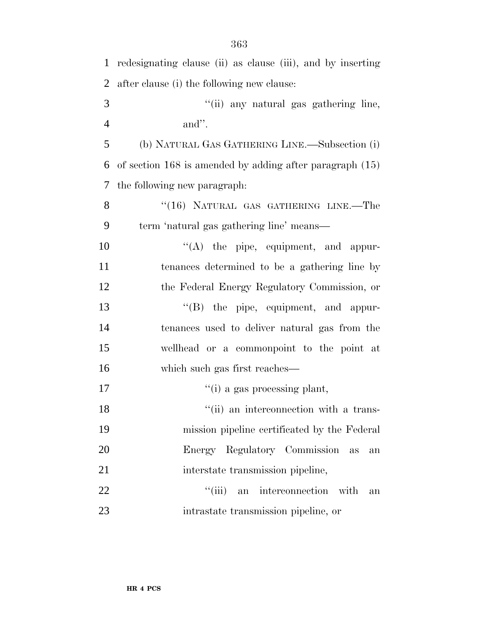| $\mathbf{1}$   | redesignating clause (ii) as clause (iii), and by inserting  |
|----------------|--------------------------------------------------------------|
| $\overline{2}$ | after clause (i) the following new clause:                   |
| 3              | "(ii) any natural gas gathering line,                        |
| $\overline{4}$ | and".                                                        |
| 5              | (b) NATURAL GAS GATHERING LINE.—Subsection (i)               |
| 6              | of section $168$ is amended by adding after paragraph $(15)$ |
| 7              | the following new paragraph:                                 |
| 8              | "(16) NATURAL GAS GATHERING LINE.-The                        |
| 9              | term 'natural gas gathering line' means—                     |
| 10             | $\lq\lq$ the pipe, equipment, and appur-                     |
| 11             | tenances determined to be a gathering line by                |
| 12             | the Federal Energy Regulatory Commission, or                 |
| 13             | "(B) the pipe, equipment, and appur-                         |
| 14             | tenances used to deliver natural gas from the                |
| 15             | wellhead or a commonpoint to the point at                    |
| 16             | which such gas first reaches—                                |
| 17             | $f'(i)$ a gas processing plant,                              |
| 18             | "(ii) an interconnection with a trans-                       |
| 19             | mission pipeline certificated by the Federal                 |
| 20             | Energy Regulatory Commission<br>as<br>an                     |
| 21             | interstate transmission pipeline,                            |
| 22             | "(iii) an interconnection with<br>an                         |
| 23             | intrastate transmission pipeline, or                         |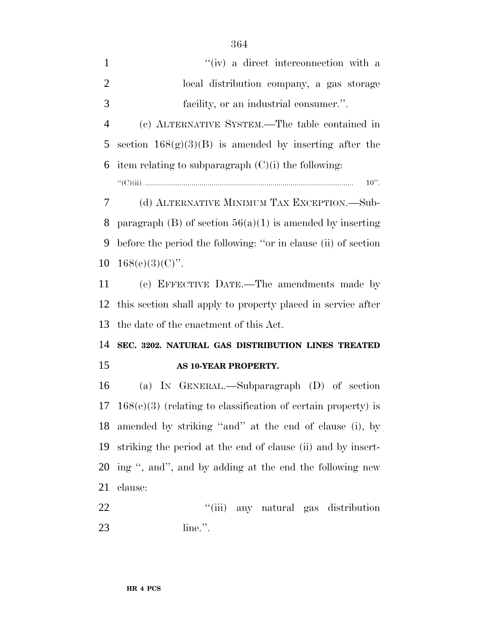| 1              | "(iv) a direct interconnection with a                          |
|----------------|----------------------------------------------------------------|
| $\overline{2}$ | local distribution company, a gas storage                      |
| 3              | facility, or an industrial consumer.".                         |
| 4              | (c) ALTERNATIVE SYSTEM.—The table contained in                 |
| 5              | section $168(g)(3)(B)$ is amended by inserting after the       |
|                | 6 item relating to subparagraph $(C)(i)$ the following:        |
|                | $10$ ".                                                        |
|                | (d) ALTERNATIVE MINIMUM TAX EXCEPTION.—Sub-<br>$7\degree$      |
| 8              | paragraph (B) of section $56(a)(1)$ is amended by inserting    |
| 9              | before the period the following: "or in clause (ii) of section |
|                | 10 $168(e)(3)(C)$ ".                                           |

 (e) EFFECTIVE DATE.—The amendments made by this section shall apply to property placed in service after the date of the enactment of this Act.

### **SEC. 3202. NATURAL GAS DISTRIBUTION LINES TREATED AS 10-YEAR PROPERTY.**

 (a) IN GENERAL.—Subparagraph (D) of section 168(e)(3) (relating to classification of certain property) is amended by striking ''and'' at the end of clause (i), by striking the period at the end of clause (ii) and by insert- ing '', and'', and by adding at the end the following new clause:

 ''(iii) any natural gas distribution line.''.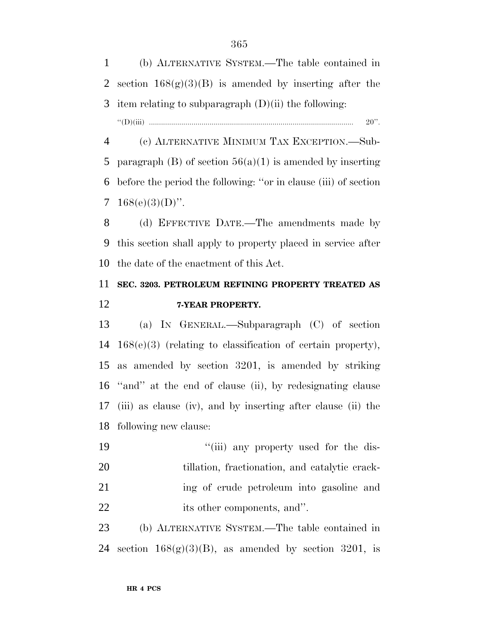(b) ALTERNATIVE SYSTEM.—The table contained in 2 section  $168(g)(3)(B)$  is amended by inserting after the 3 item relating to subparagraph  $(D)(ii)$  the following: ''(D)(iii) ..................................................................................................... 20''.

 (c) ALTERNATIVE MINIMUM TAX EXCEPTION.—Sub-5 paragraph (B) of section  $56(a)(1)$  is amended by inserting before the period the following: ''or in clause (iii) of section  $168(e)(3)(D)$ ".

 (d) EFFECTIVE DATE.—The amendments made by this section shall apply to property placed in service after the date of the enactment of this Act.

## **SEC. 3203. PETROLEUM REFINING PROPERTY TREATED AS 7-YEAR PROPERTY.**

 (a) IN GENERAL.—Subparagraph (C) of section 168(e)(3) (relating to classification of certain property), as amended by section 3201, is amended by striking ''and'' at the end of clause (ii), by redesignating clause (iii) as clause (iv), and by inserting after clause (ii) the following new clause:

 $\frac{1}{10}$  any property used for the dis- tillation, fractionation, and catalytic crack- ing of crude petroleum into gasoline and 22 its other components, and".

 (b) ALTERNATIVE SYSTEM.—The table contained in 24 section  $168(g)(3)(B)$ , as amended by section 3201, is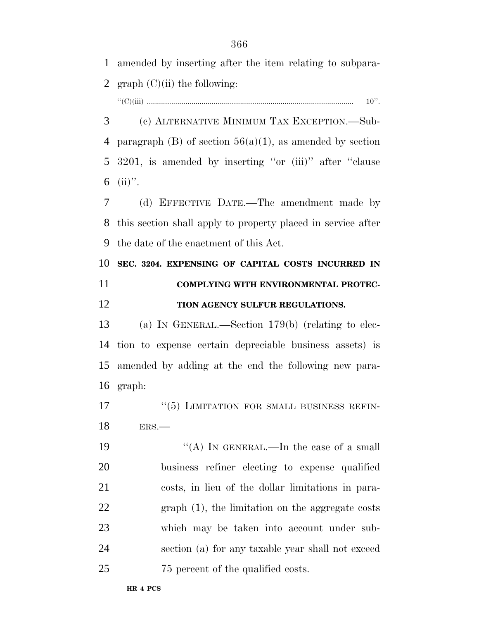| $\mathbf{1}$ | amended by inserting after the item relating to subpara-     |
|--------------|--------------------------------------------------------------|
| 2            | $graph (C)(ii)$ the following:                               |
|              | $10$ ".                                                      |
| 3            | (c) ALTERNATIVE MINIMUM TAX EXCEPTION.—Sub-                  |
| 4            | paragraph (B) of section $56(a)(1)$ , as amended by section  |
| 5            | 3201, is amended by inserting "or (iii)" after "clause       |
| 6            | $(ii)$ ".                                                    |
| 7            | (d) EFFECTIVE DATE.—The amendment made by                    |
| 8            | this section shall apply to property placed in service after |
| 9            | the date of the enactment of this Act.                       |
| 10           | SEC. 3204. EXPENSING OF CAPITAL COSTS INCURRED IN            |
| 11           | COMPLYING WITH ENVIRONMENTAL PROTEC-                         |
| 12           | TION AGENCY SULFUR REGULATIONS.                              |
|              |                                                              |
| 13           | (a) IN GENERAL.—Section $179(b)$ (relating to elec-          |
| 14           | tion to expense certain depreciable business assets) is      |
| 15           | amended by adding at the end the following new para-         |
| 16           | graph:                                                       |
| 17           | $``(5)$ LIMITATION FOR SMALL BUSINESS REFIN-                 |
| 18           | ERS.                                                         |
|              | "(A) IN GENERAL.—In the case of a small                      |
| 19<br>20     | business refiner electing to expense qualified               |
| 21           | costs, in lieu of the dollar limitations in para-            |
| 22           | $graph(1)$ , the limitation on the aggregate costs           |
| 23           | which may be taken into account under sub-                   |
| 24           | section (a) for any taxable year shall not exceed            |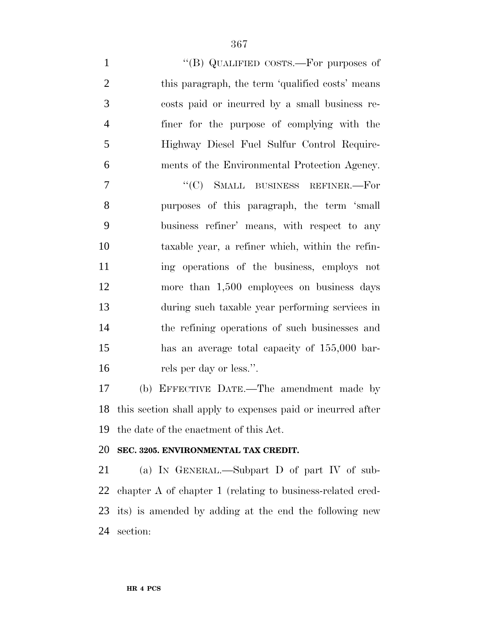$''(B)$  QUALIFIED COSTS.—For purposes of 2 this paragraph, the term 'qualified costs' means costs paid or incurred by a small business re- finer for the purpose of complying with the Highway Diesel Fuel Sulfur Control Require-

ments of the Environmental Protection Agency.

7 "'(C) SMALL BUSINESS REFINER.—For purposes of this paragraph, the term 'small business refiner' means, with respect to any taxable year, a refiner which, within the refin- ing operations of the business, employs not more than 1,500 employees on business days during such taxable year performing services in the refining operations of such businesses and has an average total capacity of 155,000 bar-rels per day or less.''.

 (b) EFFECTIVE DATE.—The amendment made by this section shall apply to expenses paid or incurred after the date of the enactment of this Act.

#### **SEC. 3205. ENVIRONMENTAL TAX CREDIT.**

 (a) IN GENERAL.—Subpart D of part IV of sub- chapter A of chapter 1 (relating to business-related cred- its) is amended by adding at the end the following new section: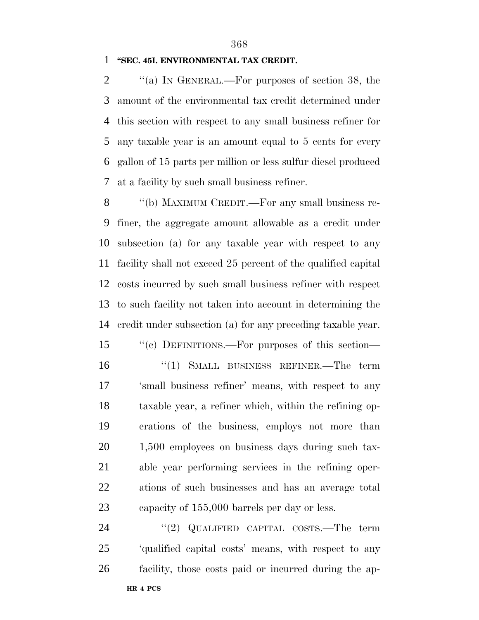#### **''SEC. 45I. ENVIRONMENTAL TAX CREDIT.**

 $\langle$  (a) In GENERAL.—For purposes of section 38, the amount of the environmental tax credit determined under this section with respect to any small business refiner for any taxable year is an amount equal to 5 cents for every gallon of 15 parts per million or less sulfur diesel produced at a facility by such small business refiner.

8 "(b) MAXIMUM CREDIT.—For any small business re- finer, the aggregate amount allowable as a credit under subsection (a) for any taxable year with respect to any facility shall not exceed 25 percent of the qualified capital costs incurred by such small business refiner with respect to such facility not taken into account in determining the credit under subsection (a) for any preceding taxable year.

 ''(c) DEFINITIONS.—For purposes of this section— ''(1) SMALL BUSINESS REFINER.—The term 'small business refiner' means, with respect to any taxable year, a refiner which, within the refining op- erations of the business, employs not more than 1,500 employees on business days during such tax- able year performing services in the refining oper- ations of such businesses and has an average total capacity of 155,000 barrels per day or less.

24 ''(2) QUALIFIED CAPITAL COSTS.—The term 'qualified capital costs' means, with respect to any facility, those costs paid or incurred during the ap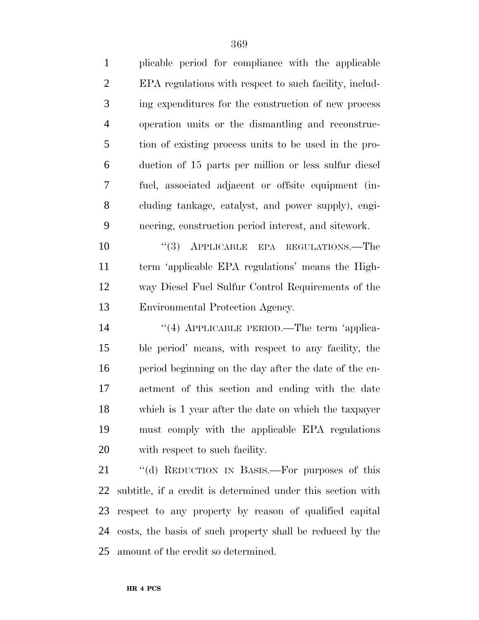plicable period for compliance with the applicable EPA regulations with respect to such facility, includ- ing expenditures for the construction of new process operation units or the dismantling and reconstruc- tion of existing process units to be used in the pro- duction of 15 parts per million or less sulfur diesel fuel, associated adjacent or offsite equipment (in- cluding tankage, catalyst, and power supply), engi-neering, construction period interest, and sitework.

10 "(3) APPLICABLE EPA REGULATIONS.—The term 'applicable EPA regulations' means the High- way Diesel Fuel Sulfur Control Requirements of the Environmental Protection Agency.

14 "(4) APPLICABLE PERIOD.—The term 'applica- ble period' means, with respect to any facility, the period beginning on the day after the date of the en- actment of this section and ending with the date which is 1 year after the date on which the taxpayer must comply with the applicable EPA regulations with respect to such facility.

21 "(d) REDUCTION IN BASIS.—For purposes of this subtitle, if a credit is determined under this section with respect to any property by reason of qualified capital costs, the basis of such property shall be reduced by the amount of the credit so determined.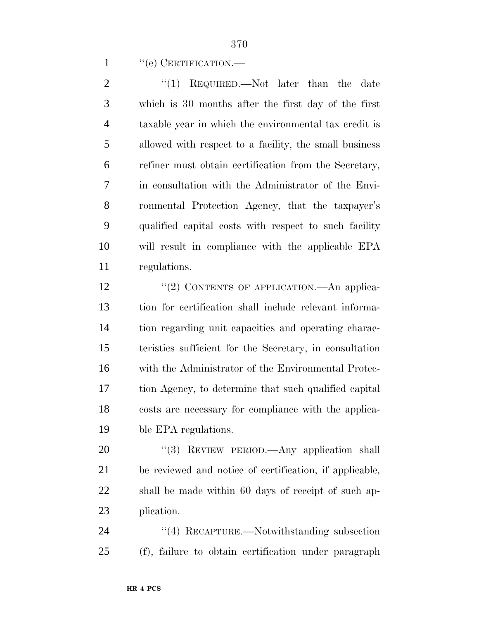1 " (e) CERTIFICATION.—

2 "(1) REQUIRED.—Not later than the date which is 30 months after the first day of the first taxable year in which the environmental tax credit is allowed with respect to a facility, the small business refiner must obtain certification from the Secretary, in consultation with the Administrator of the Envi- ronmental Protection Agency, that the taxpayer's qualified capital costs with respect to such facility will result in compliance with the applicable EPA regulations.

12 "(2) CONTENTS OF APPLICATION.—An applica- tion for certification shall include relevant informa- tion regarding unit capacities and operating charac- teristics sufficient for the Secretary, in consultation with the Administrator of the Environmental Protec- tion Agency, to determine that such qualified capital costs are necessary for compliance with the applica-ble EPA regulations.

20 "(3) REVIEW PERIOD.—Any application shall be reviewed and notice of certification, if applicable, shall be made within 60 days of receipt of such ap-plication.

24 "(4) RECAPTURE.—Notwithstanding subsection (f), failure to obtain certification under paragraph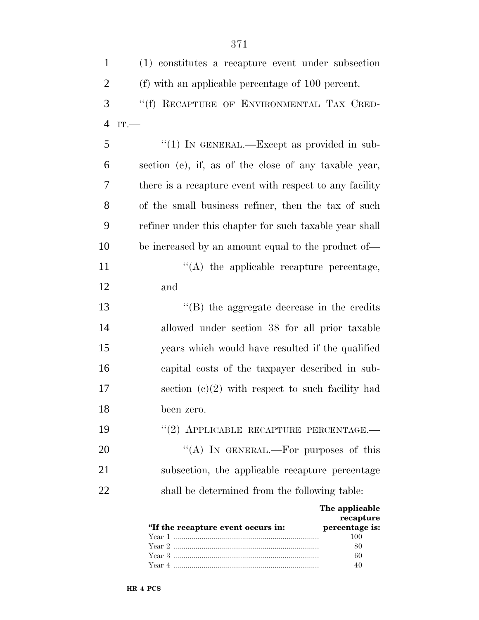| $\mathbf{1}$   | (1) constitutes a recapture event under subsection                                               |
|----------------|--------------------------------------------------------------------------------------------------|
| $\overline{2}$ | (f) with an applicable percentage of 100 percent.                                                |
| 3              | "(f) RECAPTURE OF ENVIRONMENTAL TAX CRED-                                                        |
| $\overline{4}$ | IT.                                                                                              |
| 5              | "(1) IN GENERAL.—Except as provided in sub-                                                      |
| 6              | section (e), if, as of the close of any taxable year,                                            |
| 7              | there is a recapture event with respect to any facility                                          |
| 8              | of the small business refiner, then the tax of such                                              |
| 9              | refiner under this chapter for such taxable year shall                                           |
| 10             | be increased by an amount equal to the product of—                                               |
| 11             | $\lq\lq$ the applicable recapture percentage,                                                    |
| 12             | and                                                                                              |
| 13             | $\lq\lq$ (B) the aggregate decrease in the credits                                               |
| 14             | allowed under section 38 for all prior taxable                                                   |
| 15             | years which would have resulted if the qualified                                                 |
| 16             | capital costs of the taxpayer described in sub-                                                  |
| 17             | section $(c)(2)$ with respect to such facility had                                               |
| 18             | been zero.                                                                                       |
| 19             | $``(2)$ APPLICABLE RECAPTURE PERCENTAGE.—                                                        |
| 20             | "(A) IN GENERAL.—For purposes of this                                                            |
| 21             | subsection, the applicable recapture percentage                                                  |
| 22             | shall be determined from the following table:                                                    |
|                | The applicable<br>recapture<br>"If the recapture event occurs in:<br>percentage is:<br>100<br>80 |

Year 3 ........................................................................ 60 Year 4 ........................................................................ 40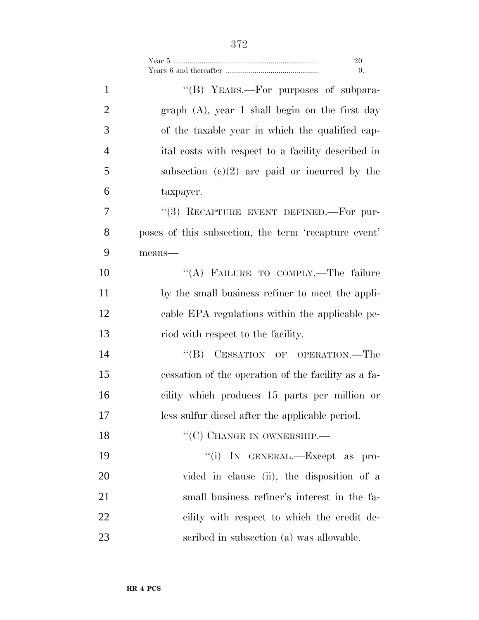| Year 5 |  |
|--------|--|
|        |  |

| $\mathbf{1}$   | "(B) YEARS.—For purposes of subpara-                 |
|----------------|------------------------------------------------------|
| $\overline{2}$ | $graph (A)$ , year 1 shall begin on the first day    |
| 3              | of the taxable year in which the qualified cap-      |
| $\overline{4}$ | ital costs with respect to a facility described in   |
| 5              | subsection $(c)(2)$ are paid or incurred by the      |
| 6              | taxpayer.                                            |
| 7              | "(3) RECAPTURE EVENT DEFINED.—For pur-               |
| 8              | poses of this subsection, the term 'recapture event' |
| 9              | means-                                               |
| 10             | "(A) FAILURE TO COMPLY.—The failure                  |
| 11             | by the small business refiner to meet the appli-     |
| 12             | cable EPA regulations within the applicable pe-      |
| 13             | riod with respect to the facility.                   |
| 14             | CESSATION OF OPERATION.—The<br>$\lq\lq (B)$          |
| 15             | cessation of the operation of the facility as a fa-  |
| 16             | cility which produces 15 parts per million or        |
| 17             | less sulfur diesel after the applicable period.      |
| 18             | $``(C)$ CHANGE IN OWNERSHIP.—                        |
| 19             | "(i) IN GENERAL.—Except as pro-                      |
| 20             | vided in clause (ii), the disposition of a           |
| 21             | small business refiner's interest in the fa-         |
| 22             | cility with respect to which the credit de-          |
| 23             | scribed in subsection (a) was allowable.             |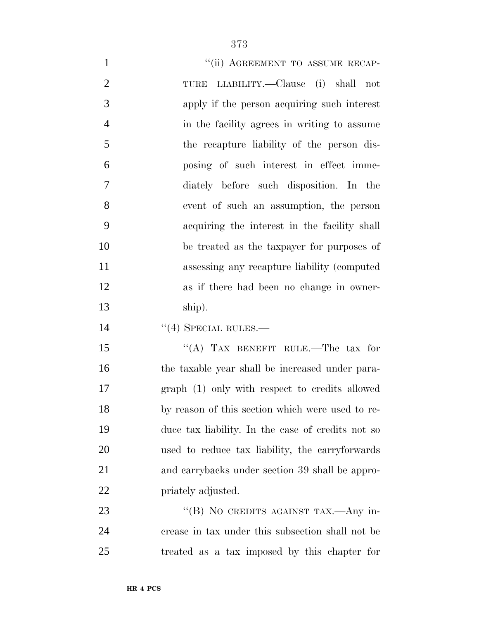| $\mathbf{1}$   | "(ii) AGREEMENT TO ASSUME RECAP-                |
|----------------|-------------------------------------------------|
| $\overline{2}$ | TURE LIABILITY.—Clause (i) shall not            |
| 3              | apply if the person acquiring such interest     |
| $\overline{4}$ | in the facility agrees in writing to assume     |
| 5              | the recapture liability of the person dis-      |
| 6              | posing of such interest in effect imme-         |
| $\overline{7}$ | diately before such disposition. In the         |
| 8              | event of such an assumption, the person         |
| 9              | acquiring the interest in the facility shall    |
| 10             | be treated as the taxpayer for purposes of      |
| 11             | assessing any recapture liability (computed     |
| 12             | as if there had been no change in owner-        |
| 13             | ship).                                          |
| 14             | $\cdot$ (4) SPECIAL RULES.—                     |
| 15             | "(A) TAX BENEFIT RULE.—The tax for              |
| 16             | the taxable year shall be increased under para- |

 graph (1) only with respect to credits allowed by reason of this section which were used to re- duce tax liability. In the case of credits not so used to reduce tax liability, the carryforwards and carrybacks under section 39 shall be appro-priately adjusted.

23 ''(B) NO CREDITS AGAINST TAX.—Any in- crease in tax under this subsection shall not be treated as a tax imposed by this chapter for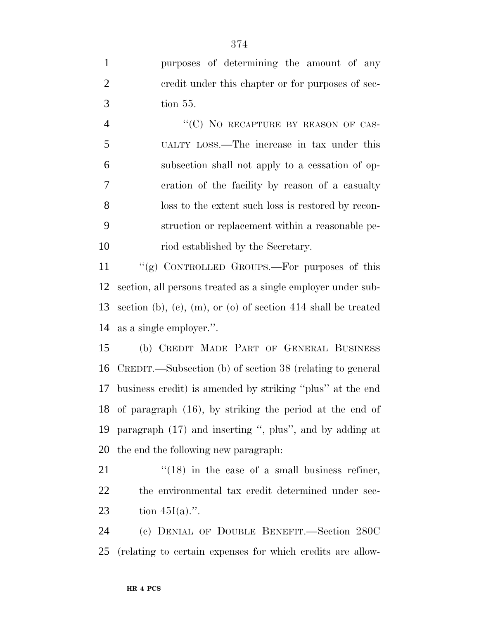| $\mathbf{1}$   | purposes of determining the amount of any                       |
|----------------|-----------------------------------------------------------------|
| $\overline{2}$ | credit under this chapter or for purposes of sec-               |
| 3              | tion 55.                                                        |
| $\overline{4}$ | "(C) NO RECAPTURE BY REASON OF CAS-                             |
| 5              | UALTY LOSS.—The increase in tax under this                      |
| 6              | subsection shall not apply to a cessation of op-                |
| $\tau$         | eration of the facility by reason of a casualty                 |
| 8              | loss to the extent such loss is restored by recon-              |
| 9              | struction or replacement within a reasonable pe-                |
| 10             | riod established by the Secretary.                              |
| 11             | "(g) CONTROLLED GROUPS.—For purposes of this                    |
| 12             | section, all persons treated as a single employer under sub-    |
| 13             | section (b), (c), (m), or (o) of section $414$ shall be treated |
| 14             | as a single employer.".                                         |
| 15             | (b) CREDIT MADE PART OF GENERAL BUSINESS                        |
| 16             | CREDIT.—Subsection (b) of section 38 (relating to general       |
| 17             | business credit) is amended by striking "plus" at the end       |
|                | 18 of paragraph (16), by striking the period at the end of      |
| 19             | paragraph (17) and inserting ", plus", and by adding at         |
| 20             | the end the following new paragraph:                            |
| 21             | $f''(18)$ in the case of a small business refiner,              |
| 22             | the environmental tax credit determined under sec-              |
| 23             | tion $45I(a)$ .".                                               |
|                |                                                                 |

 (c) DENIAL OF DOUBLE BENEFIT.—Section 280C (relating to certain expenses for which credits are allow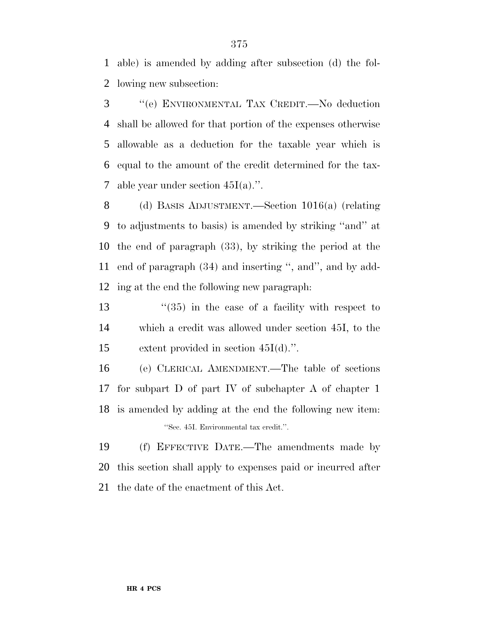able) is amended by adding after subsection (d) the fol-lowing new subsection:

 ''(e) ENVIRONMENTAL TAX CREDIT.—No deduction shall be allowed for that portion of the expenses otherwise allowable as a deduction for the taxable year which is equal to the amount of the credit determined for the tax-7 able year under section  $45I(a)$ .".

 (d) BASIS ADJUSTMENT.—Section 1016(a) (relating to adjustments to basis) is amended by striking ''and'' at the end of paragraph (33), by striking the period at the end of paragraph (34) and inserting '', and'', and by add-ing at the end the following new paragraph:

13 ''(35) in the case of a facility with respect to which a credit was allowed under section 45I, to the extent provided in section 45I(d).''.

 (e) CLERICAL AMENDMENT.—The table of sections for subpart D of part IV of subchapter A of chapter 1 is amended by adding at the end the following new item: ''Sec. 45I. Environmental tax credit.''.

 (f) EFFECTIVE DATE.—The amendments made by this section shall apply to expenses paid or incurred after the date of the enactment of this Act.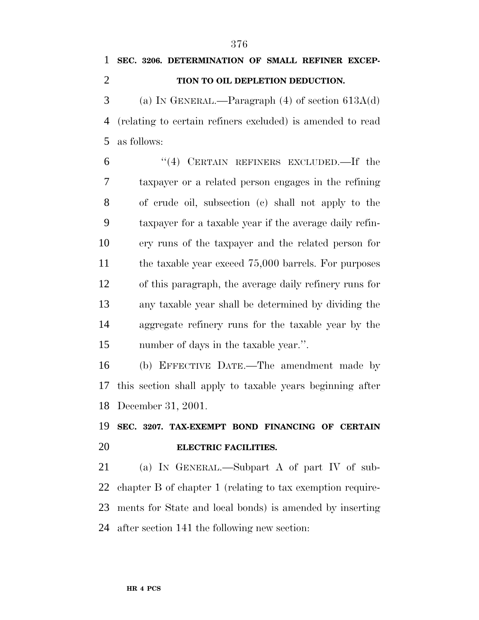# **SEC. 3206. DETERMINATION OF SMALL REFINER EXCEP-**

**TION TO OIL DEPLETION DEDUCTION.**

 (a) IN GENERAL.—Paragraph (4) of section 613A(d) (relating to certain refiners excluded) is amended to read as follows:

 ''(4) CERTAIN REFINERS EXCLUDED.—If the taxpayer or a related person engages in the refining of crude oil, subsection (c) shall not apply to the taxpayer for a taxable year if the average daily refin- ery runs of the taxpayer and the related person for 11 the taxable year exceed 75,000 barrels. For purposes of this paragraph, the average daily refinery runs for any taxable year shall be determined by dividing the aggregate refinery runs for the taxable year by the number of days in the taxable year.''.

 (b) EFFECTIVE DATE.—The amendment made by this section shall apply to taxable years beginning after December 31, 2001.

## **SEC. 3207. TAX-EXEMPT BOND FINANCING OF CERTAIN ELECTRIC FACILITIES.**

 (a) IN GENERAL.—Subpart A of part IV of sub- chapter B of chapter 1 (relating to tax exemption require- ments for State and local bonds) is amended by inserting after section 141 the following new section: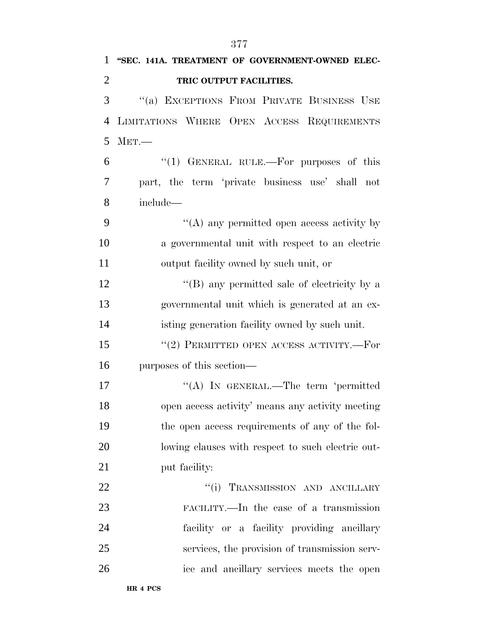| 1              | "SEC. 141A. TREATMENT OF GOVERNMENT-OWNED ELEC-   |
|----------------|---------------------------------------------------|
| $\overline{2}$ | TRIC OUTPUT FACILITIES.                           |
| 3              | "(a) EXCEPTIONS FROM PRIVATE BUSINESS USE         |
| 4              | LIMITATIONS WHERE OPEN ACCESS REQUIREMENTS        |
| 5              | MET.                                              |
| 6              | "(1) GENERAL RULE.—For purposes of this           |
| 7              | part, the term 'private business use' shall not   |
| 8              | include—                                          |
| 9              | "(A) any permitted open access activity by        |
| 10             | a governmental unit with respect to an electric   |
| 11             | output facility owned by such unit, or            |
| 12             | "(B) any permitted sale of electricity by a       |
| 13             | governmental unit which is generated at an ex-    |
| 14             | isting generation facility owned by such unit.    |
| 15             | $``(2)$ PERMITTED OPEN ACCESS ACTIVITY.—For       |
| 16             | purposes of this section—                         |
| 17             | "(A) IN GENERAL.—The term 'permitted              |
| 18             | open access activity' means any activity meeting  |
| 19             | the open access requirements of any of the fol-   |
| 20             | lowing clauses with respect to such electric out- |
| 21             | put facility:                                     |
| 22             | "(i) TRANSMISSION AND ANCILLARY                   |
| 23             | FACILITY.—In the case of a transmission           |
| 24             | facility or a facility providing ancillary        |
| 25             | services, the provision of transmission serv-     |
| 26             | ice and ancillary services meets the open         |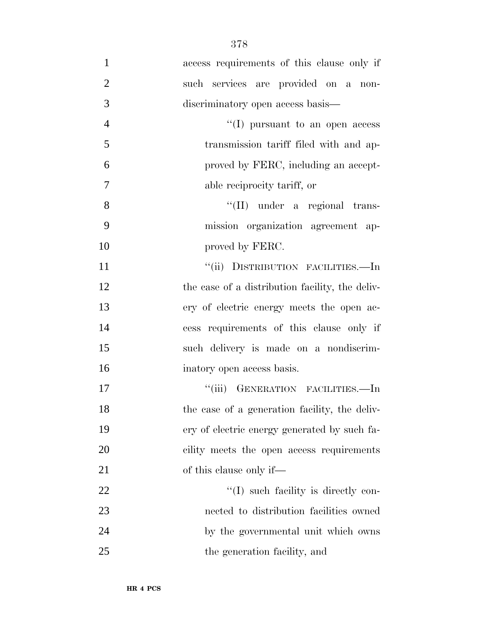| $\mathbf{1}$   | access requirements of this clause only if      |
|----------------|-------------------------------------------------|
| $\overline{2}$ | such services are provided on a non-            |
| 3              | discriminatory open access basis—               |
| $\overline{4}$ | $\lq\lq$ (I) pursuant to an open access         |
| 5              | transmission tariff filed with and ap-          |
| 6              | proved by FERC, including an accept-            |
| 7              | able reciprocity tariff, or                     |
| 8              | "(II) under a regional trans-                   |
| 9              | mission organization agreement ap-              |
| 10             | proved by FERC.                                 |
| 11             | "(ii) DISTRIBUTION FACILITIES.—In               |
| 12             | the case of a distribution facility, the deliv- |
| 13             | ery of electric energy meets the open ac-       |
| 14             | cess requirements of this clause only if        |
| 15             | such delivery is made on a nondiscrim-          |
| 16             | inatory open access basis.                      |
| 17             | "(iii) GENERATION FACILITIES.-In                |
| 18             | the case of a generation facility, the deliv-   |
| 19             | ery of electric energy generated by such fa-    |
| 20             | cility meets the open access requirements       |
| 21             | of this clause only if—                         |
| 22             | $\lq(1)$ such facility is directly con-         |
| 23             | nected to distribution facilities owned         |
| 24             | by the governmental unit which owns             |
| 25             | the generation facility, and                    |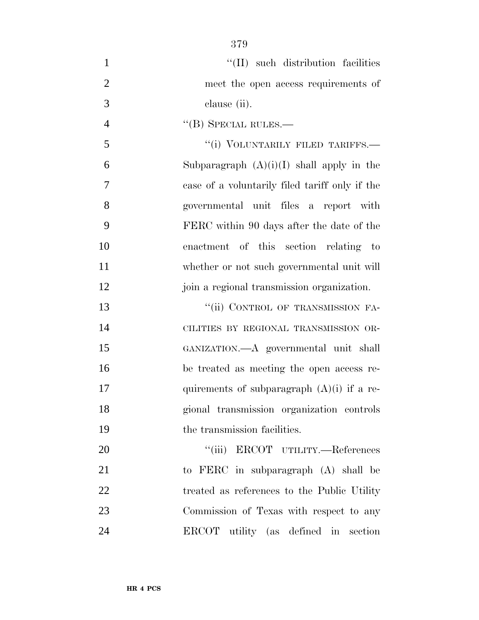| $\mathbf{1}$   | "(II) such distribution facilities             |
|----------------|------------------------------------------------|
| $\overline{2}$ | meet the open access requirements of           |
| 3              | clause (ii).                                   |
| $\overline{4}$ | $\lq\lq (B)$ SPECIAL RULES.—                   |
| 5              | "(i) VOLUNTARILY FILED TARIFFS.-               |
| 6              | Subparagraph $(A)(i)(I)$ shall apply in the    |
| 7              | case of a voluntarily filed tariff only if the |
| 8              | governmental unit files a report with          |
| 9              | FERC within 90 days after the date of the      |
| 10             | enactment of this section relating to          |
| 11             | whether or not such governmental unit will     |
| 12             | join a regional transmission organization.     |
| 13             | "(ii) CONTROL OF TRANSMISSION FA-              |
| 14             | CILITIES BY REGIONAL TRANSMISSION OR-          |
| 15             | GANIZATION.—A governmental unit shall          |
| 16             | be treated as meeting the open access re-      |
| 17             | quirements of subparagraph $(A)(i)$ if a re-   |
| 18             | gional transmission organization controls      |
| 19             | the transmission facilities.                   |
| 20             | ``(iii)<br>ERCOT UTILITY.-References           |
| 21             | to FERC in subparagraph (A) shall be           |
| 22             | treated as references to the Public Utility    |
| 23             | Commission of Texas with respect to any        |
|                |                                                |

ERCOT utility (as defined in section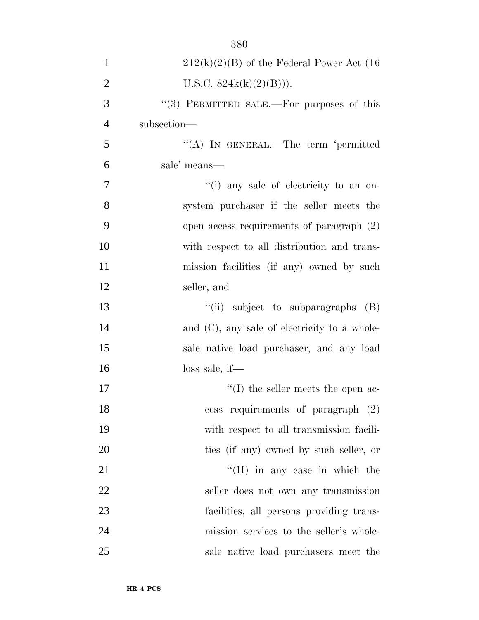| $\mathbf{1}$   | $212(k)(2)(B)$ of the Federal Power Act (16)    |
|----------------|-------------------------------------------------|
| $\overline{2}$ | U.S.C. $824k(k)(2)(B))$ .                       |
| 3              | "(3) PERMITTED SALE.—For purposes of this       |
| $\overline{4}$ | subsection-                                     |
| 5              | "(A) IN GENERAL.—The term 'permitted            |
| 6              | sale' means—                                    |
| 7              | "(i) any sale of electricity to an on-          |
| 8              | system purchaser if the seller meets the        |
| 9              | open access requirements of paragraph (2)       |
| 10             | with respect to all distribution and trans-     |
| 11             | mission facilities (if any) owned by such       |
| 12             | seller, and                                     |
| 13             | $\lq\lq$ (ii) subject to subparagraphs (B)      |
| 14             | and $(C)$ , any sale of electricity to a whole- |
| 15             | sale native load purchaser, and any load        |
| 16             | $loss$ sale, if—                                |
| 17             | $\lq\lq$ the seller meets the open ac-          |
| 18             | cess requirements of paragraph (2)              |
| 19             | with respect to all transmission facili-        |
| 20             | ties (if any) owned by such seller, or          |
| 21             | $\lq\lq$ (II) in any case in which the          |
| 22             | seller does not own any transmission            |
| 23             | facilities, all persons providing trans-        |
| 24             | mission services to the seller's whole-         |
| 25             | sale native load purchasers meet the            |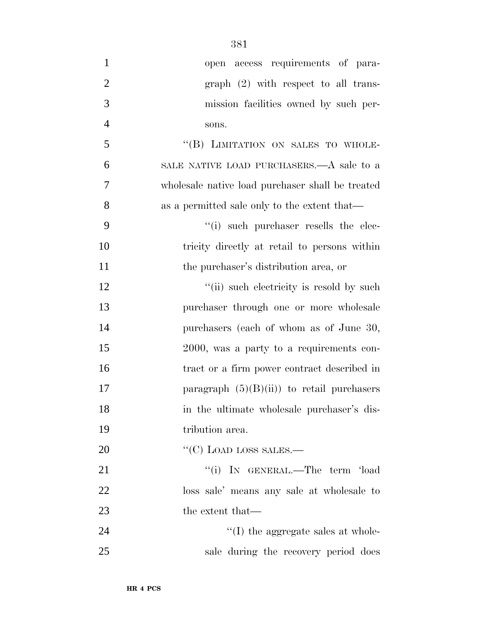| $\mathbf{1}$   | open access requirements of para-                |
|----------------|--------------------------------------------------|
| $\overline{2}$ | $graph (2) with respect to all trans-$           |
| 3              | mission facilities owned by such per-            |
| $\overline{4}$ | sons.                                            |
| 5              | "(B) LIMITATION ON SALES TO WHOLE-               |
| 6              | SALE NATIVE LOAD PURCHASERS.—A sale to a         |
| 7              | wholesale native load purchaser shall be treated |
| 8              | as a permitted sale only to the extent that—     |
| 9              | $``(i)$ such purchaser resells the elec-         |
| 10             | tricity directly at retail to persons within     |
| 11             | the purchaser's distribution area, or            |
| 12             | "(ii) such electricity is resold by such         |
| 13             | purchaser through one or more wholesale          |
| 14             | purchasers (each of whom as of June 30,          |
| 15             | 2000, was a party to a requirements con-         |
| 16             | tract or a firm power contract described in      |
| 17             | paragraph $(5)(B)(ii)$ to retail purchasers      |
| 18             | in the ultimate wholesale purchaser's dis-       |
| 19             | tribution area.                                  |
| 20             | "(C) LOAD LOSS SALES.—                           |
| 21             | "(i) IN GENERAL.—The term 'load                  |
| 22             | loss sale' means any sale at wholesale to        |
| 23             | the extent that—                                 |
| 24             | $\lq\lq$ (I) the aggregate sales at whole-       |
| 25             | sale during the recovery period does             |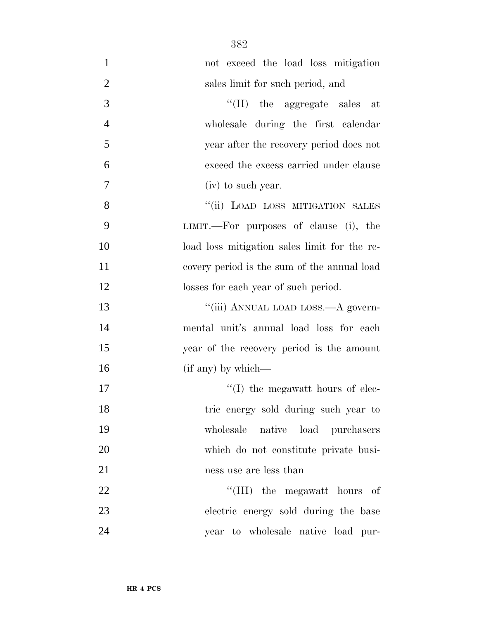| $\mathbf{1}$   | not exceed the load loss mitigation          |
|----------------|----------------------------------------------|
| $\overline{2}$ | sales limit for such period, and             |
| 3              | $\lq\lq$ (II) the aggregate sales at         |
| $\overline{4}$ | wholesale during the first calendar          |
| 5              | year after the recovery period does not      |
| 6              | exceed the excess carried under clause       |
| 7              | (iv) to such year.                           |
| 8              | "(ii) LOAD LOSS MITIGATION SALES             |
| 9              | LIMIT.—For purposes of clause (i), the       |
| 10             | load loss mitigation sales limit for the re- |
| 11             | covery period is the sum of the annual load  |
| 12             | losses for each year of such period.         |
| 13             | "(iii) ANNUAL LOAD LOSS.—A govern-           |
| 14             | mental unit's annual load loss for each      |
| 15             | year of the recovery period is the amount    |
| 16             | (if any) by which—                           |
| 17             | $\lq\lq$ (I) the megawatt hours of elec-     |
| 18             | tric energy sold during such year to         |
| 19             | wholesale native load purchasers             |
| 20             | which do not constitute private busi-        |
| 21             | ness use are less than                       |
| 22             | "(III) the megawatt hours of                 |
| 23             | electric energy sold during the base         |
| 24             | year to wholesale native load pur-           |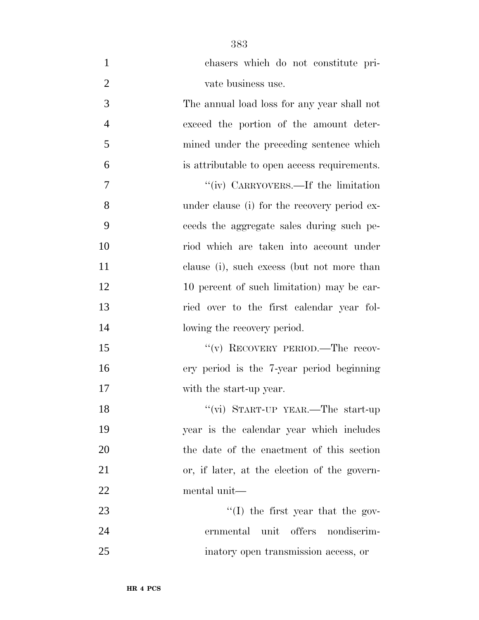| $\mathbf{1}$   | chasers which do not constitute pri-         |
|----------------|----------------------------------------------|
| $\overline{2}$ | vate business use.                           |
| 3              | The annual load loss for any year shall not  |
| $\overline{4}$ | exceed the portion of the amount deter-      |
| 5              | mined under the preceding sentence which     |
| 6              | is attributable to open access requirements. |
| 7              | "(iv) CARRYOVERS.—If the limitation          |
| 8              | under clause (i) for the recovery period ex- |
| 9              | ceeds the aggregate sales during such pe-    |
| 10             | riod which are taken into account under      |
| 11             | clause (i), such excess (but not more than   |
| 12             | 10 percent of such limitation) may be car-   |
| 13             | ried over to the first calendar year fol-    |
| 14             | lowing the recovery period.                  |
| 15             | "(v) RECOVERY PERIOD.—The recov-             |
| 16             | ery period is the 7-year period beginning    |
| 17             | with the start-up year.                      |
| 18             | "(vi) START-UP YEAR.—The start-up            |
| 19             | year is the calendar year which includes     |
| 20             | the date of the enactment of this section    |
| 21             | or, if later, at the election of the govern- |
| 22             | mental unit—                                 |
| 23             | $\lq\lq$ the first year that the gov-        |
| 24             | ernmental unit<br>offers nondiscrim-         |
| 25             | inatory open transmission access, or         |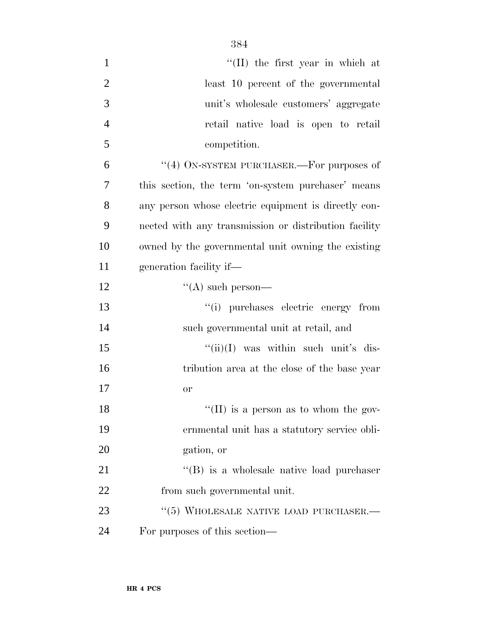| $\mathbf{1}$   | $\lq$ (II) the first year in which at                 |
|----------------|-------------------------------------------------------|
| $\overline{2}$ | least 10 percent of the governmental                  |
| 3              | unit's wholesale customers' aggregate                 |
| $\overline{4}$ | retail native load is open to retail                  |
| 5              | competition.                                          |
| 6              | "(4) ON-SYSTEM PURCHASER.—For purposes of             |
| 7              | this section, the term 'on-system purchaser' means    |
| 8              | any person whose electric equipment is directly con-  |
| 9              | nected with any transmission or distribution facility |
| 10             | owned by the governmental unit owning the existing    |
| 11             | generation facility if—                               |
| 12             | $\lq\lq$ such person—                                 |
| 13             | "(i) purchases electric energy from                   |
| 14             | such governmental unit at retail, and                 |
| 15             | $``(ii)(I)$ was within such unit's dis-               |
| 16             | tribution area at the close of the base year          |
| 17             | <b>or</b>                                             |
| 18             | "(II) is a person as to whom the gov-                 |
| 19             | ernmental unit has a statutory service obli-          |
| 20             | gation, or                                            |
| 21             | $\lq\lq (B)$ is a wholesale native load purchaser     |
| 22             | from such governmental unit.                          |
| 23             | "(5) WHOLESALE NATIVE LOAD PURCHASER.-                |
| 24             | For purposes of this section—                         |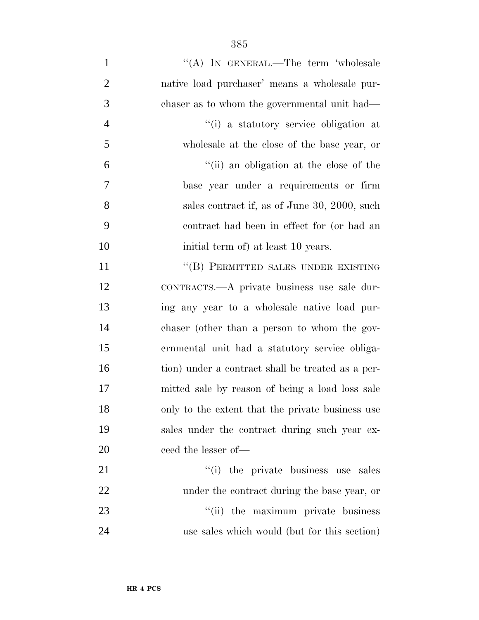| $\mathbf{1}$   | "(A) IN GENERAL.—The term 'wholesale              |
|----------------|---------------------------------------------------|
| $\overline{2}$ | native load purchaser' means a wholesale pur-     |
| 3              | chaser as to whom the governmental unit had—      |
| $\overline{4}$ | "(i) a statutory service obligation at            |
| 5              | wholesale at the close of the base year, or       |
| 6              | "(ii) an obligation at the close of the           |
| 7              | base year under a requirements or firm            |
| 8              | sales contract if, as of June 30, 2000, such      |
| 9              | contract had been in effect for (or had an        |
| 10             | initial term of) at least 10 years.               |
| 11             | "(B) PERMITTED SALES UNDER EXISTING               |
| 12             | CONTRACTS.—A private business use sale dur-       |
| 13             | ing any year to a wholesale native load pur-      |
| 14             | chaser (other than a person to whom the gov-      |
| 15             | ernmental unit had a statutory service obliga-    |
| 16             | tion) under a contract shall be treated as a per- |
| 17             | mitted sale by reason of being a load loss sale   |
| 18             | only to the extent that the private business use  |
| 19             | sales under the contract during such year ex-     |
| 20             | ceed the lesser of—                               |
| 21             | "(i) the private business use sales               |
| 22             | under the contract during the base year, or       |
| 23             | "(ii) the maximum private business                |
| 24             | use sales which would (but for this section)      |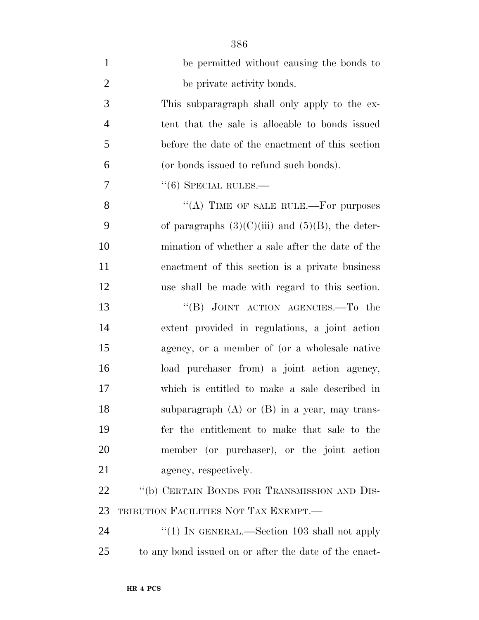| $\mathbf{1}$   | be permitted without causing the bonds to             |
|----------------|-------------------------------------------------------|
| $\overline{2}$ | be private activity bonds.                            |
| 3              | This subparagraph shall only apply to the ex-         |
| $\overline{4}$ | tent that the sale is allocable to bonds issued       |
| 5              | before the date of the enactment of this section      |
| 6              | (or bonds issued to refund such bonds).               |
| 7              | $``(6)$ SPECIAL RULES.—                               |
| 8              | "(A) TIME OF SALE RULE.—For purposes                  |
| 9              | of paragraphs $(3)(C)(iii)$ and $(5)(B)$ , the deter- |
| 10             | mination of whether a sale after the date of the      |
| 11             | enactment of this section is a private business       |
| 12             | use shall be made with regard to this section.        |
| 13             | "(B) JOINT ACTION AGENCIES.—To the                    |
| 14             | extent provided in regulations, a joint action        |
| 15             | agency, or a member of (or a wholesale native         |
| 16             | load purchaser from) a joint action agency,           |
| 17             | which is entitled to make a sale described in         |
| 18             | subparagraph $(A)$ or $(B)$ in a year, may trans-     |
| 19             | fer the entitlement to make that sale to the          |
| 20             | member (or purchaser), or the joint action            |
| 21             | agency, respectively.                                 |
| 22             | "(b) CERTAIN BONDS FOR TRANSMISSION AND DIS-          |
| 23             | TRIBUTION FACILITIES NOT TAX EXEMPT.—                 |
| 24             | "(1) IN GENERAL.—Section 103 shall not apply          |
| 25             | to any bond issued on or after the date of the enact- |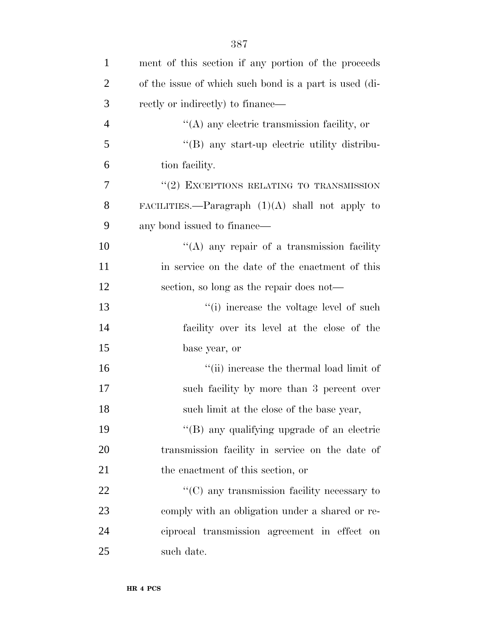| $\mathbf{1}$   | ment of this section if any portion of the proceeds    |
|----------------|--------------------------------------------------------|
| $\overline{2}$ | of the issue of which such bond is a part is used (di- |
| 3              | rectly or indirectly) to finance—                      |
| 4              | $\lq\lq$ any electric transmission facility, or        |
| 5              | "(B) any start-up electric utility distribu-           |
| 6              | tion facility.                                         |
| 7              | $``(2)$ EXCEPTIONS RELATING TO TRANSMISSION            |
| 8              | FACILITIES.—Paragraph $(1)(A)$ shall not apply to      |
| 9              | any bond issued to finance—                            |
| 10             | "(A) any repair of a transmission facility             |
| 11             | in service on the date of the enactment of this        |
| 12             | section, so long as the repair does not—               |
| 13             | "(i) increase the voltage level of such                |
| 14             | facility over its level at the close of the            |
| 15             | base year, or                                          |
| 16             | "(ii) increase the thermal load limit of               |
| 17             | such facility by more than 3 percent over              |
| 18             | such limit at the close of the base year,              |
| 19             | "(B) any qualifying upgrade of an electric             |
| 20             | transmission facility in service on the date of        |
| 21             | the enactment of this section, or                      |
| 22             | $\lq\lq$ (C) any transmission facility necessary to    |
| 23             | comply with an obligation under a shared or re-        |
| 24             | ciprocal transmission agreement in effect on           |
| 25             | such date.                                             |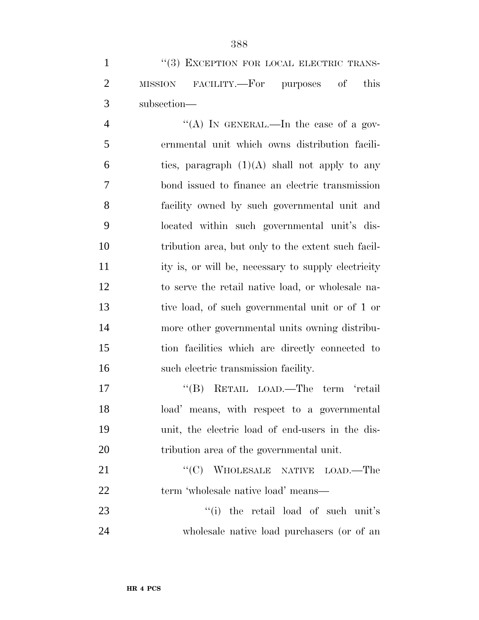|               | $\lq(3)$ EXCEPTION FOR LOCAL ELECTRIC TRANS- |  |  |
|---------------|----------------------------------------------|--|--|
|               | 2 MISSION FACILITY.—For purposes of this     |  |  |
| 3 subsection— |                                              |  |  |

4 "(A) In GENERAL.—In the case of a gov- ernmental unit which owns distribution facili-6 ties, paragraph  $(1)(A)$  shall not apply to any bond issued to finance an electric transmission facility owned by such governmental unit and located within such governmental unit's dis- tribution area, but only to the extent such facil- ity is, or will be, necessary to supply electricity to serve the retail native load, or wholesale na- tive load, of such governmental unit or of 1 or more other governmental units owning distribu- tion facilities which are directly connected to such electric transmission facility.

17 ''(B) RETAIL LOAD.—The term 'retail load' means, with respect to a governmental unit, the electric load of end-users in the dis-tribution area of the governmental unit.

21 "'(C) WHOLESALE NATIVE LOAD.—The 22 term 'wholesale native load' means—

23 ''(i) the retail load of such unit's wholesale native load purchasers (or of an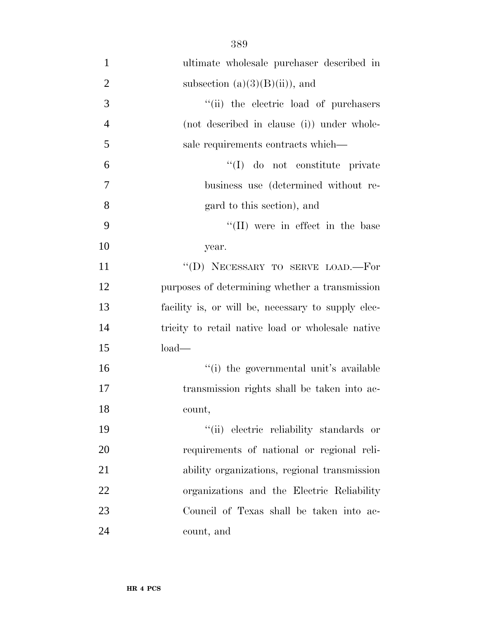| $\mathbf{1}$   | ultimate wholesale purchaser described in          |
|----------------|----------------------------------------------------|
|                |                                                    |
| $\overline{2}$ | subsection $(a)(3)(B)(ii)$ , and                   |
| 3              | "(ii) the electric load of purchasers              |
| $\overline{4}$ | (not described in clause (i)) under whole-         |
| 5              | sale requirements contracts which—                 |
| 6              | "(I) do not constitute private                     |
| 7              | business use (determined without re-               |
| 8              | gard to this section), and                         |
| 9              | "(II) were in effect in the base                   |
| 10             | year.                                              |
| 11             | "(D) NECESSARY TO SERVE LOAD.-For                  |
| 12             | purposes of determining whether a transmission     |
| 13             | facility is, or will be, necessary to supply elec- |
| 14             | tricity to retail native load or wholesale native  |
| 15             | $load-$                                            |
| 16             | "(i) the governmental unit's available             |
| 17             | transmission rights shall be taken into ac-        |
| 18             | count,                                             |
| 19             | "(ii) electric reliability standards or            |
| 20             | requirements of national or regional reli-         |
| 21             | ability organizations, regional transmission       |
| 22             | organizations and the Electric Reliability         |
| 23             | Council of Texas shall be taken into ac-           |
| 24             | count, and                                         |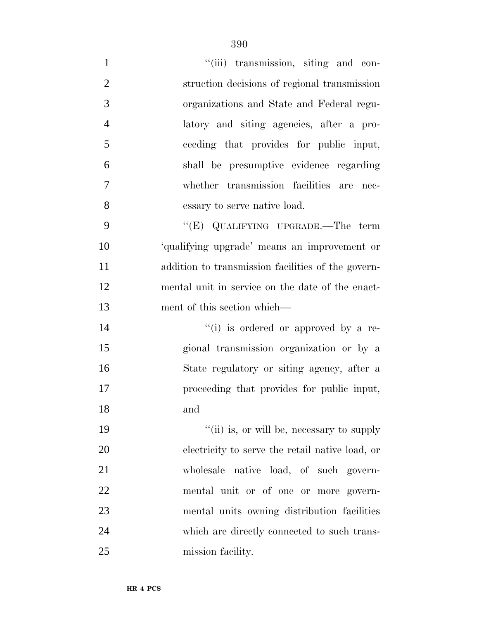| $\mathbf{1}$   | "(iii) transmission, siting and con-               |
|----------------|----------------------------------------------------|
| $\overline{2}$ | struction decisions of regional transmission       |
| 3              | organizations and State and Federal regu-          |
| $\overline{4}$ | latory and siting agencies, after a pro-           |
| 5              | ceeding that provides for public input,            |
| 6              | shall be presumptive evidence regarding            |
| $\tau$         | whether transmission facilities are nec-           |
| 8              | essary to serve native load.                       |
| 9              | "(E) QUALIFYING UPGRADE.—The term                  |
| 10             | 'qualifying upgrade' means an improvement or       |
| 11             | addition to transmission facilities of the govern- |
| 12             | mental unit in service on the date of the enact-   |
| 13             | ment of this section which—                        |
| 14             | "(i) is ordered or approved by a re-               |
| 15             | gional transmission organization or by a           |
| 16             | State regulatory or siting agency, after a         |
| 17             | proceeding that provides for public input,         |
| 18             | and                                                |
| 19             | "(ii) is, or will be, necessary to supply          |
| 20             | electricity to serve the retail native load, or    |
| 21             | wholesale native load, of such govern-             |
| 22             | mental unit or of one or more govern-              |
| 23             | mental units owning distribution facilities        |
| 24             | which are directly connected to such trans-        |
| 25             | mission facility.                                  |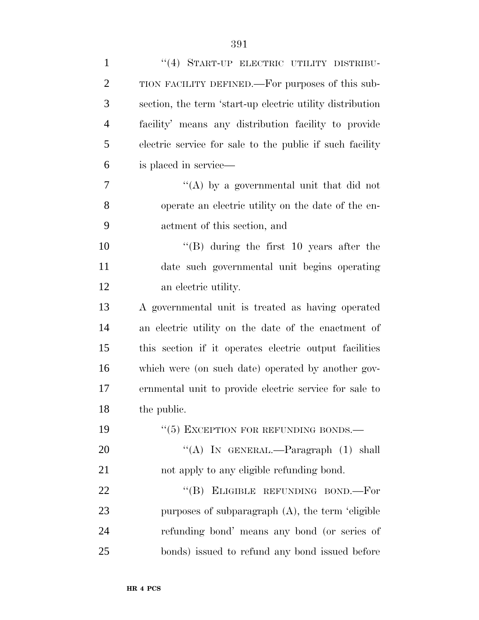| $\mathbf{1}$   | "(4) START-UP ELECTRIC UTILITY DISTRIBU-                  |
|----------------|-----------------------------------------------------------|
| $\overline{2}$ | TION FACILITY DEFINED.—For purposes of this sub-          |
| 3              | section, the term 'start-up electric utility distribution |
| $\overline{4}$ | facility' means any distribution facility to provide      |
| 5              | electric service for sale to the public if such facility  |
| 6              | is placed in service—                                     |
| 7              | "(A) by a governmental unit that did not                  |
| 8              | operate an electric utility on the date of the en-        |
| 9              | actment of this section, and                              |
| 10             | $\lq\lq$ (B) during the first 10 years after the          |
| 11             | date such governmental unit begins operating              |
| 12             | an electric utility.                                      |
| 13             | A governmental unit is treated as having operated         |
| 14             | an electric utility on the date of the enactment of       |
| 15             | this section if it operates electric output facilities    |
| 16             | which were (on such date) operated by another gov-        |
| 17             | ernmental unit to provide electric service for sale to    |
| 18             | the public.                                               |
| 19             | $``(5)$ EXCEPTION FOR REFUNDING BONDS.—                   |
| 20             | "(A) IN GENERAL.—Paragraph $(1)$ shall                    |
| 21             | not apply to any eligible refunding bond.                 |
| 22             | "(B) ELIGIBLE REFUNDING BOND.—For                         |
| 23             | purposes of subparagraph $(A)$ , the term 'eligible       |
| 24             | refunding bond' means any bond (or series of              |
| 25             | bonds) issued to refund any bond issued before            |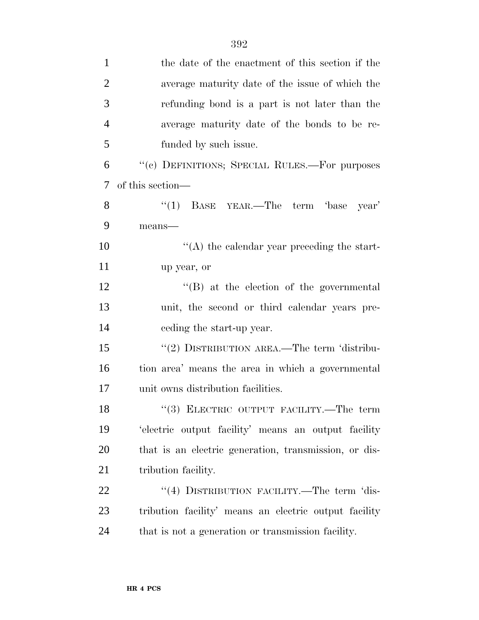| $\mathbf{1}$   | the date of the enactment of this section if the      |
|----------------|-------------------------------------------------------|
| $\overline{2}$ | average maturity date of the issue of which the       |
| 3              | refunding bond is a part is not later than the        |
| $\overline{4}$ | average maturity date of the bonds to be re-          |
| 5              | funded by such issue.                                 |
| 6              | "(c) DEFINITIONS; SPECIAL RULES.—For purposes         |
| 7              | of this section—                                      |
| 8              | "(1) BASE YEAR.—The term 'base<br>year'               |
| 9              | means-                                                |
| 10             | $\lq\lq$ the calendar year preceding the start-       |
| 11             | up year, or                                           |
| 12             | $\lq\lq (B)$ at the election of the governmental      |
| 13             | unit, the second or third calendar years pre-         |
| 14             | eeding the start-up year.                             |
| 15             | "(2) DISTRIBUTION AREA.—The term 'distribu-           |
| 16             | tion area' means the area in which a governmental     |
| 17             | unit owns distribution facilities.                    |
| 18             | $\lq(3)$ ELECTRIC OUTPUT FACILITY.—The term           |
| 19             | 'electric output facility' means an output facility   |
| 20             | that is an electric generation, transmission, or dis- |
| 21             | tribution facility.                                   |
| 22             | "(4) DISTRIBUTION FACILITY.—The term 'dis-            |
| 23             | tribution facility' means an electric output facility |
| 24             | that is not a generation or transmission facility.    |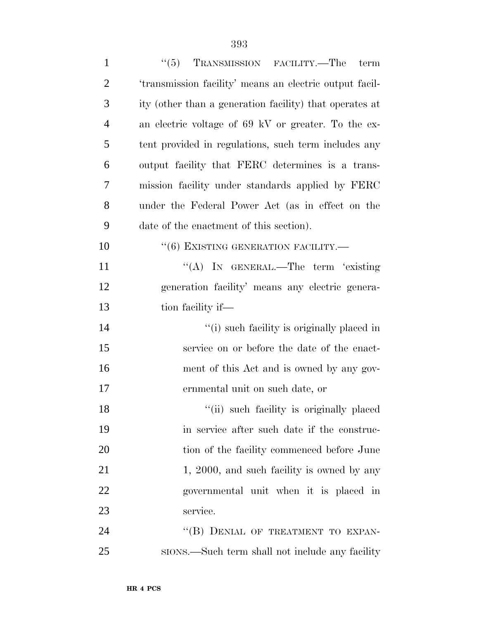| $\mathbf{1}$   | ``(5)<br>TRANSMISSION FACILITY.—The<br>term             |
|----------------|---------------------------------------------------------|
| $\overline{2}$ | 'transmission facility' means an electric output facil- |
| 3              | ity (other than a generation facility) that operates at |
| $\overline{4}$ | an electric voltage of 69 kV or greater. To the ex-     |
| 5              | tent provided in regulations, such term includes any    |
| 6              | output facility that FERC determines is a trans-        |
| 7              | mission facility under standards applied by FERC        |
| 8              | under the Federal Power Act (as in effect on the        |
| 9              | date of the enactment of this section).                 |
| 10             | $``(6)$ EXISTING GENERATION FACILITY.—                  |
| 11             | "(A) IN GENERAL.—The term 'existing                     |
| 12             | generation facility' means any electric genera-         |
| 13             | tion facility if—                                       |
| 14             | "(i) such facility is originally placed in              |
| 15             | service on or before the date of the enact-             |
| 16             | ment of this Act and is owned by any gov-               |
| 17             | ernmental unit on such date, or                         |
| 18             | "(ii) such facility is originally placed                |
| 19             | in service after such date if the construc-             |
| 20             | tion of the facility commenced before June              |
| 21             | 1, 2000, and such facility is owned by any              |
| 22             | governmental unit when it is placed in                  |
| 23             | service.                                                |
| 24             | "(B) DENIAL OF TREATMENT TO EXPAN-                      |
| 25             | sions.—Such term shall not include any facility         |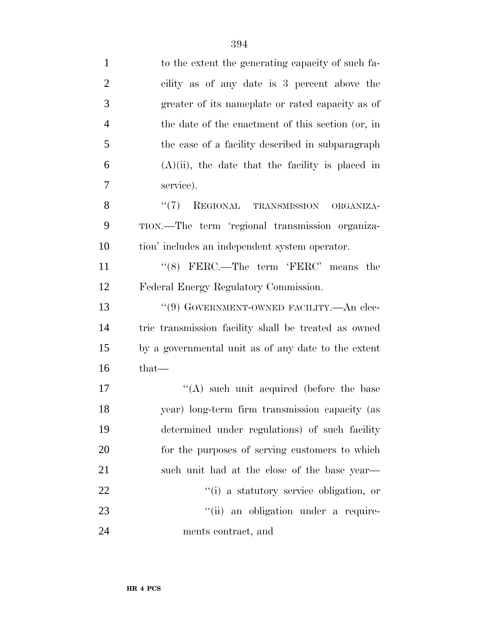| $\mathbf{1}$   | to the extent the generating capacity of such fa-    |
|----------------|------------------------------------------------------|
| $\overline{2}$ | cility as of any date is 3 percent above the         |
| 3              | greater of its nameplate or rated capacity as of     |
| $\overline{4}$ | the date of the enactment of this section (or, in    |
| 5              | the case of a facility described in subparagraph     |
| 6              | $(A)(ii)$ , the date that the facility is placed in  |
| 7              | service).                                            |
| 8              | "(7) REGIONAL TRANSMISSION<br>ORGANIZA-              |
| 9              | TION.—The term 'regional transmission organiza-      |
| 10             | tion' includes an independent system operator.       |
| 11             | " $(8)$ FERC.—The term 'FERC' means the              |
| 12             | Federal Energy Regulatory Commission.                |
| 13             | "(9) GOVERNMENT-OWNED FACILITY.—An elec-             |
| 14             | tric transmission facility shall be treated as owned |
| 15             | by a governmental unit as of any date to the extent  |
| 16             | that—                                                |
| 17             | $\lq\lq$ such unit acquired (before the base         |
| 18             | year) long-term firm transmission capacity (as       |
| 19             | determined under regulations) of such facility       |
| 20             | for the purposes of serving customers to which       |
| 21             | such unit had at the close of the base year—         |
| 22             | "(i) a statutory service obligation, or              |
| 23             | "(ii) an obligation under a require-                 |
| 24             | ments contract, and                                  |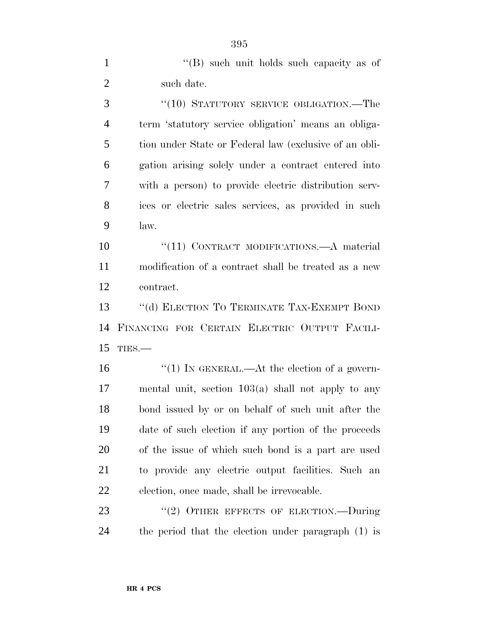1 ''(B) such unit holds such capacity as of 2 such date.

3 "(10) STATUTORY SERVICE OBLIGATION.—The term 'statutory service obligation' means an obliga- tion under State or Federal law (exclusive of an obli- gation arising solely under a contract entered into with a person) to provide electric distribution serv- ices or electric sales services, as provided in such law.

10 "(11) CONTRACT MODIFICATIONS.—A material modification of a contract shall be treated as a new contract.

 ''(d) ELECTION TO TERMINATE TAX-EXEMPT BOND FINANCING FOR CERTAIN ELECTRIC OUTPUT FACILI-TIES.—

 $\frac{1}{1}$  IN GENERAL.—At the election of a govern- mental unit, section 103(a) shall not apply to any bond issued by or on behalf of such unit after the date of such election if any portion of the proceeds of the issue of which such bond is a part are used to provide any electric output facilities. Such an election, once made, shall be irrevocable.

23 "(2) OTHER EFFECTS OF ELECTION.—During the period that the election under paragraph (1) is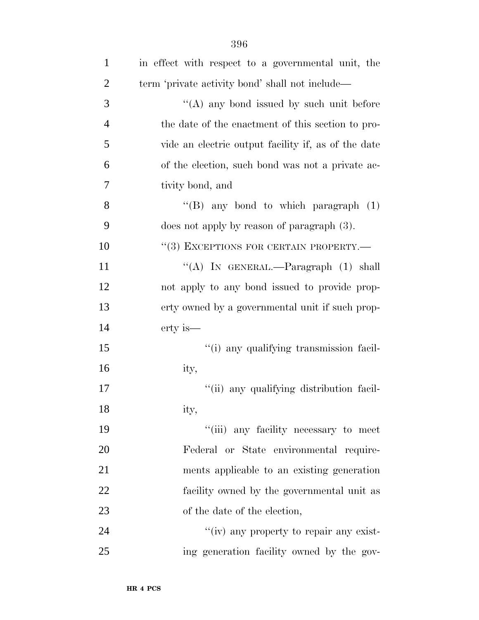| $\mathbf{1}$   | in effect with respect to a governmental unit, the  |
|----------------|-----------------------------------------------------|
| $\overline{2}$ | term 'private activity bond' shall not include—     |
| 3              | $\lq\lq$ any bond issued by such unit before        |
| $\overline{4}$ | the date of the enactment of this section to pro-   |
| 5              | vide an electric output facility if, as of the date |
| 6              | of the election, such bond was not a private ac-    |
| 7              | tivity bond, and                                    |
| 8              | "(B) any bond to which paragraph $(1)$              |
| 9              | does not apply by reason of paragraph $(3)$ .       |
| 10             | "(3) EXCEPTIONS FOR CERTAIN PROPERTY.—              |
| 11             | "(A) IN GENERAL.—Paragraph (1) shall                |
| 12             | not apply to any bond issued to provide prop-       |
| 13             | erty owned by a governmental unit if such prop-     |
| 14             | erty is—                                            |
| 15             | "(i) any qualifying transmission facil-             |
| 16             | ity,                                                |
| 17             | "(ii) any qualifying distribution facil-            |
| 18             | ity,                                                |
| 19             | "(iii) any facility necessary to meet               |
| 20             | Federal or State environmental require-             |
| 21             | ments applicable to an existing generation          |
| 22             | facility owned by the governmental unit as          |
| 23             | of the date of the election,                        |
| 24             | "(iv) any property to repair any exist-             |
| 25             | ing generation facility owned by the gov-           |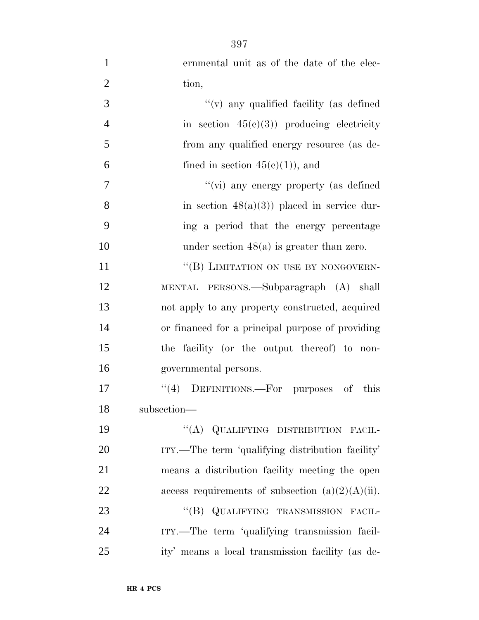| $\mathbf{1}$   | ernmental unit as of the date of the elec-          |
|----------------|-----------------------------------------------------|
| $\overline{2}$ | tion,                                               |
| 3              | "(v) any qualified facility (as defined             |
| $\overline{4}$ | in section $45(c)(3)$ producing electricity         |
| 5              | from any qualified energy resource (as de-          |
| 6              | fined in section $45(c)(1)$ , and                   |
| 7              | "(vi) any energy property (as defined               |
| 8              | in section $48(a)(3)$ placed in service dur-        |
| 9              | ing a period that the energy percentage             |
| 10             | under section $48(a)$ is greater than zero.         |
| 11             | "(B) LIMITATION ON USE BY NONGOVERN-                |
| 12             | MENTAL PERSONS.—Subparagraph (A) shall              |
| 13             | not apply to any property constructed, acquired     |
| 14             | or financed for a principal purpose of providing    |
| 15             | the facility (or the output thereof) to non-        |
| 16             | governmental persons.                               |
| 17             | "(4) DEFINITIONS.—For purposes of this              |
| 18             | subsection-                                         |
| 19             | "(A) QUALIFYING DISTRIBUTION FACIL-                 |
| 20             | ITY.—The term 'qualifying distribution facility'    |
| 21             | means a distribution facility meeting the open      |
| 22             | access requirements of subsection $(a)(2)(A)(ii)$ . |
| 23             | "(B) QUALIFYING TRANSMISSION FACIL-                 |
| 24             | ITY.—The term 'qualifying transmission facil-       |
| 25             | ity' means a local transmission facility (as de-    |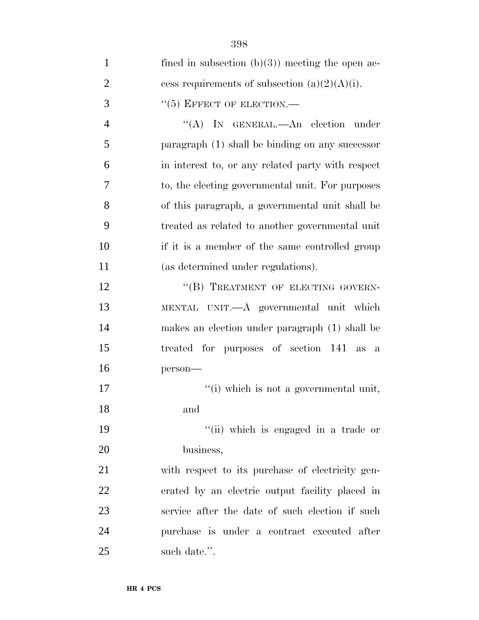| $\mathbf{1}$   | fined in subsection $(b)(3)$ meeting the open ac- |
|----------------|---------------------------------------------------|
| $\overline{2}$ | cess requirements of subsection $(a)(2)(A)(i)$ .  |
| 3              | $``(5)$ EFFECT OF ELECTION.—                      |
| $\overline{4}$ | "(A) IN GENERAL.—An election under                |
| 5              | paragraph (1) shall be binding on any successor   |
| 6              | in interest to, or any related party with respect |
| 7              | to, the electing governmental unit. For purposes  |
| 8              | of this paragraph, a governmental unit shall be   |
| 9              | treated as related to another governmental unit   |
| 10             | if it is a member of the same controlled group    |
| 11             | (as determined under regulations).                |
| 12             | "(B) TREATMENT OF ELECTING GOVERN-                |
| 13             | MENTAL UNIT.—A governmental unit which            |
| 14             | makes an election under paragraph (1) shall be    |
| 15             | treated for purposes of section 141 as a          |
| 16             | person-                                           |
| 17             | "(i) which is not a governmental unit,            |
| 18             | and                                               |
| 19             | "(ii) which is engaged in a trade or              |
| 20             | business,                                         |
| 21             | with respect to its purchase of electricity gen-  |
| 22             | erated by an electric output facility placed in   |
| 23             | service after the date of such election if such   |
| 24             | purchase is under a contract executed after       |
| 25             | such date.".                                      |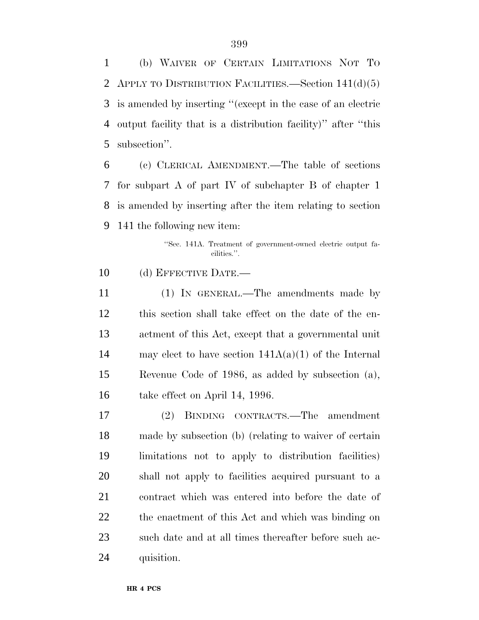(b) WAIVER OF CERTAIN LIMITATIONS NOT TO APPLY TO DISTRIBUTION FACILITIES.—Section 141(d)(5) is amended by inserting ''(except in the case of an electric output facility that is a distribution facility)'' after ''this subsection''.

 (c) CLERICAL AMENDMENT.—The table of sections for subpart A of part IV of subchapter B of chapter 1 is amended by inserting after the item relating to section 141 the following new item:

> ''Sec. 141A. Treatment of government-owned electric output facilities.''.

10 (d) EFFECTIVE DATE.—

 (1) IN GENERAL.—The amendments made by this section shall take effect on the date of the en- actment of this Act, except that a governmental unit 14 may elect to have section  $141A(a)(1)$  of the Internal Revenue Code of 1986, as added by subsection (a), take effect on April 14, 1996.

 (2) BINDING CONTRACTS.—The amendment made by subsection (b) (relating to waiver of certain limitations not to apply to distribution facilities) shall not apply to facilities acquired pursuant to a contract which was entered into before the date of the enactment of this Act and which was binding on such date and at all times thereafter before such ac-quisition.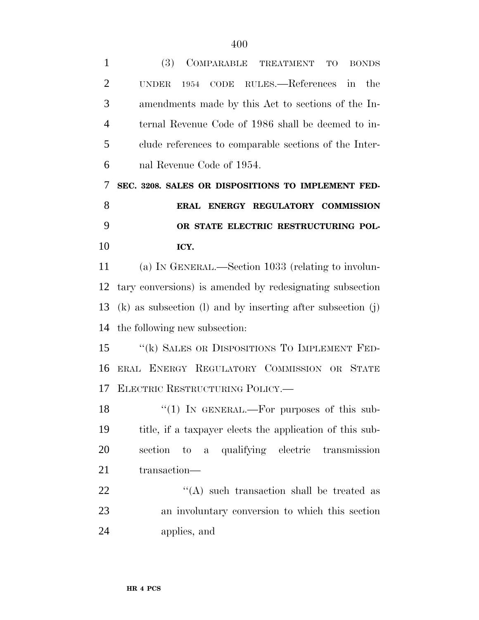| $\mathbf{1}$   | (3)<br>COMPARABLE TREATMENT<br><b>TO</b><br><b>BONDS</b>          |
|----------------|-------------------------------------------------------------------|
| $\overline{2}$ | CODE RULES.—References in<br>the<br>1954<br><b>UNDER</b>          |
| 3              | amendments made by this Act to sections of the In-                |
| $\overline{4}$ | ternal Revenue Code of 1986 shall be deemed to in-                |
| 5              | clude references to comparable sections of the Inter-             |
| 6              | nal Revenue Code of 1954.                                         |
| 7              | SEC. 3208. SALES OR DISPOSITIONS TO IMPLEMENT FED-                |
| 8              | ERAL ENERGY REGULATORY COMMISSION                                 |
| 9              | OR STATE ELECTRIC RESTRUCTURING POL-                              |
| 10             | ICY.                                                              |
| 11             | (a) IN GENERAL.—Section 1033 (relating to involun-                |
| 12             | tary conversions) is amended by redesignating subsection          |
| 13             | $(k)$ as subsection $(l)$ and by inserting after subsection $(j)$ |
| 14             | the following new subsection:                                     |
| 15             | "(k) SALES OR DISPOSITIONS TO IMPLEMENT FED-                      |
| 16             | ERAL ENERGY REGULATORY COMMISSION OR STATE                        |
| 17             | ELECTRIC RESTRUCTURING POLICY.                                    |
| 18             | " $(1)$ IN GENERAL.—For purposes of this sub-                     |
| 19             | title, if a taxpayer elects the application of this sub-          |
| 20             | a qualifying electric transmission<br>section<br>to               |
| 21             | transaction—                                                      |
| 22             | $\lq\lq$ such transaction shall be treated as                     |
| 23             | an involuntary conversion to which this section                   |
| 24             | applies, and                                                      |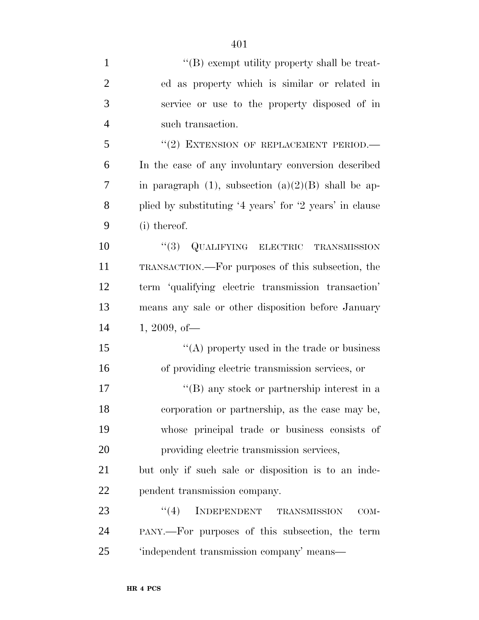| $\mathbf{1}$   | $\lq\lq (B)$ exempt utility property shall be treat-     |
|----------------|----------------------------------------------------------|
| $\overline{2}$ | ed as property which is similar or related in            |
| 3              | service or use to the property disposed of in            |
| $\overline{4}$ | such transaction.                                        |
| 5              | "(2) EXTENSION OF REPLACEMENT PERIOD.                    |
| 6              | In the case of any involuntary conversion described      |
| 7              | in paragraph $(1)$ , subsection $(a)(2)(B)$ shall be ap- |
| 8              | plied by substituting '4 years' for '2 years' in clause  |
| 9              | (i) thereof.                                             |
| 10             | "(3) QUALIFYING ELECTRIC TRANSMISSION                    |
| 11             | TRANSACTION.—For purposes of this subsection, the        |
| 12             | term 'qualifying electric transmission transaction'      |
| 13             | means any sale or other disposition before January       |
| 14             | $1, 2009,$ of —                                          |
| 15             | "(A) property used in the trade or business              |
| 16             | of providing electric transmission services, or          |
| 17             | $\lq\lq (B)$ any stock or partnership interest in a      |
| 18             | corporation or partnership, as the case may be,          |
| 19             | whose principal trade or business consists of            |
| 20             | providing electric transmission services,                |
| 21             | but only if such sale or disposition is to an inde-      |
| 22             | pendent transmission company.                            |
| 23             | (4)<br>INDEPENDENT<br>TRANSMISSION<br>COM-               |
| 24             | PANY.—For purposes of this subsection, the term          |
| 25             | 'independent transmission company' means-                |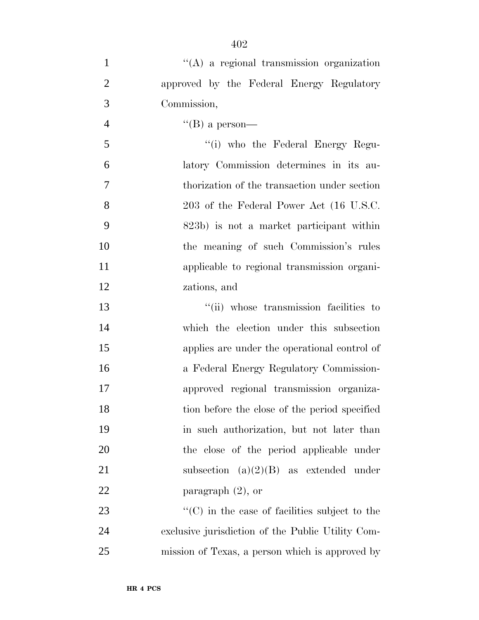| $\mathbf{1}$   | $\lq\lq$ a regional transmission organization         |
|----------------|-------------------------------------------------------|
| $\overline{2}$ | approved by the Federal Energy Regulatory             |
| 3              | Commission,                                           |
| $\overline{4}$ | $\lq\lq (B)$ a person—                                |
| 5              | "(i) who the Federal Energy Regu-                     |
| 6              | latory Commission determines in its au-               |
| $\overline{7}$ | thorization of the transaction under section          |
| 8              | 203 of the Federal Power Act (16 U.S.C.               |
| 9              | 823b) is not a market participant within              |
| 10             | the meaning of such Commission's rules                |
| 11             | applicable to regional transmission organi-           |
| 12             | zations, and                                          |
| 13             | "(ii) whose transmission facilities to                |
| 14             | which the election under this subsection              |
| 15             | applies are under the operational control of          |
| 16             | a Federal Energy Regulatory Commission-               |
| 17             | approved regional transmission organiza-              |
| 18             | tion before the close of the period specified         |
| 19             | in such authorization, but not later than             |
| 20             | the close of the period applicable under              |
| 21             | subsection $(a)(2)(B)$ as extended under              |
| 22             | paragraph $(2)$ , or                                  |
| 23             | $\lq\lq$ (C) in the case of facilities subject to the |
| 24             | exclusive jurisdiction of the Public Utility Com-     |
| 25             | mission of Texas, a person which is approved by       |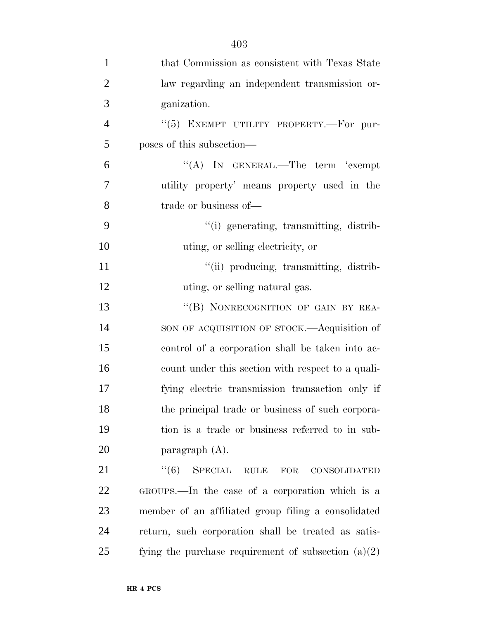| $\mathbf{1}$   | that Commission as consistent with Texas State                                  |
|----------------|---------------------------------------------------------------------------------|
| $\overline{2}$ | law regarding an independent transmission or-                                   |
| 3              | ganization.                                                                     |
| $\overline{4}$ | "(5) EXEMPT UTILITY PROPERTY.-For pur-                                          |
| 5              | poses of this subsection—                                                       |
| 6              | "(A) IN GENERAL.—The term 'exempt                                               |
| 7              | utility property' means property used in the                                    |
| 8              | trade or business of—                                                           |
| 9              | "(i) generating, transmitting, distrib-                                         |
| 10             | uting, or selling electricity, or                                               |
| 11             | "(ii) producing, transmitting, distrib-                                         |
| 12             | uting, or selling natural gas.                                                  |
| 13             | "(B) NONRECOGNITION OF GAIN BY REA-                                             |
| 14             | SON OF ACQUISITION OF STOCK.—Acquisition of                                     |
| 15             | control of a corporation shall be taken into ac-                                |
| 16             | count under this section with respect to a quali-                               |
| 17             | fying electric transmission transaction only if                                 |
| 18             | the principal trade or business of such corpora-                                |
| 19             | tion is a trade or business referred to in sub-                                 |
| 20             | paragraph $(A)$ .                                                               |
| 21             | ``(6)<br>SPECIAL<br>$\operatorname{RULE}$<br>${\rm FOR}$<br><b>CONSOLIDATED</b> |
| 22             | GROUPS.—In the case of a corporation which is a                                 |
| 23             | member of an affiliated group filing a consolidated                             |
| 24             | return, such corporation shall be treated as satis-                             |
| 25             | fying the purchase requirement of subsection $(a)(2)$                           |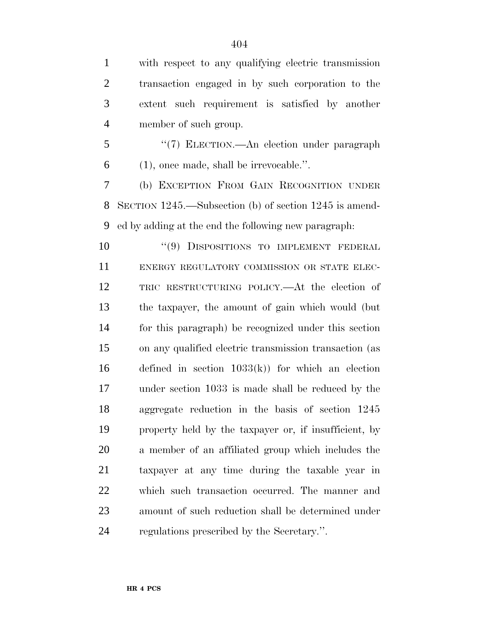with respect to any qualifying electric transmission transaction engaged in by such corporation to the extent such requirement is satisfied by another member of such group.

 ''(7) ELECTION.—An election under paragraph (1), once made, shall be irrevocable.''.

 (b) EXCEPTION FROM GAIN RECOGNITION UNDER SECTION 1245.—Subsection (b) of section 1245 is amend-ed by adding at the end the following new paragraph:

10 "(9) DISPOSITIONS TO IMPLEMENT FEDERAL ENERGY REGULATORY COMMISSION OR STATE ELEC- TRIC RESTRUCTURING POLICY.—At the election of the taxpayer, the amount of gain which would (but for this paragraph) be recognized under this section on any qualified electric transmission transaction (as defined in section 1033(k)) for which an election under section 1033 is made shall be reduced by the aggregate reduction in the basis of section 1245 property held by the taxpayer or, if insufficient, by a member of an affiliated group which includes the taxpayer at any time during the taxable year in which such transaction occurred. The manner and amount of such reduction shall be determined under regulations prescribed by the Secretary.''.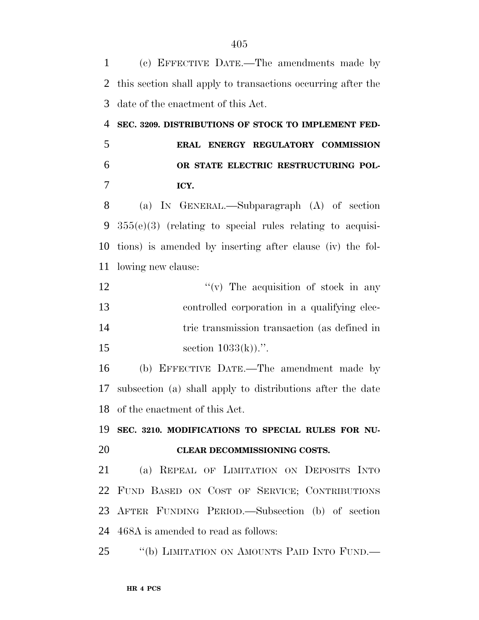(c) EFFECTIVE DATE.—The amendments made by this section shall apply to transactions occurring after the date of the enactment of this Act. **SEC. 3209. DISTRIBUTIONS OF STOCK TO IMPLEMENT FED- ERAL ENERGY REGULATORY COMMISSION OR STATE ELECTRIC RESTRUCTURING POL- ICY.** (a) IN GENERAL.—Subparagraph (A) of section 355(e)(3) (relating to special rules relating to acquisi- tions) is amended by inserting after clause (iv) the fol- lowing new clause:  $''(v)$  The acquisition of stock in any controlled corporation in a qualifying elec-14 tric transmission transaction (as defined in 15 section  $1033(k)$ .''. (b) EFFECTIVE DATE.—The amendment made by subsection (a) shall apply to distributions after the date of the enactment of this Act. **SEC. 3210. MODIFICATIONS TO SPECIAL RULES FOR NU- CLEAR DECOMMISSIONING COSTS.** (a) REPEAL OF LIMITATION ON DEPOSITS INTO FUND BASED ON COST OF SERVICE; CONTRIBUTIONS AFTER FUNDING PERIOD.—Subsection (b) of section 468A is amended to read as follows: ''(b) LIMITATION ON AMOUNTS PAID INTO FUND.—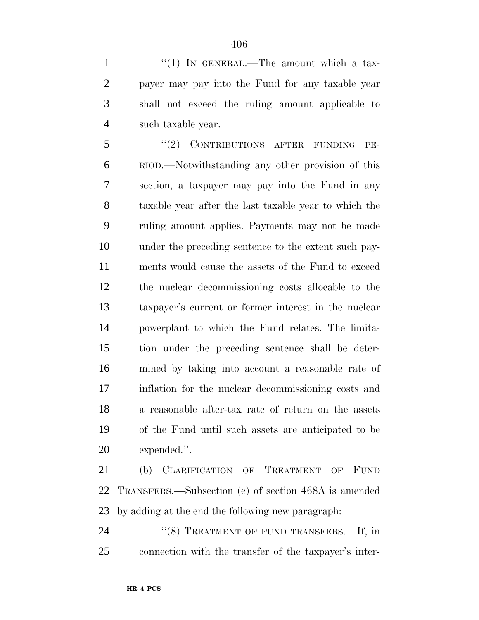1 "(1) IN GENERAL.—The amount which a tax- payer may pay into the Fund for any taxable year shall not exceed the ruling amount applicable to such taxable year.

5 "(2) CONTRIBUTIONS AFTER FUNDING PE- RIOD.—Notwithstanding any other provision of this section, a taxpayer may pay into the Fund in any taxable year after the last taxable year to which the ruling amount applies. Payments may not be made under the preceding sentence to the extent such pay- ments would cause the assets of the Fund to exceed the nuclear decommissioning costs allocable to the taxpayer's current or former interest in the nuclear powerplant to which the Fund relates. The limita- tion under the preceding sentence shall be deter- mined by taking into account a reasonable rate of inflation for the nuclear decommissioning costs and a reasonable after-tax rate of return on the assets of the Fund until such assets are anticipated to be expended.''.

 (b) CLARIFICATION OF TREATMENT OF FUND TRANSFERS.—Subsection (e) of section 468A is amended by adding at the end the following new paragraph:

24 "(8) TREATMENT OF FUND TRANSFERS.—If, in connection with the transfer of the taxpayer's inter-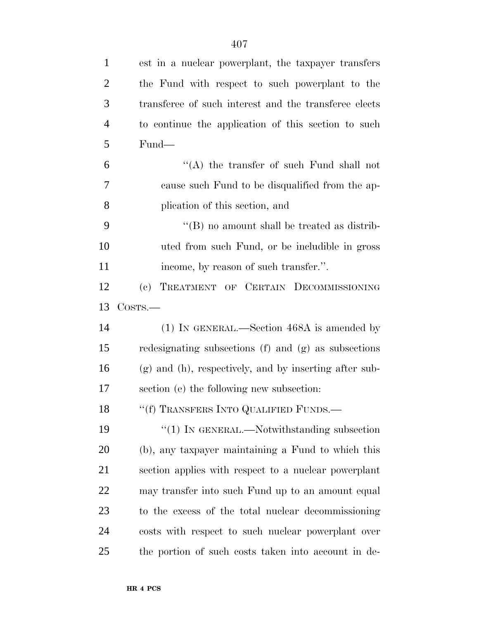| $\mathbf{1}$   | est in a nuclear powerplant, the taxpayer transfers    |
|----------------|--------------------------------------------------------|
| $\overline{2}$ | the Fund with respect to such powerplant to the        |
| 3              | transferee of such interest and the transferee elects  |
| $\overline{4}$ | to continue the application of this section to such    |
| 5              | Fund—                                                  |
| 6              | "(A) the transfer of such Fund shall not               |
| 7              | cause such Fund to be disqualified from the ap-        |
| 8              | plication of this section, and                         |
| 9              | $\lq\lq (B)$ no amount shall be treated as distrib-    |
| 10             | uted from such Fund, or be includible in gross         |
| 11             | income, by reason of such transfer.".                  |
| 12             | (c) TREATMENT OF CERTAIN DECOMMISSIONING               |
| 13             | $\cos$ rs.—                                            |
| 14             | (1) IN GENERAL.—Section 468A is amended by             |
| 15             | redesignating subsections (f) and (g) as subsections   |
| 16             | (g) and (h), respectively, and by inserting after sub- |
| 17             | section (e) the following new subsection:              |
| 18             | "(f) TRANSFERS INTO QUALIFIED FUNDS.—                  |
| 19             | $\lq(1)$ In GENERAL.—Notwithstanding subsection        |
| 20             | (b), any taxpayer maintaining a Fund to which this     |
| 21             | section applies with respect to a nuclear powerplant   |
| 22             | may transfer into such Fund up to an amount equal      |
| 23             | to the excess of the total nuclear decommissioning     |
| 24             | costs with respect to such nuclear powerplant over     |
| 25             | the portion of such costs taken into account in de-    |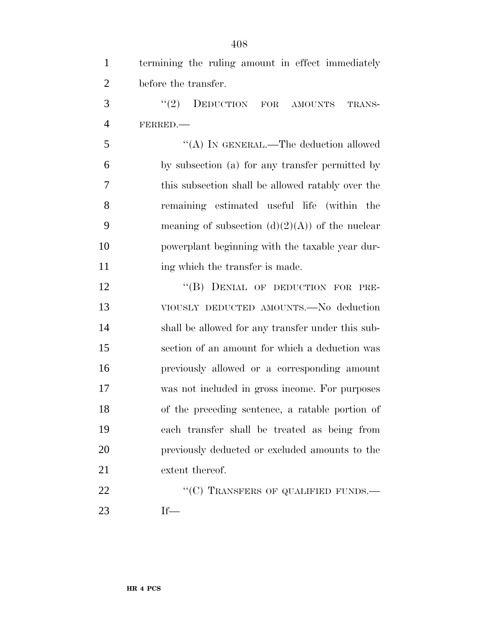| $\mathbf{1}$   | termining the ruling amount in effect immediately |
|----------------|---------------------------------------------------|
| $\overline{2}$ | before the transfer.                              |
| 3              | "(2) DEDUCTION FOR AMOUNTS<br>TRANS-              |
| $\overline{4}$ | FERRED.                                           |
| 5              | "(A) IN GENERAL.—The deduction allowed            |
| 6              | by subsection (a) for any transfer permitted by   |
| 7              | this subsection shall be allowed ratably over the |
| 8              | remaining estimated useful life (within the       |
| 9              | meaning of subsection $(d)(2)(A)$ of the nuclear  |
| 10             | powerplant beginning with the taxable year dur-   |
| 11             | ing which the transfer is made.                   |
| 12             | "(B) DENIAL OF DEDUCTION FOR PRE-                 |
| 13             | VIOUSLY DEDUCTED AMOUNTS.—No deduction            |
| 14             | shall be allowed for any transfer under this sub- |
| 15             | section of an amount for which a deduction was    |
| 16             | previously allowed or a corresponding amount      |
| 17             | was not included in gross income. For purposes    |
| 18             | of the preceding sentence, a ratable portion of   |
| 19             | each transfer shall be treated as being from      |
| 20             | previously deducted or excluded amounts to the    |
| 21             | extent thereof.                                   |
| 22             | "(C) TRANSFERS OF QUALIFIED FUNDS.—               |
| 23             | $If$ —                                            |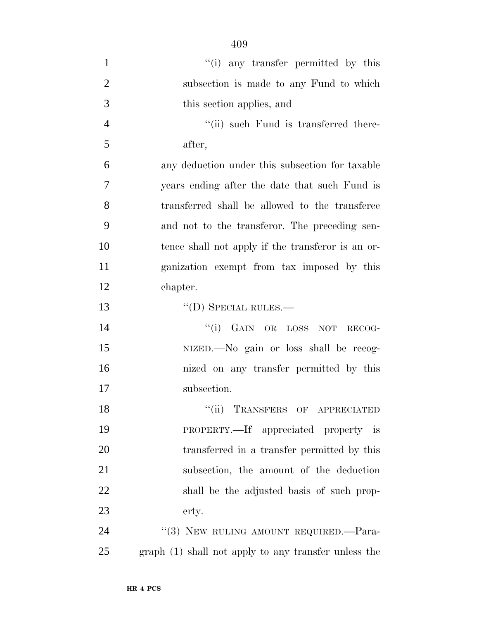| $\mathbf{1}$   | "(i) any transfer permitted by this                  |
|----------------|------------------------------------------------------|
| $\overline{2}$ | subsection is made to any Fund to which              |
| 3              | this section applies, and                            |
| 4              | "(ii) such Fund is transferred there-                |
| 5              | after,                                               |
| 6              | any deduction under this subsection for taxable      |
| $\overline{7}$ | years ending after the date that such Fund is        |
| 8              | transferred shall be allowed to the transferee       |
| 9              | and not to the transferor. The preceding sen-        |
| 10             | tence shall not apply if the transferor is an or-    |
| 11             | ganization exempt from tax imposed by this           |
| 12             | chapter.                                             |
| 13             | $\lq\lq$ (D) SPECIAL RULES.—                         |
| 14             | "(i) GAIN OR LOSS NOT RECOG-                         |
| 15             | NIZED.—No gain or loss shall be recog-               |
| 16             | nized on any transfer permitted by this              |
| 17             | subsection.                                          |
| 18             | "(ii) TRANSFERS OF APPRECIATED                       |
| 19             | PROPERTY.—If appreciated property is                 |
| 20             | transferred in a transfer permitted by this          |
| 21             | subsection, the amount of the deduction              |
| 22             | shall be the adjusted basis of such prop-            |
| 23             | erty.                                                |
| 24             | "(3) NEW RULING AMOUNT REQUIRED. - Para-             |
| 25             | graph (1) shall not apply to any transfer unless the |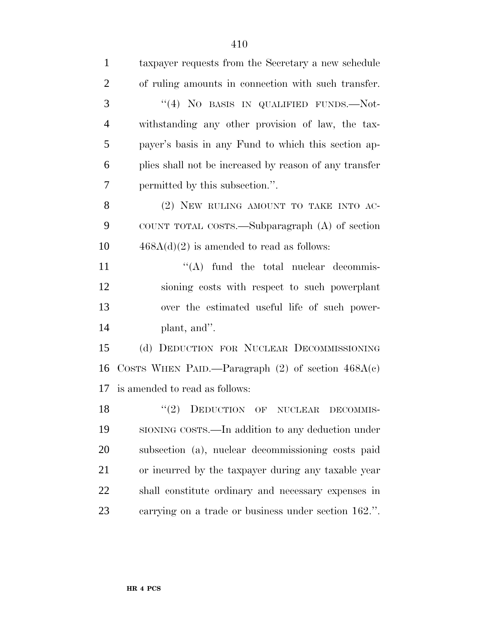| $\mathbf{1}$   | taxpayer requests from the Secretary a new schedule    |
|----------------|--------------------------------------------------------|
| $\overline{2}$ | of ruling amounts in connection with such transfer.    |
| 3              | "(4) NO BASIS IN QUALIFIED FUNDS.—Not-                 |
| $\overline{4}$ | withstanding any other provision of law, the tax-      |
| 5              | payer's basis in any Fund to which this section ap-    |
| 6              | plies shall not be increased by reason of any transfer |
| 7              | permitted by this subsection.".                        |
| 8              | (2) NEW RULING AMOUNT TO TAKE INTO AC-                 |
| 9              | COUNT TOTAL COSTS.—Subparagraph (A) of section         |
| 10             | $468A(d)(2)$ is amended to read as follows:            |
| 11             | $\lq\lq$ fund the total nuclear decommis-              |
| 12             | sioning costs with respect to such powerplant          |
| 13             | over the estimated useful life of such power-          |
| 14             | plant, and".                                           |
| 15             | (d) DEDUCTION FOR NUCLEAR DECOMMISSIONING              |
| 16             | COSTS WHEN PAID.—Paragraph $(2)$ of section $468A(c)$  |
| 17             | is amended to read as follows:                         |
| 18             | "(2) DEDUCTION OF NUCLEAR DECOMMIS-                    |
| 19             | SIONING COSTS.—In addition to any deduction under      |
| 20             | subsection (a), nuclear decommissioning costs paid     |
| 21             | or incurred by the taxpayer during any taxable year    |
| 22             | shall constitute ordinary and necessary expenses in    |
| 23             | carrying on a trade or business under section 162.".   |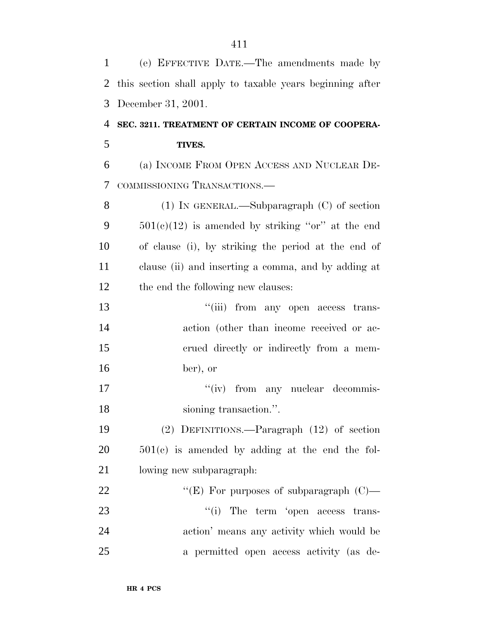| $\mathbf{1}$ | (e) EFFECTIVE DATE.—The amendments made by                |
|--------------|-----------------------------------------------------------|
| 2            | this section shall apply to taxable years beginning after |
| 3            | December 31, 2001.                                        |
| 4            | SEC. 3211. TREATMENT OF CERTAIN INCOME OF COOPERA-        |
| 5            | TIVES.                                                    |
| 6            | (a) INCOME FROM OPEN ACCESS AND NUCLEAR DE-               |
| 7            | COMMISSIONING TRANSACTIONS.-                              |
| 8            | $(1)$ In GENERAL.—Subparagraph $(C)$ of section           |
| 9            | $501(c)(12)$ is amended by striking "or" at the end       |
| 10           | of clause (i), by striking the period at the end of       |
| 11           | clause (ii) and inserting a comma, and by adding at       |
| 12           | the end the following new clauses:                        |
| 13           | "(iii) from any open access trans-                        |
| 14           | action (other than income received or ac-                 |
| 15           | erued directly or indirectly from a mem-                  |
| 16           | ber), or                                                  |
| 17           | "(iv) from any nuclear decommis-                          |
| 18           | sioning transaction.".                                    |
| 19           | $(2)$ DEFINITIONS.—Paragraph $(12)$ of section            |
| 20           | $501(c)$ is amended by adding at the end the fol-         |
| 21           | lowing new subparagraph.                                  |
| 22           | "(E) For purposes of subparagraph $(C)$ —                 |
| 23           | "(i) The term 'open access trans-                         |
| 24           | action' means any activity which would be                 |
| 25           | a permitted open access activity (as de-                  |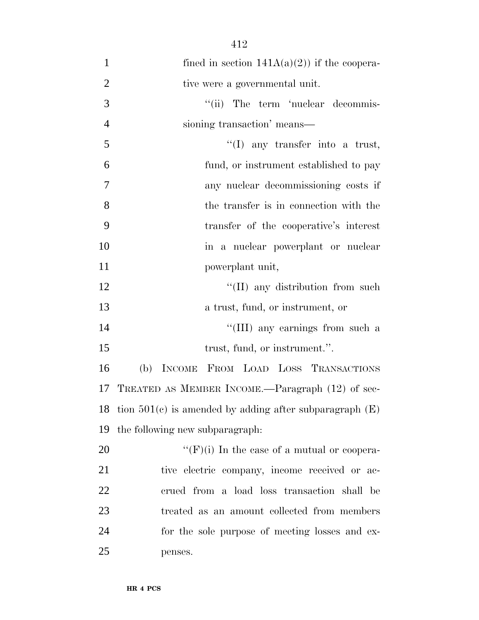| $\mathbf{1}$   | fined in section $141A(a)(2)$ if the coopera-               |
|----------------|-------------------------------------------------------------|
| $\overline{2}$ | tive were a governmental unit.                              |
| 3              | "(ii) The term 'nuclear decommis-                           |
| $\overline{4}$ | sioning transaction' means—                                 |
| 5              | $\lq(1)$ any transfer into a trust,                         |
| 6              | fund, or instrument established to pay                      |
| 7              | any nuclear decommissioning costs if                        |
| 8              | the transfer is in connection with the                      |
| 9              | transfer of the cooperative's interest                      |
| 10             | in a nuclear powerplant or nuclear                          |
| 11             | powerplant unit,                                            |
| 12             | "(II) any distribution from such                            |
| 13             | a trust, fund, or instrument, or                            |
| 14             | "(III) any earnings from such a                             |
| 15             | trust, fund, or instrument.".                               |
| 16             | (b) INCOME FROM LOAD LOSS TRANSACTIONS                      |
| 17             | TREATED AS MEMBER INCOME.—Paragraph (12) of sec-            |
| 18             | tion $501(c)$ is amended by adding after subparagraph $(E)$ |
| 19             | the following new subparagraph.                             |
| 20             | " $(F)(i)$ In the case of a mutual or coopera-              |
| 21             | tive electric company, income received or ac-               |
| 22             | erued from a load loss transaction shall be                 |
| 23             | treated as an amount collected from members                 |
| 24             | for the sole purpose of meeting losses and ex-              |
| 25             | penses.                                                     |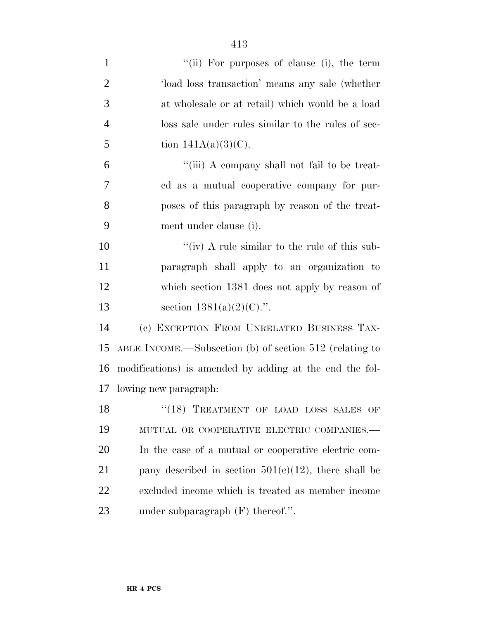| $\mathbf{1}$   | "(ii) For purposes of clause (i), the term              |
|----------------|---------------------------------------------------------|
| $\overline{2}$ | load loss transaction' means any sale (whether          |
| 3              | at wholesale or at retail) which would be a load        |
| $\overline{4}$ | loss sale under rules similar to the rules of sec-      |
| 5              | tion $141A(a)(3)(C)$ .                                  |
| 6              | "(iii) A company shall not fail to be treat-            |
| 7              | ed as a mutual cooperative company for pur-             |
| 8              | poses of this paragraph by reason of the treat-         |
| 9              | ment under clause (i).                                  |
| 10             | "(iv) A rule similar to the rule of this sub-           |
| 11             | paragraph shall apply to an organization to             |
| 12             | which section 1381 does not apply by reason of          |
| 13             | section $1381(a)(2)(C)$ .".                             |
| 14             | (c) EXCEPTION FROM UNRELATED BUSINESS TAX-              |
| 15             | ABLE INCOME.—Subsection (b) of section 512 (relating to |
| 16             | modifications) is amended by adding at the end the fol- |
| 17             | lowing new paragraph.                                   |
| 18             | "(18) TREATMENT OF LOAD LOSS SALES OF                   |
| 19             | MUTUAL OR COOPERATIVE ELECTRIC COMPANIES.-              |
| 20             | In the case of a mutual or cooperative electric com-    |
| 21             | pany described in section $501(c)(12)$ , there shall be |
| <u>22</u>      | excluded income which is treated as member income       |
| 23             | under subparagraph $(F)$ thereof.".                     |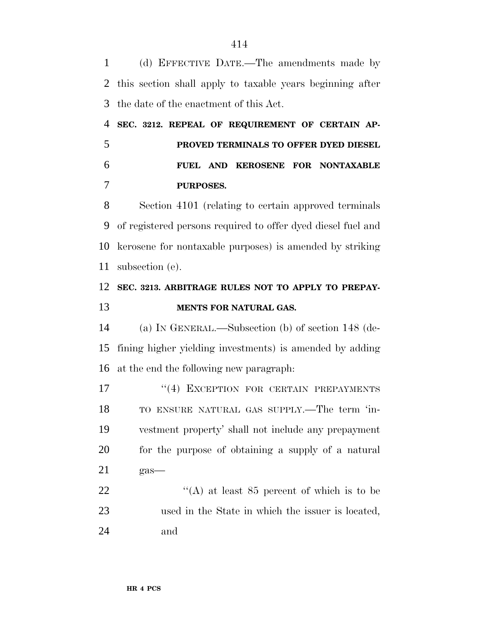(d) EFFECTIVE DATE.—The amendments made by this section shall apply to taxable years beginning after the date of the enactment of this Act.

 **SEC. 3212. REPEAL OF REQUIREMENT OF CERTAIN AP- PROVED TERMINALS TO OFFER DYED DIESEL FUEL AND KEROSENE FOR NONTAXABLE PURPOSES.**

 Section 4101 (relating to certain approved terminals of registered persons required to offer dyed diesel fuel and kerosene for nontaxable purposes) is amended by striking subsection (e).

## **SEC. 3213. ARBITRAGE RULES NOT TO APPLY TO PREPAY-MENTS FOR NATURAL GAS.**

 (a) IN GENERAL.—Subsection (b) of section 148 (de- fining higher yielding investments) is amended by adding at the end the following new paragraph:

17 <sup>''</sup>(4) EXCEPTION FOR CERTAIN PREPAYMENTS TO ENSURE NATURAL GAS SUPPLY.—The term 'in- vestment property' shall not include any prepayment for the purpose of obtaining a supply of a natural gas—

22  $\langle (A)$  at least 85 percent of which is to be used in the State in which the issuer is located, and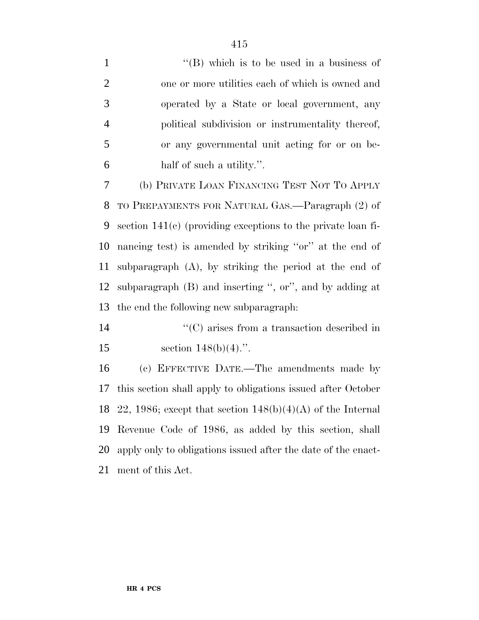1 ''(B) which is to be used in a business of one or more utilities each of which is owned and operated by a State or local government, any political subdivision or instrumentality thereof, or any governmental unit acting for or on be- half of such a utility.''. (b) PRIVATE LOAN FINANCING TEST NOT TO APPLY TO PREPAYMENTS FOR NATURAL GAS.—Paragraph (2) of section 141(c) (providing exceptions to the private loan fi- nancing test) is amended by striking ''or'' at the end of subparagraph (A), by striking the period at the end of subparagraph (B) and inserting '', or'', and by adding at the end the following new subparagraph:  $\cdot$  (C) arises from a transaction described in 15 section  $148(b)(4)$ .".

 (c) EFFECTIVE DATE.—The amendments made by this section shall apply to obligations issued after October 18 22, 1986; except that section  $148(b)(4)(A)$  of the Internal Revenue Code of 1986, as added by this section, shall apply only to obligations issued after the date of the enact-ment of this Act.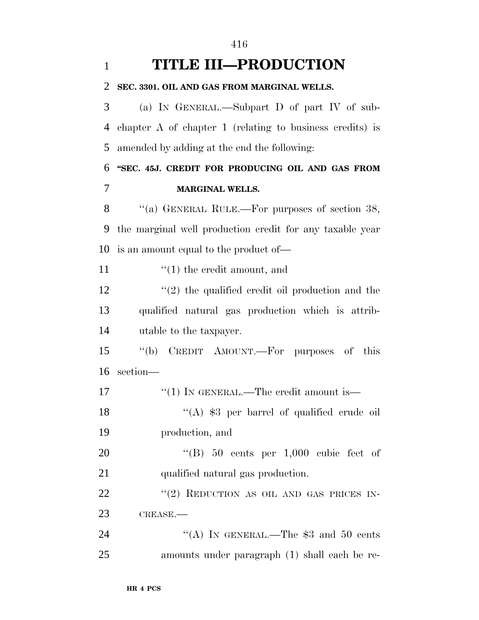| $\mathbf{1}$ | <b>TITLE III-PRODUCTION</b>                                |
|--------------|------------------------------------------------------------|
| 2            | SEC. 3301. OIL AND GAS FROM MARGINAL WELLS.                |
| 3            | (a) IN GENERAL.—Subpart D of part IV of sub-               |
| 4            | chapter $A$ of chapter 1 (relating to business credits) is |
| 5            | amended by adding at the end the following:                |
| 6            | "SEC. 45J. CREDIT FOR PRODUCING OIL AND GAS FROM           |
| 7            | <b>MARGINAL WELLS.</b>                                     |
| 8            | "(a) GENERAL RULE.—For purposes of section $38$ ,          |
| 9            | the marginal well production credit for any taxable year   |
| 10           | is an amount equal to the product of—                      |
| 11           | $f(1)$ the credit amount, and                              |
| 12           | $\lq(2)$ the qualified credit oil production and the       |
| 13           | qualified natural gas production which is attrib-          |
| 14           | utable to the taxpayer.                                    |
| 15           | CREDIT AMOUNT.—For purposes of this<br>$``$ (b)            |
| 16           | section-                                                   |
| 17           | "(1) IN GENERAL.—The credit amount is—                     |
| 18           | "(A) $$3$ per barrel of qualified crude oil                |
| 19           | production, and                                            |
| 20           | "(B) $50$ cents per 1,000 cubic feet of                    |
| 21           | qualified natural gas production.                          |
| 22           | "(2) REDUCTION AS OIL AND GAS PRICES IN-                   |
| 23           | CREASE.                                                    |
| 24           | "(A) IN GENERAL.—The $$3$ and $50$ cents                   |
| 25           | amounts under paragraph (1) shall each be re-              |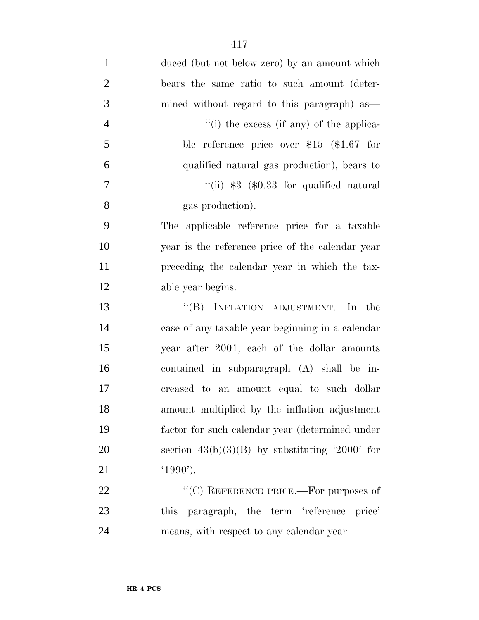| $\mathbf{1}$   | duced (but not below zero) by an amount which    |
|----------------|--------------------------------------------------|
| $\overline{2}$ | bears the same ratio to such amount (deter-      |
| 3              | mined without regard to this paragraph) as       |
| $\overline{4}$ | "(i) the excess (if any) of the applica-         |
| 5              | ble reference price over $$15$ (\$1.67 for       |
| 6              | qualified natural gas production), bears to      |
| 7              | "(ii) $$3$ (\$0.33 for qualified natural         |
| 8              | gas production).                                 |
| 9              | The applicable reference price for a taxable     |
| 10             | year is the reference price of the calendar year |
| 11             | preceding the calendar year in which the tax-    |
| 12             | able year begins.                                |
| 13             | "(B) INFLATION ADJUSTMENT.—In the                |
| 14             | case of any taxable year beginning in a calendar |
| 15             | year after 2001, each of the dollar amounts      |
| 16             | contained in subparagraph (A) shall be in-       |
| 17             | creased to an amount equal to such dollar        |
| 18             | amount multiplied by the inflation adjustment    |
| 19             | factor for such calendar year (determined under  |
| 20             | section $43(b)(3)(B)$ by substituting '2000' for |
| 21             | $(1990)$ .                                       |
| 22             | "(C) REFERENCE PRICE.—For purposes of            |
| 23             | this paragraph, the term 'reference price'       |
| 24             | means, with respect to any calendar year—        |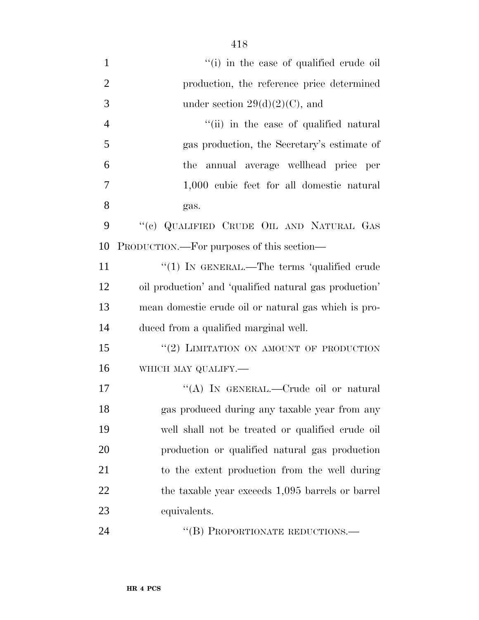| $\mathbf{1}$   | "(i) in the case of qualified crude oil"               |
|----------------|--------------------------------------------------------|
| $\overline{2}$ | production, the reference price determined             |
| 3              | under section $29(d)(2)(C)$ , and                      |
| $\overline{4}$ | "(ii) in the case of qualified natural                 |
| 5              | gas production, the Secretary's estimate of            |
| 6              | annual average wellhead price per<br>the               |
| $\overline{7}$ | 1,000 cubic feet for all domestic natural              |
| 8              | gas.                                                   |
| 9              | "(c) QUALIFIED CRUDE OIL AND NATURAL GAS               |
| 10             | PRODUCTION.—For purposes of this section—              |
| 11             | "(1) IN GENERAL.—The terms 'qualified crude            |
| 12             | oil production' and 'qualified natural gas production' |
| 13             | mean domestic crude oil or natural gas which is pro-   |
| 14             | duced from a qualified marginal well.                  |
| 15             | "(2) LIMITATION ON AMOUNT OF PRODUCTION                |
| 16             | WHICH MAY QUALIFY.-                                    |
| 17             | "(A) IN GENERAL.—Crude oil or natural                  |
| 18             | gas produced during any taxable year from any          |
| 19             | well shall not be treated or qualified crude oil       |
| 20             | production or qualified natural gas production         |
| 21             | to the extent production from the well during          |
| 22             | the taxable year exceeds 1,095 barrels or barrel       |
| 23             | equivalents.                                           |
| 24             | "(B) PROPORTIONATE REDUCTIONS.—                        |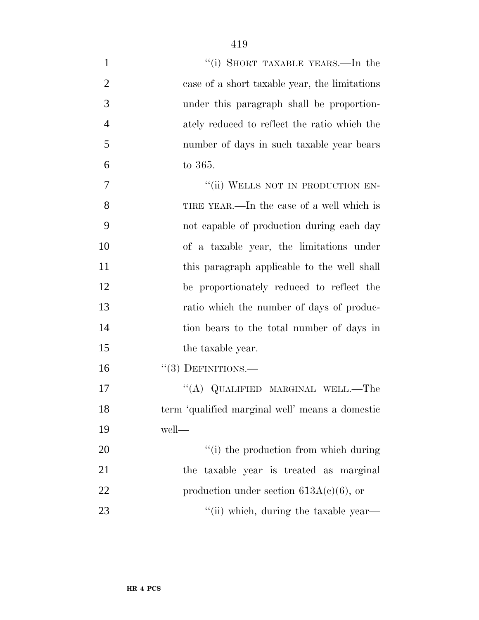| $\mathbf{1}$   | "(i) SHORT TAXABLE YEARS.—In the                |
|----------------|-------------------------------------------------|
| $\overline{2}$ | case of a short taxable year, the limitations   |
| 3              | under this paragraph shall be proportion-       |
| 4              | ately reduced to reflect the ratio which the    |
| 5              | number of days in such taxable year bears       |
| 6              | to 365.                                         |
| 7              | "(ii) WELLS NOT IN PRODUCTION EN-               |
| 8              | TIRE YEAR.—In the case of a well which is       |
| 9              | not capable of production during each day       |
| 10             | of a taxable year, the limitations under        |
| 11             | this paragraph applicable to the well shall     |
| 12             | be proportionately reduced to reflect the       |
| 13             | ratio which the number of days of produc-       |
| 14             | tion bears to the total number of days in       |
| 15             | the taxable year.                               |
| 16             | $``(3)$ DEFINITIONS.—                           |
| 17             | "(A) QUALIFIED MARGINAL WELL.—The               |
| 18             | term 'qualified marginal well' means a domestic |
| 19             | well-                                           |
| 20             | "(i) the production from which during           |
| 21             | the taxable year is treated as marginal         |
| 22             | production under section $613A(c)(6)$ , or      |
| 23             | "(ii) which, during the taxable year—           |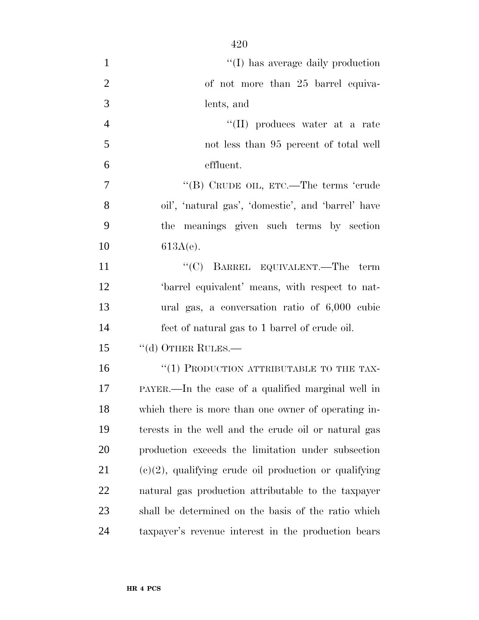| $\mathbf{1}$   | "(I) has average daily production                        |
|----------------|----------------------------------------------------------|
| $\mathbf{2}$   | of not more than 25 barrel equiva-                       |
| 3              | lents, and                                               |
| $\overline{4}$ | "(II) produces water at a rate                           |
| 5              | not less than 95 percent of total well                   |
| 6              | effluent.                                                |
| 7              | "(B) CRUDE OIL, ETC.—The terms 'crude                    |
| 8              | oil', 'natural gas', 'domestic', and 'barrel' have       |
| 9              | the meanings given such terms by section                 |
| 10             | $613A(e)$ .                                              |
| 11             | "(C) BARREL EQUIVALENT.—The term                         |
| 12             | 'barrel equivalent' means, with respect to nat-          |
| 13             | ural gas, a conversation ratio of $6,000$ cubic          |
| 14             | feet of natural gas to 1 barrel of crude oil.            |
| 15             | "(d) OTHER RULES.—                                       |
| 16             | "(1) PRODUCTION ATTRIBUTABLE TO THE TAX-                 |
| 17             | PAYER.—In the case of a qualified marginal well in       |
| 18             | which there is more than one owner of operating in-      |
| 19             | terests in the well and the crude oil or natural gas     |
| 20             | production exceeds the limitation under subsection       |
| 21             | $(e)(2)$ , qualifying crude oil production or qualifying |
| 22             | natural gas production attributable to the taxpayer      |
| 23             | shall be determined on the basis of the ratio which      |
| 24             | taxpayer's revenue interest in the production bears      |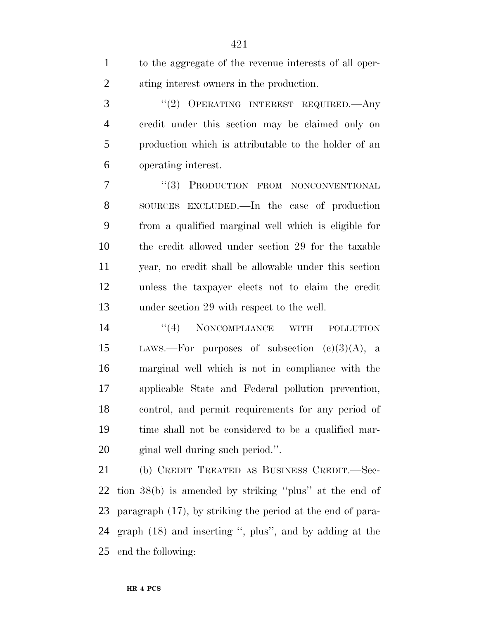to the aggregate of the revenue interests of all oper- ating interest owners in the production. ''(2) OPERATING INTEREST REQUIRED.—Any credit under this section may be claimed only on production which is attributable to the holder of an operating interest. 7 "(3) PRODUCTION FROM NONCONVENTIONAL SOURCES EXCLUDED.—In the case of production from a qualified marginal well which is eligible for the credit allowed under section 29 for the taxable year, no credit shall be allowable under this section unless the taxpayer elects not to claim the credit under section 29 with respect to the well.

14 "(4) NONCOMPLIANCE WITH POLLUTION 15 LAWS.—For purposes of subsection  $(e)(3)(A)$ , a marginal well which is not in compliance with the applicable State and Federal pollution prevention, control, and permit requirements for any period of time shall not be considered to be a qualified mar-ginal well during such period.''.

 (b) CREDIT TREATED AS BUSINESS CREDIT.—Sec- tion 38(b) is amended by striking ''plus'' at the end of paragraph (17), by striking the period at the end of para- graph (18) and inserting '', plus'', and by adding at the end the following: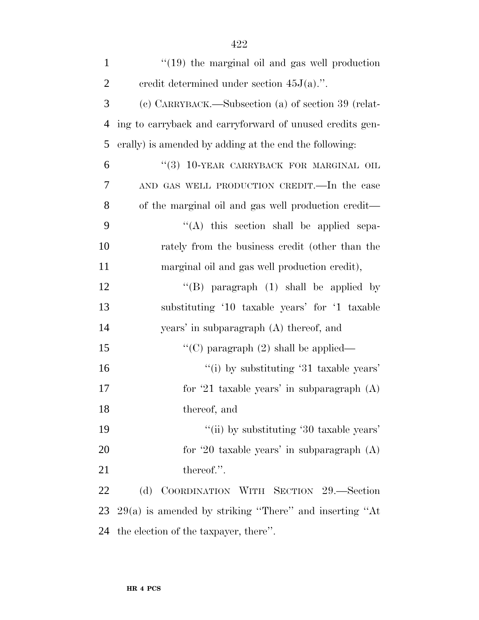| $\mathbf{1}$   | $\lq(19)$ the marginal oil and gas well production       |
|----------------|----------------------------------------------------------|
| $\overline{2}$ | eredit determined under section $45J(a)$ .".             |
| 3              | (c) CARRYBACK.—Subsection (a) of section 39 (relat-      |
| $\overline{4}$ | ing to carryback and carryforward of unused credits gen- |
| 5              | erally) is amended by adding at the end the following:   |
| 6              | "(3) 10-YEAR CARRYBACK FOR MARGINAL OIL                  |
| 7              | AND GAS WELL PRODUCTION CREDIT.—In the case              |
| 8              | of the marginal oil and gas well production credit—      |
| 9              | "(A) this section shall be applied sepa-                 |
| 10             | rately from the business credit (other than the          |
| 11             | marginal oil and gas well production credit),            |
| 12             | "(B) paragraph $(1)$ shall be applied by                 |
| 13             | substituting '10 taxable years' for '1 taxable           |
| 14             | years' in subparagraph (A) thereof, and                  |
| 15             | "(C) paragraph $(2)$ shall be applied—                   |
| 16             | "(i) by substituting $31$ taxable years'                 |
| 17             | for '21 taxable years' in subparagraph $(A)$             |
| 18             | thereof, and                                             |
| 19             | "(ii) by substituting '30 taxable years'                 |
| 20             | for '20 taxable years' in subparagraph $(A)$             |
| 21             | thereof.".                                               |
| 22             | (d) COORDINATION WITH SECTION 29.—Section                |
| 23             | $29(a)$ is amended by striking "There" and inserting "At |
| 24             | the election of the taxpayer, there".                    |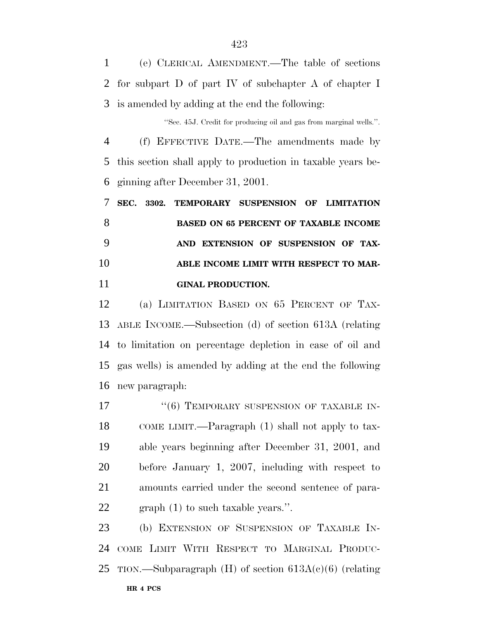(e) CLERICAL AMENDMENT.—The table of sections for subpart D of part IV of subchapter A of chapter I is amended by adding at the end the following:

''Sec. 45J. Credit for producing oil and gas from marginal wells.''.

 (f) EFFECTIVE DATE.—The amendments made by this section shall apply to production in taxable years be-ginning after December 31, 2001.

 **SEC. 3302. TEMPORARY SUSPENSION OF LIMITATION BASED ON 65 PERCENT OF TAXABLE INCOME AND EXTENSION OF SUSPENSION OF TAX-ABLE INCOME LIMIT WITH RESPECT TO MAR-GINAL PRODUCTION.**

 (a) LIMITATION BASED ON 65 PERCENT OF TAX- ABLE INCOME.—Subsection (d) of section 613A (relating to limitation on percentage depletion in case of oil and gas wells) is amended by adding at the end the following new paragraph:

17 <sup>''</sup>(6) TEMPORARY SUSPENSION OF TAXABLE IN- COME LIMIT.—Paragraph (1) shall not apply to tax- able years beginning after December 31, 2001, and before January 1, 2007, including with respect to amounts carried under the second sentence of para-graph (1) to such taxable years.''.

 (b) EXTENSION OF SUSPENSION OF TAXABLE IN- COME LIMIT WITH RESPECT TO MARGINAL PRODUC-25 TION.—Subparagraph  $(H)$  of section 613A(c)(6) (relating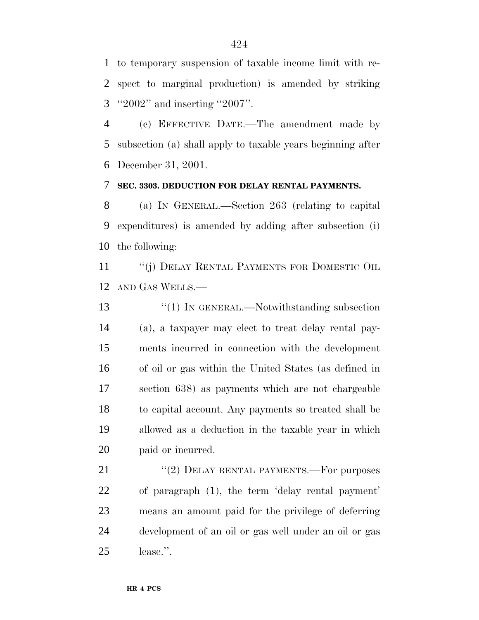to temporary suspension of taxable income limit with re- spect to marginal production) is amended by striking ''2002'' and inserting ''2007''.

 (c) EFFECTIVE DATE.—The amendment made by subsection (a) shall apply to taxable years beginning after December 31, 2001.

#### **SEC. 3303. DEDUCTION FOR DELAY RENTAL PAYMENTS.**

 (a) IN GENERAL.—Section 263 (relating to capital expenditures) is amended by adding after subsection (i) the following:

11 "(j) DELAY RENTAL PAYMENTS FOR DOMESTIC OIL AND GAS WELLS.—

13 <sup>"</sup>(1) IN GENERAL.—Notwithstanding subsection (a), a taxpayer may elect to treat delay rental pay- ments incurred in connection with the development of oil or gas within the United States (as defined in section 638) as payments which are not chargeable to capital account. Any payments so treated shall be allowed as a deduction in the taxable year in which paid or incurred.

21 "(2) DELAY RENTAL PAYMENTS.—For purposes of paragraph (1), the term 'delay rental payment' means an amount paid for the privilege of deferring development of an oil or gas well under an oil or gas lease.''.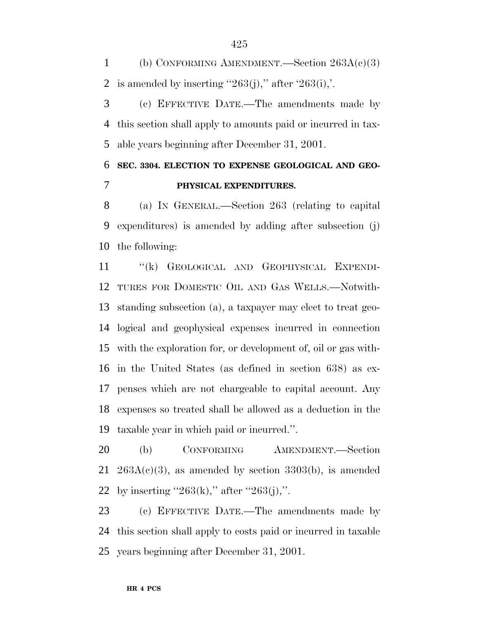1 (b) CONFORMING AMENDMENT.—Section  $263A(c)(3)$ 2 is amended by inserting "263(j)," after '263(i),".

 (c) EFFECTIVE DATE.—The amendments made by this section shall apply to amounts paid or incurred in tax-able years beginning after December 31, 2001.

## **SEC. 3304. ELECTION TO EXPENSE GEOLOGICAL AND GEO-PHYSICAL EXPENDITURES.**

 (a) IN GENERAL.—Section 263 (relating to capital expenditures) is amended by adding after subsection (j) the following:

 ''(k) GEOLOGICAL AND GEOPHYSICAL EXPENDI- TURES FOR DOMESTIC OIL AND GAS WELLS.—Notwith- standing subsection (a), a taxpayer may elect to treat geo- logical and geophysical expenses incurred in connection with the exploration for, or development of, oil or gas with- in the United States (as defined in section 638) as ex- penses which are not chargeable to capital account. Any expenses so treated shall be allowed as a deduction in the taxable year in which paid or incurred.''.

 (b) CONFORMING AMENDMENT.—Section 21 263A(c)(3), as amended by section 3303(b), is amended 22 by inserting "263(k)," after "263(j),".

 (c) EFFECTIVE DATE.—The amendments made by this section shall apply to costs paid or incurred in taxable years beginning after December 31, 2001.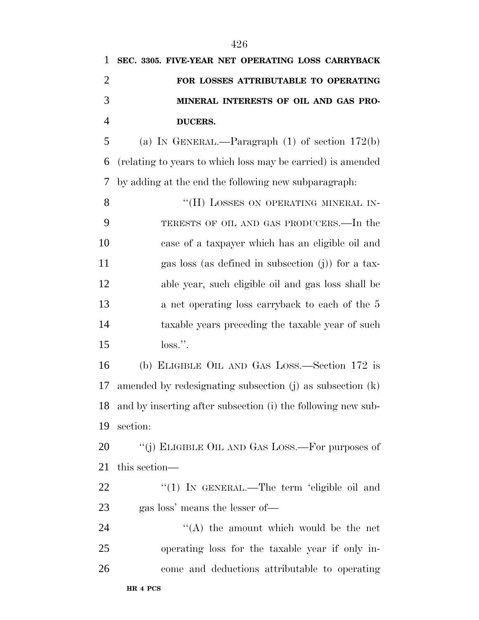| 1              | SEC. 3305. FIVE-YEAR NET OPERATING LOSS CARRYBACK           |
|----------------|-------------------------------------------------------------|
| $\overline{2}$ | FOR LOSSES ATTRIBUTABLE TO OPERATING                        |
| 3              | MINERAL INTERESTS OF OIL AND GAS PRO-                       |
| $\overline{4}$ | DUCERS.                                                     |
| 5              | (a) IN GENERAL.—Paragraph $(1)$ of section 172(b)           |
| 6              | (relating to years to which loss may be carried) is amended |
| 7              | by adding at the end the following new subparagraph.        |
| 8              | "(H) LOSSES ON OPERATING MINERAL IN-                        |
| 9              | TERESTS OF OIL AND GAS PRODUCERS.—In the                    |
| 10             | case of a taxpayer which has an eligible oil and            |
| 11             | gas loss (as defined in subsection $(j)$ ) for a tax-       |
| 12             | able year, such eligible oil and gas loss shall be          |
| 13             | a net operating loss carryback to each of the 5             |
| 14             | taxable years preceding the taxable year of such            |
| 15             | $loss.$ ".                                                  |
|                |                                                             |

 (b) ELIGIBLE OIL AND GAS LOSS.—Section 172 is amended by redesignating subsection (j) as subsection (k) and by inserting after subsection (i) the following new sub-section:

20 "(j) ELIGIBLE OIL AND GAS LOSS.—For purposes of this section—

22 ''(1) IN GENERAL.—The term 'eligible oil and gas loss' means the lesser of—

24 ''(A) the amount which would be the net operating loss for the taxable year if only in-come and deductions attributable to operating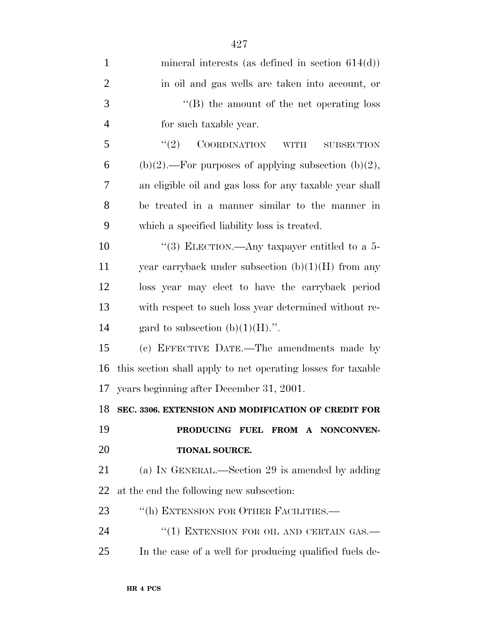| $\mathbf{1}$   | mineral interests (as defined in section $614(d)$ )          |
|----------------|--------------------------------------------------------------|
| $\overline{2}$ | in oil and gas wells are taken into account, or              |
| 3              | $\lq\lq (B)$ the amount of the net operating loss            |
| $\overline{4}$ | for such taxable year.                                       |
| 5              | (2)<br>COORDINATION<br><b>WITH</b><br><b>SUBSECTION</b>      |
| 6              | $(b)(2)$ .—For purposes of applying subsection $(b)(2)$ ,    |
| 7              | an eligible oil and gas loss for any taxable year shall      |
| 8              | be treated in a manner similar to the manner in              |
| 9              | which a specified liability loss is treated.                 |
| 10             | "(3) ELECTION.—Any taxpayer entitled to a 5-                 |
| 11             | year carryback under subsection $(b)(1)(H)$ from any         |
| 12             | loss year may elect to have the carryback period             |
| 13             | with respect to such loss year determined without re-        |
| 14             | gard to subsection $(b)(1)(H)$ .".                           |
| 15             | (c) EFFECTIVE DATE.—The amendments made by                   |
| 16             | this section shall apply to net operating losses for taxable |
| 17             | years beginning after December 31, 2001.                     |
| 18             | SEC. 3306. EXTENSION AND MODIFICATION OF CREDIT FOR          |
| 19             | PRODUCING FUEL FROM A NONCONVEN-                             |
| 20             | TIONAL SOURCE.                                               |
| 21             | (a) IN GENERAL.—Section 29 is amended by adding              |
| 22             | at the end the following new subsection:                     |
| 23             | "(h) EXTENSION FOR OTHER FACILITIES.-                        |
| 24             | "(1) EXTENSION FOR OIL AND CERTAIN GAS.-                     |
| 25             | In the case of a well for producing qualified fuels de-      |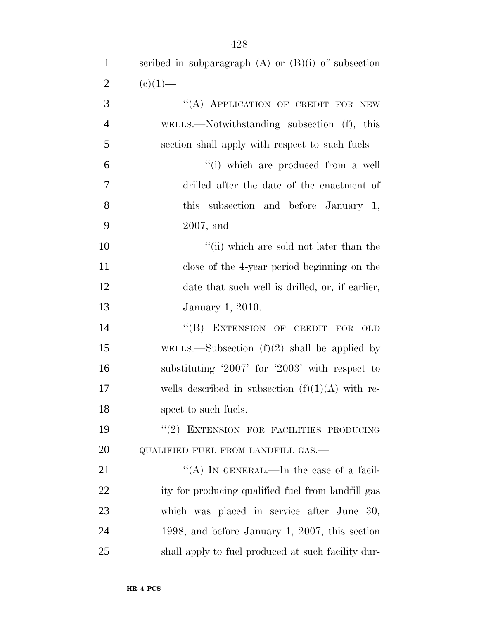| $\mathbf{1}$   | scribed in subparagraph $(A)$ or $(B)(i)$ of subsection |
|----------------|---------------------------------------------------------|
| $\overline{2}$ | $(e)(1)$ —                                              |
| 3              | "(A) APPLICATION OF CREDIT FOR NEW                      |
| $\overline{4}$ | WELLS.—Notwithstanding subsection (f), this             |
| 5              | section shall apply with respect to such fuels—         |
| 6              | "(i) which are produced from a well                     |
| $\overline{7}$ | drilled after the date of the enactment of              |
| 8              | this subsection and before January 1,                   |
| 9              | $2007$ , and                                            |
| 10             | "(ii) which are sold not later than the                 |
| 11             | close of the 4-year period beginning on the             |
| 12             | date that such well is drilled, or, if earlier,         |
| 13             | January 1, 2010.                                        |
| 14             | "(B) EXTENSION OF CREDIT FOR<br>OLD                     |
| 15             | WELLS.—Subsection $(f)(2)$ shall be applied by          |
| 16             | substituting $2007'$ for $2003'$ with respect to        |
| 17             | wells described in subsection $(f)(1)(A)$ with re-      |
| 18             | spect to such fuels.                                    |
| 19             | "(2) EXTENSION FOR FACILITIES PRODUCING                 |
| 20             | QUALIFIED FUEL FROM LANDFILL GAS.-                      |
| 21             | "(A) IN GENERAL.—In the case of a facil-                |
| 22             | ity for producing qualified fuel from landfill gas      |
| 23             | which was placed in service after June 30,              |
| 24             | 1998, and before January 1, 2007, this section          |
| 25             | shall apply to fuel produced at such facility dur-      |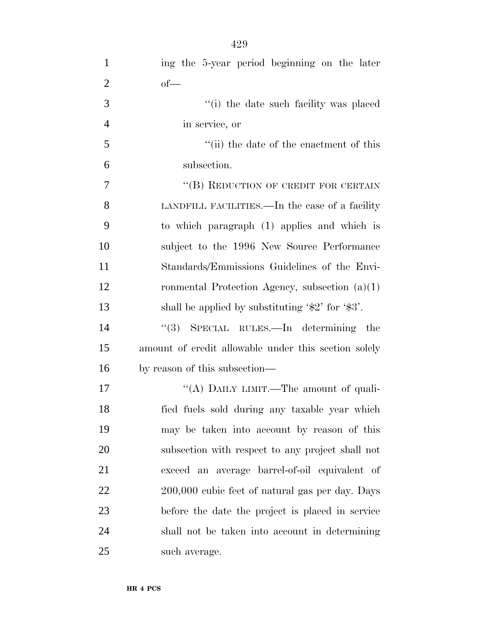| $\mathbf{1}$   | ing the 5-year period beginning on the later                       |
|----------------|--------------------------------------------------------------------|
| $\overline{2}$ | $of$ —                                                             |
| 3              | "(i) the date such facility was placed                             |
| $\overline{4}$ | in service, or                                                     |
| 5              | "(ii) the date of the enactment of this                            |
| 6              | subsection.                                                        |
| $\tau$         | "(B) REDUCTION OF CREDIT FOR CERTAIN                               |
| 8              | LANDFILL FACILITIES.—In the case of a facility                     |
| 9              | to which paragraph (1) applies and which is                        |
| 10             | subject to the 1996 New Source Performance                         |
| 11             | Standards/Emmissions Guidelines of the Envi-                       |
| 12             | ronmental Protection Agency, subsection $(a)(1)$                   |
| 13             | shall be applied by substituting $\frac{1}{2}$ for $\frac{1}{3}$ . |
| 14             | "(3) SPECIAL RULES.—In determining the                             |
| 15             | amount of credit allowable under this section solely               |
| 16             | by reason of this subsection—                                      |
| 17             | "(A) DAILY LIMIT.—The amount of quali-                             |
| 18             | fied fuels sold during any taxable year which                      |
| 19             | may be taken into account by reason of this                        |
| 20             | subsection with respect to any project shall not                   |
| 21             | exceed an average barrel-of-oil equivalent of                      |
| 22             | 200,000 cubic feet of natural gas per day. Days                    |
| 23             | before the date the project is placed in service                   |
| 24             | shall not be taken into account in determining                     |
| 25             | such average.                                                      |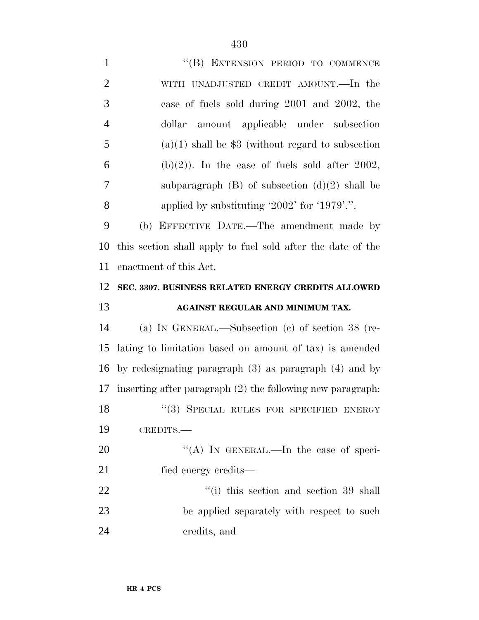| $\mathbf{1}$   | "(B) EXTENSION PERIOD TO COMMENCE                            |
|----------------|--------------------------------------------------------------|
| $\overline{2}$ | WITH UNADJUSTED CREDIT AMOUNT.—In the                        |
| 3              | case of fuels sold during 2001 and 2002, the                 |
| $\overline{4}$ | amount applicable under subsection<br>dollar                 |
| 5              | $(a)(1)$ shall be \$3 (without regard to subsection          |
| 6              | $(b)(2)$ ). In the case of fuels sold after 2002,            |
| 7              | subparagraph $(B)$ of subsection $(d)(2)$ shall be           |
| 8              | applied by substituting '2002' for '1979'.".                 |
| 9              | (b) EFFECTIVE DATE.—The amendment made by                    |
| 10             | this section shall apply to fuel sold after the date of the  |
| 11             | enactment of this Act.                                       |
| 12             | SEC. 3307. BUSINESS RELATED ENERGY CREDITS ALLOWED           |
|                |                                                              |
| 13             | AGAINST REGULAR AND MINIMUM TAX.                             |
| 14             | (a) IN GENERAL.—Subsection (c) of section $38$ (re-          |
| 15             | lating to limitation based on amount of tax) is amended      |
| 16             | by redesignating paragraph $(3)$ as paragraph $(4)$ and by   |
| 17             | inserting after paragraph $(2)$ the following new paragraph: |
| 18             | "(3) SPECIAL RULES FOR SPECIFIED ENERGY                      |
| 19             | CREDITS.-                                                    |
| 20             | "(A) IN GENERAL.—In the case of speci-                       |
| 21             | fied energy credits—                                         |
| 22             | $\lq\lq$ (i) this section and section 39 shall               |
| 23             | be applied separately with respect to such                   |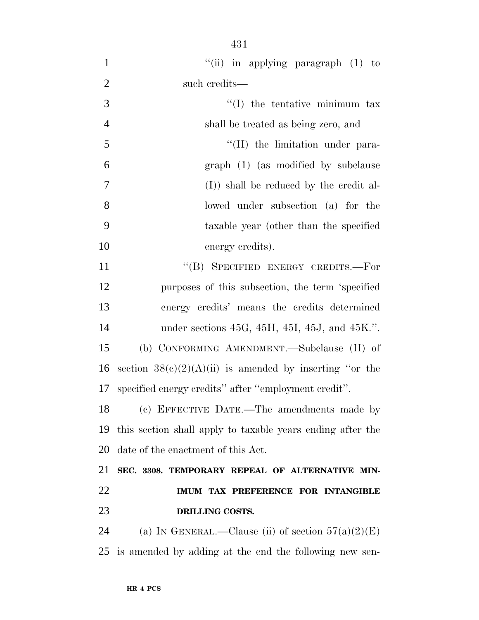| $\mathbf{1}$   | "(ii) in applying paragraph $(1)$ to                         |
|----------------|--------------------------------------------------------------|
| $\overline{2}$ | such credits—                                                |
| 3              | $\lq\lq$ the tentative minimum tax                           |
| $\overline{4}$ | shall be treated as being zero, and                          |
| 5              | "(II) the limitation under para-                             |
| 6              | graph (1) (as modified by subclause                          |
| $\tau$         | (I) shall be reduced by the credit al-                       |
| 8              | lowed under subsection (a) for the                           |
| 9              | taxable year (other than the specified                       |
| 10             | energy credits).                                             |
| 11             | "(B) SPECIFIED ENERGY CREDITS.-For                           |
| 12             | purposes of this subsection, the term 'specified             |
| 13             | energy credits' means the credits determined                 |
| 14             | under sections $45G$ , $45H$ , $45I$ , $45J$ , and $45K$ .". |
| 15             | (b) CONFORMING AMENDMENT.—Subclause (II) of                  |
| 16             | section $38(c)(2)(A)(ii)$ is amended by inserting "or the    |
| 17             | specified energy credits" after "employment credit".         |
| 18             | (c) EFFECTIVE DATE.—The amendments made by                   |
| 19             | this section shall apply to taxable years ending after the   |
| 20             | date of the enactment of this Act.                           |
| 21             | SEC. 3308. TEMPORARY REPEAL OF ALTERNATIVE MIN-              |
| 22             | IMUM TAX PREFERENCE FOR INTANGIBLE                           |
| 23             | DRILLING COSTS.                                              |
| 24             | (a) IN GENERAL.—Clause (ii) of section $57(a)(2)(E)$         |
| 25             | is amended by adding at the end the following new sen-       |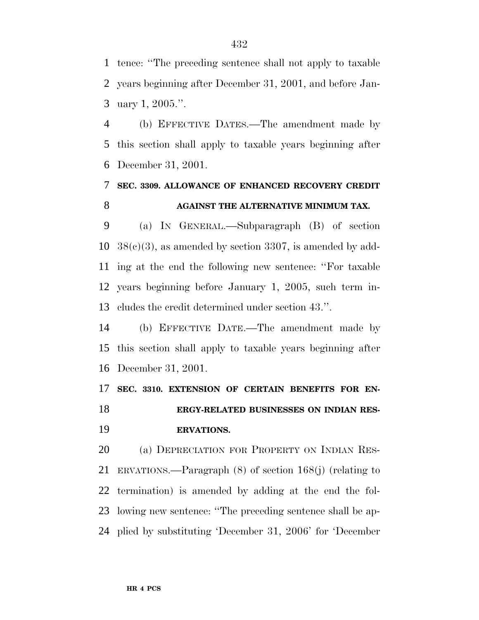tence: ''The preceding sentence shall not apply to taxable years beginning after December 31, 2001, and before Jan-uary 1, 2005.''.

 (b) EFFECTIVE DATES.—The amendment made by this section shall apply to taxable years beginning after December 31, 2001.

# **SEC. 3309. ALLOWANCE OF ENHANCED RECOVERY CREDIT AGAINST THE ALTERNATIVE MINIMUM TAX.**

 (a) IN GENERAL.—Subparagraph (B) of section  $38(c)(3)$ , as amended by section 3307, is amended by add- ing at the end the following new sentence: ''For taxable years beginning before January 1, 2005, such term in-cludes the credit determined under section 43.''.

 (b) EFFECTIVE DATE.—The amendment made by this section shall apply to taxable years beginning after December 31, 2001.

#### **SEC. 3310. EXTENSION OF CERTAIN BENEFITS FOR EN-ERGY-RELATED BUSINESSES ON INDIAN RES-**

#### **ERVATIONS.**

 (a) DEPRECIATION FOR PROPERTY ON INDIAN RES- ERVATIONS.—Paragraph (8) of section 168(j) (relating to termination) is amended by adding at the end the fol- lowing new sentence: ''The preceding sentence shall be ap-plied by substituting 'December 31, 2006' for 'December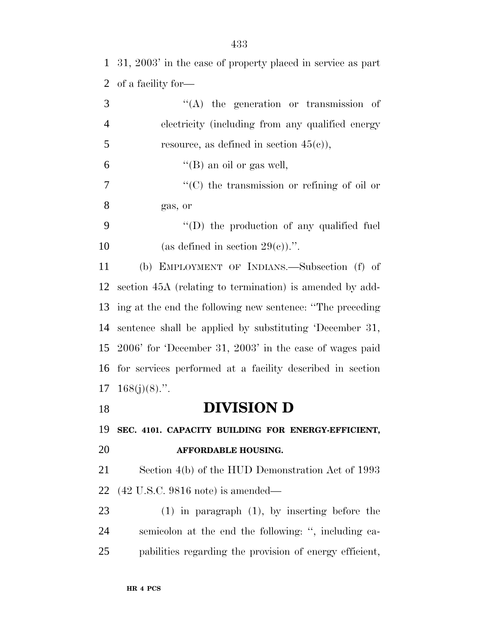| $\mathbf{1}$   | 31, 2003' in the case of property placed in service as part |
|----------------|-------------------------------------------------------------|
| $\overline{2}$ | of a facility for-                                          |
| 3              | $\lq\lq$ the generation or transmission of                  |
| $\overline{4}$ | electricity (including from any qualified energy            |
| 5              | resource, as defined in section $45(e)$ ,                   |
| 6              | "(B) an oil or gas well,                                    |
| 7              | $\lq\lq$ (C) the transmission or refining of oil or         |
| 8              | gas, or                                                     |
| 9              | $\lq\lq$ the production of any qualified fuel               |
| 10             | (as defined in section $29(e)$ ).".                         |
| 11             | (b) EMPLOYMENT OF INDIANS.—Subsection (f) of                |
| 12             | section 45A (relating to termination) is amended by add-    |
| 13             | ing at the end the following new sentence: "The preceding   |
| 14             | sentence shall be applied by substituting 'December 31,     |
| 15             | $2006'$ for 'December 31, $2003'$ in the case of wages paid |
| 16             | for services performed at a facility described in section   |
|                | $17 \quad 168(j)(8)$ .".                                    |
| 18             | <b>DIVISION D</b>                                           |
| 19             | SEC. 4101. CAPACITY BUILDING FOR ENERGY-EFFICIENT,          |
| 20             | <b>AFFORDABLE HOUSING.</b>                                  |
| 21             | Section 4(b) of the HUD Demonstration Act of 1993           |
|                |                                                             |

(42 U.S.C. 9816 note) is amended—

 (1) in paragraph (1), by inserting before the semicolon at the end the following: '', including ca-pabilities regarding the provision of energy efficient,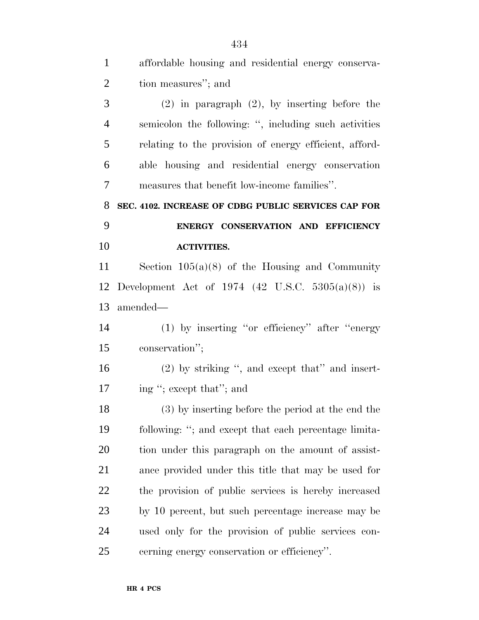| $\mathbf{1}$   | affordable housing and residential energy conserva-    |
|----------------|--------------------------------------------------------|
| $\overline{2}$ | tion measures"; and                                    |
| 3              | $(2)$ in paragraph $(2)$ , by inserting before the     |
| $\overline{4}$ | semicolon the following: ", including such activities  |
| 5              | relating to the provision of energy efficient, afford- |
| 6              | able housing and residential energy conservation       |
| 7              | measures that benefit low-income families".            |
| 8              | SEC. 4102. INCREASE OF CDBG PUBLIC SERVICES CAP FOR    |
| 9              | ENERGY CONSERVATION AND EFFICIENCY                     |
| 10             | <b>ACTIVITIES.</b>                                     |
| 11             | Section $105(a)(8)$ of the Housing and Community       |
| 12             | Development Act of 1974 (42 U.S.C. $5305(a)(8)$ ) is   |
| 13             | amended—                                               |
| 14             | $(1)$ by inserting "or efficiency" after "energy       |
| 15             | conservation";                                         |
| 16             | $(2)$ by striking ", and except that" and insert-      |
| 17             | ing "; except that"; and                               |
| 18             | (3) by inserting before the period at the end the      |
| 19             | following: "; and except that each percentage limita-  |
| 20             | tion under this paragraph on the amount of assist-     |
| 21             | ance provided under this title that may be used for    |
| 22             | the provision of public services is hereby increased   |
| 23             | by 10 percent, but such percentage increase may be     |
| 24             | used only for the provision of public services con-    |
| 25             | cerning energy conservation or efficiency".            |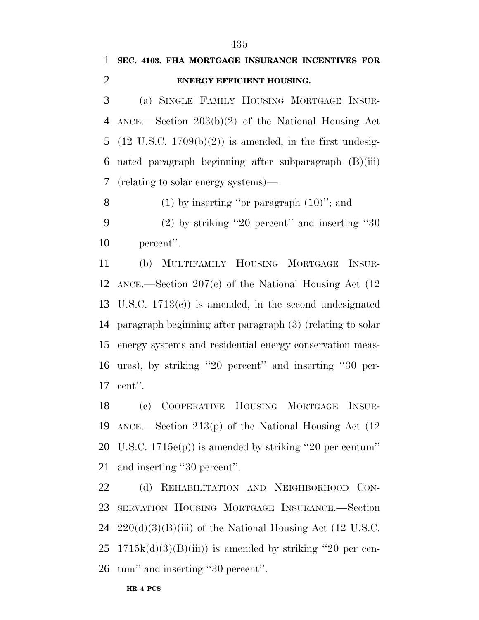## **SEC. 4103. FHA MORTGAGE INSURANCE INCENTIVES FOR ENERGY EFFICIENT HOUSING.**

 (a) SINGLE FAMILY HOUSING MORTGAGE INSUR- ANCE.—Section 203(b)(2) of the National Housing Act 5 (12 U.S.C.  $1709(b)(2)$ ) is amended, in the first undesig- nated paragraph beginning after subparagraph (B)(iii) (relating to solar energy systems)—

8  $(1)$  by inserting "or paragraph  $(10)$ "; and

 (2) by striking ''20 percent'' and inserting ''30 percent''.

 (b) MULTIFAMILY HOUSING MORTGAGE INSUR- ANCE.—Section 207(c) of the National Housing Act (12 U.S.C. 1713(c)) is amended, in the second undesignated paragraph beginning after paragraph (3) (relating to solar energy systems and residential energy conservation meas- ures), by striking ''20 percent'' and inserting ''30 per-cent''.

 (c) COOPERATIVE HOUSING MORTGAGE INSUR- ANCE.—Section 213(p) of the National Housing Act (12 U.S.C. 1715e(p)) is amended by striking ''20 per centum'' and inserting ''30 percent''.

 (d) REHABILITATION AND NEIGHBORHOOD CON- SERVATION HOUSING MORTGAGE INSURANCE.—Section  $220(d)(3)(B(iii))$  of the National Housing Act (12 U.S.C.  $25 \text{ } 1715k(d)(3)(B(iii))$  is amended by striking "20 per cen-tum'' and inserting ''30 percent''.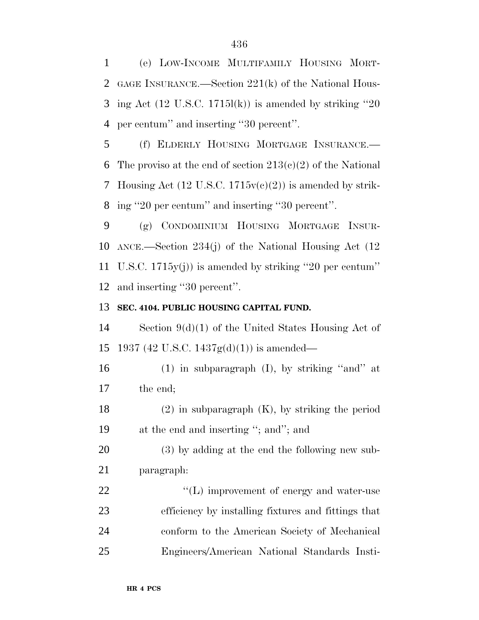(e) LOW-INCOME MULTIFAMILY HOUSING MORT- GAGE INSURANCE.—Section 221(k) of the National Hous-3 ing Act  $(12 \text{ U.S.C. } 1715l(k))$  is amended by striking "20 per centum'' and inserting ''30 percent''.

 (f) ELDERLY HOUSING MORTGAGE INSURANCE.— 6 The proviso at the end of section  $213(c)(2)$  of the National Housing Act (12 U.S.C. 1715v(c)(2)) is amended by strik-ing ''20 per centum'' and inserting ''30 percent''.

 (g) CONDOMINIUM HOUSING MORTGAGE INSUR- ANCE.—Section 234(j) of the National Housing Act (12 U.S.C. 1715y(j)) is amended by striking ''20 per centum'' and inserting ''30 percent''.

### **SEC. 4104. PUBLIC HOUSING CAPITAL FUND.**

 Section 9(d)(1) of the United States Housing Act of 15 1937 (42 U.S.C. 1437 $g(d)(1)$ ) is amended—

 (1) in subparagraph (I), by striking ''and'' at the end;

 (2) in subparagraph (K), by striking the period at the end and inserting ''; and''; and

 (3) by adding at the end the following new sub-paragraph:

 $\langle (L) \rangle$  improvement of energy and water-use efficiency by installing fixtures and fittings that conform to the American Society of Mechanical Engineers/American National Standards Insti-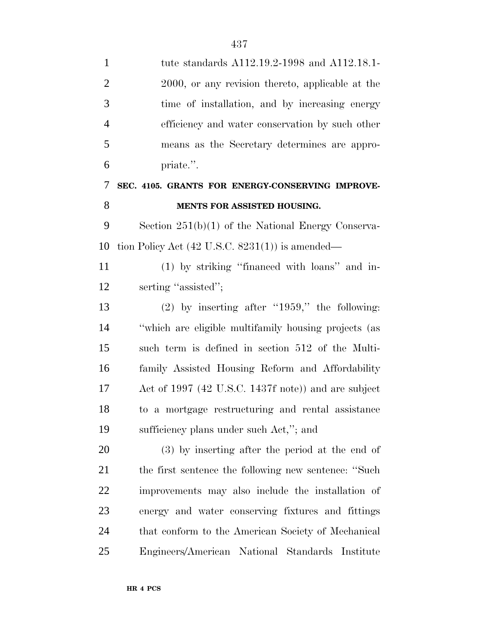| $\mathbf{1}$   | tute standards A112.19.2-1998 and A112.18.1-               |
|----------------|------------------------------------------------------------|
| $\overline{2}$ | 2000, or any revision thereto, applicable at the           |
| 3              | time of installation, and by increasing energy             |
| $\overline{4}$ | efficiency and water conservation by such other            |
| 5              | means as the Secretary determines are appro-               |
| 6              | priate.".                                                  |
| 7              | SEC. 4105. GRANTS FOR ENERGY-CONSERVING IMPROVE-           |
| 8              | MENTS FOR ASSISTED HOUSING.                                |
| 9              | Section $251(b)(1)$ of the National Energy Conserva-       |
| 10             | tion Policy Act $(42 \text{ U.S.C. } 8231(1))$ is amended— |
| 11             | (1) by striking "financed with loans" and in-              |
| 12             | serting "assisted";                                        |
| 13             | $(2)$ by inserting after "1959," the following:            |
| 14             | "which are eligible multifamily housing projects (as       |
| 15             | such term is defined in section 512 of the Multi-          |
| 16             | family Assisted Housing Reform and Affordability           |
| 17             | Act of 1997 (42 U.S.C. 1437f note)) and are subject        |
| 18             | to a mortgage restructuring and rental assistance          |
| 19             | sufficiency plans under such Act,"; and                    |
| 20             | $(3)$ by inserting after the period at the end of          |
| 21             | the first sentence the following new sentence: "Such       |
| 22             | improvements may also include the installation of          |
| 23             | energy and water conserving fixtures and fittings          |
| 24             | that conform to the American Society of Mechanical         |
| 25             | Engineers/American National Standards Institute            |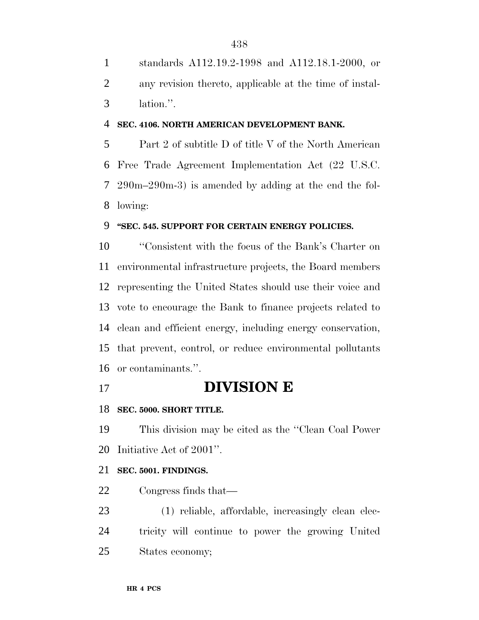standards A112.19.2-1998 and A112.18.1-2000, or any revision thereto, applicable at the time of instal-lation.''.

### **SEC. 4106. NORTH AMERICAN DEVELOPMENT BANK.**

 Part 2 of subtitle D of title V of the North American Free Trade Agreement Implementation Act (22 U.S.C. 290m–290m-3) is amended by adding at the end the fol-lowing:

### **''SEC. 545. SUPPORT FOR CERTAIN ENERGY POLICIES.**

 ''Consistent with the focus of the Bank's Charter on environmental infrastructure projects, the Board members representing the United States should use their voice and vote to encourage the Bank to finance projects related to clean and efficient energy, including energy conservation, that prevent, control, or reduce environmental pollutants or contaminants.''.

**DIVISION E**

### **SEC. 5000. SHORT TITLE.**

 This division may be cited as the ''Clean Coal Power Initiative Act of 2001''.

### **SEC. 5001. FINDINGS.**

Congress finds that—

 (1) reliable, affordable, increasingly clean elec- tricity will continue to power the growing United States economy;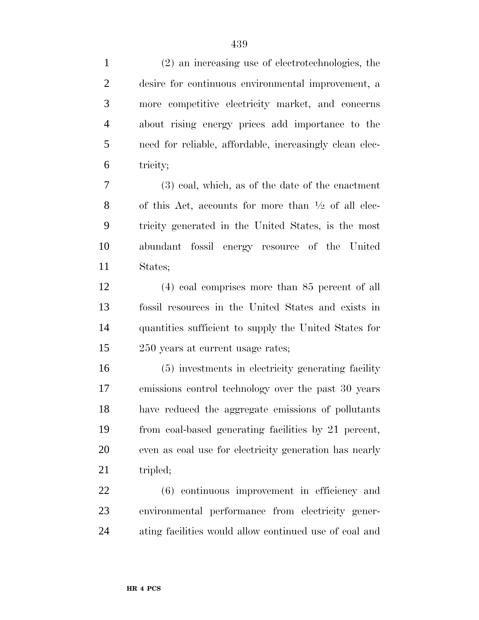(2) an increasing use of electrotechnologies, the desire for continuous environmental improvement, a more competitive electricity market, and concerns about rising energy prices add importance to the need for reliable, affordable, increasingly clean elec-tricity;

 (3) coal, which, as of the date of the enactment 8 of this Act, accounts for more than  $\frac{1}{2}$  of all elec- tricity generated in the United States, is the most abundant fossil energy resource of the United States;

 (4) coal comprises more than 85 percent of all fossil resources in the United States and exists in quantities sufficient to supply the United States for 250 years at current usage rates;

 (5) investments in electricity generating facility emissions control technology over the past 30 years have reduced the aggregate emissions of pollutants from coal-based generating facilities by 21 percent, even as coal use for electricity generation has nearly 21 tripled;

 (6) continuous improvement in efficiency and environmental performance from electricity gener-ating facilities would allow continued use of coal and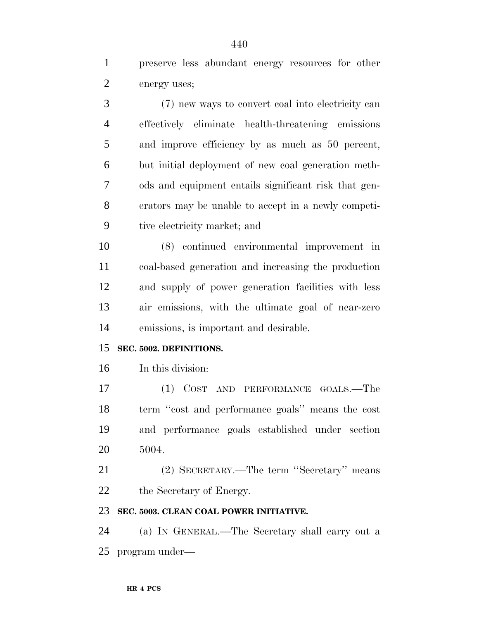preserve less abundant energy resources for other energy uses;

 (7) new ways to convert coal into electricity can effectively eliminate health-threatening emissions and improve efficiency by as much as 50 percent, but initial deployment of new coal generation meth- ods and equipment entails significant risk that gen- erators may be unable to accept in a newly competi-tive electricity market; and

 (8) continued environmental improvement in coal-based generation and increasing the production and supply of power generation facilities with less air emissions, with the ultimate goal of near-zero emissions, is important and desirable.

### **SEC. 5002. DEFINITIONS.**

In this division:

 (1) COST AND PERFORMANCE GOALS.—The term ''cost and performance goals'' means the cost and performance goals established under section 5004.

 (2) SECRETARY.—The term ''Secretary'' means the Secretary of Energy.

### **SEC. 5003. CLEAN COAL POWER INITIATIVE.**

 (a) IN GENERAL.—The Secretary shall carry out a program under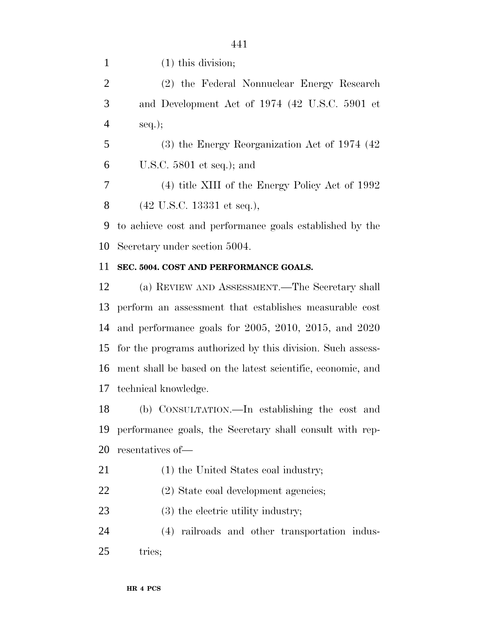(2) the Federal Nonnuclear Energy Research and Development Act of 1974 (42 U.S.C. 5901 et seq.);

 (3) the Energy Reorganization Act of 1974 (42 U.S.C. 5801 et seq.); and

 (4) title XIII of the Energy Policy Act of 1992 (42 U.S.C. 13331 et seq.),

 to achieve cost and performance goals established by the Secretary under section 5004.

### **SEC. 5004. COST AND PERFORMANCE GOALS.**

 (a) REVIEW AND ASSESSMENT.—The Secretary shall perform an assessment that establishes measurable cost and performance goals for 2005, 2010, 2015, and 2020 for the programs authorized by this division. Such assess- ment shall be based on the latest scientific, economic, and technical knowledge.

 (b) CONSULTATION.—In establishing the cost and performance goals, the Secretary shall consult with rep-resentatives of—

- 21 (1) the United States coal industry;
- (2) State coal development agencies;
- 23 (3) the electric utility industry;

 (4) railroads and other transportation indus-25 tries: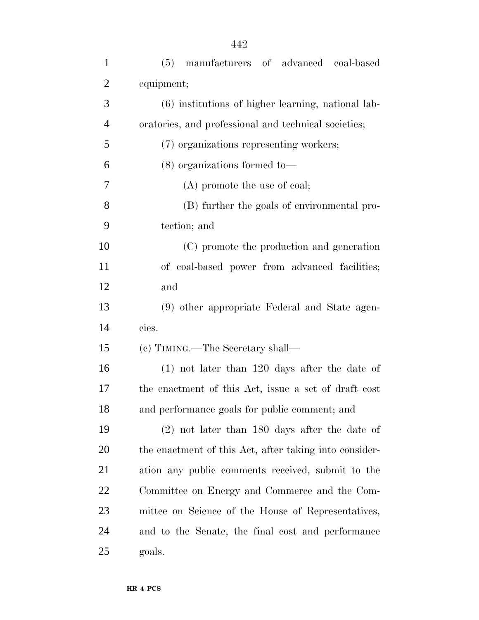| $\overline{2}$ | equipment;                                             |
|----------------|--------------------------------------------------------|
| 3              | (6) institutions of higher learning, national lab-     |
| $\overline{4}$ | oratories, and professional and technical societies;   |
| 5              | (7) organizations representing workers;                |
| 6              | $(8)$ organizations formed to-                         |
| 7              | $(A)$ promote the use of coal;                         |
| 8              | (B) further the goals of environmental pro-            |
| 9              | tection; and                                           |
| 10             | (C) promote the production and generation              |
| 11             | of coal-based power from advanced facilities;          |
| 12             | and                                                    |
| 13             | (9) other appropriate Federal and State agen-          |
| 14             | cies.                                                  |
| 15             | (c) TIMING.—The Secretary shall—                       |
| 16             | $(1)$ not later than 120 days after the date of        |
| 17             | the enactment of this Act, issue a set of draft cost   |
| 18             | and performance goals for public comment; and          |
| 19             | $(2)$ not later than 180 days after the date of        |
| 20             | the enactment of this Act, after taking into consider- |
| 21             | ation any public comments received, submit to the      |
| <u>22</u>      | Committee on Energy and Commerce and the Com-          |
| 23             | mittee on Science of the House of Representatives,     |
| 24             | and to the Senate, the final cost and performance      |
| 25             | goals.                                                 |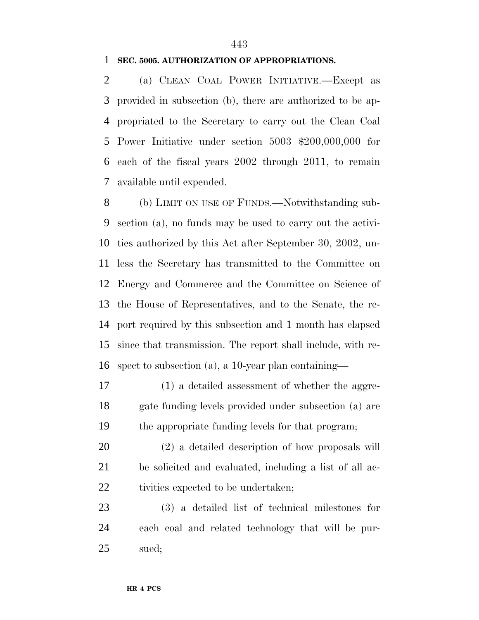### **SEC. 5005. AUTHORIZATION OF APPROPRIATIONS.**

 (a) CLEAN COAL POWER INITIATIVE.—Except as provided in subsection (b), there are authorized to be ap- propriated to the Secretary to carry out the Clean Coal Power Initiative under section 5003 \$200,000,000 for each of the fiscal years 2002 through 2011, to remain available until expended.

 (b) LIMIT ON USE OF FUNDS.—Notwithstanding sub- section (a), no funds may be used to carry out the activi- ties authorized by this Act after September 30, 2002, un- less the Secretary has transmitted to the Committee on Energy and Commerce and the Committee on Science of the House of Representatives, and to the Senate, the re- port required by this subsection and 1 month has elapsed since that transmission. The report shall include, with re-spect to subsection (a), a 10-year plan containing—

 (1) a detailed assessment of whether the aggre- gate funding levels provided under subsection (a) are the appropriate funding levels for that program;

 (2) a detailed description of how proposals will be solicited and evaluated, including a list of all ac-22 tivities expected to be undertaken;

 (3) a detailed list of technical milestones for each coal and related technology that will be pur-sued;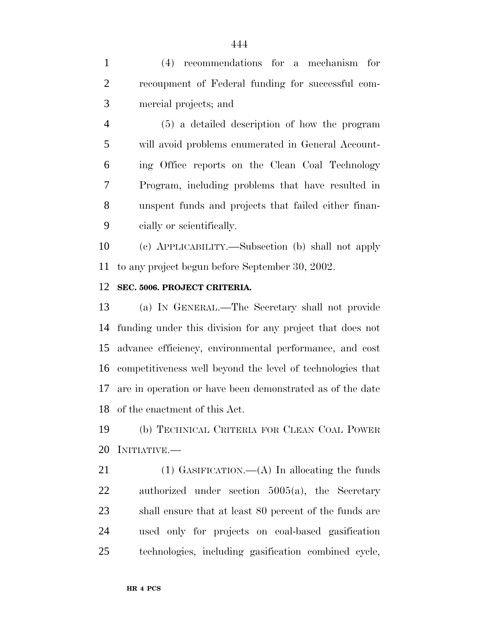(4) recommendations for a mechanism for recoupment of Federal funding for successful com-mercial projects; and

 (5) a detailed description of how the program will avoid problems enumerated in General Account- ing Office reports on the Clean Coal Technology Program, including problems that have resulted in unspent funds and projects that failed either finan-cially or scientifically.

 (c) APPLICABILITY.—Subsection (b) shall not apply to any project begun before September 30, 2002.

### **SEC. 5006. PROJECT CRITERIA.**

 (a) IN GENERAL.—The Secretary shall not provide funding under this division for any project that does not advance efficiency, environmental performance, and cost competitiveness well beyond the level of technologies that are in operation or have been demonstrated as of the date of the enactment of this Act.

 (b) TECHNICAL CRITERIA FOR CLEAN COAL POWER INITIATIVE.—

21 (1) GASIFICATION.—(A) In allocating the funds authorized under section 5005(a), the Secretary shall ensure that at least 80 percent of the funds are used only for projects on coal-based gasification technologies, including gasification combined cycle,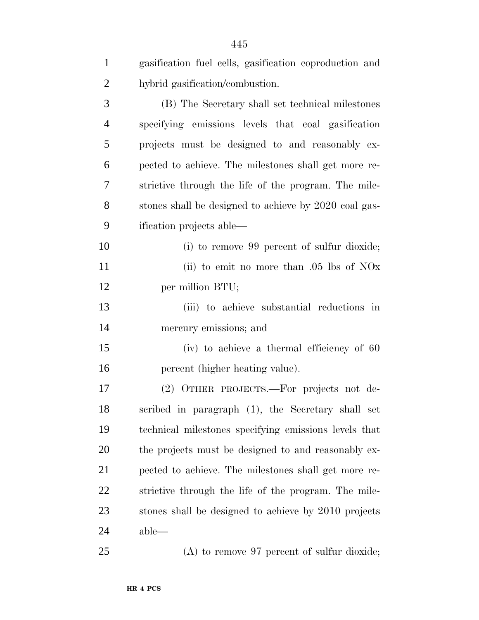| $\mathbf{1}$   | gasification fuel cells, gasification coproduction and |
|----------------|--------------------------------------------------------|
| $\overline{2}$ | hybrid gasification/combustion.                        |
| 3              | (B) The Secretary shall set technical milestones       |
| $\overline{4}$ | specifying emissions levels that coal gasification     |
| 5              | projects must be designed to and reasonably ex-        |
| 6              | pected to achieve. The milestones shall get more re-   |
| 7              | strictive through the life of the program. The mile-   |
| 8              | stones shall be designed to achieve by 2020 coal gas-  |
| 9              | ification projects able—                               |
| 10             | (i) to remove 99 percent of sulfur dioxide;            |
| 11             | (ii) to emit no more than $.05$ lbs of NOx             |
| 12             | per million BTU;                                       |
| 13             | (iii) to achieve substantial reductions in             |
| 14             | mercury emissions; and                                 |
| 15             | (iv) to achieve a thermal efficiency of 60             |
| 16             | percent (higher heating value).                        |
| 17             | (2) OTHER PROJECTS.—For projects not de-               |
| 18             | scribed in paragraph (1), the Secretary shall set      |
| 19             | technical milestones specifying emissions levels that  |
| 20             | the projects must be designed to and reasonably ex-    |
| 21             | pected to achieve. The milestones shall get more re-   |
| 22             | strictive through the life of the program. The mile-   |
| 23             | stones shall be designed to achieve by 2010 projects   |
| 24             | $able$ —                                               |
| 25             | $(A)$ to remove 97 percent of sulfur dioxide;          |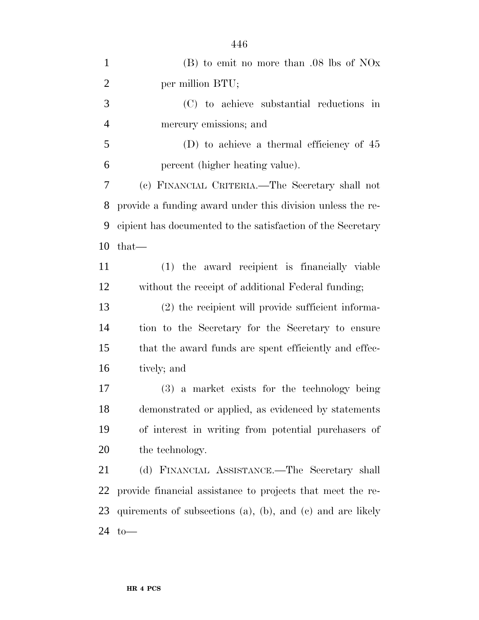| $\mathbf{1}$   | $(B)$ to emit no more than .08 lbs of NOx                          |
|----------------|--------------------------------------------------------------------|
| $\overline{2}$ | per million BTU;                                                   |
| 3              | (C) to achieve substantial reductions in                           |
| $\overline{4}$ | mercury emissions; and                                             |
| 5              | (D) to achieve a thermal efficiency of $45$                        |
| 6              | percent (higher heating value).                                    |
| 7              | (c) FINANCIAL CRITERIA. The Secretary shall not                    |
| 8              | provide a funding award under this division unless the re-         |
| 9              | cipient has documented to the satisfaction of the Secretary        |
| 10             | $that-$                                                            |
| 11             | (1) the award recipient is financially viable                      |
| 12             | without the receipt of additional Federal funding;                 |
| 13             | (2) the recipient will provide sufficient informa-                 |
| 14             | tion to the Secretary for the Secretary to ensure                  |
| 15             | that the award funds are spent efficiently and effec-              |
| 16             | tively; and                                                        |
| 17             | (3) a market exists for the technology being                       |
| 18             | demonstrated or applied, as evidenced by statements                |
| 19             | of interest in writing from potential purchasers of                |
| 20             | the technology.                                                    |
| 21             | (d) FINANCIAL ASSISTANCE.—The Secretary shall                      |
| 22             | provide financial assistance to projects that meet the re-         |
| 23             | quirements of subsections $(a)$ , $(b)$ , and $(c)$ and are likely |
| 24             | $to-$                                                              |
|                |                                                                    |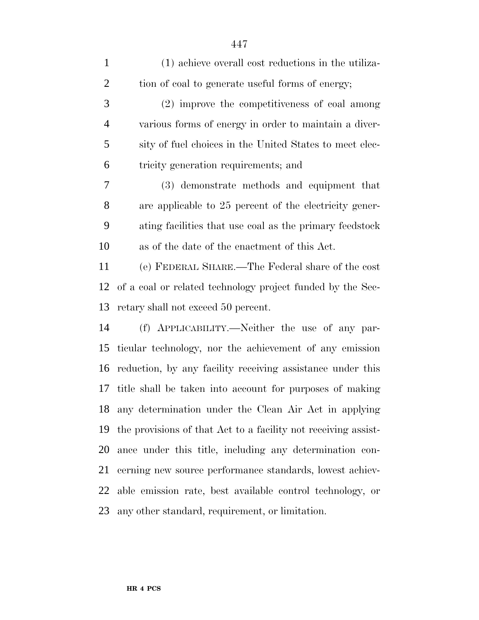| $\mathbf{1}$   | (1) achieve overall cost reductions in the utiliza-            |
|----------------|----------------------------------------------------------------|
| $\overline{c}$ | tion of coal to generate useful forms of energy;               |
| 3              | (2) improve the competitiveness of coal among                  |
| 4              | various forms of energy in order to maintain a diver-          |
| 5              | sity of fuel choices in the United States to meet elec-        |
| 6              | tricity generation requirements; and                           |
| 7              | (3) demonstrate methods and equipment that                     |
| 8              | are applicable to 25 percent of the electricity gener-         |
| 9              | ating facilities that use coal as the primary feeds took       |
| 10             | as of the date of the enactment of this Act.                   |
| 11             | (e) FEDERAL SHARE.—The Federal share of the cost               |
| 12             | of a coal or related technology project funded by the Sec-     |
| 13             | retary shall not exceed 50 percent.                            |
| 14             | (f) APPLICABILITY.—Neither the use of any par-                 |
| 15             | ticular technology, nor the achievement of any emission        |
| 16             | reduction, by any facility receiving assistance under this     |
| 17             | title shall be taken into account for purposes of making       |
|                | 18 any determination under the Clean Air Act in applying       |
| 19             | the provisions of that Act to a facility not receiving assist- |
| 20             | ance under this title, including any determination con-        |
| 21             | cerning new source performance standards, lowest achiev-       |
| 22             | able emission rate, best available control technology, or      |
| 23             | any other standard, requirement, or limitation.                |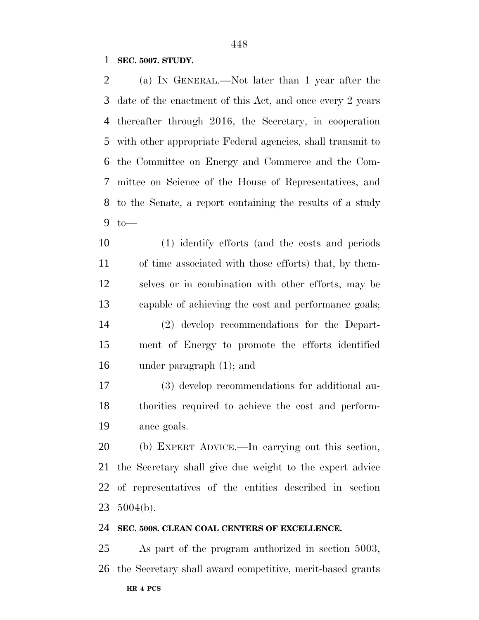**SEC. 5007. STUDY.**

 (a) IN GENERAL.—Not later than 1 year after the date of the enactment of this Act, and once every 2 years thereafter through 2016, the Secretary, in cooperation with other appropriate Federal agencies, shall transmit to the Committee on Energy and Commerce and the Com- mittee on Science of the House of Representatives, and to the Senate, a report containing the results of a study to—

 (1) identify efforts (and the costs and periods of time associated with those efforts) that, by them- selves or in combination with other efforts, may be capable of achieving the cost and performance goals; (2) develop recommendations for the Depart- ment of Energy to promote the efforts identified under paragraph (1); and

 (3) develop recommendations for additional au- thorities required to achieve the cost and perform-ance goals.

 (b) EXPERT ADVICE.—In carrying out this section, the Secretary shall give due weight to the expert advice of representatives of the entities described in section 5004(b).

#### **SEC. 5008. CLEAN COAL CENTERS OF EXCELLENCE.**

 As part of the program authorized in section 5003, the Secretary shall award competitive, merit-based grants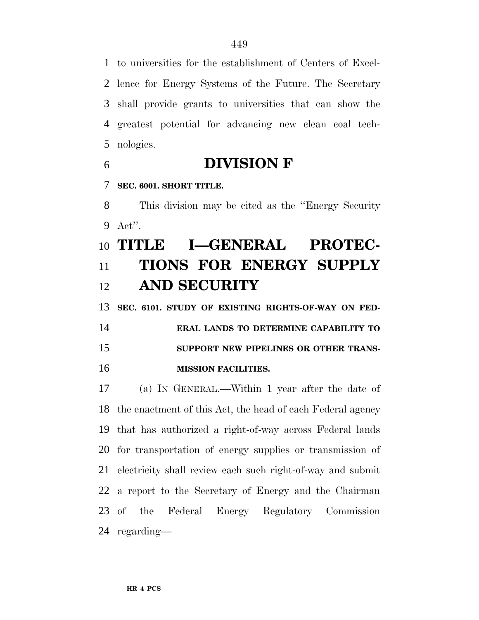to universities for the establishment of Centers of Excel- lence for Energy Systems of the Future. The Secretary shall provide grants to universities that can show the greatest potential for advancing new clean coal tech-nologies.

- **DIVISION F**
- **SEC. 6001. SHORT TITLE.**

 This division may be cited as the ''Energy Security Act''.

# **TITLE I—GENERAL PROTEC- TIONS FOR ENERGY SUPPLY AND SECURITY**

**SEC. 6101. STUDY OF EXISTING RIGHTS-OF-WAY ON FED-**

 **ERAL LANDS TO DETERMINE CAPABILITY TO SUPPORT NEW PIPELINES OR OTHER TRANS-MISSION FACILITIES.**

 (a) IN GENERAL.—Within 1 year after the date of the enactment of this Act, the head of each Federal agency that has authorized a right-of-way across Federal lands for transportation of energy supplies or transmission of electricity shall review each such right-of-way and submit a report to the Secretary of Energy and the Chairman of the Federal Energy Regulatory Commission regarding—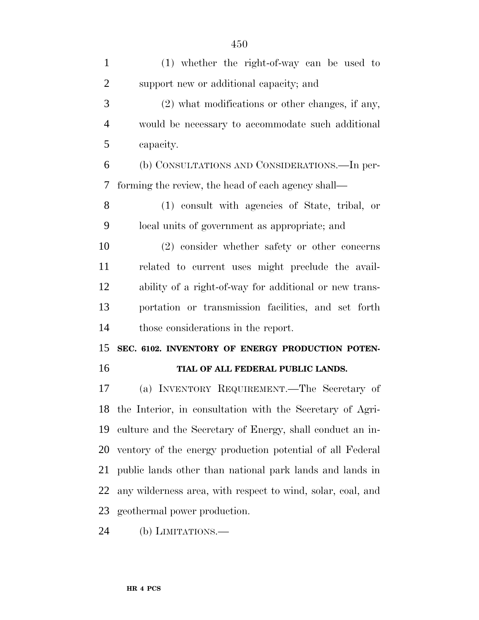| $\mathbf{1}$   | $(1)$ whether the right-of-way can be used to                |
|----------------|--------------------------------------------------------------|
| $\overline{2}$ | support new or additional capacity; and                      |
| 3              | $(2)$ what modifications or other changes, if any,           |
| $\overline{4}$ | would be necessary to accommodate such additional            |
| 5              | capacity.                                                    |
| 6              | (b) CONSULTATIONS AND CONSIDERATIONS.—In per-                |
| 7              | forming the review, the head of each agency shall—           |
| 8              | (1) consult with agencies of State, tribal, or               |
| 9              | local units of government as appropriate; and                |
| 10             | (2) consider whether safety or other concerns                |
| 11             | related to current uses might preclude the avail-            |
| 12             | ability of a right-of-way for additional or new trans-       |
| 13             | portation or transmission facilities, and set forth          |
| 14             | those considerations in the report.                          |
| 15             | SEC. 6102. INVENTORY OF ENERGY PRODUCTION POTEN-             |
| 16             | TIAL OF ALL FEDERAL PUBLIC LANDS.                            |
| 17             | (a) INVENTORY REQUIREMENT.—The Secretary of                  |
|                | 18 the Interior, in consultation with the Secretary of Agri- |
| 19             | culture and the Secretary of Energy, shall conduct an in-    |
| 20             | ventory of the energy production potential of all Federal    |
| 21             | public lands other than national park lands and lands in     |
| 22             | any wilderness area, with respect to wind, solar, coal, and  |
| 23             | geothermal power production.                                 |
|                |                                                              |

(b) LIMITATIONS.—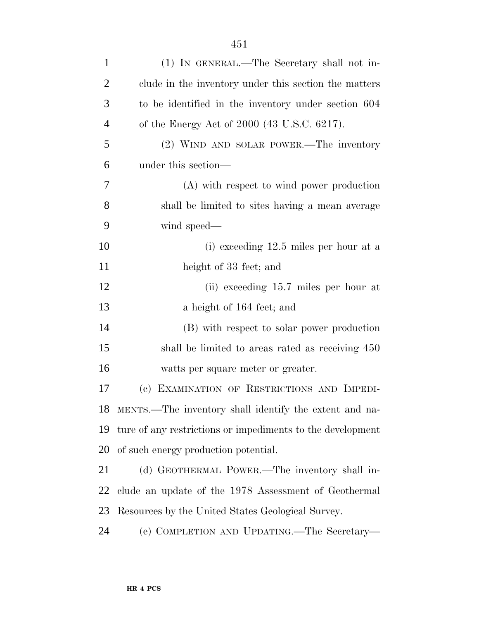| $\mathbf{1}$   | (1) IN GENERAL.—The Secretary shall not in-                |
|----------------|------------------------------------------------------------|
| $\overline{2}$ | clude in the inventory under this section the matters      |
| 3              | to be identified in the inventory under section 604        |
| 4              | of the Energy Act of 2000 (43 U.S.C. 6217).                |
| 5              | (2) WIND AND SOLAR POWER.—The inventory                    |
| 6              | under this section—                                        |
| 7              | (A) with respect to wind power production                  |
| 8              | shall be limited to sites having a mean average            |
| 9              | wind speed—                                                |
| 10             | (i) exceeding 12.5 miles per hour at a                     |
| 11             | height of 33 feet; and                                     |
| 12             | (ii) exceeding 15.7 miles per hour at                      |
| 13             | a height of 164 feet; and                                  |
| 14             | (B) with respect to solar power production                 |
| 15             | shall be limited to areas rated as receiving 450           |
| 16             | watts per square meter or greater.                         |
| 17             | (c) EXAMINATION OF RESTRICTIONS AND IMPEDI-                |
|                | 18 MENTS.—The inventory shall identify the extent and na-  |
| 19             | ture of any restrictions or impediments to the development |
| 20             | of such energy production potential.                       |
| 21             | (d) GEOTHERMAL POWER.—The inventory shall in-              |
| 22             | clude an update of the 1978 Assessment of Geothermal       |
| 23             | Resources by the United States Geological Survey.          |
| 24             | (e) COMPLETION AND UPDATING.—The Secretary—                |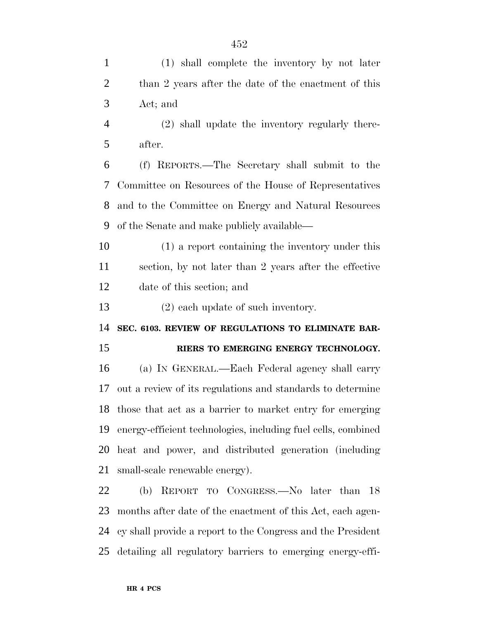| $\mathbf{1}$   | (1) shall complete the inventory by not later                 |
|----------------|---------------------------------------------------------------|
| $\overline{2}$ | than 2 years after the date of the enactment of this          |
| 3              | Act; and                                                      |
| $\overline{4}$ | (2) shall update the inventory regularly there-               |
| 5              | after.                                                        |
| 6              | (f) REPORTS.—The Secretary shall submit to the                |
| 7              | Committee on Resources of the House of Representatives        |
| 8              | and to the Committee on Energy and Natural Resources          |
| 9              | of the Senate and make publicly available—                    |
| 10             | (1) a report containing the inventory under this              |
| 11             | section, by not later than 2 years after the effective        |
| 12             | date of this section; and                                     |
| 13             | $(2)$ each update of such inventory.                          |
| 14             | SEC. 6103. REVIEW OF REGULATIONS TO ELIMINATE BAR-            |
| 15             | RIERS TO EMERGING ENERGY TECHNOLOGY.                          |
| 16             | (a) IN GENERAL.—Each Federal agency shall carry               |
| 17             | out a review of its regulations and standards to determine    |
| 18             | those that act as a barrier to market entry for emerging      |
| 19             | energy-efficient technologies, including fuel cells, combined |
| 20             | heat and power, and distributed generation (including         |
| 21             | small-scale renewable energy).                                |
| 22             | (b) REPORT TO CONGRESS.—No later than 18                      |

 months after date of the enactment of this Act, each agen- cy shall provide a report to the Congress and the President detailing all regulatory barriers to emerging energy-effi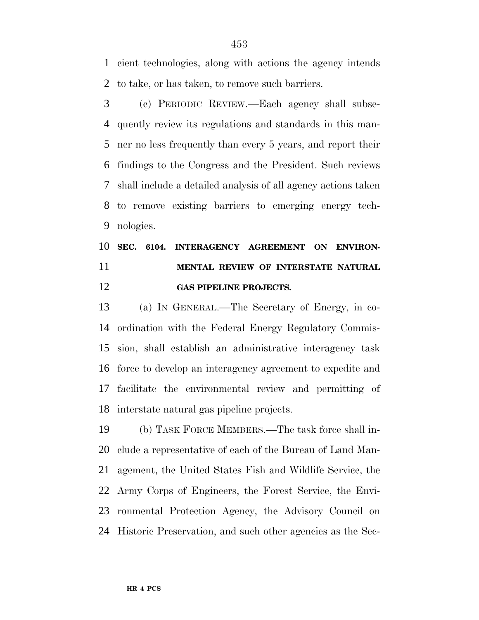cient technologies, along with actions the agency intends to take, or has taken, to remove such barriers.

 (c) PERIODIC REVIEW.—Each agency shall subse- quently review its regulations and standards in this man- ner no less frequently than every 5 years, and report their findings to the Congress and the President. Such reviews shall include a detailed analysis of all agency actions taken to remove existing barriers to emerging energy tech-nologies.

## **SEC. 6104. INTERAGENCY AGREEMENT ON ENVIRON- MENTAL REVIEW OF INTERSTATE NATURAL GAS PIPELINE PROJECTS.**

 (a) IN GENERAL.—The Secretary of Energy, in co- ordination with the Federal Energy Regulatory Commis- sion, shall establish an administrative interagency task force to develop an interagency agreement to expedite and facilitate the environmental review and permitting of interstate natural gas pipeline projects.

 (b) TASK FORCE MEMBERS.—The task force shall in- clude a representative of each of the Bureau of Land Man- agement, the United States Fish and Wildlife Service, the Army Corps of Engineers, the Forest Service, the Envi- ronmental Protection Agency, the Advisory Council on Historic Preservation, and such other agencies as the Sec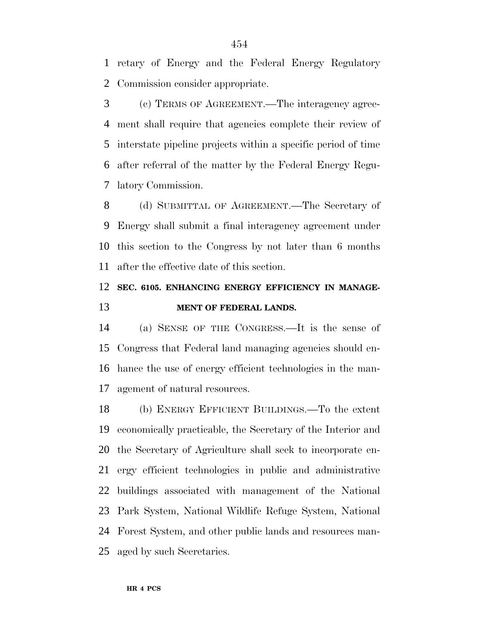retary of Energy and the Federal Energy Regulatory Commission consider appropriate.

 (c) TERMS OF AGREEMENT.—The interagency agree- ment shall require that agencies complete their review of interstate pipeline projects within a specific period of time after referral of the matter by the Federal Energy Regu-latory Commission.

 (d) SUBMITTAL OF AGREEMENT.—The Secretary of Energy shall submit a final interagency agreement under this section to the Congress by not later than 6 months after the effective date of this section.

## **SEC. 6105. ENHANCING ENERGY EFFICIENCY IN MANAGE-MENT OF FEDERAL LANDS.**

 (a) SENSE OF THE CONGRESS.—It is the sense of Congress that Federal land managing agencies should en- hance the use of energy efficient technologies in the man-agement of natural resources.

 (b) ENERGY EFFICIENT BUILDINGS.—To the extent economically practicable, the Secretary of the Interior and the Secretary of Agriculture shall seek to incorporate en- ergy efficient technologies in public and administrative buildings associated with management of the National Park System, National Wildlife Refuge System, National Forest System, and other public lands and resources man-aged by such Secretaries.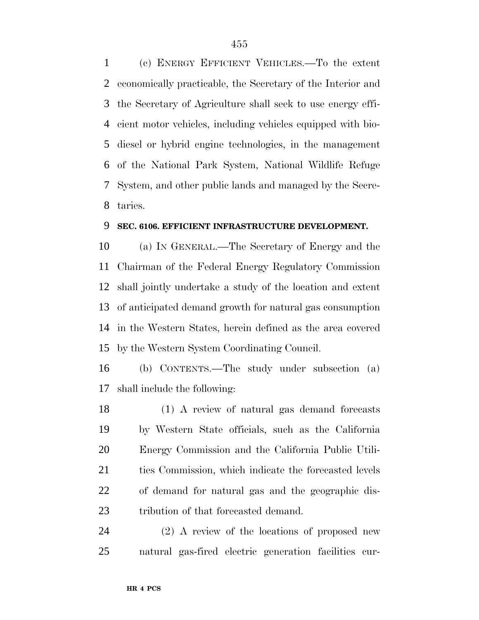(c) ENERGY EFFICIENT VEHICLES.—To the extent economically practicable, the Secretary of the Interior and the Secretary of Agriculture shall seek to use energy effi- cient motor vehicles, including vehicles equipped with bio- diesel or hybrid engine technologies, in the management of the National Park System, National Wildlife Refuge System, and other public lands and managed by the Secre-taries.

### **SEC. 6106. EFFICIENT INFRASTRUCTURE DEVELOPMENT.**

 (a) IN GENERAL.—The Secretary of Energy and the Chairman of the Federal Energy Regulatory Commission shall jointly undertake a study of the location and extent of anticipated demand growth for natural gas consumption in the Western States, herein defined as the area covered by the Western System Coordinating Council.

 (b) CONTENTS.—The study under subsection (a) shall include the following:

 (1) A review of natural gas demand forecasts by Western State officials, such as the California Energy Commission and the California Public Utili-21 ties Commission, which indicate the forecasted levels of demand for natural gas and the geographic dis-tribution of that forecasted demand.

 (2) A review of the locations of proposed new natural gas-fired electric generation facilities cur-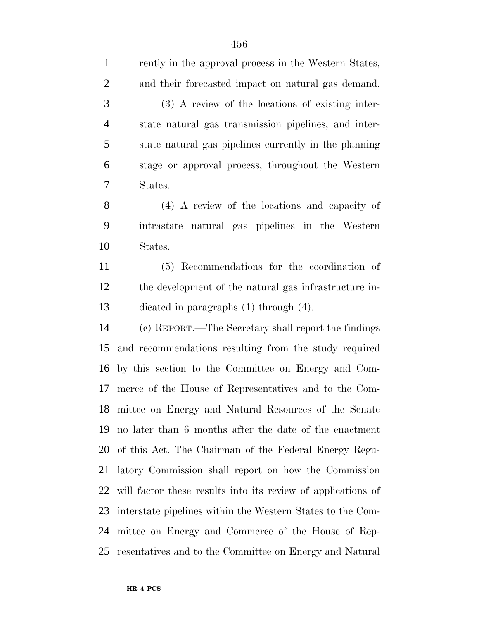rently in the approval process in the Western States, and their forecasted impact on natural gas demand. (3) A review of the locations of existing inter- state natural gas transmission pipelines, and inter- state natural gas pipelines currently in the planning stage or approval process, throughout the Western States. (4) A review of the locations and capacity of intrastate natural gas pipelines in the Western States. (5) Recommendations for the coordination of the development of the natural gas infrastructure in- dicated in paragraphs (1) through (4). (c) REPORT.—The Secretary shall report the findings and recommendations resulting from the study required by this section to the Committee on Energy and Com- merce of the House of Representatives and to the Com- mittee on Energy and Natural Resources of the Senate no later than 6 months after the date of the enactment of this Act. The Chairman of the Federal Energy Regu- latory Commission shall report on how the Commission will factor these results into its review of applications of interstate pipelines within the Western States to the Com- mittee on Energy and Commerce of the House of Rep-resentatives and to the Committee on Energy and Natural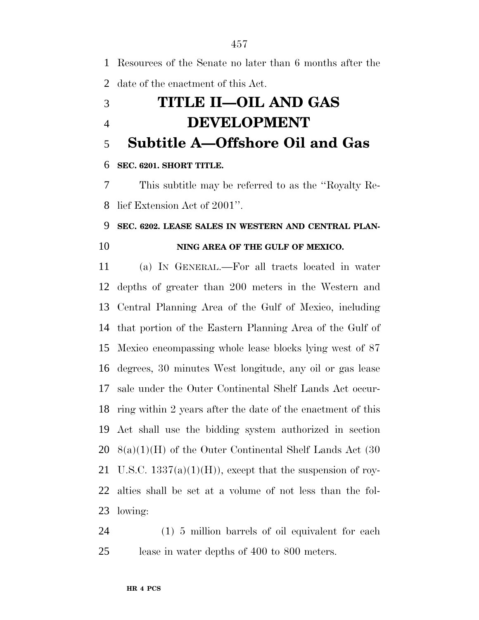Resources of the Senate no later than 6 months after the date of the enactment of this Act. **TITLE II—OIL AND GAS**

# **DEVELOPMENT**

**Subtitle A—Offshore Oil and Gas**

### **SEC. 6201. SHORT TITLE.**

 This subtitle may be referred to as the ''Royalty Re-lief Extension Act of 2001''.

### **SEC. 6202. LEASE SALES IN WESTERN AND CENTRAL PLAN-**

### **NING AREA OF THE GULF OF MEXICO.**

 (a) IN GENERAL.—For all tracts located in water depths of greater than 200 meters in the Western and Central Planning Area of the Gulf of Mexico, including that portion of the Eastern Planning Area of the Gulf of Mexico encompassing whole lease blocks lying west of 87 degrees, 30 minutes West longitude, any oil or gas lease sale under the Outer Continental Shelf Lands Act occur- ring within 2 years after the date of the enactment of this Act shall use the bidding system authorized in section 8(a)(1)(H) of the Outer Continental Shelf Lands Act (30 21 U.S.C.  $1337(a)(1)(H)$ , except that the suspension of roy- alties shall be set at a volume of not less than the fol-lowing:

 (1) 5 million barrels of oil equivalent for each lease in water depths of 400 to 800 meters.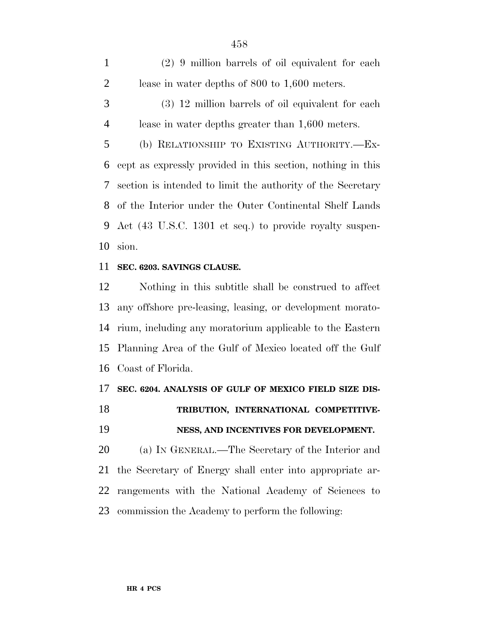(2) 9 million barrels of oil equivalent for each lease in water depths of 800 to 1,600 meters.

 (3) 12 million barrels of oil equivalent for each lease in water depths greater than 1,600 meters.

 (b) RELATIONSHIP TO EXISTING AUTHORITY.—Ex- cept as expressly provided in this section, nothing in this section is intended to limit the authority of the Secretary of the Interior under the Outer Continental Shelf Lands Act (43 U.S.C. 1301 et seq.) to provide royalty suspen-sion.

### **SEC. 6203. SAVINGS CLAUSE.**

 Nothing in this subtitle shall be construed to affect any offshore pre-leasing, leasing, or development morato- rium, including any moratorium applicable to the Eastern Planning Area of the Gulf of Mexico located off the Gulf Coast of Florida.

### **SEC. 6204. ANALYSIS OF GULF OF MEXICO FIELD SIZE DIS-**

## **TRIBUTION, INTERNATIONAL COMPETITIVE-NESS, AND INCENTIVES FOR DEVELOPMENT.**

 (a) IN GENERAL.—The Secretary of the Interior and the Secretary of Energy shall enter into appropriate ar- rangements with the National Academy of Sciences to commission the Academy to perform the following: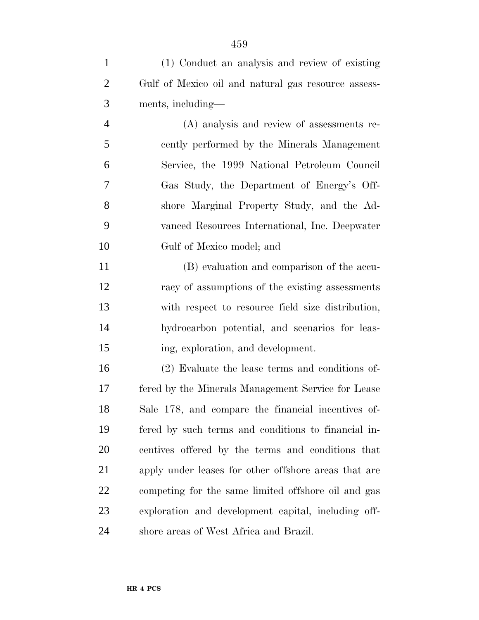- Gulf of Mexico oil and natural gas resource assess- ments, including— (A) analysis and review of assessments re- cently performed by the Minerals Management Service, the 1999 National Petroleum Council Gas Study, the Department of Energy's Off- shore Marginal Property Study, and the Ad- vanced Resources International, Inc. Deepwater Gulf of Mexico model; and (B) evaluation and comparison of the accu- racy of assumptions of the existing assessments with respect to resource field size distribution, hydrocarbon potential, and scenarios for leas- ing, exploration, and development. (2) Evaluate the lease terms and conditions of- fered by the Minerals Management Service for Lease Sale 178, and compare the financial incentives of- fered by such terms and conditions to financial in- centives offered by the terms and conditions that apply under leases for other offshore areas that are competing for the same limited offshore oil and gas
- shore areas of West Africa and Brazil.

exploration and development capital, including off-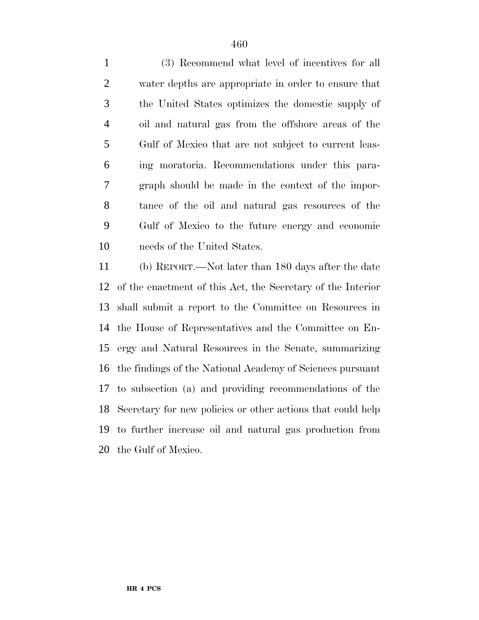(3) Recommend what level of incentives for all water depths are appropriate in order to ensure that the United States optimizes the domestic supply of oil and natural gas from the offshore areas of the Gulf of Mexico that are not subject to current leas- ing moratoria. Recommendations under this para- graph should be made in the context of the impor- tance of the oil and natural gas resources of the Gulf of Mexico to the future energy and economic needs of the United States.

 (b) REPORT.—Not later than 180 days after the date of the enactment of this Act, the Secretary of the Interior shall submit a report to the Committee on Resources in the House of Representatives and the Committee on En- ergy and Natural Resources in the Senate, summarizing the findings of the National Academy of Sciences pursuant to subsection (a) and providing recommendations of the Secretary for new policies or other actions that could help to further increase oil and natural gas production from the Gulf of Mexico.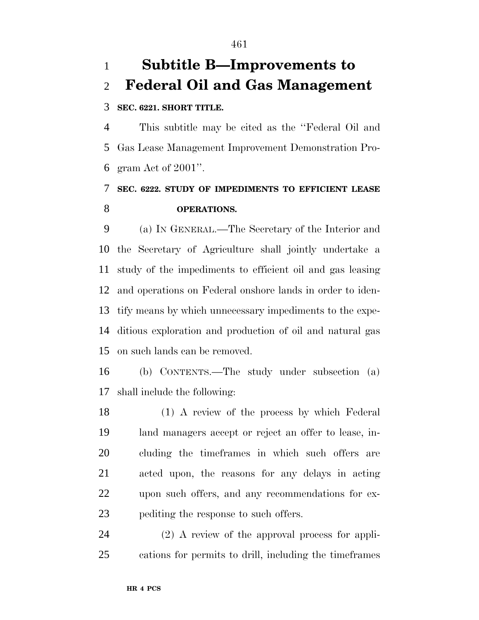# **Subtitle B—Improvements to Federal Oil and Gas Management**

### **SEC. 6221. SHORT TITLE.**

 This subtitle may be cited as the ''Federal Oil and Gas Lease Management Improvement Demonstration Pro-gram Act of 2001''.

## **SEC. 6222. STUDY OF IMPEDIMENTS TO EFFICIENT LEASE OPERATIONS.**

 (a) IN GENERAL.—The Secretary of the Interior and the Secretary of Agriculture shall jointly undertake a study of the impediments to efficient oil and gas leasing and operations on Federal onshore lands in order to iden- tify means by which unnecessary impediments to the expe- ditious exploration and production of oil and natural gas on such lands can be removed.

 (b) CONTENTS.—The study under subsection (a) shall include the following:

 (1) A review of the process by which Federal land managers accept or reject an offer to lease, in- cluding the timeframes in which such offers are acted upon, the reasons for any delays in acting upon such offers, and any recommendations for ex-pediting the response to such offers.

 (2) A review of the approval process for appli-cations for permits to drill, including the timeframes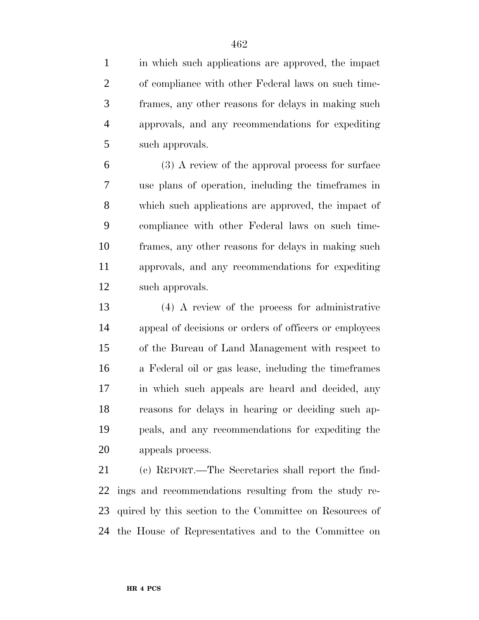in which such applications are approved, the impact of compliance with other Federal laws on such time- frames, any other reasons for delays in making such approvals, and any recommendations for expediting such approvals.

 (3) A review of the approval process for surface use plans of operation, including the timeframes in which such applications are approved, the impact of compliance with other Federal laws on such time- frames, any other reasons for delays in making such approvals, and any recommendations for expediting such approvals.

 (4) A review of the process for administrative appeal of decisions or orders of officers or employees of the Bureau of Land Management with respect to a Federal oil or gas lease, including the timeframes in which such appeals are heard and decided, any reasons for delays in hearing or deciding such ap- peals, and any recommendations for expediting the appeals process.

 (c) REPORT.—The Secretaries shall report the find- ings and recommendations resulting from the study re- quired by this section to the Committee on Resources of the House of Representatives and to the Committee on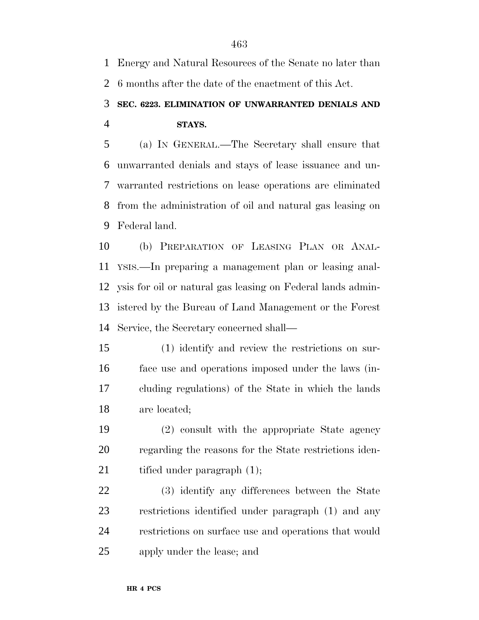Energy and Natural Resources of the Senate no later than 6 months after the date of the enactment of this Act.

## **SEC. 6223. ELIMINATION OF UNWARRANTED DENIALS AND STAYS.**

 (a) IN GENERAL.—The Secretary shall ensure that unwarranted denials and stays of lease issuance and un- warranted restrictions on lease operations are eliminated from the administration of oil and natural gas leasing on Federal land.

 (b) PREPARATION OF LEASING PLAN OR ANAL- YSIS.—In preparing a management plan or leasing anal- ysis for oil or natural gas leasing on Federal lands admin- istered by the Bureau of Land Management or the Forest Service, the Secretary concerned shall—

 (1) identify and review the restrictions on sur- face use and operations imposed under the laws (in- cluding regulations) of the State in which the lands are located;

 (2) consult with the appropriate State agency regarding the reasons for the State restrictions iden-21 tified under paragraph  $(1)$ ;

 (3) identify any differences between the State restrictions identified under paragraph (1) and any restrictions on surface use and operations that would apply under the lease; and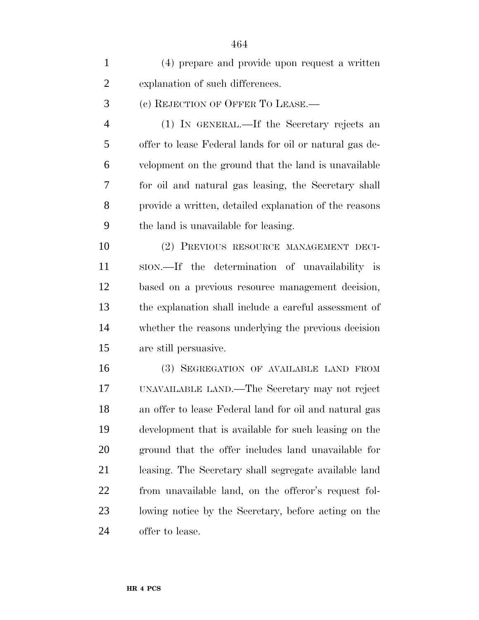| $\mathbf{1}$   | (4) prepare and provide upon request a written          |
|----------------|---------------------------------------------------------|
| $\overline{2}$ | explanation of such differences.                        |
| 3              | (c) REJECTION OF OFFER TO LEASE.—                       |
| 4              | (1) IN GENERAL.—If the Secretary rejects an             |
| 5              | offer to lease Federal lands for oil or natural gas de- |
| 6              | velopment on the ground that the land is unavailable    |
| 7              | for oil and natural gas leasing, the Secretary shall    |
| 8              | provide a written, detailed explanation of the reasons  |
| 9              | the land is unavailable for leasing.                    |
| 10             | (2) PREVIOUS RESOURCE MANAGEMENT DECI-                  |
| 11             | ston.—If the determination of unavailability is         |
| 12             | based on a previous resource management decision,       |
| 13             | the explanation shall include a careful assessment of   |
| 14             | whether the reasons underlying the previous decision    |
| 15             | are still persuasive.                                   |
| 16             | (3) SEGREGATION OF AVAILABLE LAND FROM                  |
| 17             | UNAVAILABLE LAND.—The Secretary may not reject          |
| 18             | an offer to lease Federal land for oil and natural gas  |
| 19             | development that is available for such leasing on the   |
| 20             | ground that the offer includes land unavailable for     |
| 21             | leasing. The Secretary shall segregate available land   |
| 22             | from unavailable land, on the offeror's request fol-    |
| 23             | lowing notice by the Secretary, before acting on the    |
| 24             | offer to lease.                                         |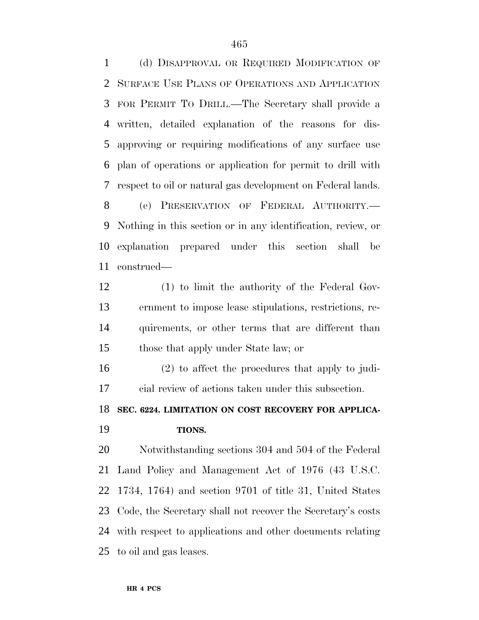(d) DISAPPROVAL OR REQUIRED MODIFICATION OF SURFACE USE PLANS OF OPERATIONS AND APPLICATION FOR PERMIT TO DRILL.—The Secretary shall provide a written, detailed explanation of the reasons for dis- approving or requiring modifications of any surface use plan of operations or application for permit to drill with respect to oil or natural gas development on Federal lands. (e) PRESERVATION OF FEDERAL AUTHORITY.— Nothing in this section or in any identification, review, or explanation prepared under this section shall be

construed—

 (1) to limit the authority of the Federal Gov- ernment to impose lease stipulations, restrictions, re- quirements, or other terms that are different than those that apply under State law; or

 (2) to affect the procedures that apply to judi-cial review of actions taken under this subsection.

 **SEC. 6224. LIMITATION ON COST RECOVERY FOR APPLICA-TIONS.**

 Notwithstanding sections 304 and 504 of the Federal Land Policy and Management Act of 1976 (43 U.S.C. 1734, 1764) and section 9701 of title 31, United States Code, the Secretary shall not recover the Secretary's costs with respect to applications and other documents relating to oil and gas leases.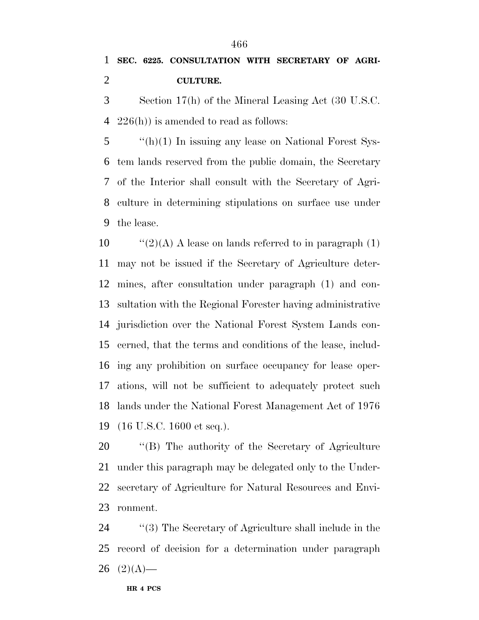**SEC. 6225. CONSULTATION WITH SECRETARY OF AGRI-CULTURE.**

 Section 17(h) of the Mineral Leasing Act (30 U.S.C. 226(h)) is amended to read as follows:

 ''(h)(1) In issuing any lease on National Forest Sys- tem lands reserved from the public domain, the Secretary of the Interior shall consult with the Secretary of Agri- culture in determining stipulations on surface use under the lease.

 $\frac{10}{2}(A)$  A lease on lands referred to in paragraph (1) may not be issued if the Secretary of Agriculture deter- mines, after consultation under paragraph (1) and con- sultation with the Regional Forester having administrative jurisdiction over the National Forest System Lands con- cerned, that the terms and conditions of the lease, includ- ing any prohibition on surface occupancy for lease oper- ations, will not be sufficient to adequately protect such lands under the National Forest Management Act of 1976 (16 U.S.C. 1600 et seq.).

 ''(B) The authority of the Secretary of Agriculture under this paragraph may be delegated only to the Under- secretary of Agriculture for Natural Resources and Envi-ronment.

24 ''(3) The Secretary of Agriculture shall include in the record of decision for a determination under paragraph  $(2)(A)$ —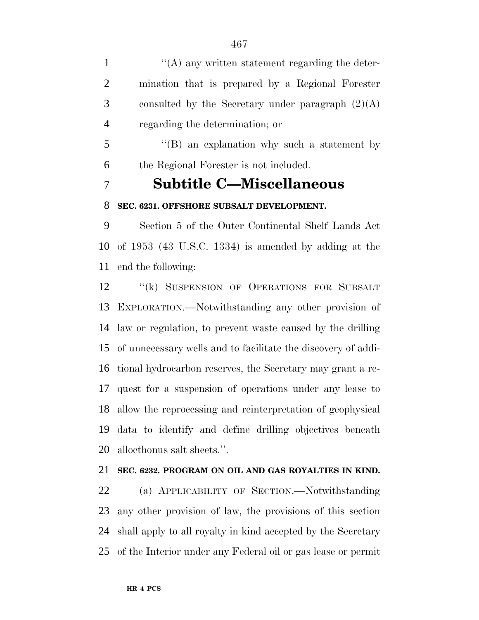$\langle (A)$  any written statement regarding the deter- mination that is prepared by a Regional Forester 3 consulted by the Secretary under paragraph  $(2)(A)$ regarding the determination; or

 ''(B) an explanation why such a statement by the Regional Forester is not included.

## **Subtitle C—Miscellaneous**

### **SEC. 6231. OFFSHORE SUBSALT DEVELOPMENT.**

 Section 5 of the Outer Continental Shelf Lands Act of 1953 (43 U.S.C. 1334) is amended by adding at the end the following:

12 "(k) SUSPENSION OF OPERATIONS FOR SUBSALT EXPLORATION.—Notwithstanding any other provision of law or regulation, to prevent waste caused by the drilling of unnecessary wells and to facilitate the discovery of addi- tional hydrocarbon reserves, the Secretary may grant a re- quest for a suspension of operations under any lease to allow the reprocessing and reinterpretation of geophysical data to identify and define drilling objectives beneath allocthonus salt sheets.''.

### **SEC. 6232. PROGRAM ON OIL AND GAS ROYALTIES IN KIND.**

 (a) APPLICABILITY OF SECTION.—Notwithstanding any other provision of law, the provisions of this section shall apply to all royalty in kind accepted by the Secretary of the Interior under any Federal oil or gas lease or permit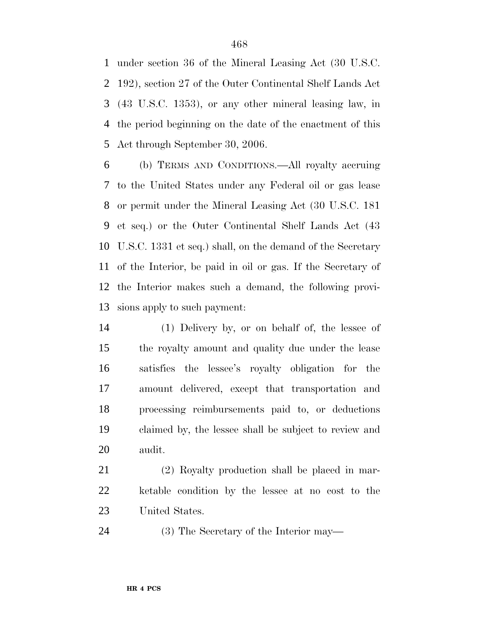under section 36 of the Mineral Leasing Act (30 U.S.C. 192), section 27 of the Outer Continental Shelf Lands Act (43 U.S.C. 1353), or any other mineral leasing law, in the period beginning on the date of the enactment of this Act through September 30, 2006.

 (b) TERMS AND CONDITIONS.—All royalty accruing to the United States under any Federal oil or gas lease or permit under the Mineral Leasing Act (30 U.S.C. 181 et seq.) or the Outer Continental Shelf Lands Act (43 U.S.C. 1331 et seq.) shall, on the demand of the Secretary of the Interior, be paid in oil or gas. If the Secretary of the Interior makes such a demand, the following provi-sions apply to such payment:

 (1) Delivery by, or on behalf of, the lessee of the royalty amount and quality due under the lease satisfies the lessee's royalty obligation for the amount delivered, except that transportation and processing reimbursements paid to, or deductions claimed by, the lessee shall be subject to review and audit.

 (2) Royalty production shall be placed in mar- ketable condition by the lessee at no cost to the United States.

(3) The Secretary of the Interior may—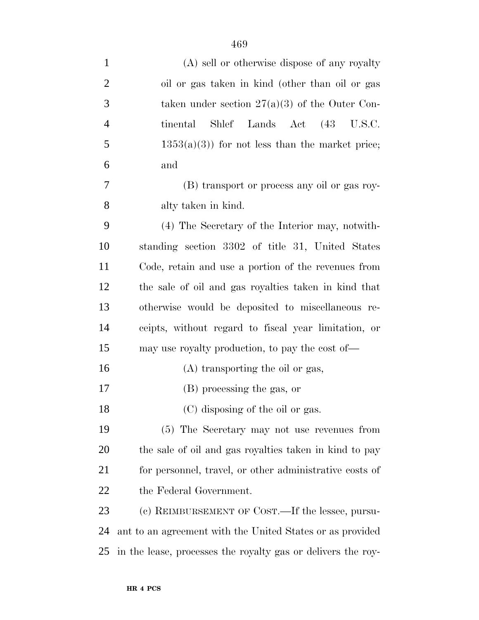| $\mathbf{1}$   | (A) sell or otherwise dispose of any royalty                 |
|----------------|--------------------------------------------------------------|
| $\overline{2}$ | oil or gas taken in kind (other than oil or gas              |
| 3              | taken under section $27(a)(3)$ of the Outer Con-             |
| $\overline{4}$ | tinental<br>Shlef Lands Act (43 U.S.C.                       |
| 5              |                                                              |
|                | $1353(a)(3)$ for not less than the market price;             |
| 6              | and                                                          |
| 7              | (B) transport or process any oil or gas roy-                 |
| 8              | alty taken in kind.                                          |
| 9              | (4) The Secretary of the Interior may, notwith-              |
| 10             | standing section 3302 of title 31, United States             |
| 11             | Code, retain and use a portion of the revenues from          |
| 12             | the sale of oil and gas royalties taken in kind that         |
| 13             | otherwise would be deposited to miscellaneous re-            |
| 14             | ceipts, without regard to fiscal year limitation, or         |
| 15             | may use royalty production, to pay the cost of—              |
| 16             | (A) transporting the oil or gas,                             |
| 17             | (B) processing the gas, or                                   |
| 18             | (C) disposing of the oil or gas.                             |
| 19             | (5) The Secretary may not use revenues from                  |
| 20             | the sale of oil and gas royalties taken in kind to pay       |
| 21             | for personnel, travel, or other administrative costs of      |
| 22             | the Federal Government.                                      |
| 23             | (c) REIMBURSEMENT OF COST.—If the lessee, pursu-             |
| 24             | ant to an agreement with the United States or as provided    |
| 25             | in the lease, processes the royalty gas or delivers the roy- |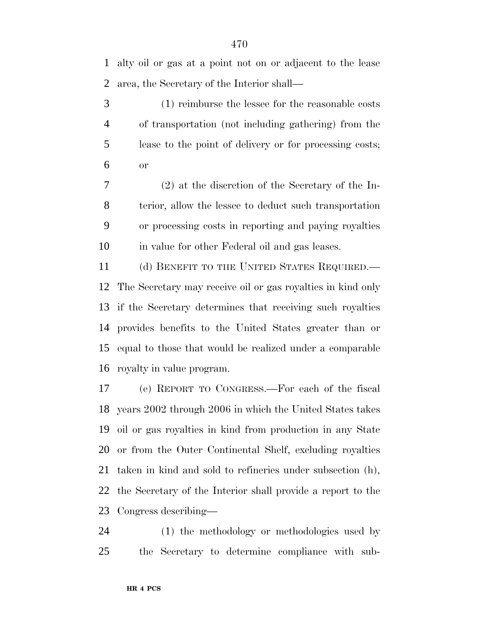alty oil or gas at a point not on or adjacent to the lease area, the Secretary of the Interior shall—

 (1) reimburse the lessee for the reasonable costs of transportation (not including gathering) from the lease to the point of delivery or for processing costs; or

 (2) at the discretion of the Secretary of the In- terior, allow the lessee to deduct such transportation or processing costs in reporting and paying royalties in value for other Federal oil and gas leases.

11 (d) BENEFIT TO THE UNITED STATES REQUIRED.— The Secretary may receive oil or gas royalties in kind only if the Secretary determines that receiving such royalties provides benefits to the United States greater than or equal to those that would be realized under a comparable royalty in value program.

 (e) REPORT TO CONGRESS.—For each of the fiscal years 2002 through 2006 in which the United States takes oil or gas royalties in kind from production in any State or from the Outer Continental Shelf, excluding royalties taken in kind and sold to refineries under subsection (h), the Secretary of the Interior shall provide a report to the Congress describing—

 (1) the methodology or methodologies used by the Secretary to determine compliance with sub-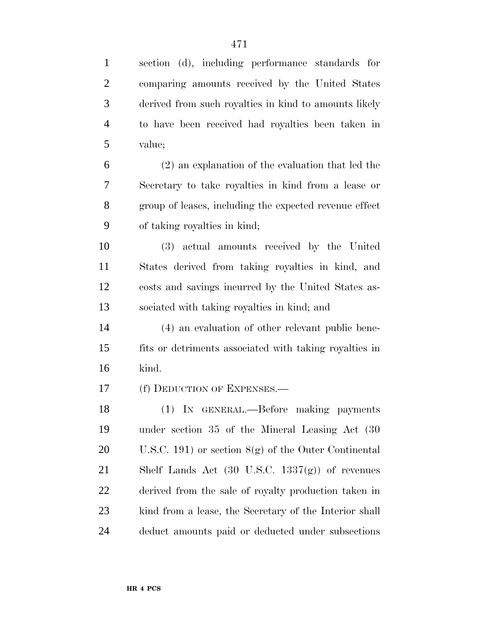| $\mathbf{1}$   | section (d), including performance standards for           |
|----------------|------------------------------------------------------------|
| $\overline{2}$ | comparing amounts received by the United States            |
| 3              | derived from such royalties in kind to amounts likely      |
| $\overline{4}$ | to have been received had royalties been taken in          |
| 5              | value;                                                     |
| 6              | $(2)$ an explanation of the evaluation that led the        |
| 7              | Secretary to take royalties in kind from a lease or        |
| 8              | group of leases, including the expected revenue effect     |
| 9              | of taking royalties in kind;                               |
| 10             | (3) actual amounts received by the United                  |
| 11             | States derived from taking royalties in kind, and          |
| 12             | costs and savings incurred by the United States as-        |
| 13             | sociated with taking royalties in kind; and                |
| 14             | (4) an evaluation of other relevant public bene-           |
| 15             | fits or detriments associated with taking royalties in     |
| 16             | kind.                                                      |
| 17             | (f) DEDUCTION OF EXPENSES.—                                |
| 18             | (1) IN GENERAL.—Before making payments                     |
| 19             | under section 35 of the Mineral Leasing Act (30            |
| 20             | U.S.C. 191) or section $8(g)$ of the Outer Continental     |
| 21             | Shelf Lands Act $(30 \text{ U.S.C. } 1337(g))$ of revenues |
| 22             | derived from the sale of royalty production taken in       |
| 23             | kind from a lease, the Secretary of the Interior shall     |
| 24             | deduct amounts paid or deducted under subsections          |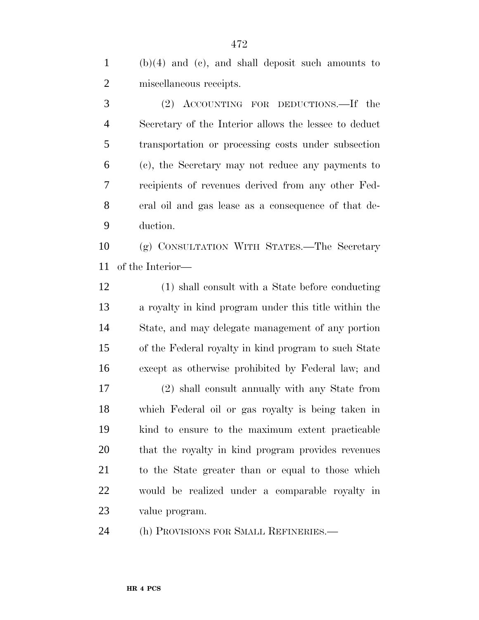(b)(4) and (e), and shall deposit such amounts to miscellaneous receipts.

 (2) ACCOUNTING FOR DEDUCTIONS.—If the Secretary of the Interior allows the lessee to deduct transportation or processing costs under subsection (c), the Secretary may not reduce any payments to recipients of revenues derived from any other Fed- eral oil and gas lease as a consequence of that de-duction.

 (g) CONSULTATION WITH STATES.—The Secretary of the Interior—

 (1) shall consult with a State before conducting a royalty in kind program under this title within the State, and may delegate management of any portion of the Federal royalty in kind program to such State except as otherwise prohibited by Federal law; and

 (2) shall consult annually with any State from which Federal oil or gas royalty is being taken in kind to ensure to the maximum extent practicable that the royalty in kind program provides revenues to the State greater than or equal to those which would be realized under a comparable royalty in value program.

(h) PROVISIONS FOR SMALL REFINERIES.—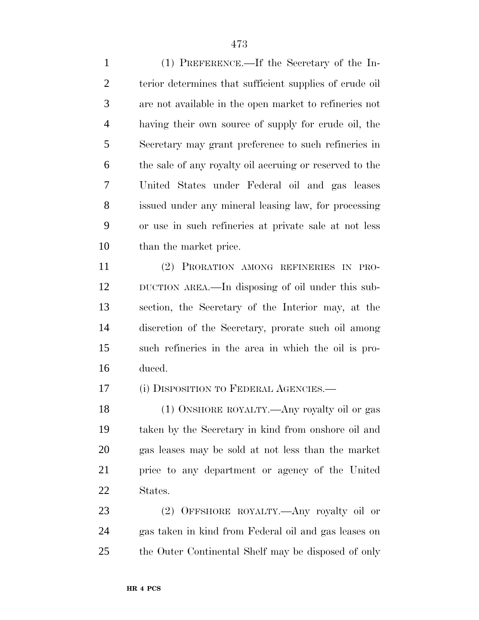(1) PREFERENCE.—If the Secretary of the In- terior determines that sufficient supplies of crude oil are not available in the open market to refineries not having their own source of supply for crude oil, the Secretary may grant preference to such refineries in the sale of any royalty oil accruing or reserved to the United States under Federal oil and gas leases issued under any mineral leasing law, for processing or use in such refineries at private sale at not less than the market price.

 (2) PRORATION AMONG REFINERIES IN PRO- DUCTION AREA.—In disposing of oil under this sub- section, the Secretary of the Interior may, at the discretion of the Secretary, prorate such oil among such refineries in the area in which the oil is pro-duced.

(i) DISPOSITION TO FEDERAL AGENCIES.—

 (1) ONSHORE ROYALTY.—Any royalty oil or gas taken by the Secretary in kind from onshore oil and gas leases may be sold at not less than the market price to any department or agency of the United States.

 (2) OFFSHORE ROYALTY.—Any royalty oil or gas taken in kind from Federal oil and gas leases on the Outer Continental Shelf may be disposed of only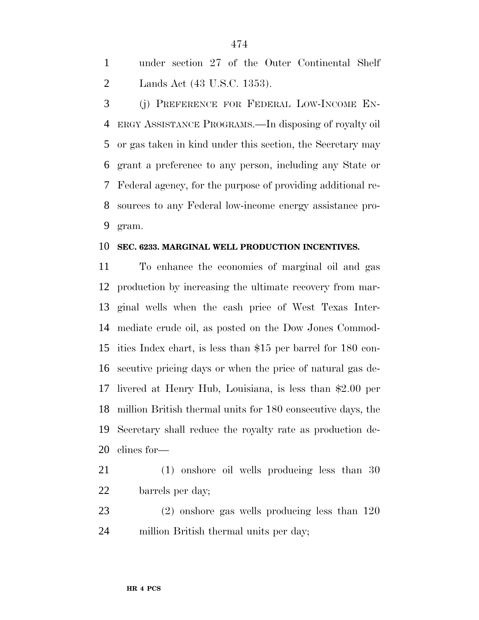under section 27 of the Outer Continental Shelf Lands Act (43 U.S.C. 1353).

 (j) PREFERENCE FOR FEDERAL LOW-INCOME EN- ERGY ASSISTANCE PROGRAMS.—In disposing of royalty oil or gas taken in kind under this section, the Secretary may grant a preference to any person, including any State or Federal agency, for the purpose of providing additional re- sources to any Federal low-income energy assistance pro-gram.

#### **SEC. 6233. MARGINAL WELL PRODUCTION INCENTIVES.**

 To enhance the economics of marginal oil and gas production by increasing the ultimate recovery from mar- ginal wells when the cash price of West Texas Inter- mediate crude oil, as posted on the Dow Jones Commod- ities Index chart, is less than \$15 per barrel for 180 con- secutive pricing days or when the price of natural gas de- livered at Henry Hub, Louisiana, is less than \$2.00 per million British thermal units for 180 consecutive days, the Secretary shall reduce the royalty rate as production de-clines for—

- (1) onshore oil wells producing less than 30 barrels per day;
- (2) onshore gas wells producing less than 120 million British thermal units per day;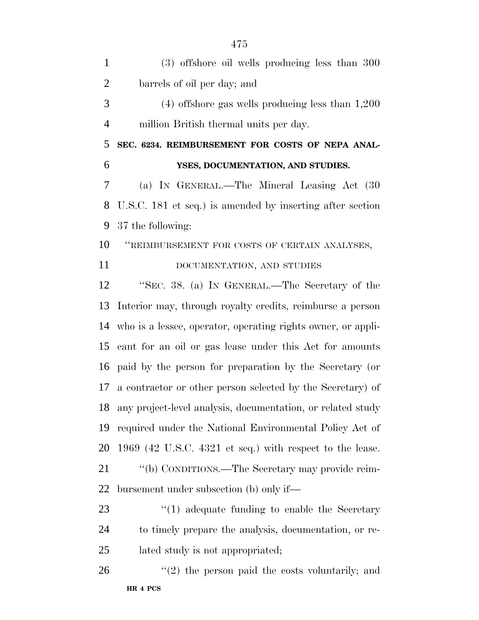(3) offshore oil wells producing less than 300 barrels of oil per day; and (4) offshore gas wells producing less than 1,200 million British thermal units per day. **SEC. 6234. REIMBURSEMENT FOR COSTS OF NEPA ANAL- YSES, DOCUMENTATION, AND STUDIES.** (a) IN GENERAL.—The Mineral Leasing Act (30 U.S.C. 181 et seq.) is amended by inserting after section 37 the following: ''REIMBURSEMENT FOR COSTS OF CERTAIN ANALYSES, 11 DOCUMENTATION, AND STUDIES ''SEC. 38. (a) IN GENERAL.—The Secretary of the Interior may, through royalty credits, reimburse a person who is a lessee, operator, operating rights owner, or appli- cant for an oil or gas lease under this Act for amounts paid by the person for preparation by the Secretary (or a contractor or other person selected by the Secretary) of any project-level analysis, documentation, or related study required under the National Environmental Policy Act of 1969 (42 U.S.C. 4321 et seq.) with respect to the lease. ''(b) CONDITIONS.—The Secretary may provide reim- bursement under subsection (b) only if— 23 ''(1) adequate funding to enable the Secretary to timely prepare the analysis, documentation, or re- lated study is not appropriated; "(2) the person paid the costs voluntarily; and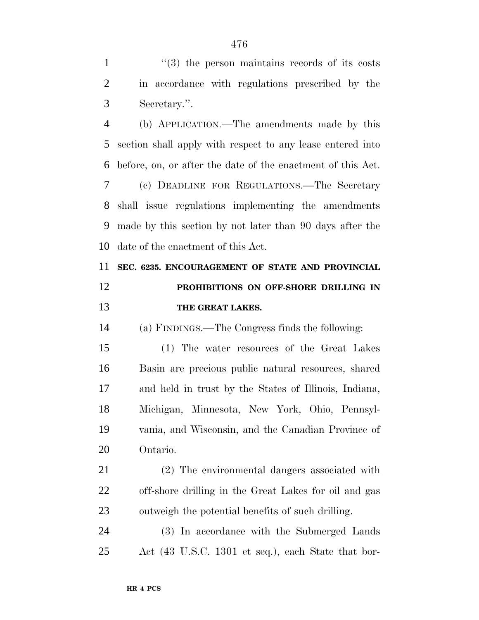1 ''(3) the person maintains records of its costs in accordance with regulations prescribed by the Secretary.''.

 (b) APPLICATION.—The amendments made by this section shall apply with respect to any lease entered into before, on, or after the date of the enactment of this Act. (c) DEADLINE FOR REGULATIONS.—The Secretary shall issue regulations implementing the amendments made by this section by not later than 90 days after the date of the enactment of this Act.

 **SEC. 6235. ENCOURAGEMENT OF STATE AND PROVINCIAL PROHIBITIONS ON OFF-SHORE DRILLING IN THE GREAT LAKES.**

(a) FINDINGS.—The Congress finds the following:

 (1) The water resources of the Great Lakes Basin are precious public natural resources, shared and held in trust by the States of Illinois, Indiana, Michigan, Minnesota, New York, Ohio, Pennsyl- vania, and Wisconsin, and the Canadian Province of Ontario.

 (2) The environmental dangers associated with off-shore drilling in the Great Lakes for oil and gas outweigh the potential benefits of such drilling.

 (3) In accordance with the Submerged Lands Act (43 U.S.C. 1301 et seq.), each State that bor-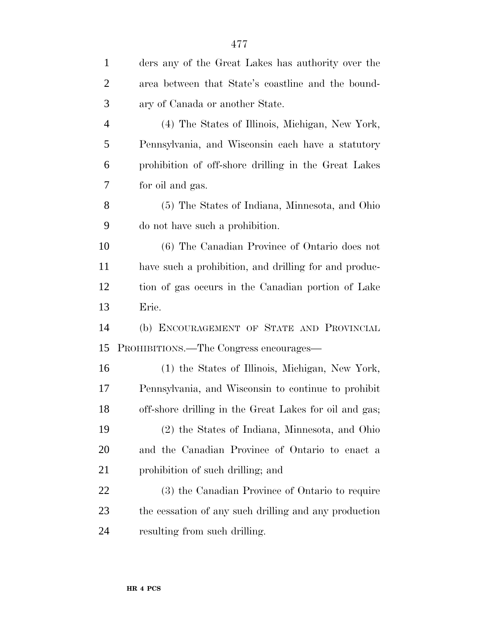| $\mathbf{1}$   | ders any of the Great Lakes has authority over the     |
|----------------|--------------------------------------------------------|
| $\overline{2}$ | area between that State's coastline and the bound-     |
| 3              | ary of Canada or another State.                        |
| $\overline{4}$ | (4) The States of Illinois, Michigan, New York,        |
| 5              | Pennsylvania, and Wisconsin each have a statutory      |
| 6              | prohibition of off-shore drilling in the Great Lakes   |
| 7              | for oil and gas.                                       |
| 8              | (5) The States of Indiana, Minnesota, and Ohio         |
| 9              | do not have such a prohibition.                        |
| 10             | (6) The Canadian Province of Ontario does not          |
| 11             | have such a prohibition, and drilling for and produc-  |
| 12             | tion of gas occurs in the Canadian portion of Lake     |
| 13             | Erie.                                                  |
| 14             | (b) ENCOURAGEMENT OF STATE AND PROVINCIAL              |
| 15             | PROHIBITIONS.—The Congress encourages—                 |
| 16             | (1) the States of Illinois, Michigan, New York,        |
| 17             | Pennsylvania, and Wisconsin to continue to prohibit    |
| 18             | off-shore drilling in the Great Lakes for oil and gas; |
| 19             | (2) the States of Indiana, Minnesota, and Ohio         |
| 20             | and the Canadian Province of Ontario to enact a        |
| 21             | prohibition of such drilling; and                      |
| 22             | (3) the Canadian Province of Ontario to require        |
| 23             | the cessation of any such drilling and any production  |
| 24             | resulting from such drilling.                          |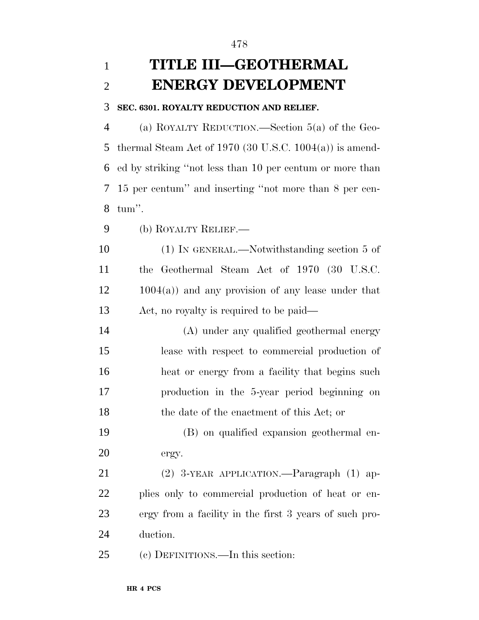# **TITLE III—GEOTHERMAL ENERGY DEVELOPMENT**

### **SEC. 6301. ROYALTY REDUCTION AND RELIEF.**

 (a) ROYALTY REDUCTION.—Section 5(a) of the Geo- thermal Steam Act of 1970 (30 U.S.C. 1004(a)) is amend- ed by striking ''not less than 10 per centum or more than 15 per centum'' and inserting ''not more than 8 per cen-tum''.

(b) ROYALTY RELIEF.—

 (1) IN GENERAL.—Notwithstanding section 5 of the Geothermal Steam Act of 1970 (30 U.S.C. 1004(a)) and any provision of any lease under that Act, no royalty is required to be paid—

 (A) under any qualified geothermal energy lease with respect to commercial production of heat or energy from a facility that begins such production in the 5-year period beginning on 18 the date of the enactment of this Act; or

 (B) on qualified expansion geothermal en-ergy.

 (2) 3-YEAR APPLICATION.—Paragraph (1) ap- plies only to commercial production of heat or en- ergy from a facility in the first 3 years of such pro-duction.

(c) DEFINITIONS.—In this section: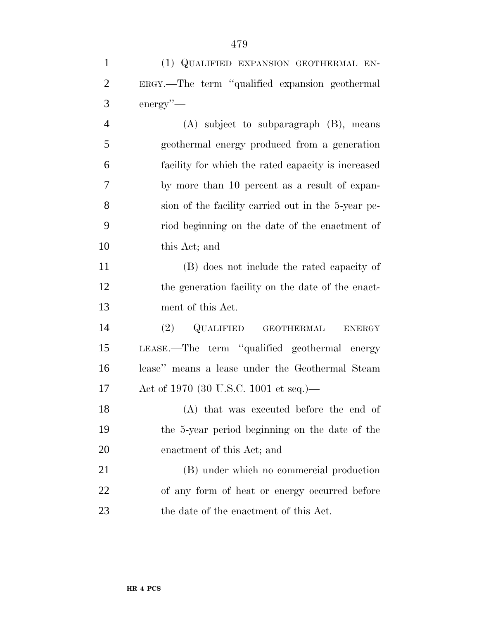(1) QUALIFIED EXPANSION GEOTHERMAL EN-

| $\overline{2}$ | ERGY.—The term "qualified expansion geothermal         |
|----------------|--------------------------------------------------------|
| 3              | $\text{energy}$ "—                                     |
| $\overline{4}$ | $(A)$ subject to subparagraph $(B)$ , means            |
| 5              | geothermal energy produced from a generation           |
| 6              | facility for which the rated capacity is increased     |
| 7              | by more than 10 percent as a result of expan-          |
| 8              | sion of the facility carried out in the 5-year pe-     |
| 9              | riod beginning on the date of the enactment of         |
| 10             | this Act; and                                          |
| 11             | (B) does not include the rated capacity of             |
| 12             | the generation facility on the date of the enact-      |
| 13             | ment of this Act.                                      |
| 14             | QUALIFIED<br>(2)<br><b>GEOTHERMAL</b><br><b>ENERGY</b> |
| 15             | LEASE.—The term "qualified geothermal energy           |
| 16             | lease" means a lease under the Geothermal Steam        |
| 17             | Act of 1970 (30 U.S.C. 1001 et seq.)—                  |
| 18             | (A) that was executed before the end of                |
| 19             | the 5-year period beginning on the date of the         |
| 20             | enactment of this Act; and                             |
| 21             | (B) under which no commercial production               |
| 22             | of any form of heat or energy occurred before          |
| 23             | the date of the enactment of this Act.                 |
|                |                                                        |
|                |                                                        |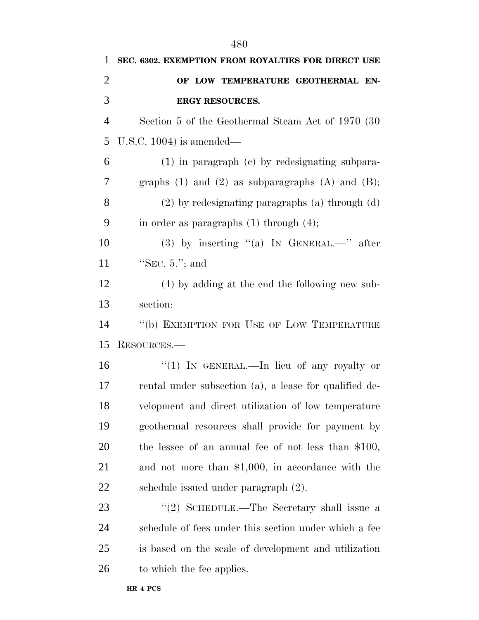| 1              | SEC. 6302. EXEMPTION FROM ROYALTIES FOR DIRECT USE        |
|----------------|-----------------------------------------------------------|
| $\overline{2}$ | OF LOW TEMPERATURE GEOTHERMAL EN-                         |
| 3              | ERGY RESOURCES.                                           |
| $\overline{4}$ | Section 5 of the Geothermal Steam Act of 1970 (30)        |
| 5              | U.S.C. $1004$ ) is amended—                               |
| 6              | $(1)$ in paragraph $(e)$ by redesignating subpara-        |
| 7              | graphs $(1)$ and $(2)$ as subparagraphs $(A)$ and $(B)$ ; |
| 8              | $(2)$ by redesignating paragraphs $(a)$ through $(d)$     |
| 9              | in order as paragraphs $(1)$ through $(4)$ ;              |
| 10             | (3) by inserting "(a) IN GENERAL.—" after                 |
| 11             | "SEC. $5.'$ ; and                                         |
| 12             | $(4)$ by adding at the end the following new sub-         |
| 13             | section:                                                  |
| 14             | "(b) EXEMPTION FOR USE OF LOW TEMPERATURE                 |
| 15             | RESOURCES.-                                               |
| 16             | "(1) IN GENERAL.—In lieu of any royalty or                |
| 17             | rental under subsection (a), a lease for qualified de-    |
| 18             | velopment and direct utilization of low temperature       |
| 19             | geothermal resources shall provide for payment by         |
| 20             | the lessee of an annual fee of not less than $$100$ ,     |
| 21             | and not more than $$1,000$ , in accordance with the       |
| 22             | schedule issued under paragraph (2).                      |
| 23             | "(2) SCHEDULE.—The Secretary shall issue a                |
| 24             | schedule of fees under this section under which a fee     |
| 25             | is based on the scale of development and utilization      |
| 26             | to which the fee applies.                                 |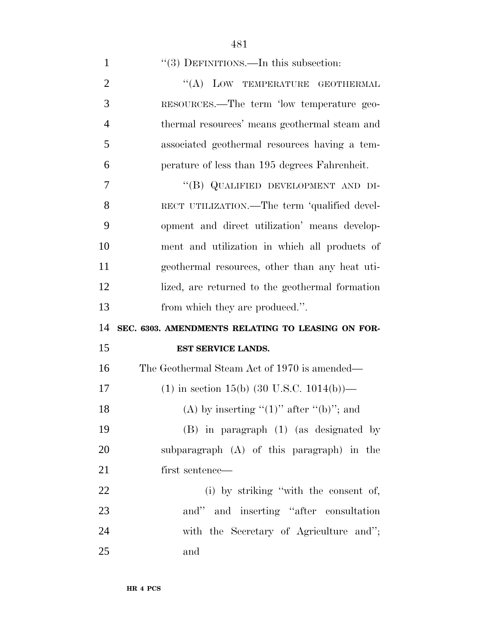| $\mathbf{1}$   | $\lq(3)$ DEFINITIONS.—In this subsection:               |
|----------------|---------------------------------------------------------|
| $\overline{2}$ | "(A) LOW TEMPERATURE GEOTHERMAL                         |
| 3              | RESOURCES.—The term 'low temperature geo-               |
| $\overline{4}$ | thermal resources' means geothermal steam and           |
| 5              | associated geothermal resources having a tem-           |
| 6              | perature of less than 195 degrees Fahrenheit.           |
| 7              | "(B) QUALIFIED DEVELOPMENT AND DI-                      |
| 8              | RECT UTILIZATION.—The term 'qualified devel-            |
| 9              | opment and direct utilization' means develop-           |
| 10             | ment and utilization in which all products of           |
| 11             | geothermal resources, other than any heat uti-          |
| 12             | lized, are returned to the geothermal formation         |
|                |                                                         |
| 13             | from which they are produced.".                         |
| 14             | SEC. 6303. AMENDMENTS RELATING TO LEASING ON FOR-       |
| 15             | EST SERVICE LANDS.                                      |
| 16             | The Geothermal Steam Act of 1970 is amended—            |
| 17             | $(1)$ in section 15(b) $(30 \text{ U.S.C. } 1014(b))$ — |
| 18             | (A) by inserting " $(1)$ " after " $(b)$ "; and         |
| 19             | $(B)$ in paragraph $(1)$ (as designated by              |
| 20             | subparagraph (A) of this paragraph) in the              |
| 21             | first sentence—                                         |
| 22             | (i) by striking "with the consent of,                   |
| 23             | and" and inserting "after consultation"                 |
| 24             | with the Secretary of Agriculture and";                 |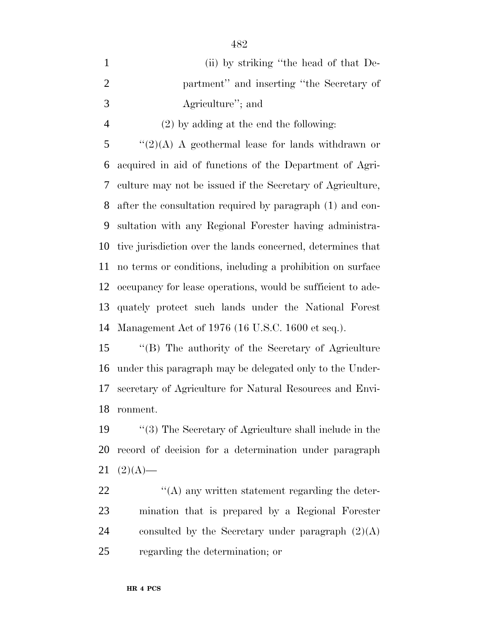| $\mathbf{1}$   | (ii) by striking "the head of that De-                      |
|----------------|-------------------------------------------------------------|
| $\overline{2}$ | partment" and inserting "the Secretary of                   |
| 3              | Agriculture"; and                                           |
| $\overline{4}$ | $(2)$ by adding at the end the following:                   |
| 5              | " $(2)(A)$ A geothermal lease for lands withdrawn or        |
| 6              | acquired in aid of functions of the Department of Agri-     |
| 7              | culture may not be issued if the Secretary of Agriculture,  |
| 8              | after the consultation required by paragraph (1) and con-   |
| 9              | sultation with any Regional Forester having administra-     |
| 10             | tive jurisdiction over the lands concerned, determines that |
| 11             | no terms or conditions, including a prohibition on surface  |
| 12             | occupancy for lease operations, would be sufficient to ade- |
| 13             | quately protect such lands under the National Forest        |
|                | 14 Management Act of 1976 (16 U.S.C. 1600 et seq.).         |
|                |                                                             |

 ''(B) The authority of the Secretary of Agriculture under this paragraph may be delegated only to the Under- secretary of Agriculture for Natural Resources and Envi-ronment.

 ''(3) The Secretary of Agriculture shall include in the record of decision for a determination under paragraph  $21 (2)(A)$ —

22 ''(A) any written statement regarding the deter- mination that is prepared by a Regional Forester 24 consulted by the Secretary under paragraph  $(2)(A)$ regarding the determination; or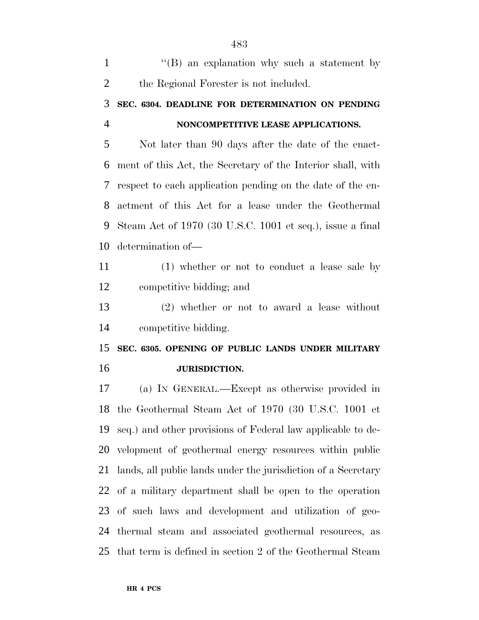| $\mathbf{1}$   | $\lq\lq (B)$ an explanation why such a statement by           |
|----------------|---------------------------------------------------------------|
| $\overline{2}$ | the Regional Forester is not included.                        |
| 3              | SEC. 6304. DEADLINE FOR DETERMINATION ON PENDING              |
| $\overline{4}$ | NONCOMPETITIVE LEASE APPLICATIONS.                            |
| 5              | Not later than 90 days after the date of the enact-           |
| 6              | ment of this Act, the Secretary of the Interior shall, with   |
| 7              | respect to each application pending on the date of the en-    |
| 8              | actment of this Act for a lease under the Geothermal          |
| 9              | Steam Act of 1970 (30 U.S.C. 1001 et seq.), issue a final     |
| 10             | determination of-                                             |
| 11             | (1) whether or not to conduct a lease sale by                 |
| 12             | competitive bidding; and                                      |
| 13             | $(2)$ whether or not to award a lease without                 |
| 14             | competitive bidding.                                          |
| 15             | SEC. 6305. OPENING OF PUBLIC LANDS UNDER MILITARY             |
| 16             | JURISDICTION.                                                 |
| 17             | (a) IN GENERAL.—Except as otherwise provided in               |
|                | 18 the Geothermal Steam Act of 1970 (30 U.S.C. 1001 et        |
| 19             | seq.) and other provisions of Federal law applicable to de-   |
| 20             | velopment of geothermal energy resources within public        |
| 21             | lands, all public lands under the jurisdiction of a Secretary |
| 22             | of a military department shall be open to the operation       |
| 23             | of such laws and development and utilization of geo-          |
| 24             | thermal steam and associated geothermal resources, as         |
| 25             | that term is defined in section 2 of the Geothermal Steam     |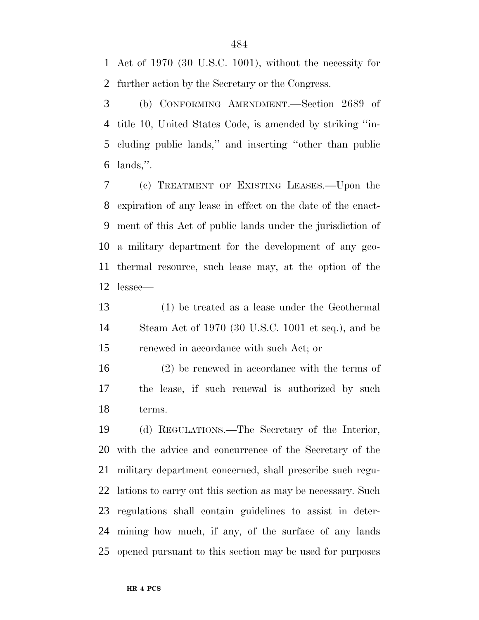Act of 1970 (30 U.S.C. 1001), without the necessity for further action by the Secretary or the Congress.

 (b) CONFORMING AMENDMENT.—Section 2689 of title 10, United States Code, is amended by striking ''in- cluding public lands,'' and inserting ''other than public lands,''.

 (c) TREATMENT OF EXISTING LEASES.—Upon the expiration of any lease in effect on the date of the enact- ment of this Act of public lands under the jurisdiction of a military department for the development of any geo- thermal resource, such lease may, at the option of the lessee—

 (1) be treated as a lease under the Geothermal Steam Act of 1970 (30 U.S.C. 1001 et seq.), and be renewed in accordance with such Act; or

 (2) be renewed in accordance with the terms of the lease, if such renewal is authorized by such terms.

 (d) REGULATIONS.—The Secretary of the Interior, with the advice and concurrence of the Secretary of the military department concerned, shall prescribe such regu- lations to carry out this section as may be necessary. Such regulations shall contain guidelines to assist in deter- mining how much, if any, of the surface of any lands opened pursuant to this section may be used for purposes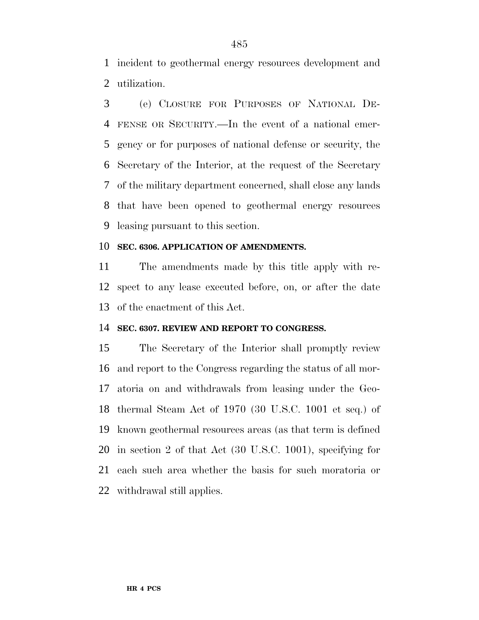incident to geothermal energy resources development and utilization.

 (e) CLOSURE FOR PURPOSES OF NATIONAL DE- FENSE OR SECURITY.—In the event of a national emer- gency or for purposes of national defense or security, the Secretary of the Interior, at the request of the Secretary of the military department concerned, shall close any lands that have been opened to geothermal energy resources leasing pursuant to this section.

### **SEC. 6306. APPLICATION OF AMENDMENTS.**

 The amendments made by this title apply with re- spect to any lease executed before, on, or after the date of the enactment of this Act.

### **SEC. 6307. REVIEW AND REPORT TO CONGRESS.**

 The Secretary of the Interior shall promptly review and report to the Congress regarding the status of all mor- atoria on and withdrawals from leasing under the Geo- thermal Steam Act of 1970 (30 U.S.C. 1001 et seq.) of known geothermal resources areas (as that term is defined in section 2 of that Act (30 U.S.C. 1001), specifying for each such area whether the basis for such moratoria or withdrawal still applies.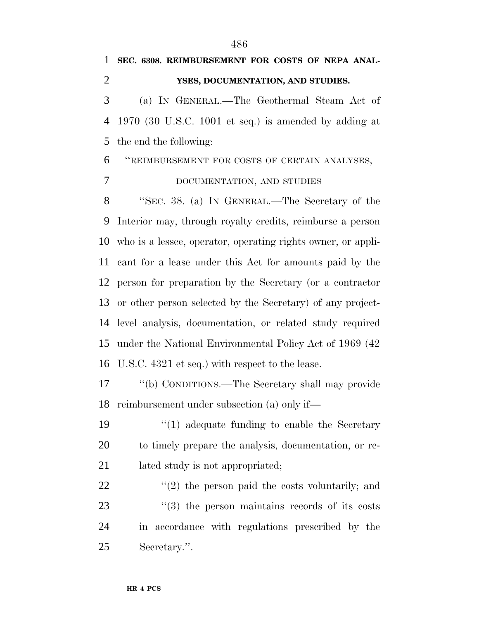**SEC. 6308. REIMBURSEMENT FOR COSTS OF NEPA ANAL- YSES, DOCUMENTATION, AND STUDIES.** (a) IN GENERAL.—The Geothermal Steam Act of 1970 (30 U.S.C. 1001 et seq.) is amended by adding at the end the following: ''REIMBURSEMENT FOR COSTS OF CERTAIN ANALYSES, DOCUMENTATION, AND STUDIES ''SEC. 38. (a) IN GENERAL.—The Secretary of the

 Interior may, through royalty credits, reimburse a person who is a lessee, operator, operating rights owner, or appli- cant for a lease under this Act for amounts paid by the person for preparation by the Secretary (or a contractor or other person selected by the Secretary) of any project- level analysis, documentation, or related study required under the National Environmental Policy Act of 1969 (42 U.S.C. 4321 et seq.) with respect to the lease.

 ''(b) CONDITIONS.—The Secretary shall may provide reimbursement under subsection (a) only if—

19 ''(1) adequate funding to enable the Secretary to timely prepare the analysis, documentation, or re-21 lated study is not appropriated;

 $\frac{1}{22}$  ''(2) the person paid the costs voluntarily; and  $\frac{1}{2}$  (3) the person maintains records of its costs in accordance with regulations prescribed by the Secretary.''.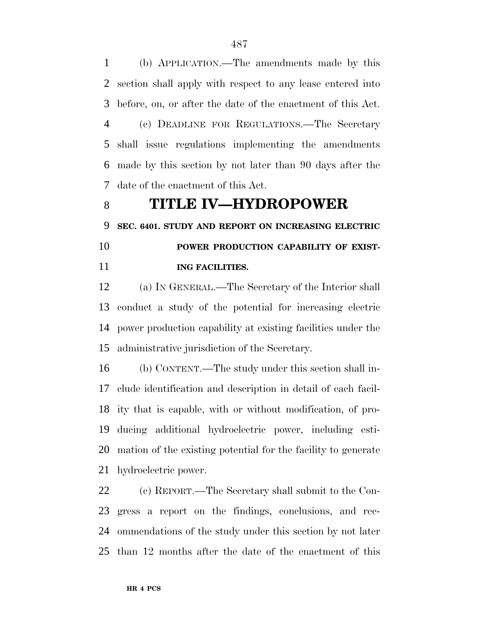(b) APPLICATION.—The amendments made by this section shall apply with respect to any lease entered into before, on, or after the date of the enactment of this Act. (c) DEADLINE FOR REGULATIONS.—The Secretary shall issue regulations implementing the amendments made by this section by not later than 90 days after the

date of the enactment of this Act.

## **TITLE IV—HYDROPOWER**

 **SEC. 6401. STUDY AND REPORT ON INCREASING ELECTRIC POWER PRODUCTION CAPABILITY OF EXIST-**

**ING FACILITIES.**

 (a) IN GENERAL.—The Secretary of the Interior shall conduct a study of the potential for increasing electric power production capability at existing facilities under the administrative jurisdiction of the Secretary.

 (b) CONTENT.—The study under this section shall in- clude identification and description in detail of each facil- ity that is capable, with or without modification, of pro- ducing additional hydroelectric power, including esti- mation of the existing potential for the facility to generate hydroelectric power.

 (c) REPORT.—The Secretary shall submit to the Con- gress a report on the findings, conclusions, and rec- ommendations of the study under this section by not later than 12 months after the date of the enactment of this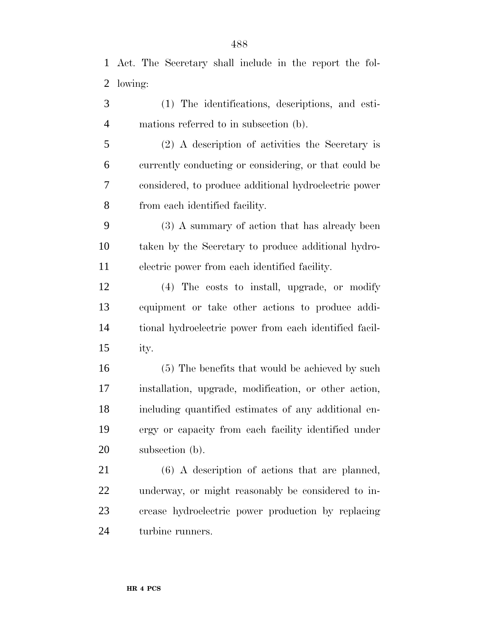Act. The Secretary shall include in the report the fol-lowing:

 (1) The identifications, descriptions, and esti-mations referred to in subsection (b).

 (2) A description of activities the Secretary is currently conducting or considering, or that could be considered, to produce additional hydroelectric power from each identified facility.

 (3) A summary of action that has already been taken by the Secretary to produce additional hydro-electric power from each identified facility.

 (4) The costs to install, upgrade, or modify equipment or take other actions to produce addi- tional hydroelectric power from each identified facil-ity.

 (5) The benefits that would be achieved by such installation, upgrade, modification, or other action, including quantified estimates of any additional en- ergy or capacity from each facility identified under subsection (b).

 (6) A description of actions that are planned, underway, or might reasonably be considered to in- crease hydroelectric power production by replacing turbine runners.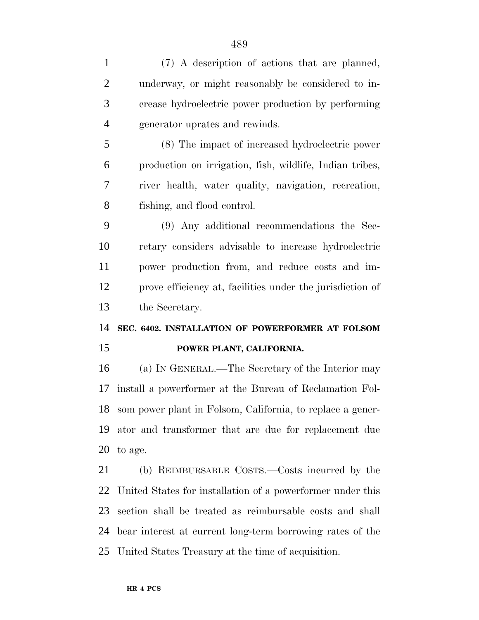| $\mathbf{1}$   | (7) A description of actions that are planned,                |
|----------------|---------------------------------------------------------------|
| $\overline{2}$ | underway, or might reasonably be considered to in-            |
| 3              | crease hydroelectric power production by performing           |
| $\overline{4}$ | generator uprates and rewinds.                                |
| 5              | (8) The impact of increased hydroelectric power               |
| 6              | production on irrigation, fish, wildlife, Indian tribes,      |
| 7              | river health, water quality, navigation, recreation,          |
| 8              | fishing, and flood control.                                   |
| 9              | (9) Any additional recommendations the Sec-                   |
| 10             | retary considers advisable to increase hydroelectric          |
| 11             | power production from, and reduce costs and im-               |
| 12             | prove efficiency at, facilities under the jurisdiction of     |
|                |                                                               |
|                | the Secretary.                                                |
| 13<br>14       | SEC. 6402. INSTALLATION OF POWERFORMER AT FOLSOM              |
|                | POWER PLANT, CALIFORNIA.                                      |
| 15<br>16       | (a) IN GENERAL.—The Secretary of the Interior may             |
| 17             | install a powerformer at the Bureau of Reclamation Fol-       |
|                | 18 som power plant in Folsom, California, to replace a gener- |
|                | ator and transformer that are due for replacement due         |
| 19<br>20       | to age.                                                       |
| 21             | (b) REIMBURSABLE COSTS.—Costs incurred by the                 |
| 22             | United States for installation of a powerformer under this    |
| 23             | section shall be treated as reimbursable costs and shall      |
| 24             | bear interest at current long-term borrowing rates of the     |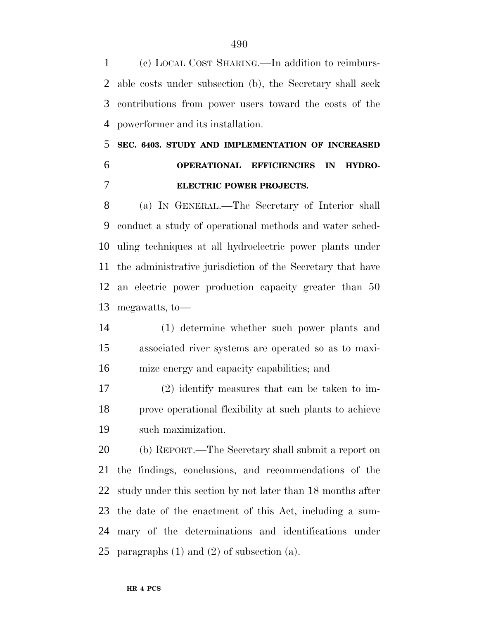(c) LOCAL COST SHARING.—In addition to reimburs- able costs under subsection (b), the Secretary shall seek contributions from power users toward the costs of the powerformer and its installation.

# **SEC. 6403. STUDY AND IMPLEMENTATION OF INCREASED OPERATIONAL EFFICIENCIES IN HYDRO-ELECTRIC POWER PROJECTS.**

 (a) IN GENERAL.—The Secretary of Interior shall conduct a study of operational methods and water sched- uling techniques at all hydroelectric power plants under the administrative jurisdiction of the Secretary that have an electric power production capacity greater than 50 megawatts, to—

 (1) determine whether such power plants and associated river systems are operated so as to maxi-mize energy and capacity capabilities; and

 (2) identify measures that can be taken to im- prove operational flexibility at such plants to achieve such maximization.

 (b) REPORT.—The Secretary shall submit a report on the findings, conclusions, and recommendations of the study under this section by not later than 18 months after the date of the enactment of this Act, including a sum- mary of the determinations and identifications under 25 paragraphs  $(1)$  and  $(2)$  of subsection  $(a)$ .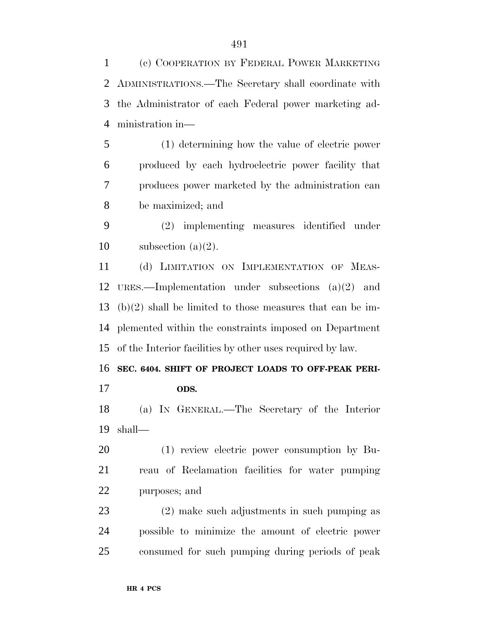(c) COOPERATION BY FEDERAL POWER MARKETING ADMINISTRATIONS.—The Secretary shall coordinate with the Administrator of each Federal power marketing ad-ministration in—

 (1) determining how the value of electric power produced by each hydroelectric power facility that produces power marketed by the administration can be maximized; and

 (2) implementing measures identified under 10 subsection  $(a)(2)$ .

 (d) LIMITATION ON IMPLEMENTATION OF MEAS- URES.—Implementation under subsections (a)(2) and (b)(2) shall be limited to those measures that can be im- plemented within the constraints imposed on Department of the Interior facilities by other uses required by law.

 **SEC. 6404. SHIFT OF PROJECT LOADS TO OFF-PEAK PERI-ODS.**

 (a) IN GENERAL.—The Secretary of the Interior shall—

 (1) review electric power consumption by Bu- reau of Reclamation facilities for water pumping purposes; and

 (2) make such adjustments in such pumping as possible to minimize the amount of electric power consumed for such pumping during periods of peak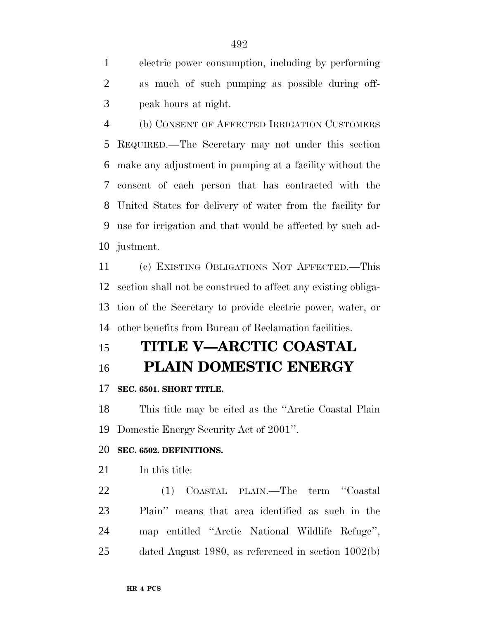electric power consumption, including by performing as much of such pumping as possible during off-peak hours at night.

 (b) CONSENT OF AFFECTED IRRIGATION CUSTOMERS REQUIRED.—The Secretary may not under this section make any adjustment in pumping at a facility without the consent of each person that has contracted with the United States for delivery of water from the facility for use for irrigation and that would be affected by such ad-justment.

 (c) EXISTING OBLIGATIONS NOT AFFECTED.—This section shall not be construed to affect any existing obliga- tion of the Secretary to provide electric power, water, or other benefits from Bureau of Reclamation facilities.

## **TITLE V—ARCTIC COASTAL**

## **PLAIN DOMESTIC ENERGY**

### **SEC. 6501. SHORT TITLE.**

 This title may be cited as the ''Arctic Coastal Plain Domestic Energy Security Act of 2001''.

### **SEC. 6502. DEFINITIONS.**

21 In this title:

 (1) COASTAL PLAIN.—The term ''Coastal Plain'' means that area identified as such in the map entitled ''Arctic National Wildlife Refuge'', dated August 1980, as referenced in section 1002(b)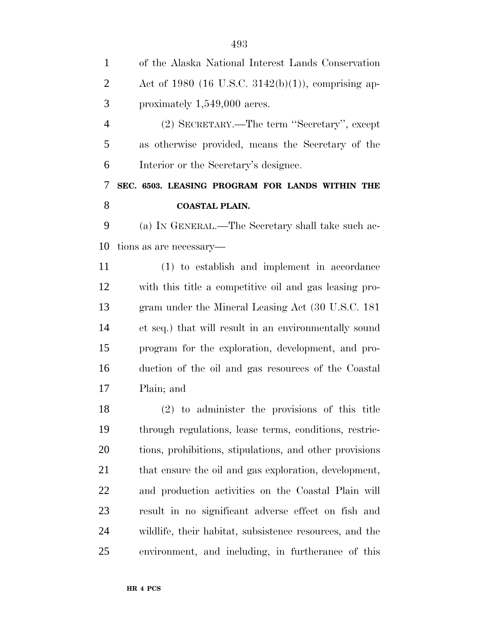| $\mathbf{1}$   | of the Alaska National Interest Lands Conservation      |
|----------------|---------------------------------------------------------|
| $\overline{2}$ | Act of 1980 (16 U.S.C. 3142(b)(1)), comprising ap-      |
| 3              | proximately $1,549,000$ acres.                          |
| $\overline{4}$ | (2) SECRETARY.—The term "Secretary", except             |
| 5              | as otherwise provided, means the Secretary of the       |
| 6              | Interior or the Secretary's designee.                   |
| 7              | SEC. 6503. LEASING PROGRAM FOR LANDS WITHIN THE         |
| 8              | <b>COASTAL PLAIN.</b>                                   |
| 9              | (a) IN GENERAL.—The Secretary shall take such ac-       |
| 10             | tions as are necessary—                                 |
| 11             | (1) to establish and implement in accordance            |
| 12             | with this title a competitive oil and gas leasing pro-  |
| 13             | gram under the Mineral Leasing Act (30 U.S.C. 181)      |
| 14             | et seq.) that will result in an environmentally sound   |
| 15             | program for the exploration, development, and pro-      |
| 16             | duction of the oil and gas resources of the Coastal     |
| 17             | Plain; and                                              |
| 18             | $(2)$ to administer the provisions of this title        |
| 19             | through regulations, lease terms, conditions, restric-  |
| 20             | tions, prohibitions, stipulations, and other provisions |
| 21             | that ensure the oil and gas exploration, development,   |
| <u>22</u>      | and production activities on the Coastal Plain will     |
| 23             | result in no significant adverse effect on fish and     |
| 24             | wildlife, their habitat, subsistence resources, and the |
| 25             | environment, and including, in furtherance of this      |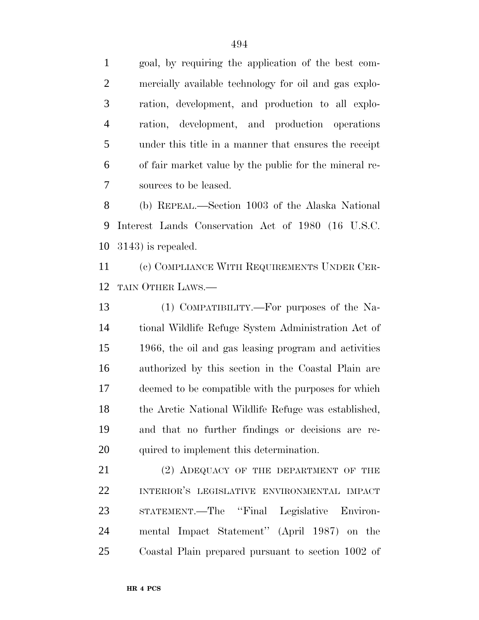goal, by requiring the application of the best com- mercially available technology for oil and gas explo- ration, development, and production to all explo- ration, development, and production operations under this title in a manner that ensures the receipt of fair market value by the public for the mineral re-sources to be leased.

 (b) REPEAL.—Section 1003 of the Alaska National Interest Lands Conservation Act of 1980 (16 U.S.C. 3143) is repealed.

 (c) COMPLIANCE WITH REQUIREMENTS UNDER CER-TAIN OTHER LAWS.—

 (1) COMPATIBILITY.—For purposes of the Na- tional Wildlife Refuge System Administration Act of 1966, the oil and gas leasing program and activities authorized by this section in the Coastal Plain are deemed to be compatible with the purposes for which the Arctic National Wildlife Refuge was established, and that no further findings or decisions are re-quired to implement this determination.

21 (2) ADEQUACY OF THE DEPARTMENT OF THE INTERIOR'S LEGISLATIVE ENVIRONMENTAL IMPACT STATEMENT.—The ''Final Legislative Environ- mental Impact Statement'' (April 1987) on the Coastal Plain prepared pursuant to section 1002 of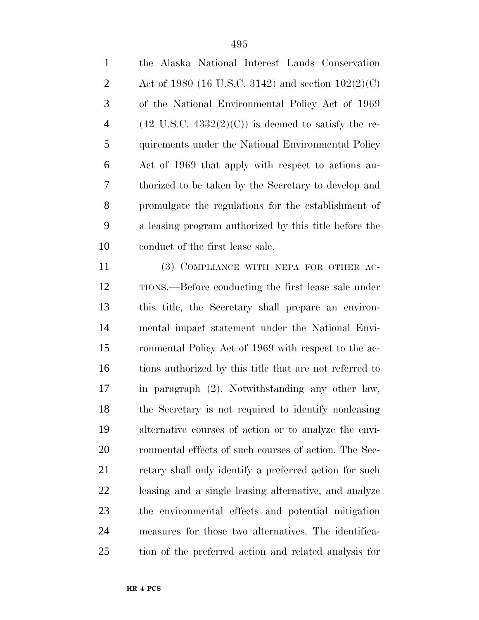the Alaska National Interest Lands Conservation

| $\overline{2}$ | Act of 1980 (16 U.S.C. 3142) and section $102(2)(C)$                  |
|----------------|-----------------------------------------------------------------------|
| 3              | of the National Environmental Policy Act of 1969                      |
| $\overline{4}$ | $(42 \text{ U.S.C. } 4332(2)(\text{C}))$ is deemed to satisfy the re- |
| 5              | quirements under the National Environmental Policy                    |
| 6              | Act of 1969 that apply with respect to actions au-                    |
| 7              | thorized to be taken by the Secretary to develop and                  |
| 8              | promulgate the regulations for the establishment of                   |
| 9              | a leasing program authorized by this title before the                 |
| 10             | conduct of the first lease sale.                                      |
| 11             | (3) COMPLIANCE WITH NEPA FOR OTHER AC-                                |
| 12             | TIONS.—Before conducting the first lease sale under                   |
| 13             | this title, the Secretary shall prepare an environ-                   |
| 14             | mental impact statement under the National Envi-                      |
| 15             | ronmental Policy Act of 1969 with respect to the ac-                  |
| 16             | tions authorized by this title that are not referred to               |
| 17             | in paragraph (2). Notwithstanding any other law,                      |
| 18             | the Secretary is not required to identify nonleasing                  |
| 19             | alternative courses of action or to analyze the envi-                 |
| 20             | ronmental effects of such courses of action. The Sec-                 |
| 21             | retary shall only identify a preferred action for such                |
| 22             | leasing and a single leasing alternative, and analyze                 |
| 23             | the environmental effects and potential mitigation                    |
| 24             | measures for those two alternatives. The identifica-                  |
| 25             | tion of the preferred action and related analysis for                 |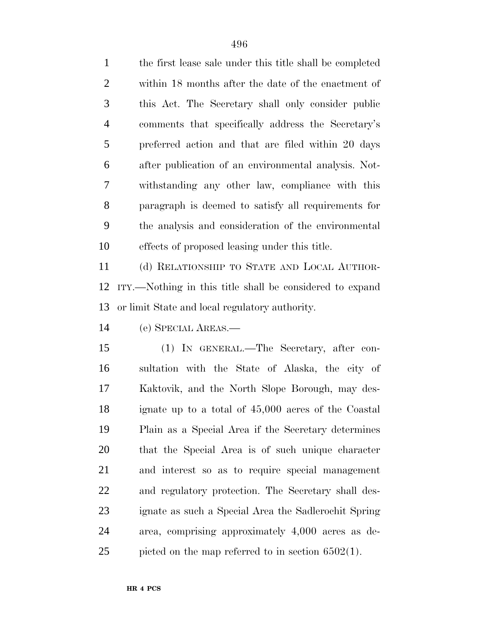the first lease sale under this title shall be completed within 18 months after the date of the enactment of this Act. The Secretary shall only consider public comments that specifically address the Secretary's preferred action and that are filed within 20 days after publication of an environmental analysis. Not- withstanding any other law, compliance with this paragraph is deemed to satisfy all requirements for the analysis and consideration of the environmental effects of proposed leasing under this title.

 (d) RELATIONSHIP TO STATE AND LOCAL AUTHOR- ITY.—Nothing in this title shall be considered to expand or limit State and local regulatory authority.

(e) SPECIAL AREAS.—

 (1) IN GENERAL.—The Secretary, after con- sultation with the State of Alaska, the city of Kaktovik, and the North Slope Borough, may des- ignate up to a total of 45,000 acres of the Coastal Plain as a Special Area if the Secretary determines that the Special Area is of such unique character and interest so as to require special management and regulatory protection. The Secretary shall des- ignate as such a Special Area the Sadlerochit Spring area, comprising approximately 4,000 acres as de-picted on the map referred to in section 6502(1).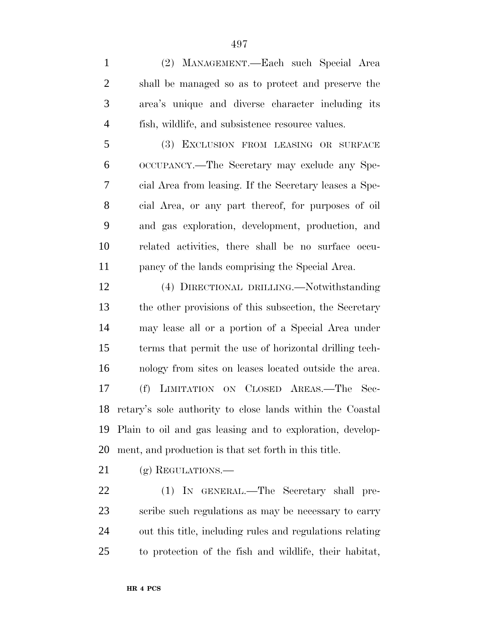(2) MANAGEMENT.—Each such Special Area shall be managed so as to protect and preserve the area's unique and diverse character including its fish, wildlife, and subsistence resource values. (3) EXCLUSION FROM LEASING OR SURFACE OCCUPANCY.—The Secretary may exclude any Spe- cial Area from leasing. If the Secretary leases a Spe- cial Area, or any part thereof, for purposes of oil and gas exploration, development, production, and related activities, there shall be no surface occu- pancy of the lands comprising the Special Area. (4) DIRECTIONAL DRILLING.—Notwithstanding the other provisions of this subsection, the Secretary may lease all or a portion of a Special Area under terms that permit the use of horizontal drilling tech- nology from sites on leases located outside the area. (f) LIMITATION ON CLOSED AREAS.—The Sec- retary's sole authority to close lands within the Coastal Plain to oil and gas leasing and to exploration, develop- ment, and production is that set forth in this title. 21 (g) REGULATIONS.—

 (1) IN GENERAL.—The Secretary shall pre- scribe such regulations as may be necessary to carry out this title, including rules and regulations relating to protection of the fish and wildlife, their habitat,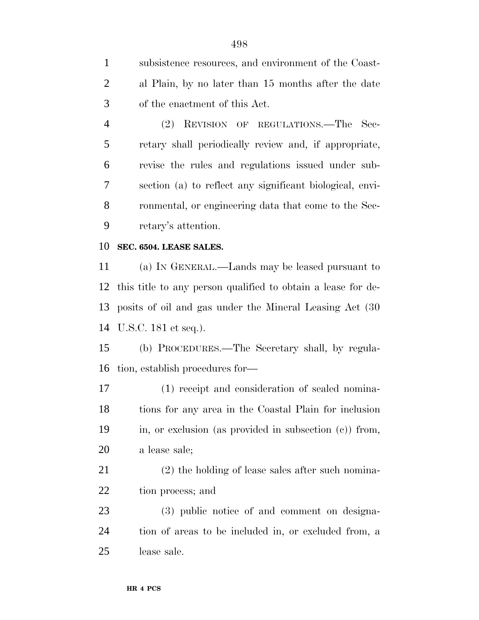subsistence resources, and environment of the Coast- al Plain, by no later than 15 months after the date of the enactment of this Act.

 (2) REVISION OF REGULATIONS.—The Sec- retary shall periodically review and, if appropriate, revise the rules and regulations issued under sub- section (a) to reflect any significant biological, envi- ronmental, or engineering data that come to the Sec-retary's attention.

### **SEC. 6504. LEASE SALES.**

 (a) IN GENERAL.—Lands may be leased pursuant to this title to any person qualified to obtain a lease for de- posits of oil and gas under the Mineral Leasing Act (30 U.S.C. 181 et seq.).

 (b) PROCEDURES.—The Secretary shall, by regula-tion, establish procedures for—

 (1) receipt and consideration of sealed nomina- tions for any area in the Coastal Plain for inclusion in, or exclusion (as provided in subsection (c)) from, a lease sale;

 (2) the holding of lease sales after such nomina-tion process; and

 (3) public notice of and comment on designa- tion of areas to be included in, or excluded from, a lease sale.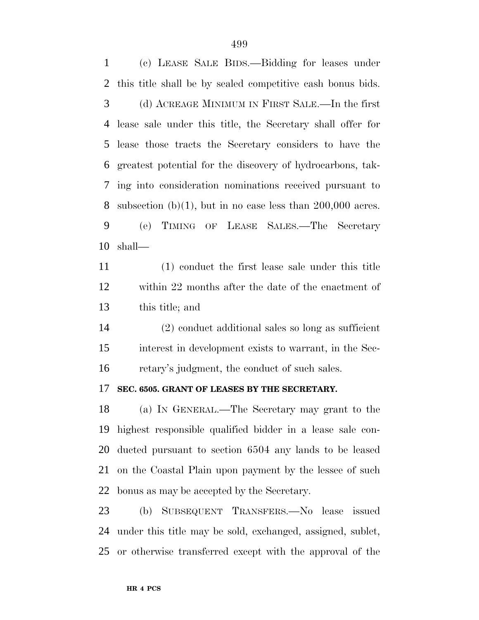(c) LEASE SALE BIDS.—Bidding for leases under this title shall be by sealed competitive cash bonus bids. (d) ACREAGE MINIMUM IN FIRST SALE.—In the first lease sale under this title, the Secretary shall offer for lease those tracts the Secretary considers to have the greatest potential for the discovery of hydrocarbons, tak- ing into consideration nominations received pursuant to 8 subsection  $(b)(1)$ , but in no case less than 200,000 acres. (e) TIMING OF LEASE SALES.—The Secretary shall—

 (1) conduct the first lease sale under this title within 22 months after the date of the enactment of this title; and

 (2) conduct additional sales so long as sufficient interest in development exists to warrant, in the Sec-retary's judgment, the conduct of such sales.

### **SEC. 6505. GRANT OF LEASES BY THE SECRETARY.**

 (a) IN GENERAL.—The Secretary may grant to the highest responsible qualified bidder in a lease sale con- ducted pursuant to section 6504 any lands to be leased on the Coastal Plain upon payment by the lessee of such bonus as may be accepted by the Secretary.

 (b) SUBSEQUENT TRANSFERS.—No lease issued under this title may be sold, exchanged, assigned, sublet, or otherwise transferred except with the approval of the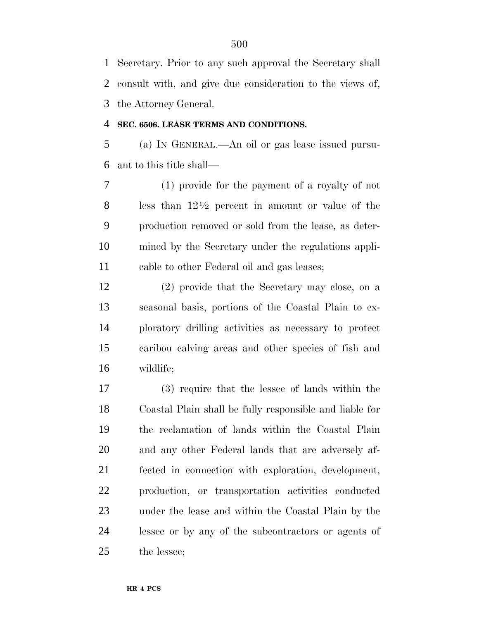Secretary. Prior to any such approval the Secretary shall consult with, and give due consideration to the views of, the Attorney General.

### **SEC. 6506. LEASE TERMS AND CONDITIONS.**

 (a) IN GENERAL.—An oil or gas lease issued pursu-ant to this title shall—

 (1) provide for the payment of a royalty of not 8 less than  $12\frac{1}{2}$  percent in amount or value of the production removed or sold from the lease, as deter- mined by the Secretary under the regulations appli-cable to other Federal oil and gas leases;

 (2) provide that the Secretary may close, on a seasonal basis, portions of the Coastal Plain to ex- ploratory drilling activities as necessary to protect caribou calving areas and other species of fish and wildlife;

 (3) require that the lessee of lands within the Coastal Plain shall be fully responsible and liable for the reclamation of lands within the Coastal Plain and any other Federal lands that are adversely af- fected in connection with exploration, development, production, or transportation activities conducted under the lease and within the Coastal Plain by the lessee or by any of the subcontractors or agents of the lessee;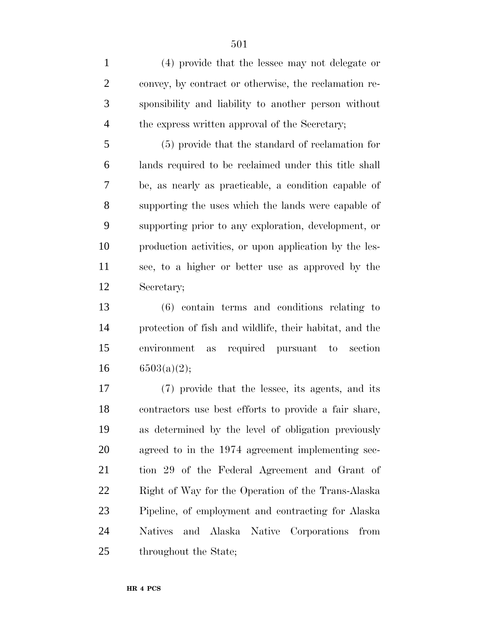(4) provide that the lessee may not delegate or convey, by contract or otherwise, the reclamation re- sponsibility and liability to another person without the express written approval of the Secretary;

 (5) provide that the standard of reclamation for lands required to be reclaimed under this title shall be, as nearly as practicable, a condition capable of supporting the uses which the lands were capable of supporting prior to any exploration, development, or production activities, or upon application by the les- see, to a higher or better use as approved by the Secretary;

 (6) contain terms and conditions relating to protection of fish and wildlife, their habitat, and the environment as required pursuant to section  $16 \qquad 6503(a)(2);$ 

 (7) provide that the lessee, its agents, and its contractors use best efforts to provide a fair share, as determined by the level of obligation previously agreed to in the 1974 agreement implementing sec- tion 29 of the Federal Agreement and Grant of Right of Way for the Operation of the Trans-Alaska Pipeline, of employment and contracting for Alaska Natives and Alaska Native Corporations from 25 throughout the State;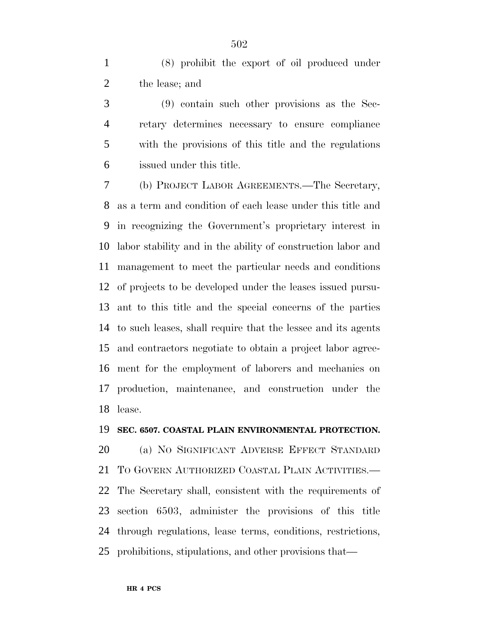(8) prohibit the export of oil produced under the lease; and

 (9) contain such other provisions as the Sec- retary determines necessary to ensure compliance with the provisions of this title and the regulations issued under this title.

 (b) PROJECT LABOR AGREEMENTS.—The Secretary, as a term and condition of each lease under this title and in recognizing the Government's proprietary interest in labor stability and in the ability of construction labor and management to meet the particular needs and conditions of projects to be developed under the leases issued pursu- ant to this title and the special concerns of the parties to such leases, shall require that the lessee and its agents and contractors negotiate to obtain a project labor agree- ment for the employment of laborers and mechanics on production, maintenance, and construction under the lease.

#### **SEC. 6507. COASTAL PLAIN ENVIRONMENTAL PROTECTION.**

 (a) NO SIGNIFICANT ADVERSE EFFECT STANDARD TO GOVERN AUTHORIZED COASTAL PLAIN ACTIVITIES.— The Secretary shall, consistent with the requirements of section 6503, administer the provisions of this title through regulations, lease terms, conditions, restrictions, prohibitions, stipulations, and other provisions that—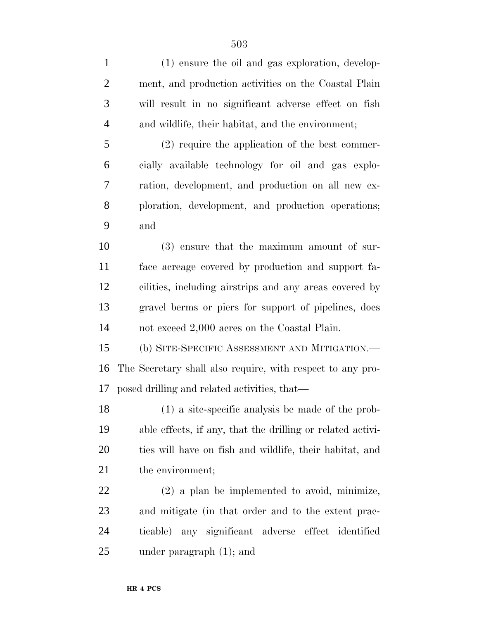| $\mathbf{1}$   | (1) ensure the oil and gas exploration, develop-           |
|----------------|------------------------------------------------------------|
| $\overline{2}$ | ment, and production activities on the Coastal Plain       |
| 3              | will result in no significant adverse effect on fish       |
| $\overline{4}$ | and wildlife, their habitat, and the environment;          |
| 5              | $(2)$ require the application of the best commer-          |
| 6              | cially available technology for oil and gas explo-         |
| 7              | ration, development, and production on all new ex-         |
| 8              | ploration, development, and production operations;         |
| 9              | and                                                        |
| 10             | (3) ensure that the maximum amount of sur-                 |
| 11             | face acreage covered by production and support fa-         |
| 12             | cilities, including airstrips and any areas covered by     |
| 13             | gravel berms or piers for support of pipelines, does       |
| 14             | not exceed 2,000 acres on the Coastal Plain.               |
| 15             | (b) SITE-SPECIFIC ASSESSMENT AND MITIGATION.-              |
| 16             | The Secretary shall also require, with respect to any pro- |
| 17             | posed drilling and related activities, that—               |
| 18             | (1) a site-specific analysis be made of the prob-          |
| 19             | able effects, if any, that the drilling or related activi- |
| 20             | ties will have on fish and wildlife, their habitat, and    |
| 21             | the environment;                                           |
| 22             | $(2)$ a plan be implemented to avoid, minimize,            |
| 23             | and mitigate (in that order and to the extent prac-        |
| 24             | ticable) any significant adverse effect identified         |
| 25             | under paragraph $(1)$ ; and                                |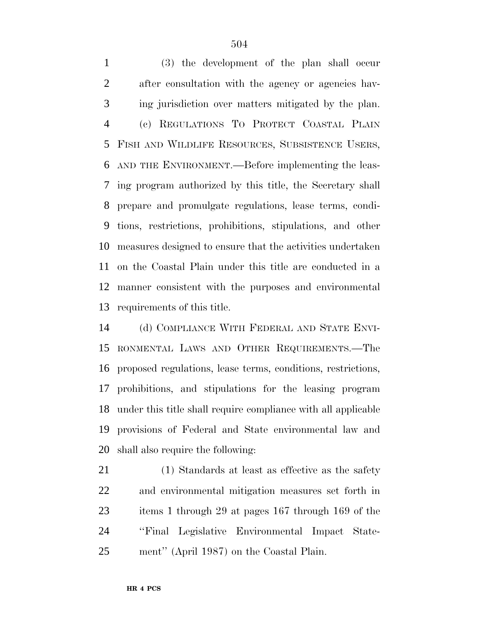(3) the development of the plan shall occur after consultation with the agency or agencies hav- ing jurisdiction over matters mitigated by the plan. (c) REGULATIONS TO PROTECT COASTAL PLAIN FISH AND WILDLIFE RESOURCES, SUBSISTENCE USERS, AND THE ENVIRONMENT.—Before implementing the leas- ing program authorized by this title, the Secretary shall prepare and promulgate regulations, lease terms, condi- tions, restrictions, prohibitions, stipulations, and other measures designed to ensure that the activities undertaken on the Coastal Plain under this title are conducted in a manner consistent with the purposes and environmental requirements of this title.

 (d) COMPLIANCE WITH FEDERAL AND STATE ENVI- RONMENTAL LAWS AND OTHER REQUIREMENTS.—The proposed regulations, lease terms, conditions, restrictions, prohibitions, and stipulations for the leasing program under this title shall require compliance with all applicable provisions of Federal and State environmental law and shall also require the following:

 (1) Standards at least as effective as the safety and environmental mitigation measures set forth in items 1 through 29 at pages 167 through 169 of the ''Final Legislative Environmental Impact State-ment'' (April 1987) on the Coastal Plain.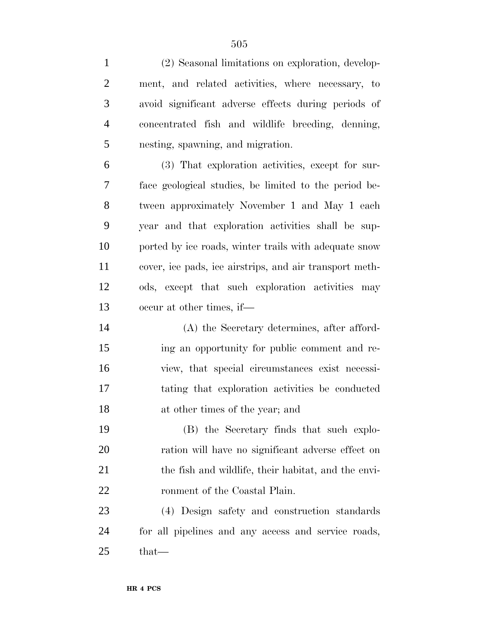| $\mathbf{1}$   | (2) Seasonal limitations on exploration, develop-       |
|----------------|---------------------------------------------------------|
| $\overline{2}$ | ment, and related activities, where necessary, to       |
| 3              | avoid significant adverse effects during periods of     |
| $\overline{4}$ | concentrated fish and wildlife breeding, denning,       |
| 5              | nesting, spawning, and migration.                       |
| 6              | (3) That exploration activities, except for sur-        |
| 7              | face geological studies, be limited to the period be-   |
| 8              | tween approximately November 1 and May 1 each           |
| 9              | year and that exploration activities shall be sup-      |
| 10             | ported by ice roads, winter trails with adequate snow   |
| 11             | cover, ice pads, ice airstrips, and air transport meth- |
| 12             | ods, except that such exploration activities may        |
| 13             | occur at other times, if—                               |
| 14             | (A) the Secretary determines, after afford-             |
| 15             | ing an opportunity for public comment and re-           |
| 16             | view, that special circumstances exist necessi-         |
| 17             | tating that exploration activities be conducted         |
| 18             | at other times of the year; and                         |
| 19             | (B) the Secretary finds that such explo-                |
| 20             | ration will have no significant adverse effect on       |
| 21             | the fish and wildlife, their habitat, and the envi-     |
| 22             | ronment of the Coastal Plain.                           |
| 23             | (4) Design safety and construction standards            |
| 24             | for all pipelines and any access and service roads,     |
| 25             | that-                                                   |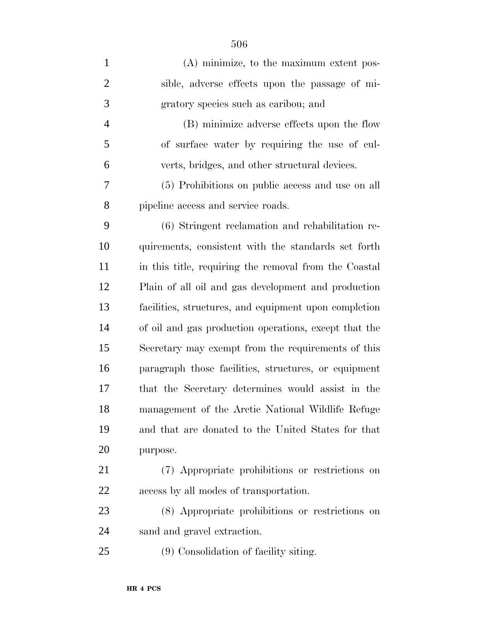| $\mathbf{1}$   | (A) minimize, to the maximum extent pos-              |
|----------------|-------------------------------------------------------|
| $\overline{2}$ | sible, adverse effects upon the passage of mi-        |
| 3              | gratory species such as caribou; and                  |
| $\overline{4}$ | (B) minimize adverse effects upon the flow            |
| 5              | of surface water by requiring the use of cul-         |
| 6              | verts, bridges, and other structural devices.         |
| 7              | (5) Prohibitions on public access and use on all      |
| 8              | pipeline access and service roads.                    |
| 9              | (6) Stringent reclamation and rehabilitation re-      |
| 10             | quirements, consistent with the standards set forth   |
| 11             | in this title, requiring the removal from the Coastal |
| 12             | Plain of all oil and gas development and production   |
| 13             | facilities, structures, and equipment upon completion |
| 14             | of oil and gas production operations, except that the |
| 15             | Secretary may exempt from the requirements of this    |
| 16             | paragraph those facilities, structures, or equipment  |
| 17             | that the Secretary determines would assist in the     |
| 18             | management of the Arctic National Wildlife Refuge     |
| 19             | and that are donated to the United States for that    |
| 20             | purpose.                                              |
| 21             | (7) Appropriate prohibitions or restrictions on       |
| 22             | access by all modes of transportation.                |
| 23             | (8) Appropriate prohibitions or restrictions on       |
| 24             | sand and gravel extraction.                           |
| 25             | (9) Consolidation of facility siting.                 |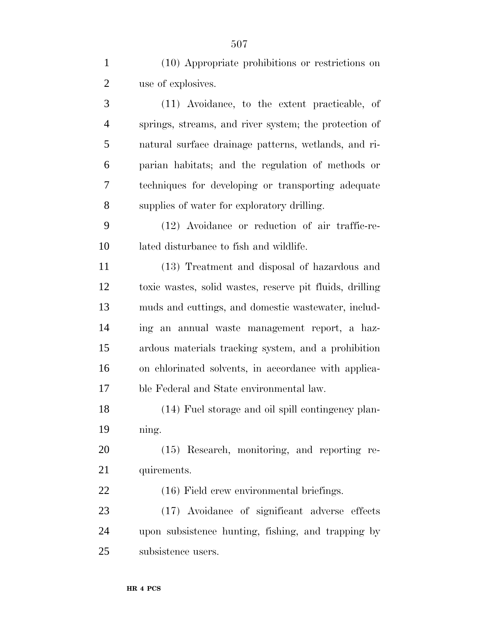(10) Appropriate prohibitions or restrictions on use of explosives.

 (11) Avoidance, to the extent practicable, of springs, streams, and river system; the protection of natural surface drainage patterns, wetlands, and ri- parian habitats; and the regulation of methods or techniques for developing or transporting adequate supplies of water for exploratory drilling.

 (12) Avoidance or reduction of air traffic-re-lated disturbance to fish and wildlife.

 (13) Treatment and disposal of hazardous and toxic wastes, solid wastes, reserve pit fluids, drilling muds and cuttings, and domestic wastewater, includ- ing an annual waste management report, a haz- ardous materials tracking system, and a prohibition on chlorinated solvents, in accordance with applica-ble Federal and State environmental law.

 (14) Fuel storage and oil spill contingency plan-ning.

 (15) Research, monitoring, and reporting re-quirements.

(16) Field crew environmental briefings.

 (17) Avoidance of significant adverse effects upon subsistence hunting, fishing, and trapping by subsistence users.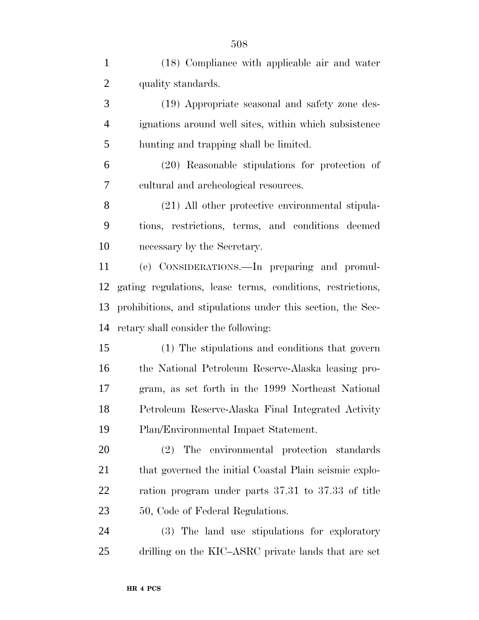| $\mathbf{1}$   | (18) Compliance with applicable air and water               |
|----------------|-------------------------------------------------------------|
| $\overline{2}$ | quality standards.                                          |
| 3              | (19) Appropriate seasonal and safety zone des-              |
| $\overline{4}$ | ignations around well sites, within which subsistence       |
| 5              | hunting and trapping shall be limited.                      |
| 6              | (20) Reasonable stipulations for protection of              |
| 7              | cultural and archeological resources.                       |
| 8              | (21) All other protective environmental stipula-            |
| 9              | tions, restrictions, terms, and conditions deemed           |
| 10             | necessary by the Secretary.                                 |
| 11             | (e) CONSIDERATIONS.—In preparing and promul-                |
| 12             | gating regulations, lease terms, conditions, restrictions,  |
| 13             | prohibitions, and stipulations under this section, the Sec- |
| 14             | retary shall consider the following:                        |
| 15             | (1) The stipulations and conditions that govern             |
| 16             | the National Petroleum Reserve-Alaska leasing pro-          |
| 17             | gram, as set forth in the 1999 Northeast National           |
| 18             | Petroleum Reserve-Alaska Final Integrated Activity          |
| 19             | Plan/Environmental Impact Statement.                        |
| 20             | The environmental protection standards<br>(2)               |
| 21             | that governed the initial Coastal Plain seismic explo-      |
| 22             | ration program under parts 37.31 to 37.33 of title          |
| 23             | 50, Code of Federal Regulations.                            |
| 24             | (3) The land use stipulations for exploratory               |
| 25             | drilling on the KIC-ASRC private lands that are set         |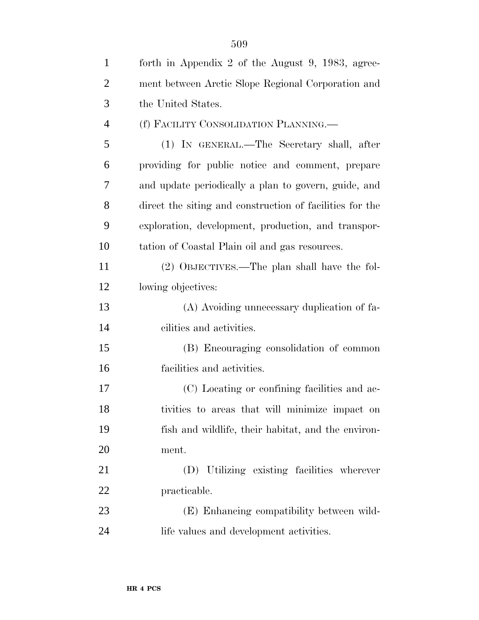| $\mathbf{1}$   | forth in Appendix 2 of the August 9, 1983, agree-        |
|----------------|----------------------------------------------------------|
| $\overline{2}$ | ment between Arctic Slope Regional Corporation and       |
| 3              | the United States.                                       |
| $\overline{4}$ | (f) FACILITY CONSOLIDATION PLANNING.—                    |
| 5              | (1) IN GENERAL.—The Secretary shall, after               |
| 6              | providing for public notice and comment, prepare         |
| 7              | and update periodically a plan to govern, guide, and     |
| 8              | direct the siting and construction of facilities for the |
| 9              | exploration, development, production, and transpor-      |
| 10             | tation of Coastal Plain oil and gas resources.           |
| 11             | (2) OBJECTIVES.—The plan shall have the fol-             |
| 12             | lowing objectives:                                       |
| 13             | (A) Avoiding unnecessary duplication of fa-              |
| 14             | cilities and activities.                                 |
| 15             | (B) Encouraging consolidation of common                  |
| 16             | facilities and activities.                               |
| 17             | (C) Locating or confining facilities and ac-             |
| 18             | tivities to areas that will minimize impact on           |
| 19             | fish and wildlife, their habitat, and the environ-       |
| 20             | ment.                                                    |
| 21             | (D) Utilizing existing facilities wherever               |
| 22             | practicable.                                             |
| 23             | (E) Enhancing compatibility between wild-                |
| 24             | life values and development activities.                  |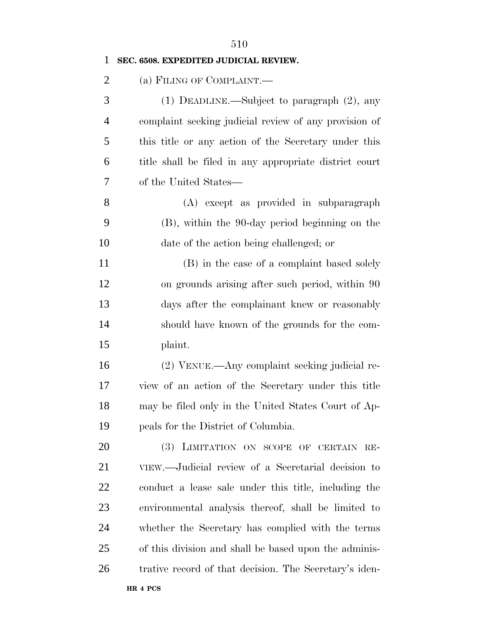| $\mathbf{1}$   | SEC. 6508. EXPEDITED JUDICIAL REVIEW.                  |
|----------------|--------------------------------------------------------|
| $\overline{2}$ | (a) FILING OF COMPLAINT.                               |
| 3              | (1) DEADLINE.—Subject to paragraph $(2)$ , any         |
| $\overline{4}$ | complaint seeking judicial review of any provision of  |
| 5              | this title or any action of the Secretary under this   |
| 6              | title shall be filed in any appropriate district court |
| 7              | of the United States—                                  |
| 8              | (A) except as provided in subparagraph                 |
| 9              | (B), within the 90-day period beginning on the         |
| 10             | date of the action being challenged; or                |
| 11             | (B) in the case of a complaint based solely            |
| 12             | on grounds arising after such period, within 90        |
| 13             | days after the complainant knew or reasonably          |
| 14             | should have known of the grounds for the com-          |
| 15             | plaint.                                                |
| 16             | (2) VENUE.—Any complaint seeking judicial re-          |
| 17             | view of an action of the Secretary under this title    |
| 18             | may be filed only in the United States Court of Ap-    |
| 19             | peals for the District of Columbia.                    |
| 20             | (3) LIMITATION ON SCOPE OF CERTAIN RE-                 |
| 21             | VIEW.—Judicial review of a Secretarial decision to     |
| 22             | conduct a lease sale under this title, including the   |
| 23             | environmental analysis thereof, shall be limited to    |
| 24             | whether the Secretary has complied with the terms      |
| 25             | of this division and shall be based upon the adminis-  |
| 26             | trative record of that decision. The Secretary's iden- |
|                |                                                        |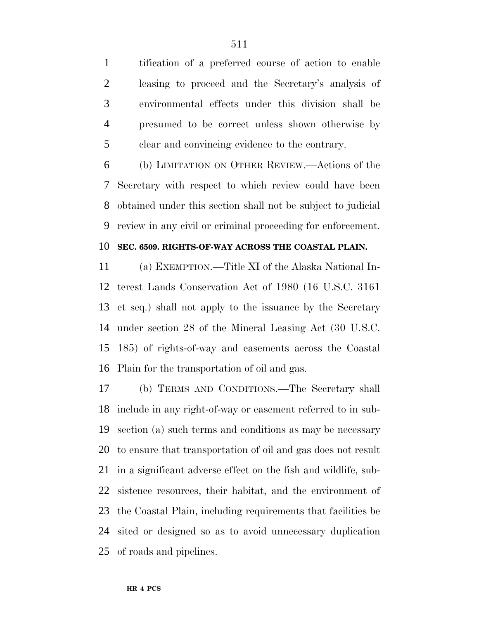tification of a preferred course of action to enable leasing to proceed and the Secretary's analysis of environmental effects under this division shall be presumed to be correct unless shown otherwise by clear and convincing evidence to the contrary.

 (b) LIMITATION ON OTHER REVIEW.—Actions of the Secretary with respect to which review could have been obtained under this section shall not be subject to judicial review in any civil or criminal proceeding for enforcement.

### **SEC. 6509. RIGHTS-OF-WAY ACROSS THE COASTAL PLAIN.**

 (a) EXEMPTION.—Title XI of the Alaska National In- terest Lands Conservation Act of 1980 (16 U.S.C. 3161 et seq.) shall not apply to the issuance by the Secretary under section 28 of the Mineral Leasing Act (30 U.S.C. 185) of rights-of-way and easements across the Coastal Plain for the transportation of oil and gas.

 (b) TERMS AND CONDITIONS.—The Secretary shall include in any right-of-way or easement referred to in sub- section (a) such terms and conditions as may be necessary to ensure that transportation of oil and gas does not result in a significant adverse effect on the fish and wildlife, sub- sistence resources, their habitat, and the environment of the Coastal Plain, including requirements that facilities be sited or designed so as to avoid unnecessary duplication of roads and pipelines.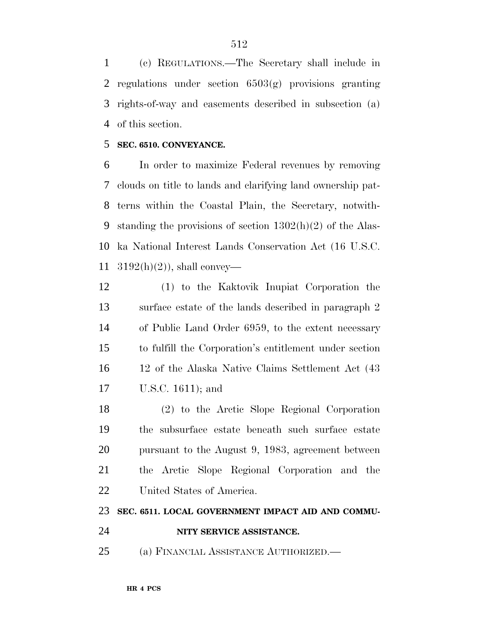(c) REGULATIONS.—The Secretary shall include in regulations under section 6503(g) provisions granting rights-of-way and easements described in subsection (a) of this section.

### **SEC. 6510. CONVEYANCE.**

 In order to maximize Federal revenues by removing clouds on title to lands and clarifying land ownership pat- terns within the Coastal Plain, the Secretary, notwith- standing the provisions of section 1302(h)(2) of the Alas- ka National Interest Lands Conservation Act (16 U.S.C.  $3192(h)(2)$ , shall convey—

 (1) to the Kaktovik Inupiat Corporation the surface estate of the lands described in paragraph 2 of Public Land Order 6959, to the extent necessary to fulfill the Corporation's entitlement under section 12 of the Alaska Native Claims Settlement Act (43 U.S.C. 1611); and

 (2) to the Arctic Slope Regional Corporation the subsurface estate beneath such surface estate pursuant to the August 9, 1983, agreement between the Arctic Slope Regional Corporation and the United States of America.

#### **SEC. 6511. LOCAL GOVERNMENT IMPACT AID AND COMMU-**

- **NITY SERVICE ASSISTANCE.**
- (a) FINANCIAL ASSISTANCE AUTHORIZED.—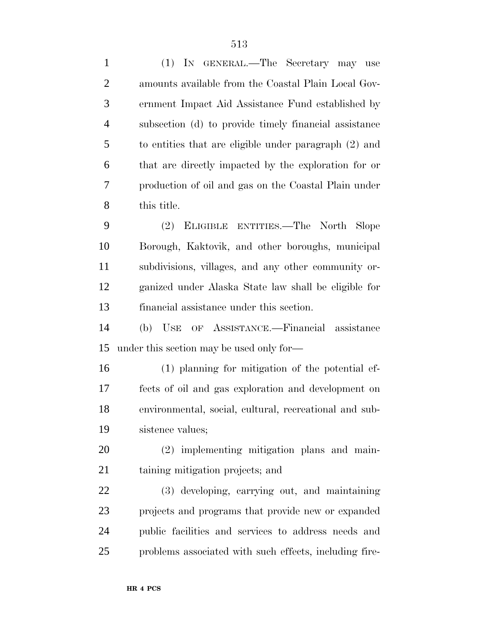(1) IN GENERAL.—The Secretary may use amounts available from the Coastal Plain Local Gov- ernment Impact Aid Assistance Fund established by subsection (d) to provide timely financial assistance to entities that are eligible under paragraph (2) and that are directly impacted by the exploration for or production of oil and gas on the Coastal Plain under this title. (2) ELIGIBLE ENTITIES.—The North Slope

 Borough, Kaktovik, and other boroughs, municipal subdivisions, villages, and any other community or- ganized under Alaska State law shall be eligible for financial assistance under this section.

 (b) USE OF ASSISTANCE.—Financial assistance under this section may be used only for—

 (1) planning for mitigation of the potential ef- fects of oil and gas exploration and development on environmental, social, cultural, recreational and sub-sistence values;

 (2) implementing mitigation plans and main-taining mitigation projects; and

 (3) developing, carrying out, and maintaining projects and programs that provide new or expanded public facilities and services to address needs and problems associated with such effects, including fire-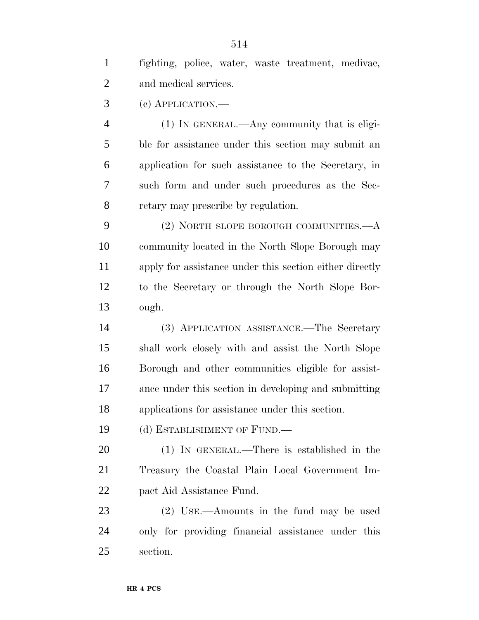| $\mathbf{1}$   | fighting, police, water, waste treatment, medivac,      |
|----------------|---------------------------------------------------------|
| $\overline{2}$ | and medical services.                                   |
| 3              | (c) APPLICATION.—                                       |
| $\overline{4}$ | (1) IN GENERAL.—Any community that is eligi-            |
| 5              | ble for assistance under this section may submit an     |
| 6              | application for such assistance to the Secretary, in    |
| 7              | such form and under such procedures as the Sec-         |
| 8              | retary may prescribe by regulation.                     |
| 9              | (2) NORTH SLOPE BOROUGH COMMUNITIES.—A                  |
| 10             | community located in the North Slope Borough may        |
| 11             | apply for assistance under this section either directly |
| 12             | to the Secretary or through the North Slope Bor-        |
| 13             | ough.                                                   |
| 14             | (3) APPLICATION ASSISTANCE.—The Secretary               |
| 15             | shall work closely with and assist the North Slope      |
| 16             | Borough and other communities eligible for assist-      |
| 17             | ance under this section in developing and submitting    |
| 18             | applications for assistance under this section.         |
| 19             | (d) ESTABLISHMENT OF FUND.—                             |
| <b>20</b>      | (1) IN GENERAL.—There is established in the             |
| 21             | Treasury the Coastal Plain Local Government Im-         |
| 22             | pact Aid Assistance Fund.                               |
| 23             | (2) USE.—Amounts in the fund may be used                |
| 24             | only for providing financial assistance under this      |
| 25             | section.                                                |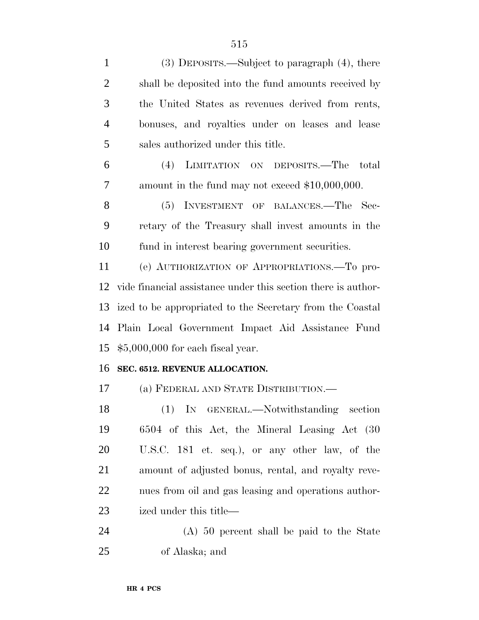| $\mathbf{1}$   | $(3)$ DEPOSITS.—Subject to paragraph $(4)$ , there            |
|----------------|---------------------------------------------------------------|
| $\overline{2}$ | shall be deposited into the fund amounts received by          |
| 3              | the United States as revenues derived from rents,             |
| $\overline{4}$ | bonuses, and royalties under on leases and lease              |
| 5              | sales authorized under this title.                            |
| 6              | LIMITATION ON DEPOSITS.—The<br>(4)<br>total                   |
| 7              | amount in the fund may not exceed \$10,000,000.               |
| 8              | (5) INVESTMENT OF BALANCES.—The Sec-                          |
| 9              | retary of the Treasury shall invest amounts in the            |
| 10             | fund in interest bearing government securities.               |
| 11             | (e) AUTHORIZATION OF APPROPRIATIONS.—To pro-                  |
| 12             | vide financial assistance under this section there is author- |
| 13             | ized to be appropriated to the Secretary from the Coastal     |
| 14             | Plain Local Government Impact Aid Assistance Fund             |
| 15             | $$5,000,000$ for each fiscal year.                            |
| 16             | SEC. 6512. REVENUE ALLOCATION.                                |
| 17             | (a) FEDERAL AND STATE DISTRIBUTION.—                          |
| 18             | (1) IN GENERAL.—Notwithstanding section                       |
| 19             | 6504 of this Act, the Mineral Leasing Act (30)                |
| 20             | U.S.C. 181 et. seq.), or any other law, of the                |
| 21             | amount of adjusted bonus, rental, and royalty reve-           |
| 22             | nues from oil and gas leasing and operations author-          |
| 23             | ized under this title—                                        |
| 24             | (A) 50 percent shall be paid to the State                     |
| 25             | of Alaska; and                                                |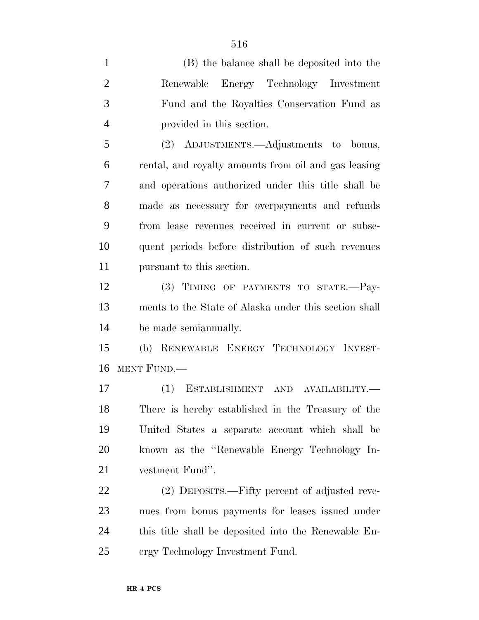(B) the balance shall be deposited into the Renewable Energy Technology Investment Fund and the Royalties Conservation Fund as provided in this section. (2) ADJUSTMENTS.—Adjustments to bonus, rental, and royalty amounts from oil and gas leasing and operations authorized under this title shall be made as necessary for overpayments and refunds from lease revenues received in current or subse- quent periods before distribution of such revenues pursuant to this section. (3) TIMING OF PAYMENTS TO STATE.—Pay- ments to the State of Alaska under this section shall be made semiannually.

 (b) RENEWABLE ENERGY TECHNOLOGY INVEST-MENT FUND.—

 (1) ESTABLISHMENT AND AVAILABILITY.— There is hereby established in the Treasury of the United States a separate account which shall be known as the ''Renewable Energy Technology In-vestment Fund''.

 (2) DEPOSITS.—Fifty percent of adjusted reve- nues from bonus payments for leases issued under this title shall be deposited into the Renewable En-ergy Technology Investment Fund.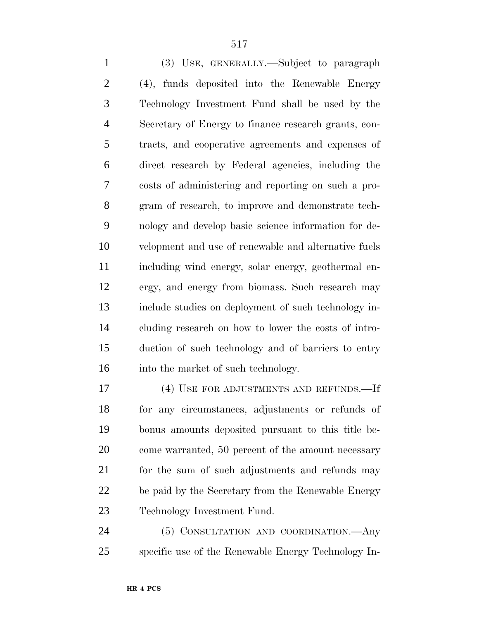(3) USE, GENERALLY.—Subject to paragraph (4), funds deposited into the Renewable Energy Technology Investment Fund shall be used by the Secretary of Energy to finance research grants, con- tracts, and cooperative agreements and expenses of direct research by Federal agencies, including the costs of administering and reporting on such a pro-gram of research, to improve and demonstrate tech-

 nology and develop basic science information for de- velopment and use of renewable and alternative fuels including wind energy, solar energy, geothermal en- ergy, and energy from biomass. Such research may include studies on deployment of such technology in- cluding research on how to lower the costs of intro- duction of such technology and of barriers to entry 16 into the market of such technology.

 (4) USE FOR ADJUSTMENTS AND REFUNDS.—If for any circumstances, adjustments or refunds of bonus amounts deposited pursuant to this title be- come warranted, 50 percent of the amount necessary for the sum of such adjustments and refunds may be paid by the Secretary from the Renewable Energy Technology Investment Fund.

 (5) CONSULTATION AND COORDINATION.—Any specific use of the Renewable Energy Technology In-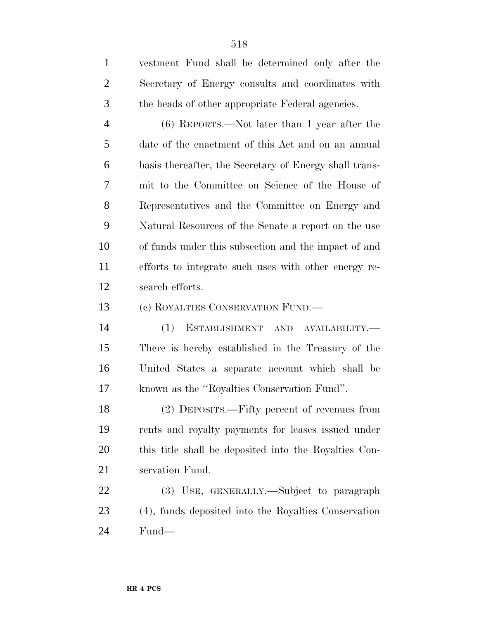| $\mathbf{1}$   | vestment Fund shall be determined only after the       |
|----------------|--------------------------------------------------------|
| $\overline{2}$ | Secretary of Energy consults and coordinates with      |
| 3              | the heads of other appropriate Federal agencies.       |
| $\overline{4}$ | $(6)$ REPORTS.—Not later than 1 year after the         |
| 5              | date of the enactment of this Act and on an annual     |
| 6              | basis thereafter, the Secretary of Energy shall trans- |
| 7              | mit to the Committee on Science of the House of        |
| 8              | Representatives and the Committee on Energy and        |
| 9              | Natural Resources of the Senate a report on the use    |
| 10             | of funds under this subsection and the impact of and   |
| 11             | efforts to integrate such uses with other energy re-   |
| 12             | search efforts.                                        |
| 13             | (c) ROYALTIES CONSERVATION FUND.—                      |
| 14             | ESTABLISHMENT AND AVAILABILITY.-<br>(1)                |
| 15             | There is hereby established in the Treasury of the     |
| 16             | United States a separate account which shall be        |
| 17             | known as the "Royalties Conservation Fund".            |
| 18             | (2) DEPOSITS.—Fifty percent of revenues from           |
| 19             | rents and royalty payments for leases issued under     |
| 20             | this title shall be deposited into the Royalties Con-  |
| 21             | servation Fund.                                        |
| 22             | (3) USE, GENERALLY.—Subject to paragraph               |
| 23             | (4), funds deposited into the Royalties Conservation   |
| 24             | Fund—                                                  |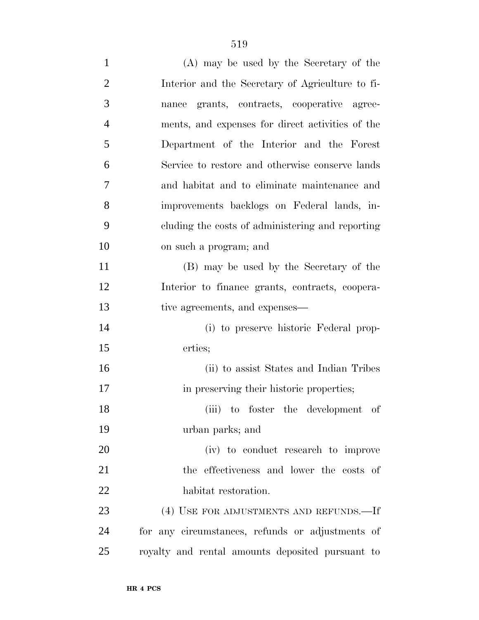| $\mathbf{1}$   | (A) may be used by the Secretary of the          |
|----------------|--------------------------------------------------|
| $\overline{2}$ | Interior and the Secretary of Agriculture to fi- |
| 3              | grants, contracts, cooperative agree-<br>nance   |
| $\overline{4}$ | ments, and expenses for direct activities of the |
| 5              | Department of the Interior and the Forest        |
| 6              | Service to restore and otherwise conserve lands  |
| 7              | and habitat and to eliminate maintenance and     |
| 8              | improvements backlogs on Federal lands, in-      |
| 9              | cluding the costs of administering and reporting |
| 10             | on such a program; and                           |
| 11             | (B) may be used by the Secretary of the          |
| 12             | Interior to finance grants, contracts, coopera-  |
| 13             | tive agreements, and expenses—                   |
| 14             | (i) to preserve historic Federal prop-           |
| 15             | erties;                                          |
| 16             | (ii) to assist States and Indian Tribes          |
| 17             | in preserving their historic properties;         |
| 18             | (iii) to foster the development of               |
| 19             | urban parks; and                                 |
| 20             | (iv) to conduct research to improve              |
| 21             | the effectiveness and lower the costs of         |
| 22             | habitat restoration.                             |
| 23             | (4) USE FOR ADJUSTMENTS AND REFUNDS.—If          |
| 24             | for any circumstances, refunds or adjustments of |
| 25             | royalty and rental amounts deposited pursuant to |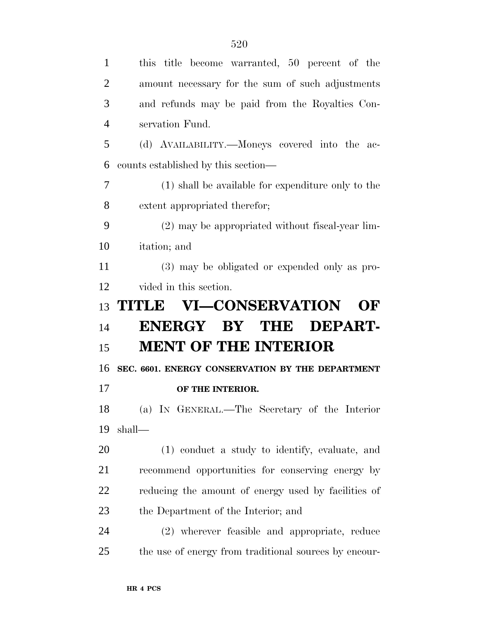| $\mathbf{1}$   | this title become warranted, 50 percent of the      |
|----------------|-----------------------------------------------------|
| $\overline{2}$ | amount necessary for the sum of such adjustments    |
| 3              | and refunds may be paid from the Royalties Con-     |
| $\overline{4}$ | servation Fund.                                     |
| 5              | (d) AVAILABILITY.—Moneys covered into the ac-       |
| 6              | counts established by this section—                 |
| 7              | (1) shall be available for expenditure only to the  |
| 8              | extent appropriated therefor;                       |
| 9              | (2) may be appropriated without fiscal-year lim-    |
| 10             | itation; and                                        |
| 11             | (3) may be obligated or expended only as pro-       |
| 12             | vided in this section.                              |
|                |                                                     |
| 13             | TITLE VI-CONSERVATION<br>OF                         |
| 14             | <b>ENERGY</b><br>BY THE<br>DEPART-                  |
| 15             | <b>MENT OF THE INTERIOR</b>                         |
| 16             | SEC. 6601. ENERGY CONSERVATION BY THE DEPARTMENT    |
| 17             | OF THE INTERIOR.                                    |
| 18             | (a) IN GENERAL.—The Secretary of the Interior       |
|                | shall—                                              |
| 19<br>20       | (1) conduct a study to identify, evaluate, and      |
| 21             | recommend opportunities for conserving energy by    |
| 22             | reducing the amount of energy used by facilities of |
| 23             | the Department of the Interior; and                 |
| 24             | (2) wherever feasible and appropriate, reduce       |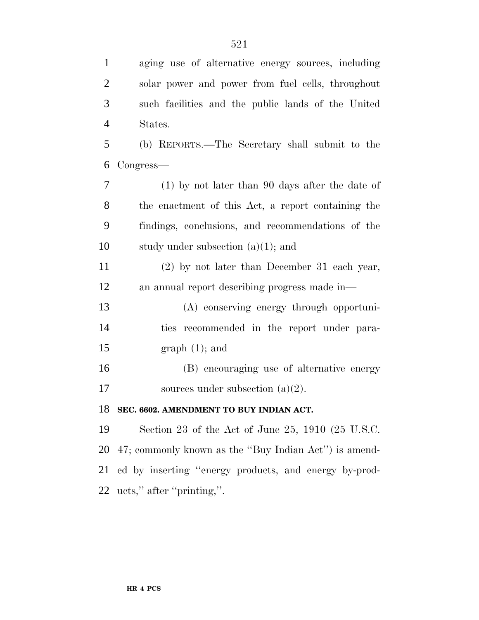| aging use of alternative energy sources, including       |
|----------------------------------------------------------|
| solar power and power from fuel cells, throughout        |
| such facilities and the public lands of the United       |
| States.                                                  |
| (b) REPORTS.—The Secretary shall submit to the           |
| Congress—                                                |
| $(1)$ by not later than 90 days after the date of        |
| the enactment of this Act, a report containing the       |
| findings, conclusions, and recommendations of the        |
| study under subsection $(a)(1)$ ; and                    |
| $(2)$ by not later than December 31 each year,           |
| an annual report describing progress made in—            |
| (A) conserving energy through opportuni-                 |
| ties recommended in the report under para-               |
| $graph(1);$ and                                          |
| (B) encouraging use of alternative energy                |
| sources under subsection $(a)(2)$ .                      |
| 18 SEC. 6602. AMENDMENT TO BUY INDIAN ACT.               |
| Section 23 of the Act of June 25, 1910 (25 U.S.C.        |
| 47; commonly known as the "Buy Indian Act") is amend-    |
| 21 ed by inserting "energy products, and energy by-prod- |
| 22 ucts," after "printing,".                             |
|                                                          |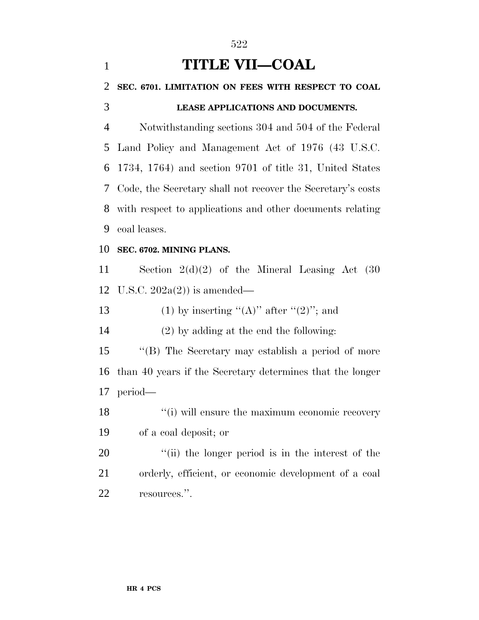| $\mathbf{1}$   | <b>TITLE VII—COAL</b>                                       |
|----------------|-------------------------------------------------------------|
| 2              | SEC. 6701. LIMITATION ON FEES WITH RESPECT TO COAL          |
| 3              | LEASE APPLICATIONS AND DOCUMENTS.                           |
| $\overline{4}$ | Notwithstanding sections 304 and 504 of the Federal         |
| 5              | Land Policy and Management Act of 1976 (43 U.S.C.           |
| 6              | 1734, 1764) and section 9701 of title 31, United States     |
| 7              | Code, the Secretary shall not recover the Secretary's costs |
| 8              | with respect to applications and other documents relating   |
| 9              | coal leases.                                                |
| 10             | SEC. 6702. MINING PLANS.                                    |
| 11             | Section $2(d)(2)$ of the Mineral Leasing Act $(30)$         |
| 12             | U.S.C. $202a(2)$ is amended—                                |
| 13             | (1) by inserting " $(A)$ " after " $(2)$ "; and             |
| 14             | $(2)$ by adding at the end the following:                   |
| 15             | "(B) The Secretary may establish a period of more           |
| 16             | than 40 years if the Secretary determines that the longer   |
| 17             | period—                                                     |
| 18             | "(i) will ensure the maximum economic recovery              |
| 19             | of a coal deposit; or                                       |
| 20             | "(ii) the longer period is in the interest of the           |
| 21             | orderly, efficient, or economic development of a coal       |
| 22             | resources.".                                                |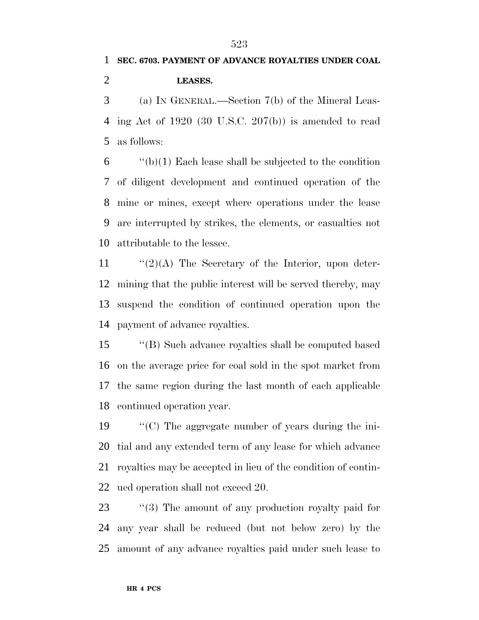# **SEC. 6703. PAYMENT OF ADVANCE ROYALTIES UNDER COAL LEASES.**

 (a) IN GENERAL.—Section 7(b) of the Mineral Leas- ing Act of 1920 (30 U.S.C. 207(b)) is amended to read as follows:

 ''(b)(1) Each lease shall be subjected to the condition of diligent development and continued operation of the mine or mines, except where operations under the lease are interrupted by strikes, the elements, or casualties not attributable to the lessee.

 $\frac{1}{2}(2)(A)$  The Secretary of the Interior, upon deter- mining that the public interest will be served thereby, may suspend the condition of continued operation upon the payment of advance royalties.

 ''(B) Such advance royalties shall be computed based on the average price for coal sold in the spot market from the same region during the last month of each applicable continued operation year.

 ''(C) The aggregate number of years during the ini- tial and any extended term of any lease for which advance royalties may be accepted in lieu of the condition of contin-ued operation shall not exceed 20.

23 ''(3) The amount of any production royalty paid for any year shall be reduced (but not below zero) by the amount of any advance royalties paid under such lease to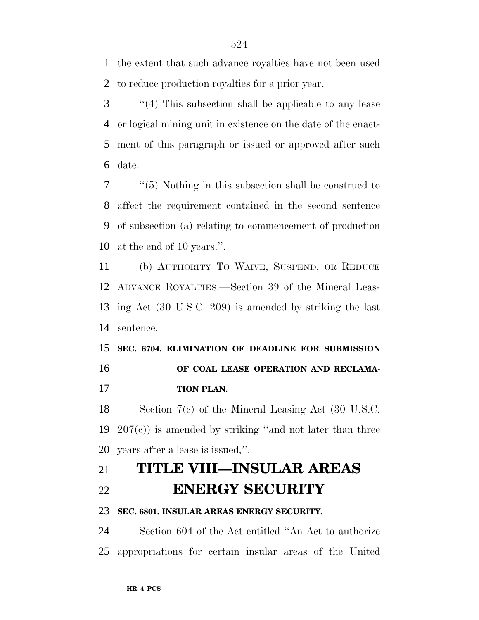the extent that such advance royalties have not been used to reduce production royalties for a prior year.

 ''(4) This subsection shall be applicable to any lease or logical mining unit in existence on the date of the enact- ment of this paragraph or issued or approved after such date.

 ''(5) Nothing in this subsection shall be construed to affect the requirement contained in the second sentence of subsection (a) relating to commencement of production at the end of 10 years.''.

 (b) AUTHORITY TO WAIVE, SUSPEND, OR REDUCE ADVANCE ROYALTIES.—Section 39 of the Mineral Leas- ing Act (30 U.S.C. 209) is amended by striking the last sentence.

 **SEC. 6704. ELIMINATION OF DEADLINE FOR SUBMISSION OF COAL LEASE OPERATION AND RECLAMA-TION PLAN.**

 Section 7(c) of the Mineral Leasing Act (30 U.S.C. 19  $207(e)$  is amended by striking "and not later than three years after a lease is issued,''.

# **TITLE VIII—INSULAR AREAS ENERGY SECURITY**

**SEC. 6801. INSULAR AREAS ENERGY SECURITY.**

 Section 604 of the Act entitled ''An Act to authorize appropriations for certain insular areas of the United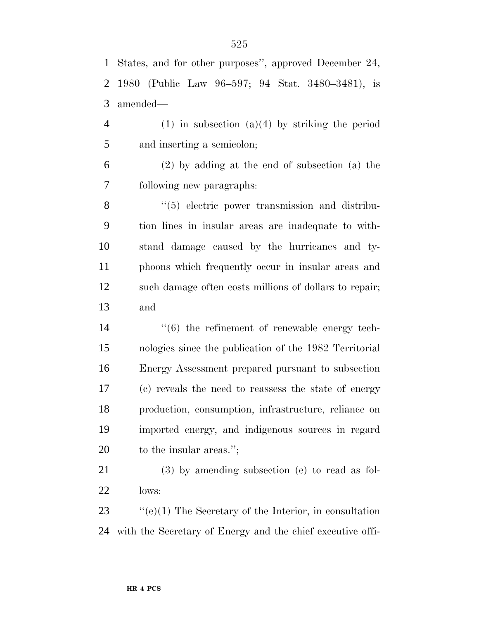States, and for other purposes'', approved December 24, 1980 (Public Law 96–597; 94 Stat. 3480–3481), is amended—

 (1) in subsection (a)(4) by striking the period and inserting a semicolon;

 (2) by adding at the end of subsection (a) the following new paragraphs:

8 "(5) electric power transmission and distribu- tion lines in insular areas are inadequate to with- stand damage caused by the hurricanes and ty- phoons which frequently occur in insular areas and such damage often costs millions of dollars to repair; and

 $\frac{1}{6}$  the refinement of renewable energy tech- nologies since the publication of the 1982 Territorial Energy Assessment prepared pursuant to subsection (c) reveals the need to reassess the state of energy production, consumption, infrastructure, reliance on imported energy, and indigenous sources in regard 20 to the insular areas.";

 (3) by amending subsection (e) to read as fol-lows:

 ''(e)(1) The Secretary of the Interior, in consultation with the Secretary of Energy and the chief executive offi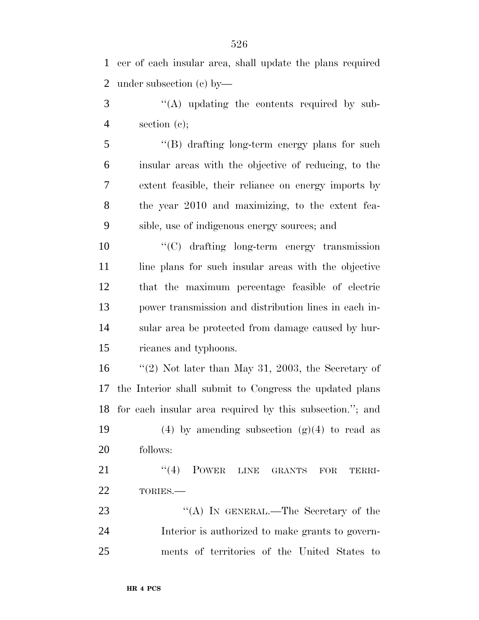cer of each insular area, shall update the plans required under subsection (c) by—

3 "(A) updating the contents required by sub-section (c);

5 "(B) drafting long-term energy plans for such insular areas with the objective of reducing, to the extent feasible, their reliance on energy imports by the year 2010 and maximizing, to the extent fea-sible, use of indigenous energy sources; and

 ''(C) drafting long-term energy transmission 11 line plans for such insular areas with the objective that the maximum percentage feasible of electric power transmission and distribution lines in each in- sular area be protected from damage caused by hur-ricanes and typhoons.

 ''(2) Not later than May 31, 2003, the Secretary of the Interior shall submit to Congress the updated plans for each insular area required by this subsection.''; and

19 (4) by amending subsection  $(g)(4)$  to read as follows:

21 ''(4) POWER LINE GRANTS FOR TERRI-TORIES.—

23 "(A) IN GENERAL.—The Secretary of the Interior is authorized to make grants to govern-ments of territories of the United States to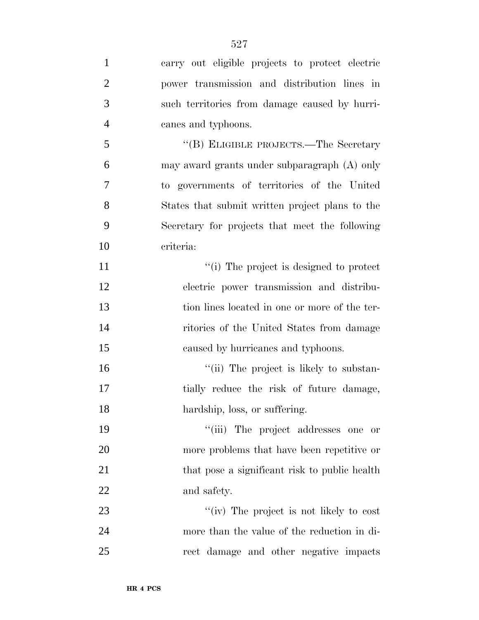| $\mathbf{1}$   | carry out eligible projects to protect electric |
|----------------|-------------------------------------------------|
| $\overline{2}$ | power transmission and distribution lines in    |
| 3              | such territories from damage caused by hurri-   |
| $\overline{4}$ | canes and typhoons.                             |
| 5              | "(B) ELIGIBLE PROJECTS.—The Secretary           |
| 6              | may award grants under subparagraph (A) only    |
| 7              | to governments of territories of the United     |
| 8              | States that submit written project plans to the |
| 9              | Secretary for projects that meet the following  |
| 10             | criteria:                                       |
| 11             | "(i) The project is designed to protect         |
| 12             | electric power transmission and distribu-       |
| 13             | tion lines located in one or more of the ter-   |
| 14             | ritories of the United States from damage       |
| 15             | caused by hurricanes and typhoons.              |
| 16             | "(ii) The project is likely to substan-         |
| 17             | tially reduce the risk of future damage,        |
| 18             | hardship, loss, or suffering.                   |
| 19             | "(iii) The project addresses one<br>or          |
| 20             | more problems that have been repetitive or      |
| 21             | that pose a significant risk to public health   |
| <u>22</u>      | and safety.                                     |
| 23             | "(iv) The project is not likely to cost         |
| 24             | more than the value of the reduction in di-     |
| 25             | rect damage and other negative impacts          |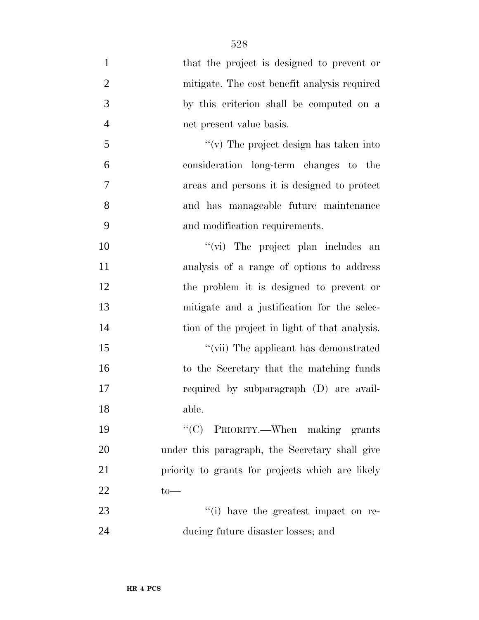| $\mathbf{1}$   | that the project is designed to prevent or       |
|----------------|--------------------------------------------------|
| $\overline{2}$ | mitigate. The cost benefit analysis required     |
| 3              | by this criterion shall be computed on a         |
| $\overline{4}$ | net present value basis.                         |
| 5              | " $(v)$ The project design has taken into        |
| 6              | consideration long-term changes to the           |
| 7              | areas and persons it is designed to protect      |
| 8              | and has manageable future maintenance            |
| 9              | and modification requirements.                   |
| 10             | "(vi) The project plan includes an               |
| 11             | analysis of a range of options to address        |
| 12             | the problem it is designed to prevent or         |
| 13             | mitigate and a justification for the selec-      |
| 14             | tion of the project in light of that analysis.   |
| 15             | "(vii) The applicant has demonstrated            |
| 16             | to the Secretary that the matching funds         |
| 17             | required by subparagraph (D) are avail-          |
| 18             | able.                                            |
| 19             | "(C) PRIORITY.—When making grants                |
| 20             | under this paragraph, the Secretary shall give   |
| 21             | priority to grants for projects which are likely |
| 22             | $to-$                                            |
| 23             | "(i) have the greatest impact on re-             |
| 24             | ducing future disaster losses; and               |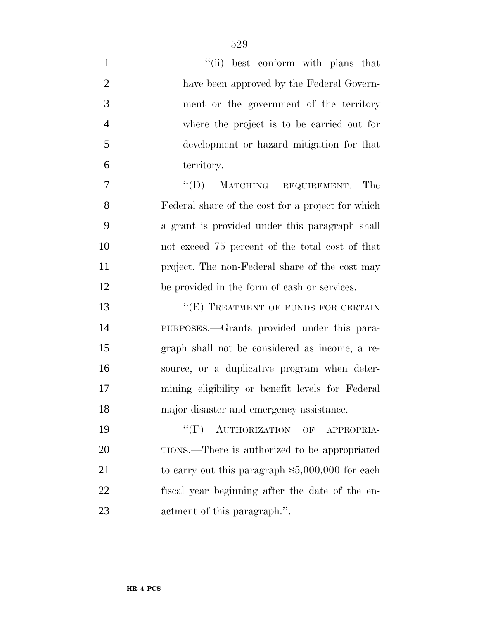| $\mathbf{1}$   | "(ii) best conform with plans that                |
|----------------|---------------------------------------------------|
| $\overline{2}$ | have been approved by the Federal Govern-         |
| 3              | ment or the government of the territory           |
| $\overline{4}$ | where the project is to be carried out for        |
| 5              | development or hazard mitigation for that         |
| 6              | territory.                                        |
| $\tau$         | $\lq\lq (D)$<br>MATCHING REQUIREMENT.—The         |
| 8              | Federal share of the cost for a project for which |
| 9              | a grant is provided under this paragraph shall    |
| 10             | not exceed 75 percent of the total cost of that   |
| 11             | project. The non-Federal share of the cost may    |
| 12             | be provided in the form of cash or services.      |
| 13             | "(E) TREATMENT OF FUNDS FOR CERTAIN               |
| 14             | PURPOSES.—Grants provided under this para-        |
| 15             | graph shall not be considered as income, a re-    |
| 16             | source, or a duplicative program when deter-      |
| 17             | mining eligibility or benefit levels for Federal  |
| 18             | major disaster and emergency assistance.          |
| 19             | "(F) AUTHORIZATION OF APPROPRIA-                  |
| 20             | TIONS.—There is authorized to be appropriated     |
| 21             | to carry out this paragraph $$5,000,000$ for each |
| 22             | fiscal year beginning after the date of the en-   |
| 23             | actment of this paragraph.".                      |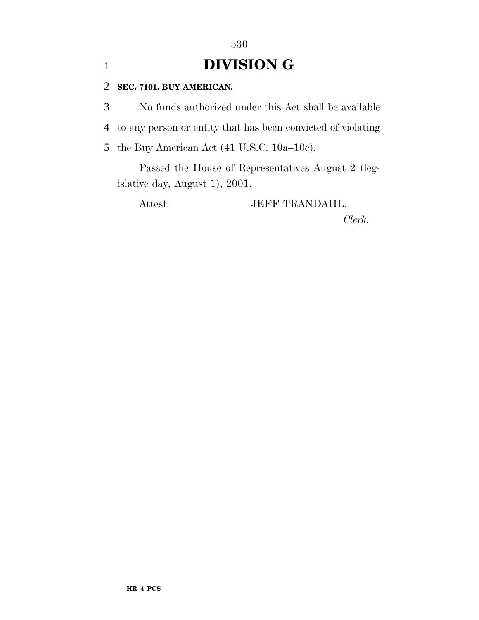# 1 **DIVISION G**

530

### 2 **SEC. 7101. BUY AMERICAN.**

3 No funds authorized under this Act shall be available

4 to any person or entity that has been convicted of violating

5 the Buy American Act (41 U.S.C. 10a–10c).

Passed the House of Representatives August 2 (legislative day, August 1), 2001.

Attest: JEFF TRANDAHL,

*Clerk.*